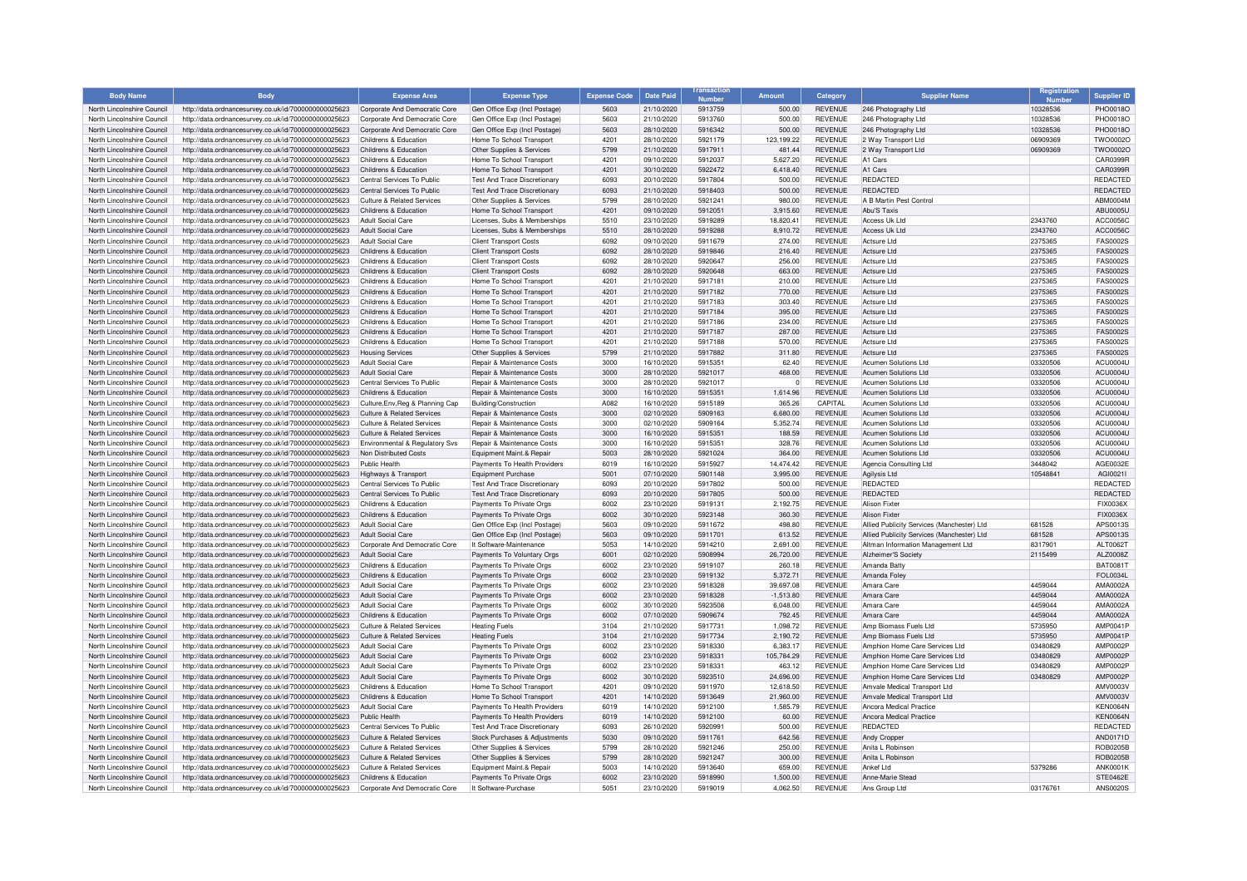| <b>Body Name</b>                                         | <b>Body</b>                                                                                                  | <b>Expense Area</b>                                  | <b>Expense Type</b>                                            | <b>Expense Code</b> | <b>Date Paid</b>         | ansactio<br><b>Numbor</b> | <b>Amount</b>    | Category                         | <b>Supplier Name</b>                       | Registration       | <b>Supplier ID</b>                 |
|----------------------------------------------------------|--------------------------------------------------------------------------------------------------------------|------------------------------------------------------|----------------------------------------------------------------|---------------------|--------------------------|---------------------------|------------------|----------------------------------|--------------------------------------------|--------------------|------------------------------------|
| North Lincolnshire Council                               | http://data.ordnancesurvey.co.uk/id/7000000000025623                                                         | Corporate And Democratic Core                        | Gen Office Exp (Incl Postage)                                  | 5603                | 21/10/2020               | 5913759                   | 500.00           | <b>REVENUE</b>                   | 246 Photography Ltd                        | 10328536           | PHO0018O                           |
| North Lincolnshire Council                               | http://data.ordnancesurvey.co.uk/id/7000000000025623                                                         | Corporate And Democratic Core                        | Gen Office Exp (Incl Postage)                                  | 5603                | 21/10/2020               | 5913760                   | 500.00           | <b>REVENUE</b>                   | 246 Photography Ltd                        | 10328536           | PHO0018O                           |
| North Lincolnshire Council                               | http://data.ordnancesurvey.co.uk/id/7000000000025623                                                         | Corporate And Democratic Core                        | Gen Office Exp (Incl Postage)                                  | 5603                | 28/10/2020               | 5916342                   | 500.00           | <b>REVENUE</b>                   | 246 Photography Ltd                        | 10328536           | PHO0018O                           |
| North Lincolnshire Council                               | http://data.ordnancesurvey.co.uk/id/7000000000025623                                                         | Childrens & Education                                | Home To School Transport                                       | 4201                | 28/10/2020               | 5921179                   | 123,199.22       | <b>REVENUE</b>                   | 2 Way Transport Ltd                        | 06909369           | <b>TWO0002C</b>                    |
| North Lincolnshire Council                               | http://data.ordnancesurvey.co.uk/id/7000000000025623                                                         | Childrens & Education                                | Other Supplies & Services                                      | 5799                | 21/10/2020               | 5917911                   | 481.44           | <b>REVENUE</b>                   | 2 Way Transport Ltd                        | 06909369           | <b>TWO0002C</b>                    |
| North Lincolnshire Council                               | http://data.ordnancesurvey.co.uk/id/7000000000025623                                                         | Childrens & Education                                | Home To School Transport                                       | 4201                | 09/10/2020               | 5912037                   | 5,627.20         | <b>REVENUE</b>                   | A1 Cars                                    |                    | CAR0399B                           |
| North Lincolnshire Council                               | http://data.ordnancesurvey.co.uk/id/7000000000025623                                                         | Childrens & Education                                | Home To School Transport                                       | 4201                | 30/10/2020               | 5922472                   | 6.418.40         | <b>REVENUE</b>                   | A1 Cars                                    |                    | CAR0399R                           |
| North Lincolnshire Council                               | http://data.ordnancesurvey.co.uk/id/7000000000025623                                                         | Central Services To Public                           | Test And Trace Discretionary                                   | 6093                | 20/10/2020               | 5917804                   | 500.00           | <b>REVENUE</b>                   | REDACTED                                   |                    | REDACTED                           |
| North Lincolnshire Council                               | http://data.ordnancesurvey.co.uk/id/7000000000025623                                                         | Central Services To Public                           | <b>Test And Trace Discretionary</b>                            | 6093                | 21/10/2020               | 5918403                   | 500.00           | <b>REVENUE</b>                   | REDACTED                                   |                    | <b>REDACTED</b>                    |
| North Lincolnshire Council                               | http://data.ordnancesurvey.co.uk/id/7000000000025623                                                         | Culture & Related Services                           | Other Supplies & Services                                      | 5799                | 28/10/2020               | 5921241                   | 980.00           | <b>REVENUE</b>                   | A B Martin Pest Control                    |                    | ABM0004M                           |
| North Lincolnshire Council                               | http://data.ordnancesurvey.co.uk/id/7000000000025623                                                         | Childrens & Education                                | Home To School Transport                                       | 4201                | 09/10/2020               | 5912051                   | 3,915.60         | <b>REVENUE</b>                   | Abu'S Taxis                                |                    | ABU0005U                           |
| North Lincolnshire Council                               | http://data.ordnancesurvey.co.uk/id/7000000000025623                                                         | <b>Adult Social Care</b>                             | Licenses, Subs & Memberships                                   | 5510                | 23/10/2020               | 5919289                   | 18,820.41        | <b>REVENUE</b>                   | Access Uk I to                             | 2343760            | ACC0056C                           |
| North Lincolnshire Council<br>North Lincolnshire Council | http://data.ordnancesurvey.co.uk/id/7000000000025623                                                         | <b>Adult Social Care</b><br><b>Adult Social Care</b> | Licenses, Subs & Memberships                                   | 5510<br>6092        | 28/10/2020               | 5919288                   | 8,910.72         | <b>REVENUE</b>                   | Access Uk Ltd<br>Actsure I to              | 2343760            | ACC0056C                           |
| North Lincolnshire Council                               | http://data.ordnancesurvey.co.uk/id/7000000000025623                                                         | Childrens & Education                                | <b>Client Transport Costs</b>                                  | 6092                | 09/10/2020<br>28/10/2020 | 5911679<br>5919846        | 274.00<br>216.40 | <b>REVENUE</b><br><b>REVENUE</b> | <b>Actsure Ltd</b>                         | 2375365<br>2375365 | <b>FAS0002S</b><br><b>FAS0002S</b> |
| North Lincolnshire Council                               | http://data.ordnancesurvey.co.uk/id/7000000000025623<br>http://data.ordnancesurvey.co.uk/id/7000000000025623 | Childrens & Education                                | <b>Client Transport Costs</b><br><b>Client Transport Costs</b> | 6092                | 28/10/2020               | 5920647                   | 256.00           | <b>REVENUE</b>                   | <b>Actsure Ltd</b>                         | 2375365            | <b>FAS0002S</b>                    |
|                                                          |                                                                                                              | Childrens & Education                                |                                                                | 6092                |                          | 5920648                   |                  | <b>REVENUE</b>                   | <b>Actsure Ltd</b>                         |                    | <b>FAS0002S</b>                    |
| North Lincolnshire Council<br>North Lincolnshire Council | http://data.ordnancesurvey.co.uk/id/7000000000025623<br>http://data.ordnancesurvey.co.uk/id/7000000000025623 | Childrens & Education                                | <b>Client Transport Costs</b><br>Home To School Transport      | 4201                | 28/10/2020<br>21/10/2020 | 5917181                   | 663.00<br>210.00 | <b>REVENUE</b>                   | <b>Actsure Ltd</b>                         | 2375365<br>2375365 | <b>FAS0002S</b>                    |
| North Lincolnshire Council                               | http://data.ordnancesurvey.co.uk/id/7000000000025623                                                         | Childrens & Education                                | Home To School Transport                                       | 4201                | 21/10/2020               | 5917182                   | 770.00           | <b>REVENUE</b>                   | <b>Actsure Ltd</b>                         | 2375365            | <b>FAS0002S</b>                    |
| North Lincolnshire Council                               | http://data.ordnancesurvey.co.uk/id/7000000000025623                                                         | Childrens & Education                                | Home To School Transport                                       | 4201                | 21/10/2020               | 5917183                   | 303.40           | <b>REVENUE</b>                   | Actsure Ltd                                | 2375365            | <b>FAS0002S</b>                    |
| North Lincolnshire Council                               | http://data.ordnancesurvey.co.uk/id/7000000000025623                                                         | Childrens & Education                                | Home To School Transport                                       | 4201                | 21/10/2020               | 5917184                   | 395.00           | <b>REVENUE</b>                   | <b>Actsure Ltd</b>                         | 2375365            | <b>FAS0002S</b>                    |
| North Lincolnshire Council                               | http://data.ordnancesurvey.co.uk/id/7000000000025623                                                         | Childrens & Education                                | Home To School Transport                                       | $420 -$             | 21/10/2020               | 5917186                   | 234.00           | <b>REVENUE</b>                   | Actsure I to                               | 2375365            | FAS0002S                           |
| North Lincolnshire Council                               | http://data.ordnancesurvey.co.uk/id/7000000000025623                                                         | Childrens & Education                                | Home To School Transport                                       | 4201                | 21/10/2020               | 5917187                   | 287.00           | <b>REVENUE</b>                   | <b>Actsure Ltd</b>                         | 2375365            | <b>FAS0002S</b>                    |
| North Lincolnshire Council                               | http://data.ordnancesurvey.co.uk/id/7000000000025623                                                         | Childrens & Education                                | Home To School Transport                                       | 4201                | 21/10/2020               | 5917188                   | 570.00           | <b>REVENUE</b>                   | Actsure I to                               | 2375365            | <b>FAS0002S</b>                    |
| North Lincolnshire Council                               | http://data.ordnancesurvey.co.uk/id/7000000000025623                                                         | <b>Housing Services</b>                              | Other Supplies & Services                                      | 5799                | 21/10/2020               | 5917882                   | 311.80           | <b>REVENUE</b>                   | Actsure I to                               | 2375365            | <b>FAS0002S</b>                    |
| North Lincolnshire Council                               | http://data.ordnancesurvey.co.uk/id/7000000000025623                                                         | <b>Adult Social Care</b>                             | Repair & Maintenance Costs                                     | 3000                | 16/10/2020               | 5915351                   | 62.40            | <b>REVENUE</b>                   | <b>Acumen Solutions Ltd</b>                | 03320506           | ACU0004U                           |
| North Lincolnshire Council                               | http://data.ordnancesurvey.co.uk/id/7000000000025623                                                         | <b>Adult Social Care</b>                             | Repair & Maintenance Costs                                     | 3000                | 28/10/2020               | 5921017                   | 468.00           | <b>REVENUE</b>                   | Acumen Solutions Ltd                       | 03320506           | ACU0004U                           |
| North Lincolnshire Council                               | http://data.ordnancesurvey.co.uk/id/7000000000025623                                                         | Central Services To Public                           | Repair & Maintenance Costs                                     | 3000                | 28/10/2020               | 5921017                   | $\Omega$         | <b>REVENUE</b>                   | Acumen Solutions Ltd                       | 03320506           | ACU0004U                           |
| North Lincolnshire Council                               | http://data.ordnancesurvey.co.uk/id/7000000000025623                                                         | Childrens & Education                                | Repair & Maintenance Costs                                     | 3000                | 16/10/2020               | 5915351                   | 1,614.96         | <b>REVENUE</b>                   | <b>Acumen Solutions Ltd</b>                | 03320506           | ACU0004U                           |
| North Lincolnshire Council                               | http://data.ordnancesurvey.co.uk/id/7000000000025623                                                         | Culture, Env, Reg & Planning Cap                     | Building/Construction                                          | A082                | 16/10/2020               | 5915189                   | 365.26           | CAPITAL                          | Acumen Solutions Ltd                       | 03320506           | <b>ACLI0004L</b>                   |
| North Lincolnshire Council                               |                                                                                                              | <b>Culture &amp; Related Services</b>                | Repair & Maintenance Costs                                     | 3000                | 02/10/2020               | 5909163                   | 6,680.00         | <b>REVENUE</b>                   | Acumen Solutions Ltd                       | 03320506           | ACU0004U                           |
| North Lincolnshire Council                               | http://data.ordnancesurvey.co.uk/id/7000000000025623<br>http://data.ordnancesurvey.co.uk/id/7000000000025623 | <b>Culture &amp; Related Services</b>                | Repair & Maintenance Costs                                     | 3000                | 02/10/2020               | 5909164                   | 5,352.74         | <b>REVENUE</b>                   | <b>Acumen Solutions Ltd</b>                | 03320506           | ACU0004U                           |
| North Lincolnshire Council                               | http://data.ordnancesurvey.co.uk/id/7000000000025623                                                         | <b>Culture &amp; Related Services</b>                | Repair & Maintenance Costs                                     | 3000                | 16/10/2020               | 5915351                   | 188.59           | <b>REVENUE</b>                   | <b>Acumen Solutions Ltd</b>                | 03320506           | ACU0004U                           |
| North Lincolnshire Council                               | http://data.ordnancesurvey.co.uk/id/7000000000025623                                                         | Environmental & Regulatory Svs                       | Repair & Maintenance Costs                                     | 3000                | 16/10/2020               | 5915351                   | 328.76           | <b>REVENUE</b>                   | Acumen Solutions Ltd                       | 03320506           | ACU0004U                           |
| North Lincolnshire Council                               | http://data.ordnancesurvey.co.uk/id/7000000000025623                                                         | Non Distributed Costs                                | Equipment Maint.& Repair                                       | 5003                | 28/10/2020               | 5921024                   | 364.00           | <b>REVENUE</b>                   | Acumen Solutions Ltd                       | 03320506           | ACU0004U                           |
| North Lincolnshire Council                               | http://data.ordnancesurvey.co.uk/id/7000000000025623                                                         | Public Health                                        | Payments To Health Providers                                   | 6019                | 16/10/2020               | 5915927                   | 14.474.42        | <b>REVENUE</b>                   | Agencia Consulting Ltd                     | 3448042            | AGE0032E                           |
| North Lincolnshire Council                               | http://data.ordnancesurvey.co.uk/id/7000000000025623                                                         | Highways & Transport                                 | Equipment Purchase                                             | 5001                | 07/10/2020               | 5901148                   | 3.995.00         | <b>REVENUE</b>                   | Agilysis Ltd                               | 10548841           | AGI0021I                           |
| North Lincolnshire Council                               | http://data.ordnancesurvey.co.uk/id/7000000000025623                                                         | Central Services To Public                           | Test And Trace Discretionary                                   | 6093                | 20/10/2020               | 5917802                   | 500.00           | <b>REVENUE</b>                   | <b>REDACTED</b>                            |                    | REDACTED                           |
| North Lincolnshire Council                               | http://data.ordnancesurvey.co.uk/id/7000000000025623                                                         | Central Services To Public                           | <b>Test And Trace Discretionary</b>                            | 6093                | 20/10/2020               | 5917805                   | 500.00           | <b>REVENUE</b>                   | REDACTED                                   |                    | REDACTED                           |
| North Lincolnshire Council                               | http://data.ordnancesurvey.co.uk/id/7000000000025623                                                         | Childrens & Education                                | Payments To Private Orgs                                       | 6002                | 23/10/2020               | 5919131                   | 2,192.75         | <b>REVENUE</b>                   | Alison Fixter                              |                    | <b>FIX0036X</b>                    |
| North Lincolnshire Council                               | http://data.ordnancesurvey.co.uk/id/7000000000025623                                                         | Childrens & Education                                | Payments To Private Orgs                                       | 6002                | 30/10/2020               | 5923148                   | 360.30           | <b>REVENUE</b>                   | Alison Fixter                              |                    | FIX0036X                           |
| North Lincolnshire Council                               | http://data.ordnancesurvey.co.uk/id/7000000000025623                                                         | <b>Adult Social Care</b>                             | Gen Office Exp (Incl Postage)                                  | 5603                | 09/10/2020               | 5911672                   | 498.80           | <b>REVENUE</b>                   | Allied Publicity Services (Manchester) Ltd | 681528             | APS0013S                           |
| North Lincolnshire Council                               | http://data.ordnancesurvey.co.uk/id/7000000000025623                                                         | <b>Adult Social Care</b>                             | Gen Office Exp (Incl Postage)                                  | 5603                | 09/10/2020               | 5911701                   | 613.52           | <b>REVENUE</b>                   | Allied Publicity Services (Manchester) Ltd | 681528             | APS0013S                           |
| North Lincolnshire Council                               | http://data.ordnancesurvey.co.uk/id/7000000000025623                                                         | Corporate And Democratic Core                        | It Software-Maintenance                                        | 5053                | 14/10/2020               | 5914210                   | 2.691.00         | <b>REVENUE</b>                   | Altman Information Management Ltd          | 8317901            | ALT0062T                           |
| North Lincolnshire Council                               | http://data.ordnancesurvey.co.uk/id/7000000000025623                                                         | <b>Adult Social Care</b>                             | Payments To Voluntary Orgs                                     | 6001                | 02/10/2020               | 5908994                   | 26,720.00        | <b>REVENUE</b>                   | Alzheimer'S Society                        | 2115499            | ALZ0008Z                           |
| North Lincolnshire Council                               | http://data.ordnancesurvey.co.uk/id/7000000000025623                                                         | Childrens & Education                                | Payments To Private Orgs                                       | 6002                | 23/10/2020               | 5919107                   | 260.18           | <b>REVENUE</b>                   | Amanda Batty                               |                    | <b>BAT0081T</b>                    |
| North Lincolnshire Council                               | http://data.ordnancesurvey.co.uk/id/7000000000025623                                                         | Childrens & Education                                | Payments To Private Oras                                       | 6002                | 23/10/2020               | 5919132                   | 5.372.71         | <b>REVENUE</b>                   | Amanda Foley                               |                    | <b>FOL0034L</b>                    |
| North Lincolnshire Council                               | http://data.ordnancesurvey.co.uk/id/7000000000025623                                                         | <b>Adult Social Care</b>                             | Payments To Private Orgs                                       | 6002                | 23/10/2020               | 5918328                   | 39.697.08        | <b>REVENUE</b>                   | Amara Care                                 | 4459044            | AMA0002A                           |
| North Lincolnshire Council                               | http://data.ordnancesurvey.co.uk/id/7000000000025623                                                         | <b>Adult Social Care</b>                             | Payments To Private Orgs                                       | 6002                | 23/10/2020               | 5918328                   | $-1,513.80$      | <b>REVENUE</b>                   | Amara Care                                 | 4459044            | AMA0002A                           |
| North Lincolnshire Council                               | http://data.ordnancesurvey.co.uk/id/7000000000025623                                                         | <b>Adult Social Care</b>                             | Payments To Private Orgs                                       | 6002                | 30/10/2020               | 5923508                   | 6,048.00         | <b>REVENUE</b>                   | Amara Care                                 | 4459044            | AMA0002A                           |
| North Lincolnshire Council                               | http://data.ordnancesurvey.co.uk/id/7000000000025623                                                         | Childrens & Education                                | Payments To Private Orgs                                       | 6002                | 07/10/2020               | 5909674                   | 792.45           | <b>REVENUE</b>                   | Amara Care                                 | 4459044            | AMA0002A                           |
| North Lincolnshire Council                               | http://data.ordnancesurvey.co.uk/id/7000000000025623                                                         | <b>Culture &amp; Related Services</b>                | <b>Heating Fuels</b>                                           | 3104                | 21/10/2020               | 5917731                   | 1,098.72         | <b>REVENUE</b>                   | Amp Biomass Fuels Ltd                      | 5735950            | AMP0041P                           |
| North Lincolnshire Council                               | http://data.ordnancesurvey.co.uk/id/7000000000025623                                                         | <b>Culture &amp; Related Services</b>                | <b>Heating Fuels</b>                                           | 3104                | 21/10/2020               | 5917734                   | 2,190.72         | <b>REVENUE</b>                   | Amp Biomass Fuels Ltd                      | 5735950            | AMP0041P                           |
| North Lincolnshire Council                               | http://data.ordnancesurvey.co.uk/id/7000000000025623                                                         | <b>Adult Social Care</b>                             | Payments To Private Orgs                                       | 6002                | 23/10/2020               | 5918330                   | 6.383.17         | <b>REVENUE</b>                   | Amphion Home Care Services Ltd             | 03480829           | AMP0002P                           |
| North Lincolnshire Council                               | http://data.ordnancesurvey.co.uk/id/7000000000025623                                                         | <b>Adult Social Care</b>                             | Payments To Private Orgs                                       | 6002                | 23/10/2020               | 5918331                   | 105,784.29       | <b>REVENUE</b>                   | Amphion Home Care Services Ltd             | 03480829           | <b>AMP0002P</b>                    |
| North Lincolnshire Council                               | http://data.ordnancesurvey.co.uk/id/7000000000025623                                                         | <b>Adult Social Care</b>                             | Payments To Private Orgs                                       | 6002                | 23/10/2020               | 5918331                   | 463.12           | <b>REVENUE</b>                   | Amphion Home Care Services Ltd             | 03480829           | AMP0002P                           |
| North Lincolnshire Council                               | http://data.ordnancesurvey.co.uk/id/7000000000025623                                                         | <b>Adult Social Care</b>                             | Payments To Private Orgs                                       | 6002                | 30/10/2020               | 5923510                   | 24,696.00        | <b>REVENUE</b>                   | Amphion Home Care Services Ltd             | 03480829           | AMP0002F                           |
| North Lincolnshire Council                               | http://data.ordnancesurvey.co.uk/id/7000000000025623                                                         | Childrens & Education                                | Home To School Transport                                       | 4201                | 09/10/2020               | 5911970                   | 12.618.50        | <b>REVENUE</b>                   | Amvale Medical Transport Ltd               |                    | AMV0003V                           |
| North Lincolnshire Council                               | http://data.ordnancesurvey.co.uk/id/7000000000025623                                                         | Childrens & Education                                | Home To School Transport                                       | 4201                | 14/10/2020               | 5913649                   | 21,960.00        | <b>REVENUE</b>                   | Amvale Medical Transport Ltd               |                    | AMV0003\                           |
| North Lincolnshire Council                               | http://data.ordnancesurvey.co.uk/id/7000000000025623                                                         | <b>Adult Social Care</b>                             | Payments To Health Providers                                   | 6019                | 14/10/2020               | 5912100                   | 1,585.79         | <b>REVENUE</b>                   | Ancora Medical Practice                    |                    | KFN0064N                           |
| North Lincolnshire Council                               | http://data.ordnancesurvey.co.uk/id/7000000000025623                                                         | Public Health                                        | Payments To Health Providers                                   | 6019                | 14/10/2020               | 5912100                   | 60.00            | <b>REVENUE</b>                   | Ancora Medical Practice                    |                    | <b>KEN0064N</b>                    |
| North Lincolnshire Council                               | http://data.ordnancesurvey.co.uk/id/7000000000025623                                                         | Central Services To Public                           | <b>Test And Trace Discretionary</b>                            | 6093                | 26/10/2020               | 5920991                   | 500.00           | <b>REVENUE</b>                   | <b>REDACTED</b>                            |                    | REDACTED                           |
| North Lincolnshire Council                               | http://data.ordnancesurvey.co.uk/id/7000000000025623                                                         | <b>Culture &amp; Related Services</b>                | Stock Purchases & Adjustments                                  | 5030                | 09/10/2020               | 5911761                   | 642.56           | <b>REVENUE</b>                   | Andy Cropper                               |                    | AND0171D                           |
| North Lincolnshire Council                               | http://data.ordnancesurvey.co.uk/id/7000000000025623                                                         | <b>Culture &amp; Related Services</b>                | Other Supplies & Services                                      | 5799                | 28/10/2020               | 5921246                   | 250.00           | <b>REVENUE</b>                   | Anita I Robinson                           |                    | <b>ROB0205B</b>                    |
| North Lincolnshire Council                               | http://data.ordnancesurvey.co.uk/id/7000000000025623                                                         | Culture & Related Services                           | Other Supplies & Services                                      | 5799                | 28/10/2020               | 5921247                   | 300.00           | <b>REVENUE</b>                   | Anita L Robinson                           |                    | <b>ROB0205B</b>                    |
| North Lincolnshire Council                               | http://data.ordnancesurvey.co.uk/id/7000000000025623                                                         | <b>Culture &amp; Related Services</b>                | Equipment Maint.& Repair                                       | 5003                | 14/10/2020               | 5913640                   | 659.00           | <b>REVENUE</b>                   | Ankef I td                                 | 5379286            | <b>ANK0001K</b>                    |
| North Lincolnshire Council                               | http://data.ordnancesurvey.co.uk/id/7000000000025623                                                         | Childrens & Education                                | Payments To Private Orgs                                       | 6002                | 23/10/2020               | 5918990                   | 1,500.00         | <b>REVENUE</b>                   | Anne-Marie Stead                           |                    | <b>STE0462E</b>                    |
| North Lincolnshire Council                               | http://data.ordnancesurvey.co.uk/id/7000000000025623                                                         | Corporate And Democratic Core                        | It Software-Purchase                                           | 5051                | 23/10/2020               | 5919019                   | 4.062.50         | <b>REVENUE</b>                   | Ans Group I td                             | 03176761           | <b>ANS0020S</b>                    |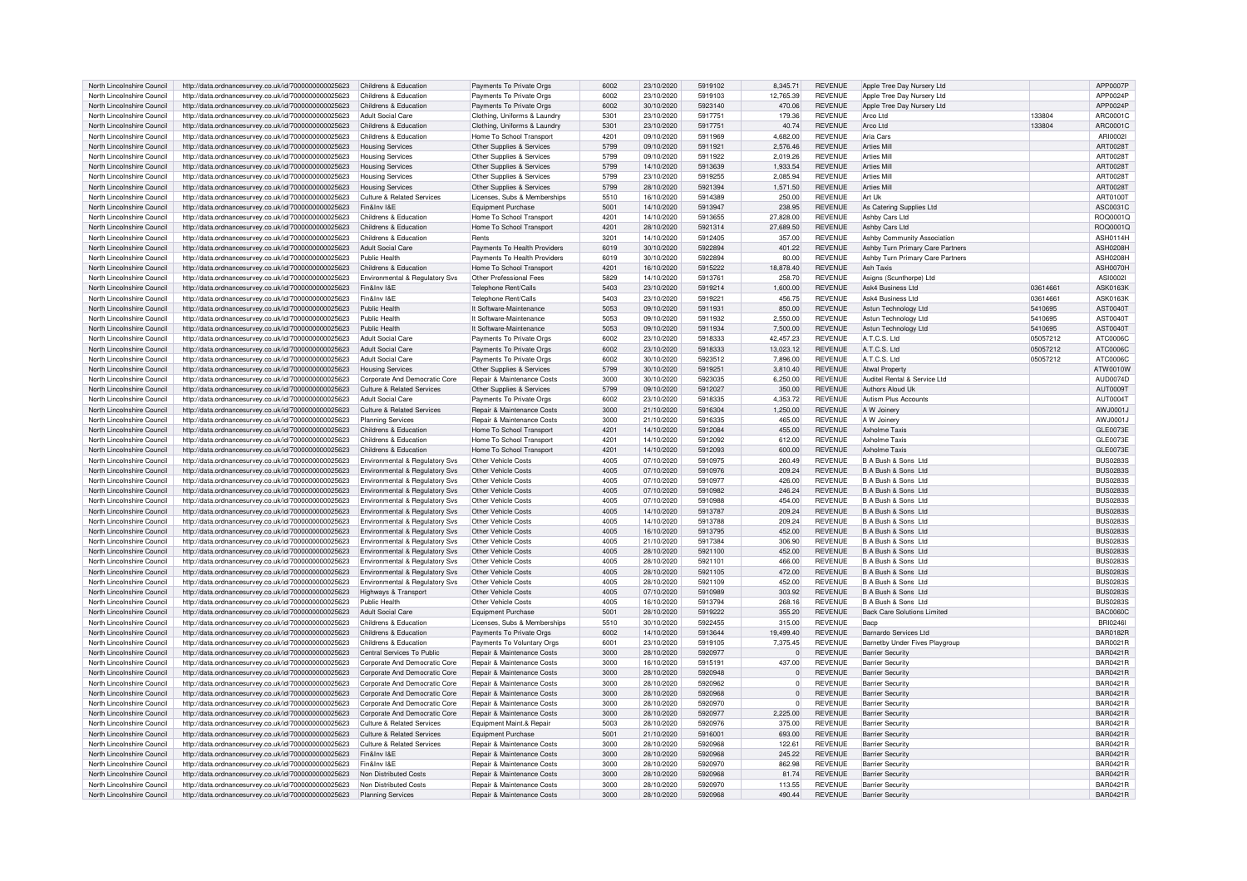| North Lincolnshire Council | http://data.ordnancesurvey.co.uk/id/7000000000025623 | Childrens & Education                      | Payments To Private Orgs              | 6002          | 23/10/2020 | 5919102 | 8,345.71    | <b>REVENUE</b> | Apple Tree Day Nursery Ltd            |          | APP0007P        |
|----------------------------|------------------------------------------------------|--------------------------------------------|---------------------------------------|---------------|------------|---------|-------------|----------------|---------------------------------------|----------|-----------------|
| North Lincolnshire Council | http://data.ordnancesurvey.co.uk/id/7000000000025623 | Childrens & Education                      | Payments To Private Oras              | 6002          | 23/10/2020 | 5919103 | 12.765.39   | <b>REVENUE</b> | Apple Tree Day Nursery Ltd            |          | APP0024P        |
|                            |                                                      |                                            |                                       | 6002          |            |         |             |                |                                       |          |                 |
| North Lincolnshire Council | http://data.ordnancesurvey.co.uk/id/7000000000025623 | Childrens & Education                      | Payments To Private Orgs              |               | 30/10/2020 | 5923140 | 470.06      | REVENUE        | Apple Tree Day Nursery Ltd            |          | APP0024P        |
| North Lincolnshire Council | http://data.ordnancesurvey.co.uk/id/7000000000025623 | <b>Adult Social Care</b>                   | Clothing, Uniforms & Laundry          | 5301          | 23/10/2020 | 591775  | 179.36      | <b>REVENUE</b> | Arco I td                             | 133804   | ARC0001C        |
| North Lincolnshire Council | http://data.ordnancesurvey.co.uk/id/7000000000025623 | Childrens & Education                      | Clothing, Uniforms & Laundry          | 5301          | 23/10/2020 | 591775  | 40.74       | <b>REVENUE</b> | Arco Ltd                              | 133804   | ARC0001C        |
| North Lincolnshire Council | http://data.ordnancesurvey.co.uk/id/7000000000025623 | Childrens & Education                      | Home To School Transpor               | $420^{\circ}$ | 09/10/2020 | 5911969 | 4,682.00    | <b>REVENUE</b> | Aria Cars                             |          | ARI00021        |
| North Lincolnshire Council | http://data.ordnancesurvey.co.uk/id/7000000000025623 | <b>Housing Services</b>                    | Other Supplies & Services             | 5799          | 09/10/2020 | 591192  | 2,576.46    | <b>REVENUE</b> | <b>Arties Mil</b>                     |          | ART00281        |
| North Lincolnshire Council | http://data.ordnancesurvey.co.uk/id/7000000000025623 | <b>Housing Services</b>                    | Other Supplies & Services             | 5799          | 09/10/2020 | 5911922 | 2,019.26    | <b>REVENUE</b> | <b>Arties Mil</b>                     |          | ART00281        |
| North Lincolnshire Council | http://data.ordnancesurvey.co.uk/id/7000000000025623 | <b>Housing Services</b>                    | Other Supplies & Services             | 5799          | 14/10/2020 | 5913639 | 1,933.54    | REVENUE        | <b>Arties Mil</b>                     |          | ART00281        |
| North Lincolnshire Council | http://data.ordnancesurvey.co.uk/id/7000000000025623 | <b>Housing Services</b>                    | Other Supplies & Services             | 5799          | 23/10/2020 | 5919255 | 2,085.94    | <b>REVENUE</b> | <b>Arties Mill</b>                    |          | ART0028T        |
|                            |                                                      |                                            |                                       |               |            |         |             |                |                                       |          |                 |
| North Lincolnshire Council | http://data.ordnancesurvey.co.uk/id/7000000000025623 | <b>Housing Services</b>                    | Other Supplies & Services             | 5799          | 28/10/2020 | 5921394 | 1.571.50    | <b>REVENUE</b> | <b>Arties Mill</b>                    |          | <b>ART0028T</b> |
| North Lincolnshire Council | http://data.ordnancesurvey.co.uk/id/7000000000025623 | Culture & Related Services                 | Licenses, Subs & Memberships          | 5510          | 16/10/2020 | 5914389 | 250.00      | <b>REVENUE</b> | Art Uk                                |          | ART0100T        |
| North Lincolnshire Council | http://data.ordnancesurvey.co.uk/id/7000000000025623 | Fin&Inv I&F                                | <b>Equipment Purchase</b>             | 5001          | 14/10/2020 | 5913947 | 238.95      | <b>REVENUE</b> | As Catering Supplies Ltd              |          | ASC0031C        |
| North Lincolnshire Council | http://data.ordnancesurvey.co.uk/id/7000000000025623 | Childrens & Education                      | Home To School Transpor               | 4201          | 14/10/2020 | 5913655 | 27,828.00   | <b>REVENUE</b> | Ashby Cars Ltd                        |          | ROQ0001C        |
| North Lincolnshire Council | http://data.ordnancesurvey.co.uk/id/7000000000025623 | Childrens & Education                      | Home To School Transport              | 4201          | 28/10/2020 | 5921314 | 27,689.50   | <b>REVENUE</b> | Ashby Cars Ltd                        |          | ROQ0001Q        |
| North Lincolnshire Council | http://data.ordnancesurvey.co.uk/id/7000000000025623 | Childrens & Education                      | Rents                                 | 3201          | 14/10/2020 | 5912405 | 357.00      | <b>REVENUE</b> | Ashby Community Association           |          | <b>ASH0114H</b> |
| North Lincolnshire Council | http://data.ordnancesurvey.co.uk/id/7000000000025623 | <b>Adult Social Care</b>                   | Payments To Health Providers          | 6019          | 30/10/2020 | 5922894 | 401.22      | <b>REVENUE</b> | Ashby Turn Primary Care Partners      |          | ASH0208H        |
| North Lincolnshire Council | http://data.ordnancesurvey.co.uk/id/7000000000025623 | Public Health                              | Payments To Health Providers          | 6019          | 30/10/2020 | 5922894 | 80.00       | <b>REVENUE</b> | Ashby Turn Primary Care Partners      |          | ASH0208H        |
| North Lincolnshire Council | http://data.ordnancesurvey.co.uk/id/7000000000025623 | Childrens & Education                      | Home To School Transport              | 4201          | 16/10/2020 | 5915222 | 18,878.40   | <b>REVENUE</b> | Ash Taxis                             |          | ASH0070H        |
| North Lincolnshire Council |                                                      | <b>Environmental &amp; Regulatory Sys.</b> | Other Professional Fees               | 5829          | 14/10/2020 | 591376  | 258.70      | <b>REVENUE</b> |                                       |          | ASI0002I        |
|                            | http://data.ordnancesurvey.co.uk/id/7000000000025623 |                                            |                                       |               |            |         |             |                | Asigns (Scunthorpe) Ltd               |          |                 |
| North Lincolnshire Council | http://data.ordnancesurvey.co.uk/id/7000000000025623 | Fin&Inv I&F                                | Telephone Rent/Calls                  | 5403          | 23/10/2020 | 5919214 | 1,600.00    | <b>REVENUE</b> | Ask4 Business Ltd                     | 0361466  | <b>ASK0163K</b> |
| North Lincolnshire Council | http://data.ordnancesurvey.co.uk/id/7000000000025623 | Fin&Inv I&E                                | Telephone Rent/Calls                  | 5403          | 23/10/2020 | 591922  | 456.75      | <b>REVENUE</b> | Ask4 Business Ltd                     | 03614661 | <b>ASK0163K</b> |
| North Lincolnshire Council | http://data.ordnancesurvey.co.uk/id/7000000000025623 | Public Health                              | It Software-Maintenance               | 5053          | 09/10/2020 | 591193  | 850.00      | <b>REVENUE</b> | Astun Technology Ltd                  | 5410695  | <b>AST0040T</b> |
| North Lincolnshire Council | http://data.ordnancesurvey.co.uk/id/7000000000025623 | Public Health                              | It Software-Maintenance               | 5053          | 09/10/2020 | 5911932 | 2,550.00    | <b>REVENUE</b> | Astun Technology Ltd                  | 5410695  | AST0040T        |
| North Lincolnshire Council | http://data.ordnancesurvey.co.uk/id/7000000000025623 | <b>Public Health</b>                       | It Software-Maintenance               | 5053          | 09/10/2020 | 5911934 | 7,500.00    | <b>REVENUE</b> | Astun Technology Ltd                  | 5410695  | <b>AST0040T</b> |
| North Lincolnshire Council | http://data.ordnancesurvey.co.uk/id/7000000000025623 | <b>Adult Social Care</b>                   | Payments To Private Orgs              | 6002          | 23/10/2020 | 5918333 | 42,457.23   | <b>REVENUE</b> | A.T.C.S. Ltd                          | 05057212 | ATC0006C        |
| North Lincolnshire Council | http://data.ordnancesurvey.co.uk/id/7000000000025623 | <b>Adult Social Care</b>                   | Payments To Private Orgs              | 6002          | 23/10/2020 | 5918333 | 13.023.12   | <b>REVENUE</b> | A.T.C.S. Ltd                          | 05057212 | ATC0006C        |
|                            |                                                      | <b>Adult Social Care</b>                   |                                       | 6002          |            | 5923512 |             | <b>REVENUE</b> | A.T.C.S. Ltd                          |          | ATC0006C        |
| North Lincolnshire Council | http://data.ordnancesurvey.co.uk/id/7000000000025623 |                                            | Payments To Private Orgs              |               | 30/10/2020 |         | 7,896.00    |                |                                       | 05057212 |                 |
| North Lincolnshire Council | http://data.ordnancesurvey.co.uk/id/7000000000025623 | <b>Housing Services</b>                    | Other Supplies & Services             | 5799          | 30/10/2020 | 591925  | 3,810.40    | <b>REVENUE</b> | Atwal Property                        |          | ATW0010W        |
| North Lincolnshire Council | http://data.ordnancesurvey.co.uk/id/7000000000025623 | Corporate And Democratic Core              | Repair & Maintenance Costs            | 3000          | 30/10/2020 | 5923035 | 6,250.00    | <b>REVENUE</b> | Auditel Rental & Service Ltd          |          | AUD0074D        |
| North Lincolnshire Council | http://data.ordnancesurvey.co.uk/id/7000000000025623 | Culture & Related Services                 | Other Supplies & Services             | 5799          | 09/10/2020 | 5912027 | 350.00      | <b>REVENUE</b> | Authors Aloud Uk                      |          | <b>AUT0009T</b> |
| North Lincolnshire Council | http://data.ordnancesurvey.co.uk/id/7000000000025623 | <b>Adult Social Care</b>                   | Payments To Private Orgs              | 6002          | 23/10/2020 | 5918335 | 4,353.72    | <b>REVENUE</b> | Autism Plus Accounts                  |          | AUT0004T        |
| North Lincolnshire Council | http://data.ordnancesurvey.co.uk/id/7000000000025623 | Culture & Related Services                 | Repair & Maintenance Costs            | 3000          | 21/10/2020 | 5916304 | 1,250.00    | <b>REVENUE</b> | A W Joinery                           |          | AWJ0001J        |
| North Lincolnshire Council | http://data.ordnancesurvey.co.uk/id/7000000000025623 | <b>Planning Services</b>                   | Repair & Maintenance Costs            | 3000          | 21/10/2020 | 5916335 | 465.00      | <b>REVENUE</b> | A W Joinery                           |          | AWJ0001J        |
| North Lincolnshire Council | http://data.ordnancesurvey.co.uk/id/7000000000025623 | Childrens & Education                      | Home To School Transport              | 4201          | 14/10/2020 | 5912084 | 455.00      | <b>REVENUE</b> | <b>Axholme Taxis</b>                  |          | GLE0073E        |
|                            |                                                      |                                            |                                       |               |            |         |             |                |                                       |          |                 |
| North Lincolnshire Council | http://data.ordnancesurvey.co.uk/id/7000000000025623 | Childrens & Education                      | Home To School Transport              | 4201          | 14/10/2020 | 5912092 | 612.00      | <b>REVENUE</b> | <b>Axholme Taxis</b>                  |          | GLE0073E        |
| North Lincolnshire Council | http://data.ordnancesurvey.co.uk/id/7000000000025623 | Childrens & Education                      | Home To School Transport              | 4201          | 14/10/2020 | 5912093 | 600.00      | <b>REVENUE</b> | <b>Axholme Taxis</b>                  |          | GLE0073E        |
| North Lincolnshire Council | http://data.ordnancesurvey.co.uk/id/7000000000025623 | Environmental & Regulatory Svs             | Other Vehicle Costs                   | 4005          | 07/10/2020 | 5910975 | 260.49      | <b>REVENUE</b> | <b>B.A. Rush &amp; Sons Ltd</b>       |          | <b>BUS0283S</b> |
| North Lincolnshire Council | http://data.ordnancesurvey.co.uk/id/7000000000025623 | Environmental & Regulatory Svs             | Other Vehicle Costs                   | 4005          | 07/10/2020 | 5910976 | 209.24      | <b>REVENUE</b> | B A Bush & Sons Ltd                   |          | <b>BUS0283S</b> |
| North Lincolnshire Council | http://data.ordnancesurvey.co.uk/id/7000000000025623 | Environmental & Regulatory Svs             | Other Vehicle Costs                   | 4005          | 07/10/2020 | 5910977 | 426.00      | <b>REVENUE</b> | B A Bush & Sons Ltd                   |          | <b>BUS0283S</b> |
| North Lincolnshire Council | http://data.ordnancesurvey.co.uk/id/7000000000025623 | Environmental & Regulatory Svs             | Other Vehicle Costs                   | 4005          | 07/10/2020 | 5910982 | 246.24      | <b>REVENUE</b> | B A Bush & Sons Ltd                   |          | <b>BUS0283S</b> |
| North Lincolnshire Council | http://data.ordnancesurvey.co.uk/id/7000000000025623 | Environmental & Regulatory Svs             | Other Vehicle Costs                   | 4005          | 07/10/2020 | 5910988 | 454.00      | <b>REVENUE</b> | B A Bush & Sons Ltd                   |          | <b>BUS0283S</b> |
| North Lincolnshire Council | http://data.ordnancesurvey.co.uk/id/7000000000025623 | Environmental & Regulatory Svs             | Other Vehicle Costs                   | 4005          | 14/10/2020 | 5913787 | 209.24      | <b>REVENUE</b> | <b>B.A. Rush &amp; Sons Ltd</b>       |          | <b>BUS0283S</b> |
| North Lincolnshire Council | http://data.ordnancesurvey.co.uk/id/7000000000025623 | Environmental & Regulatory Svs             | Other Vehicle Costs                   | 4005          | 14/10/2020 | 5913788 | 209.24      | <b>REVENUE</b> | B A Bush & Sons Ltd                   |          | <b>BUS0283S</b> |
| North Lincolnshire Council |                                                      |                                            | Other Vehicle Costs                   | 4005          | 16/10/2020 | 5913795 | 452.00      | <b>REVENUE</b> | B A Bush & Sons Ltd                   |          | BUS02835        |
|                            | http://data.ordnancesurvey.co.uk/id/7000000000025623 | Environmental & Regulatory Svs             |                                       |               |            |         |             |                |                                       |          |                 |
| North Lincolnshire Council | http://data.ordnancesurvey.co.uk/id/7000000000025623 | Environmental & Regulatory Svs             | Other Vehicle Costs                   | 4005          | 21/10/2020 | 5917384 | 306.90      | <b>REVENUE</b> | B A Bush & Sons I to                  |          | <b>BUS0283S</b> |
| North Lincolnshire Council | http://data.ordnancesurvey.co.uk/id/7000000000025623 | Environmental & Regulatory Svs             | Other Vehicle Costs                   | 4005          | 28/10/2020 | 5921100 | 452.00      | <b>REVENUE</b> | B A Bush & Sons Ltd                   |          | <b>BUS0283S</b> |
| North Lincolnshire Council | http://data.ordnancesurvey.co.uk/id/7000000000025623 | Environmental & Regulatory Svs             | Other Vehicle Costs                   | 4005          | 28/10/2020 | 592110  | 466.00      | <b>REVENUE</b> | B A Bush & Sons Ltd                   |          | <b>BUS0283S</b> |
| North Lincolnshire Council | http://data.ordnancesurvey.co.uk/id/7000000000025623 | Environmental & Regulatory Svs             | Other Vehicle Costs                   | 4005          | 28/10/2020 | 5921105 | 472.00      | <b>REVENUE</b> | B A Bush & Sons Ltd                   |          | <b>BUS0283S</b> |
| North Lincolnshire Council | http://data.ordnancesurvey.co.uk/id/7000000000025623 | Environmental & Regulatory Svs             | Other Vehicle Costs                   | 4005          | 28/10/2020 | 5921109 | 452.00      | <b>REVENUE</b> | B A Bush & Sons Ltd                   |          | <b>BUS0283S</b> |
| North Lincolnshire Council | http://data.ordnancesurvey.co.uk/id/7000000000025623 | Highways & Transport                       | Other Vehicle Costs                   | 4005          | 07/10/2020 | 5910989 | 303.92      | <b>REVENUE</b> | B A Bush & Sons Ltd                   |          | <b>BUS0283S</b> |
| North Lincolnshire Council | http://data.ordnancesurvey.co.uk/id/7000000000025623 | Public Health                              | Other Vehicle Costs                   | 4005          | 16/10/2020 | 5913794 | 268.16      | <b>REVENUE</b> | R A Rush & Sons Ltd                   |          | <b>BUS0283S</b> |
| North Lincolnshire Council | http://data.ordnancesurvey.co.uk/id/7000000000025623 | <b>Adult Social Care</b>                   | <b>Equipment Purchase</b>             | 5001          | 28/10/2020 | 5919222 | 355.20      | <b>REVENUE</b> | <b>Back Care Solutions Limited</b>    |          | <b>BAC0060C</b> |
| North Lincolnshire Council |                                                      |                                            |                                       |               |            | 5922455 |             |                | Bacn                                  |          |                 |
|                            | http://data.ordnancesurvey.co.uk/id/7000000000025623 | Childrens & Education                      | Licenses, Subs & Memberships          | 5510          | 30/10/2020 |         | 315.00      | <b>REVENUE</b> |                                       |          | <b>BRI02461</b> |
| North Lincolnshire Council | http://data.ordnancesurvey.co.uk/id/7000000000025623 | Childrens & Education                      | Payments To Private Orgs              | 6002          | 14/10/2020 | 5913644 | 19,499.40   | <b>REVENUE</b> | Barnardo Services Ltd                 |          | <b>BAR0182R</b> |
| North Lincolnshire Council | http://data.ordnancesurvey.co.uk/id/7000000000025623 | Childrens & Education                      | Payments To Voluntary Orgs            | 6001          | 23/10/2020 | 5919105 | 7.375.45    | <b>REVENUE</b> | <b>Barnetby Under Fives Playgroup</b> |          | BAR0021F        |
| North Lincolnshire Council | http://data.ordnancesurvey.co.uk/id/7000000000025623 | Central Services To Public                 | <b>Repair &amp; Maintenance Costs</b> | 3000          | 28/10/2020 | 5920977 |             | <b>REVENUE</b> | <b>Barrier Security</b>               |          | <b>BAR0421R</b> |
| North Lincolnshire Council | http://data.ordnancesurvey.co.uk/id/7000000000025623 | Corporate And Democratic Core              | Repair & Maintenance Costs            | 3000          | 16/10/2020 | 591519  | 437.00      | <b>REVENUE</b> | <b>Barrier Security</b>               |          | <b>BAR0421R</b> |
| North Lincolnshire Council | http://data.ordnancesurvey.co.uk/id/7000000000025623 | Corporate And Democratic Core              | Repair & Maintenance Costs            | 3000          | 28/10/2020 | 5920948 | $\mathbf 0$ | <b>REVENUE</b> | <b>Barrier Security</b>               |          | <b>BAR0421R</b> |
| North Lincolnshire Council | http://data.ordnancesurvey.co.uk/id/7000000000025623 | Corporate And Democratic Core              | Repair & Maintenance Costs            | 3000          | 28/10/2020 | 5920962 | $\Omega$    | <b>REVENUE</b> | <b>Barrier Security</b>               |          | <b>BAR0421R</b> |
| North Lincolnshire Council | http://data.ordnancesurvey.co.uk/id/7000000000025623 | Corporate And Democratic Core              | Repair & Maintenance Costs            | 3000          | 28/10/2020 | 5920968 | $\Omega$    | <b>REVENUE</b> | <b>Barrier Security</b>               |          | <b>BAR0421R</b> |
| North Lincolnshire Council | http://data.ordnancesurvey.co.uk/id/7000000000025623 | Corporate And Democratic Core              | Repair & Maintenance Costs            | 3000          | 28/10/2020 | 5920970 | $\Omega$    | <b>REVENUE</b> | <b>Barrier Security</b>               |          | <b>BAR0421R</b> |
| North Lincolnshire Council | http://data.ordnancesurvey.co.uk/id/7000000000025623 | Corporate And Democratic Core              | Repair & Maintenance Costs            | 3000          | 28/10/2020 | 5920977 | 2,225,00    | <b>REVENUE</b> | <b>Barrier Security</b>               |          | <b>BAR0421R</b> |
|                            |                                                      |                                            |                                       |               |            |         |             |                |                                       |          |                 |
| North Lincolnshire Council | http://data.ordnancesurvey.co.uk/id/7000000000025623 | <b>Culture &amp; Related Services</b>      | Equipment Maint.& Repai               | 5003          | 28/10/2020 | 5920976 | 375.00      | REVENUE        | <b>Barrier Security</b>               |          | <b>BAR0421R</b> |
| North Lincolnshire Council | http://data.ordnancesurvey.co.uk/id/7000000000025623 | Culture & Related Services                 | <b>Equipment Purchase</b>             | 5001          | 21/10/2020 | 591600  | 693.00      | <b>REVENUE</b> | <b>Barrier Securit</b>                |          | <b>BAR0421R</b> |
| North Lincolnshire Council | http://data.ordnancesurvey.co.uk/id/7000000000025623 | <b>Culture &amp; Related Services</b>      | Repair & Maintenance Costs            | 3000          | 28/10/2020 | 5920968 | 122.61      | <b>REVENUE</b> | <b>Barrier Security</b>               |          | <b>BAR0421R</b> |
| North Lincolnshire Council | http://data.ordnancesurvey.co.uk/id/7000000000025623 | Fin&Inv I&E                                | Repair & Maintenance Costs            | 3000          | 28/10/2020 | 5920968 | 245.22      | <b>REVENUE</b> | <b>Barrier Security</b>               |          | <b>BAR0421R</b> |
| North Lincolnshire Council | http://data.ordnancesurvey.co.uk/id/7000000000025623 | Fin&Inv I&F                                | Repair & Maintenance Costs            | 3000          | 28/10/2020 | 5920970 | 862.98      | <b>REVENUE</b> | <b>Barrier Security</b>               |          | <b>BAR0421R</b> |
| North Lincolnshire Council | http://data.ordnancesurvey.co.uk/id/7000000000025623 | Non Distributed Costs                      | Repair & Maintenance Costs            | 3000          | 28/10/2020 | 5920968 | 81.74       | <b>REVENUE</b> | <b>Barrier Security</b>               |          | <b>BAR0421R</b> |
| North Lincolnshire Council | http://data.ordnancesurvey.co.uk/id/7000000000025623 | Non Distributed Costs                      | Repair & Maintenance Costs            | 3000          | 28/10/2020 | 5920970 | 113.55      | <b>REVENUE</b> | <b>Barrier Security</b>               |          | <b>BAR0421R</b> |
| North Lincolnshire Council | http://data.ordnancesurvey.co.uk/id/7000000000025623 | <b>Planning Services</b>                   | <b>Repair &amp; Maintenance Costs</b> | 3000          | 28/10/2020 | 5920968 | 490.44      | <b>REVENUE</b> | <b>Barrier Security</b>               |          | <b>BAR0421R</b> |
|                            |                                                      |                                            |                                       |               |            |         |             |                |                                       |          |                 |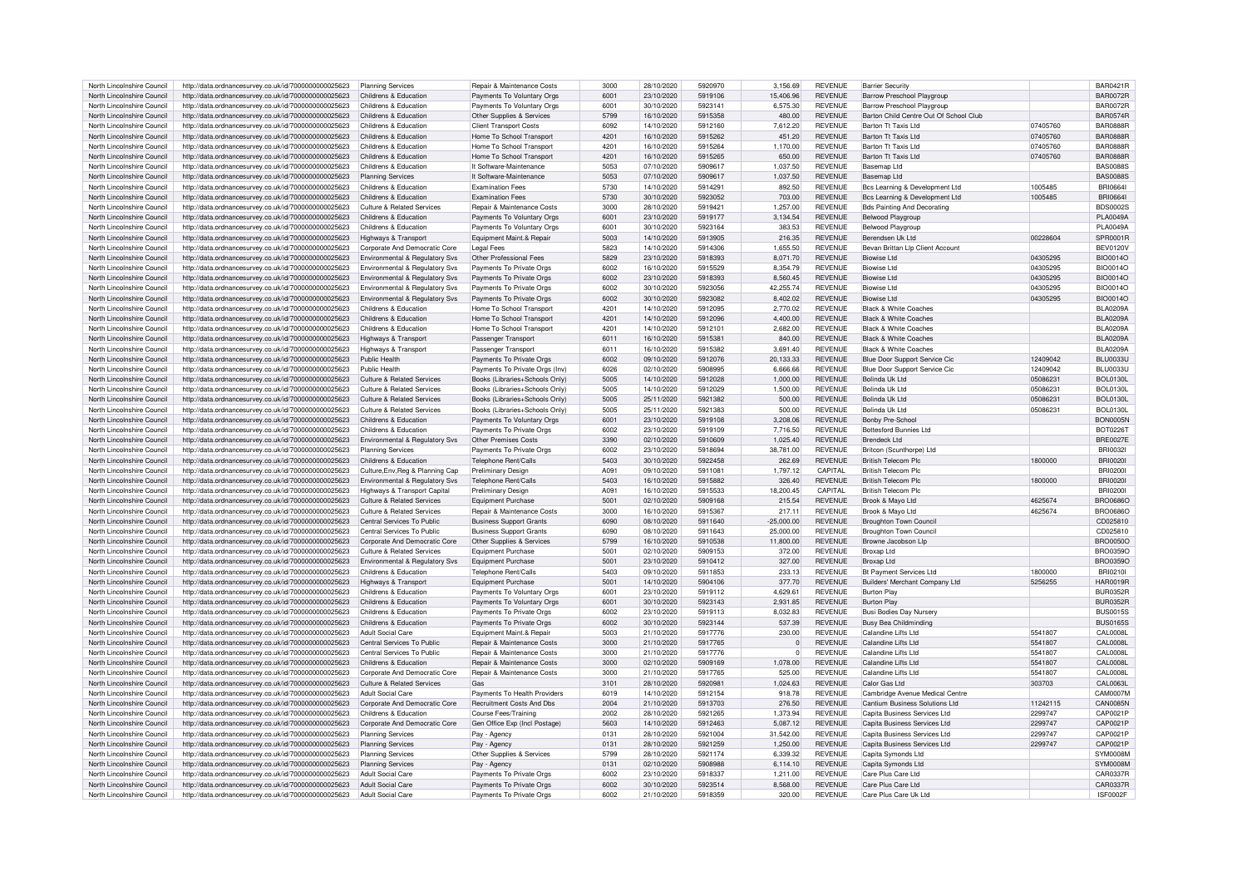| North Lincolnshire Council                               | http://data.ordnancesurvey.co.uk/id/7000000000025623                                                                           | Planning Services                         | Repair & Maintenance Costs                           | 3000         | 28/10/2020               | 5920970            | 3.156.69           | <b>REVENUE</b>            | <b>Barrier Security</b>                      |          | <b>BAR0421R</b>      |
|----------------------------------------------------------|--------------------------------------------------------------------------------------------------------------------------------|-------------------------------------------|------------------------------------------------------|--------------|--------------------------|--------------------|--------------------|---------------------------|----------------------------------------------|----------|----------------------|
| North Lincolnshire Council                               | http://data.ordnancesurvey.co.uk/id/7000000000025623                                                                           | Childrens & Education                     | Payments To Voluntary Orgs                           | 6001         | 23/10/2020               | 5919106            | 15,406.96          | <b>REVENUE</b>            |                                              |          | <b>BAR0072R</b>      |
|                                                          |                                                                                                                                |                                           |                                                      |              |                          |                    |                    |                           | Barrow Preschool Playgroup                   |          |                      |
| North Lincolnshire Council                               | http://data.ordnancesurvey.co.uk/id/7000000000025623                                                                           | Childrens & Education                     | Payments To Voluntary Orgs                           | 6001         | 30/10/2020               | 5923141            | 6,575.30           | <b>REVENUE</b>            | <b>Barrow Preschool Playgroup</b>            |          | <b>BAR0072R</b>      |
| North Lincolnshire Council                               | http://data.ordnancesurvey.co.uk/id/7000000000025623                                                                           | Childrens & Education                     | Other Supplies & Services                            | 5799         | 16/10/2020               | 5915358            | 480.00             | <b>REVENUE</b>            | Barton Child Centre Out Of School Club       |          | <b>BAR0574R</b>      |
| North Lincolnshire Council                               | http://data.ordnancesurvey.co.uk/id/7000000000025623                                                                           | Childrens & Education                     | <b>Client Transport Costs</b>                        | 6092         | 14/10/2020               | 5912160            | 7,612.20           | <b>REVENUE</b>            | Barton Tt Taxis Ltd                          | 07405760 | <b>BAR0888F</b>      |
| North Lincolnshire Council                               | http://data.ordnancesurvey.co.uk/id/7000000000025623                                                                           | Childrens & Education                     | Home To School Transport                             | 4201         | 16/10/2020               | 5915262            | 451.20             | <b>REVENUE</b>            | Barton Tt Taxis Ltd                          | 07405760 | <b>BAR0888R</b>      |
| North Lincolnshire Council                               | http://data.ordnancesurvey.co.uk/id/7000000000025623                                                                           | Childrens & Education                     | Home To School Transport                             | 4201         | 16/10/2020               | 5915264            | 1.170.00           | <b>REVENUE</b>            | Barton Tt Taxis Ltd                          | 07405760 | <b>BAR0888B</b>      |
|                                                          |                                                                                                                                |                                           |                                                      |              |                          |                    |                    |                           |                                              |          |                      |
| North Lincolnshire Council                               | http://data.ordnancesurvey.co.uk/id/7000000000025623                                                                           | Childrens & Education                     | Home To School Transport                             | 4201         | 16/10/2020               | 5915265            | 650.00             | <b>REVENUE</b>            | Barton Tt Taxis I td                         | 07405760 | <b>BAR0888R</b>      |
| North Lincolnshire Council                               | http://data.ordnancesurvey.co.uk/id/7000000000025623                                                                           | Childrens & Education                     | It Software-Maintenance                              | 5053         | 07/10/2020               | 5909617            | 1,037.50           | <b>REVENUE</b>            | Basemap Ltd                                  |          | <b>BAS0088S</b>      |
| North Lincolnshire Council                               | http://data.ordnancesurvey.co.uk/id/7000000000025623                                                                           | <b>Planning Services</b>                  | It Software-Maintenance                              | 5053         | 07/10/2020               | 5909617            | 1,037.50           | <b>REVENUE</b>            | Baseman I td                                 |          | <b>BAS0088S</b>      |
| North Lincolnshire Council                               | http://data.ordnancesurvey.co.uk/id/7000000000025623                                                                           | Childrens & Education                     | <b>Examination Fees</b>                              | 5730         | 14/10/2020               | 5914291            | 892.50             | <b>REVENUE</b>            | Bcs Learning & Development Ltd               | 1005485  | <b>BRI06641</b>      |
| North Lincolnshire Council                               | http://data.ordnancesurvey.co.uk/id/7000000000025623                                                                           | Childrens & Education                     | <b>Examination Fees</b>                              | 5730         | 30/10/2020               | 5923052            | 703.00             | <b>REVENUE</b>            | Bcs Learning & Development Ltd               | 1005485  | <b>BRI06641</b>      |
|                                                          |                                                                                                                                |                                           |                                                      |              |                          |                    |                    |                           |                                              |          |                      |
| North Lincolnshire Council                               | http://data.ordnancesurvey.co.uk/id/7000000000025623                                                                           | Culture & Related Services                | Repair & Maintenance Costs                           | 3000         | 28/10/2020               | 5919421            | 1,257.00           | <b>REVENUE</b>            | <b>Bds Painting And Decorating</b>           |          | <b>BDS0002S</b>      |
| North Lincolnshire Council                               | http://data.ordnancesurvey.co.uk/id/7000000000025623                                                                           | Childrens & Education                     | Payments To Voluntary Orgs                           | 6001         | 23/10/2020               | 5919177            | 3,134.54           | <b>REVENUE</b>            | <b>Belwood Playgroup</b>                     |          | <b>PLA0049A</b>      |
| North Lincolnshire Council                               | http://data.ordnancesurvey.co.uk/id/7000000000025623                                                                           | Childrens & Education                     | Payments To Voluntary Orgs                           | 6001         | 30/10/2020               | 5923164            | 383.53             | <b>REVENUE</b>            | Belwood Playgroup                            |          | <b>PLA0049A</b>      |
| North Lincolnshire Council                               | http://data.ordnancesurvey.co.uk/id/7000000000025623                                                                           | Highways & Transport                      | Foujnment Maint & Renai                              | 5003         | 14/10/2020               | 5913905            | 216.35             | <b>REVENUE</b>            | Berendsen Uk Ltd                             | 00228604 | SPR0001R             |
| North Lincolnshire Council                               | http://data.ordnancesurvey.co.uk/id/7000000000025623                                                                           | Corporate And Democratic Core             | <b>Legal Fees</b>                                    | 5823         | 14/10/2020               | 5914306            | 1 655 50           | <b>REVENUE</b>            | Bevan Brittan Llp Client Account             |          | BEV0120V             |
|                                                          |                                                                                                                                |                                           |                                                      |              |                          |                    |                    |                           |                                              |          |                      |
| North Lincolnshire Council                               | http://data.ordnancesurvey.co.uk/id/7000000000025623                                                                           | Environmental & Regulatory Svs            | Other Professional Fees                              | 5829         | 23/10/2020               | 5918393            | 8,071.70           | <b>REVENUE</b>            | <b>Riowise Ltd</b>                           | 04305295 | <b>BIO0014O</b>      |
| North Lincolnshire Council                               | http://data.ordnancesurvey.co.uk/id/7000000000025623                                                                           | Environmental & Regulatory Svs            | Payments To Private Orgs                             | 6002         | 16/10/2020               | 5915529            | 8.354.79           | <b>REVENUE</b>            | Rinwise I td                                 | 04305295 | <b>BIO0014O</b>      |
| North Lincolnshire Council                               | http://data.ordnancesurvey.co.uk/id/7000000000025623                                                                           | Environmental & Regulatory Svs            | Payments To Private Orgs                             | 6002         | 23/10/2020               | 5918393            | 8.560.45           | <b>REVENUE</b>            | <b>Biowise I to</b>                          | 04305295 | <b>BIO0014O</b>      |
| North Lincolnshire Council                               | http://data.ordnancesurvey.co.uk/id/7000000000025623                                                                           | Environmental & Regulatory Sys            | Payments To Private Oras                             | 6002         | 30/10/2020               | 5923056            | 42.255.74          | <b>REVENUE</b>            | Rinwise I to                                 | 04305295 | <b>BIO0014O</b>      |
| North Lincolnshire Council                               | http://data.ordnancesurvey.co.uk/id/7000000000025623                                                                           | Environmental & Regulatory Svs            | Payments To Private Orgs                             | 6002         | 30/10/2020               | 5923082            | 8.402.02           | <b>REVENUE</b>            | Biowise I td                                 | 04305295 | <b>BIO0014O</b>      |
|                                                          |                                                                                                                                |                                           |                                                      |              |                          |                    |                    |                           |                                              |          |                      |
| North Lincolnshire Council                               | http://data.ordnancesurvey.co.uk/id/7000000000025623                                                                           | Childrens & Education                     | Home To School Transport                             | 4201         | 14/10/2020               | 5912095            | 2.770.02           | <b>REVENUE</b>            | <b>Black &amp; White Coaches</b>             |          | <b>BLA0209A</b>      |
| North Lincolnshire Council                               | http://data.ordnancesurvey.co.uk/id/7000000000025623                                                                           | Childrens & Education                     | Home To School Transport                             | 4201         | 14/10/2020               | 5912096            | 4,400.00           | <b>REVENUE</b>            | <b>Black &amp; White Coaches</b>             |          | <b>BLA0209A</b>      |
| North Lincolnshire Council                               | http://data.ordnancesurvey.co.uk/id/7000000000025623                                                                           | Childrens & Education                     | Home To School Transpor                              | 4201         | 14/10/2020               | 591210             | 2.682.00           | <b>REVENUE</b>            | <b>Black &amp; White Coaches</b>             |          | BI A0209A            |
| North Lincolnshire Council                               | http://data.ordnancesurvey.co.uk/id/7000000000025623                                                                           | <b>Highways &amp; Transport</b>           | Passenger Transport                                  | 6011         | 16/10/2020               | 591538             | 840.00             | <b>REVENUE</b>            | <b>Black &amp; White Coaches</b>             |          | <b>BLA0209A</b>      |
|                                                          |                                                                                                                                |                                           |                                                      |              |                          | 5915382            |                    |                           |                                              |          |                      |
| North Lincolnshire Council                               | http://data.ordnancesurvey.co.uk/id/7000000000025623                                                                           | Highways & Transport                      | Passenger Transport                                  | 6011         | 16/10/2020               |                    | 3.691.40           | <b>REVENUE</b>            | <b>Black &amp; White Coaches</b>             |          | <b>BLA0209A</b>      |
| North Lincolnshire Council                               | http://data.ordnancesurvey.co.uk/id/7000000000025623                                                                           | Public Health                             | Payments To Private Orgs                             | 6002         | 09/10/2020               | 5912076            | 20,133.33          | <b>REVENUE</b>            | Blue Door Support Service Cio                | 12409042 | <b>BLU0033U</b>      |
| North Lincolnshire Council                               | http://data.ordnancesurvey.co.uk/id/7000000000025623                                                                           | Public Health                             | Payments To Private Orgs (Inv)                       | 6026         | 02/10/2020               | 5908995            | 6,666.66           | <b>REVENUE</b>            | Blue Door Support Service Cio                | 12409042 | BLU0033U             |
| North Lincolnshire Council                               | http://data.ordnancesurvey.co.uk/id/7000000000025623                                                                           | Culture & Related Services                | Books (Libraries+Schools Only)                       | 5005         | 14/10/2020               | 5912028            | 1,000.00           | <b>REVENUE</b>            | Bolinda Uk Ltd                               | 05086231 | <b>BOL0130L</b>      |
| North Lincolnshire Council                               | http://data.ordnancesurvey.co.uk/id/7000000000025623                                                                           | Culture & Related Services                | Books (Libraries+Schools Only)                       | 5005         | 14/10/2020               | 5912029            | 1,500.00           | <b>REVENUE</b>            | Bolinda Uk I td                              | 05086231 | <b>BOL0130L</b>      |
|                                                          |                                                                                                                                |                                           |                                                      |              |                          |                    |                    |                           |                                              |          |                      |
| North Lincolnshire Council                               | http://data.ordnancesurvey.co.uk/id/7000000000025623                                                                           | Culture & Related Services                | Books (Libraries+Schools Only)                       | 5005         | 25/11/2020               | 5921382            | 500.00             | <b>REVENUE</b>            | <b>Bolinda Llk Ltd</b>                       | 05086231 | <b>BOL0130L</b>      |
| North Lincolnshire Council                               | http://data.ordnancesurvey.co.uk/id/7000000000025623                                                                           | Culture & Related Services                | Books (Libraries+Schools Only)                       | 5005         | 25/11/2020               | 5921383            | 500.00             | <b>REVENUE</b>            | Bolinda Llk Ltd                              | 05086231 | BOI 0130L            |
| North Lincolnshire Council                               | http://data.ordnancesurvey.co.uk/id/7000000000025623                                                                           | Childrens & Education                     | Payments To Voluntary Orgs                           | 6001         | 23/10/2020               | 5919108            | 3,208.06           | <b>REVENUE</b>            | <b>Bonby Pre-School</b>                      |          | <b>BON0005N</b>      |
| North Lincolnshire Council                               | http://data.ordnancesurvey.co.uk/id/7000000000025623                                                                           | Childrens & Education                     | Payments To Private Orgs                             | 6002         | 23/10/2020               | 5919109            | 7,716.50           | <b>REVENUE</b>            | <b>Bottesford Bunnies Ltd</b>                |          | <b>BOT0226T</b>      |
|                                                          |                                                                                                                                |                                           |                                                      |              |                          | 5910609            |                    |                           |                                              |          |                      |
| North Lincolnshire Council                               | http://data.ordnancesurvey.co.uk/id/7000000000025623                                                                           | Environmental & Regulatory Svs            | Other Premises Costs                                 | 3390         | 02/10/2020               |                    | 1,025.40           | <b>REVENUE</b>            | <b>Brendeck Ltd</b>                          |          | <b>BRE0027E</b>      |
| North Lincolnshire Council                               | http://data.ordnancesurvey.co.uk/id/7000000000025623                                                                           | Planning Services                         | Payments To Private Orgs                             | 6002         | 23/10/2020               | 5918694            | 38,781.00          | <b>REVENUE</b>            | Britcon (Scunthorne) Ltd                     |          | <b>BRI00321</b>      |
| North Lincolnshire Council                               | http://data.ordnancesurvey.co.uk/id/7000000000025623                                                                           | Childrens & Education                     | Telephone Rent/Calls                                 | 5403         | 30/10/2020               | 5922458            | 262.69             | <b>REVENUE</b>            | <b>British Telecom Plo</b>                   | 1800000  | <b>BRI00201</b>      |
| North Lincolnshire Council                               | http://data.ordnancesurvey.co.uk/id/7000000000025623                                                                           | Culture, Env, Reg & Planning Cap          | <b>Preliminary Design</b>                            | A091         | 09/10/2020               | 5911081            | 1,797.12           | CAPITAL                   | <b>British Telecom Plo</b>                   |          | <b>BRI02001</b>      |
| North Lincolnshire Council                               | http://data.ordnancesurvey.co.uk/id/7000000000025623                                                                           | <b>Environmental &amp; Regulatory Svs</b> | Telephone Rent/Calls                                 | 5403         | 16/10/2020               | 5915882            | 326.40             | <b>REVENUE</b>            | <b>British Telecom Plo</b>                   | 1800000  | <b>BRI00201</b>      |
|                                                          |                                                                                                                                |                                           |                                                      |              |                          |                    |                    |                           |                                              |          |                      |
| North Lincolnshire Council                               | http://data.ordnancesurvey.co.uk/id/7000000000025623                                                                           | <b>Highways &amp; Transport Capital</b>   | <b>Preliminary Design</b>                            | A091         | 16/10/2020               | 5915533            | 18,200.45          | CAPITAL                   | <b>British Telecom Plo</b>                   |          | BRI0200              |
| North Lincolnshire Council                               | http://data.ordnancesurvey.co.uk/id/7000000000025623                                                                           | <b>Culture &amp; Related Services</b>     | Foujoment Purchase                                   | 5001         | 02/10/2020               | 5909168            | 215.54             | <b>REVENUE</b>            | Brook & Mayo Ltd                             | 4625674  | <b>BRO0686C</b>      |
| North Lincolnshire Council                               | http://data.ordnancesurvey.co.uk/id/7000000000025623                                                                           | Culture & Related Services                | Repair & Maintenance Costs                           | 3000         | 16/10/2020               | 5915367            | 217.11             | <b>REVENUE</b>            | Brook & Mayo Ltd                             | 4625674  | <b>BRO0686C</b>      |
| North Lincolnshire Council                               | http://data.ordnancesurvey.co.uk/id/7000000000025623                                                                           | Central Services To Public                | <b>Business Support Grants</b>                       | 6090         | 08/10/2020               | 5911640            | $-25,000.00$       | <b>REVENUE</b>            | <b>Broughton Town Council</b>                |          | CD025810             |
| North Lincolnshire Council                               | http://data.ordnancesurvey.co.uk/id/7000000000025623                                                                           | Central Services To Public                | <b>Business Support Grants</b>                       | 6090         | 08/10/2020               | 5911643            | 25,000.00          | <b>REVENUE</b>            | <b>Broughton Town Council</b>                |          | CD025810             |
|                                                          |                                                                                                                                |                                           |                                                      |              |                          |                    |                    |                           |                                              |          |                      |
| North Lincolnshire Council                               | http://data.ordnancesurvey.co.uk/id/7000000000025623                                                                           | Corporate And Democratic Core             | Other Supplies & Services                            | 5799         | 16/10/2020               | 5910538            | 11.800.00          | <b>REVENUE</b>            | Browne Jacobson Lin                          |          | BRO0050C             |
| North Lincolnshire Council                               | http://data.ordnancesurvey.co.uk/id/7000000000025623                                                                           | <b>Culture &amp; Related Services</b>     | <b>Equipment Purchase</b>                            | 500          | 02/10/2020               | 5909153            | 372.00             | <b>REVENUE</b>            | Broxap Ltd                                   |          | <b>BRO0359C</b>      |
| North Lincolnshire Council                               | http://data.ordnancesurvey.co.uk/id/7000000000025623                                                                           | Environmental & Regulatory Svs            | <b>Equipment Purchase</b>                            | 5001         | 23/10/2020               | 5910412            | 327.00             | <b>REVENUE</b>            | Broxap Ltd                                   |          | <b>BRO0359C</b>      |
| North Lincolnshire Council                               | http://data.ordnancesurvey.co.uk/id/7000000000025623                                                                           | Childrens & Education                     | Telephone Rent/Calls                                 | 5403         | 09/10/2020               | 5911853            | 233.13             | <b>REVENUE</b>            | Bt Payment Services Ltd                      | 1800000  | <b>BRI0210I</b>      |
| North Lincolnshire Council                               | http://data.ordnancesurvey.co.uk/id/7000000000025623                                                                           | Highways & Transport                      | <b>Equipment Purchase</b>                            | 5001         | 14/10/2020               | 5904106            | 377.70             | <b>REVENUE</b>            | Builders' Merchant Company Ltd               | 5256255  | <b>HAR0019R</b>      |
| North Lincolnshire Council                               |                                                                                                                                | Childrens & Education                     |                                                      | 6001         | 23/10/2020               | 5919112            | 4.629.61           | <b>REVENUE</b>            | <b>Burton Play</b>                           |          | <b>BUR0352R</b>      |
|                                                          | http://data.ordnancesurvey.co.uk/id/7000000000025623                                                                           |                                           | Payments To Voluntary Orgs                           |              |                          |                    |                    |                           |                                              |          |                      |
| North Lincolnshire Council                               | http://data.ordnancesurvey.co.uk/id/7000000000025623                                                                           | Childrens & Education                     | Payments To Voluntary Orgs                           | 6001         | 30/10/2020               | 5923143            | 2.931.85           | <b>REVENUE</b>            | <b>Burton Play</b>                           |          | <b>BUR0352R</b>      |
| North Lincolnshire Council                               |                                                                                                                                | Childrens & Education                     |                                                      | 6002         | 23/10/2020               | 5919113            | 8.032.83           | <b>REVENUE</b>            | <b>Busi Bodies Day Nursery</b>               |          | <b>BUS0015S</b>      |
| North Lincolnshire Council                               | http://data.ordnancesurvey.co.uk/id/7000000000025623                                                                           |                                           | Payments To Private Orgs                             |              |                          |                    |                    |                           |                                              |          |                      |
|                                                          |                                                                                                                                | Childrens & Education                     |                                                      | 6002         | 30/10/2020               | 5923144            | 537.39             | <b>REVENUE</b>            | Busy Bea Childmindin                         |          | <b>BUS0165S</b>      |
| North Lincolnshire Council                               | http://data.ordnancesurvey.co.uk/id/7000000000025623                                                                           | Adult Social Care                         | Payments To Private Orgs<br>Foujnment Maint & Renair | 5003         |                          | 5917776            | 230.00             | <b>REVENUE</b>            | Calandine Lifts Ltd                          | 5541807  | <b>CAI 0008I</b>     |
|                                                          | http://data.ordnancesurvey.co.uk/id/7000000000025623                                                                           |                                           |                                                      |              | 21/10/2020               |                    |                    |                           |                                              |          |                      |
| North Lincolnshire Council                               | http://data.ordnancesurvey.co.uk/id/7000000000025623                                                                           | Central Services To Public                | Repair & Maintenance Costs                           | 3000         | 21/10/2020               | 5917765            | $\mathbf 0$        | <b>REVENUE</b>            | Calandine Lifts Ltd                          | 5541807  | <b>CAL0008L</b>      |
| North Lincolnshire Council                               | http://data.ordnancesurvey.co.uk/id/7000000000025623                                                                           | Central Services To Public                | Repair & Maintenance Costs                           | 3000         | 21/10/2020               | 5917776            | $\Omega$           | <b>REVENUE</b>            | Calandine Lifts Ltd                          | 5541807  | <b>CAL0008L</b>      |
| North Lincolnshire Council                               | http://data.ordnancesurvey.co.uk/id/7000000000025623                                                                           | Childrens & Education                     | <b>Benair &amp; Maintenance Costs</b>                | 3000         | 02/10/2020               | 5909169            | 1,078.00           | <b>REVENUE</b>            | Calandine Lifts Ltd                          | 5541807  | <b>CAL0008L</b>      |
| North Lincolnshire Council                               | http://data.ordnancesurvey.co.uk/id/7000000000025623                                                                           | Corporate And Democratic Core             | Repair & Maintenance Costs                           | 3000         | 21/10/2020               | 5917765            | 525.00             | <b>REVENUE</b>            | Calandine Lifts Ltd                          | 5541807  | <b>CAL0008L</b>      |
|                                                          |                                                                                                                                |                                           |                                                      |              |                          |                    |                    |                           |                                              |          |                      |
| North Lincolnshire Council                               | http://data.ordnancesurvey.co.uk/id/7000000000025623                                                                           | Culture & Related Services                | Gas                                                  | 3101         | 28/10/2020               | 5920981            | 1,024.63           | <b>REVENUE</b>            | Calor Gas I td                               | 303703   | <b>CAL0063L</b>      |
| North Lincolnshire Council                               | http://data.ordnancesurvey.co.uk/id/7000000000025623                                                                           | Adult Social Care                         | Payments To Health Providers                         | 6019         | 14/10/2020               | 5912154            | 918.78             | REVENUE                   | Cambridge Avenue Medical Centre              |          | <b>CAM0007M</b>      |
| North Lincolnshire Council                               | http://data.ordnancesurvey.co.uk/id/7000000000025623                                                                           | Corporate And Democratic Core             | Recruitment Costs And Dbs                            | 2004         | 21/10/2020               | 5913703            | 276.50             | <b>REVENUE</b>            | Cantium Business Solutions Ltd               | 11242115 | <b>CAN0085N</b>      |
| North Lincolnshire Council                               | http://data.ordnancesurvey.co.uk/id/7000000000025623                                                                           | Childrens & Education                     | Course Fees/Training                                 | 2002         | 28/10/2020               | 5921265            | 1.373.94           | <b>REVENUE</b>            | Capita Business Services Ltd                 | 2299747  | CAP0021P             |
| North Lincolnshire Council                               |                                                                                                                                |                                           |                                                      | 5603         | 14/10/2020               | 5912463            | 5,087.12           | <b>REVENUE</b>            | Capita Business Services Ltd                 | 2299747  | CAP0021P             |
|                                                          | http://data.ordnancesurvey.co.uk/id/7000000000025623                                                                           | Corporate And Democratic Core             | Gen Office Exp (Incl Postage)                        |              |                          |                    |                    |                           |                                              |          |                      |
| North Lincolnshire Council                               | http://data.ordnancesurvey.co.uk/id/7000000000025623                                                                           | <b>Planning Services</b>                  | Pay - Agenc                                          | 0131         | 28/10/2020               | 5921004            | 31,542.00          | <b>REVENUE</b>            | Capita Business Services Ltd                 | 2299747  | CAP0021P             |
| North Lincolnshire Council                               | http://data.ordnancesurvey.co.uk/id/7000000000025623                                                                           | <b>Planning Services</b>                  | Pay - Agency                                         | 0131         | 28/10/2020               | 5921259            | 1.250.00           | <b>REVENUE</b>            | Capita Business Services Ltd                 | 2299747  | CAP0021P             |
| North Lincolnshire Council                               | http://data.ordnancesurvey.co.uk/id/7000000000025623                                                                           | <b>Planning Services</b>                  | Other Supplies & Services                            | 5799         | 28/10/2020               | 5921174            | 6,339.32           | <b>REVENUE</b>            | Capita Symonds Ltd                           |          | SYM0008M             |
| North Lincolnshire Council                               | http://data.ordnancesurvey.co.uk/id/7000000000025623                                                                           | <b>Planning Services</b>                  | Pay - Agency                                         | 0131         | 02/10/2020               | 5908988            | 6.114.10           | <b>REVENUE</b>            | Capita Symonds Ltd                           |          | SYM0008M             |
| North Lincolnshire Council                               |                                                                                                                                | <b>Adult Social Care</b>                  |                                                      | 6002         | 23/10/2020               | 5918337            | 1.211.00           | <b>REVENUE</b>            | Care Plus Care Ltd                           |          | CAR0337R             |
|                                                          | http://data.ordnancesurvey.co.uk/id/7000000000025623                                                                           |                                           | Payments To Private Orgs                             |              |                          |                    |                    |                           |                                              |          |                      |
| North Lincolnshire Council<br>North Lincolnshire Council | http://data.ordnancesurvey.co.uk/id/7000000000025623<br>http://data.ordnancesurvey.co.uk/id/7000000000025623 Adult Social Care | Adult Social Care                         | Payments To Private Orgs<br>Payments To Private Orgs | 6002<br>6002 | 30/10/2020<br>21/10/2020 | 5923514<br>5918359 | 8.568.00<br>320.00 | <b>REVENUE</b><br>REVENUE | Care Plus Care I td<br>Care Plus Care Uk Ltd |          | CAR0337R<br>ISF0002F |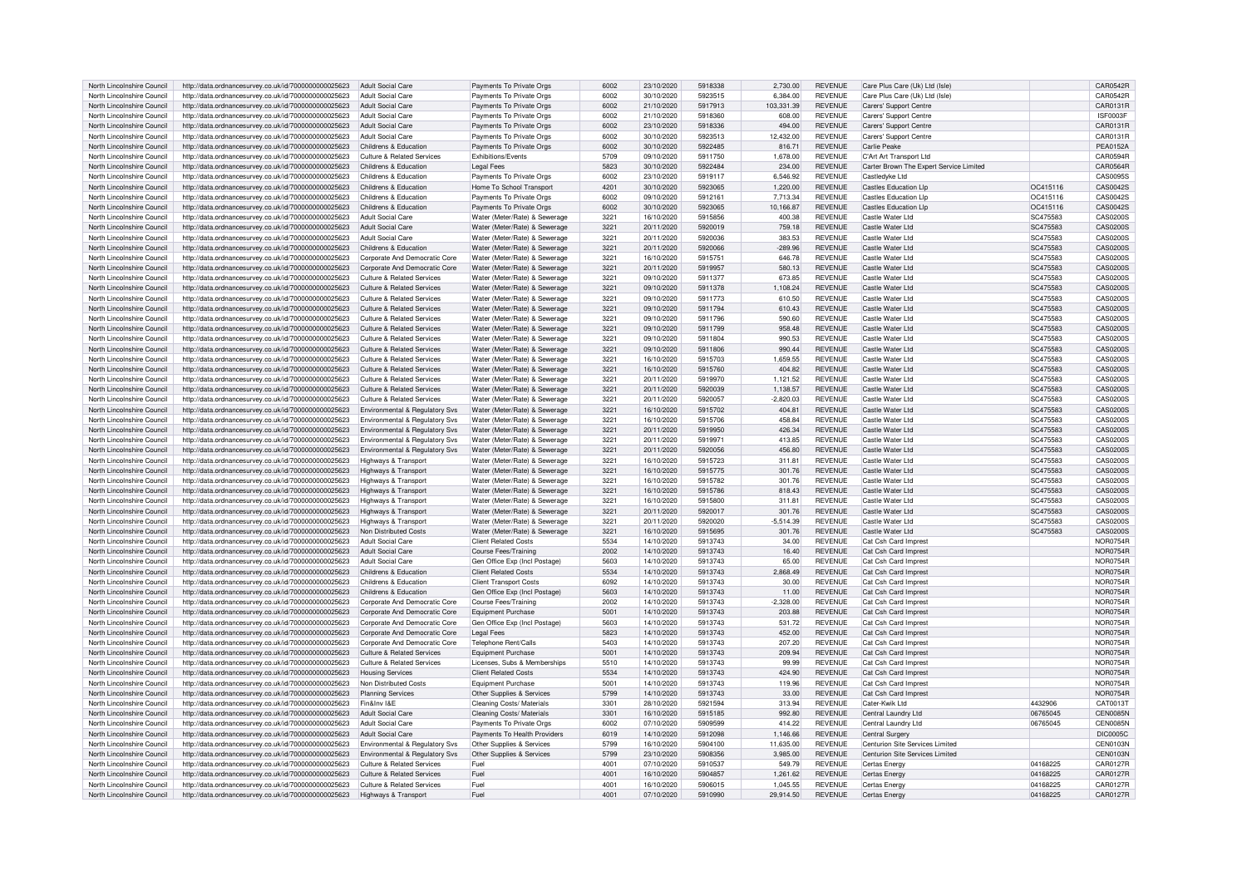| North Lincolnshire Council | http://data.ordnancesurvey.co.uk/id/7000000000025623                     | <b>Adult Social Care</b>              | Payments To Private Orgs      | 6002             | 23/10/2020 | 5918338 | 2,730.00    | <b>REVENUE</b> | Care Plus Care (Uk) Ltd (Isle)          |          | CAR0542R        |
|----------------------------|--------------------------------------------------------------------------|---------------------------------------|-------------------------------|------------------|------------|---------|-------------|----------------|-----------------------------------------|----------|-----------------|
| North Lincolnshire Council | http://data.ordnancesurvey.co.uk/id/7000000000025623                     | <b>Adult Social Care</b>              | Payments To Private Orgs      | 6002             | 30/10/2020 | 5923515 | 6.384.00    | <b>REVENUE</b> | Care Plus Care (Uk) I td (Isle          |          | CAR0542R        |
| North Lincolnshire Council | http://data.ordnancesurvey.co.uk/id/7000000000025623                     | <b>Adult Social Care</b>              | Payments To Private Orgs      | 6002             | 21/10/2020 | 5917913 | 103.331.39  | <b>REVENUE</b> | Carers' Support Centre                  |          | CAR0131R        |
| North Lincolnshire Council | http://data.ordnancesurvey.co.uk/id/7000000000025623                     | <b>Adult Social Care</b>              | Payments To Private Orgs      | 6002             | 21/10/2020 | 5918360 | 608.00      | <b>REVENUE</b> | Carers' Support Centre                  |          | ISF0003F        |
| North Lincolnshire Council | http://data.ordnancesurvey.co.uk/id/7000000000025623                     | <b>Adult Social Care</b>              | Payments To Private Orgs      | 6002             | 23/10/2020 | 5918336 | 494.00      | <b>REVENUE</b> | Carers' Support Centre                  |          | CAR0131R        |
| North Lincolnshire Council | http://data.ordnancesurvey.co.uk/id/7000000000025623                     | <b>Adult Social Care</b>              | Payments To Private Orgs      | 6002             | 30/10/2020 | 5923513 | 12,432.00   | <b>REVENUE</b> | Carers' Support Centre                  |          | CAR0131R        |
| North Lincolnshire Council | http://data.ordnancesurvey.co.uk/id/7000000000025623                     | Childrens & Education                 | Payments To Private Orgs      | 6002             | 30/10/2020 | 5922485 | 816.71      | <b>REVENUE</b> | Carlie Peake                            |          | PEA0152A        |
| North Lincolnshire Council | http://data.ordnancesurvey.co.uk/id/7000000000025623                     | <b>Culture &amp; Related Services</b> | Exhibitions/Events            | 5709             | 09/10/2020 | 5911750 | 1.678.00    | <b>REVENUE</b> | C'Art Art Transport Ltd                 |          | CAR0594R        |
| North Lincolnshire Council |                                                                          | Childrens & Education                 | Legal Fees                    | 5823             | 30/10/2020 | 5922484 | 234.00      | <b>REVENUE</b> | Carter Brown The Expert Service Limited |          | CAR0564R        |
|                            | http://data.ordnancesurvey.co.uk/id/7000000000025623                     |                                       |                               | 6002             |            | 5919117 |             |                |                                         |          |                 |
| North Lincolnshire Council | http://data.ordnancesurvey.co.uk/id/7000000000025623                     | Childrens & Education                 | Payments To Private Orgs      |                  | 23/10/2020 |         | 6,546.92    | <b>REVENUE</b> | Castledyke Ltd                          |          | CAS0095S        |
| North Lincolnshire Council | http://data.ordnancesurvey.co.uk/id/7000000000025623                     | Childrens & Education                 | Home To School Transport      | 4201             | 30/10/2020 | 5923065 | 1.220.00    | <b>REVENUE</b> | <b>Castles Education Lip</b>            | OC415116 | CAS0042S        |
| North Lincolnshire Council | http://data.ordnancesurvey.co.uk/id/7000000000025623                     | Childrens & Education                 | Payments To Private Orgs      | 6002             | 09/10/2020 | 5912161 | 7,713.34    | <b>REVENUE</b> | Castles Education LI                    | OC415116 | CAS0042S        |
| North Lincolnshire Council | http://data.ordnancesurvey.co.uk/id/7000000000025623                     | Childrens & Education                 | Payments To Private Orgs      | 6002             | 30/10/2020 | 5923065 | 10.166.87   | <b>REVENUE</b> | <b>Castles Education Lip</b>            | OC415116 | CAS0042S        |
| North Lincolnshire Council | http://data.ordnancesurvey.co.uk/id/7000000000025623                     | Adult Social Care                     | Water (Meter/Rate) & Sewerage | 3221             | 16/10/2020 | 5915856 | 400.38      | <b>REVENUE</b> | Castle Water Ltd                        | SC475583 | CAS0200S        |
| North Lincolnshire Council | http://data.ordnancesurvey.co.uk/id/7000000000025623                     | <b>Adult Social Care</b>              | Water (Meter/Rate) & Sewerage | 3221             | 20/11/2020 | 5920019 | 759.18      | <b>REVENUE</b> | Castle Water Ltd                        | SC475583 | CAS0200S        |
| North Lincolnshire Council | http://data.ordnancesurvey.co.uk/id/7000000000025623                     | <b>Adult Social Care</b>              | Water (Meter/Rate) & Sewerage | 3221             | 20/11/2020 | 5920036 | 383.53      | <b>REVENUE</b> | Castle Water Ltd                        | SC475583 | CAS0200S        |
| North Lincolnshire Council | http://data.ordnancesurvey.co.uk/id/7000000000025623                     | Childrens & Education                 | Water (Meter/Rate) & Sewerage | 3221             | 20/11/2020 | 5920066 | $-289.96$   | <b>REVENUE</b> | Castle Water I td                       | SC475583 | CAS02005        |
| North Lincolnshire Council | http://data.ordnancesurvey.co.uk/id/7000000000025623                     | Corporate And Democratic Core         | Water (Meter/Rate) & Sewerage | 3221             | 16/10/2020 | 5915751 | 646.78      | <b>REVENUE</b> | Castle Water Ltr                        | SC475583 | CAS0200S        |
| North Lincolnshire Council | http://data.ordnancesurvey.co.uk/id/7000000000025623                     | Corporate And Democratic Core         | Water (Meter/Rate) & Sewerage | 3221             | 20/11/2020 | 5919957 | 580.13      | <b>REVENUE</b> | Castle Water Ltd                        | SC475583 | CAS0200S        |
| North Lincolnshire Council | http://data.ordnancesurvey.co.uk/id/7000000000025623                     | Culture & Related Services            | Water (Meter/Rate) & Sewerage | 3221             | 09/10/2020 | 5911377 | 673.85      | <b>REVENUE</b> | Castle Water I to                       | SC475583 | CAS0200S        |
| North Lincolnshire Council | http://data.ordnancesurvey.co.uk/id/7000000000025623                     | <b>Culture &amp; Related Services</b> | Water (Meter/Rate) & Sewerage | 3221             | 09/10/2020 | 5911378 | 1,108.24    | <b>REVENUE</b> | Castle Water Ltd                        | SC475583 | <b>CAS0200S</b> |
| North Lincolnshire Council | http://data.ordnancesurvey.co.uk/id/7000000000025623                     | Culture & Related Services            | Water (Meter/Rate) & Sewerage | 322              | 09/10/2020 | 5911773 | 610.50      | <b>REVENUE</b> | Castle Water I to                       | SC475583 | CAS02005        |
| North Lincolnshire Council | http://data.ordnancesurvey.co.uk/id/7000000000025623                     | <b>Culture &amp; Related Services</b> | Water (Meter/Rate) & Sewerage | 3221             | 09/10/2020 | 5911794 | 610.43      | <b>REVENUE</b> | Castle Water Ltd                        | SC475583 | <b>CAS0200S</b> |
| North Lincolnshire Council | http://data.ordnancesurvey.co.uk/id/7000000000025623                     | Culture & Related Services            | Water (Meter/Rate) & Sewerage | 3221             | 09/10/2020 | 5911796 | 590.60      | <b>REVENUE</b> | Castle Water I to                       | SC475583 | CAS0200S        |
| North Lincolnshire Council | http://data.ordnancesurvey.co.uk/id/7000000000025623                     | Culture & Related Services            | Water (Meter/Rate) & Sewerage | 3221             | 09/10/2020 | 5911799 | 958.48      | <b>REVENUE</b> | Castle Water Ltd                        | SC475583 | <b>CAS0200S</b> |
| North Lincolnshire Council | http://data.ordnancesurvey.co.uk/id/7000000000025623                     | <b>Culture &amp; Related Services</b> | Water (Meter/Rate) & Sewerage | 3221             | 09/10/2020 | 5911804 | 990.53      | <b>REVENUE</b> | Castle Water I td                       | SC475583 | CAS0200S        |
| North Lincolnshire Council | http://data.ordnancesurvey.co.uk/id/7000000000025623                     | Culture & Related Services            | Water (Meter/Rate) & Sewerage | 3221             | 09/10/2020 | 5911806 | 990.44      | <b>REVENUE</b> | Castle Water I td                       | SC475583 | CAS02005        |
| North Lincolnshire Council | http://data.ordnancesurvey.co.uk/id/7000000000025623                     | <b>Culture &amp; Related Services</b> | Water (Meter/Rate) & Sewerage | 3221             | 16/10/2020 | 5915703 | 1.659.55    | <b>REVENUE</b> | Castle Water Ltd                        | SC475583 | CAS0200S        |
|                            |                                                                          |                                       |                               |                  | 16/10/2020 | 5915760 |             | <b>REVENUE</b> | Castle Water Ltd                        |          | CAS0200S        |
| North Lincolnshire Council | http://data.ordnancesurvey.co.uk/id/7000000000025623                     | Culture & Related Services            | Water (Meter/Rate) & Sewerage | 3221             |            |         | 404.82      |                |                                         | SC475583 |                 |
| North Lincolnshire Council | http://data.ordnancesurvey.co.uk/id/7000000000025623                     | <b>Culture &amp; Related Services</b> | Water (Meter/Rate) & Sewerage | 3221             | 20/11/2020 | 5919970 | 1.121.52    | <b>REVENUE</b> | Castle Water I to                       | SC475583 | CAS0200S        |
| North Lincolnshire Council | http://data.ordnancesurvey.co.uk/id/7000000000025623                     | <b>Culture &amp; Related Services</b> | Water (Meter/Rate) & Sewerage | 3221             | 20/11/2020 | 5920039 | 1,138.57    | <b>REVENUE</b> | Castle Water Ltd                        | SC475583 | <b>CAS0200S</b> |
| North Lincolnshire Council | http://data.ordnancesurvey.co.uk/id/7000000000025623                     | <b>Culture &amp; Related Services</b> | Water (Meter/Rate) & Sewerage | 322              | 20/11/2020 | 5920057 | $-2,820.03$ | <b>REVENUE</b> | Castle Water I to                       | SC475583 | CAS0200S        |
| North Lincolnshire Council | http://data.ordnancesurvey.co.uk/id/7000000000025623                     | Environmental & Regulatory Svs        | Water (Meter/Rate) & Sewerage | 3221             | 16/10/2020 | 5915702 | 404.81      | <b>REVENUE</b> | Castle Water Ltd                        | SC475583 | CAS0200S        |
| North Lincolnshire Council | http://data.ordnancesurvey.co.uk/id/7000000000025623                     | Environmental & Regulatory Svs        | Water (Meter/Rate) & Sewerage | 3221             | 16/10/2020 | 5915706 | 458.84      | <b>REVENUE</b> | Castle Water Ltd                        | SC475583 | CAS0200S        |
| North Lincolnshire Council | http://data.ordnancesurvey.co.uk/id/7000000000025623                     | Environmental & Regulatory Svs        | Water (Meter/Rate) & Sewerage | 3221             | 20/11/2020 | 5919950 | 426.34      | <b>REVENUE</b> | Castle Water I td                       | SC475583 | <b>CAS0200S</b> |
| North Lincolnshire Council | http://data.ordnancesurvey.co.uk/id/7000000000025623                     | Environmental & Regulatory Svs        | Water (Meter/Rate) & Sewerage | 3221             | 20/11/2020 | 5919971 | 413.85      | <b>REVENUE</b> | Castle Water Ltd                        | SC475583 | CAS0200S        |
| North Lincolnshire Council | http://data.ordnancesurvey.co.uk/id/7000000000025623                     | Environmental & Regulatory Svs        | Water (Meter/Rate) & Sewerage | 3221             | 20/11/2020 | 5920056 | 456.80      | <b>REVENUE</b> | Castle Water I td                       | SC475583 | <b>CAS0200S</b> |
| North Lincolnshire Council | http://data.ordnancesurvey.co.uk/id/7000000000025623                     | Highways & Transport                  | Water (Meter/Rate) & Sewerage | 3221             | 16/10/2020 | 5915723 | 311.81      | <b>REVENUE</b> | Castle Water Ltd                        | SC475583 | CAS0200S        |
| North Lincolnshire Council | http://data.ordnancesurvey.co.uk/id/7000000000025623                     | Highways & Transport                  | Water (Meter/Rate) & Sewerage | 3221             | 16/10/2020 | 5915775 | 301.76      | <b>REVENUE</b> | Castle Water Ltd                        | SC475583 | CAS0200S        |
| North Lincolnshire Council | http://data.ordnancesurvey.co.uk/id/7000000000025623                     | Highways & Transport                  | Water (Meter/Rate) & Sewerage | 3221             | 16/10/2020 | 5915782 | 301.76      | <b>REVENUE</b> | Castle Water I to                       | SC475583 | CAS0200S        |
| North Lincolnshire Council | http://data.ordnancesurvey.co.uk/id/7000000000025623                     | Highways & Transport                  | Water (Meter/Rate) & Sewerage | 3221             | 16/10/2020 | 5915786 | 818.43      | <b>REVENUE</b> | Castle Water Ltd                        | SC475583 | <b>CAS0200S</b> |
| North Lincolnshire Council | http://data.ordnancesurvey.co.uk/id/7000000000025623                     | Highways & Transport                  | Water (Meter/Rate) & Sewerage | 322              | 16/10/2020 | 5915800 | 311.81      | <b>REVENUE</b> | Castle Water I to                       | SC475583 | CAS02005        |
| North Lincolnshire Council | http://data.ordnancesurvey.co.uk/id/7000000000025623                     | Highways & Transport                  | Water (Meter/Rate) & Sewerage | 3221             | 20/11/2020 | 5920017 | 301.76      | <b>REVENUE</b> | Castle Water Ltd                        | SC475583 | CAS0200S        |
| North Lincolnshire Council | http://data.ordnancesurvey.co.uk/id/7000000000025623                     | Highways & Transport                  | Water (Meter/Rate) & Sewerage | 3221             | 20/11/2020 | 5920020 | $-5.514.39$ | <b>REVENUE</b> | Castle Water I to                       | SC475583 | CAS0200S        |
| North Lincolnshire Council |                                                                          | <b>Non Distributed Costs</b>          | Water (Meter/Rate) & Sewerage | 3221             |            | 5915695 |             | <b>REVENUE</b> | Castle Water I td                       | SC475583 | CAS0200S        |
|                            | http://data.ordnancesurvey.co.uk/id/7000000000025623                     |                                       |                               |                  | 16/10/2020 |         | 301.76      |                |                                         |          |                 |
| North Lincolnshire Council | http://data.ordnancesurvey.co.uk/id/7000000000025623                     | <b>Adult Social Care</b>              | <b>Client Related Costs</b>   | 5534             | 14/10/2020 | 5913743 | 34.00       | <b>REVENUE</b> | Cat Csh Card Impres                     |          | NOR0754R        |
| North Lincolnshire Council | http://data.ordnancesurvey.co.uk/id/7000000000025623                     | <b>Adult Social Care</b>              | Course Fees/Training          | 2002             | 14/10/2020 | 5913743 | 16.40       | <b>REVENUE</b> | Cat Csh Card Impres                     |          | <b>NOR0754F</b> |
| North Lincolnshire Council | http://data.ordnancesurvey.co.uk/id/7000000000025623                     | <b>Adult Social Care</b>              | Gen Office Exp (Incl Postage) | 5603             | 14/10/2020 | 5913743 | 65.00       | <b>REVENUE</b> | Cat Csh Card Impres                     |          | <b>NOR0754R</b> |
| North Lincolnshire Council | http://data.ordnancesurvey.co.uk/id/7000000000025623                     | Childrens & Education                 | <b>Client Related Costs</b>   | 5534             | 14/10/2020 | 5913743 | 2.868.49    | <b>REVENUE</b> | Cat Csh Card Impres                     |          | <b>NOR0754R</b> |
| North Lincolnshire Council | http://data.ordnancesurvey.co.uk/id/7000000000025623                     | Childrens & Education                 | <b>Client Transport Costs</b> | 6092             | 14/10/2020 | 5913743 | 30.00       | <b>REVENUE</b> | Cat Csh Card Impres                     |          | <b>NOR0754R</b> |
| North Lincolnshire Council | http://data.ordnancesurvey.co.uk/id/7000000000025623                     | Childrens & Education                 | Gen Office Exp (Incl Postage) | 5603             | 14/10/2020 | 5913743 | 11.00       | <b>REVENUE</b> | Cat Csh Card Impres                     |          | <b>NOR0754R</b> |
| North Lincolnshire Council | http://data.ordnancesurvey.co.uk/id/7000000000025623                     | Corporate And Democratic Core         | <b>Course Fees/Training</b>   | 2002             | 14/10/2020 | 5913743 | $-2,328.00$ | <b>REVENUE</b> | Cat Csh Card Imprest                    |          | <b>NOR0754R</b> |
| North Lincolnshire Council | http://data.ordnancesurvey.co.uk/id/7000000000025623                     | Corporate And Democratic Core         | <b>Equipment Purchase</b>     | 5001             | 14/10/2020 | 5913743 | 203.88      | <b>REVENUE</b> | Cat Csh Card Imprest                    |          | <b>NOR0754R</b> |
| North Lincolnshire Council | http://data.ordnancesurvey.co.uk/id/7000000000025623                     | Corporate And Democratic Core         | Gen Office Exp (Incl Postage) | 5603             | 14/10/2020 | 5913743 | 531.72      | <b>REVENUE</b> | Cat Csh Card Imprest                    |          | <b>NOR0754R</b> |
| North Lincolnshire Council | http://data.ordnancesurvey.co.uk/id/7000000000025623                     | Corporate And Democratic Core         | <b>Legal Fees</b>             | 5823             | 14/10/2020 | 5913743 | 452.00      | <b>REVENUE</b> | Cat Csh Card Imprest                    |          | <b>NOR0754R</b> |
| North Lincolnshire Council | http://data.ordnancesurvey.co.uk/id/7000000000025623                     | Corporate And Democratic Core         | Telephone Rent/Calls          | 5403             | 14/10/2020 | 5913743 | 207.20      | <b>REVENUE</b> | Cat Csh Card Impres                     |          | <b>NOR0754R</b> |
| North Lincolnshire Council | http://data.ordnancesurvey.co.uk/id/7000000000025623                     | <b>Culture &amp; Related Services</b> | <b>Equipment Purchase</b>     | 5001             | 14/10/2020 | 5913743 | 209.94      | <b>REVENUE</b> | Cat Csh Card Impres                     |          | <b>NOR0754R</b> |
| North Lincolnshire Council | http://data.ordnancesurvey.co.uk/id/7000000000025623                     | <b>Culture &amp; Related Services</b> | Licenses. Subs & Memberships  | 5510             | 14/10/2020 | 5913743 | 99.99       | <b>REVENUE</b> | Cat Csh Card Impres                     |          | <b>NOR0754R</b> |
| North Lincolnshire Council | http://data.ordnancesurvey.co.uk/id/7000000000025623                     | <b>Housing Services</b>               | Client Related Costs          | 5534             | 14/10/2020 | 5913743 | 424.90      | <b>REVENUE</b> | Cat Csh Card Imprest                    |          | <b>NOR0754R</b> |
| North Lincolnshire Council | http://data.ordnancesurvey.co.uk/id/7000000000025623                     | Non Distributed Costs                 | Equipment Purchase            | 5001             | 14/10/2020 | 5913743 | 119.96      | <b>REVENUE</b> | Cat Csh Card Imprest                    |          | <b>NOR0754R</b> |
| North Lincolnshire Council | http://data.ordnancesurvey.co.uk/id/7000000000025623                     | <b>Planning Services</b>              | Other Supplies & Services     | 5799             | 14/10/2020 | 5913743 | 33.00       | <b>REVENUE</b> | Cat Csh Card Impres                     |          | <b>NOR0754R</b> |
| North Lincolnshire Council | http://data.ordnancesurvey.co.uk/id/7000000000025623                     | Fin&Inv I&F                           | Cleaning Costs/ Materials     | 330 <sup>°</sup> | 28/10/2020 | 5921594 | 313.94      | <b>REVENUE</b> | Cater-Kwik I td                         | 4432906  | CAT0013T        |
| North Lincolnshire Council | http://data.ordnancesurvey.co.uk/id/7000000000025623                     | <b>Adult Social Care</b>              | Cleaning Costs/ Materials     | 3301             | 16/10/2020 | 5915185 | 992.80      | <b>REVENUE</b> | Central Laundry Ltd                     | 06765045 | <b>CEN0085N</b> |
| North Lincolnshire Council |                                                                          | <b>Adult Social Care</b>              | Payments To Private Orgs      | 6002             | 07/10/2020 | 5909599 | 414.22      | <b>REVENUE</b> | Central Laundry Ltd                     | 06765045 | <b>CEN0085N</b> |
|                            | http://data.ordnancesurvey.co.uk/id/7000000000025623                     |                                       |                               |                  |            |         |             |                |                                         |          |                 |
| North Lincolnshire Council | http://data.ordnancesurvey.co.uk/id/7000000000025623                     | <b>Adult Social Care</b>              | Payments To Health Providers  | 6019             | 14/10/2020 | 5912098 | 1,146.66    | <b>REVENUE</b> | Central Surger                          |          | DIC0005C        |
| North Lincolnshire Council | http://data.ordnancesurvey.co.uk/id/7000000000025623                     | Environmental & Regulatory Sys        | Other Supplies & Services     | 5799             | 16/10/2020 | 5904100 | 11,635.00   | <b>REVENUE</b> | Centurion Site Services Limited         |          | <b>CEN0103N</b> |
| North Lincolnshire Council | http://data.ordnancesurvey.co.uk/id/7000000000025623                     | Environmental & Regulatory Svs        | Other Supplies & Services     | 5799             | 23/10/2020 | 5908356 | 3.985.00    | <b>REVENUE</b> | Centurion Site Services Limited         |          | CEN0103N        |
| North Lincolnshire Council | http://data.ordnancesurvey.co.uk/id/7000000000025623                     | <b>Culture &amp; Related Services</b> | Fuel                          | 4001             | 07/10/2020 | 5910537 | 549.79      | <b>REVENUE</b> | Certas Energy                           | 04168225 | CAR0127R        |
| North Lincolnshire Council | http://data.ordnancesurvey.co.uk/id/7000000000025623                     | Culture & Related Services            | Fuel                          | 4001             | 16/10/2020 | 5904857 | 1.261.62    | <b>REVENUE</b> | Certas Energy                           | 04168225 | CAR0127R        |
| North Lincolnshire Council | http://data.ordnancesurvey.co.uk/id/7000000000025623                     | Culture & Related Services            | Fuel                          | 4001             | 16/10/2020 | 5906015 | 1.045.55    | <b>REVENUE</b> | Certas Energy                           | 04168225 | CAR0127R        |
| North Lincolnshire Council | http://data.ordnancesurvey.co.uk/id/700000000025623 Highways & Transport |                                       | Fuel                          | 4001             | 07/10/2020 | 5910990 | 29,914.50   | <b>REVENUE</b> | Certas Energ                            | 04168225 | CAR0127R        |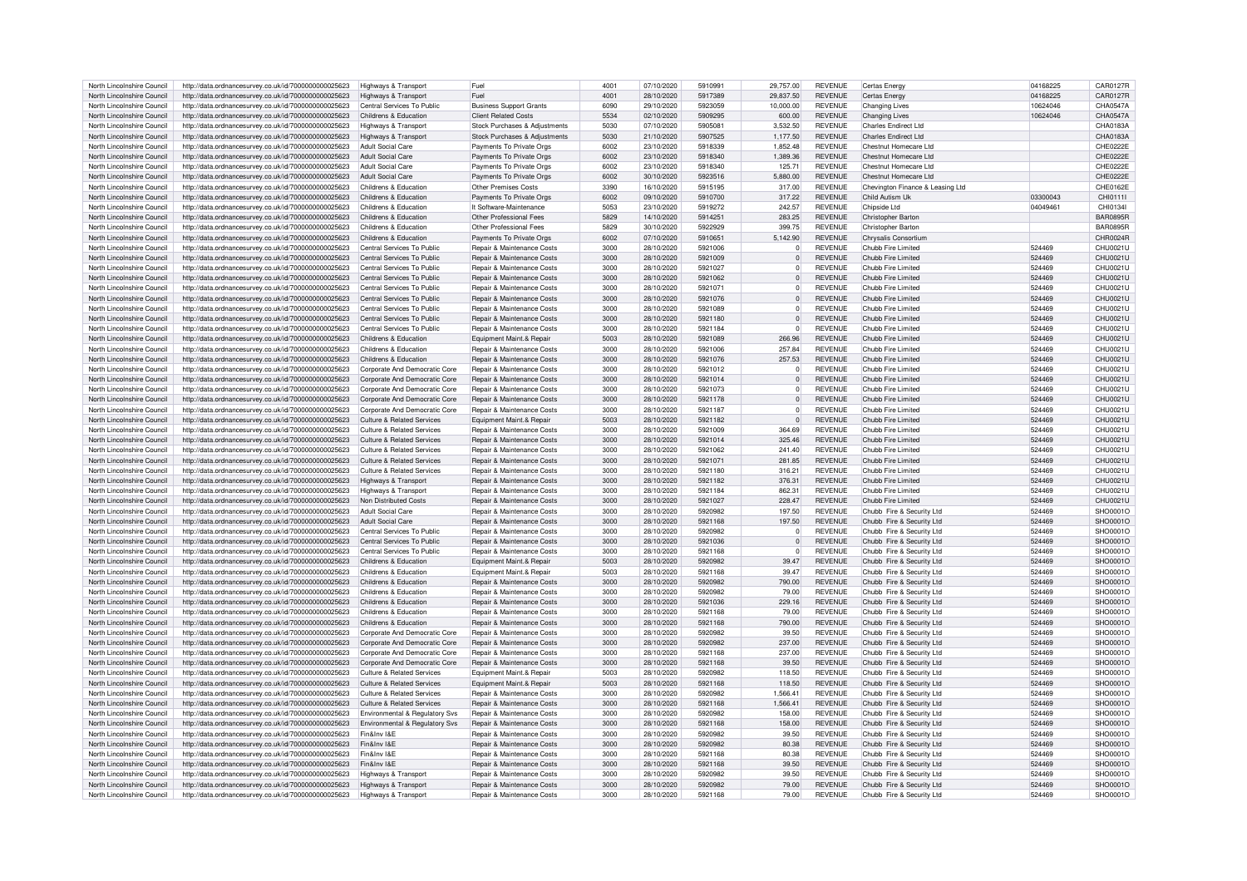| North Lincolnshire Council | http://data.ordnancesurvey.co.uk/id/7000000000025623 | Highways & Transport                      | Fuel                                  | 4001 | 07/10/2020 | 591099  | 29,757.00 | <b>REVENUE</b> | Certas Energy                    | 04168225 | CAR0127R        |
|----------------------------|------------------------------------------------------|-------------------------------------------|---------------------------------------|------|------------|---------|-----------|----------------|----------------------------------|----------|-----------------|
| North Lincolnshire Council | http://data.ordnancesurvey.co.uk/id/7000000000025623 | Highways & Transport                      | Fuel                                  | 4001 | 28/10/2020 | 5917389 | 29,837.50 | <b>REVENUE</b> | Certas Energy                    | 04168225 | CAR0127R        |
|                            |                                                      |                                           |                                       |      |            |         |           |                |                                  |          |                 |
| North Lincolnshire Council | http://data.ordnancesurvey.co.uk/id/7000000000025623 | Central Services To Public                | <b>Business Support Grants</b>        | 6090 | 29/10/2020 | 5923059 | 10,000.00 | <b>REVENUE</b> | Changing Lives                   | 10624046 | <b>CHA0547A</b> |
| North Lincolnshire Council | http://data.ordnancesurvey.co.uk/id/7000000000025623 | Childrens & Education                     | <b>Client Related Costs</b>           | 5534 | 02/10/2020 | 5909295 | 600.00    | <b>REVENUE</b> | Changing Lives                   | 10624046 | CHA0547A        |
| North Lincolnshire Council | http://data.ordnancesurvey.co.uk/id/7000000000025623 | Highways & Transport                      | Stock Purchases & Adjustments         | 5030 | 07/10/2020 | 5905081 | 3,532.50  | <b>REVENUE</b> | Charles Endirect Ltd             |          | CHA0183A        |
|                            |                                                      |                                           |                                       | 5030 |            | 5907525 |           | <b>REVENUE</b> | Charles Endirect I td            |          | CHA0183A        |
| North Lincolnshire Council | http://data.ordnancesurvey.co.uk/id/7000000000025623 | Highways & Transport                      | Stock Purchases & Adjustments         |      | 21/10/2020 |         | 1,177.50  |                |                                  |          |                 |
| North Lincolnshire Council | http://data.ordnancesurvey.co.uk/id/7000000000025623 | Adult Social Care                         | Payments To Private Orgs              | 6002 | 23/10/2020 | 5918339 | 1.852.48  | <b>REVENUE</b> | Chestnut Homecare Ltd            |          | CHF0222F        |
| North Lincolnshire Council | http://data.ordnancesurvey.co.uk/id/7000000000025623 | Adult Social Care                         | Payments To Private Orgs              | 6002 | 23/10/2020 | 5918340 | 1.389.36  | <b>REVENUE</b> | Chestnut Homecare Ltd            |          | CHE0222E        |
| North Lincolnshire Council | http://data.ordnancesurvey.co.uk/id/7000000000025623 | Adult Social Care                         | Payments To Private Orgs              | 6002 | 23/10/2020 | 5918340 | 125.71    | <b>REVENUE</b> | Chestnut Homecare I td           |          | CHE0222E        |
| North Lincolnshire Council | http://data.ordnancesurvey.co.uk/id/7000000000025623 | Adult Social Care                         | Payments To Private Orgs              | 6002 | 30/10/2020 | 5923516 | 5,880.00  | <b>REVENUE</b> | Chestnut Homecare Ltd            |          | CHE0222E        |
|                            |                                                      |                                           |                                       |      |            |         |           |                |                                  |          |                 |
| North Lincolnshire Council | http://data.ordnancesurvey.co.uk/id/7000000000025623 | Childrens & Education                     | Other Premises Costs                  | 3390 | 16/10/2020 | 5915195 | 317.00    | <b>REVENUE</b> | Chevington Finance & Leasing Ltd |          | CHE0162E        |
| North Lincolnshire Council | http://data.ordnancesurvey.co.uk/id/7000000000025623 | Childrens & Education                     | Payments To Private Orgs              | 6002 | 09/10/2020 | 5910700 | 317.22    | <b>REVENUE</b> | Child Autism Uk                  | 03300043 | CHI0111         |
| North Lincolnshire Council | http://data.ordnancesurvey.co.uk/id/7000000000025623 | Childrens & Education                     | It Software-Maintenance               | 5053 | 23/10/2020 | 5919272 | 242.57    | <b>REVENUE</b> | Chinside I to                    | 04049461 | CHI0134I        |
| North Lincolnshire Council |                                                      | Childrens & Education                     | Other Professional Fees               | 5829 | 14/10/2020 | 5914251 | 283.25    | <b>REVENUE</b> | <b>Christopher Barton</b>        |          | <b>BAR0895F</b> |
|                            | http://data.ordnancesurvey.co.uk/id/7000000000025623 |                                           |                                       |      |            |         |           |                |                                  |          |                 |
| North Lincolnshire Council | http://data.ordnancesurvey.co.uk/id/7000000000025623 | Childrens & Education                     | Other Professional Fees               | 5829 | 30/10/2020 | 5922929 | 399.75    | <b>REVENUE</b> | Christopher Barton               |          | <b>BAR0895F</b> |
| North Lincolnshire Council | http://data.ordnancesurvey.co.uk/id/7000000000025623 | Childrens & Education                     | Payments To Private Orgs              | 6002 | 07/10/2020 | 5910651 | 5,142.90  | <b>REVENUE</b> | Chrysalis Consortium             |          | CHR0024R        |
| North Lincolnshire Council | http://data.ordnancesurvey.co.uk/id/7000000000025623 | Central Services To Public                | Repair & Maintenance Costs            | 3000 | 28/10/2020 | 5921006 | $\Omega$  | <b>REVENUE</b> | Chubb Fire Limited               | 524469   | CHU0021U        |
| North Lincolnshire Council | http://data.ordnancesurvey.co.uk/id/7000000000025623 | Central Services To Public                | Repair & Maintenance Costs            | 3000 | 28/10/2020 | 5921009 | $\Omega$  | <b>REVENUE</b> | Chubb Fire Limited               | 524469   | CHU0021U        |
|                            |                                                      |                                           |                                       |      |            |         |           |                |                                  |          |                 |
| North Lincolnshire Council | http://data.ordnancesurvey.co.uk/id/7000000000025623 | Central Services To Public                | Repair & Maintenance Costs            | 3000 | 28/10/2020 | 5921027 | $\Omega$  | <b>REVENUE</b> | Chubb Fire Limited               | 524469   | CHU0021U        |
| North Lincolnshire Council | http://data.ordnancesurvey.co.uk/id/7000000000025623 | Central Services To Public                | Repair & Maintenance Costs            | 3000 | 28/10/2020 | 5921062 | $\Omega$  | <b>REVENUE</b> | Chubb Fire Limited               | 524469   | CHU0021U        |
| North Lincolnshire Council | http://data.ordnancesurvey.co.uk/id/7000000000025623 | Central Services To Public                | Repair & Maintenance Costs            | 3000 | 28/10/2020 | 5921071 | $\Omega$  | <b>REVENUE</b> | Chubb Fire Limited               | 524469   | CHU0021U        |
| North Lincolnshire Council | http://data.ordnancesurvey.co.uk/id/7000000000025623 | Central Services To Public                | Repair & Maintenance Costs            | 3000 | 28/10/2020 | 5921076 | $\Omega$  | <b>REVENUE</b> | Chubb Fire Limited               | 524469   | CHU0021U        |
|                            |                                                      |                                           |                                       |      |            |         |           |                |                                  |          |                 |
| North Lincolnshire Council | http://data.ordnancesurvey.co.uk/id/7000000000025623 | Central Services To Public                | Repair & Maintenance Costs            | 3000 | 28/10/2020 | 5921089 | $\Omega$  | <b>REVENUE</b> | Chubb Fire Limited               | 524469   | CHU0021U        |
| North Lincolnshire Council | http://data.ordnancesurvey.co.uk/id/7000000000025623 | Central Services To Public                | Repair & Maintenance Costs            | 3000 | 28/10/2020 | 5921180 | $\Omega$  | <b>REVENUE</b> | Chubb Fire Limited               | 524469   | CHU0021L        |
| North Lincolnshire Council | http://data.ordnancesurvey.co.uk/id/7000000000025623 | Central Services To Public                | Repair & Maintenance Costs            | 3000 | 28/10/2020 | 5921184 | $\Omega$  | <b>REVENUE</b> | Chubb Fire Limited               | 524469   | CHU0021U        |
| North Lincolnshire Council | http://data.ordnancesurvey.co.uk/id/7000000000025623 | Childrens & Education                     | Equipment Maint.& Repair              | 5003 | 28/10/2020 | 5921089 | 266.96    | <b>REVENUE</b> | Chubb Fire Limited               | 524469   | CHU0021L        |
|                            |                                                      |                                           |                                       |      |            |         |           |                |                                  |          |                 |
| North Lincolnshire Council | http://data.ordnancesurvey.co.uk/id/7000000000025623 | Childrens & Education                     | Repair & Maintenance Costs            | 3000 | 28/10/2020 | 5921006 | 257.84    | <b>REVENUE</b> | Chubb Fire Limited               | 524469   | CHU0021U        |
| North Lincolnshire Council | http://data.ordnancesurvey.co.uk/id/7000000000025623 | Childrens & Education                     | Repair & Maintenance Costs            | 3000 | 28/10/2020 | 5921076 | 257.53    | <b>REVENUE</b> | Chubb Fire Limited               | 524469   | CHU0021U        |
| North Lincolnshire Council | http://data.ordnancesurvey.co.uk/id/7000000000025623 | Corporate And Democratic Core             | Repair & Maintenance Costs            | 3000 | 28/10/2020 | 5921012 | $\Omega$  | <b>REVENUE</b> | Chubb Fire I imited              | 524469   | CHU0021U        |
| North Lincolnshire Council | http://data.ordnancesurvey.co.uk/id/7000000000025623 | Corporate And Democratic Core             | Repair & Maintenance Costs            | 3000 | 28/10/2020 | 5921014 | $\Omega$  | <b>REVENUE</b> | Chubb Fire Limited               | 524469   | CHU0021U        |
|                            |                                                      |                                           |                                       |      |            |         |           |                |                                  |          |                 |
| North Lincolnshire Council | http://data.ordnancesurvey.co.uk/id/7000000000025623 | Corporate And Democratic Core             | Repair & Maintenance Costs            | 3000 | 28/10/2020 | 5921073 | $\Omega$  | <b>REVENUE</b> | Chubb Fire Limited               | 524469   | CHU0021U        |
| North Lincolnshire Council | http://data.ordnancesurvey.co.uk/id/7000000000025623 | Corporate And Democratic Core             | Repair & Maintenance Costs            | 3000 | 28/10/2020 | 5921178 | $\Omega$  | <b>REVENUE</b> | Chubb Fire I imited              | 524469   | CHU0021U        |
| North Lincolnshire Council | http://data.ordnancesurvey.co.uk/id/7000000000025623 | Corporate And Democratic Core             | Repair & Maintenance Costs            | 3000 | 28/10/2020 | 5921187 | $\Omega$  | <b>REVENUE</b> | Chubb Fire Limited               | 524469   | CHU0021U        |
| North Lincolnshire Council | http://data.ordnancesurvey.co.uk/id/7000000000025623 | <b>Culture &amp; Related Services</b>     | Equipment Maint.& Repair              | 5003 | 28/10/2020 | 5921182 | $\Omega$  | <b>REVENUE</b> | Chubb Fire Limited               | 524469   | CHU0021U        |
|                            |                                                      |                                           |                                       |      |            |         |           |                |                                  |          |                 |
| North Lincolnshire Council | http://data.ordnancesurvey.co.uk/id/7000000000025623 | <b>Culture &amp; Related Services</b>     | Repair & Maintenance Costs            | 3000 | 28/10/2020 | 5921009 | 364.69    | <b>REVENUE</b> | Chubb Fire Limited               | 524469   | CHU0021U        |
| North Lincolnshire Council | http://data.ordnancesurvey.co.uk/id/7000000000025623 | <b>Culture &amp; Related Services</b>     | Repair & Maintenance Costs            | 3000 | 28/10/2020 | 5921014 | 325.46    | <b>REVENUE</b> | Chubb Fire Limited               | 524469   | CHU0021U        |
| North Lincolnshire Council | http://data.ordnancesurvey.co.uk/id/7000000000025623 | Culture & Related Services                | Repair & Maintenance Costs            | 3000 | 28/10/2020 | 5921062 | 241.40    | <b>REVENUE</b> | Chubb Fire Limited               | 524469   | CHU0021U        |
| North Lincolnshire Council | http://data.ordnancesurvey.co.uk/id/7000000000025623 | Culture & Related Services                | <b>Benair &amp; Maintenance Costs</b> | 3000 | 28/10/2020 | 5921071 | 281.85    | <b>REVENUE</b> | Chubb Fire Limited               | 524469   | CHU0021U        |
|                            |                                                      |                                           |                                       |      |            |         |           |                |                                  |          |                 |
| North Lincolnshire Council | http://data.ordnancesurvey.co.uk/id/7000000000025623 | Culture & Related Services                | Repair & Maintenance Costs            | 3000 | 28/10/2020 | 5921180 | 316.21    | <b>REVENUE</b> | Chubb Fire Limited               | 524469   | CHU0021U        |
| North Lincolnshire Council | http://data.ordnancesurvey.co.uk/id/7000000000025623 | Highways & Transport                      | <b>Benair &amp; Maintenance Costs</b> | 3000 | 28/10/2020 | 5921182 | 376.31    | <b>REVENUE</b> | Chubb Fire Limited               | 524469   | CHU0021U        |
| North Lincolnshire Council | http://data.ordnancesurvey.co.uk/id/7000000000025623 | <b>Highways &amp; Transport</b>           | Repair & Maintenance Costs            | 3000 | 28/10/2020 | 5921184 | 862.31    | <b>REVENUE</b> | Chubb Fire Limited               | 524469   | CHU0021U        |
| North Lincolnshire Council | http://data.ordnancesurvey.co.uk/id/7000000000025623 | Non Distributed Costs                     | Repair & Maintenance Costs            | 3000 | 28/10/2020 | 5921027 | 228.47    | <b>REVENUE</b> | Chubb Fire Limited               | 524469   | CHU0021U        |
|                            |                                                      |                                           |                                       | 3000 |            |         |           |                |                                  | 524469   | SHO0001C        |
| North Lincolnshire Council | http://data.ordnancesurvey.co.uk/id/7000000000025623 | Adult Social Care                         | Repair & Maintenance Costs            |      | 28/10/2020 | 5920982 | 197.50    | <b>REVENUE</b> | Chubb Fire & Security Ltd        |          |                 |
| North Lincolnshire Council | http://data.ordnancesurvey.co.uk/id/7000000000025623 | <b>Adult Social Care</b>                  | Repair & Maintenance Costs            | 3000 | 28/10/2020 | 5921168 | 197.50    | <b>REVENUE</b> | Chubb Fire & Security Ltd        | 524469   | SHO0001O        |
| North Lincolnshire Council | http://data.ordnancesurvey.co.uk/id/7000000000025623 | Central Services To Public                | Repair & Maintenance Costs            | 3000 | 28/10/2020 | 5920982 | $\Omega$  | <b>REVENUE</b> | Chubb Fire & Security I to       | 524469   | SHO0001O        |
| North Lincolnshire Council | http://data.ordnancesurvey.co.uk/id/7000000000025623 | Central Services To Public                | Repair & Maintenance Costs            | 3000 | 28/10/2020 | 5921036 | $\Omega$  | <b>REVENUE</b> | Chubb Fire & Security Ltd        | 524469   | SHO0001O        |
|                            |                                                      |                                           |                                       |      |            |         |           |                |                                  |          |                 |
| North Lincolnshire Council | http://data.ordnancesurvey.co.uk/id/7000000000025623 | Central Services To Public                | Repair & Maintenance Costs            | 3000 | 28/10/2020 | 5921168 | $\Omega$  | <b>REVENUE</b> | Chubb Fire & Security Ltd        | 524469   | SHO0001O        |
| North Lincolnshire Council | http://data.ordnancesurvey.co.uk/id/7000000000025623 | Childrens & Education                     | Equipment Maint.& Repair              | 5003 | 28/10/2020 | 5920982 | 39.47     | <b>REVENUE</b> | Chubb Fire & Security Ltd        | 524469   | SHO0001O        |
| North Lincolnshire Council | http://data.ordnancesurvey.co.uk/id/7000000000025623 | Childrens & Education                     | Equipment Maint.& Repair              | 5003 | 28/10/2020 | 5921168 | 39.47     | <b>REVENUE</b> | Chubb Fire & Security Ltd        | 524469   | SHO0001C        |
| North Lincolnshire Council | http://data.ordnancesurvey.co.uk/id/7000000000025623 | Childrens & Education                     | Repair & Maintenance Costs            | 3000 | 28/10/2020 | 5920982 | 790.00    | <b>REVENUE</b> | Chubb Fire & Security Ltd        | 524469   | SHO0001O        |
| North Lincolnshire Council | http://data.ordnancesurvey.co.uk/id/7000000000025623 | Childrens & Education                     | Repair & Maintenance Costs            | 3000 | 28/10/2020 | 5920982 | 79.00     | <b>REVENUE</b> | Chubb Fire & Security Ltd        | 524469   | SHO0001O        |
|                            |                                                      |                                           |                                       |      |            |         |           |                |                                  |          |                 |
| North Lincolnshire Council | http://data.ordnancesurvey.co.uk/id/7000000000025623 | Childrens & Education                     | Repair & Maintenance Costs            | 3000 | 28/10/2020 | 5921036 | 229.16    | <b>REVENUE</b> | Chubb Fire & Security Ltd        | 524469   | SHO0001O        |
| North Lincolnshire Council | http://data.ordnancesurvey.co.uk/id/7000000000025623 | Childrens & Education                     | Repair & Maintenance Costs            | 3000 | 28/10/2020 | 5921168 | 79.00     | <b>REVENUE</b> | Chubb Fire & Security Ltd        | 524469   | SHO0001C        |
| North Lincolnshire Council | http://data.ordnancesurvey.co.uk/id/7000000000025623 | Childrens & Education                     | Repair & Maintenance Costs            | 3000 | 28/10/2020 | 5921168 | 790.00    | <b>REVENUE</b> | Chubb Fire & Security Ltd        | 524469   | SHO0001C        |
| North Lincolnshire Council | http://data.ordnancesurvey.co.uk/id/7000000000025623 | Corporate And Democratic Core             | Repair & Maintenance Costs            | 3000 | 28/10/2020 | 5920982 | 39.50     | <b>REVENUE</b> | Chubb Fire & Security Ltd        | 524469   | SHO0001O        |
|                            |                                                      |                                           |                                       |      |            |         |           |                |                                  |          |                 |
| North Lincolnshire Council | http://data.ordnancesurvey.co.uk/id/7000000000025623 | Corporate And Democratic Core             | <b>Benair &amp; Maintenance Costs</b> | 3000 | 28/10/2020 | 5920982 | 237.00    | <b>REVENUE</b> | Chubb Fire & Security Ltd        | 524469   | SHO0001O        |
| North Lincolnshire Council | http://data.ordnancesurvey.co.uk/id/7000000000025623 | Corporate And Democratic Core             | <b>Benair &amp; Maintenance Costs</b> | 3000 | 28/10/2020 | 5921168 | 237.00    | <b>REVENUE</b> | Chubb Fire & Security Ltd        | 524469   | SHO0001O        |
| North Lincolnshire Council | http://data.ordnancesurvey.co.uk/id/7000000000025623 | Corporate And Democratic Core             | <b>Benair &amp; Maintenance Costs</b> | 3000 | 28/10/2020 | 5921168 | 39.50     | <b>REVENUE</b> | Chubb Fire & Security Ltd        | 524469   | SHO0001O        |
| North Lincolnshire Council | http://data.ordnancesurvey.co.uk/id/7000000000025623 | <b>Culture &amp; Related Services</b>     | Equipment Maint.& Repair              | 5003 | 28/10/2020 | 5920982 | 118.50    | <b>REVENUE</b> | Chubb Fire & Security Ltd        | 524469   | SHO0001O        |
|                            |                                                      |                                           |                                       |      |            |         |           |                |                                  |          |                 |
| North Lincolnshire Council | http://data.ordnancesurvey.co.uk/id/7000000000025623 | Culture & Related Services                | Equipment Maint.& Repair              | 5003 | 28/10/2020 | 5921168 | 118.50    | <b>REVENUE</b> | Chubb Fire & Security Ltd        | 524469   | SHO0001O        |
| North Lincolnshire Council | http://data.ordnancesurvey.co.uk/id/7000000000025623 | <b>Culture &amp; Related Services</b>     | Repair & Maintenance Costs            | 3000 | 28/10/2020 | 5920982 | 1,566.41  | <b>REVENUE</b> | Chubb Fire & Security Ltd        | 524469   | SHO0001O        |
| North Lincolnshire Council | http://data.ordnancesurvey.co.uk/id/7000000000025623 | Culture & Related Services                | <b>Benair &amp; Maintenance Costs</b> | 3000 | 28/10/2020 | 5921168 | 1.566.41  | <b>REVENUE</b> | Chubb Fire & Security Ltd        | 524469   | SHO0001O        |
| North Lincolnshire Council | http://data.ordnancesurvey.co.uk/id/7000000000025623 | <b>Environmental &amp; Regulatory Svs</b> | Repair & Maintenance Costs            | 3000 | 28/10/2020 | 5920982 | 158.00    | <b>REVENUE</b> | Chubb Fire & Security Ltd        | 524469   | SHO0001O        |
| North Lincolnshire Council |                                                      | Environmental & Regulatory Sys            | Repair & Maintenance Costs            | 3000 |            | 5921168 | 158.00    | <b>REVENUE</b> | Chubb Fire & Security Ltd        | 524469   | SHO0001O        |
|                            | http://data.ordnancesurvey.co.uk/id/7000000000025623 |                                           |                                       |      | 28/10/2020 |         |           |                |                                  |          |                 |
| North Lincolnshire Council | http://data.ordnancesurvey.co.uk/id/7000000000025623 | Fin&Inv I&F                               | <b>Benair &amp; Maintenance Costs</b> | 3000 | 28/10/2020 | 5920982 | 39.50     | <b>REVENUE</b> | Chubb Fire & Security Ltd        | 524469   | SHO0001C        |
| North Lincolnshire Council | http://data.ordnancesurvey.co.uk/id/7000000000025623 | Fin&Inv I&F                               | Repair & Maintenance Costs            | 3000 | 28/10/2020 | 5920982 | 80.38     | <b>REVENUE</b> | Chubb Fire & Security Ltd        | 524469   | SHO0001O        |
| North Lincolnshire Council | http://data.ordnancesurvey.co.uk/id/7000000000025623 | Fin&Inv I&E                               | Repair & Maintenance Costs            | 3000 | 28/10/2020 | 5921168 | 80.38     | <b>REVENUE</b> | Chubb Fire & Security Ltd        | 524469   | SHO0001O        |
| North Lincolnshire Council | http://data.ordnancesurvey.co.uk/id/7000000000025623 | Fin&Inv I&F                               | Repair & Maintenance Costs            | 3000 | 28/10/2020 | 5921168 | 39.50     | <b>REVENUE</b> | Chubb Fire & Security Ltd        | 524469   | SHO0001O        |
|                            |                                                      |                                           |                                       |      |            |         |           |                |                                  |          |                 |
| North Lincolnshire Council | http://data.ordnancesurvey.co.uk/id/7000000000025623 | Highways & Transport                      | Repair & Maintenance Costs            | 3000 | 28/10/2020 | 5920982 | 39.50     | <b>REVENUE</b> | Chubb Fire & Security Ltd        | 524469   | SHO0001O        |
| North Lincolnshire Council | http://data.ordnancesurvey.co.uk/id/7000000000025623 | Highways & Transport                      | Repair & Maintenance Costs            | 3000 | 28/10/2020 | 5920982 | 79.00     | <b>REVENUE</b> | Chubb Fire & Security Ltd        | 524469   | SHO0001O        |
| North Lincolnshire Council | http://data.ordnancesurvey.co.uk/id/7000000000025623 | Highways & Transport                      | Repair & Maintenance Costs            | 3000 | 28/10/2020 | 5921168 | 79.00     | REVENUE        | Chubb Fire & Security Ltd        | 524469   | SHO0001O        |
|                            |                                                      |                                           |                                       |      |            |         |           |                |                                  |          |                 |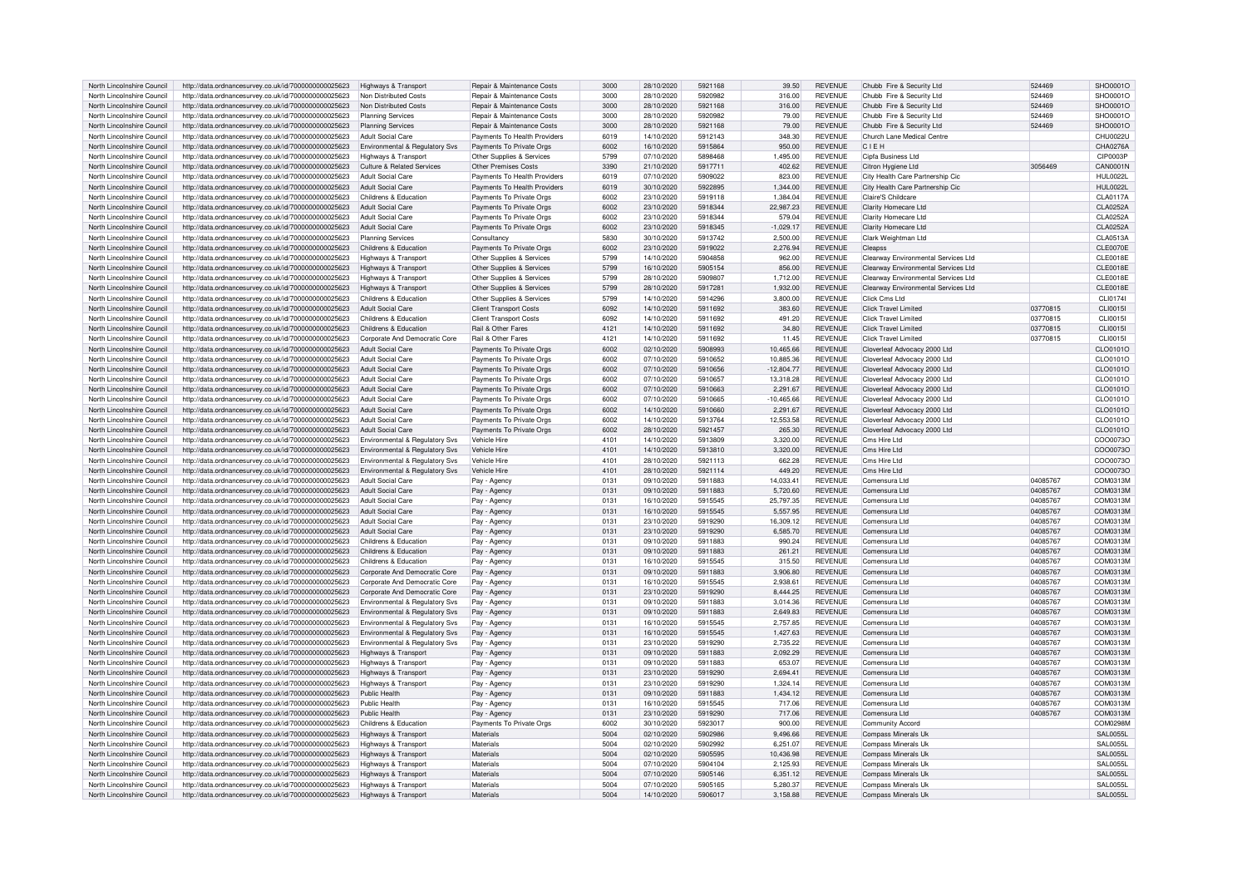| North Lincolnshire Council | http://data.ordnancesurvey.co.uk/id/7000000000025623 | Highways & Transport           | Repair & Maintenance Costs    | 3000 | 28/10/2020 | 5921168 | 39.50        | <b>REVENUE</b> | Chubb Fire & Security Ltd                  | 524469   | SHO0001O        |
|----------------------------|------------------------------------------------------|--------------------------------|-------------------------------|------|------------|---------|--------------|----------------|--------------------------------------------|----------|-----------------|
| North Lincolnshire Council | http://data.ordnancesurvey.co.uk/id/7000000000025623 | Non Distributed Costs          | Repair & Maintenance Costs    | 3000 | 28/10/2020 | 5920982 | 316.00       | <b>REVENUE</b> | Chubb Fire & Security Ltd                  | 524469   | SHO0001O        |
| North Lincolnshire Council | http://data.ordnancesurvey.co.uk/id/7000000000025623 | <b>Non Distributed Costs</b>   | Repair & Maintenance Costs    | 3000 | 28/10/2020 | 5921168 | 316.00       | <b>REVENUE</b> | Chubb Fire & Security Ltd                  | 524469   | SHO0001O        |
| North Lincolnshire Council | http://data.ordnancesurvey.co.uk/id/7000000000025623 | <b>Planning Services</b>       | Repair & Maintenance Costs    | 3000 | 28/10/2020 | 5920982 | 79.00        | <b>REVENUE</b> | Chubb Fire & Security Ltd                  | 524469   | SHO0001O        |
| North Lincolnshire Council | http://data.ordnancesurvey.co.uk/id/7000000000025623 | <b>Planning Services</b>       | Repair & Maintenance Costs    | 3000 | 28/10/2020 | 5921168 | 79.00        | <b>REVENUE</b> | Chubb Fire & Security Ltd                  | 524469   | SHO0001O        |
| North Lincolnshire Council | http://data.ordnancesurvey.co.uk/id/7000000000025623 | <b>Adult Social Care</b>       | Payments To Health Providers  | 6019 | 14/10/2020 | 5912143 | 348.30       | <b>REVENUE</b> | Church Lane Medical Centre                 |          | <b>CHU0022U</b> |
| North Lincolnshire Council | http://data.ordnancesurvey.co.uk/id/7000000000025623 |                                | Payments To Private Orgs      | 6002 | 16/10/2020 | 5915864 | 950.00       | <b>REVENUE</b> | CIEH                                       |          | CHA0276A        |
| North Lincolnshire Council |                                                      | Environmental & Regulatory Svs | Other Supplies & Services     | 5799 | 07/10/2020 | 5898468 | 1,495.00     | <b>REVENUE</b> | Cipfa Business Ltd                         |          | CIP0003E        |
|                            | http://data.ordnancesurvey.co.uk/id/7000000000025623 | Highways & Transport           |                               |      |            |         |              |                |                                            |          |                 |
| North Lincolnshire Council | http://data.ordnancesurvey.co.uk/id/7000000000025623 | Culture & Related Services     | Other Premises Costs          | 3390 | 21/10/2020 | 5917711 | 402.62       | <b>REVENUE</b> | Citron Hygiene Ltd                         | 3056469  | CAN0001N        |
| North Lincolnshire Council | http://data.ordnancesurvey.co.uk/id/7000000000025623 | Adult Social Care              | Payments To Health Providers  | 6019 | 07/10/2020 | 5909022 | 823.00       | <b>REVENUE</b> | City Health Care Partnership Cic           |          | <b>HUL0022L</b> |
| North Lincolnshire Council | http://data.ordnancesurvey.co.uk/id/7000000000025623 | <b>Adult Social Care</b>       | Payments To Health Providers  | 6019 | 30/10/2020 | 5922895 | 1.344.00     | <b>REVENUE</b> | City Health Care Partnership Cic           |          | <b>HUL0022L</b> |
| North Lincolnshire Council | http://data.ordnancesurvey.co.uk/id/7000000000025623 | Childrens & Education          | Payments To Private Orgs      | 6002 | 23/10/2020 | 5919118 | 1.384.04     | <b>REVENUE</b> | Claire'S Childcare                         |          | <b>CLA0117A</b> |
| North Lincolnshire Council | http://data.ordnancesurvey.co.uk/id/7000000000025623 | <b>Adult Social Care</b>       | Payments To Private Orgs      | 6002 | 23/10/2020 | 5918344 | 22,987.23    | <b>REVENUE</b> | <b>Clarity Homecare Ltd</b>                |          | CLA0252A        |
| North Lincolnshire Council | http://data.ordnancesurvey.co.uk/id/7000000000025623 | <b>Adult Social Care</b>       | Payments To Private Orgs      | 6002 | 23/10/2020 | 5918344 | 579.04       | <b>REVENUE</b> | Clarity Homecare I to                      |          | CLA0252A        |
| North Lincolnshire Council | http://data.ordnancesurvey.co.uk/id/7000000000025623 | <b>Adult Social Care</b>       | Payments To Private Orgs      | 6002 | 23/10/2020 | 5918345 | $-1,029.17$  | <b>REVENUE</b> | <b>Clarity Homecare Ltd</b>                |          | CLA0252A        |
| North Lincolnshire Council | http://data.ordnancesurvey.co.uk/id/7000000000025623 | <b>Planning Services</b>       | Consultancy                   | 5830 | 30/10/2020 | 5913742 | 2,500.00     | <b>REVENUE</b> | Clark Weightman Ltd                        |          | CLA0513A        |
| North Lincolnshire Council | http://data.ordnancesurvey.co.uk/id/7000000000025623 | Childrens & Education          | Payments To Private Orgs      | 6002 | 23/10/2020 | 5919022 | 2,276.94     | <b>REVENUE</b> | Cleanss                                    |          | CLE0070E        |
| North Lincolnshire Council | http://data.ordnancesurvey.co.uk/id/7000000000025623 | Highways & Transpor            | Other Supplies & Services     | 5799 | 14/10/2020 | 5904858 | 962.00       | <b>REVENUE</b> | Clearway Environmental Services Ltd        |          | <b>CLE0018E</b> |
| North Lincolnshire Council | http://data.ordnancesurvey.co.uk/id/7000000000025623 | Highways & Transport           | Other Supplies & Services     | 5799 | 16/10/2020 | 5905154 | 856.00       | <b>REVENUE</b> | <b>Clearway Environmental Services Ltd</b> |          | <b>CLE0018E</b> |
| North Lincolnshire Council | http://data.ordnancesurvey.co.uk/id/7000000000025623 | Highways & Transpor            | Other Supplies & Services     | 5799 | 28/10/2020 | 5909807 | 1,712.00     | <b>REVENUE</b> | Clearway Environmental Services Ltd        |          | CLE0018E        |
| North Lincolnshire Council | http://data.ordnancesurvey.co.uk/id/7000000000025623 | Highways & Transport           | Other Supplies & Services     | 5799 | 28/10/2020 | 5917281 | 1,932.00     | <b>REVENUE</b> | Clearway Environmental Services Ltd        |          | <b>CLE0018E</b> |
| North Lincolnshire Council | http://data.ordnancesurvey.co.uk/id/7000000000025623 | Childrens & Education          | Other Supplies & Services     | 5799 | 14/10/2020 | 5914296 | 3.800.00     | <b>REVENUE</b> | Click Cms Ltd                              |          | CLI0174I        |
| North Lincolnshire Council | http://data.ordnancesurvey.co.uk/id/7000000000025623 | <b>Adult Social Care</b>       | <b>Client Transport Costs</b> | 6092 | 14/10/2020 | 5911692 | 383.60       | <b>REVENUE</b> | Click Travel Limited                       | 03770815 | <b>CLI0015I</b> |
| North Lincolnshire Council | http://data.ordnancesurvey.co.uk/id/7000000000025623 | Childrens & Education          | <b>Client Transport Costs</b> | 6092 | 14/10/2020 | 5911692 | 491.20       | <b>REVENUE</b> | <b>Click Travel Limited</b>                | 03770815 | CLI0015I        |
| North Lincolnshire Council | http://data.ordnancesurvey.co.uk/id/7000000000025623 | Childrens & Education          | <b>Rail &amp; Other Fares</b> | 4121 | 14/10/2020 | 5911692 | 34.80        | <b>REVENUE</b> | Click Travel Limited                       | 03770815 | <b>CLI0015I</b> |
|                            |                                                      |                                |                               | 4121 |            | 5911692 |              |                |                                            |          |                 |
| North Lincolnshire Council | http://data.ordnancesurvey.co.uk/id/7000000000025623 | Corporate And Democratic Core  | Rail & Other Fares            |      | 14/10/2020 |         | 11.45        | <b>REVENUE</b> | <b>Click Travel Limited</b>                | 03770815 | CLI0015I        |
| North Lincolnshire Council | http://data.ordnancesurvey.co.uk/id/7000000000025623 | <b>Adult Social Care</b>       | Payments To Private Orgs      | 6002 | 02/10/2020 | 5908993 | 10.465.66    | <b>REVENUE</b> | Cloverleaf Advocacy 2000 Ltd               |          | CLO0101O        |
| North Lincolnshire Council | http://data.ordnancesurvey.co.uk/id/7000000000025623 | <b>Adult Social Care</b>       | Payments To Private Orgs      | 6002 | 07/10/2020 | 5910652 | 10,885.36    | <b>REVENUE</b> | Cloverleaf Advocacy 2000 Ltd               |          | CLO0101O        |
| North Lincolnshire Council | http://data.ordnancesurvey.co.uk/id/7000000000025623 | Adult Social Care              | Payments To Private Orgs      | 6002 | 07/10/2020 | 5910656 | $-12,804.77$ | <b>REVENUE</b> | Cloverleaf Advocacy 2000 Ltd               |          | CLO0101O        |
| North Lincolnshire Council | http://data.ordnancesurvey.co.uk/id/7000000000025623 | <b>Adult Social Care</b>       | Payments To Private Orgs      | 6002 | 07/10/2020 | 5910657 | 13.318.28    | <b>REVENUE</b> | Cloverleaf Advocacy 2000 Ltd               |          | CLO0101O        |
| North Lincolnshire Council | http://data.ordnancesurvey.co.uk/id/7000000000025623 | Adult Social Care              | Payments To Private Orgs      | 6002 | 07/10/2020 | 5910663 | 2,291.67     | <b>REVENUE</b> | Cloverleaf Advocacy 2000 Ltd               |          | CLO0101O        |
| North Lincolnshire Council | http://data.ordnancesurvey.co.uk/id/7000000000025623 | <b>Adult Social Care</b>       | Payments To Private Orgs      | 6002 | 07/10/2020 | 5910665 | 10,465.66    | <b>REVENUE</b> | Cloverleaf Advocacy 2000 Ltd               |          | CLO0101O        |
| North Lincolnshire Council | http://data.ordnancesurvey.co.uk/id/7000000000025623 | <b>Adult Social Care</b>       | Payments To Private Orgs      | 6002 | 14/10/2020 | 5910660 | 2.291.67     | <b>REVENUE</b> | Cloverleaf Advocacy 2000 Ltd               |          | CLO0101O        |
| North Lincolnshire Council | http://data.ordnancesurvey.co.uk/id/7000000000025623 | <b>Adult Social Care</b>       | Payments To Private Orgs      | 6002 | 14/10/2020 | 5913764 | 12,553.58    | <b>REVENUE</b> | Cloverleaf Advocacy 2000 Ltd               |          | CLO0101O        |
| North Lincolnshire Council | http://data.ordnancesurvey.co.uk/id/7000000000025623 | <b>Adult Social Care</b>       | Payments To Private Orgs      | 6002 | 28/10/2020 | 5921457 | 265.30       | <b>REVENUE</b> | Cloverleaf Advocacy 2000 Ltd               |          | CLO0101O        |
| North Lincolnshire Council | http://data.ordnancesurvey.co.uk/id/7000000000025623 | Environmental & Regulatory Svs | Vehicle Hire                  | 4101 | 14/10/2020 | 5913809 | 3.320.00     | <b>REVENUE</b> | Cms Hire Ltd                               |          | COO0073O        |
| North Lincolnshire Council | http://data.ordnancesurvey.co.uk/id/7000000000025623 | Environmental & Regulatory Svs | Vehicle Hire                  | 4101 | 14/10/2020 | 5913810 | 3.320.00     | <b>REVENUE</b> | Cms Hire I td                              |          | COO0073O        |
| North Lincolnshire Council | http://data.ordnancesurvey.co.uk/id/7000000000025623 | Environmental & Regulatory Svs | Vehicle Hire                  | 4101 | 28/10/2020 | 5921113 | 662.28       | <b>REVENUE</b> | Cms Hire Ltd                               |          | COO0073O        |
| North Lincolnshire Council | http://data.ordnancesurvey.co.uk/id/7000000000025623 | Environmental & Regulatory Svs | Vehicle Hire                  | 4101 | 28/10/2020 | 5921114 | 449.20       | <b>REVENUE</b> | Cms Hire Ltd                               |          | COO0073O        |
| North Lincolnshire Council | http://data.ordnancesurvey.co.uk/id/7000000000025623 | <b>Adult Social Care</b>       | Pay - Agency                  | 0131 | 09/10/2020 | 5911883 | 14,033.41    | <b>REVENUE</b> | Comensura Ltd                              | 04085767 | COM0313M        |
| North Lincolnshire Council | http://data.ordnancesurvey.co.uk/id/7000000000025623 | <b>Adult Social Care</b>       |                               | 0131 | 09/10/2020 | 5911883 | 5.720.60     | <b>REVENUE</b> | Comensura I td                             | 04085767 | COM0313M        |
| North Lincolnshire Council |                                                      |                                | Pay - Agency                  | 0131 |            | 5915545 |              | <b>REVENUE</b> | Comensura Ltd                              |          | COM0313M        |
|                            | http://data.ordnancesurvey.co.uk/id/7000000000025623 | <b>Adult Social Care</b>       | Pay - Agency                  |      | 16/10/2020 |         | 25,797.35    |                |                                            | 04085767 |                 |
| North Lincolnshire Council | http://data.ordnancesurvey.co.uk/id/7000000000025623 | <b>Adult Social Care</b>       | Pay - Agenc                   | 0131 | 16/10/2020 | 5915545 | 5,557.95     | <b>REVENUE</b> | Comensura Ltd                              | 04085767 | COM0313M        |
| North Lincolnshire Council | http://data.ordnancesurvey.co.uk/id/7000000000025623 | <b>Adult Social Care</b>       | Pay - Agenc                   | 0131 | 23/10/2020 | 5919290 | 16.309.12    | <b>REVENUE</b> | Comensura Ltd                              | 04085767 | COM0313M        |
| North Lincolnshire Council | http://data.ordnancesurvey.co.uk/id/7000000000025623 | <b>Adult Social Care</b>       | Pay - Agency                  | 0131 | 23/10/2020 | 5919290 | 6.585.70     | <b>REVENUE</b> | Comensura Ltd                              | 04085767 | COM0313M        |
| North Lincolnshire Council | http://data.ordnancesurvey.co.uk/id/7000000000025623 | Childrens & Education          | Pay - Agency                  | 0131 | 09/10/2020 | 5911883 | 990.24       | <b>REVENUE</b> | Comensura Ltd                              | 04085767 | COM0313M        |
| North Lincolnshire Council | http://data.ordnancesurvey.co.uk/id/7000000000025623 | Childrens & Education          | Pay - Agency                  | 0131 | 09/10/2020 | 5911883 | 261.21       | <b>REVENUE</b> | Comensura Ltd                              | 04085767 | COM0313M        |
| North Lincolnshire Council | http://data.ordnancesurvey.co.uk/id/7000000000025623 | Childrens & Education          | Pay - Agency                  | 0131 | 16/10/2020 | 5915545 | 315.50       | <b>REVENUE</b> | Comensura Ltd                              | 04085767 | COM0313M        |
| North Lincolnshire Council | http://data.ordnancesurvey.co.uk/id/7000000000025623 | Corporate And Democratic Core  | Pay - Agency                  | 013  | 09/10/2020 | 5911883 | 3.906.80     | <b>REVENUE</b> | Comensura Ltd                              | 04085767 | COM0313M        |
| North Lincolnshire Council | http://data.ordnancesurvey.co.uk/id/7000000000025623 | Corporate And Democratic Core  | Pay - Agency                  | 0131 | 16/10/2020 | 5915545 | 2,938.61     | <b>REVENUE</b> | Comensura Ltd                              | 04085767 | COM0313M        |
| North Lincolnshire Council | http://data.ordnancesurvey.co.uk/id/7000000000025623 | Corporate And Democratic Core  | Pay - Agency                  | 0131 | 23/10/2020 | 5919290 | 8.444.25     | <b>REVENUE</b> | Comensura Ltd                              | 04085767 | COM0313M        |
| North Lincolnshire Council | http://data.ordnancesurvey.co.uk/id/7000000000025623 | Environmental & Regulatory Sys | Pay - Agenc                   | 0131 | 09/10/2020 | 5911883 | 3.014.36     | <b>REVENUE</b> | Comensura Ltd                              | 04085767 | COM0313M        |
| North Lincolnshire Council | http://data.ordnancesurvey.co.uk/id/7000000000025623 | Environmental & Regulatory Svs | Pay - Agenc                   | 0131 | 09/10/2020 | 5911883 | 2,649.83     | <b>REVENUE</b> | Comensura I td                             | 04085767 | COM0313M        |
| North Lincolnshire Council | http://data.ordnancesurvey.co.uk/id/7000000000025623 | Environmental & Regulatory Svs | Pay - Agency                  | 0131 | 16/10/2020 | 5915545 | 2,757.85     | <b>REVENUE</b> | Comensura Ltd                              | 04085767 | COM0313M        |
| North Lincolnshire Council | http://data.ordnancesurvey.co.uk/id/7000000000025623 | Environmental & Regulatory Svs | Pay - Agency                  | 0131 | 16/10/2020 | 5915545 | 1.427.63     | <b>REVENUE</b> | Comensura Ltd                              | 04085767 | COM0313M        |
| North Lincolnshire Council | http://data.ordnancesurvey.co.uk/id/7000000000025623 | Environmental & Regulatory Svs | Pay - Agency                  | 0131 | 23/10/2020 | 5919290 | 2,735.22     | <b>REVENUE</b> | Comensura Ltd                              | 04085767 | COM0313M        |
| North Lincolnshire Council | http://data.ordnancesurvey.co.uk/id/7000000000025623 | Highways & Transport           | Pay - Agenc                   | 0131 | 09/10/2020 | 5911883 | 2,092.29     | <b>REVENUE</b> | Comensura Ltd                              | 04085767 | COM0313M        |
| North Lincolnshire Council | http://data.ordnancesurvey.co.uk/id/7000000000025623 | Highways & Transport           |                               | 0131 | 09/10/2020 | 5911883 | 653.07       | <b>REVENUE</b> | Comensura I td                             | 04085767 | COM0313M        |
| North Lincolnshire Council | http://data.ordnancesurvey.co.uk/id/7000000000025623 | Highways & Transpor            | Pay - Agency<br>Pay - Agency  | 0131 | 23/10/2020 | 5919290 | 2,694.41     | <b>REVENUE</b> | Comensura Ltd                              | 04085767 | COM0313M        |
| North Lincolnshire Council | http://data.ordnancesurvey.co.uk/id/7000000000025623 | Highways & Transport           |                               | 0131 | 23/10/2020 | 5919290 | 1.324.14     | <b>REVENUE</b> | Comensura Ltd                              | 04085767 | COM0313M        |
|                            |                                                      |                                | Pay - Agency                  |      |            |         |              |                |                                            |          |                 |
| North Lincolnshire Council | http://data.ordnancesurvey.co.uk/id/7000000000025623 | Public Health                  | Pay - Agency                  | 0131 | 09/10/2020 | 5911883 | 1,434.12     | <b>REVENUE</b> | Comensura I td                             | 04085767 | COM0313M        |
| North Lincolnshire Council | http://data.ordnancesurvey.co.uk/id/7000000000025623 | Public Health                  | Pay - Agenc                   | 0131 | 16/10/2020 | 5915545 | 717.06       | <b>REVENUE</b> | Comensura I td                             | 04085767 | COM0313M        |
| North Lincolnshire Council | http://data.ordnancesurvey.co.uk/id/7000000000025623 | <b>Public Health</b>           | Pay - Agency                  | 0131 | 23/10/2020 | 5919290 | 717.06       | <b>REVENUE</b> | Comensura Ltd                              | 04085767 | COM0313M        |
| North Lincolnshire Council | http://data.ordnancesurvey.co.uk/id/7000000000025623 | Childrens & Education          | Payments To Private Orgs      | 6002 | 30/10/2020 | 5923017 | 900.00       | <b>REVENUE</b> | Community Accord                           |          | COM0298M        |
| North Lincolnshire Council | http://data.ordnancesurvey.co.uk/id/7000000000025623 | Highways & Transport           | Materials                     | 5004 | 02/10/2020 | 5902986 | 9.496.66     | <b>REVENUE</b> | Compass Minerals UK                        |          | <b>SAL0055L</b> |
| North Lincolnshire Council | http://data.ordnancesurvey.co.uk/id/7000000000025623 | Highways & Transport           | Materials                     | 5004 | 02/10/2020 | 5902992 | 6.251.07     | <b>REVENUE</b> | Compass Minerals U                         |          | SAI 00551       |
| North Lincolnshire Council | http://data.ordnancesurvey.co.uk/id/7000000000025623 | Highways & Transport           | Materials                     | 5004 | 02/10/2020 | 5905595 | 10.436.98    | <b>REVENUE</b> | Compass Minerals UK                        |          | SAI 0055        |
| North Lincolnshire Council | http://data.ordnancesurvey.co.uk/id/7000000000025623 | Highways & Transport           | Materials                     | 5004 | 07/10/2020 | 5904104 | 2.125.93     | <b>REVENUE</b> | Compass Minerals UI                        |          | <b>SAL0055</b>  |
| North Lincolnshire Council | http://data.ordnancesurvey.co.uk/id/7000000000025623 | Highways & Transport           | Materials                     | 5004 | 07/10/2020 | 5905146 | 6.351.12     | <b>REVENUE</b> | Compass Minerals Ul                        |          | <b>SAL0055I</b> |
| North Lincolnshire Council | http://data.ordnancesurvey.co.uk/id/7000000000025623 | Highways & Transport           | Materials                     | 5004 | 07/10/2020 | 5905165 | 5,280.37     | <b>REVENUE</b> | Compass Minerals Uk                        |          | <b>SAL0055L</b> |
| North Lincolnshire Council | http://data.ordnancesurvey.co.uk/id/7000000000025623 | Highways & Transport           | Materials                     | 5004 | 14/10/2020 | 5906017 | 3.158.88     | <b>REVENUE</b> | Compass Minerals Uk                        |          | <b>SAL0055L</b> |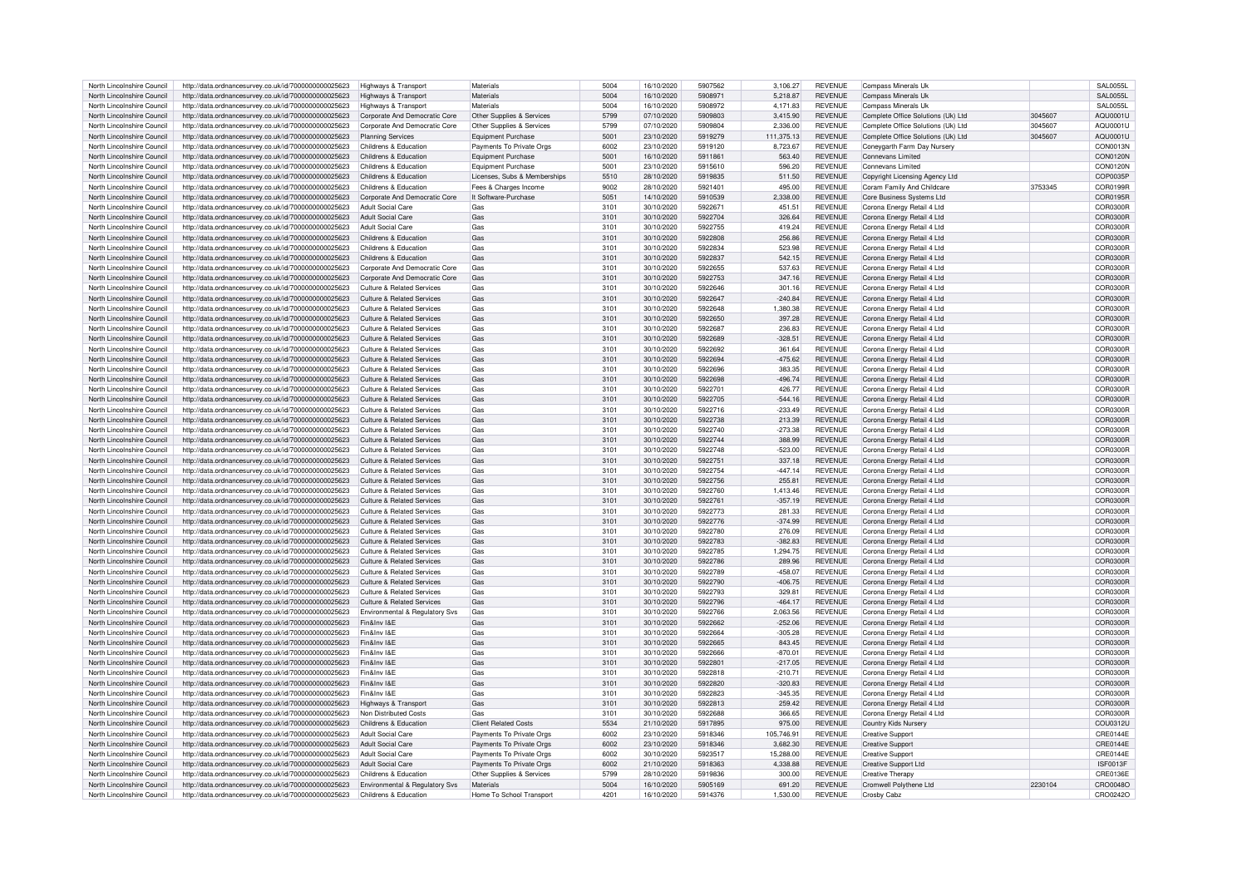| North Lincolnshire Council | http://data.ordnancesurvey.co.uk/id/7000000000025623 | Highways & Transport                       | Materials                    | 5004 | 16/10/2020 | 5907562 | 3,106.27   | <b>REVENUE</b> | Compass Minerals UK                |         | SAI 00551       |
|----------------------------|------------------------------------------------------|--------------------------------------------|------------------------------|------|------------|---------|------------|----------------|------------------------------------|---------|-----------------|
| North Lincolnshire Council | http://data.ordnancesurvey.co.uk/id/7000000000025623 | Highways & Transport                       | Materials                    | 5004 | 16/10/2020 | 5908971 | 5,218.87   | <b>REVENUE</b> | Compass Minerals Uk                |         | <b>SAL0055L</b> |
| North Lincolnshire Council | http://data.ordnancesurvey.co.uk/id/7000000000025623 | Highways & Transport                       | Materials                    | 5004 | 16/10/2020 | 5908972 | 4,171.83   | <b>REVENUE</b> | Compass Minerals Uk                |         | <b>SAL0055L</b> |
| North Lincolnshire Council | http://data.ordnancesurvey.co.uk/id/7000000000025623 | Corporate And Democratic Core              | Other Supplies & Services    | 5799 | 07/10/2020 | 5909803 | 3,415.90   | <b>REVENUE</b> | Complete Office Solutions (Uk) Ltd | 3045607 | AQU0001U        |
| North Lincolnshire Council | http://data.ordnancesurvey.co.uk/id/7000000000025623 | Corporate And Democratic Core              | Other Supplies & Services    | 5799 | 07/10/2020 | 5909804 | 2,336.00   | <b>REVENUE</b> | Complete Office Solutions (Uk) Ltd | 3045607 | AQU0001U        |
|                            |                                                      |                                            |                              | 5001 | 23/10/2020 | 5919279 |            | <b>REVENUE</b> |                                    | 3045607 | AOU0001L        |
| North Lincolnshire Council | http://data.ordnancesurvey.co.uk/id/7000000000025623 | <b>Planning Services</b>                   | <b>Equipment Purchase</b>    |      |            |         | 111,375.13 |                | Complete Office Solutions (Uk) Ltd |         |                 |
| North Lincolnshire Council | http://data.ordnancesurvey.co.uk/id/7000000000025623 | Childrens & Education                      | Payments To Private Orgs     | 6002 | 23/10/2020 | 5919120 | 8,723.67   | <b>REVENUE</b> | Coneygarth Farm Day Nursery        |         | CON0013N        |
| North Lincolnshire Council | http://data.ordnancesurvey.co.uk/id/7000000000025623 | Childrens & Education                      | <b>Equipment Purchase</b>    | 5001 | 16/10/2020 | 5911861 | 563.40     | <b>REVENUE</b> | Connevans Limited                  |         | <b>CON0120N</b> |
| North Lincolnshire Council | http://data.ordnancesurvey.co.uk/id/7000000000025623 | Childrens & Education                      | <b>Equipment Purchase</b>    | 5001 | 23/10/2020 | 5915610 | 596.20     | <b>REVENUE</b> | Connevans Limited                  |         | <b>CON0120N</b> |
| North Lincolnshire Council | http://data.ordnancesurvey.co.uk/id/7000000000025623 | Childrens & Education                      | Licenses, Subs & Memberships | 5510 | 28/10/2020 | 5919835 | 511.50     | <b>REVENUE</b> | Copyright Licensing Agency Ltd     |         | COP0035P        |
| North Lincolnshire Council | http://data.ordnancesurvey.co.uk/id/7000000000025623 | Childrens & Education                      | Fees & Charges Income        | 9002 | 28/10/2020 | 5921401 | 495.00     | <b>REVENUE</b> | Coram Family And Childcare         | 3753345 | COR0199R        |
| North Lincolnshire Council | http://data.ordnancesurvey.co.uk/id/7000000000025623 | Corporate And Democratic Core              | It Software-Purchase         | 5051 | 14/10/2020 | 5910539 | 2.338.00   | <b>REVENUE</b> | Core Business Systems Ltd          |         | COR0195B        |
| North Lincolnshire Council | http://data.ordnancesurvey.co.uk/id/7000000000025623 | Adult Social Care                          | Gas                          | 3101 | 30/10/2020 | 592267  | 451.51     | <b>REVENUE</b> | Corona Energy Retail 4 Ltd         |         | COR0300E        |
| North Lincolnshire Council | http://data.ordnancesurvey.co.uk/id/7000000000025623 | <b>Adult Social Care</b>                   | Gas                          | 3101 | 30/10/2020 | 5922704 | 326.64     | <b>REVENUE</b> | Corona Energy Retail 4 Ltd         |         | <b>COR0300F</b> |
| North Lincolnshire Council | http://data.ordnancesurvey.co.uk/id/7000000000025623 | <b>Adult Social Care</b>                   | Gas                          | 3101 | 30/10/2020 | 5922755 | 419.24     | <b>REVENUE</b> | Corona Energy Retail 4 Ltd         |         | COR0300R        |
| North Lincolnshire Council | http://data.ordnancesurvey.co.uk/id/7000000000025623 | Childrens & Education                      | Gas                          | 3101 | 30/10/2020 | 5922808 | 256.86     | <b>REVENUE</b> | Corona Energy Retail 4 Ltd         |         | COR0300R        |
| North Lincolnshire Council |                                                      | Childrens & Education                      | Gas                          | 3101 | 30/10/2020 | 5922834 | 523.98     | <b>REVENUE</b> |                                    |         | COR0300R        |
|                            | http://data.ordnancesurvey.co.uk/id/7000000000025623 |                                            |                              |      |            |         |            |                | Corona Energy Retail 4 Ltd         |         |                 |
| North Lincolnshire Council | http://data.ordnancesurvey.co.uk/id/7000000000025623 | Childrens & Education                      | Gas                          | 3101 | 30/10/2020 | 5922837 | 542.15     | <b>REVENUE</b> | Corona Energy Retail 4 Ltd         |         | COR0300R        |
| North Lincolnshire Council | http://data.ordnancesurvey.co.uk/id/7000000000025623 | Corporate And Democratic Core              | Gas                          | 3101 | 30/10/2020 | 5922655 | 537.63     | <b>REVENUE</b> | Corona Energy Retail 4 Ltd         |         | COR0300R        |
| North Lincolnshire Council | http://data.ordnancesurvey.co.uk/id/7000000000025623 | Cornorate And Democratic Core              | Gas                          | 3101 | 30/10/2020 | 5922753 | 347.16     | <b>REVENUE</b> | Corona Energy Retail 4 Ltd         |         | COR0300R        |
| North Lincolnshire Council | http://data.ordnancesurvey.co.uk/id/7000000000025623 | Culture & Related Services                 | Gas                          | 3101 | 30/10/2020 | 5922646 | 301.16     | <b>REVENUE</b> | Corona Energy Retail 4 Ltd         |         | COR0300R        |
| North Lincolnshire Council | http://data.ordnancesurvey.co.uk/id/7000000000025623 | <b>Culture &amp; Related Services</b>      | Gas                          | 3101 | 30/10/2020 | 5922647 | $-240.84$  | <b>REVENUE</b> | Corona Energy Retail 4 Ltd         |         | COR0300R        |
| North Lincolnshire Council | http://data.ordnancesurvey.co.uk/id/7000000000025623 | Culture & Related Services                 | Gas                          | 3101 | 30/10/2020 | 5922648 | 1,380.38   | <b>REVENUE</b> | Corona Energy Retail 4 Ltd         |         | COR0300R        |
| North Lincolnshire Council | http://data.ordnancesurvey.co.uk/id/7000000000025623 | Culture & Related Services                 | Gas                          | 3101 | 30/10/2020 | 5922650 | 397.28     | <b>REVENUE</b> | Corona Energy Retail 4 Ltd         |         | COR0300R        |
| North Lincolnshire Council | http://data.ordnancesurvey.co.uk/id/7000000000025623 | <b>Culture &amp; Related Services</b>      | Gas                          | 3101 | 30/10/2020 | 5922687 | 236.83     | <b>REVENUE</b> | Corona Energy Retail 4 Ltd         |         | <b>COR0300F</b> |
| North Lincolnshire Council | http://data.ordnancesurvey.co.uk/id/7000000000025623 | Culture & Related Services                 | Gas                          | 3101 | 30/10/2020 | 5922689 | $-328.51$  | <b>REVENUE</b> | Corona Energy Retail 4 Ltd         |         | COR0300R        |
|                            |                                                      |                                            |                              |      |            |         |            |                |                                    |         |                 |
| North Lincolnshire Council | http://data.ordnancesurvey.co.uk/id/7000000000025623 | <b>Culture &amp; Related Services</b>      | Gas                          | 3101 | 30/10/2020 | 5922692 | 361.64     | <b>REVENUE</b> | Corona Energy Retail 4 Ltd         |         | COR0300R        |
| North Lincolnshire Council | http://data.ordnancesurvey.co.uk/id/7000000000025623 | <b>Culture &amp; Related Services</b>      | Gas                          | 3101 | 30/10/2020 | 5922694 | $-475.62$  | <b>REVENUE</b> | Corona Energy Retail 4 Ltd         |         | COR0300R        |
| North Lincolnshire Council | http://data.ordnancesurvey.co.uk/id/7000000000025623 | Culture & Related Services                 | Gas                          | 3101 | 30/10/2020 | 5922696 | 383.35     | <b>REVENUE</b> | Corona Energy Retail 4 Ltd         |         | <b>COR0300R</b> |
| North Lincolnshire Council | http://data.ordnancesurvey.co.uk/id/7000000000025623 | <b>Culture &amp; Related Services</b>      | Gas                          | 3101 | 30/10/2020 | 5922698 | $-496.74$  | <b>REVENUE</b> | Corona Energy Retail 4 Ltd         |         | COR0300R        |
| North Lincolnshire Council | http://data.ordnancesurvey.co.uk/id/7000000000025623 | Culture & Related Services                 | Gas                          | 3101 | 30/10/2020 | 5922701 | 426.77     | <b>REVENUE</b> | Corona Energy Retail 4 Ltd         |         | COR0300R        |
| North Lincolnshire Council | http://data.ordnancesurvey.co.uk/id/7000000000025623 | <b>Culture &amp; Related Services</b>      | Gas                          | 3101 | 30/10/2020 | 5922705 | $-544.16$  | <b>REVENUE</b> | Corona Energy Retail 4 Ltd         |         | COR0300R        |
| North Lincolnshire Council | http://data.ordnancesurvey.co.uk/id/7000000000025623 | Culture & Related Services                 | Gas                          | 3101 | 30/10/2020 | 5922716 | $-233.49$  | <b>REVENUE</b> | Corona Energy Retail 4 Ltd         |         | COR0300R        |
| North Lincolnshire Council | http://data.ordnancesurvey.co.uk/id/7000000000025623 | <b>Culture &amp; Related Services</b>      | Gas                          | 3101 | 30/10/2020 | 5922738 | 213.39     | <b>REVENUE</b> | Corona Energy Retail 4 Ltd         |         | <b>COR0300R</b> |
| North Lincolnshire Council | http://data.ordnancesurvey.co.uk/id/7000000000025623 | <b>Culture &amp; Related Services</b>      | Gas                          | 3101 | 30/10/2020 | 5922740 | $-273.38$  | <b>REVENUE</b> | Corona Energy Retail 4 Ltd         |         | COR0300R        |
| North Lincolnshire Council | http://data.ordnancesurvey.co.uk/id/7000000000025623 | <b>Culture &amp; Related Services</b>      | Gas                          | 3101 | 30/10/2020 | 5922744 | 388.99     | <b>REVENUE</b> | Corona Energy Retail 4 Ltd         |         | COR0300R        |
| North Lincolnshire Council |                                                      | Culture & Related Services                 | Gas                          | 3101 | 30/10/2020 | 5922748 | $-523.00$  | <b>REVENUE</b> |                                    |         | COR0300B        |
|                            | http://data.ordnancesurvey.co.uk/id/7000000000025623 |                                            |                              |      |            | 592275  |            |                | Corona Energy Retail 4 Ltd         |         |                 |
| North Lincolnshire Council | http://data.ordnancesurvey.co.uk/id/7000000000025623 | Culture & Related Services                 | Gas                          | 3101 | 30/10/2020 |         | 337.18     | <b>REVENUE</b> | Corona Energy Retail 4 Ltd         |         | COR0300R        |
| North Lincolnshire Council | http://data.ordnancesurvey.co.uk/id/7000000000025623 | <b>Culture &amp; Related Services</b>      | Gas                          | 3101 | 30/10/2020 | 5922754 | $-447.14$  | <b>REVENUE</b> | Corona Energy Retail 4 Ltd         |         | <b>COR0300F</b> |
| North Lincolnshire Council | http://data.ordnancesurvey.co.uk/id/7000000000025623 | Culture & Related Services                 | Gas                          | 3101 | 30/10/2020 | 5922756 | 255.81     | <b>REVENUE</b> | Corona Energy Retail 4 Ltd         |         | COR0300R        |
| North Lincolnshire Council | http://data.ordnancesurvey.co.uk/id/7000000000025623 | Culture & Related Services                 | Gas                          | 3101 | 30/10/2020 | 5922760 | 1,413.46   | <b>REVENUE</b> | Corona Energy Retail 4 Ltd         |         | COR0300R        |
| North Lincolnshire Council | http://data.ordnancesurvey.co.uk/id/7000000000025623 | Culture & Related Services                 | Gas                          | 3101 | 30/10/2020 | 5922761 | $-357.19$  | <b>REVENUE</b> | Corona Energy Retail 4 Ltd         |         | COR0300R        |
| North Lincolnshire Council | http://data.ordnancesurvey.co.uk/id/7000000000025623 | Culture & Related Services                 | Gas                          | 3101 | 30/10/2020 | 5922773 | 281.33     | <b>REVENUE</b> | Corona Energy Retail 4 Ltd         |         | COR0300R        |
| North Lincolnshire Council | http://data.ordnancesurvey.co.uk/id/7000000000025623 | <b>Culture &amp; Related Services</b>      | Gas                          | 3101 | 30/10/2020 | 5922776 | $-374.99$  | <b>REVENUE</b> | Corona Energy Retail 4 Ltd         |         | COR0300R        |
| North Lincolnshire Council | http://data.ordnancesurvey.co.uk/id/7000000000025623 | Culture & Related Services                 | Gas                          | 3101 | 30/10/2020 | 5922780 | 276.09     | <b>REVENUE</b> | Corona Energy Retail 4 I td        |         | COR0300F        |
| North Lincolnshire Council | http://data.ordnancesurvey.co.uk/id/7000000000025623 | Culture & Related Services                 | Gas                          | 3101 | 30/10/2020 | 5922783 | $-382.83$  | <b>REVENUE</b> | Corona Energy Retail 4 Ltd         |         | COR0300R        |
| North Lincolnshire Council | http://data.ordnancesurvey.co.uk/id/7000000000025623 | Culture & Related Services                 | Gas                          | 3101 | 30/10/2020 | 5922785 | 1.294.75   | <b>REVENUE</b> | Corona Energy Retail 4 Ltd         |         | COR0300R        |
|                            |                                                      |                                            |                              |      |            |         |            |                |                                    |         |                 |
| North Lincolnshire Council | http://data.ordnancesurvey.co.uk/id/7000000000025623 | <b>Culture &amp; Related Services</b>      | Gas                          | 3101 | 30/10/2020 | 5922786 | 289.96     | <b>REVENUE</b> | Corona Energy Retail 4 Ltd         |         | COR0300R        |
| North Lincolnshire Council | http://data.ordnancesurvey.co.uk/id/7000000000025623 | <b>Culture &amp; Related Services</b>      | Gas                          | 3101 | 30/10/2020 | 5922789 | $-458.07$  | <b>REVENUE</b> | Corona Energy Retail 4 Ltd         |         | COR0300R        |
| North Lincolnshire Council | http://data.ordnancesurvey.co.uk/id/7000000000025623 | <b>Culture &amp; Related Services</b>      | Gas                          | 3101 | 30/10/2020 | 5922790 | $-406.75$  | <b>REVENUE</b> | Corona Energy Retail 4 Ltd         |         | COR0300R        |
| North Lincolnshire Council | http://data.ordnancesurvey.co.uk/id/7000000000025623 | Culture & Related Services                 | Gas                          | 3101 | 30/10/2020 | 5922793 | 329.81     | <b>REVENUE</b> | Corona Energy Retail 4 Ltd         |         | COR0300R        |
| North Lincolnshire Council | http://data.ordnancesurvey.co.uk/id/7000000000025623 | Culture & Related Services                 | Gas                          | 3101 | 30/10/2020 | 5922796 | $-464.17$  | <b>REVENUE</b> | Corona Energy Retail 4 Ltd         |         | COR0300R        |
| North Lincolnshire Council | http://data.ordnancesurvey.co.uk/id/7000000000025623 | Environmental & Regulatory Sys             | Gas                          | 3101 | 30/10/2020 | 5922766 | 2,063.56   | <b>REVENUE</b> | Corona Energy Retail 4 Ltd         |         | COR0300F        |
| North Lincolnshire Council | http://data.ordnancesurvey.co.uk/id/7000000000025623 | Fin&Inv I&F                                | Gas                          | 3101 | 30/10/2020 | 5922662 | $-252.06$  | <b>REVENUE</b> | Corona Energy Retail 4 Ltd         |         | <b>COR0300R</b> |
| North Lincolnshire Council | http://data.ordnancesurvey.co.uk/id/7000000000025623 | Fin&Inv I&E                                | Gas                          | 3101 | 30/10/2020 | 5922664 | $-305.28$  | <b>REVENUE</b> | Corona Energy Retail 4 Ltd         |         | COR0300R        |
| North Lincolnshire Council | http://data.ordnancesurvey.co.uk/id/7000000000025623 | Fin&Inv I&F                                | Gas                          | 3101 | 30/10/2020 | 5922665 | 843.45     | <b>REVENUE</b> | Corona Energy Retail 4 Ltd         |         | COR0300B        |
| North Lincolnshire Council | http://data.ordnancesurvey.co.uk/id/7000000000025623 | Fin&Inv I&E                                | Gas                          | 3101 | 30/10/2020 | 5922666 | $-870.01$  | <b>REVENUE</b> | Corona Energy Retail 4 Ltd         |         | COR0300B        |
|                            |                                                      | Fin&Inv I&F                                |                              | 3101 | 30/10/2020 | 592280  | $-217.05$  | <b>REVENUE</b> |                                    |         | COR0300R        |
| North Lincolnshire Council | http://data.ordnancesurvey.co.uk/id/7000000000025623 | Fin&Inv I&F                                | Gas                          |      |            |         |            |                | Corona Energy Retail 4 Ltd         |         |                 |
| North Lincolnshire Council | http://data.ordnancesurvey.co.uk/id/7000000000025623 |                                            | Gas                          | 3101 | 30/10/2020 | 5922818 | $-210.71$  | <b>REVENUE</b> | Corona Energy Retail 4 Ltd         |         | COR0300F        |
| North Lincolnshire Council | http://data.ordnancesurvey.co.uk/id/7000000000025623 | Fin&Inv I&E                                | Gas                          | 3101 | 30/10/2020 | 5922820 | $-320.83$  | <b>REVENUE</b> | Corona Energy Retail 4 Ltd         |         | COR0300R        |
| North Lincolnshire Council | http://data.ordnancesurvey.co.uk/id/7000000000025623 | Fin&Inv I&F                                | Gas                          | 3101 | 30/10/2020 | 5922823 | $-345.35$  | <b>REVENUE</b> | Corona Energy Retail 4 Ltd         |         | COR0300R        |
| North Lincolnshire Council | http://data.ordnancesurvey.co.uk/id/7000000000025623 | Highways & Transport                       | Gas                          | 3101 | 30/10/2020 | 5922813 | 259.42     | <b>REVENUE</b> | Corona Energy Retail 4 Ltd         |         | COR0300R        |
| North Lincolnshire Council | http://data.ordnancesurvey.co.uk/id/7000000000025623 | Non Distributed Costs                      | Gas                          | 3101 | 30/10/2020 | 5922688 | 366.65     | <b>REVENUE</b> | Corona Energy Retail 4 Ltd         |         | COR0300R        |
| North Lincolnshire Council | http://data.ordnancesurvey.co.uk/id/7000000000025623 | Childrens & Education                      | <b>Client Related Costs</b>  | 5534 | 21/10/2020 | 5917895 | 975.00     | <b>REVENUE</b> | Country Kids Nursery               |         | COU0312L        |
| North Lincolnshire Council | http://data.ordnancesurvey.co.uk/id/7000000000025623 | <b>Adult Social Care</b>                   | Payments To Private Orgs     | 6002 | 23/10/2020 | 5918346 | 105.746.9  | <b>REVENUE</b> | <b>Creative Support</b>            |         | CRE0144F        |
| North Lincolnshire Council | http://data.ordnancesurvey.co.uk/id/7000000000025623 | <b>Adult Social Care</b>                   | Payments To Private Orgs     | 6002 | 23/10/2020 | 5918346 | 3,682.30   | <b>REVENUE</b> | <b>Creative Suppor</b>             |         | CRE0144E        |
| North Lincolnshire Council | http://data.ordnancesurvey.co.uk/id/7000000000025623 | Adult Social Care                          | Payments To Private Orgs     | 6002 | 30/10/2020 | 5923517 | 15,288.00  | <b>REVENUE</b> | Creative Support                   |         | CRE0144E        |
| North Lincolnshire Council | http://data.ordnancesurvey.co.uk/id/7000000000025623 | <b>Adult Social Care</b>                   | Payments To Private Orgs     | 6002 | 21/10/2020 | 5918363 | 4,338.88   | <b>REVENUE</b> | <b>Creative Support Ltd</b>        |         | ISF0013F        |
|                            |                                                      |                                            |                              |      |            |         |            |                |                                    |         |                 |
| North Lincolnshire Council | http://data.ordnancesurvey.co.uk/id/7000000000025623 | Childrens & Education                      | Other Supplies & Services    | 5799 | 28/10/2020 | 5919836 | 300.00     | <b>REVENUE</b> | <b>Creative Therapy</b>            |         | CRE0136E        |
| North Lincolnshire Council | http://data.ordnancesurvey.co.uk/id/7000000000025623 | <b>Environmental &amp; Requiatory Sys.</b> | Materials                    | 5004 | 16/10/2020 | 5905169 | 691.20     | <b>REVENUE</b> | Cromwell Polythene I td            | 2230104 | CRO0048O        |
| North Lincolnshire Council | http://data.ordnancesurvey.co.uk/id/7000000000025623 | Childrens & Education                      | Home To School Transport     | 4201 | 16/10/2020 | 5914376 | 1.530.00   | <b>REVENUE</b> | Crosby Cabz                        |         | CRO0242O        |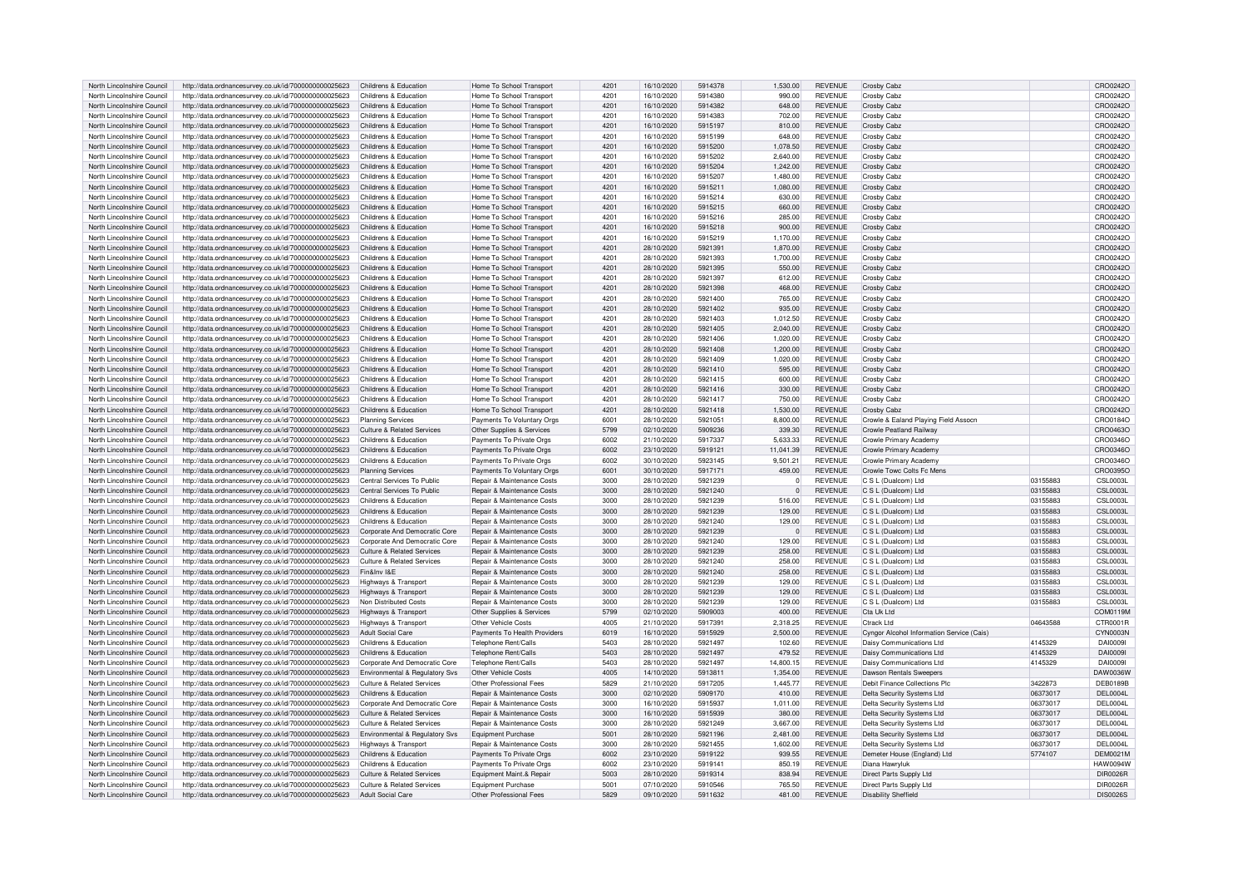| North Lincolnshire Council | http://data.ordnancesurvey.co.uk/id/7000000000025623 | Childrens & Education                 | Home To School Transport              | 4201          | 16/10/2020 | 5914378 | 1,530.00  | <b>REVENUE</b> | Crosby Cabz                               |          | CRO0242O        |
|----------------------------|------------------------------------------------------|---------------------------------------|---------------------------------------|---------------|------------|---------|-----------|----------------|-------------------------------------------|----------|-----------------|
| North Lincolnshire Council | http://data.ordnancesurvey.co.uk/id/7000000000025623 | Childrens & Education                 | Home To School Transport              | $420^{\circ}$ | 16/10/2020 | 5914380 | 990.00    | <b>REVENUE</b> | Crosby Cabz                               |          | CRO0242C        |
|                            |                                                      |                                       |                                       |               |            |         |           |                |                                           |          |                 |
| North Lincolnshire Council | http://data.ordnancesurvey.co.uk/id/7000000000025623 | Childrens & Education                 | Home To School Transport              | 4201          | 16/10/2020 | 5914382 | 648.00    | <b>REVENUE</b> | Crosby Cabz                               |          | CRO0242C        |
| North Lincolnshire Council | http://data.ordnancesurvey.co.uk/id/7000000000025623 | Childrens & Education                 | Home To School Transport              | 4201          | 16/10/2020 | 5914383 | 702.00    | <b>REVENUE</b> | Crosby Cabz                               |          | CRO0242C        |
| North Lincolnshire Council | http://data.ordnancesurvey.co.uk/id/7000000000025623 | Childrens & Education                 | Home To School Transport              | 4201          | 16/10/2020 | 5915197 | 810.00    | <b>REVENUE</b> | Crosby Cabz                               |          | CRO0242C        |
| North Lincolnshire Council | http://data.ordnancesurvey.co.uk/id/7000000000025623 | Childrens & Education                 | Home To School Transport              | 4201          | 16/10/2020 | 5915199 | 648.00    | <b>REVENUE</b> | Crosby Cabz                               |          | CRO0242C        |
| North Lincolnshire Council | http://data.ordnancesurvey.co.uk/id/7000000000025623 | Childrens & Education                 | Home To School Transport              | 4201          | 16/10/2020 | 5915200 | 1.078.50  | <b>REVENUE</b> | Crosby Cabz                               |          | CRO0242C        |
|                            |                                                      |                                       |                                       |               |            |         |           |                |                                           |          |                 |
| North Lincolnshire Council | http://data.ordnancesurvey.co.uk/id/7000000000025623 | Childrens & Education                 | Home To School Transport              | 4201          | 16/10/2020 | 5915202 | 2.640.00  | <b>REVENUE</b> | Crosby Cabz                               |          | CRO0242C        |
| North Lincolnshire Council | http://data.ordnancesurvey.co.uk/id/7000000000025623 | Childrens & Education                 | Home To School Transport              | 4201          | 16/10/2020 | 5915204 | 1,242.00  | <b>REVENUE</b> | Crosby Cabz                               |          | CRO0242C        |
| North Lincolnshire Council | http://data.ordnancesurvey.co.uk/id/7000000000025623 | Childrens & Education                 | Home To School Transport              | 420           | 16/10/2020 | 5915207 | 1,480.00  | <b>REVENUE</b> | Crosby Cabz                               |          | CRO0242C        |
| North Lincolnshire Council | http://data.ordnancesurvey.co.uk/id/7000000000025623 | Childrens & Education                 | Home To School Transport              | $420^{\circ}$ | 16/10/2020 | 5915211 | 1,080.00  | <b>REVENUE</b> | Crosby Cabz                               |          | CRO0242C        |
|                            |                                                      |                                       |                                       |               |            |         |           |                |                                           |          |                 |
| North Lincolnshire Council | http://data.ordnancesurvey.co.uk/id/7000000000025623 | Childrens & Education                 | Home To School Transport              | 4201          | 16/10/2020 | 5915214 | 630.00    | <b>REVENUE</b> | Crosby Cabz                               |          | CRO0242C        |
| North Lincolnshire Council | http://data.ordnancesurvey.co.uk/id/7000000000025623 | Childrens & Education                 | Home To School Transport              | 4201          | 16/10/2020 | 5915215 | 660.00    | <b>REVENUE</b> | Crosby Cabz                               |          | CRO0242C        |
| North Lincolnshire Council | http://data.ordnancesurvey.co.uk/id/7000000000025623 | Childrens & Education                 | Home To School Transport              | 4201          | 16/10/2020 | 5915216 | 285.00    | <b>REVENUE</b> | Crosby Cabz                               |          | CRO0242C        |
| North Lincolnshire Council | http://data.ordnancesurvey.co.uk/id/7000000000025623 | Childrens & Education                 | Home To School Transport              | 4201          | 16/10/2020 | 5915218 | 900.00    | <b>REVENUE</b> | Crosby Cabz                               |          | CRO0242C        |
|                            |                                                      | Childrens & Education                 |                                       | $420^{\circ}$ |            | 5915219 |           | <b>REVENUE</b> |                                           |          |                 |
| North Lincolnshire Council | http://data.ordnancesurvey.co.uk/id/7000000000025623 |                                       | Home To School Transport              |               | 16/10/2020 |         | 1,170.00  |                | Crosby Cabz                               |          | CRO0242C        |
| North Lincolnshire Council | http://data.ordnancesurvey.co.uk/id/7000000000025623 | Childrens & Education                 | Home To School Transport              | 4201          | 28/10/2020 | 5921391 | 1,870.00  | <b>REVENUE</b> | Crosby Cabz                               |          | CRO0242C        |
| North Lincolnshire Council | http://data.ordnancesurvey.co.uk/id/7000000000025623 | Childrens & Education                 | Home To School Transport              | 4201          | 28/10/2020 | 5921393 | 1,700.00  | <b>REVENUE</b> | Crosby Cabz                               |          | CRO0242C        |
| North Lincolnshire Council | http://data.ordnancesurvey.co.uk/id/7000000000025623 | Childrens & Education                 | Home To School Transport              | 4201          | 28/10/2020 | 5921395 | 550.00    | <b>REVENUE</b> | Crosby Cabz                               |          | CRO0242C        |
| North Lincolnshire Council | http://data.ordnancesurvey.co.uk/id/7000000000025623 | Childrens & Education                 | Home To School Transport              | 420           | 28/10/2020 | 5921397 | 612.00    | <b>REVENUE</b> | Crosby Cabz                               |          | CRO0242C        |
|                            |                                                      |                                       |                                       |               |            |         |           |                |                                           |          |                 |
| North Lincolnshire Council | http://data.ordnancesurvey.co.uk/id/7000000000025623 | Childrens & Education                 | Home To School Transport              | $420^{\circ}$ | 28/10/2020 | 5921398 | 468.00    | <b>REVENUE</b> | Crosby Cabz                               |          | CRO0242C        |
| North Lincolnshire Council | http://data.ordnancesurvey.co.uk/id/7000000000025623 | Childrens & Education                 | Home To School Transport              | 4201          | 28/10/2020 | 5921400 | 765.00    | <b>REVENUE</b> | Crosby Cabz                               |          | CRO0242C        |
| North Lincolnshire Council | http://data.ordnancesurvey.co.uk/id/7000000000025623 | Childrens & Education                 | Home To School Transport              | 4201          | 28/10/2020 | 5921402 | 935.00    | <b>REVENUE</b> | Crosby Cabz                               |          | CRO0242C        |
|                            |                                                      |                                       |                                       | 4201          |            | 5921403 |           | <b>REVENUE</b> |                                           |          | CRO0242C        |
| North Lincolnshire Council | http://data.ordnancesurvey.co.uk/id/7000000000025623 | Childrens & Education                 | Home To School Transport              |               | 28/10/2020 |         | 1,012.50  |                | <b>Crosby Cabz</b>                        |          |                 |
| North Lincolnshire Council | http://data.ordnancesurvey.co.uk/id/7000000000025623 | Childrens & Education                 | Home To School Transport              | 4201          | 28/10/2020 | 5921405 | 2,040.00  | <b>REVENUE</b> | Crosby Cabz                               |          | CRO0242C        |
| North Lincolnshire Council | http://data.ordnancesurvey.co.uk/id/7000000000025623 | Childrens & Education                 | Home To School Transpor               | $420^{\circ}$ | 28/10/2020 | 5921406 | 1.020.00  | <b>REVENUE</b> | Crosby Cabz                               |          | CRO0242C        |
| North Lincolnshire Council | http://data.ordnancesurvey.co.uk/id/7000000000025623 | Childrens & Education                 | Home To School Transport              | $420^{\circ}$ | 28/10/2020 | 5921408 | 1,200.00  | REVENUE        | Crosby Cabz                               |          | CRO0242C        |
| North Lincolnshire Council | http://data.ordnancesurvey.co.uk/id/7000000000025623 | Childrens & Education                 | Home To School Transport              | 4201          | 28/10/2020 | 5921409 | 1,020.00  | <b>REVENUE</b> | Crosby Cabz                               |          | CRO0242C        |
|                            |                                                      |                                       |                                       |               |            |         |           |                |                                           |          |                 |
| North Lincolnshire Council | http://data.ordnancesurvey.co.uk/id/7000000000025623 | Childrens & Education                 | Home To School Transport              | $420^{\circ}$ | 28/10/2020 | 5921410 | 595.00    | REVENUE        | Crosby Cabz                               |          | CRO0242C        |
| North Lincolnshire Council | http://data.ordnancesurvey.co.uk/id/7000000000025623 | Childrens & Education                 | Home To School Transport              | 4201          | 28/10/2020 | 5921415 | 600.00    | REVENUE        | Crosby Cabz                               |          | CRO0242C        |
| North Lincolnshire Council | http://data.ordnancesurvey.co.uk/id/7000000000025623 | Childrens & Education                 | Home To School Transport              | $420^{\circ}$ | 28/10/2020 | 5921416 | 330.00    | REVENUE        | <b>Crosby Cabz</b>                        |          | CRO0242C        |
| North Lincolnshire Council | http://data.ordnancesurvey.co.uk/id/7000000000025623 | Childrens & Education                 | Home To School Transport              | 4201          | 28/10/2020 | 5921417 | 750.00    | <b>REVENUE</b> | Crosby Cabz                               |          | CRO0242C        |
| North Lincolnshire Council |                                                      | Childrens & Education                 |                                       | 4201          |            | 5921418 |           |                |                                           |          |                 |
|                            | http://data.ordnancesurvey.co.uk/id/7000000000025623 |                                       | Home To School Transport              |               | 28/10/2020 |         | 1,530.00  | <b>REVENUE</b> | Crosby Cabz                               |          | CRO0242C        |
| North Lincolnshire Council | http://data.ordnancesurvey.co.uk/id/7000000000025623 | <b>Planning Services</b>              | Payments To Voluntary Orgs            | 600           | 28/10/2020 | 5921051 | 8.800.00  | <b>REVENUE</b> | Crowle & Ealand Playing Field Assocn      |          | CRO0184C        |
| North Lincolnshire Council | http://data.ordnancesurvey.co.uk/id/7000000000025623 | <b>Culture &amp; Related Services</b> | Other Supplies & Services             | 5799          | 02/10/2020 | 5909236 | 339.30    | <b>REVENUE</b> | <b>Crowle Peatland Railwa</b>             |          | CRO0463C        |
| North Lincolnshire Council | http://data.ordnancesurvey.co.uk/id/7000000000025623 | Childrens & Education                 | Payments To Private Orgs              | 6002          | 21/10/2020 | 5917337 | 5,633.33  | <b>REVENUE</b> | Crowle Primary Academy                    |          | CRO0346C        |
| North Lincolnshire Council | http://data.ordnancesurvey.co.uk/id/7000000000025623 | Childrens & Education                 | Payments To Private Orgs              | 6002          | 23/10/2020 | 5919121 | 11,041.39 | <b>REVENUE</b> | Crowle Primary Academy                    |          | CRO0346C        |
|                            |                                                      |                                       |                                       |               |            |         |           |                |                                           |          |                 |
| North Lincolnshire Council | http://data.ordnancesurvey.co.uk/id/7000000000025623 | Childrens & Education                 | Payments To Private Orgs              | 6002          | 30/10/2020 | 5923145 | 9,501.21  | <b>REVENUE</b> | Crowle Primary Academy                    |          | CRO0346C        |
| North Lincolnshire Council | http://data.ordnancesurvey.co.uk/id/7000000000025623 | <b>Planning Services</b>              | Payments To Voluntary Orgs            | 600           | 30/10/2020 | 5917171 | 459.00    | <b>REVENUE</b> | Crowle Towc Colts Fc Mens                 |          | CRO0395C        |
| North Lincolnshire Council | http://data.ordnancesurvey.co.uk/id/7000000000025623 | Central Services To Public            | Repair & Maintenance Costs            | 3000          | 28/10/2020 | 5921239 |           | <b>REVENUE</b> | C.S.I. (Dualcom) Ltd                      | 03155883 | <b>CSL0003L</b> |
| North Lincolnshire Council | http://data.ordnancesurvey.co.uk/id/7000000000025623 | Central Services To Public            | Repair & Maintenance Costs            | 3000          | 28/10/2020 | 5921240 | $\Omega$  | <b>REVENUE</b> | C S L (Dualcom) Ltd                       | 03155883 | <b>CSL0003L</b> |
|                            |                                                      |                                       |                                       |               |            |         |           |                |                                           |          |                 |
| North Lincolnshire Council | http://data.ordnancesurvey.co.uk/id/7000000000025623 | Childrens & Education                 | <b>Benair &amp; Maintenance Costs</b> | 3000          | 28/10/2020 | 5921239 | 516.00    | <b>REVENUE</b> | C S L (Dualcom) Ltd                       | 03155883 | <b>CSL0003L</b> |
| North Lincolnshire Council | http://data.ordnancesurvey.co.uk/id/7000000000025623 | Childrens & Education                 | Repair & Maintenance Costs            | 3000          | 28/10/2020 | 5921239 | 129.00    | <b>REVENUE</b> | C S L (Dualcom) Ltd                       | 03155883 | <b>CSL0003L</b> |
| North Lincolnshire Council | http://data.ordnancesurvey.co.uk/id/7000000000025623 | Childrens & Education                 | Repair & Maintenance Costs            | 3000          | 28/10/2020 | 5921240 | 129.00    | <b>REVENUE</b> | C S L (Dualcom) Ltd                       | 03155883 | <b>CSL0003L</b> |
| North Lincolnshire Council | http://data.ordnancesurvey.co.uk/id/7000000000025623 | Corporate And Democratic Core         | <b>Benair &amp; Maintenance Costs</b> | 3000          | 28/10/2020 | 5921239 | $\Omega$  | <b>REVENUE</b> | C.S.I. (Dualcom) Ltd                      | 03155883 | CSI 0003L       |
|                            |                                                      |                                       |                                       |               |            |         |           |                |                                           |          |                 |
| North Lincolnshire Council | http://data.ordnancesurvey.co.uk/id/7000000000025623 | Corporate And Democratic Core         | Repair & Maintenance Costs            | 3000          | 28/10/2020 | 5921240 | 129.00    | <b>REVENUE</b> | C S L (Dualcom) Ltd                       | 03155883 | <b>CSL0003L</b> |
| North Lincolnshire Council | http://data.ordnancesurvey.co.uk/id/7000000000025623 | Culture & Related Services            | <b>Benair &amp; Maintenance Costs</b> | 3000          | 28/10/2020 | 5921239 | 258.00    | <b>REVENUE</b> | C.S.I. (Dualcom) Ltd                      | 03155883 | <b>CSL0003L</b> |
| North Lincolnshire Council | http://data.ordnancesurvey.co.uk/id/7000000000025623 | Culture & Related Services            | Repair & Maintenance Costs            | 3000          | 28/10/2020 | 5921240 | 258.00    | REVENUE        | C S L (Dualcom) Ltd                       | 03155883 | <b>CSL0003L</b> |
| North Lincolnshire Council | http://data.ordnancesurvey.co.uk/id/7000000000025623 | Fin&Inv I&E                           | Repair & Maintenance Costs            | 3000          | 28/10/2020 | 5921240 | 258.00    | REVENUE        | C S L (Dualcom) Ltd                       | 03155883 | <b>CSL0003L</b> |
|                            |                                                      |                                       |                                       | 3000          |            | 5921239 |           | <b>REVENUE</b> |                                           |          |                 |
| North Lincolnshire Council | http://data.ordnancesurvey.co.uk/id/7000000000025623 | Highways & Transport                  | Repair & Maintenance Costs            |               | 28/10/2020 |         | 129.00    |                | C S L (Dualcom) Ltd                       | 03155883 | <b>CSL0003L</b> |
| North Lincolnshire Council | http://data.ordnancesurvey.co.uk/id/7000000000025623 | Highways & Transport                  | Repair & Maintenance Costs            | 3000          | 28/10/2020 | 5921239 | 129.00    | REVENUE        | C S L (Dualcom) Ltd                       | 03155883 | <b>CSL0003L</b> |
| North Lincolnshire Council | http://data.ordnancesurvey.co.uk/id/7000000000025623 | Non Distributed Costs                 | Repair & Maintenance Costs            | 3000          | 28/10/2020 | 5921239 | 129.00    | <b>REVENUE</b> | C S L (Dualcom) Ltd                       | 03155883 | <b>CSL0003L</b> |
| North Lincolnshire Council | http://data.ordnancesurvey.co.uk/id/7000000000025623 | Highways & Transport                  | Other Supplies & Services             | 5799          | 02/10/2020 | 5909003 | 400.00    | <b>REVENUE</b> | Cta Uk I td                               |          | COM0119M        |
| North Lincolnshire Council | http://data.ordnancesurvey.co.uk/id/7000000000025623 | Highways & Transpor                   | Other Vehicle Costs                   | 4005          | 21/10/2020 | 5917391 | 2,318.25  | <b>REVENUE</b> | Ctrack I td                               | 04643588 | CTR0001R        |
|                            |                                                      |                                       |                                       |               |            |         |           |                |                                           |          |                 |
| North Lincolnshire Council | http://data.ordnancesurvey.co.uk/id/7000000000025623 | Adult Social Care                     | Payments To Health Providers          | 6019          | 16/10/2020 | 5915929 | 2.500.00  | <b>REVENUE</b> | Cyngor Alcohol Information Service (Cais) |          | CYN0003N        |
| North Lincolnshire Council | http://data.ordnancesurvey.co.uk/id/7000000000025623 | Childrens & Education                 | Telephone Rent/Calls                  | 5403          | 28/10/2020 | 5921497 | 102.60    | <b>REVENUE</b> | Daisy Communications Ltd                  | 4145329  | DAI00091        |
| North Lincolnshire Council | http://data.ordnancesurvey.co.uk/id/7000000000025623 | Childrens & Education                 | Telephone Rent/Calls                  | 5403          | 28/10/2020 | 5921497 | 479.52    | <b>REVENUE</b> | Daisy Communications Ltd                  | 4145329  | DAI0009         |
| North Lincolnshire Council | http://data.ordnancesurvey.co.uk/id/7000000000025623 | Corporate And Democratic Core         | <b>Telephone Rent/Calls</b>           | 5403          | 28/10/2020 | 5921497 | 14.800.15 | <b>REVENUE</b> | <b>Daisy Communications Ltd</b>           | 4145329  | DAI00091        |
|                            |                                                      |                                       |                                       |               |            |         |           |                |                                           |          |                 |
| North Lincolnshire Council | http://data.ordnancesurvey.co.uk/id/7000000000025623 | Environmental & Regulatory Svs        | Other Vehicle Costs                   | 4005          | 14/10/2020 | 5913811 | 1,354.00  | <b>REVENUE</b> | <b>Dawson Rentals Sweepers</b>            |          | DAW0036W        |
| North Lincolnshire Council | http://data.ordnancesurvey.co.uk/id/7000000000025623 | Culture & Related Services            | Other Professional Fees               | 5829          | 21/10/2020 | 5917205 | 1.445.77  | <b>REVENUE</b> | Debit Finance Collections Plo             | 3422873  | <b>DEB0189B</b> |
| North Lincolnshire Council | http://data.ordnancesurvey.co.uk/id/7000000000025623 | Childrens & Education                 | <b>Benair &amp; Maintenance Costs</b> | 3000          | 02/10/2020 | 5909170 | 410.00    | <b>REVENUE</b> | Delta Security Systems Ltd                | 06373017 | DEL0004L        |
| North Lincolnshire Council | http://data.ordnancesurvey.co.uk/id/7000000000025623 | Corporate And Democratic Core         | Repair & Maintenance Costs            | 3000          | 16/10/2020 | 5915937 | 1.011.00  | <b>REVENUE</b> | Delta Security Systems Ltd                | 06373017 | DEL0004L        |
| North Lincolnshire Council | http://data.ordnancesurvey.co.uk/id/7000000000025623 | Culture & Related Services            | Repair & Maintenance Costs            | 3000          | 16/10/2020 | 5915939 | 380.00    | <b>REVENUE</b> | Delta Security Systems Ltd                | 06373017 | <b>DEL0004L</b> |
|                            |                                                      |                                       |                                       |               |            |         |           |                |                                           |          |                 |
| North Lincolnshire Council | http://data.ordnancesurvey.co.uk/id/7000000000025623 | Culture & Related Services            | Repair & Maintenance Costs            | 3000          | 28/10/2020 | 5921249 | 3,667.00  | REVENUE        | Delta Security Systems Ltd                | 06373017 | DEL0004L        |
| North Lincolnshire Council | http://data.ordnancesurvey.co.uk/id/7000000000025623 | Environmental & Regulatory Svs        | <b>Equipment Purchase</b>             | 5001          | 28/10/2020 | 5921196 | 2,481.00  | <b>REVENUE</b> | Delta Security Systems Ltd                | 06373017 | <b>DEL0004L</b> |
| North Lincolnshire Council | http://data.ordnancesurvey.co.uk/id/7000000000025623 | Highways & Transport                  | Repair & Maintenance Costs            | 3000          | 28/10/2020 | 5921455 | 1.602.00  | <b>REVENUE</b> | Delta Security Systems Ltd                | 06373017 | DEL0004L        |
| North Lincolnshire Council | http://data.ordnancesurvey.co.uk/id/7000000000025623 | Childrens & Education                 | Payments To Private Orgs              | 6002          | 23/10/2020 | 5919122 | 939.55    | <b>REVENUE</b> | Demeter House (England) Ltd               | 5774107  | <b>DEM0021M</b> |
| North Lincolnshire Council | http://data.ordnancesurvey.co.uk/id/7000000000025623 | Childrens & Education                 | Payments To Private Orgs              | 6002          | 23/10/2020 | 5919141 | 850.19    | REVENUE        | Diana Hawryluk                            |          | <b>HAW0094W</b> |
|                            |                                                      |                                       |                                       |               |            |         |           |                |                                           |          |                 |
| North Lincolnshire Council | http://data.ordnancesurvey.co.uk/id/7000000000025623 | Culture & Related Services            | Equipment Maint.& Repair              | 5003          | 28/10/2020 | 5919314 | 838.94    | <b>REVENUE</b> | Direct Parts Supply Ltd                   |          | <b>DIR0026R</b> |
| North Lincolnshire Council | http://data.ordnancesurvey.co.uk/id/7000000000025623 | Culture & Related Services            | <b>Equipment Purchase</b>             | 5001          | 07/10/2020 | 5910546 | 765.50    | <b>REVENUE</b> | Direct Parts Supply Ltd                   |          | DIR0026R        |
| North Lincolnshire Council | http://data.ordnancesurvey.co.uk/id/7000000000025623 | Adult Social Care                     | Other Professional Fees               | 5829          | 09/10/2020 | 5911632 | 481.00    | <b>REVENUE</b> | Disability Sheffield                      |          | <b>DIS0026S</b> |
|                            |                                                      |                                       |                                       |               |            |         |           |                |                                           |          |                 |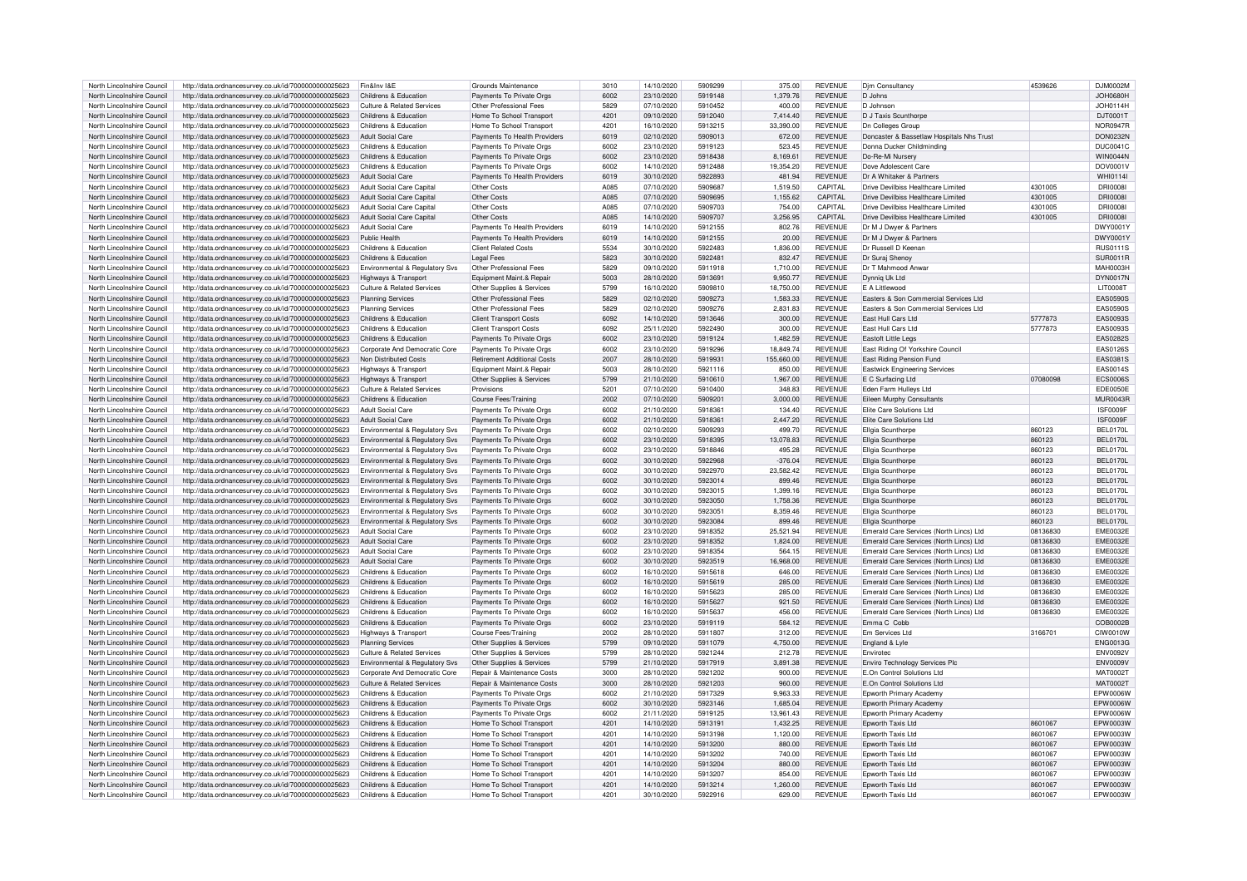| North Lincolnshire Council | http://data.ordnancesurvey.co.uk/id/7000000000025623 | Fin&Inv I&E                               | Grounds Maintenance                | 3010 | 14/10/2020 | 5909299 | 375.00     | <b>REVENUE</b> | Dim Consultancy                           | 4539626  | DJM0002M        |
|----------------------------|------------------------------------------------------|-------------------------------------------|------------------------------------|------|------------|---------|------------|----------------|-------------------------------------------|----------|-----------------|
|                            |                                                      |                                           |                                    |      |            |         |            |                |                                           |          |                 |
| North Lincolnshire Council | http://data.ordnancesurvey.co.uk/id/7000000000025623 | Childrens & Education                     | Payments To Private Orgs           | 6002 | 23/10/2020 | 5919148 | 1,379.76   | <b>REVENUE</b> | D.Johns                                   |          | IOPHORADH       |
| North Lincolnshire Council | http://data.ordnancesurvey.co.uk/id/7000000000025623 | <b>Culture &amp; Related Services</b>     | Other Professional Fees            | 5829 | 07/10/2020 | 5910452 | 400.00     | <b>REVENUE</b> | D.Johnson                                 |          | JOH0114H        |
| North Lincolnshire Council | http://data.ordnancesurvey.co.uk/id/7000000000025623 | Childrens & Education                     | Home To School Transport           | 4201 | 09/10/2020 | 5912040 | 7.414.40   | <b>REVENUE</b> | D.J Taxis Scunthorne                      |          | DJT0001T        |
| North Lincolnshire Council | http://data.ordnancesurvey.co.uk/id/7000000000025623 | Childrens & Education                     | Home To School Transport           | 4201 | 16/10/2020 | 5913215 | 33.390.00  | <b>REVENUE</b> | Dn Colleges Group                         |          | <b>NOR0947F</b> |
| North Lincolnshire Council | http://data.ordnancesurvey.co.uk/id/7000000000025623 | <b>Adult Social Care</b>                  | Payments To Health Providers       | 6019 | 02/10/2020 | 5909013 | 672.00     | <b>REVENUE</b> | Doncaster & Bassetlaw Hospitals Nhs Trust |          | <b>DON0232N</b> |
|                            |                                                      |                                           |                                    |      |            |         |            |                |                                           |          |                 |
| North Lincolnshire Council | http://data.ordnancesurvey.co.uk/id/7000000000025623 | Childrens & Education                     | Payments To Private Orgs           | 6002 | 23/10/2020 | 5919123 | 523.45     | <b>REVENUE</b> | Donna Ducker Childminding                 |          | <b>DUC0041C</b> |
| North Lincolnshire Council | http://data.ordnancesurvey.co.uk/id/7000000000025623 | Childrens & Education                     | Payments To Private Orgs           | 6002 | 23/10/2020 | 5918438 | 8,169.61   | <b>REVENUE</b> | Do-Re-Mi Nursery                          |          | <b>WIN0044N</b> |
| North Lincolnshire Council | http://data.ordnancesurvey.co.uk/id/7000000000025623 | Childrens & Education                     | Payments To Private Orgs           | 6002 | 14/10/2020 | 5912488 | 19,354.20  | <b>REVENUE</b> | Dove Adolescent Care                      |          | DOV0001V        |
| North Lincolnshire Council | http://data.ordnancesurvey.co.uk/id/7000000000025623 | Adult Social Care                         | Payments To Health Providers       | 6019 | 30/10/2020 | 5922893 | 481.94     | <b>REVENUE</b> | Dr A Whitaker & Partners                  |          | WHI0114I        |
| North Lincolnshire Council | http://data.ordnancesurvey.co.uk/id/7000000000025623 | Adult Social Care Capital                 | Other Costs                        | A085 | 07/10/2020 | 5909687 | 1,519.50   | CAPITAL        | Drive Devilbiss Healthcare Limited        | 4301005  | <b>DRI0008</b>  |
|                            |                                                      |                                           |                                    | A085 |            | 5909695 |            | CAPITAL        | Drive Devilbiss Healthcare Limited        | 4301005  | <b>DRI0008</b>  |
| North Lincolnshire Council | http://data.ordnancesurvey.co.uk/id/7000000000025623 | Adult Social Care Capital                 | Other Costs                        |      | 07/10/2020 |         | 1,155.62   |                |                                           |          |                 |
| North Lincolnshire Council | http://data.ordnancesurvey.co.uk/id/7000000000025623 | Adult Social Care Capital                 | Other Costs                        | A085 | 07/10/2020 | 5909703 | 754.00     | CAPITAL        | Drive Devilhiss Healthcare Limited        | 4301005  | <b>DRI0008I</b> |
| North Lincolnshire Council | http://data.ordnancesurvey.co.uk/id/7000000000025623 | Adult Social Care Capital                 | Other Costs                        | A085 | 14/10/2020 | 5909707 | 3,256.95   | CAPITAL        | Drive Devilbiss Healthcare Limited        | 4301005  | <b>DRI0008I</b> |
| North Lincolnshire Council | http://data.ordnancesurvey.co.uk/id/7000000000025623 | <b>Adult Social Care</b>                  | Payments To Health Providers       | 6019 | 14/10/2020 | 5912155 | 802.76     | <b>REVENUE</b> | Dr M J Dwyer & Partners                   |          | DWY0001         |
| North Lincolnshire Council | http://data.ordnancesurvey.co.uk/id/7000000000025623 | Public Health                             | Payments To Health Providers       | 6019 | 14/10/2020 | 5912155 | 20.00      | <b>REVENUE</b> | Dr M J Dwyer & Partners                   |          | DWY0001\        |
| North Lincolnshire Council | http://data.ordnancesurvey.co.uk/id/7000000000025623 | Childrens & Education                     | <b>Client Related Costs</b>        | 5534 | 30/10/2020 | 5922483 | 1.836.00   | <b>REVENUE</b> | Dr Russell D Keenar                       |          | <b>RUS0111S</b> |
| North Lincolnshire Council |                                                      | Childrens & Education                     |                                    | 5823 | 30/10/2020 | 5922481 | 832.47     | <b>REVENUE</b> | Dr Suraj Shenoy                           |          | <b>SUR0011F</b> |
|                            | http://data.ordnancesurvey.co.uk/id/7000000000025623 |                                           | <b>Legal Fees</b>                  |      |            |         |            |                |                                           |          |                 |
| North Lincolnshire Council | http://data.ordnancesurvey.co.uk/id/7000000000025623 | Environmental & Regulatory Svs            | Other Professional Fees            | 5829 | 09/10/2020 | 5911918 | 1,710.00   | <b>REVENUE</b> | Dr T Mahmood Anwar                        |          | MAH0003H        |
| North Lincolnshire Council | http://data.ordnancesurvey.co.uk/id/7000000000025623 | Highways & Transport                      | Equipment Maint.& Repair           | 5003 | 28/10/2020 | 5913691 | 9,950.77   | REVENUE        | Dynnig Uk Ltd                             |          | DYN0017N        |
| North Lincolnshire Council | http://data.ordnancesurvey.co.uk/id/7000000000025623 | Culture & Related Services                | Other Supplies & Services          | 5799 | 16/10/2020 | 5909810 | 18.750.00  | <b>REVENUE</b> | E A Littlewood                            |          | <b>LIT0008T</b> |
| North Lincolnshire Council | http://data.ordnancesurvey.co.uk/id/7000000000025623 | <b>Planning Services</b>                  | Other Professional Fees            | 5829 | 02/10/2020 | 5909273 | 1,583.33   | <b>REVENUE</b> | Easters & Son Commercial Services Ltd     |          | <b>EAS0590S</b> |
| North Lincolnshire Council | http://data.ordnancesurvey.co.uk/id/7000000000025623 | <b>Planning Services</b>                  | Other Professional Fees            | 5829 | 02/10/2020 | 5909276 | 2,831.83   | <b>REVENUE</b> | Fasters & Son Commercial Services Ltd     |          | <b>EAS0590S</b> |
| North Lincolnshire Council | http://data.ordnancesurvey.co.uk/id/7000000000025623 | Childrens & Education                     | <b>Client Transport Costs</b>      | 6092 | 14/10/2020 | 5913646 | 300.00     | <b>REVENUE</b> | East Hull Cars Ltd                        | 5777873  | EAS0093S        |
|                            |                                                      | Childrens & Education                     |                                    | 6092 | 25/11/2020 | 5922490 | 300.00     | <b>REVENUE</b> | Fast Hull Cars Ltd                        |          | FAS0093S        |
| North Lincolnshire Council | http://data.ordnancesurvey.co.uk/id/7000000000025623 |                                           | <b>Client Transport Costs</b>      |      |            |         |            |                |                                           | 5777873  |                 |
| North Lincolnshire Council | http://data.ordnancesurvey.co.uk/id/7000000000025623 | Childrens & Education                     | Payments To Private Orgs           | 6002 | 23/10/2020 | 5919124 | 1.482.59   | <b>REVENUE</b> | Eastoft Little Leas                       |          | <b>EAS0282S</b> |
| North Lincolnshire Council | http://data.ordnancesurvey.co.uk/id/7000000000025623 | Corporate And Democratic Core             | Payments To Private Orgs           | 6002 | 23/10/2020 | 5919296 | 18.849.74  | <b>REVENUE</b> | East Riding Of Yorkshire Council          |          | EAS0126S        |
| North Lincolnshire Council | http://data.ordnancesurvey.co.uk/id/7000000000025623 | Non Distributed Costs                     | <b>Retirement Additional Costs</b> | 2007 | 28/10/2020 | 5919931 | 155,660.00 | <b>REVENUE</b> | East Riding Pension Fund                  |          | EAS0381S        |
| North Lincolnshire Council | http://data.ordnancesurvey.co.uk/id/7000000000025623 | Highways & Transpor                       | Equipment Maint.& Repair           | 5003 | 28/10/2020 | 5921116 | 850.00     | <b>REVENUE</b> | <b>Eastwick Engineering Services</b>      |          | EAS0014S        |
| North Lincolnshire Council | http://data.ordnancesurvey.co.uk/id/7000000000025623 | Highways & Transport                      | Other Supplies & Services          | 5799 | 21/10/2020 | 5910610 | 1,967.00   | <b>REVENUE</b> | E C Surfacing Ltd                         | 07080098 | <b>ECS0006S</b> |
|                            |                                                      |                                           |                                    | 5201 |            | 5910400 |            |                |                                           |          |                 |
| North Lincolnshire Council | http://data.ordnancesurvey.co.uk/id/7000000000025623 | Culture & Related Services                | Provisions                         |      | 07/10/2020 |         | 348.83     | <b>REVENUE</b> | Eden Farm Hulleys Ltd                     |          | <b>EDE0050E</b> |
| North Lincolnshire Council | http://data.ordnancesurvey.co.uk/id/7000000000025623 | Childrens & Education                     | <b>Course Fees/Training</b>        | 2002 | 07/10/2020 | 5909201 | 3,000.00   | <b>REVENUE</b> | Eileen Murphy Consultants                 |          | MUR0043F        |
| North Lincolnshire Council | http://data.ordnancesurvey.co.uk/id/7000000000025623 | <b>Adult Social Care</b>                  | Payments To Private Orgs           | 6002 | 21/10/2020 | 5918361 | 134.40     | <b>REVENUE</b> | <b>Flite Care Solutions Ltd</b>           |          | ISF0009F        |
| North Lincolnshire Council | http://data.ordnancesurvey.co.uk/id/7000000000025623 | <b>Adult Social Care</b>                  | Payments To Private Orgs           | 6002 | 21/10/2020 | 5918361 | 2,447.20   | REVENUE        | Elite Care Solutions Ltd                  |          | ISF0009F        |
| North Lincolnshire Council | http://data.ordnancesurvey.co.uk/id/7000000000025623 | Environmental & Regulatory Svs            | Payments To Private Org            | 6002 | 02/10/2020 | 5909293 | 499.70     | <b>REVENUE</b> | <b>Fligia Scunthorne</b>                  | 860123   | <b>BEL0170L</b> |
| North Lincolnshire Council | http://data.ordnancesurvey.co.uk/id/7000000000025623 | Environmental & Regulatory Sys            | Payments To Private Orgs           | 6002 | 23/10/2020 | 5918395 | 13.078.83  | <b>REVENUE</b> | <b>Fligia Scunthorne</b>                  | 860123   | <b>BEL0170L</b> |
| North Lincolnshire Council |                                                      |                                           |                                    | 6002 | 23/10/2020 | 5918846 | 495.28     | <b>REVENUE</b> |                                           | 860123   | BEL0170L        |
|                            | http://data.ordnancesurvey.co.uk/id/7000000000025623 | Environmental & Regulatory Svs            | Payments To Private Orgs           |      |            |         |            |                | Ellgia Scunthorpe                         |          |                 |
| North Lincolnshire Council | http://data.ordnancesurvey.co.uk/id/7000000000025623 | Environmental & Regulatory Svs            | Payments To Private Orgs           | 6002 | 30/10/2020 | 5922968 | $-376.04$  | <b>REVENUE</b> | Ellgia Scunthorpe                         | 860123   | <b>BEL0170L</b> |
| North Lincolnshire Council | http://data.ordnancesurvey.co.uk/id/7000000000025623 | Environmental & Regulatory Svs            | Payments To Private Orgs           | 6002 | 30/10/2020 | 5922970 | 23,582.42  | REVENUE        | Ellgia Scunthorpe                         | 860123   | BEL0170L        |
| North Lincolnshire Council | http://data.ordnancesurvey.co.uk/id/7000000000025623 | Environmental & Regulatory Svs            | Payments To Private Orgs           | 6002 | 30/10/2020 | 5923014 | 899.46     | REVENUE        | Ellgia Scunthorpe                         | 860123   | <b>BEL0170L</b> |
| North Lincolnshire Council | http://data.ordnancesurvey.co.uk/id/7000000000025623 | <b>Environmental &amp; Requlatory Sys</b> | Payments To Private Oras           | 6002 | 30/10/2020 | 5923015 | 1.399.16   | <b>REVENUE</b> | <b>Fligia Scunthorne</b>                  | 860123   | <b>BEL0170L</b> |
| North Lincolnshire Council | http://data.ordnancesurvey.co.uk/id/7000000000025623 | Environmental & Regulatory Svs            | Payments To Private Orgs           | 6002 | 30/10/2020 | 5923050 | 1,758.36   | REVENUE        | Ellgia Scunthorpe                         | 860123   | BFI 0170L       |
| North Lincolnshire Council | http://data.ordnancesurvey.co.uk/id/7000000000025623 | Environmental & Regulatory Sys            |                                    | 6002 | 30/10/2020 | 5923051 | 8.359.46   | <b>REVENUE</b> | Ellgia Scunthorpe                         | 860123   | BEL0170L        |
|                            |                                                      |                                           | Payments To Private Orgs           |      |            |         |            |                |                                           |          |                 |
| North Lincolnshire Council | http://data.ordnancesurvey.co.uk/id/7000000000025623 | Environmental & Regulatory Svs            | Payments To Private Orgs           | 6002 | 30/10/2020 | 5923084 | 899.46     | REVENUE        | Ellgia Scunthorpe                         | 860123   | <b>BEL0170L</b> |
| North Lincolnshire Council | http://data.ordnancesurvey.co.uk/id/7000000000025623 | <b>Adult Social Care</b>                  | Payments To Private Orgs           | 6002 | 23/10/2020 | 5918352 | 25.521.94  | REVENUE        | Emerald Care Services (North Lincs) Ltd   | 08136830 | <b>EMF0032E</b> |
| North Lincolnshire Council | http://data.ordnancesurvey.co.uk/id/7000000000025623 | <b>Adult Social Care</b>                  | Payments To Private Orgs           | 6002 | 23/10/2020 | 5918352 | 1,824.00   | <b>REVENUE</b> | Emerald Care Services (North Lincs) Ltd   | 08136830 | <b>EME0032E</b> |
| North Lincolnshire Council | http://data.ordnancesurvey.co.uk/id/7000000000025623 | <b>Adult Social Care</b>                  | Payments To Private Orgs           | 6002 | 23/10/2020 | 5918354 | 564.15     | <b>REVENUE</b> | Emerald Care Services (North Lincs) Ltd   | 08136830 | <b>EME0032E</b> |
| North Lincolnshire Council | http://data.ordnancesurvey.co.uk/id/7000000000025623 | Adult Social Care                         | Payments To Private Orgs           | 6002 | 30/10/2020 | 5923519 | 16,968.00  | <b>REVENUE</b> | Emerald Care Services (North Lincs) Ltd   | 08136830 | <b>EME0032E</b> |
| North Lincolnshire Council | http://data.ordnancesurvey.co.uk/id/7000000000025623 | Childrens & Education                     | Payments To Private Orgs           | 6002 | 16/10/2020 | 5915618 | 646.00     | REVENUE        | Emerald Care Services (North Lincs) Ltd   | 08136830 | <b>EME0032E</b> |
| North Lincolnshire Council |                                                      | Childrens & Education                     |                                    | 6002 | 16/10/2020 | 5915619 | 285.00     | <b>REVENUE</b> |                                           | 08136830 | <b>EME0032E</b> |
|                            | http://data.ordnancesurvey.co.uk/id/7000000000025623 |                                           | Payments To Private Orgs           |      |            |         |            |                | Emerald Care Services (North Lincs) Ltd   |          |                 |
| North Lincolnshire Council | http://data.ordnancesurvey.co.uk/id/7000000000025623 | Childrens & Education                     | Payments To Private Orgs           | 6002 | 16/10/2020 | 5915623 | 285.00     | <b>REVENUE</b> | Emerald Care Services (North Lincs) Ltd   | 08136830 | <b>EME0032E</b> |
| North Lincolnshire Council | http://data.ordnancesurvey.co.uk/id/7000000000025623 | Childrens & Education                     | Payments To Private Orgs           | 6002 | 16/10/2020 | 5915627 | 921.50     | <b>REVENUE</b> | Emerald Care Services (North Lincs) Ltd   | 08136830 | <b>EME0032E</b> |
| North Lincolnshire Council | http://data.ordnancesurvey.co.uk/id/7000000000025623 | Childrens & Education                     | Payments To Private Orgs           | 6002 | 16/10/2020 | 5915637 | 456.00     | <b>REVENUE</b> | Emerald Care Services (North Lincs) Ltd   | 08136830 | <b>EME0032E</b> |
| North Lincolnshire Council | http://data.ordnancesurvey.co.uk/id/7000000000025623 | Childrens & Education                     | Payments To Private Orgs           | 6002 | 23/10/2020 | 5919119 | 584.12     | <b>REVENUE</b> | Emma C. Cobb                              |          | COB0002E        |
| North Lincolnshire Council | http://data.ordnancesurvey.co.uk/id/7000000000025623 | Highways & Transport                      | Course Fees/Training               | 2002 | 28/10/2020 | 5911807 | 312.00     | <b>REVENUE</b> | Em Services Ltd                           | 3166701  | <b>CIW0010W</b> |
| North Lincolnshire Council | http://data.ordnancesurvey.co.uk/id/7000000000025623 | <b>Planning Services</b>                  | Other Supplies & Services          | 5799 | 09/10/2020 | 5911079 | 4,750.00   | <b>REVENUE</b> | England & Lyle                            |          | <b>ENG0013G</b> |
|                            |                                                      |                                           |                                    |      |            |         |            |                |                                           |          |                 |
| North Lincolnshire Council | http://data.ordnancesurvey.co.uk/id/7000000000025623 | Culture & Related Services                | Other Supplies & Services          | 5799 | 28/10/2020 | 5921244 | 212.78     | <b>REVENUE</b> | Enviroted                                 |          | ENV0092V        |
| North Lincolnshire Council | http://data.ordnancesurvey.co.uk/id/7000000000025623 | Environmental & Regulatory Svs            | Other Supplies & Services          | 5799 | 21/10/2020 | 5917919 | 3,891.38   | <b>REVENUE</b> | Enviro Technology Services Plc            |          | <b>ENV0009V</b> |
| North Lincolnshire Council | http://data.ordnancesurvey.co.uk/id/7000000000025623 | Corporate And Democratic Core             | Repair & Maintenance Costs         | 3000 | 28/10/2020 | 5921202 | 900.00     | <b>REVENUE</b> | F.On Control Solutions Ltd                |          | <b>MAT0002T</b> |
| North Lincolnshire Council | http://data.ordnancesurvey.co.uk/id/7000000000025623 | Culture & Related Services                | Repair & Maintenance Costs         | 3000 | 28/10/2020 | 5921203 | 960.00     | REVENUE        | E.On Control Solutions Ltd                |          | MAT0002T        |
| North Lincolnshire Council | http://data.ordnancesurvey.co.uk/id/7000000000025623 | Childrens & Education                     | Payments To Private Oras           | 6002 | 21/10/2020 | 5917329 | 9.963.33   | REVENUE        | <b>Foworth Primary Academy</b>            |          | EPW0006V        |
| North Lincolnshire Council | http://data.ordnancesurvey.co.uk/id/7000000000025623 | Childrens & Education                     | Payments To Private Orgs           | 6002 | 30/10/2020 | 5923146 | 1,685.04   | <b>REVENUE</b> | Epworth Primary Academy                   |          | EPW0006W        |
| North Lincolnshire Council | http://data.ordnancesurvey.co.uk/id/7000000000025623 | Childrens & Education                     | Payments To Private Orgs           | 6002 | 21/11/2020 | 5919125 | 13.961.43  | <b>REVENUE</b> | Epworth Primary Academ                    |          | EPW0006V        |
|                            |                                                      |                                           |                                    |      |            |         |            |                |                                           |          |                 |
| North Lincolnshire Council | http://data.ordnancesurvey.co.uk/id/7000000000025623 | Childrens & Education                     | Home To School Transport           | 4201 | 14/10/2020 | 5913191 | 1.432.25   | <b>REVENUE</b> | Epworth Taxis Ltd                         | 8601067  | EPW0003W        |
| North Lincolnshire Council | http://data.ordnancesurvey.co.uk/id/7000000000025623 | Childrens & Education                     | Home To School Transpor            | 4201 | 14/10/2020 | 5913198 | 1,120.00   | <b>REVENUE</b> | Foworth Taxis Ltd                         | 8601067  | EPW0003V        |
| North Lincolnshire Council | http://data.ordnancesurvey.co.uk/id/7000000000025623 | Childrens & Education                     | Home To School Transport           | 4201 | 14/10/2020 | 5913200 | 880.00     | <b>REVENUE</b> | Epworth Taxis Ltd                         | 8601067  | EPW0003W        |
| North Lincolnshire Council | http://data.ordnancesurvey.co.uk/id/7000000000025623 | Childrens & Education                     | Home To School Transport           | 4201 | 14/10/2020 | 5913202 | 740.00     | <b>REVENUE</b> | Epworth Taxis Ltd                         | 8601067  | EPW0003W        |
| North Lincolnshire Council | http://data.ordnancesurvey.co.uk/id/7000000000025623 | Childrens & Education                     | Home To School Transport           | 4201 | 14/10/2020 | 5913204 | 880.00     | <b>REVENUE</b> | Epworth Taxis Ltd                         | 8601067  | EPW0003W        |
| North Lincolnshire Council | http://data.ordnancesurvey.co.uk/id/7000000000025623 | Childrens & Education                     | Home To School Transport           | 4201 | 14/10/2020 | 5913207 | 854.00     | <b>REVENUE</b> | Epworth Taxis Ltd                         | 8601067  | EPW0003W        |
| North Lincolnshire Council | http://data.ordnancesurvey.co.uk/id/7000000000025623 | Childrens & Education                     | Home To School Transport           | 4201 | 14/10/2020 | 5913214 | 1.260.00   | <b>REVENUE</b> | Foworth Taxis Ltd                         | 8601067  | EPW0003W        |
|                            |                                                      |                                           |                                    |      |            |         |            |                |                                           |          |                 |
| North Lincolnshire Council | http://data.ordnancesurvey.co.uk/id/7000000000025623 | Childrens & Education                     | Home To School Transport           | 4201 | 30/10/2020 | 5922916 | 629.00     | <b>REVENUE</b> | Foworth Taxis Ltd                         | 8601067  | FPW0003W        |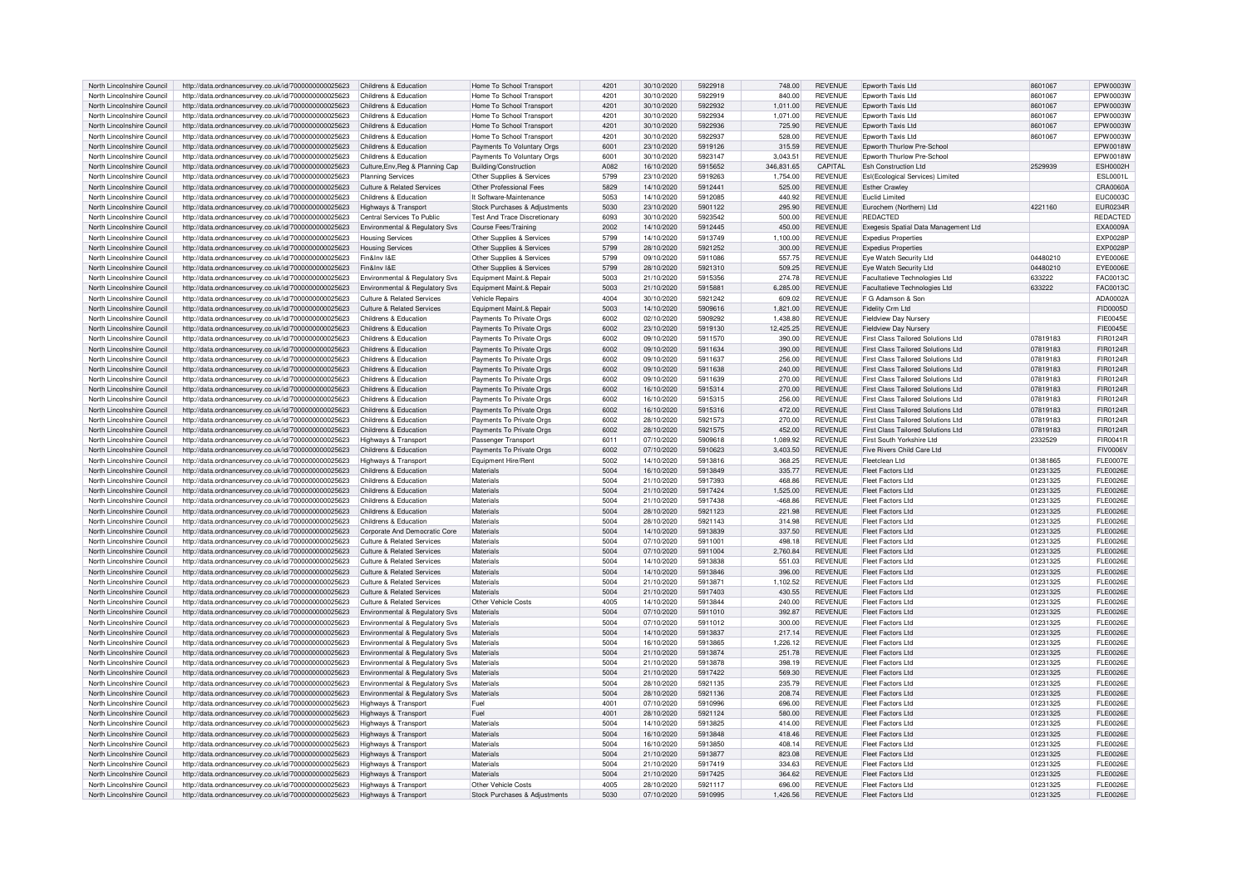| North Lincolnshire Council | http://data.ordnancesurvey.co.uk/id/7000000000025623                                                         | Childrens & Education                        | Home To School Transport            | 4201 | 30/10/2020 | 5922918 | 748.00     | <b>REVENUE</b> | Epworth Taxis Ltd                         | 8601067              | EPW0003W        |
|----------------------------|--------------------------------------------------------------------------------------------------------------|----------------------------------------------|-------------------------------------|------|------------|---------|------------|----------------|-------------------------------------------|----------------------|-----------------|
| North Lincolnshire Council | http://data.ordnancesurvey.co.uk/id/7000000000025623                                                         | Childrens & Education                        | Home To School Transport            | 4201 | 30/10/2020 | 5922919 | 840.00     | <b>REVENUE</b> | Epworth Taxis Ltd                         | 8601067              | EPW0003W        |
| North Lincolnshire Council | http://data.ordnancesurvey.co.uk/id/7000000000025623                                                         | Childrens & Education                        | Home To School Transport            | 4201 | 30/10/2020 | 5922932 | 1,011.00   | <b>REVENUE</b> | Epworth Taxis Ltd                         | 8601067              | EPW0003W        |
| North Lincolnshire Council |                                                                                                              | Childrens & Education                        | Home To School Transport            | 4201 |            | 5922934 |            | <b>REVENUE</b> | Foworth Taxis I td                        | 8601067              | FPW0003W        |
|                            | http://data.ordnancesurvey.co.uk/id/7000000000025623                                                         |                                              |                                     |      | 30/10/2020 |         | 1,071.00   |                |                                           |                      |                 |
| North Lincolnshire Council | http://data.ordnancesurvey.co.uk/id/7000000000025623                                                         | Childrens & Education                        | Home To School Transport            | 4201 | 30/10/2020 | 5922936 | 725.90     | <b>REVENUE</b> | Epworth Taxis Ltd                         | 8601067              | EPW0003W        |
| North Lincolnshire Council | http://data.ordnancesurvey.co.uk/id/7000000000025623                                                         | Childrens & Education                        | Home To School Transport            | 4201 | 30/10/2020 | 5922937 | 528.00     | <b>REVENUE</b> | Foworth Taxis I td                        | 301063               | EPW0003W        |
| North Lincolnshire Council | http://data.ordnancesurvey.co.uk/id/7000000000025623                                                         | Childrens & Education                        | Payments To Voluntary Orgs          | 6001 | 23/10/2020 | 5919126 | 315.59     | <b>REVENUE</b> | Epworth Thurlow Pre-School                |                      | EPW0018W        |
| North Lincolnshire Council | http://data.ordnancesurvey.co.uk/id/7000000000025623                                                         | Childrens & Education                        | Payments To Voluntary Orgs          | 6001 | 30/10/2020 | 5923147 | 3.043.5    | <b>REVENUE</b> | Foworth Thurlow Pre-School                |                      | EPW0018W        |
| North Lincolnshire Council | http://data.ordnancesurvey.co.uk/id/7000000000025623                                                         | Culture, Env, Reg & Planning Cap             | <b>Building/Construction</b>        | A082 | 16/10/2020 | 5915652 | 346,831.65 | CAPITAL        | <b>Esh Construction Ltd</b>               | 2529939              | <b>ESH0002H</b> |
| North Lincolnshire Council | http://data.ordnancesurvey.co.uk/id/7000000000025623                                                         | <b>Planning Services</b>                     | Other Supplies & Services           | 5799 | 23/10/2020 | 5919263 | 1,754.00   | <b>REVENUE</b> | Esl(Ecological Services) Limited          |                      | ESL0001L        |
| North Lincolnshire Council | http://data.ordnancesurvey.co.uk/id/7000000000025623                                                         | Culture & Related Services                   | Other Professional Fees             | 5829 | 14/10/2020 | 5912441 | 525.00     | <b>REVENUE</b> | <b>Esther Crawley</b>                     |                      | CRA0060A        |
| North Lincolnshire Council | http://data.ordnancesurvey.co.uk/id/7000000000025623                                                         | Childrens & Education                        | It Software-Maintenance             | 5053 | 14/10/2020 | 5912085 | 440.92     | <b>REVENUE</b> | Euclid Limited                            |                      | EUC0003C        |
|                            |                                                                                                              |                                              |                                     |      |            | 5901122 |            |                |                                           | 4221160              |                 |
| North Lincolnshire Council | http://data.ordnancesurvey.co.uk/id/7000000000025623                                                         | Highways & Transport                         | Stock Purchases & Adjustments       | 5030 | 23/10/2020 |         | 295.90     | <b>REVENUE</b> | Furochem (Northern) I td                  |                      | <b>EUR0234R</b> |
| North Lincolnshire Council | http://data.ordnancesurvey.co.uk/id/7000000000025623                                                         | Central Services To Public                   | <b>Test And Trace Discretionary</b> | 6093 | 30/10/2020 | 5923542 | 500.00     | <b>REVENUE</b> | <b>REDACTED</b>                           |                      | REDACTED        |
| North Lincolnshire Council | http://data.ordnancesurvey.co.uk/id/7000000000025623                                                         | Environmental & Regulatory Svs               | Course Fees/Training                | 2002 | 14/10/2020 | 5912445 | 450.00     | <b>REVENUE</b> | Exegesis Spatial Data Management Ltd      |                      | <b>EXA0009A</b> |
| North Lincolnshire Council | http://data.ordnancesurvey.co.uk/id/7000000000025623                                                         | <b>Housing Services</b>                      | Other Supplies & Services           | 5799 | 14/10/2020 | 5913749 | 1,100.00   | <b>REVENUE</b> | <b>Expedius Properties</b>                |                      | <b>EXP0028P</b> |
| North Lincolnshire Council | http://data.ordnancesurvey.co.uk/id/7000000000025623                                                         | <b>Housing Services</b>                      | Other Supplies & Services           | 5799 | 28/10/2020 | 5921252 | 300.00     | <b>REVENUE</b> | <b>Expedius Properties</b>                |                      | <b>EXP0028P</b> |
| North Lincolnshire Council | http://data.ordnancesurvey.co.uk/id/7000000000025623                                                         | Fin&Inv I&F                                  | Other Supplies & Services           | 5799 | 09/10/2020 | 5911086 | 557.75     | <b>REVENUE</b> | Fve Watch Security Ltd                    | 04480210             | <b>EYE0006E</b> |
| North Lincolnshire Council | http://data.ordnancesurvey.co.uk/id/7000000000025623                                                         | Fin&Inv I&F                                  | Other Supplies & Services           | 5799 | 28/10/2020 | 5921310 | 509.25     | <b>REVENUE</b> | Eye Watch Security Ltd                    | 04480210             | <b>EYE0006E</b> |
|                            |                                                                                                              |                                              |                                     |      |            |         |            |                |                                           |                      |                 |
| North Lincolnshire Council | http://data.ordnancesurvey.co.uk/id/7000000000025623                                                         | Environmental & Regulatory Svs               | Equipment Maint.& Repair            | 5003 | 21/10/2020 | 5915356 | 274.78     | <b>REVENUE</b> | Facultatieve Technologies Ltd             | 633222               | FAC0013C        |
| North Lincolnshire Council | http://data.ordnancesurvey.co.uk/id/7000000000025623                                                         | <b>Environmental &amp; Regulatory Svs</b>    | Equipment Maint.& Repair            | 5003 | 21/10/2020 | 5915881 | 6,285.00   | <b>REVENUE</b> | Facultatieve Technologies Ltd             | 633222               | FAC0013C        |
| North Lincolnshire Council | http://data.ordnancesurvey.co.uk/id/7000000000025623                                                         | <b>Culture &amp; Related Services</b>        | <b>Vehicle Repairs</b>              | 4004 | 30/10/2020 | 5921242 | 609.02     | <b>REVENUE</b> | F G Adamson & Son                         |                      | ADA0002A        |
| North Lincolnshire Council | http://data.ordnancesurvey.co.uk/id/7000000000025623                                                         | Culture & Related Services                   | Equipment Maint.& Repair            | 5003 | 14/10/2020 | 5909616 | 1,821.00   | <b>REVENUE</b> | Fidelity Crm Ltd                          |                      | FID0005D        |
| North Lincolnshire Council | http://data.ordnancesurvey.co.uk/id/7000000000025623                                                         | Childrens & Education                        | Payments To Private Orgs            | 6002 | 02/10/2020 | 5909292 | 1.438.80   | <b>REVENUE</b> | Fieldview Day Nursery                     |                      | <b>FIE0045E</b> |
| North Lincolnshire Council | http://data.ordnancesurvey.co.uk/id/7000000000025623                                                         | Childrens & Education                        | Payments To Private Orgs            | 6002 | 23/10/2020 | 5919130 | 12,425.25  | <b>REVENUE</b> | <b>Fieldview Day Nurser</b>               |                      | <b>FIE0045E</b> |
| North Lincolnshire Council | http://data.ordnancesurvey.co.uk/id/7000000000025623                                                         | Childrens & Education                        | Payments To Private Orgs            | 6002 | 09/10/2020 | 5911570 | 390.00     | <b>REVENUE</b> | First Class Tailored Solutions Ltd        | 07819183             | FIR0124R        |
|                            |                                                                                                              | Childrens & Education                        |                                     | 6002 |            | 5911634 | 390.00     | <b>REVENUE</b> |                                           |                      |                 |
| North Lincolnshire Council | http://data.ordnancesurvey.co.uk/id/7000000000025623                                                         |                                              | Payments To Private Orgs            |      | 09/10/2020 |         |            |                | First Class Tailored Solutions Ltd        | 07819183             | FIR0124R        |
| North Lincolnshire Council | http://data.ordnancesurvey.co.uk/id/7000000000025623                                                         | Childrens & Education                        | Payments To Private Orgs            | 6002 | 09/10/2020 | 5911637 | 256.00     | <b>REVENUE</b> | First Class Tailored Solutions Ltd        | 07819183             | FIR0124R        |
| North Lincolnshire Council | http://data.ordnancesurvey.co.uk/id/7000000000025623                                                         | Childrens & Education                        | Payments To Private Orgs            | 6002 | 09/10/2020 | 5911638 | 240.00     | <b>REVENUE</b> | First Class Tailored Solutions Ltd        | 07819183             | FIR0124R        |
| North Lincolnshire Council | http://data.ordnancesurvey.co.uk/id/7000000000025623                                                         | Childrens & Education                        | Payments To Private Orgs            | 6002 | 09/10/2020 | 5911639 | 270.00     | <b>REVENUE</b> | First Class Tailored Solutions Ltd        | 07819183             | FIR0124R        |
| North Lincolnshire Council | http://data.ordnancesurvey.co.uk/id/7000000000025623                                                         | Childrens & Education                        | Payments To Private Orgs            | 6002 | 16/10/2020 | 5915314 | 270.00     | <b>REVENUE</b> | First Class Tailored Solutions Ltd        | 07819183             | FIR0124R        |
| North Lincolnshire Council | http://data.ordnancesurvey.co.uk/id/7000000000025623                                                         | Childrens & Education                        | Payments To Private Oras            | 6002 | 16/10/2020 | 5915315 | 256.00     | <b>REVENUE</b> | First Class Tailored Solutions Ltd        | 07819183             | FIR0124R        |
| North Lincolnshire Council | http://data.ordnancesurvey.co.uk/id/7000000000025623                                                         | Childrens & Education                        | Payments To Private Orgs            | 6002 | 16/10/2020 | 5915316 | 472.00     | <b>REVENUE</b> | First Class Tailored Solutions Ltd        | 07819183             | FIR0124R        |
|                            |                                                                                                              |                                              |                                     | 6002 |            |         |            | <b>REVENUE</b> | First Class Tailored Solutions Ltd        |                      |                 |
| North Lincolnshire Council | http://data.ordnancesurvey.co.uk/id/7000000000025623                                                         | Childrens & Education                        | Payments To Private Orgs            |      | 28/10/2020 | 5921573 | 270.00     |                |                                           | 07819183             | FIR0124R        |
| North Lincolnshire Council | http://data.ordnancesurvey.co.uk/id/7000000000025623                                                         | Childrens & Education                        | Payments To Private Orgs            | 6002 | 28/10/2020 | 5921575 | 452.00     | <b>REVENUE</b> | <b>First Class Tailored Solutions Ltd</b> | 07819183             | FIR0124R        |
| North Lincolnshire Council | http://data.ordnancesurvey.co.uk/id/7000000000025623                                                         | Highways & Transport                         | Passenger Transpor                  | 6011 | 07/10/2020 | 5909618 | 1.089.92   | <b>REVENUE</b> | First South Yorkshire I td                | 2332529              | FIR0041F        |
| North Lincolnshire Council | http://data.ordnancesurvey.co.uk/id/7000000000025623                                                         | Childrens & Education                        | Payments To Private Orgs            | 6002 | 07/10/2020 | 5910623 | 3.403.50   | <b>REVENUE</b> | Five Rivers Child Care Ltd                |                      | <b>FIV0006V</b> |
| North Lincolnshire Council | http://data.ordnancesurvey.co.uk/id/7000000000025623                                                         | <b>Highways &amp; Transport</b>              | Equipment Hire/Rent                 | 5002 | 14/10/2020 | 5913816 | 368.25     | <b>REVENUE</b> | Fleetclean I to                           | 01381865             | <b>FLE0007E</b> |
| North Lincolnshire Council | http://data.ordnancesurvey.co.uk/id/7000000000025623                                                         | Childrens & Education                        | Materials                           | 5004 | 16/10/2020 | 5913849 | 335.77     | <b>REVENUE</b> | Fleet Factors Ltd                         | 01231325             | <b>FLE0026E</b> |
| North Lincolnshire Council | http://data.ordnancesurvey.co.uk/id/7000000000025623                                                         | Childrens & Education                        | Materials                           | 5004 | 21/10/2020 | 5917393 | 468.86     | <b>REVENUE</b> | <b>Fleet Factors Ltd</b>                  | 01231325             | <b>FLE0026E</b> |
| North Lincolnshire Council | http://data.ordnancesurvey.co.uk/id/7000000000025623                                                         | Childrens & Education                        | Materials                           | 5004 | 21/10/2020 | 5917424 | 1.525.00   | <b>REVENUE</b> | Fleet Factors Ltd                         | 01231325             | <b>FLE0026E</b> |
|                            |                                                                                                              |                                              | Materials                           |      |            | 5917438 |            |                | Fleet Factors Ltd                         |                      |                 |
| North Lincolnshire Council | http://data.ordnancesurvey.co.uk/id/7000000000025623                                                         | Childrens & Education                        |                                     | 5004 | 21/10/2020 |         | $-468.86$  | <b>REVENUE</b> |                                           | 01231325             | <b>FLE0026E</b> |
| North Lincolnshire Council | http://data.ordnancesurvey.co.uk/id/7000000000025623                                                         | Childrens & Education                        | Materials                           | 5004 | 28/10/2020 | 5921123 | 221.98     | <b>REVENUE</b> | Fleet Factors I td                        | 01231325             | <b>FLE0026E</b> |
| North Lincolnshire Council | http://data.ordnancesurvey.co.uk/id/7000000000025623                                                         | Childrens & Education                        | Materials                           | 5004 | 28/10/2020 | 5921143 | 314.98     | <b>REVENUE</b> | <b>Fleet Factors Ltd</b>                  | 01231325             | <b>FLE0026E</b> |
| North Lincolnshire Council | http://data.ordnancesurvey.co.uk/id/7000000000025623                                                         | Corporate And Democratic Core                | Materials                           | 5004 | 14/10/2020 | 5913839 | 337.50     | <b>REVENUE</b> | Fleet Factors Ltd                         | 01231325             | <b>FLE0026E</b> |
| North Lincolnshire Council | http://data.ordnancesurvey.co.uk/id/7000000000025623                                                         | Culture & Related Services                   | Materials                           | 5004 | 07/10/2020 | 5911001 | 498.18     | <b>REVENUE</b> | Fleet Factors I td                        | 01231325             | <b>FLE0026E</b> |
| North Lincolnshire Council | http://data.ordnancesurvey.co.uk/id/7000000000025623                                                         | <b>Culture &amp; Related Services</b>        | Materials                           | 5004 | 07/10/2020 | 5911004 | 2,760.84   | <b>REVENUE</b> | Fleet Factors Ltd                         | 01231325             | FL E0026E       |
| North Lincolnshire Council |                                                                                                              | Culture & Related Services                   | Materials                           | 5004 | 14/10/2020 | 5913838 | 551.03     | <b>REVENUE</b> | Fleet Factors Ltd                         | 01231325             | FL F0026F       |
|                            | http://data.ordnancesurvey.co.uk/id/7000000000025623                                                         |                                              |                                     |      |            |         |            |                |                                           |                      |                 |
| North Lincolnshire Council | http://data.ordnancesurvey.co.uk/id/7000000000025623                                                         | Culture & Related Services                   | Materials                           | 5004 | 14/10/2020 | 5913846 | 396.00     | <b>REVENUE</b> | <b>Fleet Factors Ltd</b>                  | 01231325             | <b>FLE0026E</b> |
| North Lincolnshire Council | http://data.ordnancesurvey.co.uk/id/7000000000025623                                                         | Culture & Related Services                   | Materials                           | 5004 | 21/10/2020 | 5913871 | 1,102.52   | <b>REVENUE</b> | Fleet Factors Ltd                         | 01231325             | FL E0026E       |
| North Lincolnshire Council | http://data.ordnancesurvey.co.uk/id/7000000000025623                                                         | <b>Culture &amp; Related Services</b>        | Materials                           | 5004 | 21/10/2020 | 5917403 | 430.55     | <b>REVENUE</b> | <b>Fleet Factors Ltd</b>                  | 01231325             | <b>FLE0026E</b> |
| North Lincolnshire Council | http://data.ordnancesurvey.co.uk/id/7000000000025623                                                         | <b>Culture &amp; Related Services</b>        | Other Vehicle Costs                 | 4005 | 14/10/2020 | 5913844 | 240.00     | <b>REVENUE</b> | Fleet Factors Ltd                         | 01231325             | <b>FLE0026E</b> |
| North Lincolnshire Council | http://data.ordnancesurvey.co.uk/id/7000000000025623                                                         | Environmental & Regulatory Svs               | Materials                           | 5004 | 07/10/2020 | 5911010 | 392.87     | <b>REVENUE</b> | Fleet Factors I td                        | 01231325             | FL E0026E       |
| North Lincolnshire Council | http://data.ordnancesurvey.co.uk/id/7000000000025623                                                         | Environmental & Regulatory Svs               | Materials                           | 5004 | 07/10/2020 | 5911012 | 300.00     | <b>REVENUE</b> | Fleet Factors Ltd                         | 01231325             | <b>FLE0026E</b> |
| North Lincolnshire Council | http://data.ordnancesurvey.co.uk/id/7000000000025623                                                         | Environmental & Regulatory Svs               | Materials                           | 5004 | 14/10/2020 | 5913837 | 217.14     | <b>REVENUE</b> | Fleet Factors I td                        | 01231325             | <b>FLE0026E</b> |
| North Lincolnshire Council | http://data.ordnancesurvey.co.uk/id/7000000000025623                                                         | Environmental & Regulatory Svs               | Materials                           | 5004 | 16/10/2020 | 5913865 | 1,226.12   | <b>REVENUE</b> | <b>Fleet Factors Ltd</b>                  | 01231325             | <b>FLE0026E</b> |
|                            | http://data.ordnancesurvey.co.uk/id/7000000000025623                                                         | <b>Environmental &amp; Regulatory Svs</b>    |                                     |      |            | 5913874 |            |                |                                           |                      |                 |
| North Lincolnshire Council |                                                                                                              |                                              | Materials                           | 5004 | 21/10/2020 |         | 251.78     | <b>REVENUE</b> | Fleet Factors Ltd                         | 01231325             | <b>FLE0026E</b> |
| North Lincolnshire Council |                                                                                                              |                                              |                                     |      |            |         |            |                |                                           |                      |                 |
| North Lincolnshire Council | http://data.ordnancesurvey.co.uk/id/7000000000025623                                                         | Environmental & Regulatory Svs               | Materials                           | 5004 | 21/10/2020 | 5913878 | 398.19     | <b>REVENUE</b> | <b>Fleet Factors Ltd</b>                  | 01231325             | <b>FLE0026E</b> |
|                            | http://data.ordnancesurvey.co.uk/id/7000000000025623                                                         | Environmental & Regulatory Svs               | Materials                           | 5004 | 21/10/2020 | 5917422 | 569.30     | <b>REVENUE</b> | <b>Fleet Factors Ltd</b>                  | 01231325             | <b>FLE0026E</b> |
| North Lincolnshire Council | http://data.ordnancesurvey.co.uk/id/7000000000025623                                                         | Environmental & Regulatory Svs               | Materials                           | 5004 | 28/10/2020 | 5921135 | 235.79     | <b>REVENUE</b> | <b>Fleet Factors Ltd</b>                  | 01231325             | <b>FLE0026E</b> |
| North Lincolnshire Council | http://data.ordnancesurvey.co.uk/id/7000000000025623                                                         | <b>Environmental &amp; Regulatory Svs</b>    | Materials                           | 5004 | 28/10/2020 | 5921136 | 208.74     | <b>REVENUE</b> | Fleet Factors Ltd                         | 01231325             | <b>FLE0026E</b> |
|                            |                                                                                                              |                                              | Fuel                                |      |            | 5910996 |            |                | Fleet Factors Ltd                         |                      |                 |
| North Lincolnshire Council | http://data.ordnancesurvey.co.uk/id/7000000000025623                                                         | <b>Highways &amp; Transport</b>              |                                     | 4001 | 07/10/2020 |         | 696.00     | <b>REVENUE</b> |                                           | 01231325             | <b>FLE0026E</b> |
| North Lincolnshire Council | http://data.ordnancesurvey.co.uk/id/7000000000025623                                                         | <b>Highways &amp; Transport</b>              | Fuel                                | 4001 | 28/10/2020 | 5921124 | 580.00     | <b>REVENUE</b> | Fleet Factors Ltd                         | 01231325             | <b>FLE0026E</b> |
| North Lincolnshire Council | http://data.ordnancesurvey.co.uk/id/7000000000025623                                                         | Highways & Transport                         | Materials                           | 5004 | 14/10/2020 | 5913825 | 414.00     | <b>REVENUE</b> | Fleet Factors Ltd                         | 01231325             | <b>FLE0026E</b> |
| North Lincolnshire Council | http://data.ordnancesurvey.co.uk/id/7000000000025623                                                         | <b>Highways &amp; Transport</b>              | Materials                           | 5004 | 16/10/2020 | 5913848 | 418.46     | <b>REVENUE</b> | Fleet Factors Ltd                         | 01231325             | <b>FLE0026E</b> |
| North Lincolnshire Council | http://data.ordnancesurvey.co.uk/id/7000000000025623                                                         | <b>Highways &amp; Transport</b>              | Materials                           | 5004 | 16/10/2020 | 5913850 | 408.14     | <b>REVENUE</b> | Fleet Factors Ltd                         | 01231325             | <b>FLE0026E</b> |
| North Lincolnshire Council | http://data.ordnancesurvey.co.uk/id/7000000000025623                                                         | <b>Highways &amp; Transport</b>              | Materials                           | 5004 | 21/10/2020 | 5913877 | 823.08     | <b>REVENUE</b> | Fleet Factors Ltd                         | 01231325             | <b>FLE0026E</b> |
| North Lincolnshire Council | http://data.ordnancesurvey.co.uk/id/7000000000025623                                                         | Highways & Transport                         | Materials                           | 5004 | 21/10/2020 | 5917419 | 334.63     | <b>REVENUE</b> | Fleet Factors Ltd                         | 01231325             | <b>FLE0026E</b> |
| North Lincolnshire Council |                                                                                                              | Highways & Transport                         | Materials                           | 5004 | 21/10/2020 | 5917425 | 364.62     | <b>REVENUE</b> | Fleet Factors Ltd                         | 01231325             | <b>FLE0026E</b> |
| North Lincolnshire Council | http://data.ordnancesurvey.co.uk/id/7000000000025623                                                         |                                              | Other Vehicle Costs                 | 4005 | 28/10/2020 | 5921117 | 696.00     | <b>REVENUE</b> | Fleet Factors I td                        |                      | <b>FLE0026E</b> |
| North Lincolnshire Council | http://data.ordnancesurvey.co.uk/id/7000000000025623<br>http://data.ordnancesurvey.co.uk/id/7000000000025623 | Highways & Transport<br>Highways & Transport | Stock Purchases & Adjustments       | 5030 | 07/10/2020 | 5910995 | 1,426.56   | REVENUE        | <b>Fleet Factors Ltd</b>                  | 01231325<br>01231325 | <b>FLE0026E</b> |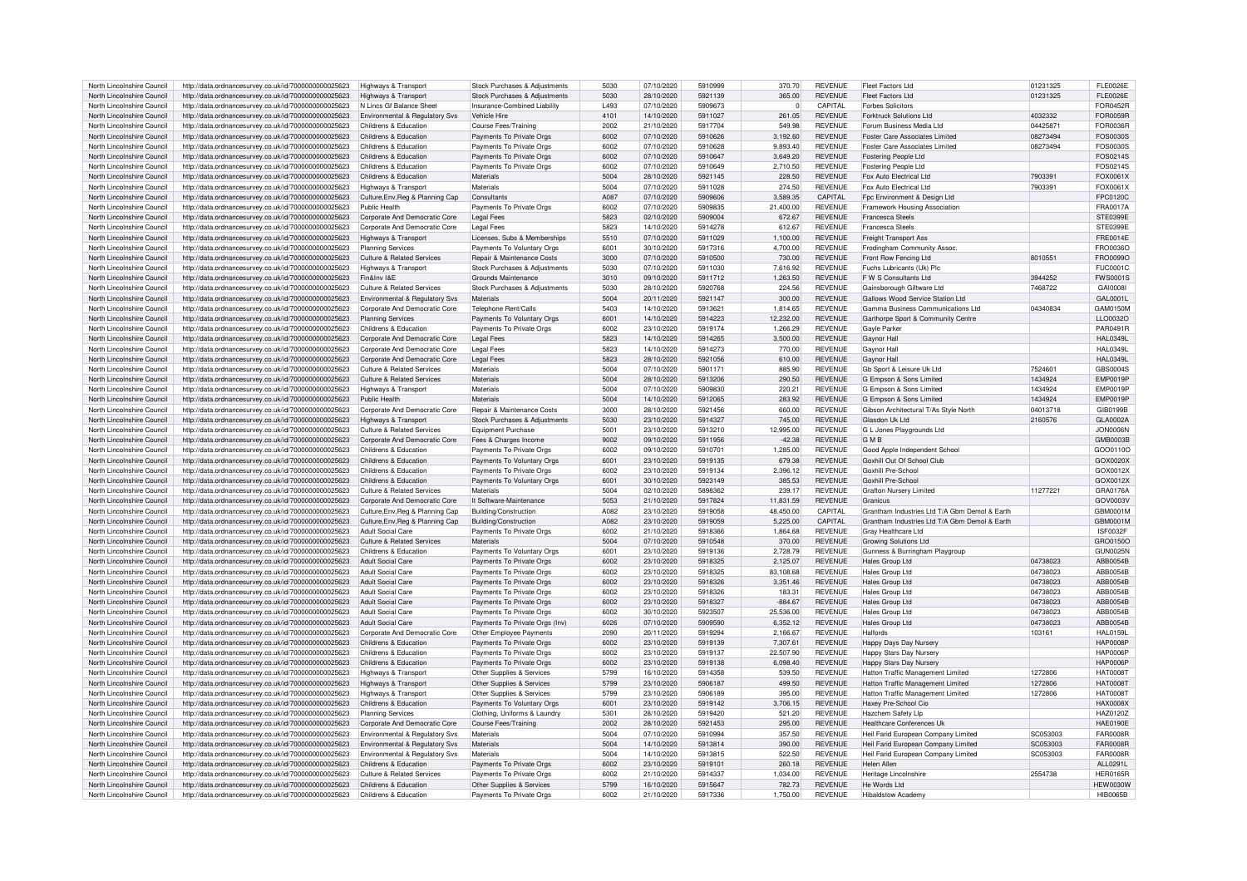| North Lincolnshire Council                               |                                                                                                              |                                       |                                                       | 5030    | 07/10/2020 | 5910999 | 370.70    | <b>REVENUE</b>                   | Fleet Factors Ltd                             | 01231325 | <b>FLE0026E</b>                    |
|----------------------------------------------------------|--------------------------------------------------------------------------------------------------------------|---------------------------------------|-------------------------------------------------------|---------|------------|---------|-----------|----------------------------------|-----------------------------------------------|----------|------------------------------------|
|                                                          | http://data.ordnancesurvey.co.uk/id/7000000000025623                                                         | Highways & Transport                  | Stock Purchases & Adjustments                         |         |            |         |           |                                  |                                               |          |                                    |
| North Lincolnshire Council                               | http://data.ordnancesurvey.co.uk/id/7000000000025623                                                         | Highways & Transport                  | Stock Purchases & Adiustments                         | 5030    | 28/10/2020 | 5921139 | 365.00    | <b>REVENUE</b>                   | <b>Fleet Factors Ltd</b>                      | 01231325 | <b>FLE0026E</b>                    |
| North Lincolnshire Council                               | http://data.ordnancesurvey.co.uk/id/7000000000025623                                                         | N Lincs Gf Balance Sheet              | Insurance-Combined Liability                          | 493     | 07/10/2020 | 5909673 | $\Omega$  | CAPITAI                          | <b>Forbes Solicitors</b>                      |          | <b>FOR0452R</b>                    |
|                                                          |                                                                                                              |                                       |                                                       |         |            |         |           |                                  |                                               |          |                                    |
| North Lincolnshire Council                               | http://data.ordnancesurvey.co.uk/id/7000000000025623                                                         | Environmental & Regulatory Svs        | Vehicle Hire                                          | 4101    | 14/10/2020 | 5911027 | 261.05    | <b>REVENUE</b>                   | <b>Forktruck Solutions Ltd</b>                | 4032332  | <b>FOR0059F</b>                    |
| North Lincolnshire Council                               | http://data.ordnancesurvey.co.uk/id/7000000000025623                                                         | Childrens & Education                 | Course Fees/Training                                  | 2002    | 21/10/2020 | 5917704 | 549.98    | <b>REVENUE</b>                   | Forum Business Media Ltd                      | 04425871 | <b>FOR0036F</b>                    |
| North Lincolnshire Council                               | http://data.ordnancesurvey.co.uk/id/7000000000025623                                                         | Childrens & Education                 | Payments To Private Orgs                              | 6002    | 07/10/2020 | 5910626 | 3,192.60  | <b>REVENUE</b>                   | <b>Enster Care Associates Limited</b>         | 08273494 | FOS0030S                           |
|                                                          |                                                                                                              |                                       |                                                       |         |            |         |           |                                  |                                               |          |                                    |
| North Lincolnshire Council                               | http://data.ordnancesurvey.co.uk/id/7000000000025623                                                         | Childrens & Education                 | Payments To Private Orgs                              | 6002    | 07/10/2020 | 5910628 | 9,893.40  | <b>REVENUE</b>                   | Foster Care Associates Limited                | 08273494 | FOS0030S                           |
| North Lincolnshire Council                               | http://data.ordnancesurvey.co.uk/id/7000000000025623                                                         | Childrens & Education                 | Payments To Private Orgs                              | 6002    | 07/10/2020 | 5910647 | 3,649.20  | <b>REVENUE</b>                   | Fostering People Ltd                          |          | FOS0214S                           |
| North Lincolnshire Council                               | http://data.ordnancesurvey.co.uk/id/7000000000025623                                                         | Childrens & Education                 | Payments To Private Orgs                              | 6002    | 07/10/2020 | 5910649 | 2,710.50  | <b>REVENUE</b>                   | Fostering People Ltd                          |          | FOS0214S                           |
|                                                          |                                                                                                              |                                       |                                                       |         |            |         |           |                                  |                                               |          |                                    |
| North Lincolnshire Council                               | http://data.ordnancesurvey.co.uk/id/7000000000025623                                                         | Childrens & Education                 | Materials                                             | 5004    | 28/10/2020 | 5921145 | 228.50    | <b>REVENUE</b>                   | Fox Auto Electrical Ltd                       | 7903391  | FOX0061X                           |
| North Lincolnshire Council                               | http://data.ordnancesurvey.co.uk/id/7000000000025623                                                         | Highways & Transport                  | Materials                                             | 5004    | 07/10/2020 | 5911028 | 274.50    | <b>REVENUE</b>                   | Fox Auto Flectrical Ltd                       | 7903391  | FOX0061X                           |
| North Lincolnshire Council                               | http://data.ordnancesurvey.co.uk/id/7000000000025623                                                         | Culture, Env, Reg & Planning Cap      | Consultants                                           | A087    | 07/10/2020 | 5909606 | 3,589.35  | CAPITAL                          | Fpc Environment & Design Ltd                  |          | FPC0120C                           |
|                                                          |                                                                                                              |                                       |                                                       |         |            |         |           |                                  |                                               |          |                                    |
| North Lincolnshire Council                               | http://data.ordnancesurvey.co.uk/id/7000000000025623                                                         | Public Health                         | Payments To Private Orgs                              | 6002    | 07/10/2020 | 5909835 | 21,400.00 | <b>REVENUE</b>                   | Framework Housing Association                 |          | FRA0017A                           |
| North Lincolnshire Council                               | http://data.ordnancesurvey.co.uk/id/7000000000025623                                                         | Corporate And Democratic Core         | <b>Legal Fees</b>                                     | 5823    | 02/10/2020 | 5909004 | 672.67    | <b>REVENUE</b>                   | <b>Francesca Steels</b>                       |          | STF0399F                           |
| North Lincolnshire Council                               | http://data.ordnancesurvey.co.uk/id/7000000000025623                                                         | Corporate And Democratic Core         | <b>Legal Fees</b>                                     | 5823    | 14/10/2020 | 5914278 | 612.67    | <b>REVENUE</b>                   | <b>Francesca Steels</b>                       |          | STE0399E                           |
|                                                          |                                                                                                              |                                       |                                                       |         |            |         |           |                                  |                                               |          |                                    |
| North Lincolnshire Council                               | http://data.ordnancesurvey.co.uk/id/7000000000025623                                                         | Highways & Transport                  | Licenses, Subs & Memberships                          | 5510    | 07/10/2020 | 5911029 | 1.100.00  | <b>REVENUE</b>                   | Freight Transport Ass                         |          | FRF0014F                           |
| North Lincolnshire Council                               | http://data.ordnancesurvey.co.uk/id/7000000000025623                                                         | <b>Planning Services</b>              | Payments To Voluntary Oras                            | 6001    | 30/10/2020 | 5917316 | 4,700.00  | <b>REVENUE</b>                   | Frodingham Community Assoc.                   |          | FRO0036C                           |
| North Lincolnshire Council                               | http://data.ordnancesurvey.co.uk/id/7000000000025623                                                         | <b>Culture &amp; Related Services</b> | Repair & Maintenance Costs                            | 3000    | 07/10/2020 | 5910500 | 730.00    | <b>REVENUE</b>                   | Front Row Fencing Ltd                         | 8010551  | <b>FRO0099C</b>                    |
|                                                          |                                                                                                              |                                       |                                                       |         |            |         |           |                                  |                                               |          |                                    |
| North Lincolnshire Council                               | http://data.ordnancesurvey.co.uk/id/7000000000025623                                                         | Highways & Transport                  | Stock Purchases & Adjustments                         | 5030    | 07/10/2020 | 5911030 | 7,616.92  | <b>REVENUE</b>                   | Fuchs Lubricants (Uk) Plc                     |          | <b>FUC0001C</b>                    |
| North Lincolnshire Council                               | http://data.ordnancesurvey.co.uk/id/7000000000025623                                                         | Fin&Inv I&E                           | Grounds Maintenance                                   | 3010    | 09/10/2020 | 5911712 | 1.263.50  | <b>REVENUE</b>                   | F W S Consultants Ltd                         | 3944252  | FWS0001S                           |
| North Lincolnshire Council                               |                                                                                                              | Culture & Related Services            | Stock Purchases & Adjustments                         | 5030    | 28/10/2020 | 5920768 | 224.56    | <b>REVENUE</b>                   |                                               | 7468722  | GAI0008I                           |
|                                                          | http://data.ordnancesurvey.co.uk/id/7000000000025623                                                         |                                       |                                                       |         |            |         |           |                                  | Gainsborough Giftware Ltd                     |          |                                    |
| North Lincolnshire Council                               | http://data.ordnancesurvey.co.uk/id/7000000000025623                                                         | Environmental & Regulatory Svs        | Materials                                             | 5004    | 20/11/2020 | 5921147 | 300.00    | <b>REVENUE</b>                   | Gallows Wood Service Station Ltd              |          | GAL0001L                           |
| North Lincolnshire Council                               | http://data.ordnancesurvey.co.uk/id/7000000000025623                                                         | Corporate And Democratic Core         | Telephone Rent/Calls                                  | 5403    | 14/10/2020 | 591362  | 1.814.65  | <b>REVENUE</b>                   | Gamma Business Communications Ltd             | 04340834 | GAM0150M                           |
| North Lincolnshire Council                               |                                                                                                              |                                       |                                                       | 6001    | 14/10/2020 | 5914223 | 12.232.00 | <b>REVENUE</b>                   |                                               |          | LLO0032C                           |
|                                                          | http://data.ordnancesurvey.co.uk/id/7000000000025623                                                         | <b>Planning Services</b>              | Payments To Voluntary Orgs                            |         |            |         |           |                                  | Garthorpe Sport & Community Centre            |          |                                    |
| North Lincolnshire Council                               | http://data.ordnancesurvey.co.uk/id/7000000000025623                                                         | Childrens & Education                 | Payments To Private Orgs                              | 6002    | 23/10/2020 | 5919174 | 1,266.29  | <b>REVENUE</b>                   | Gayle Parker                                  |          | PAR0491R                           |
| North Lincolnshire Council                               | http://data.ordnancesurvey.co.uk/id/7000000000025623                                                         | Corporate And Democratic Core         | <b>Legal Fees</b>                                     | 5823    | 14/10/2020 | 5914265 | 3.500.00  | <b>REVENUE</b>                   | Gavnor Hall                                   |          | <b>HAL0349L</b>                    |
|                                                          |                                                                                                              |                                       |                                                       |         |            | 5914273 |           | <b>REVENUE</b>                   |                                               |          |                                    |
| North Lincolnshire Council                               | http://data.ordnancesurvey.co.uk/id/7000000000025623                                                         | Corporate And Democratic Core         | Legal Fees                                            | 5823    | 14/10/2020 |         | 770.00    |                                  | Gaynor Hal                                    |          | <b>HAL0349L</b>                    |
| North Lincolnshire Council                               | http://data.ordnancesurvey.co.uk/id/7000000000025623                                                         | Corporate And Democratic Core         | <b>Legal Fees</b>                                     | 5823    | 28/10/2020 | 5921056 | 610.00    | <b>REVENUE</b>                   | Gaynor Hall                                   |          | <b>HAL0349L</b>                    |
| North Lincolnshire Council                               | http://data.ordnancesurvey.co.uk/id/7000000000025623                                                         | <b>Culture &amp; Related Services</b> | Materials                                             | 5004    | 07/10/2020 | 5901171 | 885.90    | <b>REVENUE</b>                   | Gb Sport & Leisure Uk Ltd                     | 7524601  | GBS0004S                           |
|                                                          |                                                                                                              |                                       |                                                       |         |            |         |           |                                  |                                               |          |                                    |
| North Lincolnshire Council                               | http://data.ordnancesurvey.co.uk/id/7000000000025623                                                         | Culture & Related Services            | Materials                                             | 5004    | 28/10/2020 | 5913206 | 290.50    | <b>REVENUE</b>                   | G Empson & Sons Limited                       | 1434924  | <b>EMP0019F</b>                    |
| North Lincolnshire Council                               | http://data.ordnancesurvey.co.uk/id/7000000000025623                                                         | Highways & Transport                  | Materials                                             | 5004    | 07/10/2020 | 5909830 | 220.21    | <b>REVENUE</b>                   | G Empson & Sons Limited                       | 1434924  | <b>EMP0019F</b>                    |
| North Lincolnshire Council                               | http://data.ordnancesurvey.co.uk/id/7000000000025623                                                         | Public Health                         | Materials                                             | 5004    | 14/10/2020 | 5912065 | 283.92    | <b>REVENUE</b>                   | G Empson & Sons Limited                       | 1434924  | <b>EMP0019F</b>                    |
|                                                          |                                                                                                              |                                       |                                                       |         |            |         |           |                                  |                                               |          |                                    |
| North Lincolnshire Council                               | http://data.ordnancesurvey.co.uk/id/7000000000025623                                                         | Corporate And Democratic Core         | Repair & Maintenance Costs                            | 3000    | 28/10/2020 | 5921456 | 660.00    | <b>REVENUE</b>                   | Gibson Architectural T/As Style North         | 04013718 | GIB0199B                           |
| North Lincolnshire Council                               | http://data.ordnancesurvey.co.uk/id/7000000000025623                                                         | Highways & Transport                  | Stock Purchases & Adjustments                         | 5030    | 23/10/2020 | 5914327 | 745.00    | <b>REVENUE</b>                   | Glasdon Uk Ltd                                | 2160576  | GLA0002A                           |
| North Lincolnshire Council                               | http://data.ordnancesurvey.co.uk/id/7000000000025623                                                         | Culture & Related Services            | Foujoment Purchase                                    | $500 -$ | 23/10/2020 | 5913210 | 12,995.00 | <b>REVENUE</b>                   | G L Jones Playgrounds Ltd                     |          | <b>AR000MOL</b>                    |
|                                                          |                                                                                                              |                                       |                                                       |         |            |         |           |                                  |                                               |          |                                    |
| North Lincolnshire Council                               | http://data.ordnancesurvey.co.uk/id/7000000000025623                                                         | Cornorate And Democratic Core         | Fees & Charges Income                                 | 9002    | 09/10/2020 | 5911956 | $-42.38$  | <b>REVENUE</b>                   | <b>GMB</b>                                    |          | <b>GMB0003E</b>                    |
| North Lincolnshire Council                               | http://data.ordnancesurvey.co.uk/id/7000000000025623                                                         | Childrens & Education                 | Payments To Private Orgs                              | 6002    | 09/10/2020 | 5910701 | 1,285.00  | <b>REVENUE</b>                   | Good Apple Independent School                 |          | GOO0110C                           |
| North Lincolnshire Council                               |                                                                                                              | Childrens & Education                 |                                                       | 6001    | 23/10/2020 | 5919135 | 679.38    | <b>REVENUE</b>                   | Goxhill Out Of School Club                    |          | GOX0020>                           |
|                                                          | http://data.ordnancesurvey.co.uk/id/7000000000025623                                                         |                                       | Payments To Voluntary Orgs                            |         |            |         |           |                                  |                                               |          |                                    |
| North Lincolnshire Council                               | http://data.ordnancesurvey.co.uk/id/7000000000025623                                                         | Childrens & Education                 | Payments To Private Orgs                              | 6002    | 23/10/2020 | 5919134 | 2.396.12  | <b>REVENUE</b>                   | Goxhill Pre-School                            |          | GOX0012>                           |
| North Lincolnshire Council                               | http://data.ordnancesurvey.co.uk/id/7000000000025623                                                         | Childrens & Education                 | Payments To Voluntary Orgs                            | 6001    | 30/10/2020 | 5923149 | 385.53    | <b>REVENUE</b>                   | Goxhill Pre-School                            |          | GOX0012>                           |
|                                                          |                                                                                                              |                                       | Materials                                             |         |            |         |           |                                  |                                               |          |                                    |
| North Lincolnshire Council                               | http://data.ordnancesurvey.co.uk/id/7000000000025623                                                         | Culture & Related Services            |                                                       | 5004    | 02/10/2020 | 5898362 | 239.17    | <b>REVENUE</b>                   | <b>Grafton Nurserv Limited</b>                | 11277221 | GRA0176A                           |
| North Lincolnshire Council                               | http://data.ordnancesurvey.co.uk/id/7000000000025623                                                         | Corporate And Democratic Core         | It Software-Maintenance                               | 5053    | 21/10/2020 | 5917824 | 11.831.59 | <b>REVENUE</b>                   | Granicus                                      |          | GOV0003\                           |
| North Lincolnshire Council                               | http://data.ordnancesurvey.co.uk/id/7000000000025623                                                         | Culture, Env, Reg & Planning Cap      | Building/Construction                                 | A082    | 23/10/2020 | 5919058 | 48.450.00 | CAPITAL                          | Grantham Industries Ltd T/A Gbm Demol & Earth |          | GBM0001M                           |
|                                                          |                                                                                                              |                                       |                                                       |         |            |         |           |                                  |                                               |          |                                    |
| North Lincolnshire Council                               | http://data.ordnancesurvey.co.uk/id/7000000000025623                                                         | Culture, Env, Reg & Planning Cap      | Building/Construction                                 | A082    | 23/10/2020 | 5919059 | 5,225.00  | CAPITAL                          | Grantham Industries Ltd T/A Gbm Demol & Earth |          | GBM0001M                           |
| North Lincolnshire Council                               | http://data.ordnancesurvey.co.uk/id/7000000000025623                                                         | <b>Adult Social Care</b>              | Payments To Private Orgs                              | 6002    | 21/10/2020 | 5918366 | 1.864.68  | <b>REVENUE</b>                   | Gray Healthcare I td                          |          | <b>ISF0032F</b>                    |
| North Lincolnshire Council                               | http://data.ordnancesurvey.co.uk/id/7000000000025623                                                         | <b>Culture &amp; Related Services</b> | Materials                                             | 5004    | 07/10/2020 | 5910548 | 370.00    | <b>REVENUE</b>                   | <b>Growing Solutions Ltd</b>                  |          | GRO0150C                           |
|                                                          |                                                                                                              |                                       |                                                       |         |            |         |           |                                  |                                               |          |                                    |
| North Lincolnshire Council                               | http://data.ordnancesurvey.co.uk/id/7000000000025623                                                         | Childrens & Education                 | Payments To Voluntary Orgs                            | 6001    | 23/10/2020 | 5919136 | 2.728.79  | <b>REVENUE</b>                   | Gunness & Burringham Playgroup                |          | <b>GUN0025N</b>                    |
| North Lincolnshire Council                               | http://data.ordnancesurvey.co.uk/id/7000000000025623                                                         | <b>Adult Social Care</b>              | Payments To Private Orgs                              | 6002    | 23/10/2020 | 5918325 | 2,125.07  | <b>REVENUE</b>                   | Hales Group Ltd                               | 04738023 | ABB0054B                           |
| North Lincolnshire Council                               | http://data.ordnancesurvey.co.uk/id/7000000000025623                                                         | Adult Social Care                     | Payments To Private Orgs                              | 6002    | 23/10/2020 | 5918325 | 83,108.68 | <b>REVENUE</b>                   | Hales Group Ltd                               | 04738023 | ABB0054F                           |
|                                                          |                                                                                                              |                                       |                                                       |         |            |         |           |                                  |                                               |          |                                    |
| North Lincolnshire Council                               | http://data.ordnancesurvey.co.uk/id/7000000000025623                                                         | Adult Social Care                     | Payments To Private Orgs                              | 6002    | 23/10/2020 | 5918326 | 3,351.46  | <b>REVENUE</b>                   | Hales Group Ltd                               | 04738023 | ABB0054B                           |
| North Lincolnshire Council                               | http://data.ordnancesurvey.co.uk/id/7000000000025623                                                         | Adult Social Care                     | Payments To Private Orgs                              | 6002    | 23/10/2020 | 5918326 | 183.31    | <b>REVENUE</b>                   | Hales Group Ltd                               | 04738023 | ABB0054F                           |
| North Lincolnshire Council                               | http://data.ordnancesurvey.co.uk/id/7000000000025623                                                         | Adult Social Care                     | Payments To Private Orgs                              | 6002    | 23/10/2020 | 5918327 | $-884.67$ | <b>REVENUE</b>                   | Hales Group Ltd                               | 04738023 | ABB0054B                           |
| North Lincolnshire Council                               |                                                                                                              | <b>Adult Social Care</b>              |                                                       | 6002    | 30/10/2020 | 5923507 | 25.536.00 | <b>REVENUE</b>                   |                                               |          | ABB0054B                           |
|                                                          | http://data.ordnancesurvey.co.uk/id/7000000000025623                                                         |                                       | Payments To Private Orgs                              |         |            |         |           |                                  | Hales Group Ltd                               | 04738023 |                                    |
| North Lincolnshire Council                               | http://data.ordnancesurvey.co.uk/id/7000000000025623                                                         | <b>Adult Social Care</b>              | Payments To Private Orgs (Inv)                        | 6026    | 07/10/2020 | 5909590 | 6,352.12  | <b>REVENUE</b>                   | Hales Group Ltd                               | 04738023 | ABB0054B                           |
| North Lincolnshire Council                               | http://data.ordnancesurvey.co.uk/id/7000000000025623                                                         | Corporate And Democratic Core         | Other Employee Payments                               | 2090    | 20/11/2020 | 5919294 | 2,166.67  | <b>REVENUE</b>                   | Halfords                                      | 103161   | <b>HAL0159L</b>                    |
|                                                          |                                                                                                              |                                       |                                                       |         |            |         |           |                                  |                                               |          |                                    |
| North Lincolnshire Council                               | http://data.ordnancesurvey.co.uk/id/7000000000025623                                                         | Childrens & Education                 | Payments To Private Orgs                              | 6002    | 23/10/2020 | 5919139 | 7.307.61  | <b>REVENUE</b>                   | Happy Days Day Nursery                        |          | <b>HAP0008F</b>                    |
| North Lincolnshire Council                               | http://data.ordnancesurvey.co.uk/id/7000000000025623                                                         | Childrens & Education                 | Payments To Private Orgs                              | 6002    | 23/10/2020 | 5919137 | 22.507.90 | <b>REVENUE</b>                   | Happy Stars Day Nursery                       |          | <b>HAP0006P</b>                    |
| North Lincolnshire Council                               | http://data.ordnancesurvey.co.uk/id/7000000000025623                                                         | Childrens & Education                 | Payments To Private Orgs                              | 6002    | 23/10/2020 | 5919138 | 6,098.40  | <b>REVENUE</b>                   | Happy Stars Day Nursery                       |          | <b>HAP0006P</b>                    |
|                                                          |                                                                                                              |                                       |                                                       | 5799    |            |         | 539.50    | <b>REVENUE</b>                   |                                               | 1272806  | <b>HAT0008T</b>                    |
| North Lincolnshire Council                               | http://data.ordnancesurvey.co.uk/id/7000000000025623                                                         | Highways & Transport                  | Other Supplies & Services                             |         | 16/10/2020 | 5914358 |           |                                  | Hatton Traffic Management Limited             |          |                                    |
| North Lincolnshire Council                               | http://data.ordnancesurvey.co.uk/id/7000000000025623                                                         | Highways & Transport                  | Other Supplies & Services                             | 5799    | 23/10/2020 | 5906187 | 499.50    | <b>REVENUE</b>                   | Hatton Traffic Management Limited             | 1272806  | <b>HAT00087</b>                    |
| North Lincolnshire Council                               | http://data.ordnancesurvey.co.uk/id/7000000000025623                                                         | <b>Highways &amp; Transport</b>       | Other Supplies & Services                             | 5799    | 23/10/2020 | 5906189 | 395.00    | <b>REVENUE</b>                   | Hatton Traffic Management Limited             | 1272806  | HAT00087                           |
|                                                          | http://data.ordnancesurvey.co.uk/id/7000000000025623                                                         |                                       |                                                       |         |            |         |           |                                  |                                               |          |                                    |
| North Lincolnshire Council                               |                                                                                                              | Childrens & Education                 | Payments To Voluntary Orgs                            | 6001    | 23/10/2020 | 5919142 | 3,706.15  | <b>REVENUE</b>                   | Haxey Pre-School Cio                          |          | <b>HAX0008X</b>                    |
|                                                          |                                                                                                              |                                       |                                                       | 5301    | 28/10/2020 | 5919420 | 521.20    | <b>REVENUE</b>                   | Hazchem Safety Lin                            |          | HAZ0120Z                           |
| North Lincolnshire Council                               | http://data.ordnancesurvey.co.uk/id/7000000000025623                                                         | <b>Planning Services</b>              | Clothing, Uniforms & Laundry                          |         |            |         |           |                                  |                                               |          |                                    |
|                                                          |                                                                                                              |                                       |                                                       |         |            | 5921453 |           |                                  |                                               |          |                                    |
| North Lincolnshire Council                               | http://data.ordnancesurvey.co.uk/id/7000000000025623                                                         | Corporate And Democratic Core         | Course Fees/Training                                  | 2002    | 28/10/2020 |         | 295.00    | <b>REVENUE</b>                   | <b>Healthcare Conferences Uk</b>              |          | <b>HAE0190E</b>                    |
| North Lincolnshire Council                               | http://data.ordnancesurvey.co.uk/id/7000000000025623                                                         | Environmental & Regulatory Svs        | Materials                                             | 5004    | 07/10/2020 | 5910994 | 357.50    | <b>REVENUE</b>                   | Heil Farid European Company Limited           | SC053003 | <b>FAR0008F</b>                    |
| North Lincolnshire Council                               | http://data.ordnancesurvey.co.uk/id/7000000000025623                                                         | Environmental & Regulatory Svs        | Materials                                             | 5004    | 14/10/2020 | 5913814 | 390.00    | <b>REVENUE</b>                   | Heil Farid European Company Limited           | SC053003 | <b>FAR0008F</b>                    |
|                                                          |                                                                                                              |                                       |                                                       |         |            |         |           |                                  |                                               |          |                                    |
| North Lincolnshire Council                               | http://data.ordnancesurvey.co.uk/id/7000000000025623                                                         | Environmental & Regulatory Svs        | Materials                                             | 5004    | 14/10/2020 | 5913815 | 522.50    | <b>REVENUE</b>                   | Heil Farid European Company Limited           | SC053003 | <b>FAR0008F</b>                    |
| North Lincolnshire Council                               | http://data.ordnancesurvey.co.uk/id/7000000000025623                                                         | Childrens & Education                 | Payments To Private Orgs                              | 6002    | 23/10/2020 | 5919101 | 260.18    | <b>REVENUE</b>                   | Helen Allen                                   |          | ALL0291L                           |
| North Lincolnshire Council                               | http://data.ordnancesurvey.co.uk/id/7000000000025623                                                         | Culture & Related Services            | Payments To Private Orgs                              | 6002    | 21/10/2020 | 5914337 | 1.034.00  | <b>REVENUE</b>                   | Heritage Lincolnshire                         | 2554738  | <b>HER0165R</b>                    |
|                                                          |                                                                                                              | Childrens & Education                 |                                                       | 5799    | 16/10/2020 | 5915647 | 782.73    |                                  | He Words I td                                 |          |                                    |
| North Lincolnshire Council<br>North Lincolnshire Council | http://data.ordnancesurvey.co.uk/id/7000000000025623<br>http://data.ordnancesurvey.co.uk/id/7000000000025623 | Childrens & Education                 | Other Supplies & Services<br>Payments To Private Orgs | 6002    | 21/10/2020 | 5917336 | 1,750.00  | <b>REVENUE</b><br><b>REVENUE</b> | <b>Hibaldstow Academy</b>                     |          | <b>HEW0030W</b><br><b>HIB0065B</b> |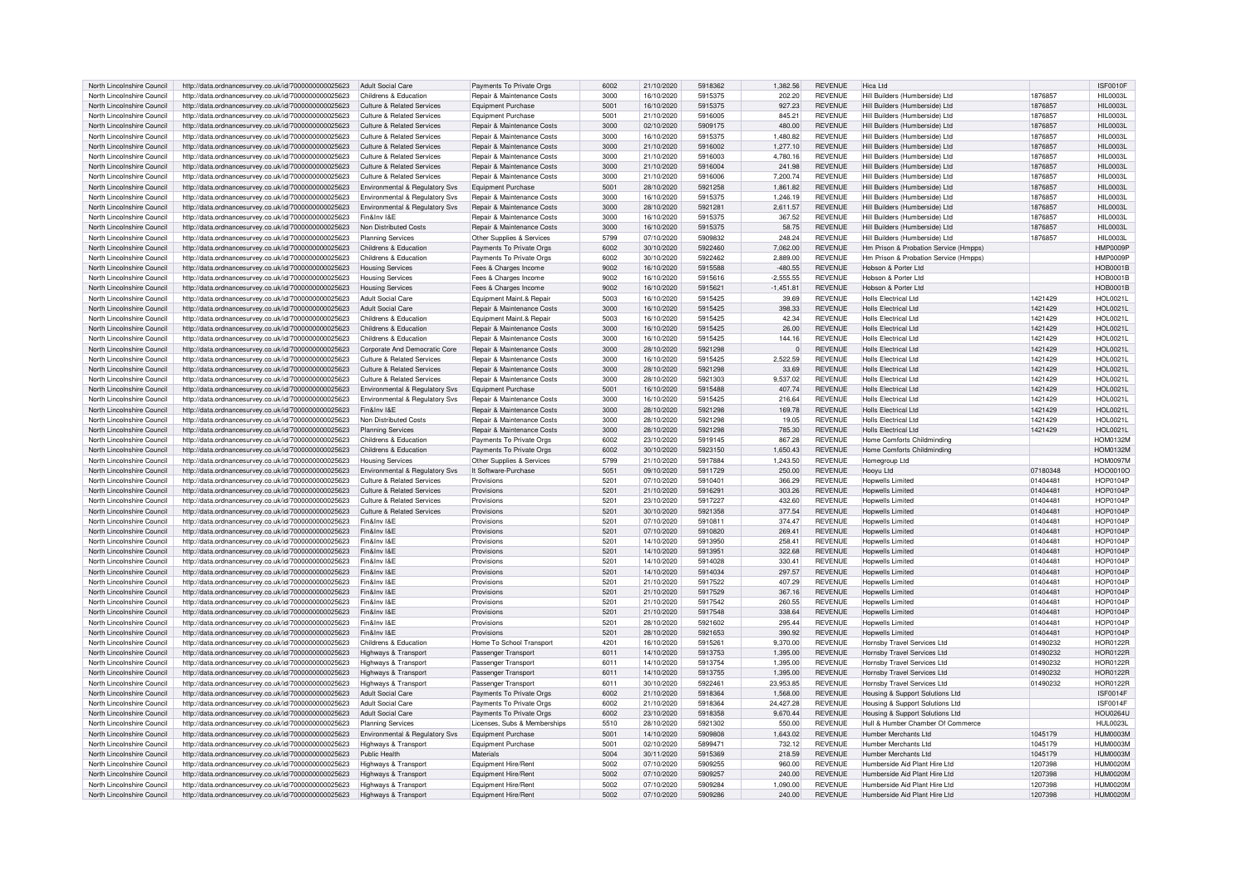| North Lincolnshire Council                               | http://data.ordnancesurvey.co.uk/id/7000000000025623                                                         | Adult Social Care                             | Payments To Private Orgs                   | 6002             | 21/10/2020               | 5918362            | 1,382.56           | <b>REVENUE</b>                   | <b>Hica Ltd</b>                                                 |                    | <b>ISF0010F</b>                    |
|----------------------------------------------------------|--------------------------------------------------------------------------------------------------------------|-----------------------------------------------|--------------------------------------------|------------------|--------------------------|--------------------|--------------------|----------------------------------|-----------------------------------------------------------------|--------------------|------------------------------------|
| North Lincolnshire Council                               | http://data.ordnancesurvey.co.uk/id/7000000000025623                                                         | Childrens & Education                         | <b>Benair &amp; Maintenance Costs</b>      | 3000             | 16/10/2020               | 5915375            | 202.20             | <b>REVENUE</b>                   | Hill Builders (Humberside) I to                                 | 1876857            | HIL0003L                           |
| North Lincolnshire Council                               | http://data.ordnancesurvey.co.uk/id/7000000000025623                                                         | Culture & Related Services                    | Foujoment Purchase                         | 5001             | 16/10/2020               | 5915375            | 927.23             | <b>REVENUE</b>                   | Hill Builders (Humberside) Ltd                                  | 1876857            | HIL0003L                           |
|                                                          |                                                                                                              |                                               |                                            |                  |                          |                    |                    |                                  |                                                                 |                    |                                    |
| North Lincolnshire Council                               | http://data.ordnancesurvey.co.uk/id/7000000000025623                                                         | Culture & Related Services                    | Equipment Purchase                         | 5001             | 21/10/2020               | 5916005            | 845.21             | <b>REVENUE</b>                   | Hill Builders (Humberside) Ltd                                  | 1876857            | HIL0003L                           |
| North Lincolnshire Council                               | http://data.ordnancesurvey.co.uk/id/7000000000025623                                                         | <b>Culture &amp; Related Services</b>         | Repair & Maintenance Costs                 | 3000             | 02/10/2020               | 5909175            | 480.00             | <b>REVENUE</b>                   | Hill Builders (Humberside) Ltd                                  | 1876857            | <b>HIL0003L</b>                    |
| North Lincolnshire Council                               | http://data.ordnancesurvey.co.uk/id/7000000000025623                                                         | <b>Culture &amp; Related Services</b>         | Repair & Maintenance Costs                 | 3000             | 16/10/2020               | 5915375            | 1,480.82           | <b>REVENUE</b>                   | Hill Builders (Humberside) Ltd                                  | 1876857            | <b>HIL0003L</b>                    |
| North Lincolnshire Council                               | http://data.ordnancesurvey.co.uk/id/7000000000025623                                                         | <b>Culture &amp; Related Services</b>         | Repair & Maintenance Costs                 | 3000             | 21/10/2020               | 5916002            | 1,277.10           | <b>REVENUE</b>                   | Hill Builders (Humberside) Ltd                                  | 1876857            | <b>HIL0003L</b>                    |
| North Lincolnshire Council                               | http://data.ordnancesurvey.co.uk/id/7000000000025623                                                         | <b>Culture &amp; Related Services</b>         | Repair & Maintenance Costs                 | 3000             | 21/10/2020               | 5916003            | 4.780.16           | <b>REVENUE</b>                   | Hill Builders (Humberside) Ltd                                  | 1876857            | HIL0003L                           |
| North Lincolnshire Council                               | http://data.ordnancesurvey.co.uk/id/7000000000025623                                                         | Culture & Related Services                    | Repair & Maintenance Costs                 | 3000             | 21/10/2020               | 5916004            | 241.98             | <b>REVENUE</b>                   | Hill Builders (Humberside) Ltd                                  | 1876857            | HII 0003L                          |
| North Lincolnshire Council                               | http://data.ordnancesurvey.co.uk/id/7000000000025623                                                         | Culture & Related Services                    | Repair & Maintenance Costs                 | 3000             | 21/10/2020               | 5916006            | 7,200.74           | <b>REVENUE</b>                   | Hill Builders (Humberside) Ltd                                  | 1876857            | <b>HIL0003L</b>                    |
| North Lincolnshire Council                               | http://data.ordnancesurvey.co.uk/id/7000000000025623                                                         | Environmental & Regulatory Svs                | Equipment Purchase                         | 5001             | 28/10/2020               | 5921258            | 1.861.82           | <b>REVENUE</b>                   | Hill Builders (Humberside) Ltd                                  | 1876857            | HIL0003L                           |
|                                                          |                                                                                                              |                                               | <b>Benair &amp; Maintenance Costs</b>      | 3000             |                          | 5915375            |                    | <b>REVENUE</b>                   |                                                                 |                    |                                    |
| North Lincolnshire Council                               | http://data.ordnancesurvey.co.uk/id/7000000000025623                                                         | Environmental & Regulatory Svs                |                                            |                  | 16/10/2020               |                    | 1,246.19           |                                  | Hill Builders (Humberside) Ltd                                  | 1876857            | <b>HIL0003L</b>                    |
| North Lincolnshire Council                               | http://data.ordnancesurvey.co.uk/id/7000000000025623                                                         | Environmental & Regulatory Sys                | Repair & Maintenance Costs                 | 3000             | 28/10/2020               | 5921281            | 2.611.57           | <b>REVENUE</b>                   | Hill Builders (Humberside) Ltd                                  | 1876857            | HIL0003L                           |
| North Lincolnshire Council                               | http://data.ordnancesurvey.co.uk/id/7000000000025623                                                         | Fin&Inv I&F                                   | Repair & Maintenance Costs                 | 3000             | 16/10/2020               | 5915375            | 367.52             | <b>REVENUE</b>                   | Hill Builders (Humberside) I to                                 | 1876857            | <b>HIL0003L</b>                    |
| North Lincolnshire Council                               | http://data.ordnancesurvey.co.uk/id/7000000000025623                                                         | Non Distributed Costs                         | Repair & Maintenance Costs                 | 3000             | 16/10/2020               | 5915375            | 58.75              | <b>REVENUE</b>                   | Hill Builders (Humberside) Ltd                                  | 1876857            | <b>HIL0003L</b>                    |
| North Lincolnshire Council                               | http://data.ordnancesurvey.co.uk/id/7000000000025623                                                         | <b>Planning Services</b>                      | Other Supplies & Services                  | 5799             | 07/10/2020               | 5909832            | 248.24             | <b>REVENUE</b>                   | Hill Builders (Humberside) Ltd                                  | 1876857            | <b>HIL0003L</b>                    |
| North Lincolnshire Council                               | http://data.ordnancesurvey.co.uk/id/7000000000025623                                                         | Childrens & Education                         | Payments To Private Orgs                   | 6002             | 30/10/2020               | 5922460            | 7,062.00           | <b>REVENUE</b>                   | Hm Prison & Probation Service (Hmpps)                           |                    | HMP0009F                           |
| North Lincolnshire Council                               | http://data.ordnancesurvey.co.uk/id/7000000000025623                                                         | Childrens & Education                         | Payments To Private Orgs                   | 6002             | 30/10/2020               | 5922462            | 2.889.00           | <b>REVENUE</b>                   | Hm Prison & Probation Service (Hmpps)                           |                    | HMP0009P                           |
| North Lincolnshire Council                               | http://data.ordnancesurvey.co.uk/id/7000000000025623                                                         | <b>Housing Services</b>                       | Fees & Charges Income                      | 9002             | 16/10/2020               | 5915588            | $-480.55$          | <b>REVENUE</b>                   | Hobson & Porter Ltd                                             |                    | <b>HOB0001B</b>                    |
| North Lincolnshire Council                               | http://data.ordnancesurvey.co.uk/id/7000000000025623                                                         | <b>Housing Services</b>                       | Fees & Charges Income                      | 9002             | 16/10/2020               | 5915616            | $-2,555.55$        | <b>REVENUE</b>                   | Hobson & Porter Ltd                                             |                    | <b>HOB0001B</b>                    |
|                                                          |                                                                                                              |                                               |                                            |                  |                          |                    |                    |                                  |                                                                 |                    |                                    |
| North Lincolnshire Council                               | http://data.ordnancesurvey.co.uk/id/7000000000025623                                                         | <b>Housing Services</b>                       | Fees & Charges Income                      | 9002             | 16/10/2020               | 5915621            | $-1,451.81$        | <b>REVENUE</b>                   | Hobson & Porter Ltd                                             |                    | <b>HOB0001B</b>                    |
| North Lincolnshire Council                               | http://data.ordnancesurvey.co.uk/id/7000000000025623                                                         | <b>Adult Social Care</b>                      | Equipment Maint.& Repair                   | 5003             | 16/10/2020               | 5915425            | 39.69              | <b>REVENUE</b>                   | Holls Flectrical Ltd                                            | 1421429            | <b>HOL0021L</b>                    |
| North Lincolnshire Council                               | http://data.ordnancesurvey.co.uk/id/7000000000025623                                                         | <b>Adult Social Care</b>                      | Repair & Maintenance Costs                 | 3000             | 16/10/2020               | 5915425            | 398.33             | <b>REVENUE</b>                   | <b>Holls Electrical Ltd</b>                                     | 1421429            | <b>HOL0021L</b>                    |
| North Lincolnshire Council                               | http://data.ordnancesurvey.co.uk/id/7000000000025623                                                         | Childrens & Education                         | Equipment Maint.& Repair                   | 5003             | 16/10/2020               | 5915425            | 42.34              | <b>REVENUE</b>                   | Holls Flectrical Ltd                                            | 1421429            | <b>HOL0021L</b>                    |
| North Lincolnshire Council                               | http://data.ordnancesurvey.co.uk/id/7000000000025623                                                         | Childrens & Education                         | Repair & Maintenance Costs                 | 3000             | 16/10/2020               | 5915425            | 26.00              | <b>REVENUE</b>                   | Holls Flectrical I td                                           | 1421429            | HOI 0021I                          |
| North Lincolnshire Council                               | http://data.ordnancesurvey.co.uk/id/7000000000025623                                                         | Childrens & Education                         | Repair & Maintenance Costs                 | 3000             | 16/10/2020               | 5915425            | 144.16             | <b>REVENUE</b>                   | <b>Holls Electrical Ltd</b>                                     | 1421429            | <b>HOL0021L</b>                    |
| North Lincolnshire Council                               | http://data.ordnancesurvey.co.uk/id/7000000000025623                                                         | Cornorate And Democratic Core                 | <b>Benair &amp; Maintenance Costs</b>      | 3000             | 28/10/2020               | 5921298            | $\Omega$           | <b>REVENUE</b>                   | Holls Flectrical I td                                           | 1421429            | HOI 0021I                          |
| North Lincolnshire Council                               | http://data.ordnancesurvey.co.uk/id/7000000000025623                                                         | Culture & Related Services                    | Repair & Maintenance Costs                 | 3000             | 16/10/2020               | 5915425            | 2,522.59           | <b>REVENUE</b>                   | Holls Flectrical Ltd                                            | 1421429            | <b>HOL0021L</b>                    |
| North Lincolnshire Council                               | http://data.ordnancesurvey.co.uk/id/7000000000025623                                                         | Culture & Related Services                    | Repair & Maintenance Costs                 | 3000             | 28/10/2020               | 5921298            | 33.69              | <b>REVENUE</b>                   | Holls Electrical Ltd                                            | 1421429            | <b>HOL0021L</b>                    |
| North Lincolnshire Council                               |                                                                                                              | Culture & Related Services                    | Repair & Maintenance Costs                 | 3000             | 28/10/2020               | 5921303            | 9,537.02           | <b>REVENUE</b>                   | Holls Flectrical Ltd                                            |                    | <b>HOL0021L</b>                    |
|                                                          | http://data.ordnancesurvey.co.uk/id/7000000000025623                                                         |                                               |                                            |                  |                          |                    |                    |                                  |                                                                 | 1421429            |                                    |
| North Lincolnshire Council                               | http://data.ordnancesurvey.co.uk/id/7000000000025623                                                         | Environmental & Regulatory Svs                | <b>Equipment Purchase</b>                  | 5001             | 16/10/2020               | 5915488            | 407.74             | <b>REVENUE</b>                   | <b>Holls Electrical Ltd</b>                                     | 1421429            | <b>HOL0021L</b>                    |
| North Lincolnshire Council                               | http://data.ordnancesurvey.co.uk/id/7000000000025623                                                         | Environmental & Regulatory Svs                | Repair & Maintenance Costs                 | 3000             | 16/10/2020               | 5915425            | 216.64             | <b>REVENUE</b>                   | Holls Flectrical Ltd                                            | 1421429            | <b>HOL0021L</b>                    |
| North Lincolnshire Council                               | http://data.ordnancesurvey.co.uk/id/7000000000025623                                                         | Fin&Inv I&F                                   | Repair & Maintenance Costs                 | 3000             | 28/10/2020               | 5921298            | 169.78             | <b>REVENUE</b>                   | <b>Holls Electrical Ltd</b>                                     | 1421429            | <b>HOL0021L</b>                    |
| North Lincolnshire Council                               | http://data.ordnancesurvey.co.uk/id/7000000000025623                                                         | Non Distributed Costs                         | Repair & Maintenance Costs                 | 3000             | 28/10/2020               | 5921298            | 19.05              | <b>REVENUE</b>                   | <b>Holls Electrical Ltd</b>                                     | 1421429            | <b>HOL0021L</b>                    |
| North Lincolnshire Council                               | http://data.ordnancesurvey.co.uk/id/7000000000025623                                                         | <b>Planning Services</b>                      | Repair & Maintenance Costs                 | 3000             | 28/10/2020               | 5921298            | 785.30             | <b>REVENUE</b>                   | Holls Flectrical I td                                           | 1421429            | <b>HOL0021L</b>                    |
|                                                          |                                                                                                              |                                               |                                            |                  |                          |                    |                    |                                  |                                                                 |                    |                                    |
| North Lincolnshire Council                               | http://data.ordnancesurvey.co.uk/id/7000000000025623                                                         | Childrens & Education                         | Payments To Private Orgs                   | 6002             | 23/10/2020               | 5919145            | 867.28             | <b>REVENUE</b>                   | Home Comforts Childminding                                      |                    | <b>HOM0132M</b>                    |
| North Lincolnshire Council                               | http://data.ordnancesurvey.co.uk/id/7000000000025623                                                         | Childrens & Education                         | Payments To Private Orgs                   | 6002             | 30/10/2020               | 5923150            | 1,650.43           | <b>REVENUE</b>                   | Home Comforts Childminding                                      |                    | <b>HOM0132M</b>                    |
| North Lincolnshire Council                               | http://data.ordnancesurvey.co.uk/id/7000000000025623                                                         | <b>Housing Services</b>                       | Other Supplies & Services                  | 5799             | 21/10/2020               | 5917884            | 1.243.50           | <b>REVENUE</b>                   | Homegroup Ltd                                                   |                    | <b>HOM0097M</b>                    |
|                                                          |                                                                                                              |                                               |                                            |                  |                          | 5911729            |                    |                                  |                                                                 | 07180348           |                                    |
| North Lincolnshire Council                               | http://data.ordnancesurvey.co.uk/id/7000000000025623                                                         | Environmental & Regulatory Svs                | It Software-Purchase                       | 5051             | 09/10/2020               |                    | 250.00             | <b>REVENUE</b>                   | Hooyu Ltd                                                       |                    | HOO0010O                           |
| North Lincolnshire Council                               | http://data.ordnancesurvey.co.uk/id/7000000000025623                                                         | <b>Culture &amp; Related Services</b>         | Provisions                                 | 5201             | 07/10/2020               | 5910401            | 366.29             | <b>REVENUE</b>                   | <b>Hopwells Limited</b>                                         | 0140448            | HOP0104P                           |
| North Lincolnshire Council                               | http://data.ordnancesurvey.co.uk/id/7000000000025623                                                         | <b>Culture &amp; Related Services</b>         | Provisions                                 | 520 <sup>°</sup> | 21/10/2020               | 5916291            | 303.26             | <b>REVENUE</b>                   | <b>Hopwells Limited</b>                                         | 0140448            | HOP0104P                           |
| North Lincolnshire Council                               | http://data.ordnancesurvey.co.uk/id/7000000000025623                                                         | Culture & Related Services                    | Provisions                                 | 520 <sup>1</sup> | 23/10/2020               | 5917227            | 432.60             | <b>REVENUE</b>                   | Honwells I imited                                               | 01404481           | <b>HOP0104P</b>                    |
| North Lincolnshire Council                               | http://data.ordnancesurvey.co.uk/id/7000000000025623                                                         | Culture & Related Services                    | Provisions                                 | 5201             | 30/10/2020               | 5921358            | 377.54             | <b>REVENUE</b>                   | <b>Hopwells Limited</b>                                         | 01404481           | <b>HOP0104P</b>                    |
| North Lincolnshire Council                               | http://data.ordnancesurvey.co.uk/id/7000000000025623                                                         | Fin&Inv I&F                                   | Provisions                                 | 5201             | 07/10/2020               | 5910811            | 374.47             | <b>REVENUE</b>                   | <b>Hopwells Limited</b>                                         | 01404481           | <b>HOP0104P</b>                    |
| North Lincolnshire Council                               | http://data.ordnancesurvey.co.uk/id/7000000000025623                                                         | Fin&Inv I&F                                   | Provisions                                 | 5201             | 07/10/2020               | 5910820            | 269.41             | <b>REVENUE</b>                   | Honwells I imited                                               | 01404481           | <b>HOP0104P</b>                    |
| North Lincolnshire Council                               | http://data.ordnancesurvey.co.uk/id/7000000000025623                                                         | Fin&Inv I&E                                   | Provisions                                 | 5201             | 14/10/2020               | 5913950            | 258.41             | <b>REVENUE</b>                   | <b>Hoowells Limited</b>                                         | 01404481           | <b>HOP0104P</b>                    |
| North Lincolnshire Council                               | http://data.ordnancesurvey.co.uk/id/7000000000025623                                                         | Fin&Inv I&F                                   | Provisions                                 | 520 <sup>1</sup> | 14/10/2020               | 5913951            | 322.68             | <b>REVENUE</b>                   | Honwells I imited                                               | 01404481           | <b>HOP0104F</b>                    |
| North Lincolnshire Council                               | http://data.ordnancesurvey.co.uk/id/7000000000025623                                                         | Fin&Inv I&E                                   | Provisions                                 | 5201             | 14/10/2020               | 5914028            | 330.41             | <b>REVENUE</b>                   | Honwells I imited                                               | 01404481           | <b>HOP0104P</b>                    |
|                                                          |                                                                                                              | Fin&Inv I&F                                   |                                            | 5201             | 14/10/2020               | 5914034            | 297.57             | <b>REVENUE</b>                   | Honwells I imited                                               |                    | <b>HOP0104P</b>                    |
| North Lincolnshire Council                               | http://data.ordnancesurvey.co.uk/id/7000000000025623                                                         | Fin&Inv I&E                                   | Provisions<br>Provisions                   | 520 <sup>°</sup> |                          | 5917522            |                    | <b>REVENUE</b>                   | <b>Hoowells Limited</b>                                         | 01404481           |                                    |
| North Lincolnshire Council                               | http://data.ordnancesurvey.co.uk/id/7000000000025623                                                         |                                               |                                            |                  | 21/10/2020               |                    | 407.29             |                                  |                                                                 | 01404481           | HOP0104P                           |
| North Lincolnshire Council                               | http://data.ordnancesurvey.co.uk/id/7000000000025623                                                         | Fin&Inv I&E                                   | Provisions                                 | 5201             | 21/10/2020               | 5917529            | 367.16             | <b>REVENUE</b>                   | <b>Hopwells Limited</b>                                         | 01404481           | HOP0104P                           |
| North Lincolnshire Council                               | http://data.ordnancesurvey.co.uk/id/7000000000025623                                                         | Fin&Inv I&F                                   | Provisions                                 | 5201             | 21/10/2020               | 5917542            | 260.55             | <b>REVENUE</b>                   | <b>Hopwells Limited</b>                                         | 01404481           | <b>HOP0104P</b>                    |
| North Lincolnshire Council                               | http://data.ordnancesurvey.co.uk/id/7000000000025623                                                         | Fin&Inv I&F                                   | Provisions                                 | 5201             | 21/10/2020               | 5917548            | 338.64             | <b>REVENUE</b>                   | <b>Hopwells Limited</b>                                         | 01404481           | <b>HOP0104P</b>                    |
| North Lincolnshire Council                               | http://data.ordnancesurvey.co.uk/id/7000000000025623                                                         | Fin&Inv I&F                                   | Provisions                                 | 5201             | 28/10/2020               | 5921602            | 295.44             | <b>REVENUE</b>                   | <b>Hopwells Limited</b>                                         | 01404481           | <b>HOP0104P</b>                    |
| North Lincolnshire Council                               | http://data.ordnancesurvey.co.uk/id/7000000000025623                                                         | Fin&Inv I&F                                   | Provisions                                 | 5201             | 28/10/2020               | 5921653            | 390.92             | <b>REVENUE</b>                   | <b>Hopwells Limited</b>                                         | 01404481           | HOP0104P                           |
| North Lincolnshire Council                               | http://data.ordnancesurvey.co.uk/id/7000000000025623                                                         | Childrens & Education                         | Home To School Transport                   | 4201             | 16/10/2020               | 5915261            | 9,370.00           | <b>REVENUE</b>                   | Hornsby Travel Services Ltd                                     | 01490232           | <b>HOR0122R</b>                    |
| North Lincolnshire Council                               | http://data.ordnancesurvey.co.uk/id/7000000000025623                                                         | <b>Highways &amp; Transport</b>               | Passenger Transport                        | 6011             | 14/10/2020               | 5913753            | 1,395.00           | <b>REVENUE</b>                   | Hornsby Travel Services Ltd                                     | 01490232           | <b>HOR0122R</b>                    |
| North Lincolnshire Council                               | http://data.ordnancesurvey.co.uk/id/7000000000025623                                                         | Highways & Transport                          | Passenger Transport                        | 6011             | 14/10/2020               | 5913754            | 1.395.00           | <b>REVENUE</b>                   | Hornsby Travel Services Ltd                                     | 01490232           | <b>HOR0122R</b>                    |
| North Lincolnshire Council                               | http://data.ordnancesurvey.co.uk/id/7000000000025623                                                         | Highways & Transpor                           | Passenger Transport                        | 6011             | 14/10/2020               | 5913755            | 1,395.00           | <b>REVENUE</b>                   | Hornsby Travel Services Ltd                                     | 01490232           | <b>HOR0122R</b>                    |
| North Lincolnshire Council                               | http://data.ordnancesurvey.co.uk/id/7000000000025623                                                         | Highways & Transport                          | Passenger Transport                        | 6011             | 30/10/2020               | 5922461            | 23,953.85          | <b>REVENUE</b>                   | Hornsby Travel Services Ltd                                     | 01490232           | <b>HOR0122R</b>                    |
| North Lincolnshire Council                               |                                                                                                              | Adult Social Care                             |                                            | 6002             |                          | 5918364            | 1.568.00           | <b>REVENUE</b>                   |                                                                 |                    | <b>ISF0014F</b>                    |
|                                                          | http://data.ordnancesurvey.co.uk/id/7000000000025623                                                         |                                               | Payments To Private Orgs                   |                  | 21/10/2020               |                    |                    |                                  | Housing & Support Solutions Ltd                                 |                    |                                    |
| North Lincolnshire Council                               | http://data.ordnancesurvey.co.uk/id/7000000000025623                                                         | <b>Adult Social Care</b><br>Adult Social Care | Payments To Private Orgs                   | 6002             | 21/10/2020               | 5918364            | 24,427.28          | <b>REVENUE</b>                   | Housing & Support Solutions Ltd                                 |                    | <b>ISF0014F</b>                    |
| North Lincolnshire Council                               | http://data.ordnancesurvey.co.uk/id/7000000000025623                                                         |                                               | Payments To Private Orgs                   | 6002             | 23/10/2020               | 5918358            | 9.670.44           | <b>REVENUE</b>                   | Housing & Support Solutions Ltd                                 |                    | <b>HOU0264U</b>                    |
| North Lincolnshire Council                               | http://data.ordnancesurvey.co.uk/id/7000000000025623                                                         | <b>Planning Services</b>                      | Licenses, Subs & Memberships               | 5510             | 28/10/2020               | 5921302            | 550.00             | <b>REVENUE</b>                   | Hull & Humber Chamber Of Commerce                               |                    | HUL0023L                           |
| North Lincolnshire Council                               | http://data.ordnancesurvey.co.uk/id/7000000000025623                                                         | <b>Environmental &amp; Regulatory Svs</b>     | Equipment Purchase                         | 5001             | 14/10/2020               | 5909808            | 1,643.02           | <b>REVENUE</b>                   | Humber Merchants I td                                           | 1045179            | HUM0003M                           |
| North Lincolnshire Council                               | http://data.ordnancesurvey.co.uk/id/7000000000025623                                                         | Highways & Transport                          | Equipment Purchase                         | 5001             | 02/10/2020               | 5899471            | 732.12             | <b>REVENUE</b>                   | <b>Humber Merchants Ltd</b>                                     | 1045179            | HUM0003M                           |
| North Lincolnshire Council                               | http://data.ordnancesurvey.co.uk/id/7000000000025623                                                         | Public Health                                 | Materials                                  | 5004             | 30/11/2020               | 5915369            | 218.59             | <b>REVENUE</b>                   | Humber Merchants I td                                           | 1045179            | HUM0003M                           |
| North Lincolnshire Council                               | http://data.ordnancesurvey.co.uk/id/7000000000025623                                                         | Highways & Transport                          | Equipment Hire/Rent                        | 5002             | 07/10/2020               | 5909255            | 960.00             | <b>REVENUE</b>                   | Humberside Aid Plant Hire Ltd                                   | 1207398            | <b>HUM0020M</b>                    |
| North Lincolnshire Council                               | http://data.ordnancesurvey.co.uk/id/7000000000025623                                                         | Highways & Transport                          | Equipment Hire/Rent                        | 5002             | 07/10/2020               | 5909257            | 240.00             | <b>REVENUE</b>                   | Humberside Aid Plant Hire I to                                  | 1207398            | <b>HUM0020M</b>                    |
| North Lincolnshire Council<br>North Lincolnshire Council | http://data.ordnancesurvey.co.uk/id/7000000000025623<br>http://data.ordnancesurvey.co.uk/id/7000000000025623 | Highways & Transport<br>Highways & Transport  | Equipment Hire/Rent<br>Equipment Hire/Rent | 5002<br>5002     | 07/10/2020<br>07/10/2020 | 5909284<br>5909286 | 1.090.00<br>240.00 | <b>REVENUE</b><br><b>REVENUE</b> | Humberside Aid Plant Hire I td<br>Humberside Aid Plant Hire Ltd | 1207398<br>1207398 | <b>HUM0020M</b><br><b>HUM0020M</b> |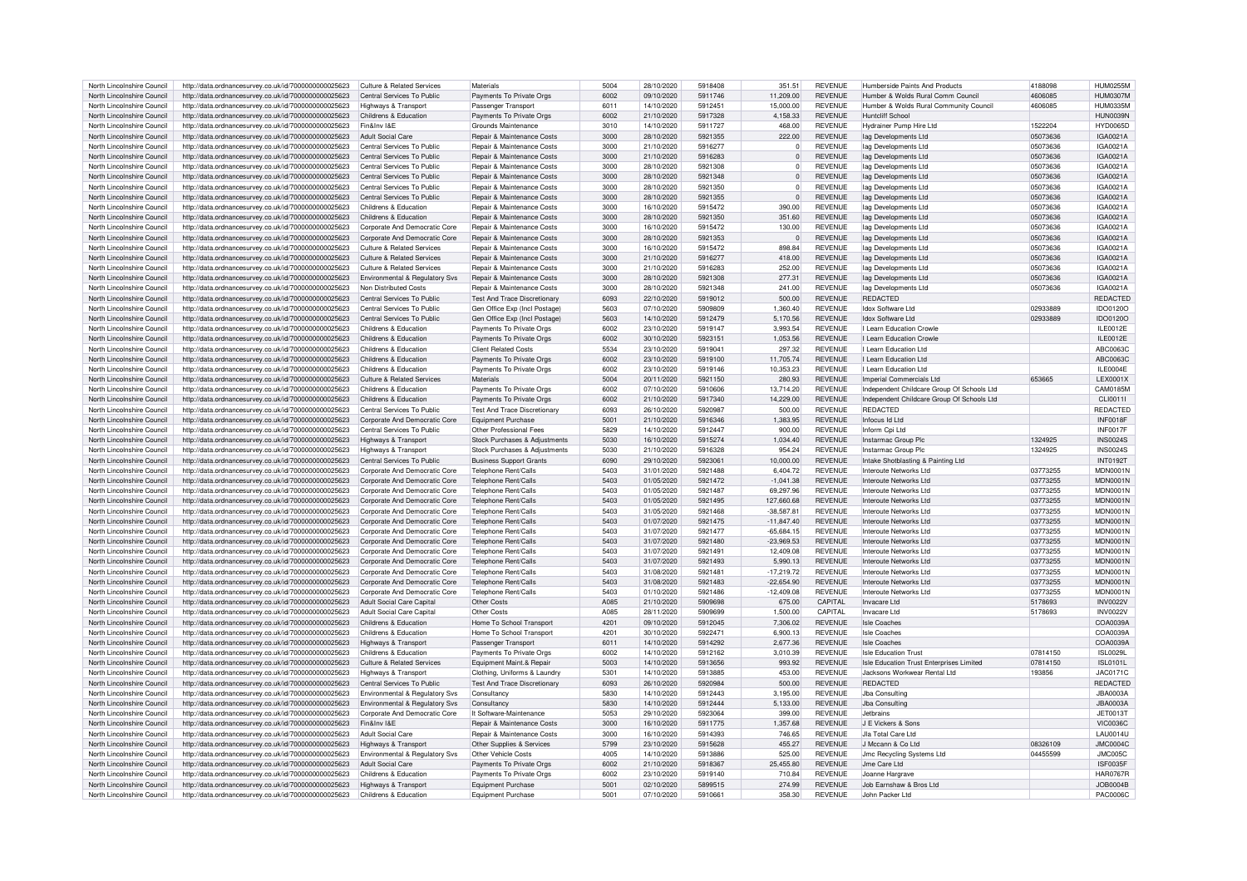| North Lincolnshire Council |                                                      | Culture & Related Services            | Materials                             | 5004 |            | 5918408 |                | <b>REVENUE</b> | Humberside Paints And Products             | 4188098  | <b>HUM0255M</b>  |
|----------------------------|------------------------------------------------------|---------------------------------------|---------------------------------------|------|------------|---------|----------------|----------------|--------------------------------------------|----------|------------------|
|                            | http://data.ordnancesurvey.co.uk/id/7000000000025623 |                                       |                                       |      | 28/10/2020 |         | 351.51         |                |                                            |          |                  |
| North Lincolnshire Council | http://data.ordnancesurvey.co.uk/id/7000000000025623 | Central Services To Public            | Payments To Private Orgs              | 6002 | 09/10/2020 | 5911746 | 11.209.00      | <b>REVENUE</b> | Humber & Wolds Rural Comm Council          | 4606085  | <b>HUM0307M</b>  |
| North Lincolnshire Council | http://data.ordnancesurvey.co.uk/id/7000000000025623 | Highways & Transport                  | Passenger Transport                   | 6011 | 14/10/2020 | 5912451 | 15,000.00      | <b>REVENUE</b> | Humber & Wolds Rural Community Council     | 4606085  | <b>HUM0335M</b>  |
| North Lincolnshire Council | http://data.ordnancesurvey.co.uk/id/7000000000025623 | Childrens & Education                 | Payments To Private Orgs              | 6002 | 21/10/2020 | 5917328 | 4.158.33       | <b>REVENUE</b> | Huntcliff School                           |          | HUN0039N         |
| North Lincolnshire Council | http://data.ordnancesurvey.co.uk/id/7000000000025623 | Fin&Inv I&E                           | Grounds Maintenance                   | 3010 | 14/10/2020 | 5911727 | 468.00         | <b>REVENUE</b> | <b>Hydrainer Pump Hire Ltd</b>             | 1522204  | <b>HYD0065D</b>  |
|                            |                                                      |                                       |                                       |      |            |         |                |                |                                            |          |                  |
| North Lincolnshire Council | http://data.ordnancesurvey.co.uk/id/7000000000025623 | <b>Adult Social Care</b>              | <b>Repair &amp; Maintenance Costs</b> | 3000 | 28/10/2020 | 5921355 | 222.00         | <b>REVENUE</b> | lag Developments Ltd                       | 05073636 | IGA0021A         |
| North Lincolnshire Council | http://data.ordnancesurvey.co.uk/id/7000000000025623 | Central Services To Public            | Repair & Maintenance Costs            | 3000 | 21/10/2020 | 5916277 | $\Omega$       | <b>REVENUE</b> | lag Developments Ltd                       | 05073636 | IGA0021A         |
| North Lincolnshire Council | http://data.ordnancesurvey.co.uk/id/7000000000025623 | Central Services To Public            | Repair & Maintenance Costs            | 3000 | 21/10/2020 | 5916283 | $\Omega$       | <b>REVENUE</b> | lag Developments Ltd                       | 05073636 | <b>IGA0021A</b>  |
|                            |                                                      |                                       |                                       |      |            | 5921308 |                |                |                                            |          | IGA0021A         |
| North Lincolnshire Council | http://data.ordnancesurvey.co.uk/id/7000000000025623 | Central Services To Public            | Repair & Maintenance Costs            | 3000 | 28/10/2020 |         | $\overline{0}$ | <b>REVENUE</b> | lag Developments Ltd                       | 05073636 |                  |
| North Lincolnshire Council | http://data.ordnancesurvey.co.uk/id/7000000000025623 | Central Services To Public            | Repair & Maintenance Costs            | 3000 | 28/10/2020 | 5921348 | $\overline{0}$ | REVENUE        | lag Developments Ltd                       | 05073636 | IGA0021A         |
| North Lincolnshire Council | http://data.ordnancesurvey.co.uk/id/7000000000025623 | Central Services To Public            | Repair & Maintenance Costs            | 3000 | 28/10/2020 | 5921350 | $\overline{0}$ | REVENUE        | lag Developments Ltd                       | 05073636 | IGA0021A         |
| North Lincolnshire Council | http://data.ordnancesurvey.co.uk/id/7000000000025623 | Central Services To Public            | Repair & Maintenance Costs            | 3000 | 28/10/2020 | 5921355 | $\Omega$       | <b>REVENUE</b> | lag Developments Ltd                       | 05073636 | IGA0021A         |
|                            |                                                      | Childrens & Education                 |                                       | 3000 |            | 5915472 | 390.00         | <b>REVENUE</b> |                                            |          | IGA0021A         |
| North Lincolnshire Council | http://data.ordnancesurvey.co.uk/id/7000000000025623 |                                       | Repair & Maintenance Costs            |      | 16/10/2020 |         |                |                | lag Developments Ltd                       | 05073636 |                  |
| North Lincolnshire Council | http://data.ordnancesurvey.co.uk/id/7000000000025623 | Childrens & Education                 | Repair & Maintenance Costs            | 3000 | 28/10/2020 | 5921350 | 351.60         | <b>REVENUE</b> | lag Developments Ltd                       | 05073636 | IGA0021A         |
| North Lincolnshire Council | http://data.ordnancesurvey.co.uk/id/7000000000025623 | Corporate And Democratic Core         | Repair & Maintenance Costs            | 3000 | 16/10/2020 | 5915472 | 130.00         | <b>REVENUE</b> | lag Developments Ltd                       | 05073636 | IGA0021A         |
| North Lincolnshire Council | http://data.ordnancesurvey.co.uk/id/7000000000025623 | Corporate And Democratic Core         | Repair & Maintenance Costs            | 3000 | 28/10/2020 | 5921353 | $\Omega$       | REVENUE        | lag Developments Ltd                       | 05073636 | IGA0021A         |
| North Lincolnshire Council | http://data.ordnancesurvey.co.uk/id/7000000000025623 | <b>Culture &amp; Related Services</b> | Repair & Maintenance Costs            | 3000 | 16/10/2020 | 5915472 | 898.84         | <b>REVENUE</b> | lag Developments Ltd                       | 05073636 | IGA0021A         |
|                            |                                                      |                                       |                                       |      |            |         |                |                |                                            |          |                  |
| North Lincolnshire Council | http://data.ordnancesurvey.co.uk/id/7000000000025623 | Culture & Related Services            | <b>Benair &amp; Maintenance Costs</b> | 3000 | 21/10/2020 | 5916277 | 418.00         | <b>REVENUE</b> | lag Developments Ltd                       | 05073636 | <b>IGA0021A</b>  |
| North Lincolnshire Council | http://data.ordnancesurvey.co.uk/id/7000000000025623 | Culture & Related Services            | Repair & Maintenance Costs            | 3000 | 21/10/2020 | 5916283 | 252.00         | <b>REVENUE</b> | lag Developments Ltd                       | 05073636 | IGA0021A         |
| North Lincolnshire Council | http://data.ordnancesurvey.co.uk/id/7000000000025623 | Environmental & Regulatory Svs        | Repair & Maintenance Costs            | 3000 | 28/10/2020 | 5921308 | 277.31         | <b>REVENUE</b> | lag Developments Ltd                       | 05073636 | IGA0021A         |
|                            |                                                      |                                       |                                       |      |            |         |                |                |                                            |          |                  |
| North Lincolnshire Council | http://data.ordnancesurvey.co.uk/id/7000000000025623 | Non Distributed Costs                 | Repair & Maintenance Costs            | 3000 | 28/10/2020 | 5921348 | 241.00         | <b>REVENUE</b> | lag Developments Ltd                       | 05073636 | IGA0021A         |
| North Lincolnshire Council | http://data.ordnancesurvey.co.uk/id/7000000000025623 | Central Services To Public            | <b>Test And Trace Discretionary</b>   | 6093 | 22/10/2020 | 5919012 | 500.00         | <b>REVENUE</b> | REDACTED                                   |          | REDACTED         |
| North Lincolnshire Council | http://data.ordnancesurvey.co.uk/id/7000000000025623 | Central Services To Public            | Gen Office Exp (Incl Postage)         | 5603 | 07/10/2020 | 5909809 | 1.360.40       | <b>REVENUE</b> | Idox Software I td                         | 02933889 | IDO0120O         |
| North Lincolnshire Council | http://data.ordnancesurvey.co.uk/id/7000000000025623 | Central Services To Public            | Gen Office Exp (Incl Postage)         | 5603 | 14/10/2020 | 5912479 | 5,170.56       | <b>REVENUE</b> | Idox Software I td                         | 02933889 | <b>IDO01200</b>  |
|                            |                                                      |                                       |                                       |      |            |         |                |                |                                            |          |                  |
| North Lincolnshire Council | http://data.ordnancesurvey.co.uk/id/7000000000025623 | Childrens & Education                 | Payments To Private Orgs              | 6002 | 23/10/2020 | 5919147 | 3,993.54       | <b>REVENUE</b> | I Learn Education Crowle                   |          | ILE0012E         |
| North Lincolnshire Council | http://data.ordnancesurvey.co.uk/id/7000000000025623 | Childrens & Education                 | Payments To Private Orgs              | 6002 | 30/10/2020 | 5923151 | 1.053.56       | <b>REVENUE</b> | <b>I Learn Education Crowle</b>            |          | <b>II F0012F</b> |
| North Lincolnshire Council | http://data.ordnancesurvey.co.uk/id/7000000000025623 | Childrens & Education                 | <b>Client Related Costs</b>           | 5534 | 23/10/2020 | 5919041 | 297.32         | REVENUE        | I Learn Education Ltd                      |          | ABC0063C         |
| North Lincolnshire Council | http://data.ordnancesurvey.co.uk/id/7000000000025623 | Childrens & Education                 | Payments To Private Orgs              | 6002 | 23/10/2020 | 5919100 | 11,705.74      | <b>REVENUE</b> | I Learn Education Ltd                      |          | ABC0063C         |
|                            |                                                      |                                       |                                       |      |            |         |                |                |                                            |          |                  |
| North Lincolnshire Council | http://data.ordnancesurvey.co.uk/id/7000000000025623 | Childrens & Education                 | Payments To Private Orgs              | 6002 | 23/10/2020 | 5919146 | 10,353.23      | <b>REVENUE</b> | I Learn Education Ltd                      |          | ILE0004E         |
| North Lincolnshire Council | http://data.ordnancesurvey.co.uk/id/7000000000025623 | <b>Culture &amp; Related Services</b> | Materials                             | 5004 | 20/11/2020 | 5921150 | 280.93         | <b>REVENUE</b> | Imperial Commercials Ltd                   | 653665   | LEX0001X         |
| North Lincolnshire Council | http://data.ordnancesurvey.co.uk/id/7000000000025623 | Childrens & Education                 | Payments To Private Orgs              | 6002 | 07/10/2020 | 5910606 | 13,714.20      | <b>REVENUE</b> | Independent Childcare Group Of Schools Ltd |          | CAM0185M         |
| North Lincolnshire Council | http://data.ordnancesurvey.co.uk/id/7000000000025623 | Childrens & Education                 | Payments To Private Orgs              | 6002 | 21/10/2020 | 5917340 | 14.229.00      | <b>REVENUE</b> | Independent Childcare Group Of Schools Ltd |          | CLI0011I         |
|                            |                                                      |                                       |                                       |      |            |         |                |                |                                            |          |                  |
| North Lincolnshire Council | http://data.ordnancesurvey.co.uk/id/7000000000025623 | Central Services To Public            | <b>Test And Trace Discretionary</b>   | 6093 | 26/10/2020 | 5920987 | 500.00         | <b>REVENUE</b> | <b>REDACTED</b>                            |          | REDACTED         |
| North Lincolnshire Council | http://data.ordnancesurvey.co.uk/id/7000000000025623 | Corporate And Democratic Core         | Equipment Purchase                    | 5001 | 21/10/2020 | 5916346 | 1,383.95       | <b>REVENUE</b> | Infocus Id Ltd                             |          | <b>INF0018F</b>  |
| North Lincolnshire Council | http://data.ordnancesurvey.co.uk/id/7000000000025623 | Central Services To Public            | Other Professional Fees               | 5829 | 14/10/2020 | 5912447 | 900.00         | <b>REVENUE</b> | Inform Cpi Ltd                             |          | <b>INF0017F</b>  |
|                            |                                                      |                                       |                                       |      |            | 5915274 |                | REVENUE        |                                            | 1324925  | <b>INS0024S</b>  |
| North Lincolnshire Council | http://data.ordnancesurvey.co.uk/id/7000000000025623 | Highways & Transport                  | Stock Purchases & Adjustments         | 5030 | 16/10/2020 |         | 1,034.40       |                | Instarmac Group Plc                        |          |                  |
| North Lincolnshire Council | http://data.ordnancesurvey.co.uk/id/7000000000025623 | Highways & Transport                  | Stock Purchases & Adiustments         | 5030 | 21/10/2020 | 5916328 | 954.24         | <b>REVENUE</b> | Instarmac Group Plc                        | 1324925  | <b>INS0024S</b>  |
| North Lincolnshire Council | http://data.ordnancesurvey.co.uk/id/7000000000025623 | Central Services To Public            | <b>Business Support Grants</b>        | 6090 | 29/10/2020 | 5923061 | 10,000.00      | <b>REVENUE</b> | Intake Shotblasting & Painting Ltd         |          | <b>INT0192T</b>  |
| North Lincolnshire Council | http://data.ordnancesurvey.co.uk/id/7000000000025623 | Corporate And Democratic Core         | Telephone Rent/Call:                  | 5403 | 31/01/2020 | 5921488 | 6.404.72       | <b>REVENUE</b> | Interoute Networks Ltd                     | 03773255 | <b>MDN0001N</b>  |
|                            |                                                      |                                       |                                       |      |            |         |                |                |                                            |          |                  |
| North Lincolnshire Council | http://data.ordnancesurvey.co.uk/id/7000000000025623 | Corporate And Democratic Core         | Telephone Rent/Calls                  | 5403 | 01/05/2020 | 5921472 | $-1,041.38$    | <b>REVENUE</b> | Interoute Networks Ltd                     | 03773255 | <b>MDN0001N</b>  |
| North Lincolnshire Council | http://data.ordnancesurvey.co.uk/id/7000000000025623 | Cornorate And Democratic Core         | Telephone Rent/Calls                  | 5403 | 01/05/2020 | 5921487 | 69.297.96      | REVENUE        | Interoute Networks I td                    |          | MDN0001N         |
|                            |                                                      |                                       |                                       |      |            |         |                |                |                                            | 03773255 |                  |
| North Lincolnshire Council | http://data.ordnancesurvey.co.uk/id/7000000000025623 | Corporate And Democratic Core         | Telephone Rent/Calls                  | 5403 | 01/05/2020 | 5921495 | 127,660.68     | REVENUE        | Interoute Networks Ltd                     | 03773255 | <b>MDN0001N</b>  |
|                            |                                                      |                                       |                                       |      |            |         |                |                |                                            |          |                  |
| North Lincolnshire Council | http://data.ordnancesurvey.co.uk/id/7000000000025623 | Corporate And Democratic Core         | Telephone Rent/Calls                  | 5403 | 31/05/2020 | 5921468 | $-38.587.81$   | <b>REVENUE</b> | Interoute Networks I td                    | 03773255 | <b>MDN0001N</b>  |
| North Lincolnshire Council | http://data.ordnancesurvey.co.uk/id/7000000000025623 | Corporate And Democratic Core         | Telephone Rent/Calls                  | 5403 | 01/07/2020 | 5921475 | $-11.847.40$   | <b>REVENUE</b> | Interoute Networks Ltd                     | 03773255 | MDN0001N         |
| North Lincolnshire Council | http://data.ordnancesurvey.co.uk/id/7000000000025623 | Corporate And Democratic Core         | Telephone Rent/Calls                  | 5403 | 31/07/2020 | 5921477 | $-65,684.15$   | <b>REVENUE</b> | Interoute Networks Ltd                     | 03773255 | <b>MDN0001N</b>  |
| North Lincolnshire Council | http://data.ordnancesurvey.co.uk/id/7000000000025623 | Corporate And Democratic Core         | Telephone Rent/Calls                  | 5403 | 31/07/2020 | 5921480 | $-23.969.53$   | <b>REVENUE</b> | Interoute Networks Ltd                     | 03773255 | <b>MDN0001N</b>  |
|                            |                                                      |                                       |                                       | 5403 | 31/07/2020 | 592149  |                | REVENUE        |                                            |          | MDN0001N         |
| North Lincolnshire Council | http://data.ordnancesurvey.co.uk/id/7000000000025623 | Corporate And Democratic Core         | Telephone Rent/Calls                  |      |            |         | 12,409.08      |                | Interoute Networks Ltd                     | 03773255 |                  |
| North Lincolnshire Council | http://data.ordnancesurvey.co.uk/id/7000000000025623 | Corporate And Democratic Core         | Telephone Rent/Calls                  | 5403 | 31/07/2020 | 5921493 | 5.990.13       | <b>REVENUE</b> | Interoute Networks Ltd                     | 03773255 | MDN0001N         |
| North Lincolnshire Council | http://data.ordnancesurvey.co.uk/id/7000000000025623 | Corporate And Democratic Core         | Telephone Rent/Calls                  | 5403 | 31/08/2020 | 5921481 | $-17,219.72$   | <b>REVENUE</b> | Interoute Networks Ltd                     | 03773255 | MDN0001N         |
| North Lincolnshire Council | http://data.ordnancesurvey.co.uk/id/7000000000025623 | Corporate And Democratic Core         | Telephone Rent/Calls                  | 5403 | 31/08/2020 | 5921483 | $-22,654.90$   | <b>REVENUE</b> | Interoute Networks Ltd                     | 03773255 | MDN0001N         |
|                            |                                                      |                                       |                                       |      |            |         |                |                |                                            |          |                  |
| North Lincolnshire Council | http://data.ordnancesurvey.co.uk/id/7000000000025623 | Corporate And Democratic Core         | Telephone Rent/Calls                  | 5403 | 01/10/2020 | 5921486 | $-12,409.08$   | <b>REVENUE</b> | Interoute Networks Ltd                     | 03773255 | <b>MDN0001N</b>  |
| North Lincolnshire Council | http://data.ordnancesurvey.co.uk/id/7000000000025623 | Adult Social Care Capital             | Other Costs                           | A085 | 21/10/2020 | 5909698 | 675.00         | CAPITAL        | Invacare Ltd                               | 5178693  | <b>INV0022V</b>  |
| North Lincolnshire Council | http://data.ordnancesurvey.co.uk/id/7000000000025623 | Adult Social Care Capital             | Other Costs                           | A085 | 28/11/2020 | 5909699 | 1,500.00       | CAPITAL        | Invacare I td                              | 5178693  | <b>INV0022V</b>  |
| North Lincolnshire Council |                                                      | Childrens & Education                 | Home To School Transport              | 4201 | 09/10/2020 | 5912045 | 7,306.02       | <b>REVENUE</b> | <b>Isle Coaches</b>                        |          | COA0039A         |
| North Lincolnshire Council | http://data.ordnancesurvey.co.uk/id/7000000000025623 | Childrens & Education                 |                                       | 4201 |            | 5922471 | 6.900.13       |                | Isle Coaches                               |          | COA0039/         |
|                            | http://data.ordnancesurvey.co.uk/id/7000000000025623 |                                       | Home To School Transport              |      | 30/10/2020 |         |                | <b>REVENUE</b> |                                            |          |                  |
| North Lincolnshire Council | http://data.ordnancesurvey.co.uk/id/7000000000025623 | Highways & Transport                  | Passenger Transport                   | 6011 | 14/10/2020 | 5914292 | 2,677.36       | <b>REVENUE</b> | <b>Isle Coaches</b>                        |          | COA0039A         |
| North Lincolnshire Council | http://data.ordnancesurvey.co.uk/id/7000000000025623 | Childrens & Education                 | Payments To Private Orgs              | 6002 | 14/10/2020 | 5912162 | 3,010.39       | <b>REVENUE</b> | <b>Isle Education Trust</b>                | 07814150 | <b>ISL0029L</b>  |
| North Lincolnshire Council | http://data.ordnancesurvey.co.uk/id/7000000000025623 | Culture & Related Services            | Equipment Maint.& Repair              | 5003 | 14/10/2020 | 5913656 | 993.92         | <b>REVENUE</b> | Isle Education Trust Enterprises Limited   | 07814150 | ISI 01011        |
| North Lincolnshire Council |                                                      |                                       |                                       |      |            | 5913885 |                | <b>REVENUE</b> |                                            | 193856   |                  |
|                            | http://data.ordnancesurvey.co.uk/id/7000000000025623 | <b>Highways &amp; Transport</b>       | Clothing, Uniforms & Laundry          | 5301 | 14/10/2020 |         | 453.00         |                | Jacksons Workwear Rental Ltd               |          | <b>JAC0171C</b>  |
| North Lincolnshire Council | http://data.ordnancesurvey.co.uk/id/7000000000025623 | Central Services To Public            | <b>Test And Trace Discretionary</b>   | 6093 | 26/10/2020 | 5920984 | 500.00         | <b>REVENUE</b> | <b>REDACTED</b>                            |          | REDACTED         |
| North Lincolnshire Council | http://data.ordnancesurvey.co.uk/id/7000000000025623 | Environmental & Regulatory Svs        | Consultancy                           | 5830 | 14/10/2020 | 5912443 | 3.195.00       | <b>REVENUE</b> | Jha Consulting                             |          | <b>JBA0003A</b>  |
| North Lincolnshire Council | http://data.ordnancesurvey.co.uk/id/7000000000025623 | Environmental & Regulatory Svs        | Consultancy                           | 5830 | 14/10/2020 | 5912444 | 5,133.00       | <b>REVENUE</b> | Jba Consulting                             |          | <b>JBA0003A</b>  |
| North Lincolnshire Council | http://data.ordnancesurvey.co.uk/id/7000000000025623 | Corporate And Democratic Core         | It Software-Maintenance               | 5053 | 29/10/2020 | 5923064 | 399.00         | <b>REVENUE</b> | <b>Jethrains</b>                           |          | JET0013T         |
|                            |                                                      |                                       |                                       |      |            |         |                |                |                                            |          |                  |
| North Lincolnshire Council | http://data.ordnancesurvey.co.uk/id/7000000000025623 | Fin&Inv I&F                           | Repair & Maintenance Costs            | 3000 | 16/10/2020 | 5911775 | 1,357.68       | <b>REVENUE</b> | J E Vickers & Sons                         |          | VIC0036C         |
| North Lincolnshire Council | http://data.ordnancesurvey.co.uk/id/7000000000025623 | <b>Adult Social Care</b>              | Repair & Maintenance Costs            | 3000 | 16/10/2020 | 5914393 | 746.65         | <b>REVENUE</b> | Jla Total Care I td                        |          | <b>LAU0014U</b>  |
| North Lincolnshire Council | http://data.ordnancesurvey.co.uk/id/7000000000025623 | Highways & Transport                  | Other Supplies & Services             | 5799 | 23/10/2020 | 5915628 | 455.27         | REVENUE        | J Mccann & Co Ltd                          | 08326109 | <b>JMC0004C</b>  |
|                            |                                                      |                                       |                                       | 4005 |            | 5913886 |                | <b>REVENUE</b> |                                            |          |                  |
| North Lincolnshire Council | http://data.ordnancesurvey.co.uk/id/7000000000025623 | Environmental & Regulatory Svs        | Other Vehicle Costs                   |      | 14/10/2020 |         | 525.00         |                | <b>Jmc Recycling Systems Ltd</b>           | 04455599 | JMC005C          |
| North Lincolnshire Council | http://data.ordnancesurvey.co.uk/id/7000000000025623 | <b>Adult Social Care</b>              | Payments To Private Orgs              | 6002 | 21/10/2020 | 5918367 | 25.455.80      | <b>REVENUE</b> | Jme Care Ltd                               |          | <b>ISF0035F</b>  |
| North Lincolnshire Council | http://data.ordnancesurvey.co.uk/id/7000000000025623 | Childrens & Education                 | Payments To Private Oras              | 6002 | 23/10/2020 | 5919140 | 710.84         | <b>REVENUE</b> | Joanne Hargrave                            |          | HAR0767F         |
| North Lincolnshire Council | http://data.ordnancesurvey.co.uk/id/7000000000025623 | Highways & Transport                  | <b>Equipment Purchase</b>             | 5001 | 02/10/2020 | 5899515 | 274.99         | <b>REVENUE</b> | Job Farnshaw & Bros Ltd                    |          | <b>JOB0004B</b>  |
| North Lincolnshire Council | http://data.ordnancesurvey.co.uk/id/7000000000025623 | Childrens & Education                 | <b>Equipment Purchase</b>             | 5001 | 07/10/2020 | 5910661 | 358.30         | REVENUE        | John Packer Ltd                            |          | PAC0006C         |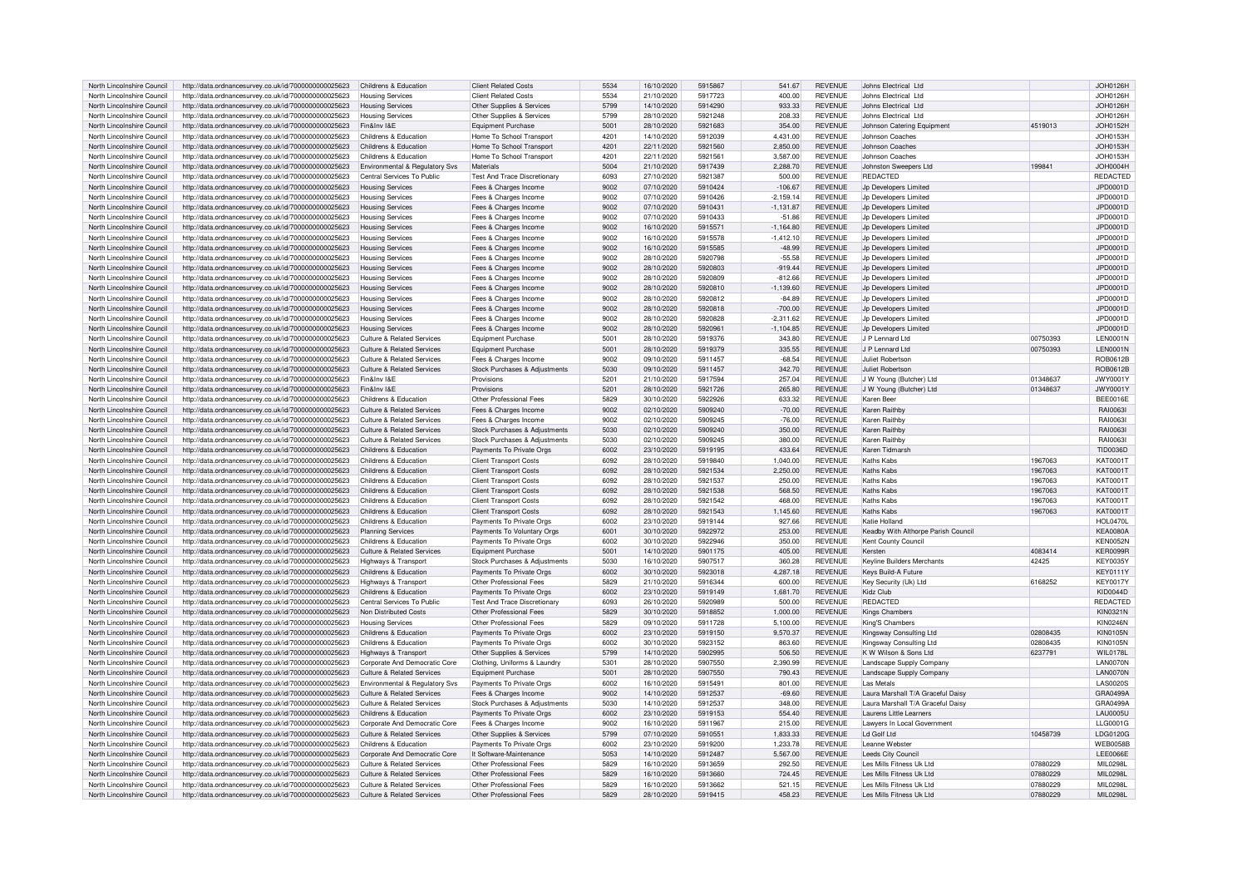| North Lincolnshire Council | http://data.ordnancesurvey.co.uk/id/7000000000025623 | Childrens & Education                     | <b>Client Related Costs</b>                 | 5534 | 16/10/2020 | 5915867 | 541.67      | <b>REVENUE</b> | Johns Electrical Ltd                |          | JOH0126H         |
|----------------------------|------------------------------------------------------|-------------------------------------------|---------------------------------------------|------|------------|---------|-------------|----------------|-------------------------------------|----------|------------------|
| North Lincolnshire Council | http://data.ordnancesurvey.co.uk/id/7000000000025623 | <b>Housing Services</b>                   | <b>Client Related Costs</b>                 | 5534 | 21/10/2020 | 5917723 | 400.00      | <b>REVENUE</b> | Johns Flectrical 1td                |          | <b>JOH0126H</b>  |
| North Lincolnshire Council | http://data.ordnancesurvey.co.uk/id/7000000000025623 | <b>Housing Services</b>                   | Other Supplies & Services                   | 5799 | 14/10/2020 | 5914290 | 933.33      | <b>REVENUE</b> | Johns Flectrical Ltd.               |          | JOH0126H         |
| North Lincolnshire Council | http://data.ordnancesurvey.co.uk/id/7000000000025623 | <b>Housing Services</b>                   | Other Supplies & Services                   | 5799 | 28/10/2020 | 5921248 | 208.33      | <b>REVENUE</b> | Johns Flectrical Ltd.               |          | JOH0126H         |
| North Lincolnshire Council | http://data.ordnancesurvey.co.uk/id/7000000000025623 | Fin&Inv I&E                               | <b>Equipment Purchase</b>                   | 5001 | 28/10/2020 | 5921683 | 354.00      | <b>REVENUE</b> | Johnson Catering Equipment          | 4519013  | JOH0152H         |
| North Lincolnshire Council | http://data.ordnancesurvey.co.uk/id/7000000000025623 | Childrens & Education                     | Home To School Transport                    | 4201 | 14/10/2020 | 5912039 | 4,431.00    | <b>REVENUE</b> | Johnson Coaches                     |          | JOH0153H         |
| North Lincolnshire Council | http://data.ordnancesurvey.co.uk/id/7000000000025623 | Childrens & Education                     | Home To School Transport                    | 4201 | 22/11/2020 | 5921560 | 2,850.00    | <b>REVENUE</b> | Johnson Coaches                     |          | JOH0153H         |
| North Lincolnshire Council | http://data.ordnancesurvey.co.uk/id/7000000000025623 | Childrens & Education                     | Home To School Transport                    | 4201 | 22/11/2020 | 5921561 | 3.587.00    | <b>REVENUE</b> | Johnson Coaches                     |          | <b>JOH0153H</b>  |
| North Lincolnshire Council | http://data.ordnancesurvey.co.uk/id/7000000000025623 | <b>Environmental &amp; Regulatory Svs</b> | Materials                                   | 5004 | 21/10/2020 | 5917439 | 2.288.70    | <b>REVENUE</b> | Johnston Sweepers Ltd               | 199841   | JOH0004H         |
| North Lincolnshire Council |                                                      | Central Services To Public                | <b>Test And Trace Discretionan</b>          | 6093 | 27/10/2020 | 5921387 | 500.00      | <b>REVENUE</b> | <b>REDACTED</b>                     |          | REDACTED         |
|                            | http://data.ordnancesurvey.co.uk/id/7000000000025623 |                                           |                                             |      |            |         |             |                |                                     |          |                  |
| North Lincolnshire Council | http://data.ordnancesurvey.co.uk/id/7000000000025623 | <b>Housing Services</b>                   | Fees & Charges Income                       | 9002 | 07/10/2020 | 5910424 | $-106.67$   | <b>REVENUE</b> | Jp Developers Limited               |          | JPD0001D         |
| North Lincolnshire Council | http://data.ordnancesurvey.co.uk/id/7000000000025623 | <b>Housing Services</b>                   | Fees & Charges Income                       | 9002 | 07/10/2020 | 5910426 | $-2,159.14$ | <b>REVENUE</b> | Jp Developers Limited               |          | JPD0001D         |
| North Lincolnshire Council | http://data.ordnancesurvey.co.uk/id/7000000000025623 | <b>Housing Services</b>                   | Fees & Charges Income                       | 9002 | 07/10/2020 | 5910431 | $-1.131.87$ | <b>REVENUE</b> | Jn Developers Limited               |          | JPD0001D         |
| North Lincolnshire Council | http://data.ordnancesurvey.co.uk/id/7000000000025623 | <b>Housing Services</b>                   | Fees & Charges Income                       | 9002 | 07/10/2020 | 5910433 | $-51.86$    | <b>REVENUE</b> | Jn Developers Limited               |          | JPD0001D         |
| North Lincolnshire Council | http://data.ordnancesurvey.co.uk/id/7000000000025623 | <b>Housing Services</b>                   | Fees & Charges Income                       | 9002 | 16/10/2020 | 5915571 | $-1,164.80$ | <b>REVENUE</b> | Jp Developers Limited               |          | JPD0001D         |
| North Lincolnshire Council | http://data.ordnancesurvey.co.uk/id/7000000000025623 | <b>Housing Services</b>                   | Fees & Charges Income                       | 9002 | 16/10/2020 | 5915578 | $-1.412.10$ | <b>REVENUE</b> | Jn Developers Limited               |          | JPD0001D         |
| North Lincolnshire Council | http://data.ordnancesurvey.co.uk/id/7000000000025623 | <b>Housing Services</b>                   | Fees & Charges Income                       | 9002 | 16/10/2020 | 5915585 | $-48.99$    | <b>REVENUE</b> | Jp Developers Limited               |          | JPD0001D         |
| North Lincolnshire Council | http://data.ordnancesurvey.co.uk/id/7000000000025623 | <b>Housing Services</b>                   | Fees & Charges Income                       | 9002 | 28/10/2020 | 5920798 | $-55.58$    | <b>REVENUE</b> | Jn Developers Limited               |          | JPD0001D         |
| North Lincolnshire Council | http://data.ordnancesurvey.co.uk/id/7000000000025623 | <b>Housing Services</b>                   | Fees & Charges Income                       | 9002 | 28/10/2020 | 5920803 | $-919.44$   | <b>REVENUE</b> | Jp Developers Limited               |          | JPD0001D         |
| North Lincolnshire Council | http://data.ordnancesurvey.co.uk/id/7000000000025623 | <b>Housing Services</b>                   | Fees & Charges Income                       | 9002 | 28/10/2020 | 5920809 | $-812.66$   | <b>REVENUE</b> | Jp Developers Limited               |          | JPD0001D         |
| North Lincolnshire Council | http://data.ordnancesurvey.co.uk/id/7000000000025623 | <b>Housing Services</b>                   | Fees & Charges Income                       | 9002 | 28/10/2020 | 5920810 | $-1,139.60$ | <b>REVENUE</b> | Jp Developers Limited               |          | JPD0001D         |
| North Lincolnshire Council | http://data.ordnancesurvey.co.uk/id/7000000000025623 | <b>Housing Services</b>                   | Fees & Charges Income                       | 9002 | 28/10/2020 | 5920812 | $-84.89$    | <b>REVENUE</b> | Jp Developers Limited               |          | JPD0001D         |
| North Lincolnshire Council | http://data.ordnancesurvey.co.uk/id/7000000000025623 | <b>Housing Services</b>                   | Fees & Charges Income                       | 9002 | 28/10/2020 | 5920818 | $-700.00$   | <b>REVENUE</b> | Jp Developers Limited               |          | JPD0001D         |
| North Lincolnshire Council | http://data.ordnancesurvey.co.uk/id/7000000000025623 | <b>Housing Services</b>                   | Fees & Charges Income                       | 9002 | 28/10/2020 | 5920828 | $-2,311.62$ | <b>REVENUE</b> | Jp Developers Limited               |          | JPD0001D         |
| North Lincolnshire Council | http://data.ordnancesurvey.co.uk/id/7000000000025623 | <b>Housing Services</b>                   | Fees & Charges Income                       | 9002 | 28/10/2020 | 5920961 | $-1,104.85$ | <b>REVENUE</b> | Jp Developers Limited               |          | JPD0001D         |
| North Lincolnshire Council | http://data.ordnancesurvey.co.uk/id/7000000000025623 | <b>Culture &amp; Related Services</b>     | Equipment Purchase                          | 5001 | 28/10/2020 | 5919376 | 343.80      | <b>REVENUE</b> | J P Lennard Ltd                     | 00750393 | <b>LEN0001N</b>  |
| North Lincolnshire Council | http://data.ordnancesurvey.co.uk/id/7000000000025623 | Culture & Related Services                | <b>Equipment Purchase</b>                   | 5001 | 28/10/2020 | 5919379 | 335.55      | <b>REVENUE</b> | J P Lennard Ltd                     | 00750393 | <b>I EN0001N</b> |
| North Lincolnshire Council | http://data.ordnancesurvey.co.uk/id/7000000000025623 | Culture & Related Services                | Fees & Charges Income                       | 9002 | 09/10/2020 | 5911457 | $-68.54$    | <b>REVENUE</b> | <b>Juliet Robertson</b>             |          | ROB0612B         |
| North Lincolnshire Council |                                                      | Culture & Related Services                |                                             | 5030 | 09/10/2020 | 5911457 | 342.70      | <b>REVENUE</b> | <b>Juliet Robertson</b>             |          | ROB0612B         |
|                            | http://data.ordnancesurvey.co.uk/id/7000000000025623 | Fin&Inv I&F                               | Stock Purchases & Adjustments<br>Provisions | 5201 |            | 5917594 |             | <b>REVENUE</b> |                                     | 01348637 |                  |
| North Lincolnshire Council | http://data.ordnancesurvey.co.uk/id/7000000000025623 |                                           |                                             |      | 21/10/2020 |         | 257.04      |                | J W Young (Butcher) Ltd             |          | <b>JWY0001Y</b>  |
| North Lincolnshire Council | http://data.ordnancesurvey.co.uk/id/7000000000025623 | Fin&Inv I&E                               | Provisions                                  | 5201 | 28/10/2020 | 5921726 | 265.80      | <b>REVENUE</b> | J W Young (Butcher) Ltd             | 01348637 | <b>JWY0001Y</b>  |
| North Lincolnshire Council | http://data.ordnancesurvey.co.uk/id/7000000000025623 | Childrens & Education                     | Other Professional Fees                     | 5829 | 30/10/2020 | 5922926 | 633.32      | <b>REVENUE</b> | Karen Beer                          |          | BEE0016E         |
| North Lincolnshire Council | http://data.ordnancesurvey.co.uk/id/7000000000025623 | Culture & Related Services                | Fees & Charges Income                       | 9002 | 02/10/2020 | 5909240 | $-70.00$    | <b>REVENUE</b> | Karen Raithby                       |          | <b>BAI0063</b>   |
| North Lincolnshire Council | http://data.ordnancesurvey.co.uk/id/7000000000025623 | Culture & Related Services                | Fees & Charges Income                       | 9002 | 02/10/2020 | 5909245 | $-76.00$    | <b>REVENUE</b> | Karen Raithby                       |          | RAI0063          |
| North Lincolnshire Council | http://data.ordnancesurvey.co.uk/id/7000000000025623 | Culture & Related Services                | Stock Purchases & Adjustments               | 5030 | 02/10/2020 | 5909240 | 350.00      | <b>REVENUE</b> | Karen Raithby                       |          | RAI0063          |
| North Lincolnshire Council | http://data.ordnancesurvey.co.uk/id/7000000000025623 | Culture & Related Services                | Stock Purchases & Adjustments               | 5030 | 02/10/2020 | 5909245 | 380.00      | <b>REVENUE</b> | Karen Raithby                       |          | RAI0063          |
| North Lincolnshire Council | http://data.ordnancesurvey.co.uk/id/7000000000025623 | Childrens & Education                     | Payments To Private Orgs                    | 6002 | 23/10/2020 | 5919195 | 433.64      | <b>REVENUE</b> | Karen Tidmarsh                      |          | <b>TID0036D</b>  |
| North Lincolnshire Council | http://data.ordnancesurvey.co.uk/id/7000000000025623 | Childrens & Education                     | <b>Client Transport Costs</b>               | 6092 | 28/10/2020 | 5919840 | 1.040.00    | <b>REVENUE</b> | Kaths Kabs                          | 1967063  | <b>KAT0001T</b>  |
| North Lincolnshire Council | http://data.ordnancesurvey.co.uk/id/7000000000025623 | Childrens & Education                     | <b>Client Transport Costs</b>               | 6092 | 28/10/2020 | 5921534 | 2,250.00    | <b>REVENUE</b> | Kaths Kahs                          | 1967063  | <b>KAT0001T</b>  |
| North Lincolnshire Council | http://data.ordnancesurvey.co.uk/id/7000000000025623 | Childrens & Education                     | <b>Client Transport Costs</b>               | 6092 | 28/10/2020 | 5921537 | 250.00      | <b>REVENUE</b> | Kaths Kabs                          | 1967063  | <b>KAT0001T</b>  |
| North Lincolnshire Council | http://data.ordnancesurvey.co.uk/id/7000000000025623 | Childrens & Education                     | <b>Client Transport Costs</b>               | 6092 | 28/10/2020 | 5921538 | 568.50      | <b>REVENUE</b> | Kaths Kabs                          | 1967063  | KAT0001T         |
| North Lincolnshire Council | http://data.ordnancesurvey.co.uk/id/7000000000025623 | Childrens & Education                     | <b>Client Transport Costs</b>               | 6092 | 28/10/2020 | 5921542 | 468.00      | <b>REVENUE</b> | Kaths Kahs                          | 1967063  | KAT0001T         |
| North Lincolnshire Council | http://data.ordnancesurvey.co.uk/id/7000000000025623 | Childrens & Education                     | <b>Client Transport Costs</b>               | 6092 | 28/10/2020 | 5921543 | 1.145.60    | <b>REVENUE</b> | Kaths Kabs                          | 1967063  | <b>KAT0001T</b>  |
| North Lincolnshire Council | http://data.ordnancesurvey.co.uk/id/7000000000025623 | Childrens & Education                     | Payments To Private Orgs                    | 6002 | 23/10/2020 | 5919144 | 927.66      | <b>REVENUE</b> | Katie Holland                       |          | <b>HOL0470L</b>  |
| North Lincolnshire Council | http://data.ordnancesurvey.co.uk/id/7000000000025623 | <b>Planning Services</b>                  | Payments To Voluntary Orgs                  | 6001 | 30/10/2020 | 5922972 | 253.00      | <b>REVENUE</b> | Keadby With Althorpe Parish Council |          | <b>KEA0080A</b>  |
| North Lincolnshire Council | http://data.ordnancesurvey.co.uk/id/7000000000025623 | Childrens & Education                     | Payments To Private Orgs                    | 6002 | 30/10/2020 | 5922946 | 350.00      | <b>REVENUE</b> | Kent County Council                 |          | <b>KFN0052N</b>  |
| North Lincolnshire Council | http://data.ordnancesurvey.co.uk/id/7000000000025623 | <b>Culture &amp; Related Services</b>     | Equipment Purchase                          | 5001 | 14/10/2020 | 5901175 | 405.00      | <b>REVENUE</b> | Kerster                             | 4083414  | KER0099R         |
| North Lincolnshire Council | http://data.ordnancesurvey.co.uk/id/7000000000025623 | Highways & Transport                      | Stock Purchases & Adjustments               | 5030 | 16/10/2020 | 5907517 | 360.28      | <b>REVENUE</b> | <b>Keyline Builders Merchants</b>   | 42425    | <b>KEY0035Y</b>  |
| North Lincolnshire Council | http://data.ordnancesurvey.co.uk/id/7000000000025623 | Childrens & Education                     | Payments To Private Orgs                    | 6002 | 30/10/2020 | 5923018 | 4,287.18    | <b>REVENUE</b> | Keys Build-A Future                 |          | <b>KFY0111Y</b>  |
| North Lincolnshire Council | http://data.ordnancesurvey.co.uk/id/7000000000025623 | Highways & Transport                      | Other Professional Fees                     | 5829 | 21/10/2020 | 5916344 | 600.00      | <b>REVENUE</b> | Key Security (Uk) Ltd               | 6168252  | <b>KEY0017Y</b>  |
| North Lincolnshire Council | http://data.ordnancesurvey.co.uk/id/7000000000025623 | Childrens & Education                     | Payments To Private Orgs                    | 6002 | 23/10/2020 | 5919149 | 1,681.70    | <b>REVENUE</b> | Kidz Club                           |          | KID0044D         |
| North Lincolnshire Council |                                                      | Central Services To Public                | <b>Test And Trace Discretionan</b>          | 6093 | 26/10/2020 | 5920989 | 500.00      | <b>REVENUE</b> | <b>REDACTED</b>                     |          | <b>REDACTED</b>  |
| North Lincolnshire Council | http://data.ordnancesurvey.co.uk/id/7000000000025623 | Non Distributed Costs                     |                                             | 5829 | 30/10/2020 | 5918852 |             | <b>REVENUE</b> | Kings Chambers                      |          | <b>KIN0321N</b>  |
|                            | http://data.ordnancesurvey.co.uk/id/7000000000025623 |                                           | Other Professional Fees                     |      |            |         | 1,000.00    |                |                                     |          |                  |
| North Lincolnshire Council | http://data.ordnancesurvey.co.uk/id/7000000000025623 | <b>Housing Services</b>                   | Other Professional Fees                     | 5829 | 09/10/2020 | 5911728 | 5.100.00    | <b>REVENUE</b> | King'S Chambers                     |          | <b>KIN0246N</b>  |
| North Lincolnshire Council | http://data.ordnancesurvey.co.uk/id/7000000000025623 | Childrens & Education                     | Payments To Private Orgs                    | 6002 | 23/10/2020 | 5919150 | 9,570.37    | <b>REVENUE</b> | Kingsway Consulting Ltd             | 02808435 | <b>KIN0105N</b>  |
| North Lincolnshire Council | http://data.ordnancesurvey.co.uk/id/7000000000025623 | Childrens & Education                     | Payments To Private Orgs                    | 6002 | 30/10/2020 | 5923152 | 863.60      | <b>REVENUE</b> | Kingsway Consulting Ltd             | 02808435 | <b>KIN0105N</b>  |
| North Lincolnshire Council | http://data.ordnancesurvey.co.uk/id/7000000000025623 | Highways & Transport                      | Other Supplies & Services                   | 5799 | 14/10/2020 | 5902995 | 506.50      | <b>REVENUE</b> | K W Wilson & Sons Ltd               | 623779   | <b>WIL0178L</b>  |
| North Lincolnshire Council | http://data.ordnancesurvey.co.uk/id/7000000000025623 | Cornorate And Democratic Core             | Clothing, Uniforms & Laundry                | 5301 | 28/10/2020 | 5907550 | 2.390.99    | <b>REVENUE</b> | Landscape Supply Company            |          | LAN0070N         |
| North Lincolnshire Council | http://data.ordnancesurvey.co.uk/id/7000000000025623 | <b>Culture &amp; Related Services</b>     | <b>Equipment Purchase</b>                   | 5001 | 28/10/2020 | 5907550 | 790.43      | <b>REVENUE</b> | Landscape Supply Company            |          | LAN0070N         |
| North Lincolnshire Council | http://data.ordnancesurvey.co.uk/id/7000000000025623 | Environmental & Regulatory Svs            | Payments To Private Orgs                    | 6002 | 16/10/2020 | 5915491 | 801.00      | <b>REVENUE</b> | <b>Las Metals</b>                   |          | <b>LAS0020S</b>  |
| North Lincolnshire Council | http://data.ordnancesurvey.co.uk/id/7000000000025623 | <b>Culture &amp; Related Services</b>     | Fees & Charges Income                       | 9002 | 14/10/2020 | 5912537 | $-69.60$    | <b>REVENUE</b> | Laura Marshall T/A Graceful Daisy   |          | GRA0499A         |
| North Lincolnshire Council | http://data.ordnancesurvey.co.uk/id/7000000000025623 | <b>Culture &amp; Related Services</b>     | Stock Purchases & Adiustments               | 5030 | 14/10/2020 | 5912537 | 348.00      | <b>REVENUE</b> | Laura Marshall T/A Graceful Daisv   |          | GRA0499A         |
| North Lincolnshire Council | http://data.ordnancesurvey.co.uk/id/7000000000025623 | Childrens & Education                     | Payments To Private Orgs                    | 6002 | 23/10/2020 | 5919153 | 554 40      | <b>REVENUE</b> | Laurens Little Learners             |          | <b>LAU0005U</b>  |
| North Lincolnshire Council | http://data.ordnancesurvey.co.uk/id/7000000000025623 | Corporate And Democratic Core             | Fees & Charges Income                       | 9002 | 16/10/2020 | 5911967 | 215.00      | <b>REVENUE</b> | Lawvers In Local Government         |          | LLG0001G         |
| North Lincolnshire Council | http://data.ordnancesurvey.co.uk/id/7000000000025623 | Culture & Related Services                | Other Supplies & Services                   | 5799 | 07/10/2020 | 5910551 | 1.833.33    | <b>REVENUE</b> | Ld Golf Ltd                         | 10458739 | LDG0120G         |
| North Lincolnshire Council | http://data.ordnancesurvey.co.uk/id/7000000000025623 | Childrens & Education                     | Payments To Private Orgs                    | 6002 | 23/10/2020 | 5919200 | 1.233.78    | <b>REVENUE</b> | I eanne Webste                      |          | <b>WEB0058B</b>  |
| North Lincolnshire Council | http://data.ordnancesurvey.co.uk/id/7000000000025623 | Corporate And Democratic Core             | It Software-Maintenance                     | 5053 | 14/10/2020 | 5912487 | 5.567.00    | <b>REVENUE</b> | Leeds City Council                  |          | LEE0066E         |
| North Lincolnshire Council | http://data.ordnancesurvey.co.uk/id/7000000000025623 | <b>Culture &amp; Related Services</b>     | Other Professional Fees                     | 5820 | 16/10/2020 | 5913659 | 292.50      | <b>REVENUE</b> | Les Mills Fitness Llk Ltd           | 07880229 | MIL0298L         |
| North Lincolnshire Council | http://data.ordnancesurvey.co.uk/id/7000000000025623 | <b>Culture &amp; Related Services</b>     | Other Professional Fees                     | 5829 | 16/10/2020 | 5913660 | 724.45      | <b>REVENUE</b> | Les Mills Fitness Uk Ltd            | 07880229 | <b>MIL0298L</b>  |
| North Lincolnshire Council | http://data.ordnancesurvey.co.uk/id/7000000000025623 | Culture & Related Services                | Other Professional Fees                     | 5829 | 16/10/2020 | 5913662 | 521.15      | <b>REVENUE</b> | Les Mills Fitness Uk Ltd            | 07880229 | MIL0298L         |
| North Lincolnshire Council | http://data.ordnancesurvey.co.uk/id/7000000000025623 | Culture & Related Services                | Other Professional Fees                     | 5829 | 28/10/2020 | 5919415 | 458.23      | <b>REVENUE</b> | Les Mills Fitness Uk Ltd            | 07880229 | MII 0298L        |
|                            |                                                      |                                           |                                             |      |            |         |             |                |                                     |          |                  |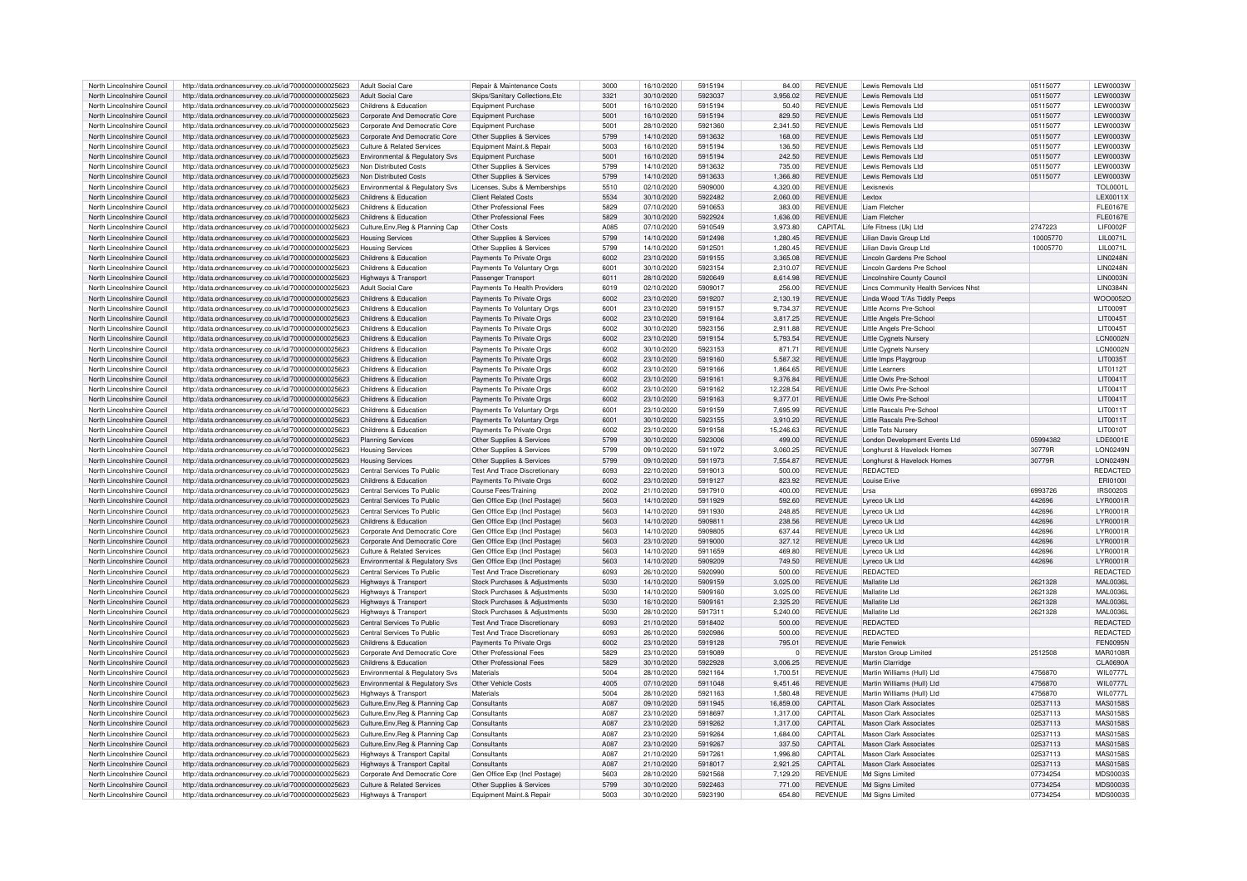| North Lincolnshire Council |                                                                                                              | Adult Social Care                | <b>Benair &amp; Maintenance Costs</b> | 3000 | 16/10/2020 | 5915194 | 84.00     | <b>REVENUE</b> | Lewis Removals Ltd                   | 05115077 | <b>I EW0003W</b> |
|----------------------------|--------------------------------------------------------------------------------------------------------------|----------------------------------|---------------------------------------|------|------------|---------|-----------|----------------|--------------------------------------|----------|------------------|
|                            | http://data.ordnancesurvey.co.uk/id/7000000000025623                                                         |                                  |                                       |      |            |         |           |                |                                      |          |                  |
| North Lincolnshire Council | http://data.ordnancesurvey.co.uk/id/7000000000025623                                                         | <b>Adult Social Care</b>         | Skips/Sanitary Collections, Etc       | 3321 | 30/10/2020 | 5923037 | 3.956.02  | <b>REVENUE</b> | Lewis Removals Ltd                   | 05115077 | <b>LEW0003W</b>  |
| North Lincolnshire Council | http://data.ordnancesurvey.co.uk/id/7000000000025623                                                         | Childrens & Education            | Foujoment Purchase                    | 5001 | 16/10/2020 | 5915194 | 50.40     | <b>REVENUE</b> | Lewis Removals Ltd                   | 05115077 | <b>I EW0003V</b> |
| North Lincolnshire Council | http://data.ordnancesurvey.co.uk/id/7000000000025623                                                         | Corporate And Democratic Core    | <b>Equipment Purchase</b>             | 5001 | 16/10/2020 | 5915194 | 829.50    | <b>REVENUE</b> | Lewis Removals Ltd                   | 05115077 | <b>LEW0003W</b>  |
| North Lincolnshire Council | http://data.ordnancesurvey.co.uk/id/7000000000025623                                                         | Corporate And Democratic Core    | Equipment Purchase                    | 5001 | 28/10/2020 | 5921360 | 2.341.50  | <b>REVENUE</b> | Lewis Removals Ltd                   | 05115077 | <b>LEW0003W</b>  |
| North Lincolnshire Council | http://data.ordnancesurvey.co.uk/id/7000000000025623                                                         | Corporate And Democratic Core    | Other Supplies & Services             | 5799 | 14/10/2020 | 5913632 | 168.00    | <b>REVENUE</b> | Lewis Removals Ltd                   | 05115077 | <b>LEW0003W</b>  |
|                            |                                                                                                              |                                  |                                       |      |            |         |           |                |                                      |          |                  |
| North Lincolnshire Council | http://data.ordnancesurvey.co.uk/id/7000000000025623                                                         | Culture & Related Services       | Equipment Maint.& Repair              | 5003 | 16/10/2020 | 5915194 | 136.50    | <b>REVENUE</b> | Lewis Removals Ltd                   | 05115077 | <b>LEW0003W</b>  |
| North Lincolnshire Council | http://data.ordnancesurvey.co.uk/id/7000000000025623                                                         | Environmental & Regulatory Svs   | Equipment Purchase                    | 5001 | 16/10/2020 | 5915194 | 242.50    | <b>REVENUE</b> | Lewis Removals Ltd                   | 05115077 | <b>LEW0003W</b>  |
| North Lincolnshire Council | http://data.ordnancesurvey.co.uk/id/7000000000025623                                                         | Non Distributed Costs            | Other Supplies & Services             | 5799 | 14/10/2020 | 5913632 | 735.00    | <b>REVENUE</b> | Lewis Removals Ltd                   | 05115077 | <b>LEW0003W</b>  |
| North Lincolnshire Council | http://data.ordnancesurvey.co.uk/id/7000000000025623                                                         | Non Distributed Costs            | Other Supplies & Services             | 5799 | 14/10/2020 | 5913633 | 1.366.80  | <b>REVENUE</b> | Lewis Removals Ltd                   | 05115077 | <b>LEW0003W</b>  |
| North Lincolnshire Council | http://data.ordnancesurvey.co.uk/id/7000000000025623                                                         | Environmental & Regulatory Sys   | Licenses, Subs & Memberships          | 5510 | 02/10/2020 | 5909000 | 4,320.00  | <b>REVENUE</b> | I exisnexis                          |          | <b>TOL0001L</b>  |
| North Lincolnshire Council | http://data.ordnancesurvey.co.uk/id/7000000000025623                                                         | Childrens & Education            | <b>Client Related Costs</b>           | 5534 | 30/10/2020 | 5922482 | 2,060.00  | <b>REVENUE</b> | Lexto>                               |          | LEX0011X         |
|                            |                                                                                                              |                                  |                                       |      |            |         |           |                |                                      |          |                  |
| North Lincolnshire Council | http://data.ordnancesurvey.co.uk/id/7000000000025623                                                         | Childrens & Education            | Other Professional Fee:               | 5829 | 07/10/2020 | 5910653 | 383.00    | <b>REVENUE</b> | Liam Fletche                         |          | <b>FLE0167E</b>  |
| North Lincolnshire Council | http://data.ordnancesurvey.co.uk/id/7000000000025623                                                         | Childrens & Education            | Other Professional Fees               | 5829 | 30/10/2020 | 5922924 | 1.636.00  | <b>REVENUE</b> | I jam Fletche                        |          | <b>FLE0167E</b>  |
| North Lincolnshire Council | http://data.ordnancesurvey.co.uk/id/7000000000025623                                                         | Culture, Env, Reg & Planning Cap | Other Costs                           | A085 | 07/10/2020 | 5910549 | 3,973.80  | CAPITAL        | Life Fitness (Uk) Ltd                | 2747223  | <b>LIF0002F</b>  |
| North Lincolnshire Council | http://data.ordnancesurvey.co.uk/id/7000000000025623                                                         | <b>Housing Services</b>          | Other Supplies & Services             | 5799 | 14/10/2020 | 5912498 | 1.280.45  | <b>REVENUE</b> | Lilian Davis Group Ltd               | 10005770 | LIL0071L         |
| North Lincolnshire Council | http://data.ordnancesurvey.co.uk/id/7000000000025623                                                         | <b>Housing Services</b>          | Other Supplies & Services             | 5799 | 14/10/2020 | 5912501 | 1.280.45  | <b>REVENUE</b> | Lilian Davis Group Ltd               | 10005770 | LIL0071L         |
| North Lincolnshire Council | http://data.ordnancesurvey.co.uk/id/7000000000025623                                                         | Childrens & Education            | Payments To Private Orgs              | 6002 | 23/10/2020 | 5919155 | 3,365.08  | <b>REVENUE</b> | Lincoln Gardens Pre School           |          | <b>LIN0248N</b>  |
|                            |                                                                                                              |                                  |                                       |      |            |         |           |                |                                      |          |                  |
| North Lincolnshire Council | http://data.ordnancesurvey.co.uk/id/7000000000025623                                                         | Childrens & Education            | Payments To Voluntary Orgs            | 600  | 30/10/2020 | 5923154 | 2.310.07  | <b>REVENUE</b> | Lincoln Gardens Pre Schoo            |          | <b>LIN0248N</b>  |
| North Lincolnshire Council | http://data.ordnancesurvey.co.uk/id/7000000000025623                                                         | Highways & Transport             | Passenger Transport                   | 6011 | 28/10/2020 | 5920649 | 8.614.98  | <b>REVENUE</b> | Lincolnshire County Council          |          | <b>LIN0003N</b>  |
| North Lincolnshire Council | http://data.ordnancesurvey.co.uk/id/7000000000025623                                                         | <b>Adult Social Care</b>         | Payments To Health Providers          | 6019 | 02/10/2020 | 5909017 | 256.00    | <b>REVENUE</b> | Lincs Community Health Services Nhst |          | <b>I IN0384N</b> |
| North Lincolnshire Council | http://data.ordnancesurvey.co.uk/id/7000000000025623                                                         | Childrens & Education            | Payments To Private Orgs              | 6002 | 23/10/2020 | 5919207 | 2,130.19  | <b>REVENUE</b> | Linda Wood T/As Tiddly Peeps         |          | WOO0052C         |
| North Lincolnshire Council | http://data.ordnancesurvey.co.uk/id/7000000000025623                                                         | Childrens & Education            | Payments To Voluntary Orgs            | 6001 | 23/10/2020 | 5919157 | 9.734.37  | <b>REVENUE</b> | Little Acorns Pre-Schoo              |          | <b>LIT0009T</b>  |
| North Lincolnshire Council | http://data.ordnancesurvey.co.uk/id/7000000000025623                                                         | Childrens & Education            | Payments To Private Orgs              | 6002 | 23/10/2020 | 5919164 | 3.817.25  | <b>REVENUE</b> | Little Angels Pre-Schoo              |          | LIT00457         |
|                            |                                                                                                              |                                  |                                       |      |            | 5923156 |           |                |                                      |          |                  |
| North Lincolnshire Council | http://data.ordnancesurvey.co.uk/id/7000000000025623                                                         | Childrens & Education            | Payments To Private Orgs              | 6002 | 30/10/2020 |         | 2.911.88  | <b>REVENUE</b> | Little Angels Pre-School             |          | LIT0045T         |
| North Lincolnshire Council | http://data.ordnancesurvey.co.uk/id/7000000000025623                                                         | Childrens & Education            | Payments To Private Orgs              | 6002 | 23/10/2020 | 5919154 | 5.793.54  | <b>REVENUE</b> | Little Cygnets Nursery               |          | LCN0002N         |
| North Lincolnshire Council | http://data.ordnancesurvey.co.uk/id/7000000000025623                                                         | Childrens & Education            | Payments To Private Orgs              | 6002 | 30/10/2020 | 5923153 | 871.71    | <b>REVENUE</b> | Little Cygnets Nursery               |          | LCN0002N         |
| North Lincolnshire Council | http://data.ordnancesurvey.co.uk/id/7000000000025623                                                         | Childrens & Education            | Payments To Private Orgs              | 6002 | 23/10/2020 | 5919160 | 5,587.32  | <b>REVENUE</b> | Little Imps Playgroup                |          | LIT0035T         |
| North Lincolnshire Council | http://data.ordnancesurvey.co.uk/id/7000000000025623                                                         | Childrens & Education            | Payments To Private Orgs              | 6002 | 23/10/2020 | 5919166 | 1.864.65  | <b>REVENUE</b> | Little Learners                      |          | <b>I IT0112T</b> |
| North Lincolnshire Council | http://data.ordnancesurvey.co.uk/id/7000000000025623                                                         | Childrens & Education            | Payments To Private Orgs              | 6002 | 23/10/2020 | 591916  | 9,376.84  | <b>REVENUE</b> | Little Owls Pre-School               |          | LIT0041T         |
|                            |                                                                                                              |                                  |                                       |      |            |         |           |                |                                      |          |                  |
| North Lincolnshire Council | http://data.ordnancesurvey.co.uk/id/7000000000025623                                                         | Childrens & Education            | Payments To Private Orgs              | 6002 | 23/10/2020 | 5919162 | 12.228.54 | <b>REVENUE</b> | Little Owls Pre-School               |          | LIT0041T         |
| North Lincolnshire Council | http://data.ordnancesurvey.co.uk/id/7000000000025623                                                         | Childrens & Education            | Payments To Private Orgs              | 6002 | 23/10/2020 | 5919163 | 9,377.01  | <b>REVENUE</b> | Little Owls Pre-School               |          | LIT0041T         |
| North Lincolnshire Council | http://data.ordnancesurvey.co.uk/id/7000000000025623                                                         | Childrens & Education            | Payments To Voluntary Orgs            | 6001 | 23/10/2020 | 5919159 | 7,695.99  | <b>REVENUE</b> | Little Rascals Pre-School            |          | LIT0011T         |
| North Lincolnshire Council | http://data.ordnancesurvey.co.uk/id/7000000000025623                                                         | Childrens & Education            | Payments To Voluntary Orgs            | 6001 | 30/10/2020 | 5923155 | 3.910.20  | <b>REVENUE</b> | Little Rascals Pre-School            |          | LIT0011T         |
| North Lincolnshire Council | http://data.ordnancesurvey.co.uk/id/7000000000025623                                                         | Childrens & Education            | Payments To Private Orgs              | 6002 | 23/10/2020 | 5919158 | 15,246.63 | <b>REVENUE</b> | Little Tots Nursery                  |          | LIT0010T         |
|                            |                                                                                                              |                                  |                                       |      |            | 5923006 |           | <b>REVENUE</b> |                                      |          |                  |
| North Lincolnshire Council | http://data.ordnancesurvey.co.uk/id/7000000000025623                                                         | <b>Planning Services</b>         | Other Supplies & Services             | 5799 | 30/10/2020 |         | 499.00    |                | London Development Events Ltd        | 05994382 | <b>LDE0001E</b>  |
| North Lincolnshire Council | http://data.ordnancesurvey.co.uk/id/7000000000025623                                                         | <b>Housing Services</b>          | Other Supplies & Services             | 5799 | 09/10/2020 | 5911972 | 3,060.25  | <b>REVENUE</b> | Longhurst & Havelock Homes           | 30779F   | <b>LON0249N</b>  |
| North Lincolnshire Council | http://data.ordnancesurvey.co.uk/id/7000000000025623                                                         | <b>Housing Services</b>          | Other Supplies & Services             | 5799 | 09/10/2020 | 5911973 | 7,554.87  | <b>REVENUE</b> | Longburst & Havelock Homes           | 30779R   | LON0249N         |
| North Lincolnshire Council | http://data.ordnancesurvey.co.uk/id/7000000000025623                                                         | Central Services To Public       | <b>Test And Trace Discretionan</b>    | 6093 | 22/10/2020 | 5919013 | 500.00    | <b>REVENUE</b> | <b>REDACTED</b>                      |          | REDACTED         |
| North Lincolnshire Council | http://data.ordnancesurvey.co.uk/id/7000000000025623                                                         | Childrens & Education            | Payments To Private Oras              | 6002 | 23/10/2020 | 5919127 | 823.92    | <b>REVENUE</b> | Louise Erive                         |          | ERI01001         |
|                            |                                                                                                              |                                  |                                       | 2002 | 21/10/2020 | 5917910 | 400.00    | <b>REVENUE</b> | I rsa                                |          |                  |
|                            |                                                                                                              |                                  |                                       |      |            |         |           |                |                                      |          |                  |
| North Lincolnshire Council | http://data.ordnancesurvey.co.uk/id/7000000000025623                                                         | Central Services To Public       | Course Fees/Training                  |      |            |         |           |                |                                      | 6993726  | <b>IRS0020S</b>  |
| North Lincolnshire Council | http://data.ordnancesurvey.co.uk/id/7000000000025623                                                         | Central Services To Public       | Gen Office Exp (Incl Postage)         | 5603 | 14/10/2020 | 5911929 | 592.60    | <b>REVENUE</b> | Lyreco Uk Ltc                        | 442696   | <b>LYR0001R</b>  |
| North Lincolnshire Council | http://data.ordnancesurvey.co.uk/id/7000000000025623                                                         | Central Services To Public       | Gen Office Exp (Incl Postage)         | 5603 | 14/10/2020 | 5911930 | 248.85    | <b>REVENUE</b> | Lyreco Uk Ltd                        | 442696   | LYR0001R         |
| North Lincolnshire Council | http://data.ordnancesurvey.co.uk/id/7000000000025623                                                         | Childrens & Education            | Gen Office Exp (Incl Postage)         | 5603 | 14/10/2020 | 590981  | 238.56    | <b>REVENUE</b> | I vreco Uk I td                      | 442696   | <b>LYR0001F</b>  |
| North Lincolnshire Council | http://data.ordnancesurvey.co.uk/id/7000000000025623                                                         | Corporate And Democratic Core    | Gen Office Exp (Incl Postage)         | 5603 | 14/10/2020 | 5909805 | 637.44    | <b>REVENUE</b> | Lyreco Uk Ltd                        | 442696   | LYR0001R         |
|                            |                                                                                                              |                                  |                                       |      |            |         |           |                |                                      |          |                  |
| North Lincolnshire Council | http://data.ordnancesurvey.co.uk/id/7000000000025623                                                         | Corporate And Democratic Core    | Gen Office Exp (Incl Postage)         | 5603 | 23/10/2020 | 5919000 | 327.12    | <b>REVENUE</b> | Lyreco Uk Ltd                        | 442696   | <b>LYR0001R</b>  |
| North Lincolnshire Council | http://data.ordnancesurvey.co.uk/id/7000000000025623                                                         | Culture & Related Services       | Gen Office Exp (Incl Postage)         | 5603 | 14/10/2020 | 5911659 | 469.80    | <b>REVENUE</b> | Lyreco Uk Ltd                        | 442696   | <b>LYR0001R</b>  |
| North Lincolnshire Council | http://data.ordnancesurvey.co.uk/id/7000000000025623                                                         | Environmental & Regulatory Svs   | Gen Office Exp (Incl Postage)         | 5603 | 14/10/2020 | 5909209 | 749.50    | <b>REVENUE</b> | Lyreco Uk Ltd                        | 442696   | LYR0001R         |
| North Lincolnshire Council | http://data.ordnancesurvey.co.uk/id/7000000000025623                                                         | Central Services To Public       | <b>Test And Trace Discretionary</b>   | 6093 | 26/10/2020 | 5920990 | 500.00    | <b>REVENUE</b> | REDACTED                             |          | REDACTED         |
| North Lincolnshire Council | http://data.ordnancesurvey.co.uk/id/7000000000025623                                                         | Highways & Transport             | Stock Purchases & Adjustments         | 5030 | 14/10/2020 | 5909159 | 3,025.00  | <b>REVENUE</b> | Mallatite I td                       | 2621328  | <b>MAL0036L</b>  |
| North Lincolnshire Council | http://data.ordnancesurvey.co.uk/id/7000000000025623                                                         | <b>Highways &amp; Transport</b>  | Stock Purchases & Adjustments         | 5030 | 14/10/2020 | 5909160 | 3,025.00  | <b>REVENUE</b> | Mallatite I td                       | 2621328  | <b>MAL0036L</b>  |
|                            |                                                                                                              | Highways & Transport             | Stock Purchases & Adjustments         | 5030 |            | 5909161 |           | <b>REVENUE</b> | Mallatite Ltd                        |          | <b>MAL0036L</b>  |
| North Lincolnshire Council | http://data.ordnancesurvey.co.uk/id/7000000000025623                                                         |                                  |                                       |      | 16/10/2020 |         | 2,325.20  |                | Mallatite I td                       | 2621328  |                  |
| North Lincolnshire Council | http://data.ordnancesurvey.co.uk/id/7000000000025623                                                         | Highways & Transport             | Stock Purchases & Adjustments         | 5030 | 28/10/2020 | 5917311 | 5,240.00  | <b>REVENUE</b> |                                      | 2621328  | <b>MAL0036L</b>  |
| North Lincolnshire Council | http://data.ordnancesurvey.co.uk/id/7000000000025623                                                         | Central Services To Public       | <b>Test And Trace Discretionary</b>   | 6093 | 21/10/2020 | 5918402 | 500.00    | <b>REVENUE</b> | <b>REDACTED</b>                      |          | REDACTED         |
| North Lincolnshire Council | http://data.ordnancesurvey.co.uk/id/7000000000025623                                                         | Central Services To Public       | <b>Test And Trace Discretionan</b>    | 6093 | 26/10/2020 | 5920986 | 500.00    | <b>REVENUE</b> | <b>REDACTED</b>                      |          | <b>REDACTED</b>  |
| North Lincolnshire Council | http://data.ordnancesurvey.co.uk/id/7000000000025623                                                         | Childrens & Education            | Payments To Private Orgs              | 6002 | 23/10/2020 | 5919128 | 795.01    | <b>REVENUE</b> | Marie Fenwick                        |          | <b>FEN0095N</b>  |
| North Lincolnshire Council | http://data.ordnancesurvey.co.uk/id/7000000000025623                                                         | Corporate And Democratic Core    | Other Professional Fees               | 5829 | 23/10/2020 | 5919089 | n         | <b>REVENUE</b> | Marston Group Limited                | 2512508  | MAR0108F         |
| North Lincolnshire Council |                                                                                                              | Childrens & Education            | Other Professional Fees               | 5829 | 30/10/2020 | 5922928 | 3.006.25  | <b>REVENUE</b> | Martin Clarridge                     |          | <b>CLA0690A</b>  |
|                            | http://data.ordnancesurvey.co.uk/id/7000000000025623                                                         |                                  | Materials                             | 5004 |            | 5921164 |           | REVENUE        | Martin Williams (Hull) I to          | 4756870  | WII 07771        |
| North Lincolnshire Council | http://data.ordnancesurvey.co.uk/id/7000000000025623                                                         | Environmental & Regulatory Svs   |                                       |      | 28/10/2020 |         | 1,700.51  |                |                                      |          |                  |
| North Lincolnshire Council | http://data.ordnancesurvey.co.uk/id/7000000000025623                                                         | Environmental & Regulatory Svs   | Other Vehicle Costs                   | 4005 | 07/10/2020 | 5911048 | 9,451.46  | <b>REVENUE</b> | Martin Williams (Hull) Ltd           | 4756870  | WIL0777L         |
| North Lincolnshire Council | http://data.ordnancesurvey.co.uk/id/7000000000025623                                                         | Highways & Transport             | Materials                             | 5004 | 28/10/2020 | 5921163 | 1.580.48  | REVENUE        | Martin Williams (Hull) Ltd           | 4756870  | <b>WIL0777L</b>  |
| North Lincolnshire Council | http://data.ordnancesurvey.co.uk/id/7000000000025623                                                         | Culture, Env, Reg & Planning Cap | Consultants                           | A087 | 09/10/2020 | 5911945 | 16.859.00 | CAPITAI        | Mason Clark Associates               | 02537113 | MAS0158S         |
| North Lincolnshire Council | http://data.ordnancesurvey.co.uk/id/7000000000025623                                                         | Culture.Env.Reg & Planning Cap   | Consultants                           | A087 | 23/10/2020 | 5918697 | 1.317.00  | <b>CAPITAL</b> | Mason Clark Associates               | 02537113 | MAS0158S         |
| North Lincolnshire Council | http://data.ordnancesurvey.co.uk/id/7000000000025623                                                         | Culture, Env, Reg & Planning Cap | Consultants                           | A087 | 23/10/2020 | 5919262 | 1,317.00  | CAPITAL        | <b>Mason Clark Associates</b>        | 02537113 | <b>MAS0158S</b>  |
|                            |                                                                                                              |                                  |                                       |      |            |         |           |                |                                      |          |                  |
| North Lincolnshire Council | http://data.ordnancesurvey.co.uk/id/7000000000025623                                                         | Culture, Env, Reg & Planning Cap | Consultants                           | A087 | 23/10/2020 | 5919264 | 1.684.00  | CAPITAI        | Mason Clark Associates               | 02537113 | MAS01585         |
| North Lincolnshire Council | http://data.ordnancesurvey.co.uk/id/7000000000025623                                                         | Culture, Env, Reg & Planning Cap | Consultants                           | A087 | 23/10/2020 | 5919267 | 337.50    | <b>CAPITAL</b> | <b>Mason Clark Associates</b>        | 02537113 | <b>MAS0158S</b>  |
| North Lincolnshire Council | http://data.ordnancesurvey.co.uk/id/7000000000025623                                                         | Highways & Transport Capital     | Consultants                           | A087 | 21/10/2020 | 5917261 | 1.996.80  | CAPITAL        | <b>Mason Clark Associates</b>        | 02537113 | MAS0158S         |
| North Lincolnshire Council | http://data.ordnancesurvey.co.uk/id/7000000000025623                                                         | Highways & Transport Capital     | Consultants                           | A087 | 21/10/2020 | 5918017 | 2,921.25  | CAPITAL        | <b>Mason Clark Associates</b>        | 02537113 | MAS0158S         |
| North Lincolnshire Council | http://data.ordnancesurvey.co.uk/id/7000000000025623                                                         | Corporate And Democratic Core    | Gen Office Exp (Incl Postage)         | 5603 | 28/10/2020 | 5921568 | 7,129.20  | <b>REVENUE</b> | Md Signs Limited                     | 07734254 | <b>MDS0003S</b>  |
| North Lincolnshire Council |                                                                                                              | Culture & Related Services       | Other Supplies & Services             | 5799 | 30/10/2020 | 5922463 | 771.00    | <b>REVENUE</b> | Md Signs Limited                     | 07734254 | MDS0003S         |
| North Lincolnshire Council | http://data.ordnancesurvey.co.uk/id/7000000000025623<br>http://data.ordnancesurvey.co.uk/id/7000000000025623 | Highways & Transport             | Equipment Maint.& Repair              | 5003 | 30/10/2020 | 5923190 | 654.80    | <b>REVENUE</b> | Md Signs Limited                     | 07734254 | <b>MDS0003S</b>  |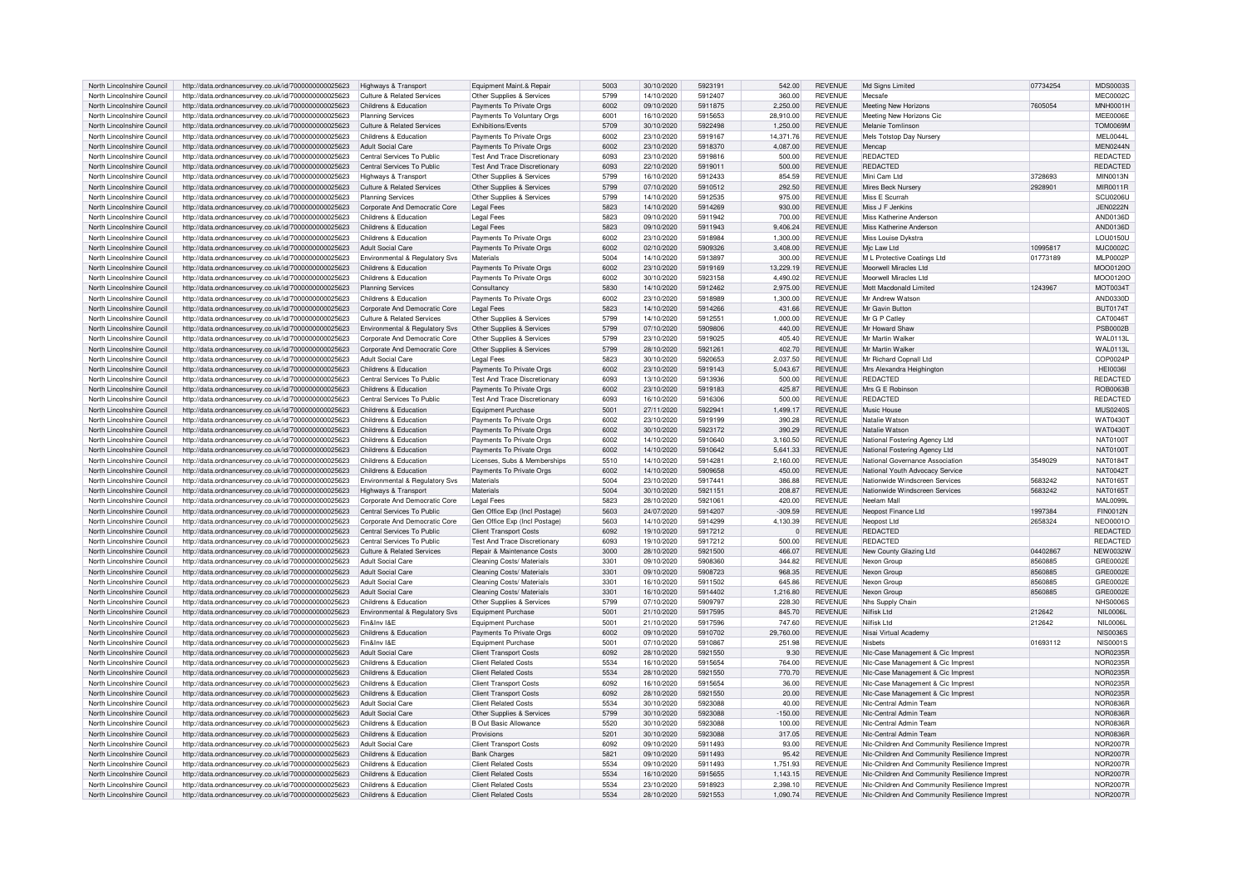| North Lincolnshire Council | http://data.ordnancesurvey.co.uk/id/7000000000025623 | Highways & Transport                  | Equipment Maint.& Repair            | 5003             | 30/10/2020 | 5923191 | 542.00    | <b>REVENUE</b> | Md Signs Limited                              | 07734254 | MDS0003S        |
|----------------------------|------------------------------------------------------|---------------------------------------|-------------------------------------|------------------|------------|---------|-----------|----------------|-----------------------------------------------|----------|-----------------|
|                            |                                                      |                                       |                                     |                  |            |         |           |                |                                               |          |                 |
| North Lincolnshire Council | http://data.ordnancesurvey.co.uk/id/7000000000025623 | <b>Culture &amp; Related Services</b> | Other Supplies & Services           | 5799             | 14/10/2020 | 5912407 | 360.00    | <b>REVENUE</b> | Mecsafe                                       |          | <b>MEC0002C</b> |
| North Lincolnshire Council | http://data.ordnancesurvey.co.uk/id/7000000000025623 | Childrens & Education                 | Payments To Private Orgs            | 6002             | 09/10/2020 | 5911875 | 2.250.00  | <b>REVENUE</b> | <b>Meeting New Horizons</b>                   | 7605054  | MNH0001F        |
| North Lincolnshire Council | http://data.ordnancesurvey.co.uk/id/7000000000025623 | <b>Planning Services</b>              | Payments To Voluntary Orgs          | 6001             | 16/10/2020 | 5915653 | 28,910.00 | <b>REVENUE</b> | Meeting New Horizons Cic                      |          | MEE0006E        |
| North Lincolnshire Council | http://data.ordnancesurvey.co.uk/id/7000000000025623 | Culture & Related Services            | Exhibitions/Events                  | 5709             | 30/10/2020 | 5922498 | 1.250.00  | <b>REVENUE</b> | Melanie Tomlinsor                             |          | <b>TOM0069N</b> |
| North Lincolnshire Council | http://data.ordnancesurvey.co.uk/id/7000000000025623 | Childrens & Education                 | Payments To Private Orgs            | 6002             | 23/10/2020 | 5919167 | 14,371.76 | <b>REVENUE</b> | Mels Totstop Day Nursery                      |          | MEL0044L        |
|                            |                                                      |                                       |                                     |                  |            |         |           |                |                                               |          |                 |
| North Lincolnshire Council | http://data.ordnancesurvey.co.uk/id/7000000000025623 | <b>Adult Social Care</b>              | Payments To Private Orgs            | 6002             | 23/10/2020 | 5918370 | 4,087.00  | <b>REVENUE</b> | Mencap                                        |          | MEN0244N        |
| North Lincolnshire Council | http://data.ordnancesurvey.co.uk/id/7000000000025623 | Central Services To Public            | <b>Test And Trace Discretionary</b> | 6093             | 23/10/2020 | 5919816 | 500.00    | <b>REVENUE</b> | <b>REDACTED</b>                               |          | REDACTED        |
| North Lincolnshire Council | http://data.ordnancesurvey.co.uk/id/7000000000025623 | Central Services To Public            | <b>Test And Trace Discretionary</b> | 6093             | 22/10/2020 | 5919011 | 500.00    | <b>REVENUE</b> | <b>REDACTED</b>                               |          | REDACTED        |
| North Lincolnshire Council | http://data.ordnancesurvey.co.uk/id/7000000000025623 | Highways & Transport                  | Other Supplies & Services           | 5799             | 16/10/2020 | 5912433 | 854.59    | <b>REVENUE</b> | Mini Cam Ltd                                  | 3728693  | <b>MIN0013N</b> |
|                            |                                                      |                                       |                                     |                  |            |         |           |                |                                               |          |                 |
| North Lincolnshire Council | http://data.ordnancesurvey.co.uk/id/7000000000025623 | <b>Culture &amp; Related Services</b> | Other Supplies & Services           | 5799             | 07/10/2020 | 5910512 | 292.50    | <b>REVENUE</b> | Mires Beck Nursery                            | 2928901  | MIR0011R        |
| North Lincolnshire Council | http://data.ordnancesurvey.co.uk/id/7000000000025623 | <b>Planning Services</b>              | Other Supplies & Services           | 5799             | 14/10/2020 | 5912535 | 975.00    | <b>REVENUE</b> | Miss E Scurrah                                |          | SCU0206U        |
| North Lincolnshire Council | http://data.ordnancesurvey.co.uk/id/7000000000025623 | Corporate And Democratic Core         | <b>Legal Fees</b>                   | 5823             | 14/10/2020 | 5914269 | 930.00    | <b>REVENUE</b> | Miss J F Jenkins                              |          | <b>JEN0222N</b> |
| North Lincolnshire Council | http://data.ordnancesurvey.co.uk/id/7000000000025623 | Childrens & Education                 | <b>Legal Fees</b>                   | 5823             | 09/10/2020 | 5911942 | 700.00    | <b>REVENUE</b> | Miss Katherine Anderson                       |          | AND0136E        |
| North Lincolnshire Council | http://data.ordnancesurvey.co.uk/id/7000000000025623 | Childrens & Education                 | <b>Legal Fees</b>                   | 5823             | 09/10/2020 | 5911943 | 9,406.24  | <b>REVENUE</b> | Miss Katherine Anderson                       |          | AND0136D        |
|                            |                                                      |                                       |                                     |                  |            |         |           |                |                                               |          |                 |
| North Lincolnshire Council | http://data.ordnancesurvey.co.uk/id/7000000000025623 | Childrens & Education                 | Payments To Private Orgs            | 6002             | 23/10/2020 | 5918984 | 1.300.00  | <b>REVENUE</b> | Miss Louise Dykstra                           |          | LOU0150U        |
| North Lincolnshire Council | http://data.ordnancesurvey.co.uk/id/7000000000025623 | Adult Social Care                     | Payments To Private Orgs            | 6002             | 02/10/2020 | 5909326 | 3,408.00  | <b>REVENUE</b> | Mjc Law Ltd                                   | 10995817 | MJC0002C        |
| North Lincolnshire Council | http://data.ordnancesurvey.co.uk/id/7000000000025623 | Environmental & Regulatory Svs        | Materials                           | 5004             | 14/10/2020 | 5913897 | 300.00    | <b>REVENUE</b> | M L Protective Coatings Ltd                   | 01773189 | <b>MLP0002P</b> |
| North Lincolnshire Council | http://data.ordnancesurvey.co.uk/id/7000000000025623 | Childrens & Education                 | Payments To Private Orgs            | 6002             | 23/10/2020 | 5919169 | 13,229.19 | <b>REVENUE</b> | Moorwell Miracles Ltd                         |          | MOO0120C        |
| North Lincolnshire Council | http://data.ordnancesurvey.co.uk/id/7000000000025623 | Childrens & Education                 |                                     | 6002             | 30/10/2020 | 5923158 | 4.490.02  | <b>REVENUE</b> | Moorwell Miracles Ltd                         |          | MOO01200        |
|                            |                                                      |                                       | Payments To Private Orgs            |                  |            |         |           |                |                                               |          |                 |
| North Lincolnshire Council | http://data.ordnancesurvey.co.uk/id/7000000000025623 | <b>Planning Services</b>              | Consultancy                         | 5830             | 14/10/2020 | 5912462 | 2,975.00  | <b>REVENUE</b> | Mott Macdonald Limited                        | 1243967  | MOT0034T        |
| North Lincolnshire Council | http://data.ordnancesurvey.co.uk/id/7000000000025623 | Childrens & Education                 | Payments To Private Orgs            | 6002             | 23/10/2020 | 5918989 | 1,300.00  | <b>REVENUE</b> | Mr Andrew Watsor                              |          | AND0330E        |
| North Lincolnshire Council | http://data.ordnancesurvey.co.uk/id/7000000000025623 | Corporate And Democratic Core         | <b>Legal Fees</b>                   | 5823             | 14/10/2020 | 5914266 | 431.66    | <b>REVENUE</b> | Mr Gavin Button                               |          | <b>BUT0174T</b> |
| North Lincolnshire Council | http://data.ordnancesurvey.co.uk/id/7000000000025623 | <b>Culture &amp; Related Services</b> | Other Supplies & Services           | 5799             | 14/10/2020 | 591255  | 1,000.00  | <b>REVENUE</b> | Mr G P Catley                                 |          | CAT0046T        |
|                            |                                                      |                                       |                                     | 5799             |            | 5909806 |           |                | Mr Howard Shaw                                |          |                 |
| North Lincolnshire Council | http://data.ordnancesurvey.co.uk/id/7000000000025623 | Environmental & Regulatory Sys        | Other Supplies & Services           |                  | 07/10/2020 |         | 440.00    | <b>REVENUE</b> |                                               |          | <b>PSB0002B</b> |
| North Lincolnshire Council | http://data.ordnancesurvey.co.uk/id/7000000000025623 | Corporate And Democratic Core         | Other Supplies & Services           | 5799             | 23/10/2020 | 5919025 | 405.40    | <b>REVENUE</b> | Mr Martin Walker                              |          | <b>WAL0113L</b> |
| North Lincolnshire Council | http://data.ordnancesurvey.co.uk/id/7000000000025623 | Corporate And Democratic Core         | Other Supplies & Services           | 5799             | 28/10/2020 | 592126  | 402.70    | <b>REVENUE</b> | Mr Martin Walker                              |          | <b>WAL0113L</b> |
| North Lincolnshire Council | http://data.ordnancesurvey.co.uk/id/7000000000025623 | <b>Adult Social Care</b>              | <b>Legal Fees</b>                   | 5823             | 30/10/2020 | 5920653 | 2,037.50  | <b>REVENUE</b> | Mr Richard Copnall Ltd                        |          | COP0024F        |
| North Lincolnshire Council |                                                      | Childrens & Education                 |                                     | 6002             | 23/10/2020 | 5919143 | 5.043.67  | <b>REVENUE</b> |                                               |          | <b>HFI0036I</b> |
|                            | http://data.ordnancesurvey.co.uk/id/7000000000025623 |                                       | Payments To Private Orgs            |                  |            |         |           |                | Mrs Alexandra Heighington                     |          |                 |
| North Lincolnshire Council | http://data.ordnancesurvey.co.uk/id/7000000000025623 | Central Services To Public            | <b>Test And Trace Discretionary</b> | 6093             | 13/10/2020 | 5913936 | 500.00    | <b>REVENUE</b> | <b>REDACTED</b>                               |          | REDACTED        |
| North Lincolnshire Council | http://data.ordnancesurvey.co.uk/id/7000000000025623 | Childrens & Education                 | Payments To Private Orgs            | 6002             | 23/10/2020 | 5919183 | 425.87    | <b>REVENUE</b> | Mrs G E Robinson                              |          | ROB0063E        |
| North Lincolnshire Council | http://data.ordnancesurvey.co.uk/id/7000000000025623 | Central Services To Public            | <b>Test And Trace Discretionary</b> | 6093             | 16/10/2020 | 5916306 | 500.00    | <b>REVENUE</b> | <b>REDACTED</b>                               |          | REDACTED        |
| North Lincolnshire Council | http://data.ordnancesurvey.co.uk/id/7000000000025623 | Childrens & Education                 | Equipment Purchase                  | 5001             | 27/11/2020 | 5922941 | 1,499.17  | <b>REVENUE</b> | Music House                                   |          | MUS02409        |
|                            |                                                      |                                       |                                     |                  |            |         |           |                |                                               |          |                 |
| North Lincolnshire Council | http://data.ordnancesurvey.co.uk/id/7000000000025623 | Childrens & Education                 | Payments To Private Orgs            | 6002             | 23/10/2020 | 5919199 | 390.28    | <b>REVENUE</b> | Natalie Watsor                                |          | WAT0430         |
| North Lincolnshire Council | http://data.ordnancesurvey.co.uk/id/7000000000025623 | Childrens & Education                 | Payments To Private Orgs            | 6002             | 30/10/2020 | 5923172 | 390.29    | <b>REVENUE</b> | Natalie Watsor                                |          | WAT0430T        |
| North Lincolnshire Council | http://data.ordnancesurvey.co.uk/id/7000000000025623 | Childrens & Education                 | Payments To Private Orgs            | 6002             | 14/10/2020 | 5910640 | 3,160.50  | <b>REVENUE</b> | National Fostering Agency Ltd                 |          | NAT0100T        |
| North Lincolnshire Council | http://data.ordnancesurvey.co.uk/id/7000000000025623 | Childrens & Education                 | Payments To Private Orgs            | 6002             | 14/10/2020 | 5910642 | 5,641.33  | <b>REVENUE</b> | National Fostering Agency Ltd                 |          | NAT0100T        |
|                            |                                                      | Childrens & Education                 |                                     | 5510             |            | 5914281 |           | <b>REVENUE</b> |                                               | 3549029  |                 |
| North Lincolnshire Council | http://data.ordnancesurvey.co.uk/id/7000000000025623 |                                       | Licenses, Subs & Memberships        |                  | 14/10/2020 |         | 2,160.00  |                | National Governance Association               |          | <b>NAT0184T</b> |
| North Lincolnshire Council | http://data.ordnancesurvey.co.uk/id/7000000000025623 | Childrens & Education                 | Payments To Private Orgs            | 6002             | 14/10/2020 | 5909658 | 450.00    | <b>REVENUE</b> | National Youth Advocacy Service               |          | <b>NAT0042T</b> |
| North Lincolnshire Council | http://data.ordnancesurvey.co.uk/id/7000000000025623 | Environmental & Regulatory Sys        | Materials                           | 5004             | 23/10/2020 | 5917441 | 386.88    | <b>REVENUE</b> | Nationwide Windscreen Services                | 5683242  | NAT0165T        |
| North Lincolnshire Council | http://data.ordnancesurvey.co.uk/id/7000000000025623 | Highways & Transport                  | Materials                           | 5004             | 30/10/2020 | 5921151 | 208.87    | <b>REVENUE</b> | Nationwide Windscreen Services                | 5683242  | NAT0165T        |
| North Lincolnshire Council | http://data.ordnancesurvey.co.uk/id/7000000000025623 | Corporate And Democratic Core         | <b>Legal Fees</b>                   | 5823             | 28/10/2020 | 592106  | 420.00    | <b>REVENUE</b> | Neelam Mall                                   |          | <b>MAL0099L</b> |
|                            |                                                      |                                       |                                     |                  |            |         |           |                |                                               |          |                 |
| North Lincolnshire Council | http://data.ordnancesurvey.co.uk/id/7000000000025623 | Central Services To Public            | Gen Office Exp (Incl Postage)       | 5603             | 24/07/2020 | 5914207 | $-309.59$ | <b>REVENUE</b> | Neopost Finance Ltd                           | 1997384  | <b>FIN0012N</b> |
| North Lincolnshire Council | http://data.ordnancesurvey.co.uk/id/7000000000025623 | Cornorate And Democratic Core         | Gen Office Exp (Incl Postage        | 5603             | 14/10/2020 | 5914299 | 4.130.39  | <b>REVENUE</b> | Neonost Ltd                                   | 2658324  | <b>NEO0001C</b> |
| North Lincolnshire Council | http://data.ordnancesurvey.co.uk/id/7000000000025623 | Central Services To Public            | <b>Client Transport Costs</b>       | 6092             | 19/10/2020 | 5917212 | $\Omega$  | <b>REVENUE</b> | <b>REDACTED</b>                               |          | REDACTED        |
| North Lincolnshire Council | http://data.ordnancesurvey.co.uk/id/7000000000025623 | Central Services To Public            | <b>Test And Trace Discretionary</b> | 6093             | 19/10/2020 | 5917212 | 500.00    | <b>REVENUE</b> | <b>REDACTED</b>                               |          | REDACTED        |
| North Lincolnshire Council | http://data.ordnancesurvey.co.uk/id/7000000000025623 | Culture & Related Services            | Repair & Maintenance Costs          | 3000             | 28/10/2020 | 5921500 | 466.07    | <b>REVENUE</b> | New County Glazing Ltd                        | 04402867 | <b>NEW0032V</b> |
|                            |                                                      |                                       |                                     |                  |            |         |           |                |                                               |          |                 |
| North Lincolnshire Council | http://data.ordnancesurvey.co.uk/id/7000000000025623 | Adult Social Care                     | Cleaning Costs/ Materials           | 3301             | 09/10/2020 | 5908360 | 344.82    | <b>REVENUE</b> | Nexon Group                                   | 8560885  | GRE0002E        |
| North Lincolnshire Council | http://data.ordnancesurvey.co.uk/id/7000000000025623 | Adult Social Care                     | Cleaning Costs/ Materials           | 330 <sup>°</sup> | 09/10/2020 | 5908723 | 968.35    | <b>REVENUE</b> | Nexon Group                                   | 8560885  | GRE0002E        |
| North Lincolnshire Council | http://data.ordnancesurvey.co.uk/id/7000000000025623 | Adult Social Care                     | Cleaning Costs/ Materials           | 3301             | 16/10/2020 | 5911502 | 645.86    | <b>REVENUE</b> | Nexon Group                                   | 8560885  | GRE0002E        |
| North Lincolnshire Council | http://data.ordnancesurvey.co.uk/id/7000000000025623 | Adult Social Care                     | Cleaning Costs/ Materials           | 3301             | 16/10/2020 | 5914402 | 1,216.80  | <b>REVENUE</b> | Nexon Group                                   | 8560885  | GRE0002E        |
| North Lincolnshire Council | http://data.ordnancesurvey.co.uk/id/7000000000025623 | Childrens & Education                 | Other Supplies & Services           | 5799             | 07/10/2020 | 5909797 | 228.30    | <b>REVENUE</b> | Nhs Supply Chain                              |          | NHS00065        |
|                            |                                                      |                                       |                                     |                  |            |         |           |                |                                               |          |                 |
| North Lincolnshire Council | http://data.ordnancesurvey.co.uk/id/7000000000025623 | Environmental & Regulatory Svs        | Equipment Purchase                  | 5001             | 21/10/2020 | 5917595 | 845.70    | <b>REVENUE</b> | Nilfisk I td                                  | 212642   | <b>NIL0006L</b> |
| North Lincolnshire Council | http://data.ordnancesurvey.co.uk/id/7000000000025623 | Fin&Inv I&F                           | Equipment Purchase                  | 5001             | 21/10/2020 | 5917596 | 747.60    | <b>REVENUE</b> | Nilfisk I td                                  | 212642   | <b>NIL0006L</b> |
| North Lincolnshire Council | http://data.ordnancesurvey.co.uk/id/7000000000025623 | Childrens & Education                 | Payments To Private Orgs            | 6002             | 09/10/2020 | 5910702 | 29.760.00 | <b>REVENUE</b> | Nisai Virtual Academy                         |          | <b>NIS0036S</b> |
| North Lincolnshire Council | http://data.ordnancesurvey.co.uk/id/7000000000025623 | Fin&Inv I&F                           | Equipment Purchase                  | 5001             | 07/10/2020 | 5910867 | 251.98    | <b>REVENUE</b> | <b>Nishets</b>                                | 01693112 | <b>NIS0001S</b> |
|                            |                                                      | Adult Social Care                     |                                     | 6092             | 28/10/2020 | 5921550 | 9.30      | <b>REVENUE</b> |                                               |          | <b>NOR0235F</b> |
| North Lincolnshire Council | http://data.ordnancesurvey.co.uk/id/7000000000025623 |                                       | <b>Client Transport Costs</b>       |                  |            |         |           |                | NIc-Case Management & Cic Imprest             |          |                 |
| North Lincolnshire Council | http://data.ordnancesurvey.co.uk/id/7000000000025623 | Childrens & Education                 | <b>Client Related Costs</b>         | 5534             | 16/10/2020 | 5915654 | 764.00    | <b>REVENUE</b> | NIc-Case Management & Cic Imprest             |          | NOR0235F        |
| North Lincolnshire Council | http://data.ordnancesurvey.co.uk/id/7000000000025623 | Childrens & Education                 | <b>Client Related Costs</b>         | 5534             | 28/10/2020 | 5921550 | 770.70    | <b>REVENUE</b> | NIc-Case Management & Cic Imprest             |          | <b>NOR0235F</b> |
| North Lincolnshire Council | http://data.ordnancesurvey.co.uk/id/7000000000025623 | Childrens & Education                 | <b>Client Transport Costs</b>       | 6092             | 16/10/2020 | 5915654 | 36.00     | <b>REVENUE</b> | NIc-Case Management & Cic Imprest             |          | <b>NOR0235F</b> |
| North Lincolnshire Council | http://data.ordnancesurvey.co.uk/id/7000000000025623 | Childrens & Education                 | Client Transport Costs              | 6092             | 28/10/2020 | 5921550 | 20.00     | <b>REVENUE</b> | NIc-Case Management & Cic Imprest             |          | <b>NOR0235F</b> |
|                            |                                                      | Adult Social Care                     |                                     | 5534             |            | 5923088 | 40.00     | <b>REVENUE</b> | Nic-Central Admin Team                        |          | NOR0836F        |
| North Lincolnshire Council | http://data.ordnancesurvey.co.uk/id/7000000000025623 |                                       | <b>Client Related Costs</b>         |                  | 30/10/2020 |         |           |                |                                               |          |                 |
| North Lincolnshire Council | http://data.ordnancesurvey.co.uk/id/7000000000025623 | <b>Adult Social Care</b>              | Other Supplies & Services           | 5799             | 30/10/2020 | 5923088 | $-150.00$ | <b>REVENUE</b> | Nic-Central Admin Team                        |          | <b>NOR0836F</b> |
| North Lincolnshire Council | http://data.ordnancesurvey.co.uk/id/7000000000025623 | Childrens & Education                 | B Out Basic Allowance               | 5520             | 30/10/2020 | 5923088 | 100.00    | <b>REVENUE</b> | Nic-Central Admin Team                        |          | NOR0836F        |
| North Lincolnshire Council | http://data.ordnancesurvey.co.uk/id/7000000000025623 | Childrens & Education                 | Provisions                          | 520 <sup>1</sup> | 30/10/2020 | 5923088 | 317.05    | <b>REVENUE</b> | Nic-Central Admin Team                        |          | NOR0836F        |
| North Lincolnshire Council | http://data.ordnancesurvey.co.uk/id/7000000000025623 | <b>Adult Social Care</b>              | <b>Client Transport Costs</b>       | 6092             | 09/10/2020 | 5911493 | 93.00     | <b>REVENUE</b> | NIc-Children And Community Resilience Imprest |          | <b>NOR2007F</b> |
| North Lincolnshire Council |                                                      | Childrens & Education                 | <b>Bank Charges</b>                 | 5821             | 09/10/2020 | 5911493 | 95.42     | <b>REVENUE</b> |                                               |          | <b>NOR2007F</b> |
|                            | http://data.ordnancesurvey.co.uk/id/7000000000025623 |                                       |                                     |                  |            |         |           |                | NIc-Children And Community Resilience Imprest |          |                 |
| North Lincolnshire Council | http://data.ordnancesurvey.co.uk/id/7000000000025623 | Childrens & Education                 | Client Related Costs                | 5534             | 09/10/2020 | 5911493 | 1,751.93  | <b>REVENUE</b> | NIc-Children And Community Resilience Imprest |          | <b>NOR2007F</b> |
| North Lincolnshire Council | http://data.ordnancesurvey.co.uk/id/7000000000025623 | Childrens & Education                 | <b>Client Related Costs</b>         | 5534             | 16/10/2020 | 5915655 | 1,143.15  | <b>REVENUE</b> | NIc-Children And Community Resilience Imprest |          | <b>NOR2007F</b> |
| North Lincolnshire Council | http://data.ordnancesurvey.co.uk/id/7000000000025623 | Childrens & Education                 | <b>Client Related Costs</b>         | 5534             | 23/10/2020 | 5918923 | 2.398.10  | <b>REVENUE</b> | Nic-Children And Community Resilience Imprest |          | <b>NOR2007R</b> |
| North Lincolnshire Council | http://data.ordnancesurvey.co.uk/id/7000000000025623 | Childrens & Education                 | <b>Client Related Costs</b>         | 5534             | 28/10/2020 | 5921553 | 1.090.74  | <b>REVENUE</b> | NIc-Children And Community Resilience Imprest |          | <b>NOR2007R</b> |
|                            |                                                      |                                       |                                     |                  |            |         |           |                |                                               |          |                 |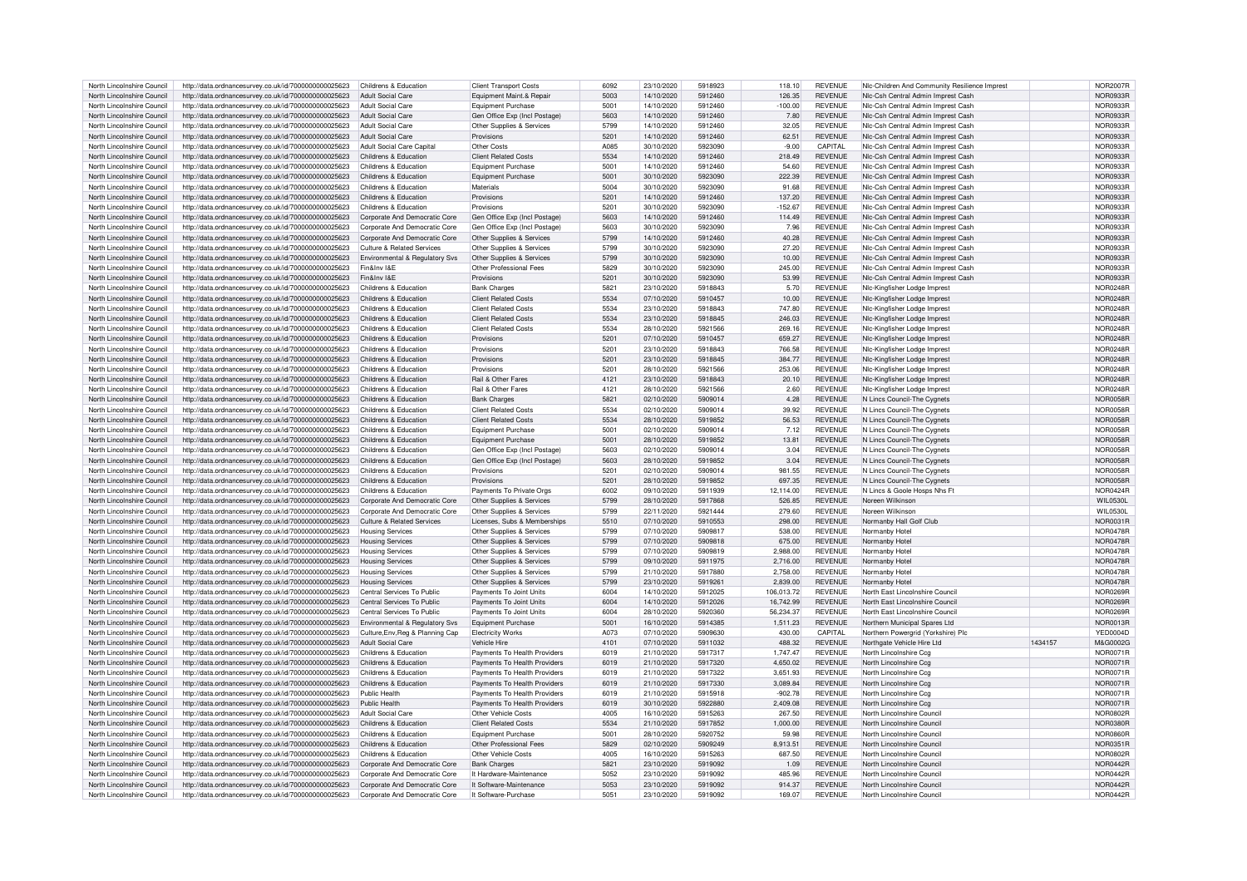| North Lincolnshire Council | http://data.ordnancesurvey.co.uk/id/7000000000025623 | Childrens & Education                     | <b>Client Transport Costs</b> | 6092 | 23/10/2020 | 5918923 | 118.10     | <b>REVENUE</b> | NIc-Children And Community Resilience Imprest |         | <b>NOR2007R</b> |
|----------------------------|------------------------------------------------------|-------------------------------------------|-------------------------------|------|------------|---------|------------|----------------|-----------------------------------------------|---------|-----------------|
|                            |                                                      |                                           |                               |      |            |         |            |                |                                               |         |                 |
| North Lincolnshire Council | http://data.ordnancesurvey.co.uk/id/7000000000025623 | <b>Adult Social Care</b>                  | Equipment Maint.& Repair      | 5003 | 14/10/2020 | 5912460 | 126.35     | <b>REVENUE</b> | Nic-Csh Central Admin Imprest Cash            |         | <b>NOR0933R</b> |
| North Lincolnshire Council | http://data.ordnancesurvey.co.uk/id/7000000000025623 | <b>Adult Social Care</b>                  | <b>Equipment Purchase</b>     | 5001 | 14/10/2020 | 5912460 | $-100.00$  | <b>REVENUE</b> | Nic-Csh Central Admin Imprest Cash            |         | <b>NOR0933R</b> |
| North Lincolnshire Council | http://data.ordnancesurvey.co.uk/id/7000000000025623 | Adult Social Care                         | Gen Office Exp (Incl Postage) | 5603 | 14/10/2020 | 5912460 | 7.80       | <b>REVENUE</b> | Nic-Csh Central Admin Imprest Cash            |         | NOR0933F        |
| North Lincolnshire Council | http://data.ordnancesurvey.co.uk/id/7000000000025623 | <b>Adult Social Care</b>                  | Other Supplies & Services     | 5799 | 14/10/2020 | 5912460 | 32.05      | <b>REVENUE</b> | Nic-Csh Central Admin Imprest Cash            |         | NOR0933R        |
|                            |                                                      |                                           |                               |      |            |         |            |                |                                               |         |                 |
| North Lincolnshire Council | http://data.ordnancesurvey.co.uk/id/7000000000025623 | <b>Adult Social Care</b>                  | Provisions                    | 5201 | 14/10/2020 | 5912460 | 62.51      | <b>REVENUE</b> | NIc-Csh Central Admin Imprest Cash            |         | NOR0933F        |
| North Lincolnshire Council | http://data.ordnancesurvey.co.uk/id/7000000000025623 | Adult Social Care Capital                 | Other Costs                   | A085 | 30/10/2020 | 5923090 | $-9.00$    | CAPITAL        | Nic-Csh Central Admin Imprest Cash            |         | NOR0933B        |
| North Lincolnshire Council | http://data.ordnancesurvey.co.uk/id/7000000000025623 | Childrens & Education                     | <b>Client Related Costs</b>   | 5534 | 14/10/2020 | 5912460 | 218.49     | <b>REVENUE</b> | NIc-Csh Central Admin Imprest Cash            |         | <b>NOR0933R</b> |
|                            |                                                      |                                           |                               |      |            |         |            |                |                                               |         |                 |
| North Lincolnshire Council | http://data.ordnancesurvey.co.uk/id/7000000000025623 | Childrens & Education                     | Equipment Purchase            | 5001 | 14/10/2020 | 5912460 | 54.60      | <b>REVENUE</b> | Nic-Csh Central Admin Imprest Cash            |         | <b>NOR0933R</b> |
| North Lincolnshire Council | http://data.ordnancesurvey.co.uk/id/7000000000025623 | Childrens & Education                     | <b>Equipment Purchase</b>     | 5001 | 30/10/2020 | 5923090 | 222.39     | <b>REVENUE</b> | NIc-Csh Central Admin Imprest Cash            |         | NOR0933R        |
| North Lincolnshire Council | http://data.ordnancesurvey.co.uk/id/7000000000025623 | Childrens & Education                     | Materials                     | 5004 | 30/10/2020 | 5923090 | 91.68      | <b>REVENUE</b> | Nic-Csh Central Admin Imprest Cash            |         | <b>NOR0933R</b> |
| North Lincolnshire Council |                                                      | Childrens & Education                     | Provisions                    | 5201 |            | 5912460 |            | <b>REVENUE</b> | Nic-Csh Central Admin Imprest Cash            |         | <b>NOR0933R</b> |
|                            | http://data.ordnancesurvey.co.uk/id/7000000000025623 |                                           |                               |      | 14/10/2020 |         | 137.20     |                |                                               |         |                 |
| North Lincolnshire Council | http://data.ordnancesurvey.co.uk/id/7000000000025623 | Childrens & Education                     | Provisions                    | 5201 | 30/10/2020 | 5923090 | 152.67     | <b>REVENUE</b> | Nic-Csh Central Admin Imprest Cash            |         | <b>NOR0933R</b> |
| North Lincolnshire Council | http://data.ordnancesurvey.co.uk/id/7000000000025623 | Corporate And Democratic Core             | Gen Office Exp (Incl Postage) | 5603 | 14/10/2020 | 5912460 | 114.49     | <b>REVENUE</b> | Nic-Csh Central Admin Imprest Cash            |         | NOR0933F        |
| North Lincolnshire Council | http://data.ordnancesurvey.co.uk/id/7000000000025623 | Corporate And Democratic Core             | Gen Office Exp (Incl Postage) | 5603 | 30/10/2020 | 5923090 | 7.96       | <b>REVENUE</b> | Nic-Csh Central Admin Imprest Cash            |         | NOR0933R        |
|                            |                                                      |                                           |                               |      |            |         |            |                |                                               |         |                 |
| North Lincolnshire Council | http://data.ordnancesurvey.co.uk/id/7000000000025623 | Corporate And Democratic Core             | Other Supplies & Services     | 5799 | 14/10/2020 | 5912460 | 40.28      | <b>REVENUE</b> | Nic-Csh Central Admin Imprest Cash            |         | <b>NOR0933R</b> |
| North Lincolnshire Council | http://data.ordnancesurvey.co.uk/id/7000000000025623 | Culture & Related Services                | Other Supplies & Services     | 5799 | 30/10/2020 | 5923090 | 27.20      | <b>REVENUE</b> | Nic-Csh Central Admin Imprest Cash            |         | <b>NOR0933R</b> |
| North Lincolnshire Council | http://data.ordnancesurvey.co.uk/id/7000000000025623 | <b>Environmental &amp; Regulatory Svs</b> | Other Supplies & Services     | 5799 | 30/10/2020 | 5923090 | 10.00      | <b>REVENUE</b> | Nic-Csh Central Admin Imprest Cash            |         | <b>NOR0933R</b> |
|                            |                                                      |                                           |                               |      |            |         |            |                |                                               |         |                 |
| North Lincolnshire Council | http://data.ordnancesurvey.co.uk/id/7000000000025623 | Fin&Inv I&E                               | Other Professional Fees       | 5829 | 30/10/2020 | 5923090 | 245.00     | <b>REVENUE</b> | Nic-Csh Central Admin Imprest Cash            |         | NOR0933R        |
| North Lincolnshire Council | http://data.ordnancesurvey.co.uk/id/7000000000025623 | Fin&Inv I&F                               | Provisions                    | 5201 | 30/10/2020 | 5923090 | 53.99      | <b>REVENUE</b> | NIc-Csh Central Admin Imprest Cash            |         | NOR0933F        |
| North Lincolnshire Council | http://data.ordnancesurvey.co.uk/id/7000000000025623 | Childrens & Education                     | <b>Bank Charges</b>           | 5821 | 23/10/2020 | 5918843 | 5.70       | <b>REVENUE</b> | NIc-Kingfisher Lodge Imprest                  |         | NOR0248R        |
| North Lincolnshire Council |                                                      | Childrens & Education                     | <b>Client Related Costs</b>   | 5534 | 07/10/2020 | 5910457 | 10.00      | <b>REVENUE</b> |                                               |         | <b>NOR0248R</b> |
|                            | http://data.ordnancesurvey.co.uk/id/7000000000025623 |                                           |                               |      |            |         |            |                | Nic-Kingfisher Lodge Imprest                  |         |                 |
| North Lincolnshire Council | http://data.ordnancesurvey.co.uk/id/7000000000025623 | Childrens & Education                     | <b>Client Related Costs</b>   | 5534 | 23/10/2020 | 5918843 | 747.80     | <b>REVENUE</b> | Nic-Kingfisher Lodge Imprest                  |         | <b>NOR0248R</b> |
| North Lincolnshire Council | http://data.ordnancesurvey.co.uk/id/7000000000025623 | Childrens & Education                     | <b>Client Related Costs</b>   | 5534 | 23/10/2020 | 5918845 | 246.03     | <b>REVENUE</b> | NIc-Kingfisher Lodge Imprest                  |         | NOR0248R        |
| North Lincolnshire Council | http://data.ordnancesurvey.co.uk/id/7000000000025623 | Childrens & Education                     | Client Related Costs          | 5534 | 28/10/2020 | 5921566 | 269.16     | <b>REVENUE</b> | NIc-Kingfisher Lodge Imprest                  |         | <b>NOR0248F</b> |
|                            |                                                      |                                           |                               |      |            |         |            |                |                                               |         |                 |
| North Lincolnshire Council | http://data.ordnancesurvey.co.uk/id/7000000000025623 | Childrens & Education                     | Provisions                    | 5201 | 07/10/2020 | 5910457 | 659.27     | <b>REVENUE</b> | NIc-Kingfisher Lodge Imprest                  |         | NOR0248R        |
| North Lincolnshire Council | http://data.ordnancesurvey.co.uk/id/7000000000025623 | Childrens & Education                     | Provisions                    | 5201 | 23/10/2020 | 5918843 | 766.58     | <b>REVENUE</b> | NIc-Kingfisher Lodge Imprest                  |         | <b>NOR0248R</b> |
| North Lincolnshire Council | http://data.ordnancesurvey.co.uk/id/7000000000025623 | Childrens & Education                     | Provisions                    | 5201 | 23/10/2020 | 5918845 | 384.77     | <b>REVENUE</b> | NIc-Kingfisher Lodge Imprest                  |         | NOR0248R        |
|                            |                                                      |                                           |                               |      |            |         |            |                |                                               |         |                 |
| North Lincolnshire Council | http://data.ordnancesurvey.co.uk/id/7000000000025623 | Childrens & Education                     | Provisions                    | 5201 | 28/10/2020 | 5921566 | 253.06     | <b>REVENUE</b> | NIc-Kingfisher Lodge Imprest                  |         | <b>NOR0248R</b> |
| North Lincolnshire Council | http://data.ordnancesurvey.co.uk/id/7000000000025623 | Childrens & Education                     | Rail & Other Fares            | 4121 | 23/10/2020 | 5918843 | 20.10      | <b>REVENUE</b> | NIc-Kingfisher Lodge Imprest                  |         | NOR0248R        |
| North Lincolnshire Council | http://data.ordnancesurvey.co.uk/id/7000000000025623 | Childrens & Education                     | Rail & Other Fares            | 4121 | 28/10/2020 | 5921566 | 2.60       | <b>REVENUE</b> | NIc-Kingfisher Lodge Imprest                  |         | <b>NOR0248R</b> |
|                            |                                                      |                                           |                               | 5821 |            |         |            |                |                                               |         |                 |
| North Lincolnshire Council | http://data.ordnancesurvey.co.uk/id/7000000000025623 | Childrens & Education                     | <b>Bank Charges</b>           |      | 02/10/2020 | 5909014 | 4.28       | <b>REVENUE</b> | N Lincs Council-The Cygnets                   |         | <b>NOR0058R</b> |
| North Lincolnshire Council | http://data.ordnancesurvey.co.uk/id/7000000000025623 | Childrens & Education                     | <b>Client Related Costs</b>   | 5534 | 02/10/2020 | 5909014 | 39.92      | <b>REVENUE</b> | N Lincs Council-The Cygnets                   |         | NOR0058R        |
| North Lincolnshire Council | http://data.ordnancesurvey.co.uk/id/7000000000025623 | Childrens & Education                     | <b>Client Related Costs</b>   | 5534 | 28/10/2020 | 5919852 | 56.53      | <b>REVENUE</b> | N Lincs Council-The Cygnets                   |         | NOR0058R        |
| North Lincolnshire Council | http://data.ordnancesurvey.co.uk/id/7000000000025623 | Childrens & Education                     | Foujoment Purchase            | 5001 | 02/10/2020 | 5909014 | 7.12       | <b>REVENUE</b> | N Lincs Council-The Cygnets                   |         | NOR0058F        |
|                            |                                                      |                                           |                               |      |            |         |            |                |                                               |         |                 |
| North Lincolnshire Council | http://data.ordnancesurvey.co.uk/id/7000000000025623 | Childrens & Education                     | <b>Equipment Purchase</b>     | 5001 | 28/10/2020 | 5919852 | 13.81      | <b>REVENUE</b> | N Lincs Council-The Cygnets                   |         | <b>NOR0058R</b> |
| North Lincolnshire Council | http://data.ordnancesurvey.co.uk/id/7000000000025623 | Childrens & Education                     | Gen Office Exp (Incl Postage) | 5603 | 02/10/2020 | 5909014 | 3.04       | <b>REVENUE</b> | N Lincs Council-The Cygnets                   |         | NOR0058B        |
| North Lincolnshire Council | http://data.ordnancesurvey.co.uk/id/7000000000025623 | Childrens & Education                     | Gen Office Exp (Incl Postage) | 5603 | 28/10/2020 | 5919852 | 3.04       | <b>REVENUE</b> | N Lincs Council-The Cygnets                   |         | <b>NOR0058R</b> |
|                            |                                                      |                                           |                               |      |            |         |            |                |                                               |         |                 |
| North Lincolnshire Council | http://data.ordnancesurvey.co.uk/id/7000000000025623 | Childrens & Education                     | Provisions                    | 5201 | 02/10/2020 | 5909014 | 981.55     | <b>REVENUE</b> | N Lincs Council-The Cygnets                   |         | NOR0058R        |
| North Lincolnshire Council | http://data.ordnancesurvey.co.uk/id/7000000000025623 | Childrens & Education                     | Provisions                    | 5201 | 28/10/2020 | 5919852 | 697.35     | <b>REVENUE</b> | N Lincs Council-The Cygnets                   |         | NOR0058R        |
| North Lincolnshire Council | http://data.ordnancesurvey.co.uk/id/7000000000025623 | Childrens & Education                     | Payments To Private Oras      | 6002 | 09/10/2020 | 5911939 | 12.114.00  | <b>REVENUE</b> | N Lincs & Goole Hosps Nhs Ft                  |         | <b>NOR0424R</b> |
| North Lincolnshire Council |                                                      |                                           |                               | 5799 |            |         |            | <b>REVENUE</b> | Noreen Wilkinson                              |         |                 |
|                            | http://data.ordnancesurvey.co.uk/id/7000000000025623 | Corporate And Democratic Core             | Other Supplies & Services     |      | 28/10/2020 | 5917868 | 526.85     |                |                                               |         | <b>WIL0530L</b> |
| North Lincolnshire Council | http://data.ordnancesurvey.co.uk/id/7000000000025623 | Corporate And Democratic Core             | Other Supplies & Services     | 5799 | 22/11/2020 | 5921444 | 279.60     | <b>REVENUE</b> | Noreen Wilkinson                              |         | <b>WIL0530L</b> |
| North Lincolnshire Council | http://data.ordnancesurvey.co.uk/id/7000000000025623 | Culture & Related Services                | Licenses, Subs & Memberships  | 5510 | 07/10/2020 | 5910553 | 298.00     | <b>REVENUE</b> | Normanby Hall Golf Club                       |         | NOR0031R        |
| North Lincolnshire Council | http://data.ordnancesurvey.co.uk/id/7000000000025623 | <b>Housing Services</b>                   | Other Supplies & Services     | 5799 | 07/10/2020 | 5909817 | 538.00     | <b>REVENUE</b> | Normanby Hotel                                |         | NOR0478R        |
|                            |                                                      |                                           |                               |      |            |         |            |                |                                               |         |                 |
| North Lincolnshire Council | http://data.ordnancesurvey.co.uk/id/7000000000025623 | <b>Housing Services</b>                   | Other Supplies & Services     | 5799 | 07/10/2020 | 5909818 | 675.00     | <b>REVENUE</b> | Normanby Hotel                                |         | <b>NOR0478R</b> |
| North Lincolnshire Council | http://data.ordnancesurvey.co.uk/id/7000000000025623 | <b>Housing Services</b>                   | Other Supplies & Services     | 5799 | 07/10/2020 | 5909819 | 2.988.00   | <b>REVENUE</b> | Normanby Hotel                                |         | <b>NOR0478R</b> |
| North Lincolnshire Council | http://data.ordnancesurvey.co.uk/id/7000000000025623 | <b>Housing Services</b>                   | Other Supplies & Services     | 5799 | 09/10/2020 | 5911975 | 2,716.00   | <b>REVENUE</b> | Normanby Hotel                                |         | <b>NOR0478R</b> |
|                            |                                                      |                                           |                               |      |            |         |            |                |                                               |         |                 |
| North Lincolnshire Council | http://data.ordnancesurvey.co.uk/id/7000000000025623 | <b>Housing Services</b>                   | Other Supplies & Services     | 5799 | 21/10/2020 | 5917880 | 2,758.00   | <b>REVENUE</b> | Normanby Hote                                 |         | NOR0478R        |
| North Lincolnshire Council | http://data.ordnancesurvey.co.uk/id/7000000000025623 | <b>Housing Services</b>                   | Other Supplies & Services     | 5799 | 23/10/2020 | 5919261 | 2,839.00   | <b>REVENUE</b> | Normanby Hotel                                |         | NOR0478R        |
| North Lincolnshire Council | http://data.ordnancesurvey.co.uk/id/7000000000025623 | Central Services To Public                | Payments To Joint Units       | 6004 | 14/10/2020 | 5912025 | 106.013.72 | <b>REVENUE</b> | North East Lincolnshire Council               |         | NOR0269R        |
| North Lincolnshire Council | http://data.ordnancesurvey.co.uk/id/7000000000025623 | Central Services To Public                | Payments To Joint Units       | 6004 | 14/10/2020 | 5912026 | 16,742.99  | <b>REVENUE</b> | North East Lincolnshire Council               |         | NOR0269R        |
|                            |                                                      |                                           |                               |      |            |         |            |                |                                               |         |                 |
| North Lincolnshire Council | http://data.ordnancesurvey.co.uk/id/7000000000025623 | Central Services To Public                | Payments To Joint Units       | 6004 | 28/10/2020 | 5920360 | 56,234.37  | <b>REVENUE</b> | North East Lincolnshire Council               |         | NOR0269R        |
| North Lincolnshire Council | http://data.ordnancesurvey.co.uk/id/7000000000025623 | Environmental & Regulatory Svs            | <b>Equipment Purchase</b>     | 5001 | 16/10/2020 | 5914385 | 1.511.23   | <b>REVENUE</b> | Northern Municipal Spares Ltd                 |         | <b>NOR0013R</b> |
| North Lincolnshire Council | http://data.ordnancesurvey.co.uk/id/7000000000025623 | Culture, Env, Reg & Planning Cap          | <b>Electricity Works</b>      | A073 | 07/10/2020 | 5909630 | 430.00     | CAPITAL        | Northern Powergrid (Yorkshire) Plc            |         | YED0004D        |
|                            |                                                      |                                           |                               |      |            |         |            |                |                                               |         |                 |
| North Lincolnshire Council | http://data.ordnancesurvey.co.uk/id/7000000000025623 | <b>Adult Social Care</b>                  | Vehicle Hire                  | 4101 | 07/10/2020 | 5911032 | 488.32     | <b>REVENUE</b> | Northgate Vehicle Hire Ltd                    | 1434157 | M&G0002G        |
| North Lincolnshire Council | http://data.ordnancesurvey.co.uk/id/7000000000025623 | Childrens & Education                     | Payments To Health Providers  | 6019 | 21/10/2020 | 5917317 | 1.747.47   | <b>REVENUE</b> | North Lincolnshire Ccg                        |         | <b>NOR0071R</b> |
| North Lincolnshire Council | http://data.ordnancesurvey.co.uk/id/7000000000025623 | Childrens & Education                     | Payments To Health Providers  | 6019 | 21/10/2020 | 5917320 | 4,650.02   | <b>REVENUE</b> | North Lincolnshire Ccg                        |         | <b>NOR0071R</b> |
| North Lincolnshire Council | http://data.ordnancesurvey.co.uk/id/7000000000025623 | Childrens & Education                     | Payments To Health Providers  | 6019 | 21/10/2020 | 5917322 | 3,651.93   | <b>REVENUE</b> | North Lincolnshire Ccq                        |         | <b>NOR0071R</b> |
|                            |                                                      |                                           |                               |      |            |         |            |                |                                               |         |                 |
| North Lincolnshire Council | http://data.ordnancesurvey.co.uk/id/7000000000025623 | Childrens & Education                     | Payments To Health Providers  | 6019 | 21/10/2020 | 5917330 | 3.089.84   | <b>REVENUE</b> | North Lincolnshire Ccq                        |         | NOR0071F        |
| North Lincolnshire Council | http://data.ordnancesurvey.co.uk/id/7000000000025623 | Public Health                             | Payments To Health Providers  | 6019 | 21/10/2020 | 5915918 | $-902.78$  | <b>REVENUE</b> | North Lincolnshire Ccg                        |         | <b>NOR0071R</b> |
| North Lincolnshire Council | http://data.ordnancesurvey.co.uk/id/7000000000025623 | Public Health                             | Payments To Health Providers  | 6019 | 30/10/2020 | 5922880 | 2.409.08   | <b>REVENUE</b> | North Lincolnshire Cca                        |         | <b>NOR0071R</b> |
|                            |                                                      |                                           |                               |      |            |         |            |                |                                               |         |                 |
| North Lincolnshire Council | http://data.ordnancesurvey.co.uk/id/7000000000025623 | <b>Adult Social Care</b>                  | Other Vehicle Costs           | 4005 | 16/10/2020 | 5915263 | 267.50     | <b>REVENUE</b> | North Lincolnshire Council                    |         | <b>NOR0802R</b> |
| North Lincolnshire Council | http://data.ordnancesurvey.co.uk/id/7000000000025623 | Childrens & Education                     | <b>Client Related Costs</b>   | 5534 | 21/10/2020 | 5917852 | 1,000.00   | <b>REVENUE</b> | North Lincolnshire Council                    |         | NOR0380R        |
| North Lincolnshire Council | http://data.ordnancesurvey.co.uk/id/7000000000025623 | Childrens & Education                     | Equipment Purchase            | 5001 | 28/10/2020 | 5920752 | 59.98      | <b>REVENUE</b> | North Lincolnshire Council                    |         | <b>NOR0860R</b> |
| North Lincolnshire Council |                                                      | Childrens & Education                     | Other Professional Fees       | 5829 | 02/10/2020 | 5909249 | 8.913.51   | <b>REVENUE</b> | North Lincolnshire Council                    |         | <b>NOR0351R</b> |
|                            | http://data.ordnancesurvey.co.uk/id/7000000000025623 |                                           |                               |      |            |         |            |                |                                               |         |                 |
| North Lincolnshire Council | http://data.ordnancesurvey.co.uk/id/7000000000025623 | Childrens & Education                     | Other Vehicle Costs           | 4005 | 16/10/2020 | 5915263 | 687.50     | <b>REVENUE</b> | North Lincolnshire Council                    |         | <b>NOR0802R</b> |
| North Lincolnshire Council | http://data.ordnancesurvey.co.uk/id/7000000000025623 | Corporate And Democratic Core             | <b>Bank Charges</b>           | 5821 | 23/10/2020 | 5919092 | 1.09       | <b>REVENUE</b> | North Lincolnshire Council                    |         | <b>NOR0442R</b> |
| North Lincolnshire Council | http://data.ordnancesurvey.co.uk/id/7000000000025623 | Corporate And Democratic Core             | It Hardware-Maintenance       | 5052 | 23/10/2020 | 5919092 | 485.96     | <b>REVENUE</b> | North Lincolnshire Council                    |         | <b>NOR0442R</b> |
|                            |                                                      |                                           |                               |      |            |         |            |                |                                               |         |                 |
| North Lincolnshire Council | http://data.ordnancesurvey.co.uk/id/7000000000025623 | Corporate And Democratic Core             | It Software-Maintenance       | 5053 | 23/10/2020 | 5919092 | 914.37     | <b>REVENUE</b> | North Lincolnshire Council                    |         | <b>NOR0442R</b> |
| North Lincolnshire Council | http://data.ordnancesurvey.co.uk/id/7000000000025623 | Corporate And Democratic Core             | It Software-Purchase          | 5051 | 23/10/2020 | 5919092 | 169.07     | <b>REVENUE</b> | North Lincolnshire Council                    |         | <b>NOR0442R</b> |
|                            |                                                      |                                           |                               |      |            |         |            |                |                                               |         |                 |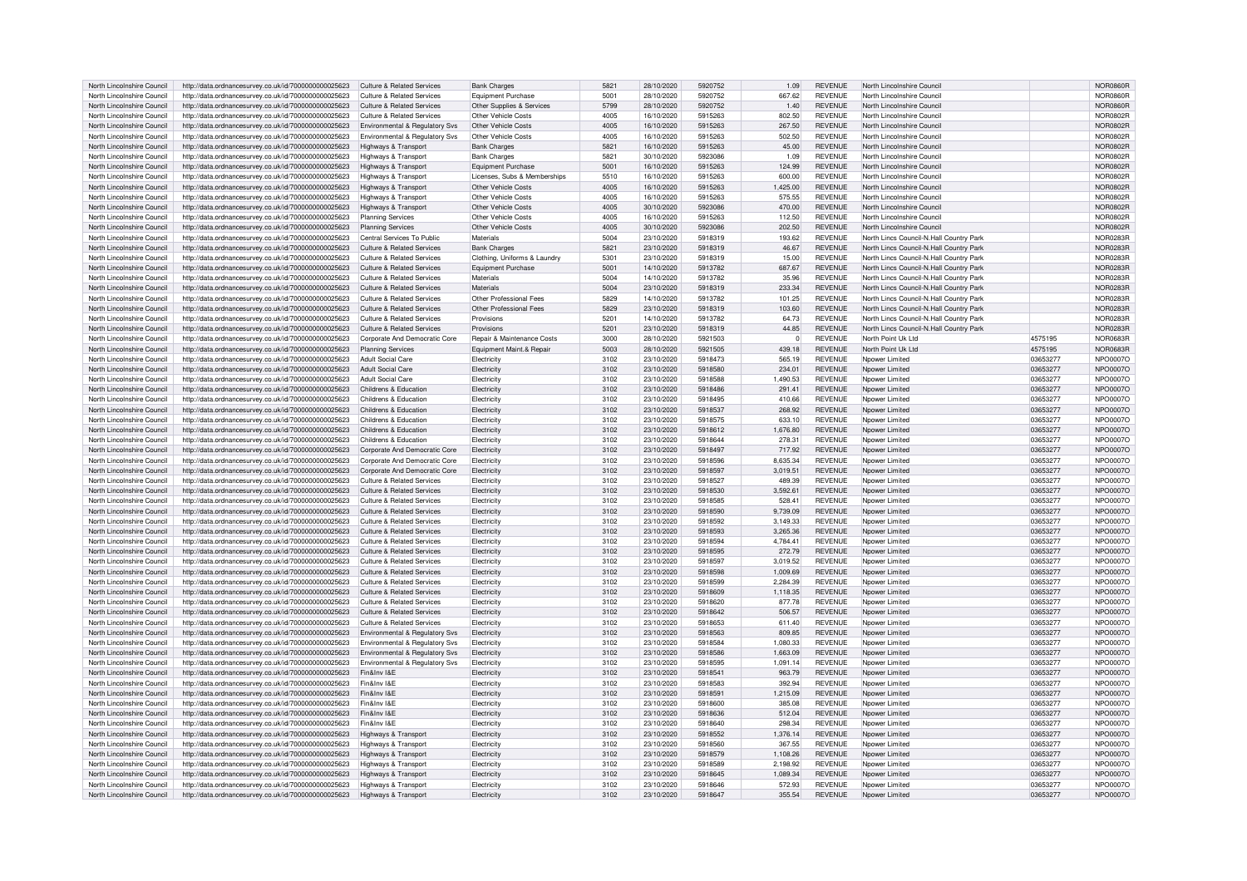| North Lincolnshire Council | http://data.ordnancesurvey.co.uk/id/7000000000025623 | Culture & Related Services                | <b>Bank Charges</b>          | 5821 | 28/10/2020 | 5920752 | 1.09     | <b>REVENUE</b> | North Lincolnshire Council              |          | <b>NOR0860R</b> |
|----------------------------|------------------------------------------------------|-------------------------------------------|------------------------------|------|------------|---------|----------|----------------|-----------------------------------------|----------|-----------------|
| North Lincolnshire Council | http://data.ordnancesurvey.co.uk/id/7000000000025623 | Culture & Related Services                | Equipment Purchase           | 5001 | 28/10/2020 | 5920752 | 667.62   | <b>REVENUE</b> | North Lincolnshire Council              |          | NOR0860R        |
| North Lincolnshire Council | http://data.ordnancesurvey.co.uk/id/7000000000025623 | <b>Culture &amp; Related Services</b>     | Other Supplies & Services    | 5799 | 28/10/2020 | 5920752 | 1.40     | <b>REVENUE</b> | North Lincolnshire Council              |          | NOR0860R        |
| North Lincolnshire Council | http://data.ordnancesurvey.co.uk/id/7000000000025623 | Culture & Related Services                | Other Vehicle Costs          | 4005 | 16/10/2020 | 5915263 | 802.50   | <b>REVENUE</b> | North Lincolnshire Council              |          | NOR0802R        |
| North Lincolnshire Council | http://data.ordnancesurvey.co.uk/id/7000000000025623 | <b>Environmental &amp; Regulatory Svs</b> | Other Vehicle Costs          | 4005 | 16/10/2020 | 5915263 | 267.50   | <b>REVENUE</b> | North Lincolnshire Council              |          | <b>NOR0802F</b> |
| North Lincolnshire Council | http://data.ordnancesurvey.co.uk/id/7000000000025623 |                                           | Other Vehicle Costs          | 4005 | 16/10/2020 | 5915263 | 502.50   | <b>REVENUE</b> | North Lincolnshire Council              |          | <b>NOR0802R</b> |
|                            |                                                      | Environmental & Regulatory Svs            |                              |      |            |         |          |                |                                         |          |                 |
| North Lincolnshire Council | http://data.ordnancesurvey.co.uk/id/7000000000025623 | Highways & Transport                      | <b>Bank Charges</b>          | 5821 | 16/10/2020 | 5915263 | 45.00    | <b>REVENUE</b> | North Lincolnshire Council              |          | <b>NOR0802R</b> |
| North Lincolnshire Council | http://data.ordnancesurvey.co.uk/id/7000000000025623 | Highways & Transport                      | <b>Bank Charges</b>          | 5821 | 30/10/2020 | 5923086 | 1.09     | <b>REVENUE</b> | North Lincolnshire Council              |          | <b>NOR0802R</b> |
| North Lincolnshire Council | http://data.ordnancesurvey.co.uk/id/7000000000025623 | Highways & Transport                      | Equipment Purchase           | 5001 | 16/10/2020 | 5915263 | 124.99   | <b>REVENUE</b> | North Lincolnshire Council              |          | <b>NOR0802R</b> |
| North Lincolnshire Council | http://data.ordnancesurvey.co.uk/id/7000000000025623 | Highways & Transport                      | Licenses, Subs & Memberships | 5510 | 16/10/2020 | 5915263 | 600.00   | <b>REVENUE</b> | North Lincolnshire Council              |          | <b>NOR0802R</b> |
| North Lincolnshire Council | http://data.ordnancesurvey.co.uk/id/7000000000025623 | Highways & Transport                      | Other Vehicle Costs          | 4005 | 16/10/2020 | 5915263 | 1,425.00 | <b>REVENUE</b> | North Lincolnshire Council              |          | <b>NOR0802R</b> |
| North Lincolnshire Council | http://data.ordnancesurvey.co.uk/id/7000000000025623 | Highways & Transport                      | Other Vehicle Costs          | 4005 | 16/10/2020 | 5915263 | 575.55   | <b>REVENUE</b> | North Lincolnshire Council              |          | <b>NOR0802R</b> |
| North Lincolnshire Council | http://data.ordnancesurvey.co.uk/id/7000000000025623 | Highways & Transport                      | Other Vehicle Costs          | 4005 | 30/10/2020 | 5923086 | 470.00   | <b>REVENUE</b> | North Lincolnshire Council              |          | <b>NOR0802R</b> |
| North Lincolnshire Council | http://data.ordnancesurvey.co.uk/id/7000000000025623 | <b>Planning Services</b>                  | Other Vehicle Costs          | 4005 | 16/10/2020 | 5915263 | 112.50   | <b>REVENUE</b> | North Lincolnshire Council              |          | <b>NOR0802R</b> |
|                            |                                                      |                                           | Other Vehicle Costs          | 4005 |            | 5923086 | 202.50   | <b>REVENUE</b> | North Lincolnshire Council              |          | NOR0802R        |
| North Lincolnshire Council | http://data.ordnancesurvey.co.uk/id/7000000000025623 | <b>Planning Services</b>                  |                              |      | 30/10/2020 |         |          |                |                                         |          |                 |
| North Lincolnshire Council | http://data.ordnancesurvey.co.uk/id/7000000000025623 | Central Services To Public                | Materials                    | 5004 | 23/10/2020 | 5918319 | 193.62   | <b>REVENUE</b> | North Lincs Council-N.Hall Country Park |          | <b>NOR0283R</b> |
| North Lincolnshire Council | http://data.ordnancesurvey.co.uk/id/7000000000025623 | Culture & Related Services                | <b>Bank Charges</b>          | 5821 | 23/10/2020 | 5918319 | 46.67    | <b>REVENUE</b> | North Lincs Council-N.Hall Country Park |          | <b>NOR0283R</b> |
| North Lincolnshire Council | http://data.ordnancesurvey.co.uk/id/7000000000025623 | <b>Culture &amp; Related Services</b>     | Clothing, Uniforms & Laundry | 5301 | 23/10/2020 | 5918319 | 15.00    | <b>REVENUE</b> | North Lincs Council-N.Hall Country Parl |          | NOR0283F        |
| North Lincolnshire Council | http://data.ordnancesurvey.co.uk/id/7000000000025623 | <b>Culture &amp; Related Services</b>     | <b>Equipment Purchase</b>    | 5001 | 14/10/2020 | 5913782 | 687.67   | <b>REVENUE</b> | North Lincs Council-N.Hall Country Park |          | NOR0283R        |
| North Lincolnshire Council | http://data.ordnancesurvey.co.uk/id/7000000000025623 | <b>Culture &amp; Related Services</b>     | Materials                    | 5004 | 14/10/2020 | 5913782 | 35.96    | <b>REVENUE</b> | North Lincs Council-N.Hall Country Park |          | NOR0283R        |
| North Lincolnshire Council | http://data.ordnancesurvey.co.uk/id/7000000000025623 | Culture & Related Services                | <b>Materials</b>             | 5004 | 23/10/2020 | 5918319 | 233.34   | <b>REVENUE</b> | North Lincs Council-N.Hall Country Park |          | <b>NOR0283R</b> |
| North Lincolnshire Council | http://data.ordnancesurvey.co.uk/id/7000000000025623 | Culture & Related Services                | Other Professional Fees      | 5829 | 14/10/2020 | 5913782 | 101.25   | <b>REVENUE</b> | North Lincs Council-N.Hall Country Park |          | <b>NOR0283F</b> |
| North Lincolnshire Council | http://data.ordnancesurvey.co.uk/id/7000000000025623 | <b>Culture &amp; Related Services</b>     | Other Professional Fees      | 5829 | 23/10/2020 | 5918319 | 103.60   | <b>REVENUE</b> | North Lincs Council-N.Hall Country Park |          | NOR0283R        |
| North Lincolnshire Council |                                                      | Culture & Related Services                | Provisions                   | 520  | 14/10/2020 | 5913782 | 64.73    | <b>REVENUE</b> | North Lincs Council-N.Hall Country Park |          | <b>NOR0283F</b> |
|                            | http://data.ordnancesurvey.co.uk/id/7000000000025623 |                                           |                              |      |            |         |          |                |                                         |          |                 |
| North Lincolnshire Council | http://data.ordnancesurvey.co.uk/id/7000000000025623 | <b>Culture &amp; Related Services</b>     | Provisions                   | 5201 | 23/10/2020 | 5918319 | 44.85    | <b>REVENUE</b> | North Lincs Council-N.Hall Country Park |          | NOR0283R        |
| North Lincolnshire Council | http://data.ordnancesurvey.co.uk/id/7000000000025623 | Corporate And Democratic Core             | Repair & Maintenance Costs   | 3000 | 28/10/2020 | 5921503 | $\Omega$ | <b>REVENUE</b> | North Point Uk Ltd                      | 4575195  | <b>NOR0683R</b> |
| North Lincolnshire Council | http://data.ordnancesurvey.co.uk/id/7000000000025623 | <b>Planning Services</b>                  | Equipment Maint.& Repair     | 5003 | 28/10/2020 | 5921505 | 439.18   | <b>REVENUE</b> | North Point Uk Ltd                      | 4575195  | NOR0683B        |
| North Lincolnshire Council | http://data.ordnancesurvey.co.uk/id/7000000000025623 | Adult Social Care                         | Electricity                  | 3102 | 23/10/2020 | 5918473 | 565.19   | <b>REVENUE</b> | Npower Limited                          | 03653277 | NPO0007O        |
| North Lincolnshire Council | http://data.ordnancesurvey.co.uk/id/7000000000025623 | Adult Social Care                         | Flectricity                  | 3102 | 23/10/2020 | 5918580 | 234.01   | <b>REVENUE</b> | Nnower I imited                         | 03653277 | NPO0007O        |
| North Lincolnshire Council | http://data.ordnancesurvey.co.uk/id/7000000000025623 | <b>Adult Social Care</b>                  | Electricity                  | 3102 | 23/10/2020 | 5918588 | 1,490.53 | <b>REVENUE</b> | Npower Limited                          | 03653277 | NPO0007O        |
| North Lincolnshire Council | http://data.ordnancesurvey.co.uk/id/7000000000025623 | Childrens & Education                     | Flectricity                  | 3102 | 23/10/2020 | 5918486 | 291.41   | <b>REVENUE</b> | Nnower I imited                         | 03653277 | NPO0007O        |
|                            |                                                      |                                           |                              |      |            |         |          |                |                                         |          |                 |
| North Lincolnshire Council | http://data.ordnancesurvey.co.uk/id/7000000000025623 | Childrens & Education                     | Electricity                  | 3102 | 23/10/2020 | 5918495 | 410.66   | <b>REVENUE</b> | Noower Limited                          | 03653277 | NPO0007O        |
| North Lincolnshire Council | http://data.ordnancesurvey.co.uk/id/7000000000025623 | Childrens & Education                     | Electricity                  | 3102 | 23/10/2020 | 5918537 | 268.92   | <b>REVENUE</b> | Npower Limited                          | 03653277 | NPO0007O        |
| North Lincolnshire Council | http://data.ordnancesurvey.co.uk/id/7000000000025623 | Childrens & Education                     | Electricity                  | 3102 | 23/10/2020 | 5918575 | 633.10   | <b>REVENUE</b> | Noower Limited                          | 03653277 | NPO0007O        |
| North Lincolnshire Council | http://data.ordnancesurvey.co.uk/id/7000000000025623 | Childrens & Education                     | Electricity                  | 3102 | 23/10/2020 | 5918612 | 1,676.80 | <b>REVENUE</b> | Npower Limited                          | 03653277 | NPO0007O        |
| North Lincolnshire Council | http://data.ordnancesurvey.co.uk/id/7000000000025623 | Childrens & Education                     | Electricity                  | 3102 | 23/10/2020 | 5918644 | 278.31   | <b>REVENUE</b> | Nnower Limited                          | 03653277 | NPO0007O        |
| North Lincolnshire Council | http://data.ordnancesurvey.co.uk/id/7000000000025623 | Corporate And Democratic Core             | Electricity                  | 3102 | 23/10/2020 | 5918497 | 717.92   | <b>REVENUE</b> | Nnower I imited                         | 03653277 | NPO0007O        |
| North Lincolnshire Council | http://data.ordnancesurvey.co.uk/id/7000000000025623 | Corporate And Democratic Core             | Electricity                  | 3102 | 23/10/2020 | 5918596 | 8.635.34 | <b>REVENUE</b> | Nnower I imited                         | 03653277 | NPO0007O        |
| North Lincolnshire Council | http://data.ordnancesurvey.co.uk/id/7000000000025623 | Corporate And Democratic Core             | Electricity                  | 3102 | 23/10/2020 | 5918597 | 3,019.51 | <b>REVENUE</b> | Noower Limited                          | 03653277 | <b>NPO0007C</b> |
|                            |                                                      |                                           |                              |      |            |         |          |                |                                         |          |                 |
| North Lincolnshire Council | http://data.ordnancesurvey.co.uk/id/7000000000025623 | <b>Culture &amp; Related Services</b>     | Flectricity                  | 3102 | 23/10/2020 | 5918527 | 489.39   | <b>REVENUE</b> | Nnower I imited                         | 03653277 | NPO0007C        |
| North Lincolnshire Council | http://data.ordnancesurvey.co.uk/id/7000000000025623 | Culture & Related Services                | Electricity                  | 3102 | 23/10/2020 | 5918530 | 3.592.61 | <b>REVENUE</b> | Noower Limited                          | 03653277 | NPO0007O        |
| North Lincolnshire Council | http://data.ordnancesurvey.co.uk/id/7000000000025623 | Culture & Related Services                | Electricity                  | 3102 | 23/10/2020 | 5918585 | 528.41   | <b>REVENUE</b> | Nnower I imited                         | 03653277 | NPO0007O        |
| North Lincolnshire Council | http://data.ordnancesurvey.co.uk/id/7000000000025623 | <b>Culture &amp; Related Services</b>     | Electricity                  | 3102 | 23/10/2020 | 5918590 | 9,739.09 | <b>REVENUE</b> | Noower Limited                          | 03653277 | <b>NPO0007C</b> |
| North Lincolnshire Council | http://data.ordnancesurvey.co.uk/id/7000000000025623 | Culture & Related Services                | Electricity                  | 3102 | 23/10/2020 | 5918592 | 3.149.33 | <b>REVENUE</b> | Nnower Limited                          | 03653277 | NPO0007C        |
| North Lincolnshire Council | http://data.ordnancesurvey.co.uk/id/7000000000025623 | <b>Culture &amp; Related Services</b>     | Electricity                  | 3102 | 23/10/2020 | 5918593 | 3,265.36 | <b>REVENUE</b> | Nnower I imited                         | 03653277 | NPO0007O        |
| North Lincolnshire Council | http://data.ordnancesurvey.co.uk/id/7000000000025623 | <b>Culture &amp; Related Services</b>     | Flectricity                  | 3102 | 23/10/2020 | 5918594 | 4.784.41 | <b>REVENUE</b> | Nnower I imited                         | 03653277 | NPO0007O        |
| North Lincolnshire Council | http://data.ordnancesurvey.co.uk/id/7000000000025623 | <b>Culture &amp; Related Services</b>     | Electricity                  | 3102 | 23/10/2020 | 5918595 | 272.79   | <b>REVENUE</b> | Nnower Limited                          | 03653277 | NPO0007O        |
|                            |                                                      |                                           |                              |      |            |         |          |                |                                         |          |                 |
| North Lincolnshire Council | http://data.ordnancesurvey.co.uk/id/7000000000025623 | Culture & Related Services                | Electricity                  | 3102 | 23/10/2020 | 5918597 | 3,019.52 | <b>REVENUE</b> | Noower Limited                          | 03653277 | NPO0007O        |
| North Lincolnshire Council | http://data.ordnancesurvey.co.uk/id/7000000000025623 | Culture & Related Services                | Flectricity                  | 3102 | 23/10/2020 | 5918598 | 1.009.69 | <b>REVENUE</b> | Nnower I imited                         | 03653277 | NPO0007O        |
| North Lincolnshire Council | http://data.ordnancesurvey.co.uk/id/7000000000025623 | Culture & Related Services                | Electricity                  | 3102 | 23/10/2020 | 5918599 | 2,284.39 | <b>REVENUE</b> | Npower Limited                          | 03653277 | NPO0007O        |
| North Lincolnshire Council | http://data.ordnancesurvey.co.uk/id/7000000000025623 | Culture & Related Services                | Flectricity                  | 3102 | 23/10/2020 | 5918609 | 1.118.35 | <b>REVENUE</b> | Nnower I imited                         | 03653277 | NPO0007O        |
| North Lincolnshire Council | http://data.ordnancesurvey.co.uk/id/7000000000025623 | <b>Culture &amp; Related Services</b>     | Electricity                  | 3102 | 23/10/2020 | 5918620 | 877.78   | <b>REVENUE</b> | Noower Limited                          | 03653277 | NPO0007O        |
| North Lincolnshire Council | http://data.ordnancesurvey.co.uk/id/7000000000025623 | <b>Culture &amp; Related Services</b>     | Electricity                  | 3102 | 23/10/2020 | 5918642 | 506.57   | <b>REVENUE</b> | Npower Limited                          | 03653277 | <b>NPO0007C</b> |
| North Lincolnshire Council | http://data.ordnancesurvey.co.uk/id/7000000000025623 | Culture & Related Services                | Flectricity                  | 3102 | 23/10/2020 | 5918653 | 611.40   | <b>REVENUE</b> | Nnower I imited                         | 03653277 | NPO0007O        |
| North Lincolnshire Council | http://data.ordnancesurvey.co.uk/id/7000000000025623 | <b>Environmental &amp; Regulatory Svs</b> | Electricity                  | 3102 | 23/10/2020 | 5918563 | 809.85   | <b>REVENUE</b> | Npower Limited                          | 03653277 | NPO0007O        |
| North Lincolnshire Council | http://data.ordnancesurvey.co.uk/id/7000000000025623 | Environmental & Regulatory Sys            | Flectricity                  | 3102 | 23/10/2020 | 5918584 | 1.080.33 | <b>REVENUE</b> | Nnower I imited                         | 03653277 | NPO0007O        |
|                            |                                                      |                                           |                              |      |            |         |          |                |                                         |          |                 |
| North Lincolnshire Council | http://data.ordnancesurvey.co.uk/id/7000000000025623 | Environmental & Regulatory Svs            | Electricity                  | 3102 | 23/10/2020 | 5918586 | 1,663.09 | <b>REVENUE</b> | Noower Limited                          | 03653277 | NPO0007O        |
| North Lincolnshire Council | http://data.ordnancesurvey.co.uk/id/7000000000025623 | Environmental & Regulatory Svs            | Electricity                  | 3102 | 23/10/2020 | 5918595 | 1,091.14 | <b>REVENUE</b> | Nnower I imited                         | 03653277 | NPO0007O        |
| North Lincolnshire Council | http://data.ordnancesurvey.co.uk/id/7000000000025623 | Fin&Inv I&E                               | Electricity                  | 3102 | 23/10/2020 | 5918541 | 963.79   | <b>REVENUE</b> | Noower Limited                          | 03653277 | <b>NPO0007C</b> |
| North Lincolnshire Council | http://data.ordnancesurvey.co.uk/id/7000000000025623 | Fin&Inv I&F                               | Electricity                  | 3102 | 23/10/2020 | 5918583 | 392.94   | <b>REVENUE</b> | Npower Limited                          | 03653277 | <b>NPO0007C</b> |
| North Lincolnshire Council | http://data.ordnancesurvey.co.uk/id/7000000000025623 | Fin&Inv I&F                               | Electricity                  | 3102 | 23/10/2020 | 5918591 | 1,215.09 | <b>REVENUE</b> | Noower Limited                          | 03653277 | NPO0007O        |
| North Lincolnshire Council | http://data.ordnancesurvey.co.uk/id/7000000000025623 | Fin&Inv I&F                               | Electricity                  | 3102 | 23/10/2020 | 5918600 | 385.08   | <b>REVENUE</b> | Noower Limited                          | 03653277 | <b>NPO0007C</b> |
| North Lincolnshire Council | http://data.ordnancesurvey.co.uk/id/7000000000025623 | Fin&Inv I&F                               | Electricity                  | 3102 | 23/10/2020 | 5918636 | 512.04   | <b>REVENUE</b> | Nnower Limited                          | 03653277 | NPO0007O        |
| North Lincolnshire Council | http://data.ordnancesurvey.co.uk/id/7000000000025623 | Fin&Inv I&E                               | Electricity                  | 3102 | 23/10/2020 | 5918640 | 298.34   | <b>REVENUE</b> | Noower Limited                          | 03653277 | <b>NPO0007C</b> |
|                            |                                                      |                                           |                              |      |            | 5918552 |          |                |                                         |          |                 |
| North Lincolnshire Council | http://data.ordnancesurvey.co.uk/id/7000000000025623 | Highways & Transport                      | Electricity                  | 3102 | 23/10/2020 |         | 1.376.14 | <b>REVENUE</b> | Noower Limited                          | 03653277 | NPO0007O        |
| North Lincolnshire Council | http://data.ordnancesurvey.co.uk/id/7000000000025623 | Highways & Transport                      | Electricity                  | 3102 | 23/10/2020 | 5918560 | 367.55   | <b>REVENUE</b> | Nnower I imited                         | 03653277 | NPO0007O        |
| North Lincolnshire Council | http://data.ordnancesurvey.co.uk/id/7000000000025623 | Highways & Transport                      | Electricity                  | 3102 | 23/10/2020 | 5918579 | 1.108.26 | <b>REVENUE</b> | Nnower I imited                         | 03653277 | NPO0007O        |
| North Lincolnshire Council | http://data.ordnancesurvey.co.uk/id/7000000000025623 | Highways & Transport                      | Electricity                  | 3102 | 23/10/2020 | 5918589 | 2,198.92 | <b>REVENUE</b> | Noower Limited                          | 03653277 | NPO0007O        |
| North Lincolnshire Council | http://data.ordnancesurvey.co.uk/id/7000000000025623 | Highways & Transport                      | Electricity                  | 3102 | 23/10/2020 | 5918645 | 1.089.34 | <b>REVENUE</b> | Nnower I imited                         | 03653277 | NPO0007O        |
| North Lincolnshire Council | http://data.ordnancesurvey.co.uk/id/7000000000025623 | Highways & Transport                      | Electricity                  | 3102 | 23/10/2020 | 5918646 | 572.93   | <b>REVENUE</b> | Npower Limited                          | 03653277 | NPO0007O        |
| North Lincolnshire Council | http://data.ordnancesurvey.co.uk/id/7000000000025623 | Highways & Transport                      | Flectricity                  | 3102 | 23/10/2020 | 5918647 | 355.54   | <b>REVENUE</b> | Noower Limited                          | 03653277 | NPO0007O        |
|                            |                                                      |                                           |                              |      |            |         |          |                |                                         |          |                 |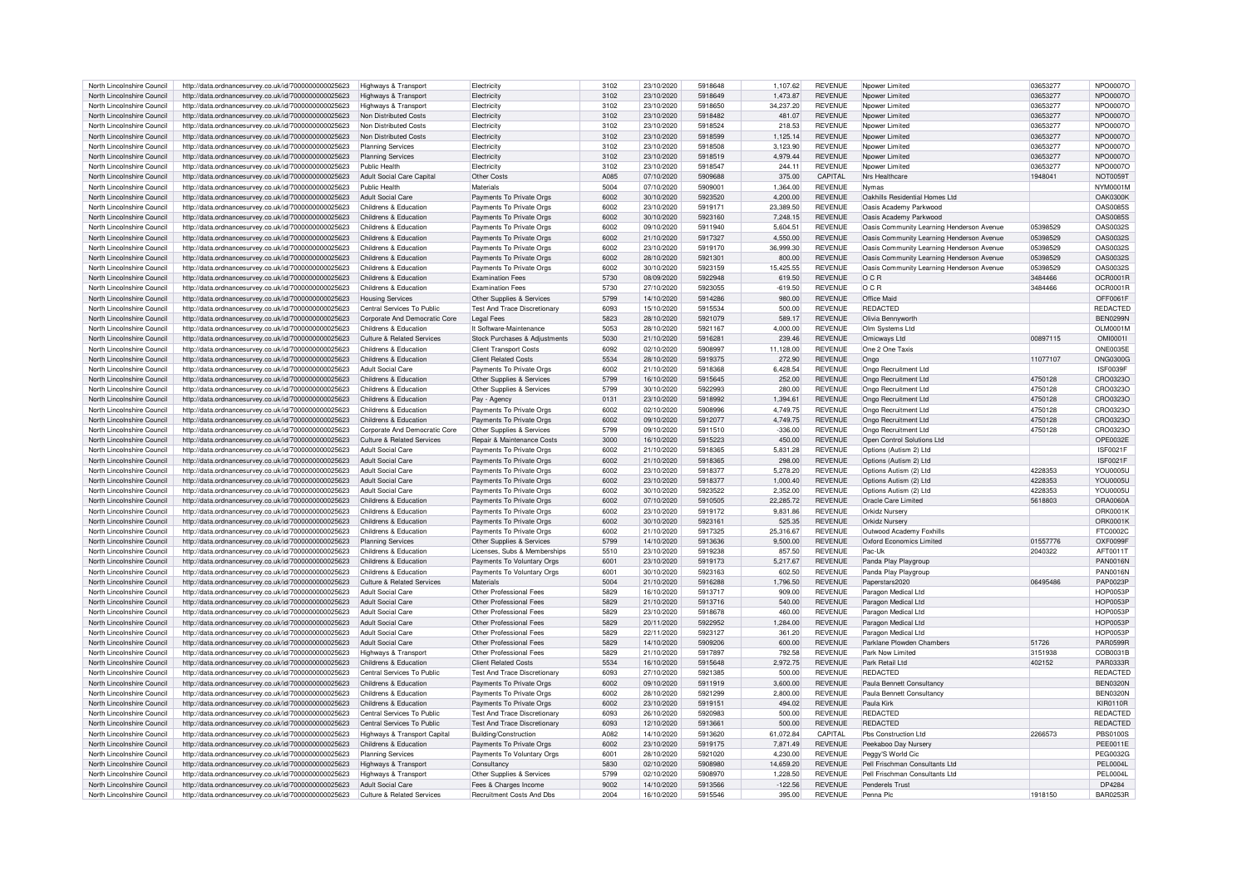| North Lincolnshire Council | http://data.ordnancesurvey.co.uk/id/7000000000025623 | <b>Highways &amp; Transport</b>       | Electricity                         | 3102 | 23/10/2020 | 5918648 | 1,107.62  | <b>REVENUE</b> | Npower Limited                            | 03653277 | NPO0007O        |
|----------------------------|------------------------------------------------------|---------------------------------------|-------------------------------------|------|------------|---------|-----------|----------------|-------------------------------------------|----------|-----------------|
| North Lincolnshire Council | http://data.ordnancesurvey.co.uk/id/7000000000025623 |                                       |                                     | 3102 | 23/10/2020 | 5918649 | 1.473.87  | <b>REVENUE</b> |                                           | 03653277 | NPO0007O        |
|                            |                                                      | Highways & Transport                  | Flectricity                         |      |            |         |           |                | Nnower I imited                           |          |                 |
| North Lincolnshire Council | http://data.ordnancesurvey.co.uk/id/7000000000025623 | Highways & Transport                  | Electricity                         | 3102 | 23/10/2020 | 5918650 | 34,237.20 | <b>REVENUE</b> | Noower Limited                            | 03653277 | NPO0007C        |
| North Lincolnshire Council | http://data.ordnancesurvey.co.uk/id/7000000000025623 | Non Distributed Costs                 | Electricity                         | 3102 | 23/10/2020 | 5918482 | 481.07    | <b>REVENUE</b> | Nnower Limited                            | 03653277 | NPO0007O        |
| North Lincolnshire Council | http://data.ordnancesurvey.co.uk/id/7000000000025623 | Non Distributed Costs                 | Electricity                         | 3102 | 23/10/2020 | 5918524 | 218.53    | <b>REVENUE</b> | Noower Limited                            | 03653277 | <b>NPO0007C</b> |
| North Lincolnshire Council | http://data.ordnancesurvey.co.uk/id/7000000000025623 | Non Distributed Costs                 | Electricity                         | 3102 | 23/10/2020 | 5918599 | 1,125.14  | <b>REVENUE</b> | Nnower I imited                           | 03653277 | NPO0007C        |
|                            |                                                      |                                       |                                     |      |            |         |           |                |                                           |          |                 |
| North Lincolnshire Council | http://data.ordnancesurvey.co.uk/id/7000000000025623 | Planning Services                     | Electricity                         | 3102 | 23/10/2020 | 5918508 | 3,123.90  | <b>REVENUE</b> | Nnower I imited                           | 03653277 | NPO0007O        |
| North Lincolnshire Council | http://data.ordnancesurvey.co.uk/id/7000000000025623 | <b>Planning Services</b>              | Electricity                         | 3102 | 23/10/2020 | 5918519 | 4,979.44  | <b>REVENUE</b> | Nnower I imited                           | 03653277 | NPO0007O        |
| North Lincolnshire Council | http://data.ordnancesurvey.co.uk/id/7000000000025623 | Public Health                         | Electricity                         | 3102 | 23/10/2020 | 5918547 | 244.11    | <b>REVENUE</b> | Nnower I imited                           | 03653277 | NPO0007O        |
| North Lincolnshire Council | http://data.ordnancesurvey.co.uk/id/7000000000025623 | Adult Social Care Capital             | Other Costs                         | A085 | 07/10/2020 | 5909688 | 375.00    | CAPITAL        | Nrs Healthcare                            | 1948041  | <b>NOT0059T</b> |
| North Lincolnshire Council | http://data.ordnancesurvey.co.uk/id/7000000000025623 | Public Health                         | Materials                           | 5004 | 07/10/2020 | 5909001 | 1.364.00  | <b>REVENUE</b> | <b>Nymas</b>                              |          | <b>NYM0001M</b> |
| North Lincolnshire Council |                                                      | Adult Social Care                     | Payments To Private Orgs            | 6002 | 30/10/2020 | 5923520 | 4.200.00  | <b>REVENUE</b> | Oakhills Residential Homes Ltd            |          | <b>OAK0300K</b> |
|                            | http://data.ordnancesurvey.co.uk/id/7000000000025623 |                                       |                                     |      |            |         |           |                |                                           |          |                 |
| North Lincolnshire Council | http://data.ordnancesurvey.co.uk/id/7000000000025623 | Childrens & Education                 | Payments To Private Orgs            | 6002 | 23/10/2020 | 5919171 | 23,389.50 | <b>REVENUE</b> | Oasis Academy Parkwood                    |          | OAS0085S        |
| North Lincolnshire Council | http://data.ordnancesurvey.co.uk/id/7000000000025623 | Childrens & Education                 | Payments To Private Orgs            | 6002 | 30/10/2020 | 5923160 | 7,248.15  | <b>REVENUE</b> | Oasis Academy Parkwood                    |          | <b>OAS0085S</b> |
| North Lincolnshire Council | http://data.ordnancesurvey.co.uk/id/7000000000025623 | Childrens & Education                 | Payments To Private Orgs            | 6002 | 09/10/2020 | 5911940 | 5,604.51  | <b>REVENUE</b> | Oasis Community Learning Henderson Avenue | 05398529 | OAS0032S        |
| North Lincolnshire Council | http://data.ordnancesurvey.co.uk/id/7000000000025623 | Childrens & Education                 | Payments To Private Orgs            | 6002 | 21/10/2020 | 5917327 | 4,550.00  | <b>REVENUE</b> | Oasis Community Learning Henderson Avenue | 05398529 | OAS0032S        |
| North Lincolnshire Council | http://data.ordnancesurvey.co.uk/id/7000000000025623 | Childrens & Education                 | Payments To Private Orgs            | 6002 | 23/10/2020 | 5919170 | 36,999.30 | <b>REVENUE</b> | Oasis Community Learning Henderson Avenue | 05398529 | OAS0032S        |
| North Lincolnshire Council | http://data.ordnancesurvey.co.uk/id/7000000000025623 | Childrens & Education                 | Payments To Private Orgs            | 6002 | 28/10/2020 | 5921301 | 800.00    | <b>REVENUE</b> | Oasis Community Learning Henderson Avenue | 05398529 | OAS0032S        |
|                            |                                                      |                                       |                                     |      |            |         |           |                |                                           |          |                 |
| North Lincolnshire Council | http://data.ordnancesurvey.co.uk/id/7000000000025623 | Childrens & Education                 | Payments To Private Orgs            | 6002 | 30/10/2020 | 5923159 | 15,425.55 | <b>REVENUE</b> | Oasis Community Learning Henderson Avenue | 05398529 | OAS0032S        |
| North Lincolnshire Council | http://data.ordnancesurvey.co.uk/id/7000000000025623 | Childrens & Education                 | <b>Examination Fees</b>             | 5730 | 08/09/2020 | 5922948 | 619.50    | <b>REVENUE</b> | O C R                                     | 3484466  | OCR0001R        |
| North Lincolnshire Council | http://data.ordnancesurvey.co.uk/id/7000000000025623 | Childrens & Education                 | <b>Examination Fees</b>             | 5730 | 27/10/2020 | 5923055 | $-619.50$ | <b>REVENUE</b> | O C R                                     | 3484466  | OCR0001R        |
| North Lincolnshire Council | http://data.ordnancesurvey.co.uk/id/7000000000025623 | <b>Housing Services</b>               | Other Supplies & Services           | 5799 | 14/10/2020 | 5914286 | 980.00    | <b>REVENUE</b> | Office Maid                               |          | OFF0061F        |
| North Lincolnshire Council | http://data.ordnancesurvey.co.uk/id/7000000000025623 | Central Services To Public            | <b>Test And Trace Discretionary</b> | 6093 | 15/10/2020 | 5915534 | 500.00    | <b>REVENUE</b> | <b>REDACTED</b>                           |          | REDACTED        |
| North Lincolnshire Council | http://data.ordnancesurvey.co.uk/id/7000000000025623 | Corporate And Democratic Core         | Legal Fees                          | 5823 | 28/10/2020 | 5921079 | 589.17    | <b>REVENUE</b> | Olivia Bennyworth                         |          | <b>BEN0299N</b> |
|                            |                                                      |                                       |                                     |      |            |         |           |                |                                           |          |                 |
| North Lincolnshire Council | http://data.ordnancesurvey.co.uk/id/7000000000025623 | Childrens & Education                 | It Software-Maintenance             | 5053 | 28/10/2020 | 5921167 | 4.000.00  | <b>REVENUE</b> | Olm Systems Ltd                           |          | <b>OLM0001M</b> |
| North Lincolnshire Council | http://data.ordnancesurvey.co.uk/id/7000000000025623 | Culture & Related Services            | Stock Purchases & Adjustments       | 5030 | 21/10/2020 | 5916281 | 239.46    | <b>REVENUE</b> | Omicways Ltd                              | 00897115 | OMI0001         |
| North Lincolnshire Council | http://data.ordnancesurvey.co.uk/id/7000000000025623 | Childrens & Education                 | <b>Client Transport Costs</b>       | 6092 | 02/10/2020 | 5908997 | 11.128.00 | <b>REVENUE</b> | One 2 One Taxis                           |          | <b>ONE0035E</b> |
| North Lincolnshire Council | http://data.ordnancesurvey.co.uk/id/7000000000025623 | Childrens & Education                 | <b>Client Related Costs</b>         | 5534 | 28/10/2020 | 5919375 | 272.90    | <b>REVENUE</b> | Ongo                                      | 11077107 | <b>ONG0300G</b> |
| North Lincolnshire Council | http://data.ordnancesurvey.co.uk/id/7000000000025623 | Adult Social Care                     | Payments To Private Orgs            | 6002 | 21/10/2020 | 5918368 | 6,428.54  | <b>REVENUE</b> | Ongo Recruitment Ltd                      |          | <b>ISF0039F</b> |
| North Lincolnshire Council | http://data.ordnancesurvey.co.uk/id/7000000000025623 | Childrens & Education                 | Other Supplies & Services           | 5799 | 16/10/2020 | 5915645 | 252.00    | <b>REVENUE</b> | Ongo Recruitment Ltd                      | 4750128  | CRO0323O        |
| North Lincolnshire Council | http://data.ordnancesurvey.co.uk/id/7000000000025623 | Childrens & Education                 | Other Supplies & Services           | 5799 | 30/10/2020 | 5922993 | 280.00    | <b>REVENUE</b> | Ongo Recruitment Ltd                      | 4750128  | CRO03230        |
|                            |                                                      |                                       |                                     |      |            |         |           |                |                                           |          |                 |
| North Lincolnshire Council | http://data.ordnancesurvey.co.uk/id/7000000000025623 | Childrens & Education                 | Pay - Agency                        | 0131 | 23/10/2020 | 5918992 | 1,394.61  | <b>REVENUE</b> | Ongo Recruitment Ltd                      | 4750128  | CRO0323O        |
| North Lincolnshire Council | http://data.ordnancesurvey.co.uk/id/7000000000025623 | Childrens & Education                 | Payments To Private Orgs            | 6002 | 02/10/2020 | 5908996 | 4,749.75  | <b>REVENUE</b> | Ongo Recruitment Ltd                      | 4750128  | CRO0323O        |
| North Lincolnshire Council | http://data.ordnancesurvey.co.uk/id/7000000000025623 | Childrens & Education                 | Payments To Private Orgs            | 6002 | 09/10/2020 | 5912077 | 4,749.75  | <b>REVENUE</b> | Ongo Recruitment Ltd                      | 4750128  | CRO0323O        |
| North Lincolnshire Council | http://data.ordnancesurvey.co.uk/id/7000000000025623 | Corporate And Democratic Core         | Other Supplies & Services           | 5799 | 09/10/2020 | 5911510 | $-336.00$ | <b>REVENUE</b> | Ongo Recruitment Ltd                      | 4750128  | CRO0323C        |
| North Lincolnshire Council | http://data.ordnancesurvey.co.uk/id/7000000000025623 | <b>Culture &amp; Related Services</b> | Repair & Maintenance Costs          | 3000 | 16/10/2020 | 5915223 | 450.00    | <b>REVENUE</b> | Open Control Solutions Ltd                |          | OPE0032E        |
| North Lincolnshire Council |                                                      | Adult Social Care                     | Payments To Private Orgs            | 6002 | 21/10/2020 | 5918365 | 5.831.28  | <b>REVENUE</b> | Options (Autism 2) I td                   |          | <b>ISF0021F</b> |
|                            | http://data.ordnancesurvey.co.uk/id/7000000000025623 |                                       |                                     |      |            |         |           |                |                                           |          |                 |
| North Lincolnshire Council | http://data.ordnancesurvey.co.uk/id/7000000000025623 | Adult Social Care                     | Payments To Private Orgs            | 6002 | 21/10/2020 | 5918365 | 298.00    | <b>REVENUE</b> | Options (Autism 2) I td                   |          | <b>ISF0021F</b> |
| North Lincolnshire Council | http://data.ordnancesurvey.co.uk/id/7000000000025623 | Adult Social Care                     | Payments To Private Orgs            | 6002 | 23/10/2020 | 5918377 | 5,278.20  | <b>REVENUE</b> | Options Autism (2) Ltd                    | 4228353  | <b>YOU0005U</b> |
| North Lincolnshire Council | http://data.ordnancesurvey.co.uk/id/7000000000025623 | <b>Adult Social Care</b>              | Payments To Private Orgs            | 6002 | 23/10/2020 | 5918377 | 1,000.40  | <b>REVENUE</b> | Options Autism (2) Ltd                    | 4228353  | <b>YOU0005U</b> |
| North Lincolnshire Council | http://data.ordnancesurvey.co.uk/id/7000000000025623 | <b>Adult Social Care</b>              | Payments To Private Orgs            | 6002 | 30/10/2020 | 5923522 | 2,352.00  | <b>REVENUE</b> | Options Autism (2) Ltd                    | 4228353  | <b>YOU0005U</b> |
| North Lincolnshire Council | http://data.ordnancesurvey.co.uk/id/7000000000025623 | Childrens & Education                 | Payments To Private Orgs            | 6002 | 07/10/2020 | 5910505 | 22,285.72 | <b>REVENUE</b> | Oracle Care Limited                       | 5618803  | ORA0060A        |
| North Lincolnshire Council |                                                      | Childrens & Education                 |                                     | 6002 |            | 5919172 | 9,831.86  | <b>REVENUE</b> | Orkidz Nursery                            |          | <b>ORK0001K</b> |
|                            | http://data.ordnancesurvey.co.uk/id/7000000000025623 |                                       | Payments To Private Orgs            |      | 23/10/2020 |         |           |                |                                           |          |                 |
| North Lincolnshire Council | http://data.ordnancesurvey.co.uk/id/7000000000025623 | Childrens & Education                 | Payments To Private Orgs            | 6002 | 30/10/2020 | 5923161 | 525.35    | <b>REVENUE</b> | Orkidz Nursery                            |          | <b>ORK0001K</b> |
| North Lincolnshire Council | http://data.ordnancesurvey.co.uk/id/7000000000025623 | Childrens & Education                 | Payments To Private Orgs            | 6002 | 21/10/2020 | 5917325 | 25.316.67 | <b>REVENUE</b> | Outwood Academy Foxhills                  |          | FTC0002C        |
| North Lincolnshire Council | http://data.ordnancesurvey.co.uk/id/7000000000025623 | <b>Planning Services</b>              | Other Supplies & Services           | 5799 | 14/10/2020 | 5913636 | 9,500.00  | <b>REVENUE</b> | Oxford Economics Limited                  | 01557776 | OXF0099F        |
| North Lincolnshire Council | http://data.ordnancesurvey.co.uk/id/7000000000025623 | Childrens & Education                 | Licenses, Subs & Memberships        | 5510 | 23/10/2020 | 5919238 | 857.50    | <b>REVENUE</b> | Pac-Uk                                    | 2040322  | AFT0011T        |
| North Lincolnshire Council | http://data.ordnancesurvey.co.uk/id/7000000000025623 | Childrens & Education                 | Payments To Voluntary Orgs          | 6001 | 23/10/2020 | 5919173 | 5,217.67  | <b>REVENUE</b> | Panda Play Playgroup                      |          | <b>PAN0016N</b> |
| North Lincolnshire Council | http://data.ordnancesurvey.co.uk/id/7000000000025623 | Childrens & Education                 | Payments To Voluntary Orgs          | 6001 | 30/10/2020 | 5923163 | 602.50    | <b>REVENUE</b> | Panda Play Playgroup                      |          | <b>PAN0016N</b> |
|                            |                                                      |                                       |                                     |      |            |         |           |                |                                           |          |                 |
| North Lincolnshire Council | http://data.ordnancesurvey.co.uk/id/7000000000025623 | <b>Culture &amp; Related Services</b> | Materials                           | 5004 | 21/10/2020 | 5916288 | 1,796.50  | <b>REVENUE</b> | Paperstars2020                            | 06495486 | PAP0023P        |
| North Lincolnshire Council | http://data.ordnancesurvey.co.uk/id/7000000000025623 | Adult Social Care                     | Other Professional Fees             | 5829 | 16/10/2020 | 5913717 | 909.00    | <b>REVENUE</b> | Paragon Medical Ltd                       |          | <b>HOP0053P</b> |
| North Lincolnshire Council | http://data.ordnancesurvey.co.uk/id/7000000000025623 | <b>Adult Social Care</b>              | Other Professional Fees             | 5829 | 21/10/2020 | 5913716 | 540.00    | <b>REVENUE</b> | Paragon Medical Ltd                       |          | <b>HOP0053P</b> |
| North Lincolnshire Council | http://data.ordnancesurvey.co.uk/id/7000000000025623 | <b>Adult Social Care</b>              | Other Professional Fees             | 5829 | 23/10/2020 | 5918678 | 460.00    | <b>REVENUE</b> | Paragon Medical Ltd                       |          | <b>HOP0053P</b> |
| North Lincolnshire Council | http://data.ordnancesurvey.co.uk/id/7000000000025623 | <b>Adult Social Care</b>              | Other Professional Fees             | 5829 | 20/11/2020 | 5922952 | 1,284.00  | <b>REVENUE</b> | Paragon Medical Ltd                       |          | <b>HOP0053P</b> |
| North Lincolnshire Council | http://data.ordnancesurvey.co.uk/id/7000000000025623 | <b>Adult Social Care</b>              | Other Professional Fees             | 5829 | 22/11/2020 | 5923127 | 361.20    | <b>REVENUE</b> | Paragon Medical Ltd                       |          | <b>HOP0053F</b> |
| North Lincolnshire Council | http://data.ordnancesurvey.co.uk/id/7000000000025623 | <b>Adult Social Care</b>              | Other Professional Fees             | 5829 | 14/10/2020 | 5909206 | 600.00    | <b>REVENUE</b> | Parklane Plowden Chambers                 | 51726    | PAR0599F        |
|                            |                                                      |                                       |                                     |      |            |         |           |                |                                           |          |                 |
| North Lincolnshire Council | http://data.ordnancesurvey.co.uk/id/7000000000025623 | Highways & Transport                  | Other Professional Fees             | 5829 | 21/10/2020 | 5917897 | 792.58    | <b>REVENUE</b> | Park Now Limited                          | 3151938  | COB0031B        |
| North Lincolnshire Council | http://data.ordnancesurvey.co.uk/id/7000000000025623 | Childrens & Education                 | <b>Client Related Costs</b>         | 5534 | 16/10/2020 | 5915648 | 2,972.75  | <b>REVENUE</b> | Park Retail I to                          | 402152   | PAR0333R        |
| North Lincolnshire Council | http://data.ordnancesurvey.co.uk/id/7000000000025623 | Central Services To Public            | <b>Test And Trace Discretionary</b> | 6093 | 27/10/2020 | 5921385 | 500.00    | <b>REVENUE</b> | <b>REDACTED</b>                           |          | REDACTED        |
| North Lincolnshire Council | http://data.ordnancesurvey.co.uk/id/7000000000025623 | Childrens & Education                 | Payments To Private Orgs            | 6002 | 09/10/2020 | 5911919 | 3,600.00  | <b>REVENUE</b> | Paula Bennett Consultancy                 |          | <b>BEN0320N</b> |
| North Lincolnshire Council | http://data.ordnancesurvey.co.uk/id/7000000000025623 | Childrens & Education                 | Payments To Private Orgs            | 6002 | 28/10/2020 | 5921299 | 2,800.00  | <b>REVENUE</b> | Paula Bennett Consultancy                 |          | <b>BEN0320N</b> |
| North Lincolnshire Council | http://data.ordnancesurvey.co.uk/id/7000000000025623 | Childrens & Education                 | Payments To Private Orgs            | 6002 | 23/10/2020 | 5919151 | 494.02    | <b>REVENUE</b> | Paula Kirk                                |          | <b>KIR0110R</b> |
| North Lincolnshire Council | http://data.ordnancesurvey.co.uk/id/7000000000025623 | Central Services To Public            | <b>Test And Trace Discretionary</b> | 6093 | 26/10/2020 | 5920983 | 500.00    | <b>REVENUE</b> | <b>REDACTED</b>                           |          | REDACTED        |
|                            |                                                      |                                       |                                     |      |            |         |           |                |                                           |          |                 |
| North Lincolnshire Council | http://data.ordnancesurvey.co.uk/id/7000000000025623 | Central Services To Public            | <b>Test And Trace Discretionary</b> | 6093 | 12/10/2020 | 5913661 | 500.00    | <b>REVENUE</b> | <b>REDACTED</b>                           |          | REDACTED        |
| North Lincolnshire Council | http://data.ordnancesurvey.co.uk/id/7000000000025623 | Highways & Transport Capital          | Building/Construction               | A082 | 14/10/2020 | 5913620 | 61,072.84 | CAPITAI        | Phs Construction Ltd                      | 2266573  | PBS0100S        |
| North Lincolnshire Council | http://data.ordnancesurvey.co.uk/id/7000000000025623 | Childrens & Education                 | Payments To Private Orgs            | 6002 | 23/10/2020 | 5919175 | 7,871.49  | <b>REVENUE</b> | Peekaboo Day Nursery                      |          | PEE0011E        |
| North Lincolnshire Council | http://data.ordnancesurvey.co.uk/id/7000000000025623 | <b>Planning Services</b>              | Payments To Voluntary Orgs          | 6001 | 28/10/2020 | 5921020 | 4.230.00  | <b>REVENUE</b> | Peggy'S World Cio                         |          | PEG0032G        |
| North Lincolnshire Council | http://data.ordnancesurvey.co.uk/id/7000000000025623 | Highways & Transport                  | Consultancy                         | 5830 | 02/10/2020 | 5908980 | 14,659.20 | <b>REVENUE</b> | Pell Frischman Consultants Ltd            |          | <b>PEL0004L</b> |
| North Lincolnshire Council | http://data.ordnancesurvey.co.uk/id/7000000000025623 | Highways & Transpor                   | Other Supplies & Services           | 5799 | 02/10/2020 | 5908970 | 1,228.50  | <b>REVENUE</b> | Pell Frischman Consultants Ltd            |          | <b>PEL0004L</b> |
| North Lincolnshire Council |                                                      | Adult Social Care                     |                                     | 9002 | 14/10/2020 | 5913566 | $-122.56$ | <b>REVENUE</b> | Penderels Trust                           |          | DP4284          |
|                            | http://data.ordnancesurvey.co.uk/id/7000000000025623 |                                       | Fees & Charges Income               |      |            |         |           |                |                                           |          |                 |
| North Lincolnshire Council | http://data.ordnancesurvey.co.uk/id/7000000000025623 | Culture & Related Services            | Recruitment Costs And Dbs           | 2004 | 16/10/2020 | 5915546 | 395.00    | <b>REVENUE</b> | Penna Plo                                 | 1918150  | <b>BAR0253R</b> |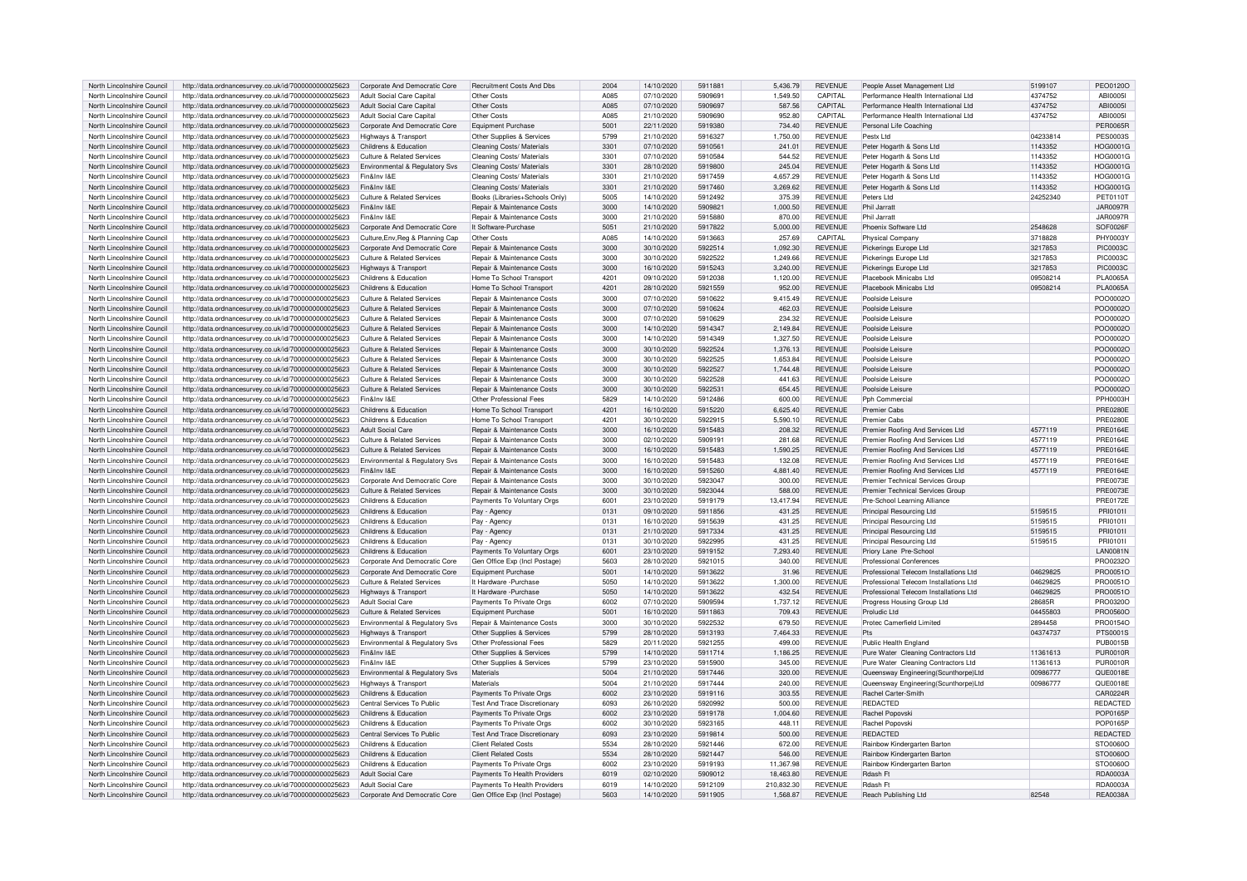| North Lincolnshire Council | http://data.ordnancesurvey.co.uk/id/7000000000025623                                                         | Corporate And Democratic Core              | Recruitment Costs And Dbs                           | 2004                                     | 14/10/2020               | 591188             | 5.436.79           | <b>REVENUE</b>                   | People Asset Management Ltd             | 5199107  | PEO0120O        |
|----------------------------|--------------------------------------------------------------------------------------------------------------|--------------------------------------------|-----------------------------------------------------|------------------------------------------|--------------------------|--------------------|--------------------|----------------------------------|-----------------------------------------|----------|-----------------|
| North Lincolnshire Council | http://data.ordnancesurvey.co.uk/id/7000000000025623                                                         | <b>Adult Social Care Capital</b>           | Other Costs                                         | A085                                     | 07/10/2020               | 590969             | 1,549.50           | CAPITAL                          | Performance Health International Ltd    | 4374752  | <b>ABI0005I</b> |
| North Lincolnshire Council | http://data.ordnancesurvey.co.uk/id/7000000000025623                                                         | <b>Adult Social Care Capital</b>           | Other Costs                                         | A085                                     | 07/10/2020               | 5909697            | 587.56             | CAPITAI                          | Performance Health International I td   | 4374752  | ABI0005         |
| North Lincolnshire Council | http://data.ordnancesurvey.co.uk/id/7000000000025623                                                         | <b>Adult Social Care Capital</b>           | Other Costs                                         | A085                                     | 21/10/2020               | 5909690            | 952.80             | <b>CAPITAL</b>                   | Performance Health International Ltd    | 4374752  | ABI00051        |
| North Lincolnshire Council | http://data.ordnancesurvey.co.uk/id/7000000000025623                                                         | Corporate And Democratic Core              | Equipment Purchase                                  | 5001                                     | 22/11/2020               | 5919380            | 734.40             | <b>REVENUE</b>                   | Personal Life Coaching                  |          | <b>PER0065R</b> |
| North Lincolnshire Council | http://data.ordnancesurvey.co.uk/id/7000000000025623                                                         | Highways & Transport                       | Other Supplies & Services                           | 5799                                     | 21/10/2020               | 5916327            | 1,750.00           | <b>REVENUE</b>                   | Pesty I td                              | 04233814 | <b>PES0003S</b> |
| North Lincolnshire Council | http://data.ordnancesurvey.co.uk/id/7000000000025623                                                         | Childrens & Education                      | Cleaning Costs/ Materials                           | 3301                                     | 07/10/2020               | 5910561            | 241.01             | <b>REVENUE</b>                   | Peter Hogarth & Sons Ltd                | 1143352  | HOG0001G        |
| North Lincolnshire Council | http://data.ordnancesurvey.co.uk/id/7000000000025623                                                         | Culture & Related Services                 | Cleaning Costs/ Materials                           | 330 <sup>4</sup>                         | 07/10/2020               | 5910584            | 544.52             | <b>REVENUE</b>                   | Peter Hogarth & Sons Ltd                | 1143352  | <b>HOG0001G</b> |
| North Lincolnshire Council | http://data.ordnancesurvey.co.uk/id/7000000000025623                                                         | Environmental & Regulatory Svs             | Cleaning Costs/ Materials                           | 3301                                     | 28/10/2020               | 5919800            | 245.04             | <b>REVENUE</b>                   | Peter Hogarth & Sons Ltd                | 1143352  | HOG0001G        |
| North Lincolnshire Council | http://data.ordnancesurvey.co.uk/id/7000000000025623                                                         | Fin&Inv I&E                                | Cleaning Costs/ Materials                           | 3301                                     | 21/10/2020               | 5917459            | 4.657.29           | <b>REVENUE</b>                   | Peter Hogarth & Sons Ltd                | 1143352  | HOG0001G        |
| North Lincolnshire Council | http://data.ordnancesurvey.co.uk/id/7000000000025623                                                         | Fin&Inv I&F                                | Cleaning Costs/ Materials                           | 3301                                     | 21/10/2020               | 5917460            | 3,269.62           | <b>REVENUE</b>                   | Peter Hogarth & Sons Ltd                | 1143352  | HOG0001G        |
| North Lincolnshire Council | http://data.ordnancesurvey.co.uk/id/7000000000025623                                                         | Culture & Related Services                 | Books (Libraries+Schools Only)                      | 5005                                     | 14/10/2020               | 5912492            | 375.39             | <b>REVENUE</b>                   | Peters I td                             | 24252340 | PET0110T        |
| North Lincolnshire Council | http://data.ordnancesurvey.co.uk/id/7000000000025623                                                         | Fin&Inv I&E                                | Repair & Maintenance Costs                          | 3000                                     | 14/10/2020               | 590982             | 1,000.50           | <b>REVENUE</b>                   | Phil Jarratt                            |          | <b>JAR0097R</b> |
| North Lincolnshire Council | http://data.ordnancesurvey.co.uk/id/7000000000025623                                                         | Fin&Inv I&F                                | <b>Benair &amp; Maintenance Costs</b>               | 3000                                     | 21/10/2020               | 5915880            | 870.00             | <b>REVENUE</b>                   | Phil Jarrat                             |          | <b>JAR0097F</b> |
| North Lincolnshire Council | http://data.ordnancesurvey.co.uk/id/7000000000025623                                                         | Corporate And Democratic Core              | It Software-Purchase                                | 5051                                     | 21/10/2020               | 5917822            | 5,000.00           | <b>REVENUE</b>                   | Phoenix Software Ltd                    | 2548628  | SOF0026F        |
| North Lincolnshire Council | http://data.ordnancesurvey.co.uk/id/7000000000025623                                                         | Culture, Env, Reg & Planning Cap           | Other Costs                                         | A <sub>O</sub> <sub>R</sub> <sub>F</sub> | 14/10/2020               | 5913663            | 257.69             | <b>CAPITAL</b>                   | Physical Company                        | 3718828  | PHY0003\        |
| North Lincolnshire Council | http://data.ordnancesurvey.co.uk/id/7000000000025623                                                         | Corporate And Democratic Core              | Repair & Maintenance Costs                          | 3000                                     | 30/10/2020               | 5922514            | 1,092.30           | <b>REVENUE</b>                   | Pickerings Europe Ltd                   | 3217853  | <b>PIC0003C</b> |
| North Lincolnshire Council | http://data.ordnancesurvey.co.uk/id/7000000000025623                                                         | <b>Culture &amp; Related Services</b>      | Repair & Maintenance Costs                          | 3000                                     | 30/10/2020               | 5922522            | 1,249.66           | <b>REVENUE</b>                   | Pickerings Europe Ltd                   | 3217853  | PIC0003C        |
| North Lincolnshire Council | http://data.ordnancesurvey.co.uk/id/7000000000025623                                                         | Highways & Transport                       | Repair & Maintenance Costs                          | 3000                                     | 16/10/2020               | 5915243            | 3,240,00           | <b>REVENUE</b>                   | Pickerings Europe Ltd                   | 3217853  | <b>PIC0003C</b> |
| North Lincolnshire Council | http://data.ordnancesurvey.co.uk/id/7000000000025623                                                         | Childrens & Education                      | Home To School Transport                            | 4201                                     | 09/10/2020               | 5912038            | 1.120.00           | <b>REVENUE</b>                   | Placebook Minicabs Ltd                  | 09508214 | <b>PLA0065A</b> |
| North Lincolnshire Council | http://data.ordnancesurvey.co.uk/id/7000000000025623                                                         | Childrens & Education                      | Home To School Transport                            | 4201                                     | 28/10/2020               | 5921559            | 952.00             | <b>REVENUE</b>                   | Placebook Minicabs Ltd                  | 09508214 | PI A0065A       |
| North Lincolnshire Council | http://data.ordnancesurvey.co.uk/id/7000000000025623                                                         | Culture & Related Services                 | Repair & Maintenance Costs                          | 3000                                     | 07/10/2020               | 5910622            | 9.415.49           | <b>REVENUE</b>                   | Poolside Leisure                        |          | PO00002C        |
| North Lincolnshire Council | http://data.ordnancesurvey.co.uk/id/7000000000025623                                                         | Culture & Related Services                 | Repair & Maintenance Costs                          | 3000                                     | 07/10/2020               | 5910624            | 462.03             | <b>REVENUE</b>                   | Poolside Leisure                        |          | PO00002C        |
| North Lincolnshire Council | http://data.ordnancesurvey.co.uk/id/7000000000025623                                                         | <b>Culture &amp; Related Services</b>      | Repair & Maintenance Costs                          | 3000                                     | 07/10/2020               | 5910629            | 234.32             | <b>REVENUE</b>                   | Poolside Leisure                        |          | PO00002C        |
| North Lincolnshire Council | http://data.ordnancesurvey.co.uk/id/7000000000025623                                                         | <b>Culture &amp; Related Services</b>      | Repair & Maintenance Costs                          | 3000                                     | 14/10/2020               | 5914347            | 2.149.84           | <b>REVENUE</b>                   | Poolside Leisure                        |          | POO0002C        |
| North Lincolnshire Council | http://data.ordnancesurvey.co.uk/id/7000000000025623                                                         | Culture & Related Services                 | Repair & Maintenance Costs                          | 3000                                     | 14/10/2020               | 5914349            | 1.327.50           | <b>REVENUE</b>                   | Poolside Leisure                        |          | PO00002C        |
| North Lincolnshire Council | http://data.ordnancesurvey.co.uk/id/7000000000025623                                                         | Culture & Related Services                 | Repair & Maintenance Costs                          | 3000                                     | 30/10/2020               | 5922524            | 1,376.13           | <b>REVENUE</b>                   | Poolside Leisure                        |          | POO0002C        |
| North Lincolnshire Council | http://data.ordnancesurvey.co.uk/id/7000000000025623                                                         | Culture & Related Services                 | Repair & Maintenance Costs                          | 3000                                     | 30/10/2020               | 5922525            | 1,653.84           | <b>REVENUE</b>                   | Poolside Leisure                        |          | POO0002C        |
| North Lincolnshire Council | http://data.ordnancesurvey.co.uk/id/7000000000025623                                                         | Culture & Related Services                 | Repair & Maintenance Costs                          | 3000                                     | 30/10/2020               | 5922527            | 1,744.48           | <b>REVENUE</b>                   | Poolside Leisure                        |          | POO0002C        |
| North Lincolnshire Council | http://data.ordnancesurvey.co.uk/id/7000000000025623                                                         | Culture & Related Services                 | Repair & Maintenance Costs                          | 3000                                     | 30/10/2020               | 5922528            | 441.63             | <b>REVENUE</b>                   | Poolside Leisure                        |          | POO0002C        |
| North Lincolnshire Council | http://data.ordnancesurvey.co.uk/id/7000000000025623                                                         | Culture & Related Services                 | Repair & Maintenance Costs                          | 3000                                     | 30/10/2020               | 5922531            | 654.45             | <b>REVENUE</b>                   | Poolside Leisure                        |          | POO0002C        |
| North Lincolnshire Council |                                                                                                              | Fin&Inv I&F                                |                                                     | 5829                                     |                          | 5912486            |                    | <b>REVENUE</b>                   |                                         |          | <b>PPH0003H</b> |
| North Lincolnshire Council | http://data.ordnancesurvey.co.uk/id/7000000000025623<br>http://data.ordnancesurvey.co.uk/id/7000000000025623 | Childrens & Education                      | Other Professional Fees<br>Home To School Transport | 4201                                     | 14/10/2020<br>16/10/2020 | 5915220            | 600.00<br>6,625.40 | <b>REVENUE</b>                   | Pph Commercial<br>Premier Cabs          |          | <b>PRE0280E</b> |
|                            |                                                                                                              |                                            |                                                     |                                          |                          |                    |                    |                                  |                                         |          |                 |
| North Lincolnshire Council | http://data.ordnancesurvey.co.uk/id/7000000000025623                                                         | Childrens & Education<br>Adult Social Care | Home To School Transport                            | 420<br>3000                              | 30/10/2020               | 5922915<br>5915483 | 5,590.10           | <b>REVENUE</b>                   | Premier Cabs                            | 4577119  | <b>PRE0280E</b> |
| North Lincolnshire Council | http://data.ordnancesurvey.co.uk/id/7000000000025623                                                         | Culture & Related Services                 | Repair & Maintenance Costs                          | 3000                                     | 16/10/2020               | 5909191            | 208.32             | <b>REVENUE</b><br><b>REVENUE</b> | Premier Roofing And Services Ltd        |          | <b>PRE0164E</b> |
| North Lincolnshire Council | http://data.ordnancesurvey.co.uk/id/7000000000025623                                                         |                                            | Repair & Maintenance Costs                          |                                          | 02/10/2020               |                    | 281.68             |                                  | Premier Roofing And Services Ltd        | 4577119  | <b>PRE0164E</b> |
| North Lincolnshire Council | http://data.ordnancesurvey.co.uk/id/7000000000025623                                                         | Culture & Related Services                 | Repair & Maintenance Costs                          | 3000                                     | 16/10/2020               | 5915483            | 1,590.25           | <b>REVENUE</b>                   | Premier Roofing And Services Ltd        | 4577119  | <b>PRE0164E</b> |
| North Lincolnshire Council | http://data.ordnancesurvey.co.uk/id/7000000000025623                                                         | Environmental & Regulatory Svs             | Repair & Maintenance Costs                          | 3000                                     | 16/10/2020               | 5915483            | 132.08             | <b>REVENUE</b>                   | Premier Roofing And Services Ltd        | 4577119  | <b>PRE0164E</b> |
| North Lincolnshire Council | http://data.ordnancesurvey.co.uk/id/7000000000025623                                                         | Fin&Inv I&E                                | Repair & Maintenance Costs                          | 3000                                     | 16/10/2020               | 5915260            | 4,881.40           | <b>REVENUE</b>                   | Premier Roofing And Services Ltd        | 4577119  | <b>PRE0164E</b> |
| North Lincolnshire Council | http://data.ordnancesurvey.co.uk/id/7000000000025623                                                         | Corporate And Democratic Core              | Repair & Maintenance Costs                          | 3000                                     | 30/10/2020               | 5923047            | 300.00             | <b>REVENUE</b>                   | Premier Technical Services Group        |          | <b>PRE0073E</b> |
| North Lincolnshire Council | http://data.ordnancesurvey.co.uk/id/7000000000025623                                                         | Culture & Related Services                 | Repair & Maintenance Costs                          | 3000                                     | 30/10/2020               | 5923044            | 588.00             | <b>REVENUE</b>                   | Premier Technical Services Group        |          | <b>PRE0073E</b> |
| North Lincolnshire Council | http://data.ordnancesurvey.co.uk/id/7000000000025623                                                         | Childrens & Education                      | Payments To Voluntary Orgs                          | 6001                                     | 23/10/2020               | 5919179            | 13.417.94          | <b>REVENUE</b>                   | Pre-School Learning Alliance            |          | <b>PRE0172E</b> |
| North Lincolnshire Council | http://data.ordnancesurvey.co.uk/id/7000000000025623                                                         | Childrens & Education                      | Pay - Agency                                        | 0131                                     | 09/10/2020               | 5911856            | 431.25             | <b>REVENUE</b>                   | <b>Principal Resourcing Ltd</b>         | 5159515  | PRI01011        |
| North Lincolnshire Council | http://data.ordnancesurvey.co.uk/id/7000000000025623                                                         | Childrens & Education                      | Pay - Agency                                        | 0131                                     | 16/10/2020               | 5915639            | 431.25             | <b>REVENUE</b>                   | Principal Resourcing Ltd                | 5159515  | PRI0101I        |
| North Lincolnshire Council | http://data.ordnancesurvey.co.uk/id/7000000000025623                                                         | Childrens & Education                      | Pav - Agency                                        | 0131                                     | 21/10/2020               | 5917334            | 431.25             | <b>REVENUE</b>                   | Principal Resourcing Ltd                | 5159515  | PRI0101I        |
| North Lincolnshire Council | http://data.ordnancesurvey.co.uk/id/7000000000025623                                                         | Childrens & Education                      | Pay - Agency                                        | 0131                                     | 30/10/2020               | 5922995            | 431.25             | <b>REVENUE</b>                   | <b>Principal Resourcing Ltd</b>         | 5159515  | PRI01011        |
| North Lincolnshire Council | http://data.ordnancesurvey.co.uk/id/7000000000025623                                                         | Childrens & Education                      | Payments To Voluntary Orgs                          | 6001                                     | 23/10/2020               | 5919152            | 7,293.40           | <b>REVENUE</b>                   | Priory Lane Pre-School                  |          | <b>LAN0081N</b> |
| North Lincolnshire Council | http://data.ordnancesurvey.co.uk/id/7000000000025623                                                         | Corporate And Democratic Core              | Gen Office Exp (Incl Postage)                       | 5603                                     | 28/10/2020               | 5921015            | 340.00             | <b>REVENUE</b>                   | <b>Professional Conferences</b>         |          | PRO0232O        |
| North Lincolnshire Council | http://data.ordnancesurvey.co.uk/id/7000000000025623                                                         | Corporate And Democratic Core              | <b>Equipment Purchase</b>                           | 5001                                     | 14/10/2020               | 5913622            | 31.96              | <b>REVENUE</b>                   | Professional Telecom Installations Ltd  | 04629825 | PRO0051C        |
| North Lincolnshire Council | http://data.ordnancesurvey.co.uk/id/7000000000025623                                                         | Culture & Related Services                 | It Hardware - Purchase                              | 5050                                     | 14/10/2020               | 5913622            | 1,300.00           | <b>REVENUE</b>                   | Professional Telecom Installations I to | 04629825 | PRO0051C        |
| North Lincolnshire Council | http://data.ordnancesurvey.co.uk/id/7000000000025623                                                         | Highways & Transport                       | It Hardware - Purchase                              | 5050                                     | 14/10/2020               | 5913622            | 432.54             | <b>REVENUE</b>                   | Professional Telecom Installations Ltd  | 04629825 | PRO0051C        |
| North Lincolnshire Council | http://data.ordnancesurvey.co.uk/id/7000000000025623                                                         | <b>Adult Social Care</b>                   | Payments To Private Orgs                            | 6002                                     | 07/10/2020               | 5909594            | 1,737.12           | <b>REVENUE</b>                   | Progress Housing Group Ltd              | 28685R   | PRO0320C        |
| North Lincolnshire Council | http://data.ordnancesurvey.co.uk/id/7000000000025623                                                         | Culture & Related Services                 | Foujoment Purchase                                  | 5001                                     | 16/10/2020               | 5911863            | 709.43             | <b>REVENUE</b>                   | Proludic Ltd                            | 04455803 | <b>PRO0560C</b> |
| North Lincolnshire Council | http://data.ordnancesurvey.co.uk/id/7000000000025623                                                         | Environmental & Regulatory Svs             | Repair & Maintenance Costs                          | 3000                                     | 30/10/2020               | 5922532            | 679.50             | <b>REVENUE</b>                   | Protec Camerfield Limited               | 2894458  | PRO0154C        |
| North Lincolnshire Council | http://data.ordnancesurvey.co.uk/id/7000000000025623                                                         | Highways & Transport                       | Other Supplies & Services                           | 5799                                     | 28/10/2020               | 5913193            | 7.464.33           | <b>REVENUE</b>                   | Pts                                     | 04374737 | PTS0001S        |
| North Lincolnshire Council | http://data.ordnancesurvey.co.uk/id/7000000000025623                                                         | Environmental & Regulatory Svs             | Other Professional Fees                             | 5829                                     | 20/11/2020               | 5921255            | 499.00             | <b>REVENUE</b>                   | Public Health England                   |          | <b>PUB0015B</b> |
| North Lincolnshire Council | http://data.ordnancesurvey.co.uk/id/7000000000025623                                                         | Fin&Inv I&F                                | Other Supplies & Services                           | 5799                                     | 14/10/2020               | 5911714            | 1,186.25           | <b>REVENUE</b>                   | Pure Water Cleaning Contractors Ltd     | 11361613 | PUR0010R        |
| North Lincolnshire Council | http://data.ordnancesurvey.co.uk/id/7000000000025623                                                         | Fin&Inv I&F                                | Other Supplies & Services                           | 5799                                     | 23/10/2020               | 5915900            | 345.00             | <b>REVENUE</b>                   | Pure Water Cleaning Contractors Ltd     | 11361613 | <b>PUR0010R</b> |
| North Lincolnshire Council | http://data.ordnancesurvey.co.uk/id/7000000000025623                                                         | Environmental & Regulatory Svs             | Materials                                           | 5004                                     | 21/10/2020               | 5917446            | 320.00             | <b>REVENUE</b>                   | Queensway Engineering(Scunthorpe)Ltd    | 00986777 | QUE0018E        |
| North Lincolnshire Council | http://data.ordnancesurvey.co.uk/id/7000000000025623                                                         | Highways & Transport                       | Materials                                           | 5004                                     | 21/10/2020               | 5917444            | 240.00             | <b>REVENUE</b>                   | Queensway Engineering(Scunthorpe)Ltd    | 00986777 | QUE0018E        |
| North Lincolnshire Council | http://data.ordnancesurvey.co.uk/id/7000000000025623                                                         | Childrens & Education                      | Payments To Private Orgs                            | 6002                                     | 23/10/2020               | 5919116            | 303.55             | <b>REVENUE</b>                   | Rachel Carter-Smith                     |          | CAR0224R        |
| North Lincolnshire Council | http://data.ordnancesurvey.co.uk/id/7000000000025623                                                         | Central Services To Public                 | <b>Test And Trace Discretionary</b>                 | 6093                                     | 26/10/2020               | 5920992            | 500.00             | <b>REVENUE</b>                   | <b>REDACTED</b>                         |          | REDACTED        |
| North Lincolnshire Council | http://data.ordnancesurvey.co.uk/id/7000000000025623                                                         | Childrens & Education                      | Payments To Private Orgs                            | 6002                                     | 23/10/2020               | 5919178            | 1,004.60           | <b>REVENUE</b>                   | <b>Rachel Popovski</b>                  |          | POP0165P        |
| North Lincolnshire Council | http://data.ordnancesurvey.co.uk/id/7000000000025623                                                         | Childrens & Education                      | Payments To Private Orgs                            | 6002                                     | 30/10/2020               | 5923165            | 448.11             | <b>REVENUE</b>                   | Rachel Popovski                         |          | POP0165P        |
| North Lincolnshire Council | http://data.ordnancesurvey.co.uk/id/7000000000025623                                                         | Central Services To Public                 | <b>Test And Trace Discretionary</b>                 | 6093                                     | 23/10/2020               | 5919814            | 500.00             | <b>REVENUE</b>                   | <b>REDACTED</b>                         |          | REDACTED        |
| North Lincolnshire Council | http://data.ordnancesurvey.co.uk/id/7000000000025623                                                         | Childrens & Education                      | <b>Client Related Costs</b>                         | 5534                                     | 28/10/2020               | 5921446            | 672.00             | <b>REVENUE</b>                   | Rainbow Kindergarten Barton             |          | STO0060O        |
| North Lincolnshire Council | http://data.ordnancesurvey.co.uk/id/7000000000025623                                                         | Childrens & Education                      | <b>Client Related Costs</b>                         | 5534                                     | 28/10/2020               | 5921447            | 546.00             | <b>REVENUE</b>                   | Rainbow Kindergarten Barton             |          | STO0060O        |
| North Lincolnshire Council | http://data.ordnancesurvey.co.uk/id/7000000000025623                                                         | Childrens & Education                      | Payments To Private Orgs                            | 6002                                     | 23/10/2020               | 5919193            | 11,367.98          | <b>REVENUE</b>                   | Rainbow Kindergarten Barton             |          | STO0060O        |
| North Lincolnshire Council | http://data.ordnancesurvey.co.uk/id/7000000000025623                                                         | <b>Adult Social Care</b>                   | Payments To Health Providers                        | 6019                                     | 02/10/2020               | 5909012            | 18,463.80          | <b>REVENUE</b>                   | Rdash Ft                                |          | RDA0003A        |
| North Lincolnshire Council | http://data.ordnancesurvey.co.uk/id/7000000000025623                                                         | Adult Social Care                          | Payments To Health Providers                        | 6019                                     | 14/10/2020               | 5912109            | 210.832.30         | <b>REVENUE</b>                   | Rdash Ft                                |          | RDA0003A        |
| North Lincolnshire Council | http://data.ordnancesurvey.co.uk/id/7000000000025623                                                         | Corporate And Democratic Core              | Gen Office Exp (Incl Postage)                       | 5603                                     | 14/10/2020               | 5911905            | 1.568.87           | <b>REVENUE</b>                   | Reach Publishing Ltd                    | 82548    | <b>REA0038A</b> |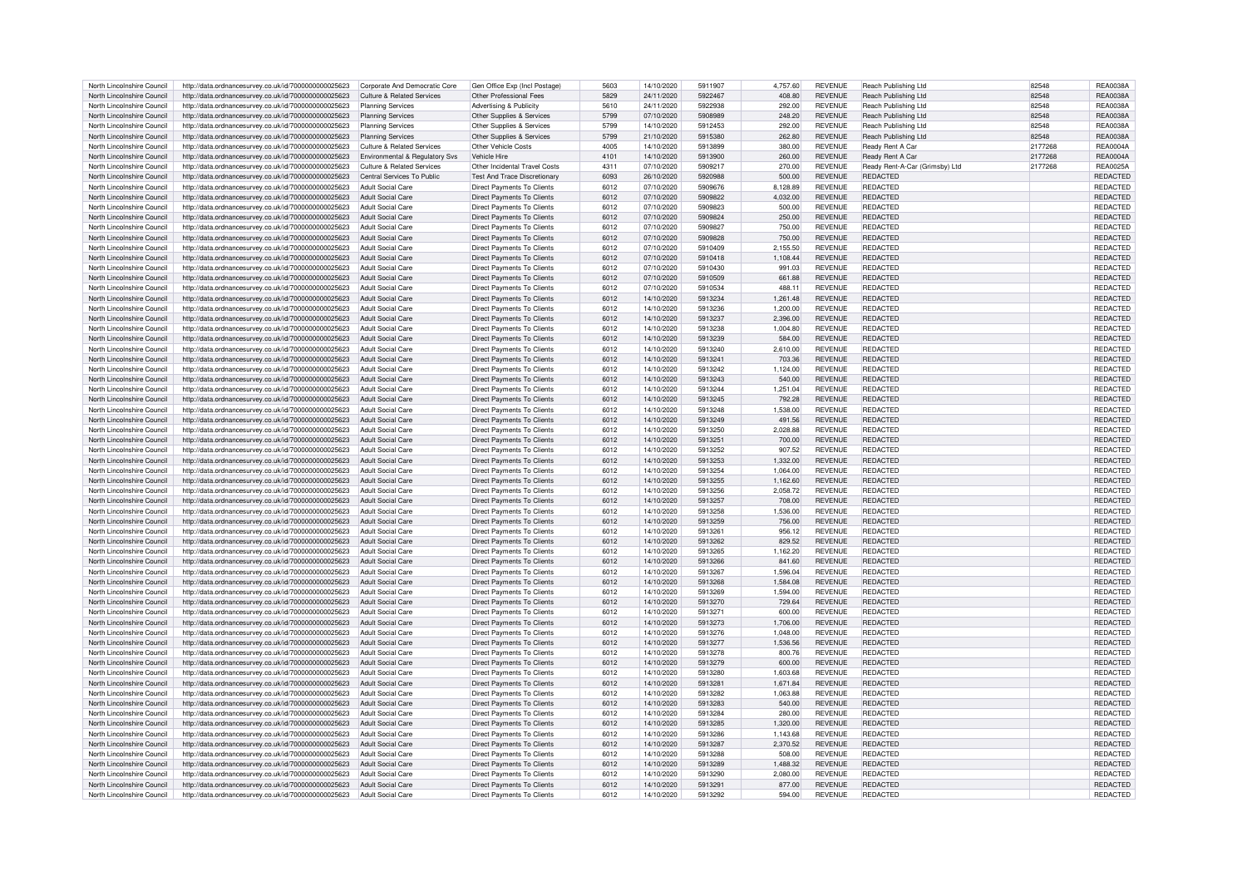| North Lincolnshire Council | http://data.ordnancesurvey.co.uk/id/7000000000025623 | Corporate And Democratic Core         | Gen Office Exp (Incl Postage)       | 5603 | 14/10/2020 | 5911907 | 4,757.60 | <b>REVENUE</b> | Reach Publishing Ltd           | 82548   | <b>REA0038A</b> |
|----------------------------|------------------------------------------------------|---------------------------------------|-------------------------------------|------|------------|---------|----------|----------------|--------------------------------|---------|-----------------|
| North Lincolnshire Council | http://data.ordnancesurvey.co.uk/id/7000000000025623 | Culture & Related Services            | Other Professional Fees             | 5829 | 24/11/2020 | 5922467 | 408.80   | <b>REVENUE</b> | Reach Publishing Ltd           | 82548   | <b>REA0038A</b> |
|                            |                                                      |                                       |                                     |      |            |         |          |                |                                |         |                 |
| North Lincolnshire Council | http://data.ordnancesurvey.co.uk/id/7000000000025623 | <b>Planning Services</b>              | <b>Advertising &amp; Publicity</b>  | 5610 | 24/11/2020 | 5922938 | 292.00   | <b>REVENUE</b> | Reach Publishing Ltd           | 82548   | <b>REA0038A</b> |
| North Lincolnshire Council | http://data.ordnancesurvey.co.uk/id/7000000000025623 | <b>Planning Services</b>              | Other Supplies & Services           | 5799 | 07/10/2020 | 5908989 | 248.20   | <b>REVENUE</b> | Reach Publishing Ltd           | 82548   | <b>REA0038A</b> |
| North Lincolnshire Council | http://data.ordnancesurvey.co.uk/id/7000000000025623 | <b>Planning Services</b>              | Other Supplies & Services           | 5799 | 14/10/2020 | 5912453 | 292.00   | <b>REVENUE</b> | Reach Publishing Ltd           | 82548   | <b>REA0038A</b> |
| North Lincolnshire Council | http://data.ordnancesurvey.co.uk/id/7000000000025623 | <b>Planning Services</b>              | Other Supplies & Services           | 5799 | 21/10/2020 | 5915380 | 262.80   | <b>REVENUE</b> | Reach Publishing Ltd           | 82548   | <b>REA0038A</b> |
|                            |                                                      |                                       |                                     |      |            | 5913899 |          |                |                                |         |                 |
| North Lincolnshire Council | http://data.ordnancesurvey.co.uk/id/7000000000025623 | <b>Culture &amp; Related Services</b> | Other Vehicle Costs                 | 4005 | 14/10/2020 |         | 380.00   | <b>REVENUE</b> | Ready Rent A Car               | 2177268 | <b>REA0004A</b> |
| North Lincolnshire Council | http://data.ordnancesurvey.co.uk/id/7000000000025623 | Environmental & Regulatory Svs        | Vehicle Hire                        | 4101 | 14/10/2020 | 5913900 | 260.00   | <b>REVENUE</b> | Ready Rent A Car               | 2177268 | <b>REA0004A</b> |
| North Lincolnshire Council | http://data.ordnancesurvey.co.uk/id/7000000000025623 | <b>Culture &amp; Related Services</b> | Other Incidental Travel Costs       | 4311 | 07/10/2020 | 5909217 | 270.00   | <b>REVENUE</b> | Ready Rent-A-Car (Grimsby) Ltd | 2177268 | <b>REA0025A</b> |
| North Lincolnshire Council | http://data.ordnancesurvey.co.uk/id/7000000000025623 | Central Services To Public            | <b>Test And Trace Discretionary</b> | 6093 | 26/10/2020 | 5920988 | 500.00   | <b>REVENUE</b> | <b>REDACTED</b>                |         | REDACTED        |
| North Lincolnshire Council | http://data.ordnancesurvey.co.uk/id/7000000000025623 | <b>Adult Social Care</b>              | Direct Payments To Clients          | 6012 | 07/10/2020 | 5909676 | 8,128.89 | <b>REVENUE</b> | <b>REDACTED</b>                |         | REDACTED        |
| North Lincolnshire Council | http://data.ordnancesurvey.co.uk/id/7000000000025623 | <b>Adult Social Care</b>              | <b>Direct Payments To Clients</b>   | 6012 | 07/10/2020 | 5909822 | 4,032.00 | <b>REVENUE</b> | REDACTED                       |         | REDACTED        |
|                            |                                                      |                                       |                                     |      |            |         |          |                |                                |         |                 |
| North Lincolnshire Council | http://data.ordnancesurvey.co.uk/id/7000000000025623 | Adult Social Care                     | Direct Payments To Clients          | 6012 | 07/10/2020 | 5909823 | 500.00   | <b>REVENUE</b> | REDACTED                       |         | REDACTED        |
| North Lincolnshire Council | http://data.ordnancesurvey.co.uk/id/7000000000025623 | <b>Adult Social Care</b>              | Direct Payments To Clients          | 6012 | 07/10/2020 | 5909824 | 250.00   | <b>REVENUE</b> | REDACTED                       |         | REDACTED        |
| North Lincolnshire Council | http://data.ordnancesurvey.co.uk/id/7000000000025623 | <b>Adult Social Care</b>              | Direct Payments To Clients          | 6012 | 07/10/2020 | 5909827 | 750.00   | <b>REVENUE</b> | REDACTED                       |         | REDACTED        |
| North Lincolnshire Council | http://data.ordnancesurvey.co.uk/id/7000000000025623 | <b>Adult Social Care</b>              | Direct Payments To Clients          | 6012 | 07/10/2020 | 5909828 | 750.00   | <b>REVENUE</b> | REDACTED                       |         | REDACTED        |
| North Lincolnshire Council | http://data.ordnancesurvey.co.uk/id/7000000000025623 | <b>Adult Social Care</b>              | <b>Direct Payments To Clients</b>   | 6012 | 07/10/2020 | 5910409 | 2,155.50 | <b>REVENUE</b> | <b>REDACTED</b>                |         | REDACTED        |
| North Lincolnshire Council | http://data.ordnancesurvey.co.uk/id/7000000000025623 | <b>Adult Social Care</b>              | <b>Direct Payments To Clients</b>   | 6012 | 07/10/2020 | 5910418 | 1.108.44 | <b>REVENUE</b> | <b>REDACTED</b>                |         | <b>REDACTED</b> |
| North Lincolnshire Council |                                                      | <b>Adult Social Care</b>              |                                     | 6012 |            | 5910430 |          | <b>REVENUE</b> | REDACTED                       |         | <b>REDACTED</b> |
|                            | http://data.ordnancesurvey.co.uk/id/7000000000025623 |                                       | Direct Payments To Clients          |      | 07/10/2020 |         | 991.03   |                |                                |         |                 |
| North Lincolnshire Council | http://data.ordnancesurvey.co.uk/id/7000000000025623 | <b>Adult Social Care</b>              | <b>Direct Payments To Clients</b>   | 6012 | 07/10/2020 | 5910509 | 661.88   | <b>REVENUE</b> | <b>REDACTED</b>                |         | REDACTED        |
| North Lincolnshire Council | http://data.ordnancesurvey.co.uk/id/7000000000025623 | <b>Adult Social Care</b>              | <b>Direct Payments To Clients</b>   | 6012 | 07/10/2020 | 5910534 | 488.1    | <b>REVENUE</b> | REDACTED                       |         | REDACTED        |
| North Lincolnshire Council | http://data.ordnancesurvey.co.uk/id/7000000000025623 | <b>Adult Social Care</b>              | <b>Direct Payments To Clients</b>   | 6012 | 14/10/2020 | 5913234 | 1,261.48 | <b>REVENUE</b> | <b>REDACTED</b>                |         | REDACTED        |
| North Lincolnshire Council | http://data.ordnancesurvey.co.uk/id/7000000000025623 | <b>Adult Social Care</b>              | Direct Payments To Clients          | 6012 | 14/10/2020 | 5913236 | 1,200.00 | <b>REVENUE</b> | REDACTED                       |         | REDACTED        |
| North Lincolnshire Council | http://data.ordnancesurvey.co.uk/id/7000000000025623 | <b>Adult Social Care</b>              | Direct Payments To Clients          | 6012 | 14/10/2020 | 5913237 | 2,396.00 | <b>REVENUE</b> | <b>REDACTED</b>                |         | REDACTED        |
|                            |                                                      | <b>Adult Social Care</b>              |                                     |      |            |         |          | <b>REVENUE</b> | <b>REDACTED</b>                |         |                 |
| North Lincolnshire Council | http://data.ordnancesurvey.co.uk/id/7000000000025623 |                                       | Direct Payments To Clients          | 6012 | 14/10/2020 | 5913238 | 1,004.80 |                |                                |         | REDACTED        |
| North Lincolnshire Council | http://data.ordnancesurvey.co.uk/id/7000000000025623 | <b>Adult Social Care</b>              | <b>Direct Payments To Clients</b>   | 6012 | 14/10/2020 | 5913239 | 584.00   | <b>REVENUE</b> | REDACTED                       |         | REDACTED        |
| North Lincolnshire Council | http://data.ordnancesurvey.co.uk/id/7000000000025623 | <b>Adult Social Care</b>              | Direct Payments To Clients          | 6012 | 14/10/2020 | 5913240 | 2,610.00 | <b>REVENUE</b> | <b>REDACTED</b>                |         | REDACTED        |
| North Lincolnshire Council | http://data.ordnancesurvey.co.uk/id/7000000000025623 | <b>Adult Social Care</b>              | <b>Direct Payments To Clients</b>   | 6012 | 14/10/2020 | 5913241 | 703.36   | <b>REVENUE</b> | <b>REDACTED</b>                |         | <b>REDACTED</b> |
| North Lincolnshire Council | http://data.ordnancesurvey.co.uk/id/7000000000025623 | <b>Adult Social Care</b>              | Direct Payments To Clients          | 6012 | 14/10/2020 | 5913242 | 1,124.00 | <b>REVENUE</b> | REDACTED                       |         | REDACTED        |
| North Lincolnshire Council | http://data.ordnancesurvey.co.uk/id/7000000000025623 | Adult Social Care                     | Direct Payments To Clients          | 6012 | 14/10/2020 | 5913243 | 540.00   | <b>REVENUE</b> | REDACTED                       |         | REDACTED        |
| North Lincolnshire Council | http://data.ordnancesurvey.co.uk/id/7000000000025623 | <b>Adult Social Care</b>              | <b>Direct Payments To Clients</b>   | 6012 | 14/10/2020 | 5913244 | 1,251.04 | <b>REVENUE</b> | REDACTED                       |         | REDACTED        |
|                            |                                                      |                                       |                                     |      |            |         |          |                |                                |         |                 |
| North Lincolnshire Council | http://data.ordnancesurvey.co.uk/id/7000000000025623 | <b>Adult Social Care</b>              | Direct Payments To Clients          | 6012 | 14/10/2020 | 5913245 | 792.28   | <b>REVENUE</b> | REDACTED                       |         | REDACTED        |
| North Lincolnshire Council | http://data.ordnancesurvey.co.uk/id/7000000000025623 | Adult Social Care                     | Direct Payments To Clients          | 6012 | 14/10/2020 | 5913248 | 1,538.00 | <b>REVENUE</b> | <b>REDACTED</b>                |         | REDACTED        |
| North Lincolnshire Council | http://data.ordnancesurvey.co.uk/id/7000000000025623 | Adult Social Care                     | Direct Payments To Clients          | 6012 | 14/10/2020 | 5913249 | 491.56   | <b>REVENUE</b> | REDACTED                       |         | REDACTED        |
| North Lincolnshire Council | http://data.ordnancesurvey.co.uk/id/7000000000025623 | <b>Adult Social Care</b>              | Direct Payments To Clients          | 6012 | 14/10/2020 | 5913250 | 2,028.88 | <b>REVENUE</b> | REDACTED                       |         | REDACTED        |
| North Lincolnshire Council | http://data.ordnancesurvey.co.uk/id/7000000000025623 | <b>Adult Social Care</b>              | Direct Payments To Clients          | 6012 | 14/10/2020 | 5913251 | 700.00   | <b>REVENUE</b> | <b>REDACTED</b>                |         | <b>REDACTED</b> |
|                            |                                                      |                                       |                                     |      |            | 5913252 |          |                | <b>REDACTED</b>                |         |                 |
| North Lincolnshire Council | http://data.ordnancesurvey.co.uk/id/7000000000025623 | <b>Adult Social Care</b>              | Direct Payments To Clients          | 6012 | 14/10/2020 |         | 907.52   | <b>REVENUE</b> |                                |         | REDACTED        |
| North Lincolnshire Council | http://data.ordnancesurvey.co.uk/id/7000000000025623 | <b>Adult Social Care</b>              | <b>Direct Payments To Clients</b>   | 6012 | 14/10/2020 | 5913253 | 1.332.00 | <b>REVENUE</b> | REDACTED                       |         | <b>REDACTED</b> |
| North Lincolnshire Council | http://data.ordnancesurvey.co.uk/id/7000000000025623 | <b>Adult Social Care</b>              | <b>Direct Payments To Clients</b>   | 6012 | 14/10/2020 | 5913254 | 1,064.00 | <b>REVENUE</b> | <b>REDACTED</b>                |         | REDACTED        |
| North Lincolnshire Council | http://data.ordnancesurvey.co.uk/id/7000000000025623 | <b>Adult Social Care</b>              | <b>Direct Payments To Clients</b>   | 6012 | 14/10/2020 | 5913255 | 1,162.60 | <b>REVENUE</b> | REDACTED                       |         | REDACTED        |
| North Lincolnshire Council | http://data.ordnancesurvey.co.uk/id/7000000000025623 | <b>Adult Social Care</b>              | <b>Direct Payments To Clients</b>   | 6012 | 14/10/2020 | 5913256 | 2.058.72 | <b>REVENUE</b> | REDACTED                       |         | REDACTED        |
| North Lincolnshire Council | http://data.ordnancesurvey.co.uk/id/7000000000025623 | <b>Adult Social Care</b>              | <b>Direct Payments To Clients</b>   | 6012 | 14/10/2020 | 5913257 | 708.00   | <b>REVENUE</b> | REDACTED                       |         | REDACTED        |
| North Lincolnshire Council | http://data.ordnancesurvey.co.uk/id/7000000000025623 | <b>Adult Social Care</b>              | Direct Payments To Clients          | 6012 | 14/10/2020 | 5913258 | 1.536.00 | <b>REVENUE</b> | REDACTED                       |         | REDACTED        |
|                            |                                                      |                                       |                                     |      |            |         |          |                |                                |         |                 |
| North Lincolnshire Council | http://data.ordnancesurvey.co.uk/id/7000000000025623 | <b>Adult Social Care</b>              | Direct Payments To Clients          | 6012 | 14/10/2020 | 5913259 | 756.00   | <b>REVENUE</b> | REDACTED                       |         | REDACTED        |
| North Lincolnshire Council | http://data.ordnancesurvey.co.uk/id/7000000000025623 | <b>Adult Social Care</b>              | Direct Payments To Clients          | 6012 | 14/10/2020 | 5913261 | 956.12   | <b>REVENUE</b> | <b>REDACTED</b>                |         | REDACTED        |
| North Lincolnshire Council | http://data.ordnancesurvey.co.uk/id/7000000000025623 | <b>Adult Social Care</b>              | Direct Payments To Clients          | 6012 | 14/10/2020 | 5913262 | 829.52   | <b>REVENUE</b> | REDACTED                       |         | REDACTED        |
| North Lincolnshire Council | http://data.ordnancesurvey.co.uk/id/7000000000025623 | <b>Adult Social Care</b>              | Direct Payments To Clients          | 6012 | 14/10/2020 | 5913265 | 1,162.20 | <b>REVENUE</b> | <b>REDACTED</b>                |         | REDACTED        |
| North Lincolnshire Council | http://data.ordnancesurvey.co.uk/id/7000000000025623 | <b>Adult Social Care</b>              | <b>Direct Payments To Clients</b>   | 6012 | 14/10/2020 | 5913266 | 841.60   | <b>REVENUE</b> | <b>REDACTED</b>                |         | REDACTED        |
| North Lincolnshire Council | http://data.ordnancesurvey.co.uk/id/7000000000025623 | Adult Social Care                     | Direct Payments To Clients          | 6012 | 14/10/2020 | 5913267 | 1,596.04 | <b>REVENUE</b> | REDACTED                       |         | REDACTED        |
|                            |                                                      |                                       |                                     |      |            |         |          |                |                                |         |                 |
| North Lincolnshire Council | http://data.ordnancesurvey.co.uk/id/7000000000025623 | <b>Adult Social Care</b>              | Direct Payments To Clients          | 6012 | 14/10/2020 | 5913268 | 1,584.08 | <b>REVENUE</b> | REDACTED                       |         | REDACTED        |
| North Lincolnshire Council | http://data.ordnancesurvey.co.uk/id/7000000000025623 | <b>Adult Social Care</b>              | <b>Direct Payments To Clients</b>   | 6012 | 14/10/2020 | 5913269 | 1,594.00 | <b>REVENUE</b> | REDACTED                       |         | REDACTED        |
| North Lincolnshire Council | http://data.ordnancesurvey.co.uk/id/7000000000025623 | <b>Adult Social Care</b>              | Direct Payments To Clients          | 6012 | 14/10/2020 | 5913270 | 729.64   | <b>REVENUE</b> | REDACTED                       |         | REDACTED        |
| North Lincolnshire Council | http://data.ordnancesurvey.co.uk/id/7000000000025623 | Adult Social Care                     | Direct Payments To Clients          | 6012 | 14/10/2020 | 5913271 | 600.00   | <b>REVENUE</b> | <b>REDACTED</b>                |         | REDACTED        |
| North Lincolnshire Council | http://data.ordnancesurvey.co.uk/id/7000000000025623 | <b>Adult Social Care</b>              | Direct Payments To Clients          | 6012 | 14/10/2020 | 5913273 | 1,706.00 | <b>REVENUE</b> | REDACTED                       |         | REDACTED        |
| North Lincolnshire Council | http://data.ordnancesurvey.co.uk/id/7000000000025623 | Adult Social Care                     | Direct Payments To Clients          | 6012 | 14/10/2020 | 5913276 | 1,048.00 | <b>REVENUE</b> | REDACTED                       |         | REDACTED        |
|                            |                                                      |                                       |                                     |      |            |         |          |                |                                |         |                 |
| North Lincolnshire Council | http://data.ordnancesurvey.co.uk/id/7000000000025623 | <b>Adult Social Care</b>              | <b>Direct Payments To Clients</b>   | 6012 | 14/10/2020 | 5913277 | 1,536.56 | <b>REVENUE</b> | <b>REDACTED</b>                |         | REDACTED        |
| North Lincolnshire Council | http://data.ordnancesurvey.co.uk/id/7000000000025623 | <b>Adult Social Care</b>              | <b>Direct Payments To Clients</b>   | 6012 | 14/10/2020 | 5913278 | 800.76   | <b>REVENUE</b> | REDACTED                       |         | REDACTED        |
| North Lincolnshire Council | http://data.ordnancesurvey.co.uk/id/7000000000025623 | <b>Adult Social Care</b>              | <b>Direct Payments To Clients</b>   | 6012 | 14/10/2020 | 5913279 | 600.00   | <b>REVENUE</b> | <b>REDACTED</b>                |         | <b>REDACTED</b> |
| North Lincolnshire Council | http://data.ordnancesurvey.co.uk/id/7000000000025623 | <b>Adult Social Care</b>              | Direct Payments To Clients          | 6012 | 14/10/2020 | 5913280 | 1,603.68 | <b>REVENUE</b> | <b>REDACTED</b>                |         | REDACTED        |
| North Lincolnshire Council | http://data.ordnancesurvey.co.uk/id/7000000000025623 | <b>Adult Social Care</b>              | Direct Payments To Clients          | 6012 | 14/10/2020 | 5913281 | 1,671.84 | <b>REVENUE</b> | REDACTED                       |         | REDACTED        |
| North Lincolnshire Council | http://data.ordnancesurvey.co.uk/id/7000000000025623 | <b>Adult Social Care</b>              | <b>Direct Payments To Clients</b>   | 6012 | 14/10/2020 | 5913282 | 1.063.88 | <b>REVENUE</b> | REDACTED                       |         | REDACTED        |
| North Lincolnshire Council | http://data.ordnancesurvey.co.uk/id/7000000000025623 | <b>Adult Social Care</b>              | <b>Direct Payments To Clients</b>   | 6012 | 14/10/2020 | 5913283 | 540.00   | <b>REVENUE</b> | REDACTED                       |         | REDACTED        |
| North Lincolnshire Council | http://data.ordnancesurvey.co.uk/id/7000000000025623 | <b>Adult Social Care</b>              |                                     | 6012 | 14/10/2020 | 5913284 | 280.00   | <b>REVENUE</b> | REDACTED                       |         | REDACTED        |
|                            |                                                      |                                       | <b>Direct Payments To Clients</b>   |      |            |         |          |                |                                |         |                 |
| North Lincolnshire Council | http://data.ordnancesurvey.co.uk/id/7000000000025623 | <b>Adult Social Care</b>              | Direct Payments To Clients          | 6012 | 14/10/2020 | 5913285 | 1,320.00 | <b>REVENUE</b> | REDACTED                       |         | REDACTED        |
| North Lincolnshire Council | http://data.ordnancesurvey.co.uk/id/7000000000025623 | <b>Adult Social Care</b>              | Direct Payments To Clients          | 6012 | 14/10/2020 | 5913286 | 1,143.68 | <b>REVENUE</b> | REDACTED                       |         | REDACTED        |
| North Lincolnshire Council | http://data.ordnancesurvey.co.uk/id/7000000000025623 | <b>Adult Social Care</b>              | Direct Payments To Clients          | 6012 | 14/10/2020 | 5913287 | 2.370.52 | <b>REVENUE</b> | REDACTED                       |         | REDACTED        |
| North Lincolnshire Council | http://data.ordnancesurvey.co.uk/id/7000000000025623 | <b>Adult Social Care</b>              | <b>Direct Payments To Clients</b>   | 6012 | 14/10/2020 | 5913288 | 508.00   | <b>REVENUE</b> | <b>REDACTED</b>                |         | REDACTED        |
| North Lincolnshire Council | http://data.ordnancesurvey.co.uk/id/7000000000025623 | <b>Adult Social Care</b>              | Direct Payments To Clients          | 6012 | 14/10/2020 | 5913289 | 1,488.32 | <b>REVENUE</b> | REDACTED                       |         | REDACTED        |
|                            |                                                      |                                       |                                     |      | 14/10/2020 | 5913290 |          | <b>REVENUE</b> | REDACTED                       |         | <b>REDACTED</b> |
| North Lincolnshire Council | http://data.ordnancesurvey.co.uk/id/7000000000025623 | <b>Adult Social Care</b>              | Direct Payments To Clients          | 6012 |            |         | 2,080.00 |                |                                |         |                 |
| North Lincolnshire Council | http://data.ordnancesurvey.co.uk/id/7000000000025623 | Adult Social Care                     | Direct Payments To Clients          | 6012 | 14/10/2020 | 5913291 | 877.00   | <b>REVENUE</b> | REDACTED                       |         | <b>REDACTED</b> |
| North Lincolnshire Council | http://data.ordnancesurvey.co.uk/id/7000000000025623 | Adult Social Care                     | Direct Payments To Clients          | 6012 | 14/10/2020 | 5913292 | 594.00   | <b>REVENUE</b> | REDACTED                       |         | REDACTED        |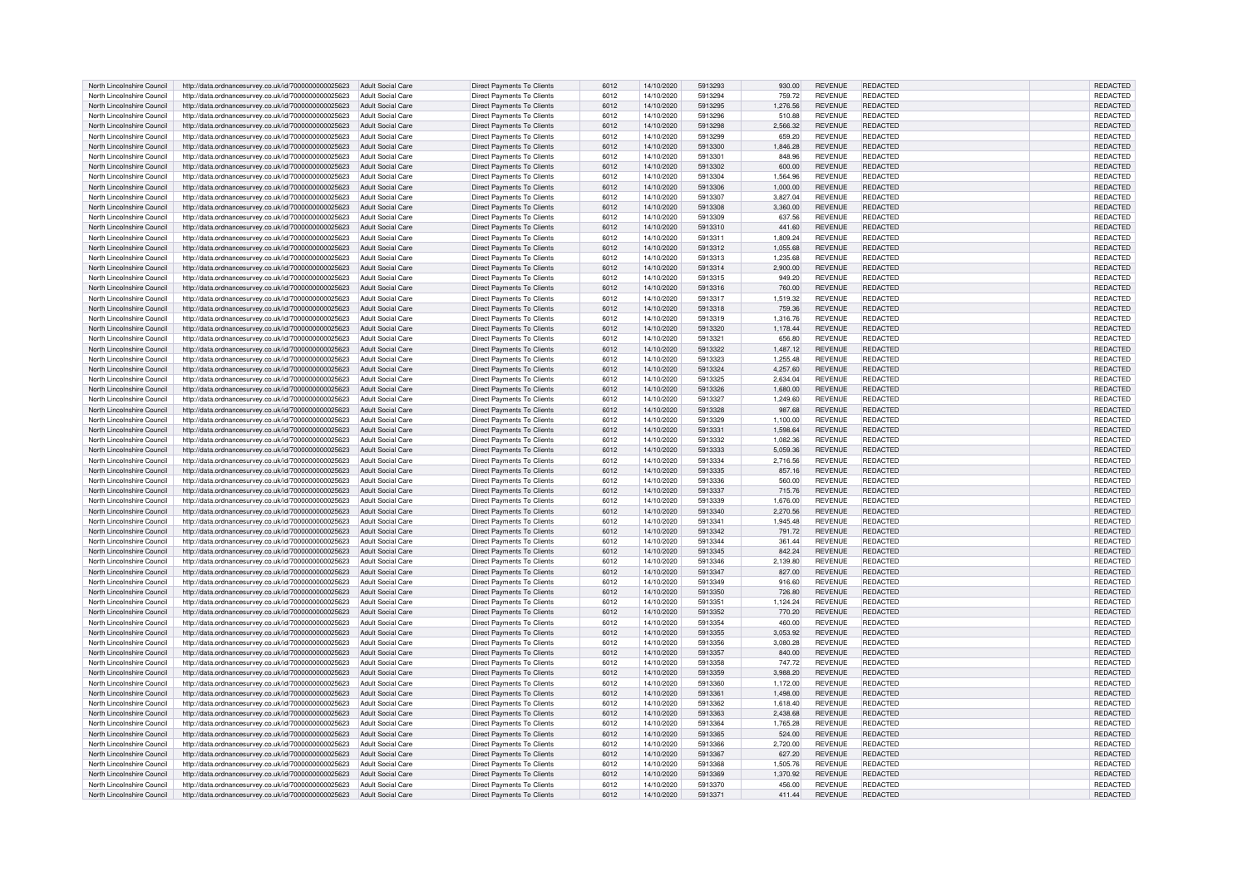| North Lincolnshire Council                               | http://data.ordnancesurvey.co.uk/id/7000000000025623 | <b>Adult Social Care</b>                             | Direct Payments To Clients        | 6012         | 14/10/2020               | 5913293 | 930.00             | <b>REVENUE</b>                   | <b>REDACTED</b> | REDACTED             |
|----------------------------------------------------------|------------------------------------------------------|------------------------------------------------------|-----------------------------------|--------------|--------------------------|---------|--------------------|----------------------------------|-----------------|----------------------|
| North Lincolnshire Council                               | http://data.ordnancesurvey.co.uk/id/7000000000025623 | <b>Adult Social Care</b>                             | <b>Direct Payments To Clients</b> | 6012         | 14/10/2020               | 5913294 | 759.72             | <b>REVENUE</b>                   | REDACTED        | REDACTED             |
| North Lincolnshire Council                               | http://data.ordnancesurvey.co.uk/id/7000000000025623 | <b>Adult Social Care</b>                             | <b>Direct Payments To Clients</b> | 6012         | 14/10/2020               | 5913295 | 1,276.56           | <b>REVENUE</b>                   | REDACTED        | REDACTED             |
| North Lincolnshire Council                               | http://data.ordnancesurvey.co.uk/id/7000000000025623 | <b>Adult Social Care</b>                             | Direct Payments To Clients        | 6012         | 14/10/2020               | 5913296 | 510.88             | <b>REVENUE</b>                   | REDACTED        | REDACTED             |
| North Lincolnshire Council                               | http://data.ordnancesurvey.co.uk/id/7000000000025623 | <b>Adult Social Care</b>                             | Direct Payments To Clients        | 6012         | 14/10/2020               | 5913298 | 2,566.32           | <b>REVENUE</b>                   | <b>REDACTED</b> | REDACTED             |
| North Lincolnshire Council                               | http://data.ordnancesurvey.co.uk/id/7000000000025623 | <b>Adult Social Care</b>                             | <b>Direct Payments To Clients</b> | 6012         | 14/10/2020               | 5913299 | 659.20             | <b>REVENUE</b>                   | REDACTED        | REDACTED             |
|                                                          |                                                      |                                                      |                                   |              |                          | 5913300 |                    |                                  | <b>REDACTED</b> |                      |
| North Lincolnshire Council<br>North Lincolnshire Council | http://data.ordnancesurvey.co.uk/id/7000000000025623 | <b>Adult Social Care</b><br><b>Adult Social Care</b> | Direct Payments To Clients        | 6012<br>6012 | 14/10/2020<br>14/10/2020 | 5913301 | 1,846.28<br>848.96 | <b>REVENUE</b><br><b>REVENUE</b> | REDACTED        | REDACTED<br>REDACTED |
|                                                          | http://data.ordnancesurvey.co.uk/id/7000000000025623 |                                                      | <b>Direct Payments To Clients</b> |              |                          |         |                    |                                  |                 |                      |
| North Lincolnshire Council                               | http://data.ordnancesurvey.co.uk/id/7000000000025623 | <b>Adult Social Care</b>                             | Direct Payments To Clients        | 6012         | 14/10/2020               | 5913302 | 600.00             | <b>REVENUE</b>                   | REDACTED        | REDACTED             |
| North Lincolnshire Council                               | http://data.ordnancesurvey.co.uk/id/7000000000025623 | Adult Social Care                                    | Direct Payments To Clients        | 6012         | 14/10/2020               | 5913304 | 1,564.96           | <b>REVENUE</b>                   | REDACTED        | REDACTED             |
| North Lincolnshire Council                               | http://data.ordnancesurvey.co.uk/id/7000000000025623 | <b>Adult Social Care</b>                             | <b>Direct Payments To Clients</b> | 6012         | 14/10/2020               | 5913306 | 1,000.00           | <b>REVENUE</b>                   | REDACTED        | REDACTED             |
| North Lincolnshire Council                               | http://data.ordnancesurvey.co.uk/id/7000000000025623 | <b>Adult Social Care</b>                             | Direct Payments To Clients        | 6012         | 14/10/2020               | 5913307 | 3,827.04           | <b>REVENUE</b>                   | <b>REDACTED</b> | REDACTED             |
| North Lincolnshire Council                               | http://data.ordnancesurvey.co.uk/id/7000000000025623 | Adult Social Care                                    | <b>Direct Payments To Clients</b> | 6012         | 14/10/2020               | 5913308 | 3,360.00           | <b>REVENUE</b>                   | REDACTED        | REDACTED             |
| North Lincolnshire Council                               | http://data.ordnancesurvey.co.uk/id/7000000000025623 | <b>Adult Social Care</b>                             | Direct Payments To Clients        | 6012         | 14/10/2020               | 5913309 | 637.56             | <b>REVENUE</b>                   | REDACTED        | REDACTED             |
| North Lincolnshire Council                               | http://data.ordnancesurvey.co.uk/id/7000000000025623 | <b>Adult Social Care</b>                             | Direct Payments To Clients        | 6012         | 14/10/2020               | 5913310 | 441.60             | <b>REVENUE</b>                   | REDACTED        | REDACTED             |
| North Lincolnshire Council                               | http://data.ordnancesurvey.co.uk/id/7000000000025623 | <b>Adult Social Care</b>                             | Direct Payments To Clients        | 6012         | 14/10/2020               | 5913311 | 1,809.24           | <b>REVENUE</b>                   | REDACTED        | REDACTED             |
| North Lincolnshire Council                               | http://data.ordnancesurvey.co.uk/id/7000000000025623 | <b>Adult Social Care</b>                             | Direct Payments To Clients        | 6012         | 14/10/2020               | 5913312 | 1,055.68           | <b>REVENUE</b>                   | <b>REDACTED</b> | REDACTED             |
| North Lincolnshire Council                               | http://data.ordnancesurvey.co.uk/id/7000000000025623 | <b>Adult Social Care</b>                             | <b>Direct Payments To Clients</b> | 6012         | 14/10/2020               | 5913313 | 1.235.68           | <b>REVENUE</b>                   | REDACTED        | REDACTED             |
| North Lincolnshire Council                               | http://data.ordnancesurvey.co.uk/id/7000000000025623 | <b>Adult Social Care</b>                             | <b>Direct Payments To Clients</b> | 6012         | 14/10/2020               | 5913314 | 2,900.00           | <b>REVENUE</b>                   | <b>REDACTED</b> | REDACTED             |
| North Lincolnshire Council                               | http://data.ordnancesurvey.co.uk/id/7000000000025623 | <b>Adult Social Care</b>                             | Direct Payments To Clients        | 6012         | 14/10/2020               | 5913315 | 949.20             | <b>REVENUE</b>                   | REDACTED        | REDACTED             |
|                                                          |                                                      |                                                      |                                   |              |                          |         |                    |                                  |                 |                      |
| North Lincolnshire Council                               | http://data.ordnancesurvey.co.uk/id/7000000000025623 | <b>Adult Social Care</b>                             | Direct Payments To Clients        | 6012         | 14/10/2020               | 5913316 | 760.00             | <b>REVENUE</b>                   | REDACTED        | REDACTED             |
| North Lincolnshire Council                               | http://data.ordnancesurvey.co.uk/id/7000000000025623 | <b>Adult Social Care</b>                             | Direct Payments To Clients        | 6012         | 14/10/2020               | 5913317 | 1,519.32           | <b>REVENUE</b>                   | <b>REDACTED</b> | REDACTED             |
| North Lincolnshire Council                               | http://data.ordnancesurvey.co.uk/id/7000000000025623 | <b>Adult Social Care</b>                             | Direct Payments To Clients        | 6012         | 14/10/2020               | 5913318 | 759.36             | <b>REVENUE</b>                   | REDACTED        | REDACTED             |
| North Lincolnshire Council                               | http://data.ordnancesurvey.co.uk/id/7000000000025623 | <b>Adult Social Care</b>                             | Direct Payments To Clients        | 6012         | 14/10/2020               | 5913319 | 1,316.76           | <b>REVENUE</b>                   | REDACTED        | REDACTED             |
| North Lincolnshire Council                               | http://data.ordnancesurvey.co.uk/id/7000000000025623 | <b>Adult Social Care</b>                             | Direct Payments To Clients        | 6012         | 14/10/2020               | 5913320 | 1,178.44           | <b>REVENUE</b>                   | <b>REDACTED</b> | REDACTED             |
| North Lincolnshire Council                               | http://data.ordnancesurvey.co.uk/id/7000000000025623 | <b>Adult Social Care</b>                             | Direct Payments To Clients        | 6012         | 14/10/2020               | 5913321 | 656.80             | <b>REVENUE</b>                   | REDACTED        | REDACTED             |
| North Lincolnshire Council                               | http://data.ordnancesurvey.co.uk/id/7000000000025623 | <b>Adult Social Care</b>                             | <b>Direct Payments To Clients</b> | 6012         | 14/10/2020               | 5913322 | 1,487.12           | <b>REVENUE</b>                   | <b>REDACTED</b> | REDACTED             |
| North Lincolnshire Council                               | http://data.ordnancesurvey.co.uk/id/7000000000025623 | <b>Adult Social Care</b>                             | <b>Direct Payments To Clients</b> | 6012         | 14/10/2020               | 5913323 | 1,255.48           | <b>REVENUE</b>                   | <b>REDACTED</b> | REDACTED             |
| North Lincolnshire Council                               | http://data.ordnancesurvey.co.uk/id/7000000000025623 | <b>Adult Social Care</b>                             | <b>Direct Payments To Clients</b> | 6012         | 14/10/2020               | 5913324 | 4,257.60           | <b>REVENUE</b>                   | REDACTED        | REDACTED             |
| North Lincolnshire Council                               | http://data.ordnancesurvey.co.uk/id/7000000000025623 | Adult Social Care                                    | Direct Payments To Clients        | 6012         | 14/10/2020               | 5913325 | 2,634.04           | <b>REVENUE</b>                   | REDACTED        | REDACTED             |
| North Lincolnshire Council                               | http://data.ordnancesurvey.co.uk/id/7000000000025623 | <b>Adult Social Care</b>                             | <b>Direct Payments To Clients</b> | 6012         | 14/10/2020               | 5913326 | 1,680.00           | <b>REVENUE</b>                   | REDACTED        | REDACTED             |
|                                                          |                                                      |                                                      |                                   |              |                          |         |                    |                                  |                 |                      |
| North Lincolnshire Council                               | http://data.ordnancesurvey.co.uk/id/7000000000025623 | <b>Adult Social Care</b>                             | Direct Payments To Clients        | 6012         | 14/10/2020               | 5913327 | 1,249.60           | <b>REVENUE</b>                   | REDACTED        | REDACTED             |
| North Lincolnshire Council                               | http://data.ordnancesurvey.co.uk/id/7000000000025623 | Adult Social Care                                    | <b>Direct Payments To Clients</b> | 6012         | 14/10/2020               | 5913328 | 987.68             | <b>REVENUE</b>                   | REDACTED        | REDACTED             |
| North Lincolnshire Council                               | http://data.ordnancesurvey.co.uk/id/7000000000025623 | <b>Adult Social Care</b>                             | Direct Payments To Clients        | 6012         | 14/10/2020               | 5913329 | 1,100.00           | <b>REVENUE</b>                   | REDACTED        | REDACTED             |
| North Lincolnshire Council                               | http://data.ordnancesurvey.co.uk/id/7000000000025623 | <b>Adult Social Care</b>                             | Direct Payments To Clients        | 6012         | 14/10/2020               | 5913331 | 1,598.64           | <b>REVENUE</b>                   | REDACTED        | REDACTED             |
| North Lincolnshire Council                               | http://data.ordnancesurvey.co.uk/id/7000000000025623 | <b>Adult Social Care</b>                             | Direct Payments To Clients        | 6012         | 14/10/2020               | 5913332 | 1,082.36           | <b>REVENUE</b>                   | REDACTED        | REDACTED             |
| North Lincolnshire Council                               | http://data.ordnancesurvey.co.uk/id/7000000000025623 | <b>Adult Social Care</b>                             | Direct Payments To Clients        | 6012         | 14/10/2020               | 5913333 | 5,059.36           | <b>REVENUE</b>                   | <b>REDACTED</b> | REDACTED             |
| North Lincolnshire Council                               | http://data.ordnancesurvey.co.uk/id/7000000000025623 | <b>Adult Social Care</b>                             | <b>Direct Payments To Clients</b> | 6012         | 14/10/2020               | 5913334 | 2.716.56           | <b>REVENUE</b>                   | REDACTED        | REDACTED             |
| North Lincolnshire Council                               | http://data.ordnancesurvey.co.uk/id/7000000000025623 | <b>Adult Social Care</b>                             | Direct Payments To Clients        | 6012         | 14/10/2020               | 5913335 | 857.16             | <b>REVENUE</b>                   | <b>REDACTED</b> | REDACTED             |
| North Lincolnshire Council                               | http://data.ordnancesurvey.co.uk/id/7000000000025623 | <b>Adult Social Care</b>                             | Direct Payments To Clients        | 6012         | 14/10/2020               | 5913336 | 560.00             | <b>REVENUE</b>                   | <b>REDACTED</b> | REDACTED             |
| North Lincolnshire Council                               | http://data.ordnancesurvey.co.uk/id/7000000000025623 | <b>Adult Social Care</b>                             | Direct Payments To Clients        | 6012         | 14/10/2020               | 5913337 | 715.76             | <b>REVENUE</b>                   | REDACTED        | REDACTED             |
| North Lincolnshire Council                               | http://data.ordnancesurvey.co.uk/id/7000000000025623 | <b>Adult Social Care</b>                             | Direct Payments To Clients        | 6012         | 14/10/2020               | 5913339 | 1,676.00           | <b>REVENUE</b>                   | <b>REDACTED</b> | REDACTED             |
| North Lincolnshire Council                               | http://data.ordnancesurvey.co.uk/id/7000000000025623 | Adult Social Care                                    | Direct Payments To Clients        | 6012         | 14/10/2020               | 5913340 | 2.270.56           | <b>REVENUE</b>                   | REDACTED        | REDACTED             |
| North Lincolnshire Council                               |                                                      | <b>Adult Social Care</b>                             |                                   | 6012         |                          | 5913341 | 1,945.48           | <b>REVENUE</b>                   | REDACTED        | REDACTED             |
|                                                          | http://data.ordnancesurvey.co.uk/id/7000000000025623 | <b>Adult Social Care</b>                             | Direct Payments To Clients        |              | 14/10/2020               |         |                    |                                  |                 |                      |
| North Lincolnshire Council                               | http://data.ordnancesurvey.co.uk/id/7000000000025623 |                                                      | <b>Direct Payments To Clients</b> | 6012         | 14/10/2020               | 5913342 | 791.72             | <b>REVENUE</b>                   | <b>REDACTED</b> | REDACTED             |
| North Lincolnshire Council                               | http://data.ordnancesurvey.co.uk/id/7000000000025623 | <b>Adult Social Care</b>                             | <b>Direct Payments To Clients</b> | 6012         | 14/10/2020               | 5913344 | 361.44             | <b>REVENUE</b>                   | REDACTED        | REDACTED             |
| North Lincolnshire Council                               | http://data.ordnancesurvey.co.uk/id/7000000000025623 | <b>Adult Social Care</b>                             | <b>Direct Payments To Clients</b> | 6012         | 14/10/2020               | 5913345 | 842.24             | <b>REVENUE</b>                   | <b>REDACTED</b> | REDACTED             |
| North Lincolnshire Council                               | http://data.ordnancesurvey.co.uk/id/7000000000025623 | <b>Adult Social Care</b>                             | <b>Direct Payments To Clients</b> | 6012         | 14/10/2020               | 5913346 | 2,139.80           | <b>REVENUE</b>                   | <b>REDACTED</b> | REDACTED             |
| North Lincolnshire Council                               | http://data.ordnancesurvey.co.uk/id/7000000000025623 | <b>Adult Social Care</b>                             | Direct Payments To Clients        | 6012         | 14/10/2020               | 5913347 | 827.00             | <b>REVENUE</b>                   | <b>REDACTED</b> | REDACTED             |
| North Lincolnshire Council                               | http://data.ordnancesurvey.co.uk/id/7000000000025623 | Adult Social Care                                    | Direct Payments To Clients        | 6012         | 14/10/2020               | 5913349 | 916.60             | <b>REVENUE</b>                   | REDACTED        | REDACTED             |
| North Lincolnshire Council                               | http://data.ordnancesurvey.co.uk/id/7000000000025623 | <b>Adult Social Care</b>                             | <b>Direct Payments To Clients</b> | 6012         | 14/10/2020               | 5913350 | 726.80             | <b>REVENUE</b>                   | REDACTED        | REDACTED             |
| North Lincolnshire Council                               | http://data.ordnancesurvey.co.uk/id/7000000000025623 | <b>Adult Social Care</b>                             | Direct Payments To Clients        | 6012         | 14/10/2020               | 5913351 | 1,124.24           | <b>REVENUE</b>                   | REDACTED        | REDACTED             |
| North Lincolnshire Council                               | http://data.ordnancesurvey.co.uk/id/7000000000025623 | <b>Adult Social Care</b>                             | Direct Payments To Clients        | 6012         | 14/10/2020               | 5913352 | 770.20             | <b>REVENUE</b>                   | REDACTED        | REDACTED             |
| North Lincolnshire Council                               | http://data.ordnancesurvey.co.uk/id/7000000000025623 | <b>Adult Social Care</b>                             | Direct Payments To Clients        | 6012         | 14/10/2020               | 5913354 | 460.00             | <b>REVENUE</b>                   | REDACTED        | REDACTED             |
| North Lincolnshire Council                               | http://data.ordnancesurvey.co.uk/id/7000000000025623 | Adult Social Care                                    | Direct Payments To Clients        | 6012         | 14/10/2020               | 5913355 | 3,053.92           | <b>REVENUE</b>                   | REDACTED        | REDACTED             |
| North Lincolnshire Council                               | http://data.ordnancesurvey.co.uk/id/7000000000025623 | <b>Adult Social Care</b>                             | <b>Direct Payments To Clients</b> | 6012         | 14/10/2020               | 5913356 | 3,080.28           | <b>REVENUE</b>                   | REDACTED        | REDACTED             |
| North Lincolnshire Council                               | http://data.ordnancesurvey.co.uk/id/7000000000025623 | <b>Adult Social Care</b>                             | Direct Payments To Clients        | 6012         | 14/10/2020               | 5913357 | 840.00             | <b>REVENUE</b>                   | <b>REDACTED</b> | REDACTED             |
| North Lincolnshire Council                               | http://data.ordnancesurvey.co.uk/id/7000000000025623 | <b>Adult Social Care</b>                             | <b>Direct Payments To Clients</b> | 6012         | 14/10/2020               | 5913358 | 747.72             | <b>REVENUE</b>                   | REDACTED        | REDACTED             |
|                                                          |                                                      | <b>Adult Social Care</b>                             |                                   |              |                          |         |                    |                                  | REDACTED        |                      |
| North Lincolnshire Council                               | http://data.ordnancesurvey.co.uk/id/7000000000025623 |                                                      | Direct Payments To Clients        | 6012         | 14/10/2020               | 5913359 | 3,988.20           | <b>REVENUE</b>                   |                 | REDACTED             |
| North Lincolnshire Council                               | http://data.ordnancesurvey.co.uk/id/7000000000025623 | <b>Adult Social Care</b>                             | Direct Payments To Clients        | 6012         | 14/10/2020               | 5913360 | 1,172.00           | <b>REVENUE</b>                   | <b>REDACTED</b> | REDACTED             |
| North Lincolnshire Council                               | http://data.ordnancesurvey.co.uk/id/7000000000025623 | <b>Adult Social Care</b>                             | Direct Payments To Clients        | 6012         | 14/10/2020               | 5913361 | 1,498.00           | <b>REVENUE</b>                   | REDACTED        | REDACTED             |
| North Lincolnshire Council                               | http://data.ordnancesurvey.co.uk/id/7000000000025623 | <b>Adult Social Care</b>                             | Direct Payments To Clients        | 6012         | 14/10/2020               | 5913362 | 1,618.40           | <b>REVENUE</b>                   | REDACTED        | REDACTED             |
| North Lincolnshire Council                               | http://data.ordnancesurvey.co.uk/id/7000000000025623 | Adult Social Care                                    | <b>Direct Payments To Clients</b> | 6012         | 14/10/2020               | 5913363 | 2.438.68           | <b>REVENUE</b>                   | REDACTED        | REDACTED             |
| North Lincolnshire Council                               | http://data.ordnancesurvey.co.uk/id/7000000000025623 | <b>Adult Social Care</b>                             | Direct Payments To Clients        | 6012         | 14/10/2020               | 5913364 | 1,765.28           | <b>REVENUE</b>                   | <b>REDACTED</b> | REDACTED             |
| North Lincolnshire Council                               | http://data.ordnancesurvey.co.uk/id/7000000000025623 | <b>Adult Social Care</b>                             | Direct Payments To Clients        | 6012         | 14/10/2020               | 5913365 | 524.00             | <b>REVENUE</b>                   | <b>REDACTED</b> | REDACTED             |
| North Lincolnshire Council                               | http://data.ordnancesurvey.co.uk/id/7000000000025623 | <b>Adult Social Care</b>                             | Direct Payments To Clients        | 6012         | 14/10/2020               | 5913366 | 2.720.00           | <b>REVENUE</b>                   | REDACTED        | REDACTED             |
| North Lincolnshire Council                               | http://data.ordnancesurvey.co.uk/id/7000000000025623 | <b>Adult Social Care</b>                             | <b>Direct Payments To Clients</b> | 6012         | 14/10/2020               | 5913367 | 627.20             | <b>REVENUE</b>                   | <b>REDACTED</b> | REDACTED             |
| North Lincolnshire Council                               | http://data.ordnancesurvey.co.uk/id/7000000000025623 | <b>Adult Social Care</b>                             | Direct Payments To Clients        | 6012         | 14/10/2020               | 5913368 | 1,505.76           | <b>REVENUE</b>                   | REDACTED        | REDACTED             |
| North Lincolnshire Council                               | http://data.ordnancesurvey.co.uk/id/7000000000025623 | <b>Adult Social Care</b>                             | <b>Direct Payments To Clients</b> | 6012         | 14/10/2020               | 5913369 | 1,370.92           | <b>REVENUE</b>                   | REDACTED        | REDACTED             |
| North Lincolnshire Council                               | http://data.ordnancesurvey.co.uk/id/7000000000025623 | Adult Social Care                                    | Direct Payments To Clients        | 6012         | 14/10/2020               | 5913370 | 456.00             | <b>REVENUE</b>                   | <b>REDACTED</b> | REDACTED             |
| North Lincolnshire Council                               | http://data.ordnancesurvey.co.uk/id/7000000000025623 | Adult Social Care                                    | Direct Payments To Clients        | 6012         | 14/10/2020               | 5913371 | 411.44             | <b>REVENUE</b>                   | REDACTED        | REDACTED             |
|                                                          |                                                      |                                                      |                                   |              |                          |         |                    |                                  |                 |                      |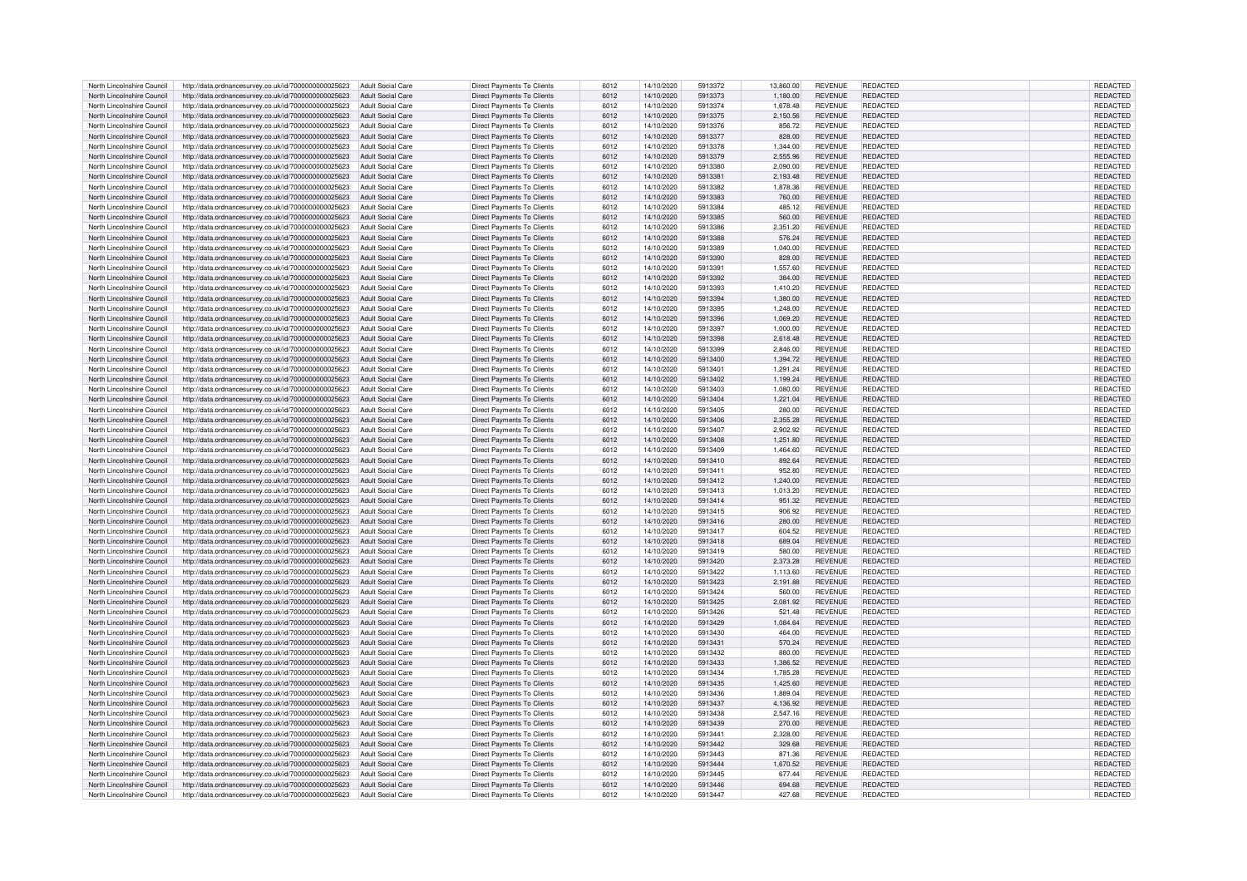| North Lincolnshire Council | http://data.ordnancesurvey.co.uk/id/7000000000025623 | Adult Social Care        | Direct Payments To Clients        | 6012 | 14/10/2020 | 5913372 | 13,860.00 | <b>REVENUE</b> | <b>REDACTED</b> | REDACTED |
|----------------------------|------------------------------------------------------|--------------------------|-----------------------------------|------|------------|---------|-----------|----------------|-----------------|----------|
| North Lincolnshire Council | http://data.ordnancesurvey.co.uk/id/7000000000025623 | <b>Adult Social Care</b> | <b>Direct Payments To Clients</b> | 6012 | 14/10/2020 | 5913373 | 1,180.00  | <b>REVENUE</b> | REDACTED        | REDACTED |
| North Lincolnshire Council | http://data.ordnancesurvey.co.uk/id/7000000000025623 | <b>Adult Social Care</b> | Direct Payments To Clients        | 6012 | 14/10/2020 | 5913374 | 1,678.48  | <b>REVENUE</b> | <b>REDACTED</b> | REDACTED |
| North Lincolnshire Council | http://data.ordnancesurvey.co.uk/id/7000000000025623 | <b>Adult Social Care</b> | <b>Direct Payments To Clients</b> | 6012 | 14/10/2020 | 5913375 | 2.150.56  | <b>REVENUE</b> | REDACTED        | REDACTED |
| North Lincolnshire Council | http://data.ordnancesurvey.co.uk/id/7000000000025623 | <b>Adult Social Care</b> | Direct Payments To Clients        | 6012 | 14/10/2020 | 5913376 | 856.72    | <b>REVENUE</b> | REDACTED        | REDACTED |
|                            |                                                      |                          |                                   |      |            |         |           |                |                 |          |
| North Lincolnshire Council | http://data.ordnancesurvey.co.uk/id/7000000000025623 | <b>Adult Social Care</b> | Direct Payments To Clients        | 6012 | 14/10/2020 | 5913377 | 828.00    | <b>REVENUE</b> | <b>REDACTED</b> | REDACTED |
| North Lincolnshire Council | http://data.ordnancesurvey.co.uk/id/7000000000025623 | <b>Adult Social Care</b> | Direct Payments To Clients        | 6012 | 14/10/2020 | 5913378 | 1.344.00  | <b>REVENUE</b> | REDACTED        | REDACTED |
| North Lincolnshire Council | http://data.ordnancesurvey.co.uk/id/7000000000025623 | <b>Adult Social Care</b> | Direct Payments To Clients        | 6012 | 14/10/2020 | 5913379 | 2,555.96  | <b>REVENUE</b> | <b>REDACTED</b> | REDACTED |
| North Lincolnshire Council | http://data.ordnancesurvey.co.uk/id/7000000000025623 | <b>Adult Social Care</b> | <b>Direct Payments To Clients</b> | 6012 | 14/10/2020 | 5913380 | 2.090.00  | <b>REVENUE</b> | REDACTED        | REDACTED |
| North Lincolnshire Council | http://data.ordnancesurvey.co.uk/id/7000000000025623 | <b>Adult Social Care</b> | Direct Payments To Clients        | 6012 | 14/10/2020 | 5913381 | 2,193.48  | <b>REVENUE</b> | <b>REDACTED</b> | REDACTED |
| North Lincolnshire Council | http://data.ordnancesurvey.co.uk/id/7000000000025623 | <b>Adult Social Care</b> | Direct Payments To Clients        | 6012 | 14/10/2020 | 5913382 | 1,878.36  | <b>REVENUE</b> | <b>REDACTED</b> | REDACTED |
| North Lincolnshire Council | http://data.ordnancesurvey.co.uk/id/7000000000025623 | <b>Adult Social Care</b> | Direct Payments To Clients        | 6012 | 14/10/2020 | 5913383 | 760.00    | <b>REVENUE</b> | REDACTED        | REDACTED |
| North Lincolnshire Council | http://data.ordnancesurvey.co.uk/id/7000000000025623 | <b>Adult Social Care</b> | Direct Payments To Clients        | 6012 | 14/10/2020 | 5913384 | 485.12    | <b>REVENUE</b> | REDACTED        | REDACTED |
| North Lincolnshire Council | http://data.ordnancesurvey.co.uk/id/7000000000025623 | Adult Social Care        | <b>Direct Payments To Clients</b> | 6012 | 14/10/2020 | 5913385 | 560.00    | <b>REVENUE</b> | REDACTED        | REDACTED |
| North Lincolnshire Council |                                                      | <b>Adult Social Care</b> |                                   | 6012 | 14/10/2020 | 5913386 |           | <b>REVENUE</b> | REDACTED        |          |
|                            | http://data.ordnancesurvey.co.uk/id/7000000000025623 |                          | Direct Payments To Clients        |      |            |         | 2,351.20  |                |                 | REDACTED |
| North Lincolnshire Council | http://data.ordnancesurvey.co.uk/id/7000000000025623 | <b>Adult Social Care</b> | <b>Direct Payments To Clients</b> | 6012 | 14/10/2020 | 5913388 | 576.24    | <b>REVENUE</b> | <b>REDACTED</b> | REDACTED |
| North Lincolnshire Council | http://data.ordnancesurvey.co.uk/id/7000000000025623 | <b>Adult Social Care</b> | Direct Payments To Clients        | 6012 | 14/10/2020 | 5913389 | 1.040.00  | <b>REVENUE</b> | REDACTED        | REDACTED |
| North Lincolnshire Council | http://data.ordnancesurvey.co.uk/id/7000000000025623 | <b>Adult Social Care</b> | <b>Direct Payments To Clients</b> | 6012 | 14/10/2020 | 5913390 | 828.00    | <b>REVENUE</b> | <b>REDACTED</b> | REDACTED |
| North Lincolnshire Council | http://data.ordnancesurvey.co.uk/id/7000000000025623 | <b>Adult Social Care</b> | Direct Payments To Clients        | 6012 | 14/10/2020 | 5913391 | 1,557.60  | <b>REVENUE</b> | REDACTED        | REDACTED |
| North Lincolnshire Council | http://data.ordnancesurvey.co.uk/id/7000000000025623 | <b>Adult Social Care</b> | Direct Payments To Clients        | 6012 | 14/10/2020 | 5913392 | 384.00    | <b>REVENUE</b> | REDACTED        | REDACTED |
| North Lincolnshire Council | http://data.ordnancesurvey.co.uk/id/7000000000025623 | <b>Adult Social Care</b> | Direct Payments To Clients        | 6012 | 14/10/2020 | 5913393 | 1,410.20  | <b>REVENUE</b> | <b>REDACTED</b> | REDACTED |
| North Lincolnshire Council | http://data.ordnancesurvey.co.uk/id/7000000000025623 | <b>Adult Social Care</b> | <b>Direct Payments To Clients</b> | 6012 | 14/10/2020 | 5913394 | 1.380.00  | <b>REVENUE</b> | REDACTED        | REDACTED |
| North Lincolnshire Council | http://data.ordnancesurvey.co.uk/id/7000000000025623 | <b>Adult Social Care</b> | Direct Payments To Clients        | 6012 | 14/10/2020 | 5913395 | 1,248.00  | <b>REVENUE</b> | <b>REDACTED</b> | REDACTED |
| North Lincolnshire Council |                                                      | <b>Adult Social Care</b> |                                   | 6012 | 14/10/2020 | 5913396 | 1,069.20  | <b>REVENUE</b> | REDACTED        | REDACTED |
|                            | http://data.ordnancesurvey.co.uk/id/7000000000025623 |                          | Direct Payments To Clients        |      |            |         |           |                |                 |          |
| North Lincolnshire Council | http://data.ordnancesurvey.co.uk/id/7000000000025623 | <b>Adult Social Care</b> | Direct Payments To Clients        | 6012 | 14/10/2020 | 5913397 | 1,000.00  | <b>REVENUE</b> | REDACTED        | REDACTED |
| North Lincolnshire Council | http://data.ordnancesurvey.co.uk/id/7000000000025623 | <b>Adult Social Care</b> | Direct Payments To Clients        | 6012 | 14/10/2020 | 5913398 | 2,618.48  | <b>REVENUE</b> | <b>REDACTED</b> | REDACTED |
| North Lincolnshire Council | http://data.ordnancesurvey.co.uk/id/7000000000025623 | <b>Adult Social Care</b> | <b>Direct Payments To Clients</b> | 6012 | 14/10/2020 | 5913399 | 2,846.00  | <b>REVENUE</b> | REDACTED        | REDACTED |
| North Lincolnshire Council | http://data.ordnancesurvey.co.uk/id/7000000000025623 | <b>Adult Social Care</b> | <b>Direct Payments To Clients</b> | 6012 | 14/10/2020 | 5913400 | 1.394.72  | <b>REVENUE</b> | REDACTED        | REDACTED |
| North Lincolnshire Council | http://data.ordnancesurvey.co.uk/id/7000000000025623 | <b>Adult Social Care</b> | Direct Payments To Clients        | 6012 | 14/10/2020 | 5913401 | 1,291.24  | <b>REVENUE</b> | REDACTED        | REDACTED |
| North Lincolnshire Council | http://data.ordnancesurvey.co.uk/id/7000000000025623 | <b>Adult Social Care</b> | <b>Direct Payments To Clients</b> | 6012 | 14/10/2020 | 5913402 | 1,199.24  | <b>REVENUE</b> | REDACTED        | REDACTED |
| North Lincolnshire Council | http://data.ordnancesurvey.co.uk/id/7000000000025623 | Adult Social Care        | Direct Payments To Clients        | 6012 | 14/10/2020 | 5913403 | 1,080.00  | <b>REVENUE</b> | REDACTED        | REDACTED |
| North Lincolnshire Council | http://data.ordnancesurvey.co.uk/id/7000000000025623 | <b>Adult Social Care</b> | <b>Direct Payments To Clients</b> | 6012 | 14/10/2020 | 5913404 | 1,221.04  | <b>REVENUE</b> | REDACTED        | REDACTED |
| North Lincolnshire Council | http://data.ordnancesurvey.co.uk/id/7000000000025623 | <b>Adult Social Care</b> | Direct Payments To Clients        | 6012 | 14/10/2020 | 5913405 | 280.00    | <b>REVENUE</b> | REDACTED        | REDACTED |
| North Lincolnshire Council | http://data.ordnancesurvey.co.uk/id/7000000000025623 | <b>Adult Social Care</b> |                                   | 6012 | 14/10/2020 | 5913406 |           | <b>REVENUE</b> | REDACTED        | REDACTED |
|                            |                                                      |                          | Direct Payments To Clients        |      |            |         | 2,355.28  |                |                 |          |
| North Lincolnshire Council | http://data.ordnancesurvey.co.uk/id/7000000000025623 | <b>Adult Social Care</b> | Direct Payments To Clients        | 6012 | 14/10/2020 | 5913407 | 2,902.92  | <b>REVENUE</b> | REDACTED        | REDACTED |
| North Lincolnshire Council | http://data.ordnancesurvey.co.uk/id/7000000000025623 | <b>Adult Social Care</b> | Direct Payments To Clients        | 6012 | 14/10/2020 | 5913408 | 1,251.80  | <b>REVENUE</b> | REDACTED        | REDACTED |
| North Lincolnshire Council | http://data.ordnancesurvey.co.uk/id/7000000000025623 | <b>Adult Social Care</b> | Direct Payments To Clients        | 6012 | 14/10/2020 | 5913409 | 1,464.60  | <b>REVENUE</b> | <b>REDACTED</b> | REDACTED |
| North Lincolnshire Council | http://data.ordnancesurvey.co.uk/id/7000000000025623 | <b>Adult Social Care</b> | Direct Payments To Clients        | 6012 | 14/10/2020 | 5913410 | 892.64    | <b>REVENUE</b> | REDACTED        | REDACTED |
| North Lincolnshire Council | http://data.ordnancesurvey.co.uk/id/7000000000025623 | <b>Adult Social Care</b> | <b>Direct Payments To Clients</b> | 6012 | 14/10/2020 | 5913411 | 952.80    | <b>REVENUE</b> | REDACTED        | REDACTED |
| North Lincolnshire Council | http://data.ordnancesurvey.co.uk/id/7000000000025623 | <b>Adult Social Care</b> | Direct Payments To Clients        | 6012 | 14/10/2020 | 5913412 | 1,240.00  | <b>REVENUE</b> | REDACTED        | REDACTED |
| North Lincolnshire Council | http://data.ordnancesurvey.co.uk/id/7000000000025623 | <b>Adult Social Care</b> | <b>Direct Payments To Clients</b> | 6012 | 14/10/2020 | 5913413 | 1,013.20  | <b>REVENUE</b> | REDACTED        | REDACTED |
| North Lincolnshire Council | http://data.ordnancesurvey.co.uk/id/7000000000025623 | <b>Adult Social Care</b> | Direct Payments To Clients        | 6012 | 14/10/2020 | 5913414 | 951.32    | <b>REVENUE</b> | <b>REDACTED</b> | REDACTED |
| North Lincolnshire Council | http://data.ordnancesurvey.co.uk/id/7000000000025623 | <b>Adult Social Care</b> | Direct Payments To Clients        | 6012 | 14/10/2020 | 5913415 | 906.92    | <b>REVENUE</b> | REDACTED        | REDACTED |
|                            |                                                      |                          |                                   |      |            |         |           |                |                 |          |
| North Lincolnshire Council | http://data.ordnancesurvey.co.uk/id/7000000000025623 | <b>Adult Social Care</b> | Direct Payments To Clients        | 6012 | 14/10/2020 | 5913416 | 280.00    | <b>REVENUE</b> | REDACTED        | REDACTED |
| North Lincolnshire Council | http://data.ordnancesurvey.co.uk/id/7000000000025623 | <b>Adult Social Care</b> | Direct Payments To Clients        | 6012 | 14/10/2020 | 5913417 | 604.52    | <b>REVENUE</b> | REDACTED        | REDACTED |
| North Lincolnshire Council | http://data.ordnancesurvey.co.uk/id/7000000000025623 | <b>Adult Social Care</b> | <b>Direct Payments To Clients</b> | 6012 | 14/10/2020 | 5913418 | 689.04    | <b>REVENUE</b> | REDACTED        | REDACTED |
| North Lincolnshire Council | http://data.ordnancesurvey.co.uk/id/7000000000025623 | <b>Adult Social Care</b> | Direct Payments To Clients        | 6012 | 14/10/2020 | 5913419 | 580.00    | <b>REVENUE</b> | <b>REDACTED</b> | REDACTED |
| North Lincolnshire Council | http://data.ordnancesurvey.co.uk/id/7000000000025623 | <b>Adult Social Care</b> | <b>Direct Payments To Clients</b> | 6012 | 14/10/2020 | 5913420 | 2.373.28  | <b>REVENUE</b> | REDACTED        | REDACTED |
| North Lincolnshire Council | http://data.ordnancesurvey.co.uk/id/7000000000025623 | <b>Adult Social Care</b> | Direct Payments To Clients        | 6012 | 14/10/2020 | 5913422 | 1,113.60  | <b>REVENUE</b> | <b>REDACTED</b> | REDACTED |
| North Lincolnshire Council | http://data.ordnancesurvey.co.uk/id/7000000000025623 | <b>Adult Social Care</b> | Direct Payments To Clients        | 6012 | 14/10/2020 | 5913423 | 2,191.88  | <b>REVENUE</b> | REDACTED        | REDACTED |
| North Lincolnshire Council | http://data.ordnancesurvey.co.uk/id/7000000000025623 | Adult Social Care        | <b>Direct Payments To Clients</b> | 6012 | 14/10/2020 | 5913424 | 560.00    | <b>REVENUE</b> | REDACTED        | REDACTED |
| North Lincolnshire Council | http://data.ordnancesurvey.co.uk/id/7000000000025623 | <b>Adult Social Care</b> | Direct Payments To Clients        | 6012 | 14/10/2020 | 5913425 | 2,081.92  | <b>REVENUE</b> | REDACTED        | REDACTED |
| North Lincolnshire Council | http://data.ordnancesurvey.co.uk/id/7000000000025623 | <b>Adult Social Care</b> | <b>Direct Payments To Clients</b> | 6012 | 14/10/2020 | 5913426 | 521.48    | <b>REVENUE</b> | REDACTED        | REDACTED |
| North Lincolnshire Council |                                                      |                          |                                   | 6012 |            | 5913429 |           | <b>REVENUE</b> | REDACTED        |          |
|                            | http://data.ordnancesurvey.co.uk/id/7000000000025623 | Adult Social Care        | Direct Payments To Clients        |      | 14/10/2020 |         | 1,084.64  |                |                 | REDACTED |
| North Lincolnshire Council | http://data.ordnancesurvey.co.uk/id/7000000000025623 | <b>Adult Social Care</b> | Direct Payments To Clients        | 6012 | 14/10/2020 | 5913430 | 464.00    | <b>REVENUE</b> | REDACTED        | REDACTED |
| North Lincolnshire Council | http://data.ordnancesurvey.co.uk/id/7000000000025623 | <b>Adult Social Care</b> | <b>Direct Payments To Clients</b> | 6012 | 14/10/2020 | 5913431 | 570.24    | <b>REVENUE</b> | <b>REDACTED</b> | REDACTED |
| North Lincolnshire Council | http://data.ordnancesurvey.co.uk/id/7000000000025623 | <b>Adult Social Care</b> | <b>Direct Payments To Clients</b> | 6012 | 14/10/2020 | 5913432 | 880.00    | <b>REVENUE</b> | <b>REDACTED</b> | REDACTED |
| North Lincolnshire Council | http://data.ordnancesurvey.co.uk/id/7000000000025623 | <b>Adult Social Care</b> | <b>Direct Payments To Clients</b> | 6012 | 14/10/2020 | 5913433 | 1.386.52  | <b>REVENUE</b> | REDACTED        | REDACTED |
| North Lincolnshire Council | http://data.ordnancesurvey.co.uk/id/7000000000025623 | <b>Adult Social Care</b> | <b>Direct Payments To Clients</b> | 6012 | 14/10/2020 | 5913434 | 1,785.28  | <b>REVENUE</b> | <b>REDACTED</b> | REDACTED |
| North Lincolnshire Council | http://data.ordnancesurvey.co.uk/id/7000000000025623 | <b>Adult Social Care</b> | Direct Payments To Clients        | 6012 | 14/10/2020 | 5913435 | 1,425.60  | <b>REVENUE</b> | <b>REDACTED</b> | REDACTED |
| North Lincolnshire Council | http://data.ordnancesurvey.co.uk/id/7000000000025623 | <b>Adult Social Care</b> | <b>Direct Payments To Clients</b> | 6012 | 14/10/2020 | 5913436 | 1,889.04  | <b>REVENUE</b> | REDACTED        | REDACTED |
| North Lincolnshire Council | http://data.ordnancesurvey.co.uk/id/7000000000025623 | <b>Adult Social Care</b> | Direct Payments To Clients        | 6012 | 14/10/2020 | 5913437 | 4,136.92  | <b>REVENUE</b> | REDACTED        | REDACTED |
| North Lincolnshire Council | http://data.ordnancesurvey.co.uk/id/7000000000025623 | <b>Adult Social Care</b> | <b>Direct Payments To Clients</b> | 6012 | 14/10/2020 | 5913438 | 2.547.16  | <b>REVENUE</b> | REDACTED        | REDACTED |
| North Lincolnshire Council |                                                      | <b>Adult Social Care</b> |                                   | 6012 | 14/10/2020 | 5913439 | 270.00    | <b>REVENUE</b> | REDACTED        | REDACTED |
|                            | http://data.ordnancesurvey.co.uk/id/7000000000025623 |                          | Direct Payments To Clients        |      |            |         |           |                |                 |          |
| North Lincolnshire Council | http://data.ordnancesurvey.co.uk/id/7000000000025623 | <b>Adult Social Care</b> | Direct Payments To Clients        | 6012 | 14/10/2020 | 5913441 | 2,328.00  | <b>REVENUE</b> | REDACTED        | REDACTED |
| North Lincolnshire Council | http://data.ordnancesurvey.co.uk/id/7000000000025623 | <b>Adult Social Care</b> | Direct Payments To Clients        | 6012 | 14/10/2020 | 5913442 | 329.68    | <b>REVENUE</b> | REDACTED        | REDACTED |
| North Lincolnshire Council | http://data.ordnancesurvey.co.uk/id/7000000000025623 | <b>Adult Social Care</b> | <b>Direct Payments To Clients</b> | 6012 | 14/10/2020 | 5913443 | 871.36    | <b>REVENUE</b> | <b>REDACTED</b> | REDACTED |
| North Lincolnshire Council | http://data.ordnancesurvey.co.uk/id/7000000000025623 | <b>Adult Social Care</b> | Direct Payments To Clients        | 6012 | 14/10/2020 | 5913444 | 1,670.52  | <b>REVENUE</b> | REDACTED        | REDACTED |
| North Lincolnshire Council | http://data.ordnancesurvey.co.uk/id/7000000000025623 | <b>Adult Social Care</b> | Direct Payments To Clients        | 6012 | 14/10/2020 | 5913445 | 677.44    | <b>REVENUE</b> | REDACTED        | REDACTED |
| North Lincolnshire Council | http://data.ordnancesurvey.co.uk/id/7000000000025623 | Adult Social Care        | Direct Payments To Clients        | 6012 | 14/10/2020 | 5913446 | 694.68    | <b>REVENUE</b> | <b>REDACTED</b> | REDACTED |
| North Lincolnshire Council | http://data.ordnancesurvey.co.uk/id/7000000000025623 | Adult Social Care        | Direct Payments To Clients        | 6012 | 14/10/2020 | 5913447 | 427.68    | <b>REVENUE</b> | REDACTED        | REDACTED |
|                            |                                                      |                          |                                   |      |            |         |           |                |                 |          |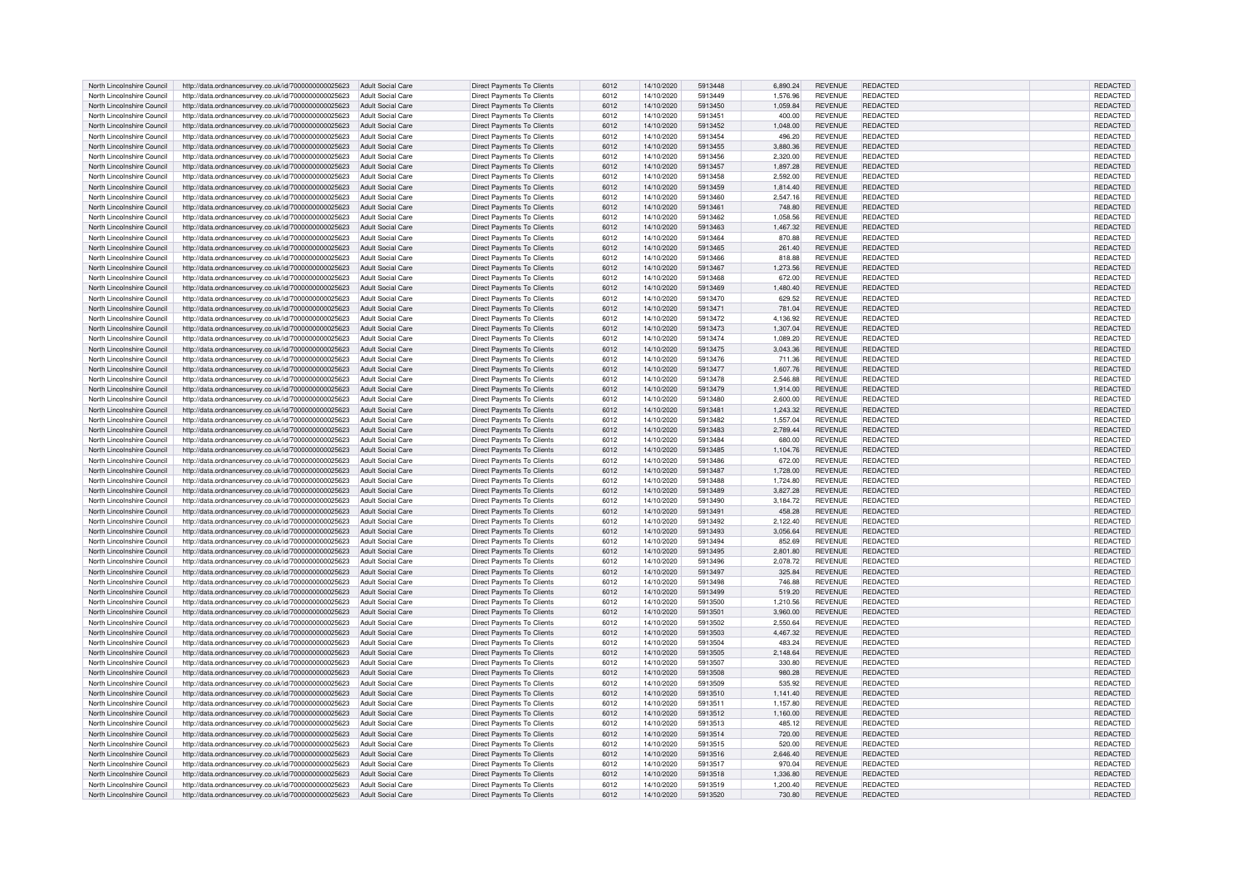| North Lincolnshire Council | http://data.ordnancesurvey.co.uk/id/7000000000025623 | Adult Social Care        | Direct Payments To Clients        | 6012 | 14/10/2020 | 5913448 | 6.890.24 | <b>REVENUE</b> | <b>REDACTED</b> | REDACTED        |  |
|----------------------------|------------------------------------------------------|--------------------------|-----------------------------------|------|------------|---------|----------|----------------|-----------------|-----------------|--|
| North Lincolnshire Council | http://data.ordnancesurvey.co.uk/id/7000000000025623 | <b>Adult Social Care</b> | Direct Payments To Clients        | 6012 | 14/10/2020 | 5913449 | 1,576.96 | <b>REVENUE</b> | REDACTED        | REDACTED        |  |
| North Lincolnshire Council | http://data.ordnancesurvey.co.uk/id/7000000000025623 | <b>Adult Social Care</b> | Direct Payments To Clients        | 6012 | 14/10/2020 | 5913450 | 1,059.84 | <b>REVENUE</b> | REDACTED        | REDACTED        |  |
| North Lincolnshire Council |                                                      | <b>Adult Social Care</b> |                                   | 6012 | 14/10/2020 | 5913451 | 400.00   | <b>REVENUE</b> | REDACTED        |                 |  |
|                            | http://data.ordnancesurvey.co.uk/id/7000000000025623 |                          | Direct Payments To Clients        |      |            |         |          |                |                 | REDACTED        |  |
| North Lincolnshire Council | http://data.ordnancesurvey.co.uk/id/7000000000025623 | <b>Adult Social Care</b> | Direct Payments To Clients        | 6012 | 14/10/2020 | 5913452 | 1.048.00 | <b>REVENUE</b> | REDACTED        | REDACTED        |  |
| North Lincolnshire Council | http://data.ordnancesurvey.co.uk/id/7000000000025623 | <b>Adult Social Care</b> | Direct Payments To Clients        | 6012 | 14/10/2020 | 5913454 | 496.20   | <b>REVENUE</b> | REDACTED        | REDACTED        |  |
| North Lincolnshire Council | http://data.ordnancesurvey.co.uk/id/7000000000025623 | <b>Adult Social Care</b> | Direct Payments To Clients        | 6012 | 14/10/2020 | 5913455 | 3.880.36 | <b>REVENUE</b> | REDACTED        | REDACTED        |  |
| North Lincolnshire Council | http://data.ordnancesurvey.co.uk/id/7000000000025623 | <b>Adult Social Care</b> | Direct Payments To Clients        | 6012 | 14/10/2020 | 5913456 | 2,320.00 | <b>REVENUE</b> | <b>REDACTED</b> | REDACTED        |  |
| North Lincolnshire Council | http://data.ordnancesurvey.co.uk/id/7000000000025623 | <b>Adult Social Care</b> | <b>Direct Payments To Clients</b> | 6012 | 14/10/2020 | 5913457 | 1.897.28 | <b>REVENUE</b> | REDACTED        | REDACTED        |  |
| North Lincolnshire Council | http://data.ordnancesurvey.co.uk/id/7000000000025623 | <b>Adult Social Care</b> | Direct Payments To Clients        | 6012 | 14/10/2020 | 5913458 | 2,592.00 | <b>REVENUE</b> | <b>REDACTED</b> | REDACTED        |  |
| North Lincolnshire Council | http://data.ordnancesurvey.co.uk/id/7000000000025623 | <b>Adult Social Care</b> | <b>Direct Payments To Clients</b> | 6012 | 14/10/2020 | 5913459 | 1,814.40 | <b>REVENUE</b> | REDACTED        | REDACTED        |  |
| North Lincolnshire Council |                                                      | <b>Adult Social Care</b> |                                   | 6012 | 14/10/2020 | 5913460 | 2,547.16 | <b>REVENUE</b> | REDACTED        |                 |  |
|                            | http://data.ordnancesurvey.co.uk/id/7000000000025623 |                          | Direct Payments To Clients        |      |            |         |          |                |                 | REDACTED        |  |
| North Lincolnshire Council | http://data.ordnancesurvey.co.uk/id/7000000000025623 | <b>Adult Social Care</b> | Direct Payments To Clients        | 6012 | 14/10/2020 | 5913461 | 748.80   | <b>REVENUE</b> | REDACTED        | REDACTED        |  |
| North Lincolnshire Council | http://data.ordnancesurvey.co.uk/id/7000000000025623 | <b>Adult Social Care</b> | <b>Direct Payments To Clients</b> | 6012 | 14/10/2020 | 5913462 | 1.058.56 | <b>REVENUE</b> | REDACTED        | REDACTED        |  |
| North Lincolnshire Council | http://data.ordnancesurvey.co.uk/id/7000000000025623 | <b>Adult Social Care</b> | Direct Payments To Clients        | 6012 | 14/10/2020 | 5913463 | 1,467.32 | <b>REVENUE</b> | REDACTED        | REDACTED        |  |
| North Lincolnshire Council | http://data.ordnancesurvey.co.uk/id/7000000000025623 | <b>Adult Social Care</b> | <b>Direct Payments To Clients</b> | 6012 | 14/10/2020 | 5913464 | 870.88   | <b>REVENUE</b> | <b>REDACTED</b> | REDACTED        |  |
| North Lincolnshire Council | http://data.ordnancesurvey.co.uk/id/7000000000025623 | <b>Adult Social Care</b> | Direct Payments To Clients        | 6012 | 14/10/2020 | 5913465 | 261.40   | <b>REVENUE</b> | REDACTED        | REDACTED        |  |
| North Lincolnshire Council | http://data.ordnancesurvey.co.uk/id/7000000000025623 | <b>Adult Social Care</b> | Direct Payments To Clients        | 6012 | 14/10/2020 | 5913466 | 818.88   | <b>REVENUE</b> | <b>REDACTED</b> | REDACTED        |  |
| North Lincolnshire Council | http://data.ordnancesurvey.co.uk/id/7000000000025623 | <b>Adult Social Care</b> | Direct Payments To Clients        | 6012 | 14/10/2020 | 5913467 | 1,273.56 | <b>REVENUE</b> | REDACTED        | REDACTED        |  |
| North Lincolnshire Council | http://data.ordnancesurvey.co.uk/id/7000000000025623 | <b>Adult Social Care</b> | Direct Payments To Clients        | 6012 | 14/10/2020 | 5913468 | 672.00   | <b>REVENUE</b> | REDACTED        | REDACTED        |  |
| North Lincolnshire Council | http://data.ordnancesurvey.co.uk/id/7000000000025623 | Adult Social Care        | Direct Payments To Clients        | 6012 | 14/10/2020 | 5913469 | 1,480.40 | <b>REVENUE</b> | <b>REDACTED</b> | REDACTED        |  |
| North Lincolnshire Council |                                                      | <b>Adult Social Care</b> | Direct Payments To Clients        | 6012 | 14/10/2020 | 5913470 | 629.52   | <b>REVENUE</b> | REDACTED        | REDACTED        |  |
|                            | http://data.ordnancesurvey.co.uk/id/7000000000025623 |                          |                                   |      |            |         |          |                |                 |                 |  |
| North Lincolnshire Council | http://data.ordnancesurvey.co.uk/id/7000000000025623 | <b>Adult Social Care</b> | Direct Payments To Clients        | 6012 | 14/10/2020 | 5913471 | 781.04   | <b>REVENUE</b> | <b>REDACTED</b> | REDACTED        |  |
| North Lincolnshire Council | http://data.ordnancesurvey.co.uk/id/7000000000025623 | <b>Adult Social Care</b> | Direct Payments To Clients        | 6012 | 14/10/2020 | 5913472 | 4,136.92 | <b>REVENUE</b> | <b>REDACTED</b> | REDACTED        |  |
| North Lincolnshire Council | http://data.ordnancesurvey.co.uk/id/7000000000025623 | <b>Adult Social Care</b> | Direct Payments To Clients        | 6012 | 14/10/2020 | 5913473 | 1,307.04 | <b>REVENUE</b> | <b>REDACTED</b> | REDACTED        |  |
| North Lincolnshire Council | http://data.ordnancesurvey.co.uk/id/7000000000025623 | <b>Adult Social Care</b> | Direct Payments To Clients        | 6012 | 14/10/2020 | 5913474 | 1,089.20 | <b>REVENUE</b> | REDACTED        | REDACTED        |  |
| North Lincolnshire Council | http://data.ordnancesurvey.co.uk/id/7000000000025623 | <b>Adult Social Care</b> | <b>Direct Payments To Clients</b> | 6012 | 14/10/2020 | 5913475 | 3,043.36 | <b>REVENUE</b> | <b>REDACTED</b> | REDACTED        |  |
| North Lincolnshire Council | http://data.ordnancesurvey.co.uk/id/7000000000025623 | <b>Adult Social Care</b> | <b>Direct Payments To Clients</b> | 6012 | 14/10/2020 | 5913476 | 711.36   | <b>REVENUE</b> | REDACTED        | REDACTED        |  |
| North Lincolnshire Council | http://data.ordnancesurvey.co.uk/id/7000000000025623 | <b>Adult Social Care</b> | <b>Direct Payments To Clients</b> | 6012 | 14/10/2020 | 5913477 | 1,607.76 | <b>REVENUE</b> | REDACTED        | REDACTED        |  |
| North Lincolnshire Council | http://data.ordnancesurvey.co.uk/id/7000000000025623 | <b>Adult Social Care</b> | Direct Payments To Clients        | 6012 | 14/10/2020 | 5913478 | 2,546.88 | <b>REVENUE</b> | <b>REDACTED</b> | REDACTED        |  |
| North Lincolnshire Council | http://data.ordnancesurvey.co.uk/id/7000000000025623 | Adult Social Care        | Direct Payments To Clients        | 6012 | 14/10/2020 | 5913479 | 1,914.00 | <b>REVENUE</b> | REDACTED        | REDACTED        |  |
| North Lincolnshire Council | http://data.ordnancesurvey.co.uk/id/7000000000025623 | <b>Adult Social Care</b> | Direct Payments To Clients        | 6012 | 14/10/2020 | 5913480 | 2,600.00 | <b>REVENUE</b> | <b>REDACTED</b> | REDACTED        |  |
| North Lincolnshire Council | http://data.ordnancesurvey.co.uk/id/7000000000025623 | <b>Adult Social Care</b> | Direct Payments To Clients        | 6012 | 14/10/2020 | 5913481 | 1,243.32 | <b>REVENUE</b> | REDACTED        | REDACTED        |  |
| North Lincolnshire Council | http://data.ordnancesurvey.co.uk/id/7000000000025623 | <b>Adult Social Care</b> | Direct Payments To Clients        | 6012 | 14/10/2020 | 5913482 | 1,557.04 | <b>REVENUE</b> | REDACTED        | REDACTED        |  |
| North Lincolnshire Council | http://data.ordnancesurvey.co.uk/id/7000000000025623 | <b>Adult Social Care</b> | Direct Payments To Clients        | 6012 | 14/10/2020 | 5913483 | 2,789.44 | <b>REVENUE</b> | REDACTED        | <b>REDACTED</b> |  |
|                            |                                                      |                          |                                   |      |            |         |          |                |                 |                 |  |
| North Lincolnshire Council | http://data.ordnancesurvey.co.uk/id/7000000000025623 | <b>Adult Social Care</b> | <b>Direct Payments To Clients</b> | 6012 | 14/10/2020 | 5913484 | 680.00   | <b>REVENUE</b> | REDACTED        | REDACTED        |  |
| North Lincolnshire Council | http://data.ordnancesurvey.co.uk/id/7000000000025623 | <b>Adult Social Care</b> | <b>Direct Payments To Clients</b> | 6012 | 14/10/2020 | 5913485 | 1,104.76 | <b>REVENUE</b> | <b>REDACTED</b> | REDACTED        |  |
| North Lincolnshire Council | http://data.ordnancesurvey.co.uk/id/7000000000025623 | <b>Adult Social Care</b> | Direct Payments To Clients        | 6012 | 14/10/2020 | 5913486 | 672.00   | <b>REVENUE</b> | <b>REDACTED</b> | REDACTED        |  |
| North Lincolnshire Council | http://data.ordnancesurvey.co.uk/id/7000000000025623 | <b>Adult Social Care</b> | <b>Direct Payments To Clients</b> | 6012 | 14/10/2020 | 5913487 | 1,728.00 | <b>REVENUE</b> | REDACTED        | REDACTED        |  |
| North Lincolnshire Council | http://data.ordnancesurvey.co.uk/id/7000000000025623 | <b>Adult Social Care</b> | Direct Payments To Clients        | 6012 | 14/10/2020 | 5913488 | 1,724.80 | <b>REVENUE</b> | REDACTED        | REDACTED        |  |
| North Lincolnshire Council | http://data.ordnancesurvey.co.uk/id/7000000000025623 | <b>Adult Social Care</b> | <b>Direct Payments To Clients</b> | 6012 | 14/10/2020 | 5913489 | 3,827.28 | <b>REVENUE</b> | REDACTED        | REDACTED        |  |
| North Lincolnshire Council | http://data.ordnancesurvey.co.uk/id/7000000000025623 | <b>Adult Social Care</b> | Direct Payments To Clients        | 6012 | 14/10/2020 | 5913490 | 3,184.72 | <b>REVENUE</b> | REDACTED        | REDACTED        |  |
| North Lincolnshire Council | http://data.ordnancesurvey.co.uk/id/7000000000025623 | <b>Adult Social Care</b> | Direct Payments To Clients        | 6012 | 14/10/2020 | 5913491 | 458.28   | <b>REVENUE</b> | REDACTED        | REDACTED        |  |
| North Lincolnshire Council | http://data.ordnancesurvey.co.uk/id/7000000000025623 | <b>Adult Social Care</b> | Direct Payments To Clients        | 6012 | 14/10/2020 | 5913492 | 2,122.40 | <b>REVENUE</b> | REDACTED        | REDACTED        |  |
| North Lincolnshire Council | http://data.ordnancesurvey.co.uk/id/7000000000025623 | <b>Adult Social Care</b> | Direct Payments To Clients        | 6012 | 14/10/2020 | 5913493 | 3,056.64 | <b>REVENUE</b> | REDACTED        | REDACTED        |  |
| North Lincolnshire Council | http://data.ordnancesurvey.co.uk/id/7000000000025623 | <b>Adult Social Care</b> | <b>Direct Payments To Clients</b> | 6012 | 14/10/2020 | 5913494 | 852.69   | <b>REVENUE</b> | REDACTED        | REDACTED        |  |
| North Lincolnshire Council | http://data.ordnancesurvey.co.uk/id/7000000000025623 | <b>Adult Social Care</b> | Direct Payments To Clients        | 6012 | 14/10/2020 | 5913495 | 2.801.80 | <b>REVENUE</b> | <b>REDACTED</b> | REDACTED        |  |
| North Lincolnshire Council |                                                      | <b>Adult Social Care</b> |                                   | 6012 | 14/10/2020 | 5913496 |          | <b>REVENUE</b> | REDACTED        | REDACTED        |  |
|                            | http://data.ordnancesurvey.co.uk/id/7000000000025623 |                          | <b>Direct Payments To Clients</b> |      |            |         | 2,078.72 |                |                 |                 |  |
| North Lincolnshire Council | http://data.ordnancesurvey.co.uk/id/7000000000025623 | <b>Adult Social Care</b> | Direct Payments To Clients        | 6012 | 14/10/2020 | 5913497 | 325.84   | <b>REVENUE</b> | REDACTED        | REDACTED        |  |
| North Lincolnshire Council | http://data.ordnancesurvey.co.uk/id/7000000000025623 | <b>Adult Social Care</b> | Direct Payments To Clients        | 6012 | 14/10/2020 | 5913498 | 746.88   | <b>REVENUE</b> | REDACTED        | REDACTED        |  |
| North Lincolnshire Council | http://data.ordnancesurvey.co.uk/id/7000000000025623 | <b>Adult Social Care</b> | <b>Direct Payments To Clients</b> | 6012 | 14/10/2020 | 5913499 | 519.20   | <b>REVENUE</b> | REDACTED        | REDACTED        |  |
| North Lincolnshire Council | http://data.ordnancesurvey.co.uk/id/7000000000025623 | <b>Adult Social Care</b> | Direct Payments To Clients        | 6012 | 14/10/2020 | 5913500 | 1,210.56 | <b>REVENUE</b> | <b>REDACTED</b> | REDACTED        |  |
| North Lincolnshire Council | http://data.ordnancesurvey.co.uk/id/7000000000025623 | Adult Social Care        | <b>Direct Payments To Clients</b> | 6012 | 14/10/2020 | 5913501 | 3,960.00 | <b>REVENUE</b> | REDACTED        | REDACTED        |  |
| North Lincolnshire Council | http://data.ordnancesurvey.co.uk/id/7000000000025623 | Adult Social Care        | Direct Payments To Clients        | 6012 | 14/10/2020 | 5913502 | 2,550.64 | <b>REVENUE</b> | REDACTED        | REDACTED        |  |
| North Lincolnshire Council | http://data.ordnancesurvey.co.uk/id/7000000000025623 | <b>Adult Social Care</b> | Direct Payments To Clients        | 6012 | 14/10/2020 | 5913503 | 4,467.32 | <b>REVENUE</b> | REDACTED        | REDACTED        |  |
| North Lincolnshire Council | http://data.ordnancesurvey.co.uk/id/7000000000025623 | <b>Adult Social Care</b> | <b>Direct Payments To Clients</b> | 6012 | 14/10/2020 | 5913504 | 483.24   | <b>REVENUE</b> | REDACTED        | REDACTED        |  |
| North Lincolnshire Council | http://data.ordnancesurvey.co.uk/id/7000000000025623 | <b>Adult Social Care</b> | Direct Payments To Clients        | 6012 | 14/10/2020 | 5913505 | 2,148.64 | <b>REVENUE</b> | <b>REDACTED</b> | REDACTED        |  |
| North Lincolnshire Council | http://data.ordnancesurvey.co.uk/id/7000000000025623 | <b>Adult Social Care</b> | <b>Direct Payments To Clients</b> | 6012 | 14/10/2020 | 5913507 | 330.80   | <b>REVENUE</b> | REDACTED        | REDACTED        |  |
| North Lincolnshire Council | http://data.ordnancesurvey.co.uk/id/7000000000025623 | <b>Adult Social Care</b> | Direct Payments To Clients        | 6012 | 14/10/2020 | 5913508 | 980.28   | <b>REVENUE</b> | <b>REDACTED</b> | REDACTED        |  |
| North Lincolnshire Council | http://data.ordnancesurvey.co.uk/id/7000000000025623 | <b>Adult Social Care</b> | Direct Payments To Clients        | 6012 | 14/10/2020 | 5913509 | 535.92   | <b>REVENUE</b> | <b>REDACTED</b> | REDACTED        |  |
| North Lincolnshire Council | http://data.ordnancesurvey.co.uk/id/7000000000025623 | <b>Adult Social Care</b> | <b>Direct Payments To Clients</b> | 6012 | 14/10/2020 | 5913510 | 1.141.40 | <b>REVENUE</b> | REDACTED        | REDACTED        |  |
| North Lincolnshire Council | http://data.ordnancesurvey.co.uk/id/7000000000025623 | <b>Adult Social Care</b> | Direct Payments To Clients        | 6012 | 14/10/2020 | 5913511 | 1,157.80 | <b>REVENUE</b> | REDACTED        | REDACTED        |  |
| North Lincolnshire Council | http://data.ordnancesurvey.co.uk/id/7000000000025623 | Adult Social Care        | <b>Direct Payments To Clients</b> | 6012 | 14/10/2020 | 5913512 | 1.160.00 | <b>REVENUE</b> | REDACTED        | REDACTED        |  |
|                            |                                                      |                          |                                   |      |            |         |          |                |                 |                 |  |
| North Lincolnshire Council | http://data.ordnancesurvey.co.uk/id/7000000000025623 | <b>Adult Social Care</b> | Direct Payments To Clients        | 6012 | 14/10/2020 | 5913513 | 485.12   | <b>REVENUE</b> | REDACTED        | REDACTED        |  |
| North Lincolnshire Council | http://data.ordnancesurvey.co.uk/id/7000000000025623 | <b>Adult Social Care</b> | Direct Payments To Clients        | 6012 | 14/10/2020 | 5913514 | 720.00   | <b>REVENUE</b> | <b>REDACTED</b> | REDACTED        |  |
| North Lincolnshire Council | http://data.ordnancesurvey.co.uk/id/7000000000025623 | <b>Adult Social Care</b> | Direct Payments To Clients        | 6012 | 14/10/2020 | 5913515 | 520.00   | <b>REVENUE</b> | REDACTED        | REDACTED        |  |
| North Lincolnshire Council | http://data.ordnancesurvey.co.uk/id/7000000000025623 | <b>Adult Social Care</b> | <b>Direct Payments To Clients</b> | 6012 | 14/10/2020 | 5913516 | 2,646.40 | <b>REVENUE</b> | <b>REDACTED</b> | REDACTED        |  |
| North Lincolnshire Council | http://data.ordnancesurvey.co.uk/id/7000000000025623 | <b>Adult Social Care</b> | Direct Payments To Clients        | 6012 | 14/10/2020 | 5913517 | 970.04   | <b>REVENUE</b> | REDACTED        | REDACTED        |  |
| North Lincolnshire Council | http://data.ordnancesurvey.co.uk/id/7000000000025623 | <b>Adult Social Care</b> | <b>Direct Payments To Clients</b> | 6012 | 14/10/2020 | 5913518 | 1,336.80 | <b>REVENUE</b> | REDACTED        | REDACTED        |  |
| North Lincolnshire Council | http://data.ordnancesurvey.co.uk/id/7000000000025623 | Adult Social Care        | Direct Payments To Clients        | 6012 | 14/10/2020 | 5913519 | 1,200.40 | <b>REVENUE</b> | <b>REDACTED</b> | REDACTED        |  |
| North Lincolnshire Council | http://data.ordnancesurvey.co.uk/id/7000000000025623 | Adult Social Care        | Direct Payments To Clients        | 6012 | 14/10/2020 | 5913520 | 730.80   | <b>REVENUE</b> | REDACTED        | REDACTED        |  |
|                            |                                                      |                          |                                   |      |            |         |          |                |                 |                 |  |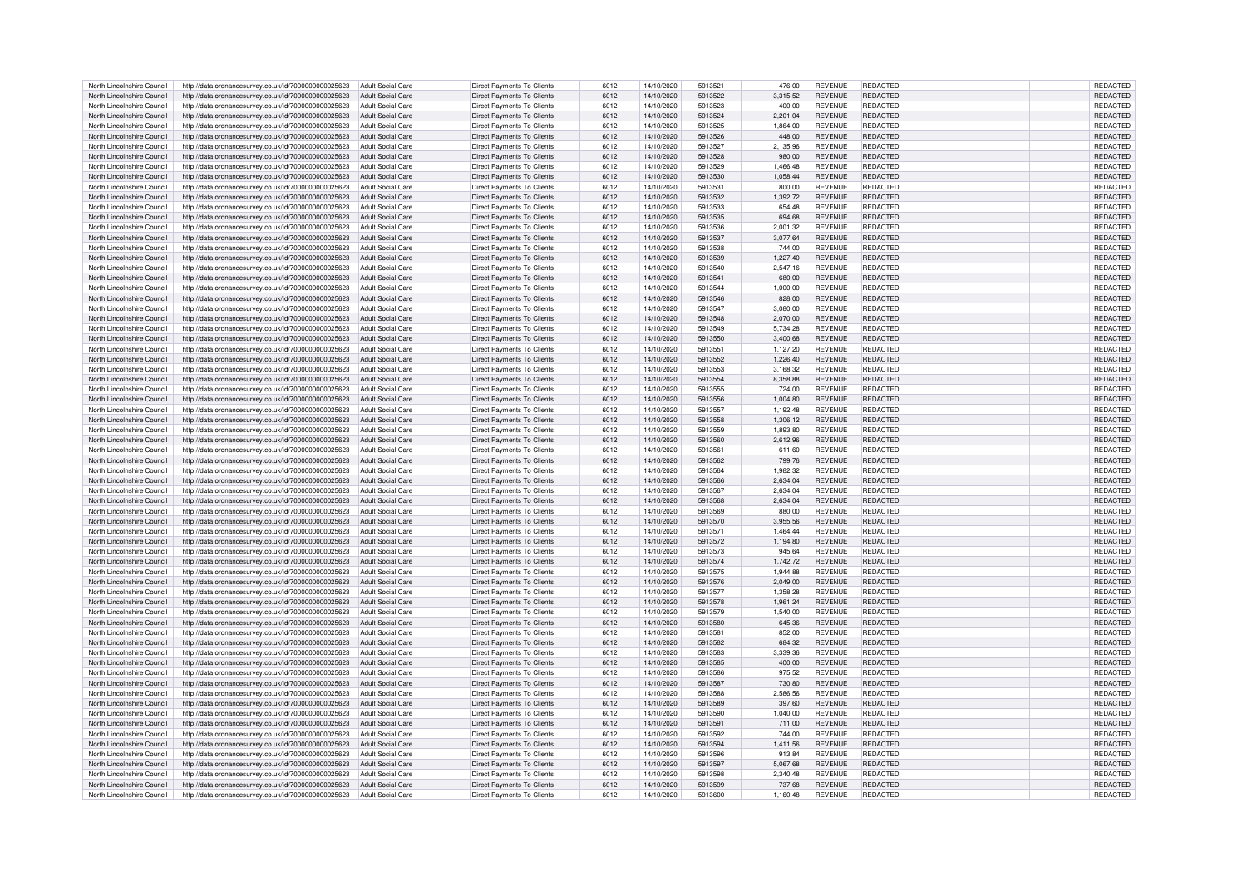| North Lincolnshire Council                               | http://data.ordnancesurvey.co.uk/id/7000000000025623                                                         | Adult Social Care                                    | Direct Payments To Clients                                      | 6012         | 14/10/2020               | 5913521 | 476.00             | <b>REVENUE</b>                   | <b>REDACTED</b> | REDACTED             |
|----------------------------------------------------------|--------------------------------------------------------------------------------------------------------------|------------------------------------------------------|-----------------------------------------------------------------|--------------|--------------------------|---------|--------------------|----------------------------------|-----------------|----------------------|
| North Lincolnshire Council                               | http://data.ordnancesurvey.co.uk/id/7000000000025623                                                         | <b>Adult Social Care</b>                             | <b>Direct Payments To Clients</b>                               | 6012         | 14/10/2020               | 5913522 | 3,315.52           | <b>REVENUE</b>                   | REDACTED        | REDACTED             |
| North Lincolnshire Council                               | http://data.ordnancesurvey.co.uk/id/7000000000025623                                                         | <b>Adult Social Care</b>                             | Direct Payments To Clients                                      | 6012         | 14/10/2020               | 5913523 | 400.00             | <b>REVENUE</b>                   | <b>REDACTED</b> | REDACTED             |
| North Lincolnshire Council                               | http://data.ordnancesurvey.co.uk/id/7000000000025623                                                         | <b>Adult Social Care</b>                             | <b>Direct Payments To Clients</b>                               | 6012         | 14/10/2020               | 5913524 | 2.201.04           | <b>REVENUE</b>                   | REDACTED        | REDACTED             |
| North Lincolnshire Council                               | http://data.ordnancesurvey.co.uk/id/7000000000025623                                                         | <b>Adult Social Care</b>                             | Direct Payments To Clients                                      | 6012         | 14/10/2020               | 5913525 | 1,864.00           | <b>REVENUE</b>                   | <b>REDACTED</b> | REDACTED             |
| North Lincolnshire Council                               | http://data.ordnancesurvey.co.uk/id/7000000000025623                                                         | <b>Adult Social Care</b>                             | Direct Payments To Clients                                      | 6012         | 14/10/2020               | 5913526 | 448.00             | <b>REVENUE</b>                   | <b>REDACTED</b> | REDACTED             |
| North Lincolnshire Council                               | http://data.ordnancesurvey.co.uk/id/7000000000025623                                                         | <b>Adult Social Care</b>                             | Direct Payments To Clients                                      | 6012         | 14/10/2020               | 5913527 | 2.135.96           | <b>REVENUE</b>                   | REDACTED        | REDACTED             |
|                                                          |                                                                                                              |                                                      |                                                                 |              |                          | 5913528 |                    |                                  | <b>REDACTED</b> |                      |
| North Lincolnshire Council<br>North Lincolnshire Council | http://data.ordnancesurvey.co.uk/id/7000000000025623<br>http://data.ordnancesurvey.co.uk/id/7000000000025623 | <b>Adult Social Care</b><br><b>Adult Social Care</b> | Direct Payments To Clients<br><b>Direct Payments To Clients</b> | 6012<br>6012 | 14/10/2020<br>14/10/2020 | 5913529 | 980.00<br>1.466.48 | <b>REVENUE</b><br><b>REVENUE</b> | REDACTED        | REDACTED<br>REDACTED |
|                                                          |                                                                                                              |                                                      |                                                                 |              |                          |         |                    |                                  |                 |                      |
| North Lincolnshire Council                               | http://data.ordnancesurvey.co.uk/id/7000000000025623                                                         | <b>Adult Social Care</b>                             | Direct Payments To Clients                                      | 6012         | 14/10/2020               | 5913530 | 1,058.44           | <b>REVENUE</b>                   | <b>REDACTED</b> | REDACTED             |
| North Lincolnshire Council                               | http://data.ordnancesurvey.co.uk/id/7000000000025623                                                         | <b>Adult Social Care</b>                             | Direct Payments To Clients                                      | 6012         | 14/10/2020               | 5913531 | 800.00             | <b>REVENUE</b>                   | <b>REDACTED</b> | REDACTED             |
| North Lincolnshire Council                               | http://data.ordnancesurvey.co.uk/id/7000000000025623                                                         | <b>Adult Social Care</b>                             | Direct Payments To Clients                                      | 6012         | 14/10/2020               | 5913532 | 1,392.72           | <b>REVENUE</b>                   | REDACTED        | REDACTED             |
| North Lincolnshire Council                               | http://data.ordnancesurvey.co.uk/id/7000000000025623                                                         | <b>Adult Social Care</b>                             | Direct Payments To Clients                                      | 6012         | 14/10/2020               | 5913533 | 654.48             | <b>REVENUE</b>                   | <b>REDACTED</b> | REDACTED             |
| North Lincolnshire Council                               | http://data.ordnancesurvey.co.uk/id/7000000000025623                                                         | Adult Social Care                                    | <b>Direct Payments To Clients</b>                               | 6012         | 14/10/2020               | 5913535 | 694.68             | <b>REVENUE</b>                   | REDACTED        | REDACTED             |
| North Lincolnshire Council                               | http://data.ordnancesurvey.co.uk/id/7000000000025623                                                         | <b>Adult Social Care</b>                             | Direct Payments To Clients                                      | 6012         | 14/10/2020               | 5913536 | 2,001.32           | <b>REVENUE</b>                   | REDACTED        | REDACTED             |
| North Lincolnshire Council                               | http://data.ordnancesurvey.co.uk/id/7000000000025623                                                         | <b>Adult Social Care</b>                             | <b>Direct Payments To Clients</b>                               | 6012         | 14/10/2020               | 5913537 | 3,077.64           | <b>REVENUE</b>                   | <b>REDACTED</b> | REDACTED             |
| North Lincolnshire Council                               | http://data.ordnancesurvey.co.uk/id/7000000000025623                                                         | <b>Adult Social Care</b>                             | Direct Payments To Clients                                      | 6012         | 14/10/2020               | 5913538 | 744.00             | <b>REVENUE</b>                   | REDACTED        | REDACTED             |
| North Lincolnshire Council                               | http://data.ordnancesurvey.co.uk/id/7000000000025623                                                         | <b>Adult Social Care</b>                             | <b>Direct Payments To Clients</b>                               | 6012         | 14/10/2020               | 5913539 | 1,227.40           | <b>REVENUE</b>                   | <b>REDACTED</b> | REDACTED             |
| North Lincolnshire Council                               | http://data.ordnancesurvey.co.uk/id/7000000000025623                                                         | <b>Adult Social Care</b>                             | Direct Payments To Clients                                      | 6012         | 14/10/2020               | 5913540 | 2,547.16           | <b>REVENUE</b>                   | REDACTED        | REDACTED             |
| North Lincolnshire Council                               | http://data.ordnancesurvey.co.uk/id/7000000000025623                                                         | <b>Adult Social Care</b>                             | Direct Payments To Clients                                      | 6012         | 14/10/2020               | 5913541 | 680.00             | <b>REVENUE</b>                   | REDACTED        | REDACTED             |
| North Lincolnshire Council                               | http://data.ordnancesurvey.co.uk/id/7000000000025623                                                         | <b>Adult Social Care</b>                             | Direct Payments To Clients                                      | 6012         | 14/10/2020               | 5913544 | 1,000.00           | <b>REVENUE</b>                   | <b>REDACTED</b> | REDACTED             |
| North Lincolnshire Council                               | http://data.ordnancesurvey.co.uk/id/7000000000025623                                                         | <b>Adult Social Care</b>                             | <b>Direct Payments To Clients</b>                               | 6012         | 14/10/2020               | 5913546 | 828.00             | <b>REVENUE</b>                   | REDACTED        | REDACTED             |
| North Lincolnshire Council                               | http://data.ordnancesurvey.co.uk/id/7000000000025623                                                         | <b>Adult Social Care</b>                             | Direct Payments To Clients                                      | 6012         | 14/10/2020               | 5913547 | 3,080.00           | <b>REVENUE</b>                   | <b>REDACTED</b> | REDACTED             |
| North Lincolnshire Council                               |                                                                                                              |                                                      |                                                                 | 6012         |                          |         |                    |                                  | REDACTED        | REDACTED             |
|                                                          | http://data.ordnancesurvey.co.uk/id/7000000000025623                                                         | <b>Adult Social Care</b>                             | Direct Payments To Clients                                      |              | 14/10/2020               | 5913548 | 2,070.00           | <b>REVENUE</b>                   |                 |                      |
| North Lincolnshire Council                               | http://data.ordnancesurvey.co.uk/id/7000000000025623                                                         | <b>Adult Social Care</b>                             | Direct Payments To Clients                                      | 6012         | 14/10/2020               | 5913549 | 5,734.28           | <b>REVENUE</b>                   | REDACTED        | REDACTED             |
| North Lincolnshire Council                               | http://data.ordnancesurvey.co.uk/id/7000000000025623                                                         | <b>Adult Social Care</b>                             | Direct Payments To Clients                                      | 6012         | 14/10/2020               | 5913550 | 3,400.68           | <b>REVENUE</b>                   | <b>REDACTED</b> | REDACTED             |
| North Lincolnshire Council                               | http://data.ordnancesurvey.co.uk/id/7000000000025623                                                         | <b>Adult Social Care</b>                             | <b>Direct Payments To Clients</b>                               | 6012         | 14/10/2020               | 5913551 | 1,127.20           | <b>REVENUE</b>                   | REDACTED        | REDACTED             |
| North Lincolnshire Council                               | http://data.ordnancesurvey.co.uk/id/7000000000025623                                                         | <b>Adult Social Care</b>                             | <b>Direct Payments To Clients</b>                               | 6012         | 14/10/2020               | 5913552 | 1.226.40           | <b>REVENUE</b>                   | REDACTED        | REDACTED             |
| North Lincolnshire Council                               | http://data.ordnancesurvey.co.uk/id/7000000000025623                                                         | <b>Adult Social Care</b>                             | Direct Payments To Clients                                      | 6012         | 14/10/2020               | 5913553 | 3.168.32           | <b>REVENUE</b>                   | REDACTED        | REDACTED             |
| North Lincolnshire Council                               | http://data.ordnancesurvey.co.uk/id/7000000000025623                                                         | <b>Adult Social Care</b>                             | <b>Direct Payments To Clients</b>                               | 6012         | 14/10/2020               | 5913554 | 8,358.88           | <b>REVENUE</b>                   | REDACTED        | REDACTED             |
| North Lincolnshire Council                               | http://data.ordnancesurvey.co.uk/id/7000000000025623                                                         | Adult Social Care                                    | Direct Payments To Clients                                      | 6012         | 14/10/2020               | 5913555 | 724.00             | <b>REVENUE</b>                   | REDACTED        | REDACTED             |
| North Lincolnshire Council                               | http://data.ordnancesurvey.co.uk/id/7000000000025623                                                         | <b>Adult Social Care</b>                             | <b>Direct Payments To Clients</b>                               | 6012         | 14/10/2020               | 5913556 | 1,004.80           | <b>REVENUE</b>                   | REDACTED        | REDACTED             |
| North Lincolnshire Council                               | http://data.ordnancesurvey.co.uk/id/7000000000025623                                                         | <b>Adult Social Care</b>                             | Direct Payments To Clients                                      | 6012         | 14/10/2020               | 5913557 | 1,192.48           | <b>REVENUE</b>                   | REDACTED        | REDACTED             |
| North Lincolnshire Council                               | http://data.ordnancesurvey.co.uk/id/7000000000025623                                                         | <b>Adult Social Care</b>                             | Direct Payments To Clients                                      | 6012         | 14/10/2020               | 5913558 | 1,306.12           | <b>REVENUE</b>                   | REDACTED        | REDACTED             |
| North Lincolnshire Council                               | http://data.ordnancesurvey.co.uk/id/7000000000025623                                                         | <b>Adult Social Care</b>                             | Direct Payments To Clients                                      | 6012         | 14/10/2020               | 5913559 | 1,893.80           | <b>REVENUE</b>                   | REDACTED        | REDACTED             |
| North Lincolnshire Council                               | http://data.ordnancesurvey.co.uk/id/7000000000025623                                                         | <b>Adult Social Care</b>                             | Direct Payments To Clients                                      | 6012         | 14/10/2020               | 5913560 | 2,612.96           | <b>REVENUE</b>                   | REDACTED        | REDACTED             |
| North Lincolnshire Council                               | http://data.ordnancesurvey.co.uk/id/7000000000025623                                                         | <b>Adult Social Care</b>                             | Direct Payments To Clients                                      | 6012         | 14/10/2020               | 591356  | 611.60             | <b>REVENUE</b>                   | <b>REDACTED</b> | REDACTED             |
| North Lincolnshire Council                               | http://data.ordnancesurvey.co.uk/id/7000000000025623                                                         | <b>Adult Social Care</b>                             | Direct Payments To Clients                                      | 6012         | 14/10/2020               | 5913562 | 799.76             | <b>REVENUE</b>                   | REDACTED        | REDACTED             |
| North Lincolnshire Council                               | http://data.ordnancesurvey.co.uk/id/7000000000025623                                                         | <b>Adult Social Care</b>                             | <b>Direct Payments To Clients</b>                               | 6012         | 14/10/2020               | 5913564 | 1,982.32           | <b>REVENUE</b>                   | REDACTED        | REDACTED             |
|                                                          |                                                                                                              |                                                      |                                                                 |              |                          |         |                    |                                  |                 |                      |
| North Lincolnshire Council                               | http://data.ordnancesurvey.co.uk/id/7000000000025623                                                         | <b>Adult Social Care</b>                             | Direct Payments To Clients                                      | 6012         | 14/10/2020               | 5913566 | 2,634.04           | <b>REVENUE</b>                   | REDACTED        | REDACTED             |
| North Lincolnshire Council                               | http://data.ordnancesurvey.co.uk/id/7000000000025623                                                         | <b>Adult Social Care</b>                             | <b>Direct Payments To Clients</b>                               | 6012         | 14/10/2020               | 5913567 | 2,634.04           | <b>REVENUE</b>                   | REDACTED        | REDACTED             |
| North Lincolnshire Council                               | http://data.ordnancesurvey.co.uk/id/7000000000025623                                                         | <b>Adult Social Care</b>                             | Direct Payments To Clients                                      | 6012         | 14/10/2020               | 5913568 | 2,634.04           | <b>REVENUE</b>                   | <b>REDACTED</b> | REDACTED             |
| North Lincolnshire Council                               | http://data.ordnancesurvey.co.uk/id/7000000000025623                                                         | <b>Adult Social Care</b>                             | Direct Payments To Clients                                      | 6012         | 14/10/2020               | 5913569 | 880.00             | <b>REVENUE</b>                   | REDACTED        | REDACTED             |
| North Lincolnshire Council                               | http://data.ordnancesurvey.co.uk/id/7000000000025623                                                         | <b>Adult Social Care</b>                             | Direct Payments To Clients                                      | 6012         | 14/10/2020               | 5913570 | 3,955.56           | <b>REVENUE</b>                   | REDACTED        | REDACTED             |
| North Lincolnshire Council                               | http://data.ordnancesurvey.co.uk/id/7000000000025623                                                         | <b>Adult Social Care</b>                             | Direct Payments To Clients                                      | 6012         | 14/10/2020               | 591357  | 1,464.44           | <b>REVENUE</b>                   | REDACTED        | REDACTED             |
| North Lincolnshire Council                               | http://data.ordnancesurvey.co.uk/id/7000000000025623                                                         | <b>Adult Social Care</b>                             | <b>Direct Payments To Clients</b>                               | 6012         | 14/10/2020               | 5913572 | 1,194.80           | <b>REVENUE</b>                   | <b>REDACTED</b> | REDACTED             |
| North Lincolnshire Council                               | http://data.ordnancesurvey.co.uk/id/7000000000025623                                                         | <b>Adult Social Care</b>                             | Direct Payments To Clients                                      | 6012         | 14/10/2020               | 5913573 | 945.64             | <b>REVENUE</b>                   | <b>REDACTED</b> | REDACTED             |
| North Lincolnshire Council                               | http://data.ordnancesurvey.co.uk/id/7000000000025623                                                         | <b>Adult Social Care</b>                             | <b>Direct Payments To Clients</b>                               | 6012         | 14/10/2020               | 5913574 | 1,742.72           | <b>REVENUE</b>                   | REDACTED        | REDACTED             |
| North Lincolnshire Council                               | http://data.ordnancesurvey.co.uk/id/7000000000025623                                                         | <b>Adult Social Care</b>                             | Direct Payments To Clients                                      | 6012         | 14/10/2020               | 5913575 | 1.944.88           | <b>REVENUE</b>                   | <b>REDACTED</b> | REDACTED             |
| North Lincolnshire Council                               | http://data.ordnancesurvey.co.uk/id/7000000000025623                                                         | <b>Adult Social Care</b>                             | Direct Payments To Clients                                      | 6012         | 14/10/2020               | 5913576 | 2,049.00           | <b>REVENUE</b>                   | REDACTED        | REDACTED             |
| North Lincolnshire Council                               | http://data.ordnancesurvey.co.uk/id/7000000000025623                                                         | Adult Social Care                                    | <b>Direct Payments To Clients</b>                               | 6012         | 14/10/2020               | 5913577 | 1,358.28           | <b>REVENUE</b>                   | REDACTED        | REDACTED             |
| North Lincolnshire Council                               | http://data.ordnancesurvey.co.uk/id/7000000000025623                                                         | <b>Adult Social Care</b>                             | Direct Payments To Clients                                      | 6012         | 14/10/2020               | 5913578 | 1,961.24           | <b>REVENUE</b>                   | REDACTED        | REDACTED             |
| North Lincolnshire Council                               | http://data.ordnancesurvey.co.uk/id/7000000000025623                                                         | <b>Adult Social Care</b>                             | <b>Direct Payments To Clients</b>                               | 6012         | 14/10/2020               | 5913579 | 1,540.00           | <b>REVENUE</b>                   | REDACTED        | REDACTED             |
| North Lincolnshire Council                               | http://data.ordnancesurvey.co.uk/id/7000000000025623                                                         | Adult Social Care                                    | Direct Payments To Clients                                      | 6012         | 14/10/2020               | 5913580 | 645.36             | <b>REVENUE</b>                   | REDACTED        | REDACTED             |
| North Lincolnshire Council                               | http://data.ordnancesurvey.co.uk/id/7000000000025623                                                         | <b>Adult Social Care</b>                             | Direct Payments To Clients                                      | 6012         | 14/10/2020               | 5913581 | 852.00             | <b>REVENUE</b>                   | REDACTED        | REDACTED             |
| North Lincolnshire Council                               | http://data.ordnancesurvey.co.uk/id/7000000000025623                                                         | <b>Adult Social Care</b>                             | <b>Direct Payments To Clients</b>                               | 6012         | 14/10/2020               | 5913582 | 684.32             | <b>REVENUE</b>                   | <b>REDACTED</b> | REDACTED             |
| North Lincolnshire Council                               | http://data.ordnancesurvey.co.uk/id/7000000000025623                                                         | <b>Adult Social Care</b>                             | <b>Direct Payments To Clients</b>                               | 6012         | 14/10/2020               | 5913583 | 3,339.36           | <b>REVENUE</b>                   | <b>REDACTED</b> | REDACTED             |
| North Lincolnshire Council                               | http://data.ordnancesurvey.co.uk/id/7000000000025623                                                         | <b>Adult Social Care</b>                             | <b>Direct Payments To Clients</b>                               | 6012         | 14/10/2020               | 5913585 | 400.00             | <b>REVENUE</b>                   | REDACTED        | REDACTED             |
| North Lincolnshire Council                               |                                                                                                              | <b>Adult Social Care</b>                             | <b>Direct Payments To Clients</b>                               | 6012         | 14/10/2020               | 5913586 | 975.52             | <b>REVENUE</b>                   | <b>REDACTED</b> | REDACTED             |
|                                                          | http://data.ordnancesurvey.co.uk/id/7000000000025623                                                         |                                                      |                                                                 |              |                          | 5913587 |                    |                                  | <b>REDACTED</b> |                      |
| North Lincolnshire Council                               | http://data.ordnancesurvey.co.uk/id/7000000000025623                                                         | <b>Adult Social Care</b>                             | Direct Payments To Clients                                      | 6012         | 14/10/2020               |         | 730.80             | <b>REVENUE</b>                   |                 | REDACTED             |
| North Lincolnshire Council                               | http://data.ordnancesurvey.co.uk/id/7000000000025623                                                         | <b>Adult Social Care</b>                             | <b>Direct Payments To Clients</b>                               | 6012         | 14/10/2020               | 5913588 | 2,586.56           | <b>REVENUE</b>                   | REDACTED        | REDACTED             |
| North Lincolnshire Council                               | http://data.ordnancesurvey.co.uk/id/7000000000025623                                                         | <b>Adult Social Care</b>                             | Direct Payments To Clients                                      | 6012         | 14/10/2020               | 5913589 | 397.60             | <b>REVENUE</b>                   | REDACTED        | REDACTED             |
| North Lincolnshire Council                               | http://data.ordnancesurvey.co.uk/id/7000000000025623                                                         | <b>Adult Social Care</b>                             | <b>Direct Payments To Clients</b>                               | 6012         | 14/10/2020               | 5913590 | 1.040.00           | <b>REVENUE</b>                   | REDACTED        | REDACTED             |
| North Lincolnshire Council                               | http://data.ordnancesurvey.co.uk/id/7000000000025623                                                         | <b>Adult Social Care</b>                             | Direct Payments To Clients                                      | 6012         | 14/10/2020               | 5913591 | 711.00             | <b>REVENUE</b>                   | REDACTED        | REDACTED             |
| North Lincolnshire Council                               | http://data.ordnancesurvey.co.uk/id/7000000000025623                                                         | <b>Adult Social Care</b>                             | Direct Payments To Clients                                      | 6012         | 14/10/2020               | 5913592 | 744.00             | <b>REVENUE</b>                   | REDACTED        | REDACTED             |
| North Lincolnshire Council                               | http://data.ordnancesurvey.co.uk/id/7000000000025623                                                         | <b>Adult Social Care</b>                             | Direct Payments To Clients                                      | 6012         | 14/10/2020               | 5913594 | 1,411.56           | <b>REVENUE</b>                   | REDACTED        | REDACTED             |
| North Lincolnshire Council                               | http://data.ordnancesurvey.co.uk/id/7000000000025623                                                         | <b>Adult Social Care</b>                             | <b>Direct Payments To Clients</b>                               | 6012         | 14/10/2020               | 5913596 | 913.84             | <b>REVENUE</b>                   | <b>REDACTED</b> | REDACTED             |
| North Lincolnshire Council                               | http://data.ordnancesurvey.co.uk/id/7000000000025623                                                         | <b>Adult Social Care</b>                             | Direct Payments To Clients                                      | 6012         | 14/10/2020               | 5913597 | 5,067.68           | <b>REVENUE</b>                   | REDACTED        | REDACTED             |
| North Lincolnshire Council                               | http://data.ordnancesurvey.co.uk/id/7000000000025623                                                         | <b>Adult Social Care</b>                             | Direct Payments To Clients                                      | 6012         | 14/10/2020               | 5913598 | 2,340.48           | <b>REVENUE</b>                   | REDACTED        | REDACTED             |
| North Lincolnshire Council                               | http://data.ordnancesurvey.co.uk/id/7000000000025623                                                         | Adult Social Care                                    | Direct Payments To Clients                                      | 6012         | 14/10/2020               | 5913599 | 737.68             | <b>REVENUE</b>                   | <b>REDACTED</b> | REDACTED             |
| North Lincolnshire Council                               | http://data.ordnancesurvey.co.uk/id/7000000000025623                                                         | Adult Social Care                                    | Direct Payments To Clients                                      | 6012         | 14/10/2020               | 5913600 | 1,160.48           | <b>REVENUE</b>                   | REDACTED        | REDACTED             |
|                                                          |                                                                                                              |                                                      |                                                                 |              |                          |         |                    |                                  |                 |                      |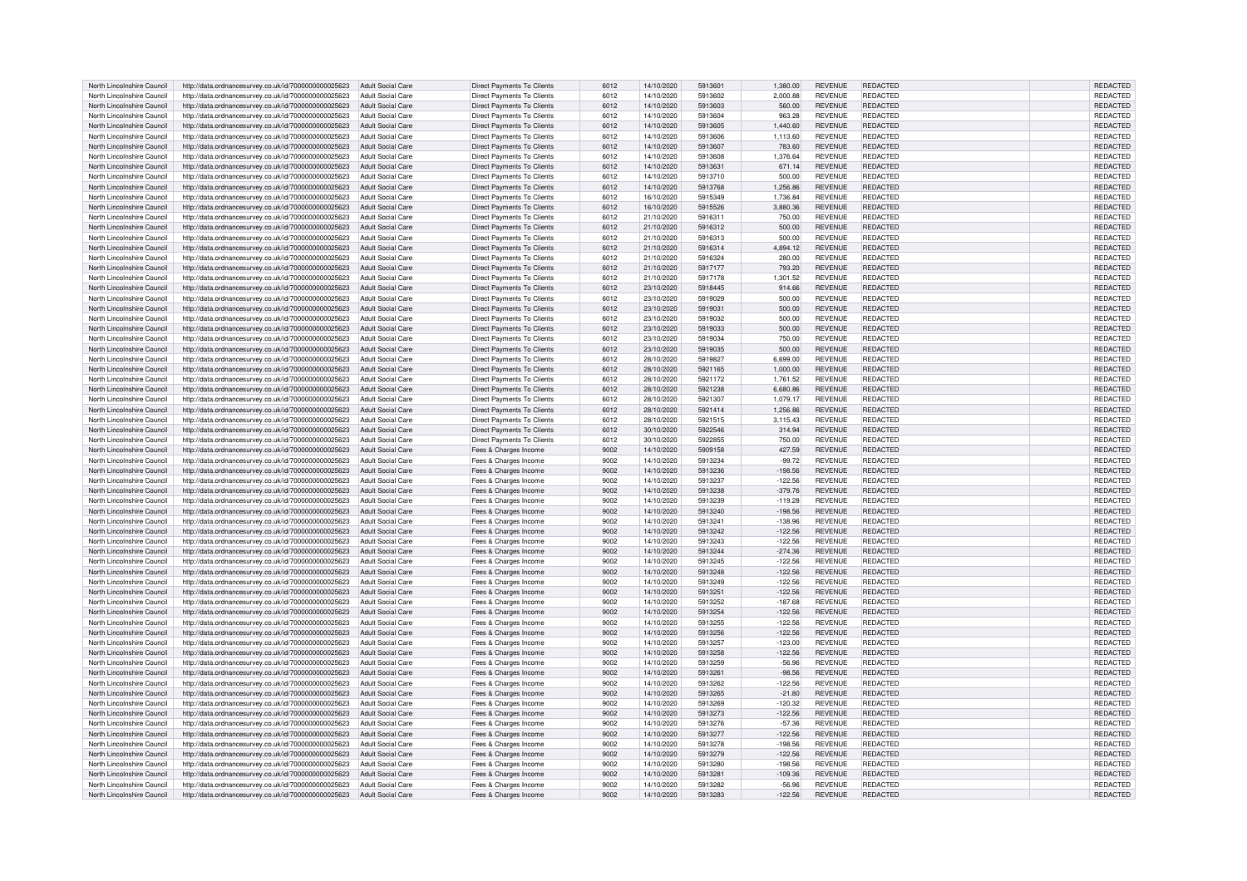| North Lincolnshire Council | http://data.ordnancesurvey.co.uk/id/7000000000025623 | <b>Adult Social Care</b> | Direct Payments To Clients        | 6012 | 14/10/2020 | 5913601 | 1,380.00  | <b>REVENUE</b> | <b>REDACTED</b> | REDACTED |
|----------------------------|------------------------------------------------------|--------------------------|-----------------------------------|------|------------|---------|-----------|----------------|-----------------|----------|
| North Lincolnshire Council | http://data.ordnancesurvey.co.uk/id/7000000000025623 | <b>Adult Social Care</b> | <b>Direct Payments To Clients</b> | 6012 | 14/10/2020 | 5913602 | 2.000.88  | <b>REVENUE</b> | REDACTED        | REDACTED |
| North Lincolnshire Council | http://data.ordnancesurvey.co.uk/id/7000000000025623 | <b>Adult Social Care</b> | <b>Direct Payments To Clients</b> | 6012 | 14/10/2020 | 5913603 | 560.00    | <b>REVENUE</b> | <b>REDACTED</b> | REDACTED |
| North Lincolnshire Council | http://data.ordnancesurvey.co.uk/id/7000000000025623 | <b>Adult Social Care</b> | <b>Direct Payments To Clients</b> | 6012 | 14/10/2020 | 5913604 | 963.28    | <b>REVENUE</b> | REDACTED        | REDACTED |
|                            |                                                      |                          |                                   |      |            |         |           |                |                 |          |
| North Lincolnshire Council | http://data.ordnancesurvey.co.uk/id/7000000000025623 | <b>Adult Social Care</b> | Direct Payments To Clients        | 6012 | 14/10/2020 | 5913605 | 1,440.60  | <b>REVENUE</b> | <b>REDACTED</b> | REDACTED |
| North Lincolnshire Council | http://data.ordnancesurvey.co.uk/id/7000000000025623 | <b>Adult Social Care</b> | <b>Direct Payments To Clients</b> | 6012 | 14/10/2020 | 5913606 | 1,113.60  | <b>REVENUE</b> | REDACTED        | REDACTED |
| North Lincolnshire Council | http://data.ordnancesurvey.co.uk/id/7000000000025623 | <b>Adult Social Care</b> | Direct Payments To Clients        | 6012 | 14/10/2020 | 5913607 | 783.60    | <b>REVENUE</b> | <b>REDACTED</b> | REDACTED |
| North Lincolnshire Council | http://data.ordnancesurvey.co.uk/id/7000000000025623 | <b>Adult Social Care</b> | <b>Direct Payments To Clients</b> | 6012 | 14/10/2020 | 5913608 | 1.376.64  | <b>REVENUE</b> | REDACTED        | REDACTED |
| North Lincolnshire Council | http://data.ordnancesurvey.co.uk/id/7000000000025623 | <b>Adult Social Care</b> | Direct Payments To Clients        | 6012 | 14/10/2020 | 5913631 | 671.14    | <b>REVENUE</b> | <b>REDACTED</b> | REDACTED |
| North Lincolnshire Council | http://data.ordnancesurvey.co.uk/id/7000000000025623 | <b>Adult Social Care</b> | Direct Payments To Clients        | 6012 | 14/10/2020 | 5913710 | 500.00    | <b>REVENUE</b> | REDACTED        | REDACTED |
| North Lincolnshire Council | http://data.ordnancesurvey.co.uk/id/7000000000025623 | <b>Adult Social Care</b> | <b>Direct Payments To Clients</b> | 6012 | 14/10/2020 | 5913768 | 1,256.86  | <b>REVENUE</b> | REDACTED        | REDACTED |
| North Lincolnshire Council | http://data.ordnancesurvey.co.uk/id/7000000000025623 | <b>Adult Social Care</b> | Direct Payments To Clients        | 6012 | 16/10/2020 | 5915349 | 1,736.84  | <b>REVENUE</b> | <b>REDACTED</b> | REDACTED |
| North Lincolnshire Council | http://data.ordnancesurvey.co.uk/id/7000000000025623 | Adult Social Care        | <b>Direct Payments To Clients</b> | 6012 | 16/10/2020 | 5915526 | 3,880.36  | <b>REVENUE</b> | REDACTED        | REDACTED |
|                            |                                                      |                          |                                   |      |            |         |           |                |                 |          |
| North Lincolnshire Council | http://data.ordnancesurvey.co.uk/id/7000000000025623 | <b>Adult Social Care</b> | Direct Payments To Clients        | 6012 | 21/10/2020 | 5916311 | 750.00    | <b>REVENUE</b> | <b>REDACTED</b> | REDACTED |
| North Lincolnshire Council | http://data.ordnancesurvey.co.uk/id/7000000000025623 | <b>Adult Social Care</b> | Direct Payments To Clients        | 6012 | 21/10/2020 | 5916312 | 500.00    | <b>REVENUE</b> | <b>REDACTED</b> | REDACTED |
| North Lincolnshire Council | http://data.ordnancesurvey.co.uk/id/7000000000025623 | <b>Adult Social Care</b> | <b>Direct Payments To Clients</b> | 6012 | 21/10/2020 | 5916313 | 500.00    | <b>REVENUE</b> | REDACTED        | REDACTED |
| North Lincolnshire Council | http://data.ordnancesurvey.co.uk/id/7000000000025623 | <b>Adult Social Care</b> | Direct Payments To Clients        | 6012 | 21/10/2020 | 5916314 | 4,894.12  | <b>REVENUE</b> | <b>REDACTED</b> | REDACTED |
| North Lincolnshire Council | http://data.ordnancesurvey.co.uk/id/7000000000025623 | <b>Adult Social Care</b> | <b>Direct Payments To Clients</b> | 6012 | 21/10/2020 | 5916324 | 280.00    | <b>REVENUE</b> | REDACTED        | REDACTED |
| North Lincolnshire Council | http://data.ordnancesurvey.co.uk/id/7000000000025623 | <b>Adult Social Care</b> | <b>Direct Payments To Clients</b> | 6012 | 21/10/2020 | 5917177 | 793.20    | <b>REVENUE</b> | <b>REDACTED</b> | REDACTED |
| North Lincolnshire Council | http://data.ordnancesurvey.co.uk/id/7000000000025623 | <b>Adult Social Care</b> | <b>Direct Payments To Clients</b> | 6012 | 21/10/2020 | 5917178 | 1,301.52  | <b>REVENUE</b> | REDACTED        | REDACTED |
|                            |                                                      |                          |                                   |      |            |         |           |                |                 |          |
| North Lincolnshire Council | http://data.ordnancesurvey.co.uk/id/7000000000025623 | <b>Adult Social Care</b> | <b>Direct Payments To Clients</b> | 6012 | 23/10/2020 | 5918445 | 914.66    | <b>REVENUE</b> | REDACTED        | REDACTED |
| North Lincolnshire Council | http://data.ordnancesurvey.co.uk/id/7000000000025623 | <b>Adult Social Care</b> | Direct Payments To Clients        | 6012 | 23/10/2020 | 5919029 | 500.00    | <b>REVENUE</b> | <b>REDACTED</b> | REDACTED |
| North Lincolnshire Council | http://data.ordnancesurvey.co.uk/id/7000000000025623 | <b>Adult Social Care</b> | Direct Payments To Clients        | 6012 | 23/10/2020 | 5919031 | 500.00    | <b>REVENUE</b> | REDACTED        | REDACTED |
| North Lincolnshire Council | http://data.ordnancesurvey.co.uk/id/7000000000025623 | <b>Adult Social Care</b> | Direct Payments To Clients        | 6012 | 23/10/2020 | 5919032 | 500.00    | <b>REVENUE</b> | REDACTED        | REDACTED |
| North Lincolnshire Council | http://data.ordnancesurvey.co.uk/id/7000000000025623 | <b>Adult Social Care</b> | Direct Payments To Clients        | 6012 | 23/10/2020 | 5919033 | 500.00    | <b>REVENUE</b> | <b>REDACTED</b> | REDACTED |
| North Lincolnshire Council | http://data.ordnancesurvey.co.uk/id/7000000000025623 | <b>Adult Social Care</b> | Direct Payments To Clients        | 6012 | 23/10/2020 | 5919034 | 750.00    | <b>REVENUE</b> | REDACTED        | REDACTED |
| North Lincolnshire Council | http://data.ordnancesurvey.co.uk/id/7000000000025623 | <b>Adult Social Care</b> | <b>Direct Payments To Clients</b> | 6012 | 23/10/2020 | 5919035 | 500.00    | <b>REVENUE</b> | <b>REDACTED</b> | REDACTED |
| North Lincolnshire Council |                                                      | <b>Adult Social Care</b> | <b>Direct Payments To Clients</b> | 6012 | 28/10/2020 | 5919827 | 6.699.00  | <b>REVENUE</b> | <b>REDACTED</b> |          |
|                            | http://data.ordnancesurvey.co.uk/id/7000000000025623 |                          |                                   |      |            |         |           |                |                 | REDACTED |
| North Lincolnshire Council | http://data.ordnancesurvey.co.uk/id/7000000000025623 | <b>Adult Social Care</b> | <b>Direct Payments To Clients</b> | 6012 | 28/10/2020 | 5921165 | 1,000.00  | <b>REVENUE</b> | REDACTED        | REDACTED |
| North Lincolnshire Council | http://data.ordnancesurvey.co.uk/id/7000000000025623 | Adult Social Care        | Direct Payments To Clients        | 6012 | 28/10/2020 | 5921172 | 1,761.52  | <b>REVENUE</b> | REDACTED        | REDACTED |
| North Lincolnshire Council | http://data.ordnancesurvey.co.uk/id/7000000000025623 | <b>Adult Social Care</b> | <b>Direct Payments To Clients</b> | 6012 | 28/10/2020 | 5921238 | 6,680.86  | <b>REVENUE</b> | REDACTED        | REDACTED |
| North Lincolnshire Council | http://data.ordnancesurvey.co.uk/id/7000000000025623 | <b>Adult Social Care</b> | Direct Payments To Clients        | 6012 | 28/10/2020 | 5921307 | 1,079.17  | <b>REVENUE</b> | REDACTED        | REDACTED |
| North Lincolnshire Council | http://data.ordnancesurvey.co.uk/id/7000000000025623 | Adult Social Care        | <b>Direct Payments To Clients</b> | 6012 | 28/10/2020 | 5921414 | 1,256.86  | <b>REVENUE</b> | REDACTED        | REDACTED |
| North Lincolnshire Council | http://data.ordnancesurvey.co.uk/id/7000000000025623 | <b>Adult Social Care</b> | Direct Payments To Clients        | 6012 | 28/10/2020 | 5921515 | 3,115.43  | <b>REVENUE</b> | <b>REDACTED</b> | REDACTED |
| North Lincolnshire Council | http://data.ordnancesurvey.co.uk/id/7000000000025623 | <b>Adult Social Care</b> | Direct Payments To Clients        | 6012 | 30/10/2020 | 5922546 | 314.94    | <b>REVENUE</b> | REDACTED        | REDACTED |
|                            |                                                      |                          |                                   |      |            |         |           |                |                 |          |
| North Lincolnshire Council | http://data.ordnancesurvey.co.uk/id/7000000000025623 | <b>Adult Social Care</b> | Direct Payments To Clients        | 6012 | 30/10/2020 | 5922855 | 750.00    | <b>REVENUE</b> | REDACTED        | REDACTED |
| North Lincolnshire Council | http://data.ordnancesurvey.co.uk/id/7000000000025623 | <b>Adult Social Care</b> | Fees & Charges Income             | 9002 | 14/10/2020 | 5909158 | 427.59    | <b>REVENUE</b> | <b>REDACTED</b> | REDACTED |
| North Lincolnshire Council | http://data.ordnancesurvey.co.uk/id/7000000000025623 | <b>Adult Social Care</b> | Fees & Charges Income             | 9002 | 14/10/2020 | 5913234 | $-99.72$  | <b>REVENUE</b> | REDACTED        | REDACTED |
| North Lincolnshire Council | http://data.ordnancesurvey.co.uk/id/7000000000025623 | <b>Adult Social Care</b> | Fees & Charges Income             | 9002 | 14/10/2020 | 5913236 | $-198.56$ | <b>REVENUE</b> | <b>REDACTED</b> | REDACTED |
| North Lincolnshire Council | http://data.ordnancesurvey.co.uk/id/7000000000025623 | <b>Adult Social Care</b> | Fees & Charges Income             | 9002 | 14/10/2020 | 5913237 | $-122.56$ | <b>REVENUE</b> | <b>REDACTED</b> | REDACTED |
| North Lincolnshire Council | http://data.ordnancesurvey.co.uk/id/7000000000025623 | <b>Adult Social Care</b> | Fees & Charges Income             | 9002 | 14/10/2020 | 5913238 | $-379.76$ | <b>REVENUE</b> | REDACTED        | REDACTED |
| North Lincolnshire Council | http://data.ordnancesurvey.co.uk/id/7000000000025623 | <b>Adult Social Care</b> | Fees & Charges Income             | 9002 | 14/10/2020 | 5913239 | $-119.28$ | <b>REVENUE</b> | <b>REDACTED</b> | REDACTED |
| North Lincolnshire Council | http://data.ordnancesurvey.co.uk/id/7000000000025623 | Adult Social Care        |                                   | 9002 | 14/10/2020 | 5913240 | $-198.56$ | <b>REVENUE</b> | REDACTED        | REDACTED |
|                            |                                                      |                          | Fees & Charges Income             |      |            |         |           |                |                 |          |
| North Lincolnshire Council | http://data.ordnancesurvey.co.uk/id/7000000000025623 | <b>Adult Social Care</b> | Fees & Charges Income             | 9002 | 14/10/2020 | 5913241 | $-138.96$ | <b>REVENUE</b> | REDACTED        | REDACTED |
| North Lincolnshire Council | http://data.ordnancesurvey.co.uk/id/7000000000025623 | <b>Adult Social Care</b> | Fees & Charges Income             | 9002 | 14/10/2020 | 5913242 | $-122.56$ | <b>REVENUE</b> | <b>REDACTED</b> | REDACTED |
| North Lincolnshire Council | http://data.ordnancesurvey.co.uk/id/7000000000025623 | <b>Adult Social Care</b> | Fees & Charges Income             | 9002 | 14/10/2020 | 5913243 | $-122.56$ | <b>REVENUE</b> | REDACTED        | REDACTED |
| North Lincolnshire Council | http://data.ordnancesurvey.co.uk/id/7000000000025623 | <b>Adult Social Care</b> | Fees & Charges Income             | 9002 | 14/10/2020 | 5913244 | $-274.36$ | <b>REVENUE</b> | <b>REDACTED</b> | REDACTED |
| North Lincolnshire Council | http://data.ordnancesurvey.co.uk/id/7000000000025623 | <b>Adult Social Care</b> | Fees & Charges Income             | 9002 | 14/10/2020 | 5913245 | $-122.56$ | <b>REVENUE</b> | REDACTED        | REDACTED |
| North Lincolnshire Council | http://data.ordnancesurvey.co.uk/id/7000000000025623 | <b>Adult Social Care</b> | Fees & Charges Income             | 9002 | 14/10/2020 | 5913248 | $-122.56$ | <b>REVENUE</b> | <b>REDACTED</b> | REDACTED |
| North Lincolnshire Council | http://data.ordnancesurvey.co.uk/id/7000000000025623 | Adult Social Care        | Fees & Charges Income             | 9002 | 14/10/2020 | 5913249 | $-122.56$ | <b>REVENUE</b> | <b>REDACTED</b> | REDACTED |
| North Lincolnshire Council | http://data.ordnancesurvey.co.uk/id/7000000000025623 | Adult Social Care        | Fees & Charges Income             | 9002 | 14/10/2020 | 5913251 | $-122.56$ | <b>REVENUE</b> | REDACTED        | REDACTED |
|                            |                                                      |                          |                                   |      |            |         |           |                |                 |          |
| North Lincolnshire Council | http://data.ordnancesurvey.co.uk/id/7000000000025623 | <b>Adult Social Care</b> | Fees & Charges Income             | 9002 | 14/10/2020 | 5913252 | $-187.68$ | <b>REVENUE</b> | <b>REDACTED</b> | REDACTED |
| North Lincolnshire Council | http://data.ordnancesurvey.co.uk/id/7000000000025623 | Adult Social Care        | Fees & Charges Income             | 9002 | 14/10/2020 | 5913254 | $-122.56$ | <b>REVENUE</b> | <b>REDACTED</b> | REDACTED |
| North Lincolnshire Council | http://data.ordnancesurvey.co.uk/id/7000000000025623 | <b>Adult Social Care</b> | Fees & Charges Income             | 9002 | 14/10/2020 | 5913255 | $-122.56$ | <b>REVENUE</b> | REDACTED        | REDACTED |
| North Lincolnshire Council | http://data.ordnancesurvey.co.uk/id/7000000000025623 | Adult Social Care        | Fees & Charges Income             | 9002 | 14/10/2020 | 5913256 | $-122.56$ | <b>REVENUE</b> | REDACTED        | REDACTED |
| North Lincolnshire Council | http://data.ordnancesurvey.co.uk/id/7000000000025623 | <b>Adult Social Care</b> | Fees & Charges Income             | 9002 | 14/10/2020 | 5913257 | $-123.00$ | <b>REVENUE</b> | REDACTED        | REDACTED |
| North Lincolnshire Council | http://data.ordnancesurvey.co.uk/id/7000000000025623 | <b>Adult Social Care</b> | Fees & Charges Income             | 9002 | 14/10/2020 | 5913258 | $-122.56$ | <b>REVENUE</b> | <b>REDACTED</b> | REDACTED |
| North Lincolnshire Council | http://data.ordnancesurvey.co.uk/id/7000000000025623 | <b>Adult Social Care</b> | Fees & Charges Income             | 9002 | 14/10/2020 | 5913259 | $-56.96$  | <b>REVENUE</b> | REDACTED        | REDACTED |
| North Lincolnshire Council | http://data.ordnancesurvey.co.uk/id/7000000000025623 | <b>Adult Social Care</b> | Fees & Charges Income             | 9002 | 14/10/2020 | 5913261 | $-98.56$  | <b>REVENUE</b> | <b>REDACTED</b> | REDACTED |
|                            |                                                      |                          |                                   | 9002 |            | 5913262 |           |                | <b>REDACTED</b> |          |
| North Lincolnshire Council | http://data.ordnancesurvey.co.uk/id/7000000000025623 | <b>Adult Social Care</b> | Fees & Charges Income             |      | 14/10/2020 |         | $-122.56$ | <b>REVENUE</b> |                 | REDACTED |
| North Lincolnshire Council | http://data.ordnancesurvey.co.uk/id/7000000000025623 | <b>Adult Social Care</b> | Fees & Charges Income             | 9002 | 14/10/2020 | 5913265 | $-21.80$  | <b>REVENUE</b> | <b>REDACTED</b> | REDACTED |
| North Lincolnshire Council | http://data.ordnancesurvey.co.uk/id/7000000000025623 | <b>Adult Social Care</b> | Fees & Charges Income             | 9002 | 14/10/2020 | 5913269 | $-120.32$ | <b>REVENUE</b> | <b>REDACTED</b> | REDACTED |
| North Lincolnshire Council | http://data.ordnancesurvey.co.uk/id/7000000000025623 | Adult Social Care        | Fees & Charges Income             | 9002 | 14/10/2020 | 5913273 | $-122.56$ | <b>REVENUE</b> | <b>REDACTED</b> | REDACTED |
| North Lincolnshire Council | http://data.ordnancesurvey.co.uk/id/7000000000025623 | <b>Adult Social Care</b> | Fees & Charges Income             | 9002 | 14/10/2020 | 5913276 | $-57.36$  | <b>REVENUE</b> | <b>REDACTED</b> | REDACTED |
| North Lincolnshire Council | http://data.ordnancesurvey.co.uk/id/7000000000025623 | <b>Adult Social Care</b> | Fees & Charges Income             | 9002 | 14/10/2020 | 5913277 | $-122.56$ | <b>REVENUE</b> | <b>REDACTED</b> | REDACTED |
| North Lincolnshire Council | http://data.ordnancesurvey.co.uk/id/7000000000025623 | <b>Adult Social Care</b> | Fees & Charges Income             | 9002 | 14/10/2020 | 5913278 | $-198.56$ | <b>REVENUE</b> | REDACTED        | REDACTED |
| North Lincolnshire Council | http://data.ordnancesurvey.co.uk/id/7000000000025623 | <b>Adult Social Care</b> | Fees & Charges Income             | 9002 | 14/10/2020 | 5913279 | $-122.56$ | <b>REVENUE</b> | <b>REDACTED</b> | REDACTED |
| North Lincolnshire Council | http://data.ordnancesurvey.co.uk/id/7000000000025623 | <b>Adult Social Care</b> | Fees & Charges Income             | 9002 | 14/10/2020 | 5913280 | $-198.56$ | <b>REVENUE</b> | REDACTED        | REDACTED |
|                            |                                                      |                          |                                   |      |            |         |           |                |                 |          |
| North Lincolnshire Council | http://data.ordnancesurvey.co.uk/id/7000000000025623 | <b>Adult Social Care</b> | Fees & Charges Income             | 9002 | 14/10/2020 | 5913281 | $-109.36$ | <b>REVENUE</b> | REDACTED        | REDACTED |
| North Lincolnshire Council | http://data.ordnancesurvey.co.uk/id/7000000000025623 | Adult Social Care        | Fees & Charges Income             | 9002 | 14/10/2020 | 5913282 | $-56.96$  | <b>REVENUE</b> | <b>REDACTED</b> | REDACTED |
| North Lincolnshire Council | http://data.ordnancesurvey.co.uk/id/7000000000025623 | Adult Social Care        | Fees & Charges Income             | 9002 | 14/10/2020 | 5913283 | $-122.56$ | <b>REVENUE</b> | REDACTED        | REDACTED |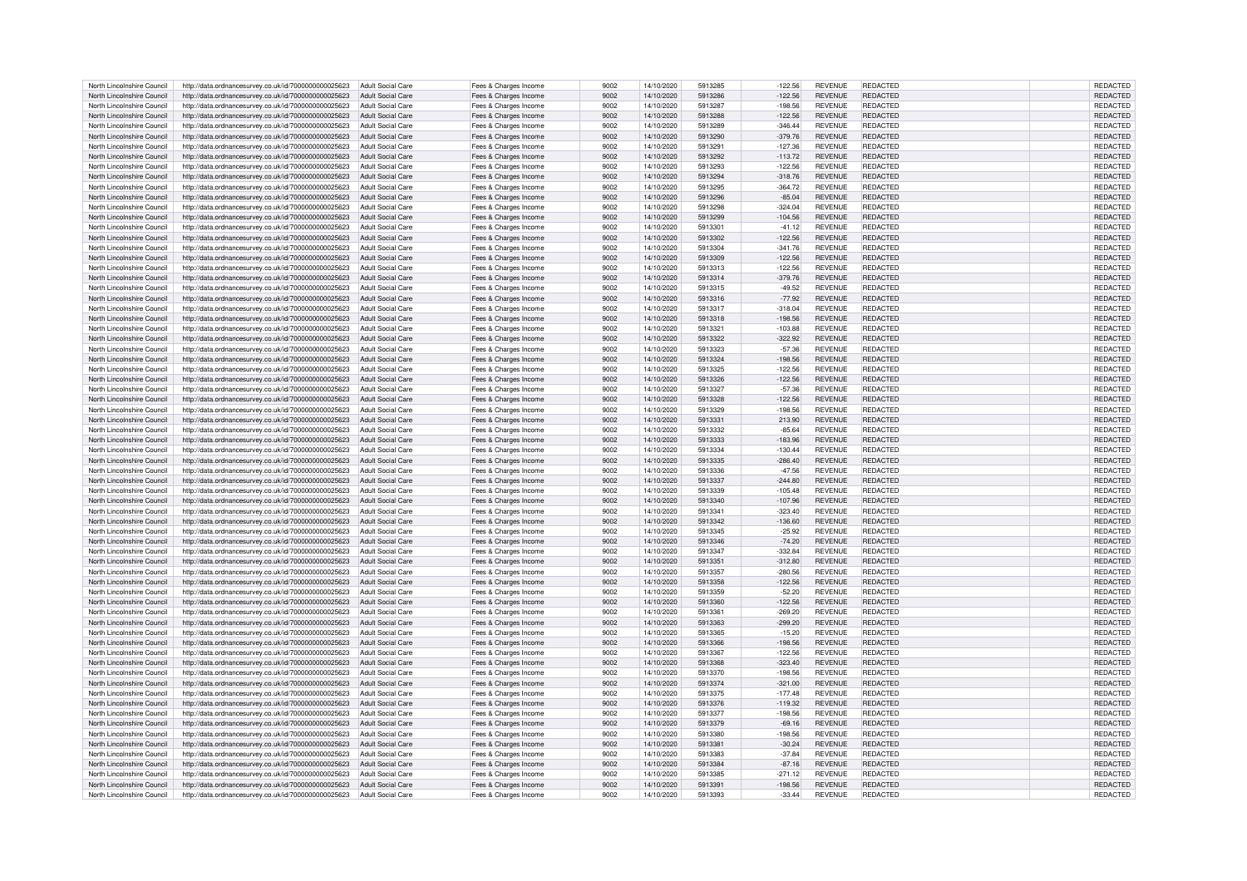| North Lincolnshire Council | http://data.ordnancesurvey.co.uk/id/7000000000025623                   | Adult Social Care        | Fees & Charges Income | 9002 | 14/10/2020 | 5913285 | $-122.56$ | <b>REVENUE</b> | <b>REDACTED</b> | REDACTED        |
|----------------------------|------------------------------------------------------------------------|--------------------------|-----------------------|------|------------|---------|-----------|----------------|-----------------|-----------------|
| North Lincolnshire Council | http://data.ordnancesurvey.co.uk/id/7000000000025623                   | Adult Social Care        | Fees & Charges Income | 9002 | 14/10/2020 | 5913286 | $-122.56$ | <b>REVENUE</b> | REDACTED        | REDACTED        |
| North Lincolnshire Council | http://data.ordnancesurvey.co.uk/id/7000000000025623                   | Adult Social Care        | Fees & Charges Income | 9002 | 14/10/2020 | 5913287 | $-198.56$ | <b>REVENUE</b> | <b>REDACTED</b> | REDACTED        |
|                            |                                                                        |                          |                       |      |            |         |           |                |                 |                 |
| North Lincolnshire Council | http://data.ordnancesurvey.co.uk/id/7000000000025623                   | Adult Social Care        | Fees & Charges Income | 9002 | 14/10/2020 | 5913288 | $-122.56$ | <b>REVENUE</b> | REDACTED        | REDACTED        |
| North Lincolnshire Council | http://data.ordnancesurvey.co.uk/id/7000000000025623                   | <b>Adult Social Care</b> | Fees & Charges Income | 9002 | 14/10/2020 | 5913289 | $-34644$  | <b>REVENUE</b> | <b>REDACTED</b> | REDACTED        |
| North Lincolnshire Council | http://data.ordnancesurvey.co.uk/id/7000000000025623                   | <b>Adult Social Care</b> | Fees & Charges Income | 9002 | 14/10/2020 | 5913290 | $-379.76$ | <b>REVENUE</b> | <b>REDACTED</b> | REDACTED        |
| North Lincolnshire Council | http://data.ordnancesurvey.co.uk/id/7000000000025623                   | <b>Adult Social Care</b> | Fees & Charges Income | 9002 | 14/10/2020 | 5913291 | $-127.36$ | <b>REVENUE</b> | REDACTED        | REDACTED        |
| North Lincolnshire Council | http://data.ordnancesurvey.co.uk/id/7000000000025623                   | <b>Adult Social Care</b> | Fees & Charges Income | 9002 | 14/10/2020 | 5913292 | $-113.72$ | <b>REVENUE</b> | <b>REDACTED</b> | REDACTED        |
| North Lincolnshire Council | http://data.ordnancesurvey.co.uk/id/7000000000025623                   | Adult Social Care        | Fees & Charges Income | 9002 | 14/10/2020 | 5913293 | $-122.56$ | <b>REVENUE</b> | REDACTED        | REDACTED        |
| North Lincolnshire Council | http://data.ordnancesurvey.co.uk/id/7000000000025623                   | <b>Adult Social Care</b> | Fees & Charges Income | 9002 | 14/10/2020 | 5913294 | $-318.76$ | <b>REVENUE</b> | REDACTED        | REDACTED        |
| North Lincolnshire Council | http://data.ordnancesurvey.co.uk/id/7000000000025623                   | Adult Social Care        | Fees & Charges Income | 9002 | 14/10/2020 | 5913295 | $-364.72$ | <b>REVENUE</b> | <b>REDACTED</b> | REDACTED        |
| North Lincolnshire Council |                                                                        | <b>Adult Social Care</b> |                       | 9002 | 14/10/2020 | 5913296 | $-85.04$  | <b>REVENUE</b> | REDACTED        | REDACTED        |
|                            | http://data.ordnancesurvey.co.uk/id/7000000000025623                   |                          | Fees & Charges Income |      |            |         |           |                |                 |                 |
| North Lincolnshire Council | http://data.ordnancesurvey.co.uk/id/7000000000025623                   | <b>Adult Social Care</b> | Fees & Charges Income | 9002 | 14/10/2020 | 5913298 | $-324.04$ | <b>REVENUE</b> | REDACTED        | REDACTED        |
| North Lincolnshire Council | http://data.ordnancesurvey.co.uk/id/7000000000025623                   | Adult Social Care        | Fees & Charges Income | 9002 | 14/10/2020 | 5913299 | $-104.56$ | <b>REVENUE</b> | <b>REDACTED</b> | REDACTED        |
| North Lincolnshire Council | http://data.ordnancesurvey.co.uk/id/7000000000025623                   | <b>Adult Social Care</b> | Fees & Charges Income | 9002 | 14/10/2020 | 5913301 | $-41.12$  | <b>REVENUE</b> | <b>REDACTED</b> | REDACTED        |
| North Lincolnshire Council | http://data.ordnancesurvey.co.uk/id/7000000000025623                   | <b>Adult Social Care</b> | Fees & Charges Income | 9002 | 14/10/2020 | 5913302 | $-122.56$ | <b>REVENUE</b> | <b>REDACTED</b> | REDACTED        |
| North Lincolnshire Council | http://data.ordnancesurvey.co.uk/id/7000000000025623                   | <b>Adult Social Care</b> | Fees & Charges Income | 9002 | 14/10/2020 | 5913304 | $-341.76$ | <b>REVENUE</b> | REDACTED        | REDACTED        |
| North Lincolnshire Council | http://data.ordnancesurvey.co.uk/id/7000000000025623                   | <b>Adult Social Care</b> | Fees & Charges Income | 9002 | 14/10/2020 | 5913309 | $-122.56$ | <b>REVENUE</b> | <b>REDACTED</b> | REDACTED        |
| North Lincolnshire Council | http://data.ordnancesurvey.co.uk/id/7000000000025623                   | <b>Adult Social Care</b> | Fees & Charges Income | 9002 | 14/10/2020 | 5913313 | $-122.56$ | <b>REVENUE</b> | <b>REDACTED</b> | REDACTED        |
| North Lincolnshire Council | http://data.ordnancesurvey.co.uk/id/7000000000025623                   | <b>Adult Social Care</b> | Fees & Charges Income | 9002 | 14/10/2020 | 5913314 | $-379.76$ | <b>REVENUE</b> | <b>REDACTED</b> | REDACTED        |
| North Lincolnshire Council | http://data.ordnancesurvey.co.uk/id/7000000000025623                   | Adult Social Care        | Fees & Charges Income | 9002 | 14/10/2020 | 5913315 | $-49.52$  | <b>REVENUE</b> | REDACTED        | REDACTED        |
| North Lincolnshire Council | http://data.ordnancesurvey.co.uk/id/7000000000025623                   | Adult Social Care        |                       | 9002 | 14/10/2020 | 5913316 | $-77.92$  | <b>REVENUE</b> | REDACTED        | REDACTED        |
|                            |                                                                        |                          | Fees & Charges Income |      |            |         |           |                |                 |                 |
| North Lincolnshire Council | http://data.ordnancesurvey.co.uk/id/7000000000025623                   | Adult Social Care        | Fees & Charges Income | 9002 | 14/10/2020 | 5913317 | $-318.04$ | <b>REVENUE</b> | REDACTED        | REDACTED        |
| North Lincolnshire Council | http://data.ordnancesurvey.co.uk/id/7000000000025623                   | <b>Adult Social Care</b> | Fees & Charges Income | 9002 | 14/10/2020 | 5913318 | $-198.56$ | <b>REVENUE</b> | <b>REDACTED</b> | REDACTED        |
| North Lincolnshire Council | http://data.ordnancesurvey.co.uk/id/7000000000025623                   | <b>Adult Social Care</b> | Fees & Charges Income | 9002 | 14/10/2020 | 5913321 | $-103.88$ | <b>REVENUE</b> | REDACTED        | REDACTED        |
| North Lincolnshire Council | http://data.ordnancesurvey.co.uk/id/7000000000025623                   | Adult Social Care        | Fees & Charges Income | 9002 | 14/10/2020 | 5913322 | $-322.92$ | <b>REVENUE</b> | REDACTED        | REDACTED        |
| North Lincolnshire Council | http://data.ordnancesurvey.co.uk/id/7000000000025623                   | <b>Adult Social Care</b> | Fees & Charges Income | 9002 | 14/10/2020 | 5913323 | $-57.36$  | <b>REVENUE</b> | REDACTED        | REDACTED        |
| North Lincolnshire Council | http://data.ordnancesurvey.co.uk/id/7000000000025623                   | <b>Adult Social Care</b> | Fees & Charges Income | 9002 | 14/10/2020 | 5913324 | $-198.56$ | <b>REVENUE</b> | <b>REDACTED</b> | REDACTED        |
| North Lincolnshire Council | http://data.ordnancesurvey.co.uk/id/7000000000025623                   | Adult Social Care        | Fees & Charges Income | 9002 | 14/10/2020 | 5913325 | $-122.56$ | <b>REVENUE</b> | REDACTED        | REDACTED        |
| North Lincolnshire Council | http://data.ordnancesurvey.co.uk/id/7000000000025623                   | Adult Social Care        | Fees & Charges Income | 9002 | 14/10/2020 | 5913326 | $-122.56$ | <b>REVENUE</b> | <b>REDACTED</b> | REDACTED        |
| North Lincolnshire Council | http://data.ordnancesurvey.co.uk/id/7000000000025623                   | Adult Social Care        | Fees & Charges Income | 9002 | 14/10/2020 | 5913327 | $-57.36$  | <b>REVENUE</b> | REDACTED        | REDACTED        |
| North Lincolnshire Council | http://data.ordnancesurvey.co.uk/id/7000000000025623                   | <b>Adult Social Care</b> | Fees & Charges Income | 9002 | 14/10/2020 | 5913328 | $-122.56$ | <b>REVENUE</b> | <b>REDACTED</b> | REDACTED        |
| North Lincolnshire Council | http://data.ordnancesurvey.co.uk/id/7000000000025623                   | <b>Adult Social Care</b> | Fees & Charges Income | 9002 | 14/10/2020 | 5913329 | $-198.56$ | <b>REVENUE</b> | REDACTED        | REDACTED        |
| North Lincolnshire Council | http://data.ordnancesurvey.co.uk/id/7000000000025623                   | <b>Adult Social Care</b> | Fees & Charges Income | 9002 | 14/10/2020 | 5913331 | 213.90    | <b>REVENUE</b> | <b>REDACTED</b> | REDACTED        |
| North Lincolnshire Council | http://data.ordnancesurvey.co.uk/id/7000000000025623                   | <b>Adult Social Care</b> | Fees & Charges Income | 9002 | 14/10/2020 | 5913332 | $-85.64$  | <b>REVENUE</b> | REDACTED        | REDACTED        |
|                            |                                                                        |                          |                       |      |            |         |           |                |                 |                 |
| North Lincolnshire Council | http://data.ordnancesurvey.co.uk/id/7000000000025623                   | <b>Adult Social Care</b> | Fees & Charges Income | 9002 | 14/10/2020 | 5913333 | $-183.96$ | <b>REVENUE</b> | REDACTED        | REDACTED        |
| North Lincolnshire Council | http://data.ordnancesurvey.co.uk/id/7000000000025623                   | <b>Adult Social Care</b> | Fees & Charges Income | 9002 | 14/10/2020 | 5913334 | $-130.44$ | <b>REVENUE</b> | <b>REDACTED</b> | REDACTED        |
| North Lincolnshire Council | http://data.ordnancesurvey.co.uk/id/7000000000025623                   | <b>Adult Social Care</b> | Fees & Charges Income | 9002 | 14/10/2020 | 5913335 | $-286.40$ | <b>REVENUE</b> | <b>REDACTED</b> | REDACTED        |
| North Lincolnshire Council | http://data.ordnancesurvey.co.uk/id/7000000000025623                   | Adult Social Care        | Fees & Charges Income | 9002 | 14/10/2020 | 5913336 | $-47.56$  | <b>REVENUE</b> | REDACTED        | REDACTED        |
| North Lincolnshire Council | http://data.ordnancesurvey.co.uk/id/7000000000025623                   | <b>Adult Social Care</b> | Fees & Charges Income | 9002 | 14/10/2020 | 5913337 | $-244.80$ | <b>REVENUE</b> | REDACTED        | REDACTED        |
| North Lincolnshire Council | http://data.ordnancesurvey.co.uk/id/7000000000025623                   | <b>Adult Social Care</b> | Fees & Charges Income | 9002 | 14/10/2020 | 5913339 | $-105.48$ | <b>REVENUE</b> | <b>REDACTED</b> | REDACTED        |
| North Lincolnshire Council | http://data.ordnancesurvey.co.uk/id/7000000000025623                   | Adult Social Care        | Fees & Charges Income | 9002 | 14/10/2020 | 5913340 | $-107.96$ | <b>REVENUE</b> | REDACTED        | REDACTED        |
| North Lincolnshire Council | http://data.ordnancesurvey.co.uk/id/7000000000025623                   | <b>Adult Social Care</b> | Fees & Charges Income | 9002 | 14/10/2020 | 5913341 | $-323.40$ | <b>REVENUE</b> | REDACTED        | REDACTED        |
| North Lincolnshire Council | http://data.ordnancesurvey.co.uk/id/7000000000025623                   | <b>Adult Social Care</b> | Fees & Charges Income | 9002 | 14/10/2020 | 5913342 | $-136.60$ | <b>REVENUE</b> | REDACTED        | REDACTED        |
| North Lincolnshire Council | http://data.ordnancesurvey.co.uk/id/7000000000025623                   | <b>Adult Social Care</b> | Fees & Charges Income | 9002 | 14/10/2020 | 5913345 | $-25.92$  | <b>REVENUE</b> | REDACTED        | REDACTED        |
| North Lincolnshire Council | http://data.ordnancesurvey.co.uk/id/7000000000025623                   | <b>Adult Social Care</b> | Fees & Charges Income | 9002 | 14/10/2020 | 5913346 | $-74.20$  | <b>REVENUE</b> | <b>REDACTED</b> | REDACTED        |
| North Lincolnshire Council | http://data.ordnancesurvey.co.uk/id/7000000000025623                   | <b>Adult Social Care</b> | Fees & Charges Income | 9002 | 14/10/2020 | 5913347 | $-332.84$ | <b>REVENUE</b> | REDACTED        | REDACTED        |
| North Lincolnshire Council |                                                                        | Adult Social Care        |                       | 9002 | 14/10/2020 | 5913351 | $-312.80$ | <b>REVENUE</b> | REDACTED        | <b>REDACTED</b> |
|                            | http://data.ordnancesurvey.co.uk/id/7000000000025623                   |                          | Fees & Charges Income |      |            |         |           |                |                 |                 |
| North Lincolnshire Council | http://data.ordnancesurvey.co.uk/id/7000000000025623                   | Adult Social Care        | Fees & Charges Income | 9002 | 14/10/2020 | 5913357 | $-280.56$ | <b>REVENUE</b> | <b>REDACTED</b> | REDACTED        |
| North Lincolnshire Council | http://data.ordnancesurvey.co.uk/id/7000000000025623                   | <b>Adult Social Care</b> | Fees & Charges Income | 9002 | 14/10/2020 | 5913358 | $-122.56$ | <b>REVENUE</b> | <b>REDACTED</b> | REDACTED        |
| North Lincolnshire Council | http://data.ordnancesurvey.co.uk/id/7000000000025623                   | Adult Social Care        | Fees & Charges Income | 9002 | 14/10/2020 | 5913359 | $-52.20$  | <b>REVENUE</b> | <b>REDACTED</b> | REDACTED        |
| North Lincolnshire Council | http://data.ordnancesurvey.co.uk/id/7000000000025623                   | Adult Social Care        | Fees & Charges Income | 9002 | 14/10/2020 | 5913360 | $-122.56$ | <b>REVENUE</b> | <b>REDACTED</b> | REDACTED        |
| North Lincolnshire Council | http://data.ordnancesurvey.co.uk/id/7000000000025623                   | Adult Social Care        | Fees & Charges Income | 9002 | 14/10/2020 | 5913361 | $-269.20$ | <b>REVENUE</b> | REDACTED        | <b>REDACTED</b> |
| North Lincolnshire Council | http://data.ordnancesurvey.co.uk/id/7000000000025623                   | <b>Adult Social Care</b> | Fees & Charges Income | 9002 | 14/10/2020 | 5913363 | $-299.20$ | <b>REVENUE</b> | <b>REDACTED</b> | REDACTED        |
| North Lincolnshire Council | http://data.ordnancesurvey.co.uk/id/7000000000025623                   | <b>Adult Social Care</b> | Fees & Charges Income | 9002 | 14/10/2020 | 5913365 | $-15.20$  | <b>REVENUE</b> | <b>REDACTED</b> | REDACTED        |
| North Lincolnshire Council | http://data.ordnancesurvey.co.uk/id/7000000000025623                   | <b>Adult Social Care</b> | Fees & Charges Income | 9002 | 14/10/2020 | 5913366 | $-198.56$ | <b>REVENUE</b> | <b>REDACTED</b> | <b>REDACTED</b> |
| North Lincolnshire Council | http://data.ordnancesurvey.co.uk/id/7000000000025623                   | <b>Adult Social Care</b> | Fees & Charges Income | 9002 | 14/10/2020 | 5913367 | $-122.56$ | <b>REVENUE</b> | <b>REDACTED</b> | REDACTED        |
| North Lincolnshire Council | http://data.ordnancesurvey.co.uk/id/7000000000025623                   | <b>Adult Social Care</b> | Fees & Charges Income | 9002 | 14/10/2020 | 5913368 | $-323.40$ | <b>REVENUE</b> | REDACTED        | <b>REDACTED</b> |
| North Lincolnshire Council | http://data.ordnancesurvey.co.uk/id/7000000000025623                   | Adult Social Care        | Fees & Charges Income | 9002 | 14/10/2020 | 5913370 | $-198.56$ | <b>REVENUE</b> | REDACTED        | REDACTED        |
| North Lincolnshire Council | http://data.ordnancesurvey.co.uk/id/7000000000025623                   | <b>Adult Social Care</b> | Fees & Charges Income | 9002 | 14/10/2020 | 5913374 | $-321.00$ | <b>REVENUE</b> | <b>REDACTED</b> | REDACTED        |
| North Lincolnshire Council | http://data.ordnancesurvey.co.uk/id/7000000000025623                   | <b>Adult Social Care</b> | Fees & Charges Income | 9002 | 14/10/2020 | 5913375 | $-177.48$ | <b>REVENUE</b> | REDACTED        | REDACTED        |
| North Lincolnshire Council | http://data.ordnancesurvey.co.uk/id/7000000000025623                   | Adult Social Care        | Fees & Charges Income | 9002 | 14/10/2020 | 5913376 | $-119.32$ | <b>REVENUE</b> | <b>REDACTED</b> | REDACTED        |
| North Lincolnshire Council | http://data.ordnancesurvev.co.uk/id/7000000000025623                   | Adult Social Care        |                       | 9002 | 14/10/2020 | 5913377 | $-198.56$ | <b>REVENUE</b> | REDACTED        | <b>REDACTED</b> |
|                            |                                                                        |                          | Fees & Charges Income |      |            |         |           |                |                 |                 |
| North Lincolnshire Council | http://data.ordnancesurvey.co.uk/id/7000000000025623                   | <b>Adult Social Care</b> | Fees & Charges Income | 9002 | 14/10/2020 | 5913379 | $-69.16$  | <b>REVENUE</b> | REDACTED        | REDACTED        |
| North Lincolnshire Council | http://data.ordnancesurvey.co.uk/id/7000000000025623                   | <b>Adult Social Care</b> | Fees & Charges Income | 9002 | 14/10/2020 | 5913380 | $-198.56$ | <b>REVENUE</b> | REDACTED        | REDACTED        |
| North Lincolnshire Council | http://data.ordnancesurvey.co.uk/id/7000000000025623                   | <b>Adult Social Care</b> | Fees & Charges Income | 9002 | 14/10/2020 | 5913381 | $-30.24$  | <b>REVENUE</b> | <b>REDACTED</b> | REDACTED        |
| North Lincolnshire Council | http://data.ordnancesurvey.co.uk/id/7000000000025623                   | <b>Adult Social Care</b> | Fees & Charges Income | 9002 | 14/10/2020 | 5913383 | $-37.84$  | <b>REVENUE</b> | <b>REDACTED</b> | REDACTED        |
| North Lincolnshire Council | http://data.ordnancesurvey.co.uk/id/7000000000025623                   | <b>Adult Social Care</b> | Fees & Charges Income | 9002 | 14/10/2020 | 5913384 | $-87.16$  | <b>REVENUE</b> | REDACTED        | REDACTED        |
| North Lincolnshire Council | http://data.ordnancesurvey.co.uk/id/7000000000025623                   | Adult Social Care        | Fees & Charges Income | 9002 | 14/10/2020 | 5913385 | $-271.12$ | <b>REVENUE</b> | <b>REDACTED</b> | <b>REDACTED</b> |
| North Lincolnshire Council | http://data.ordnancesurvey.co.uk/id/7000000000025623                   | Adult Social Care        | Fees & Charges Income | 9002 | 14/10/2020 | 5913391 | $-198.56$ | <b>REVENUE</b> | REDACTED        | <b>REDACTED</b> |
| North Lincolnshire Council | http://data.ordnancesurvey.co.uk/id/7000000000025623 Adult Social Care |                          | Fees & Charges Income | 9002 | 14/10/2020 | 5913393 | $-33.44$  | <b>REVENUE</b> | REDACTED        | REDACTED        |
|                            |                                                                        |                          |                       |      |            |         |           |                |                 |                 |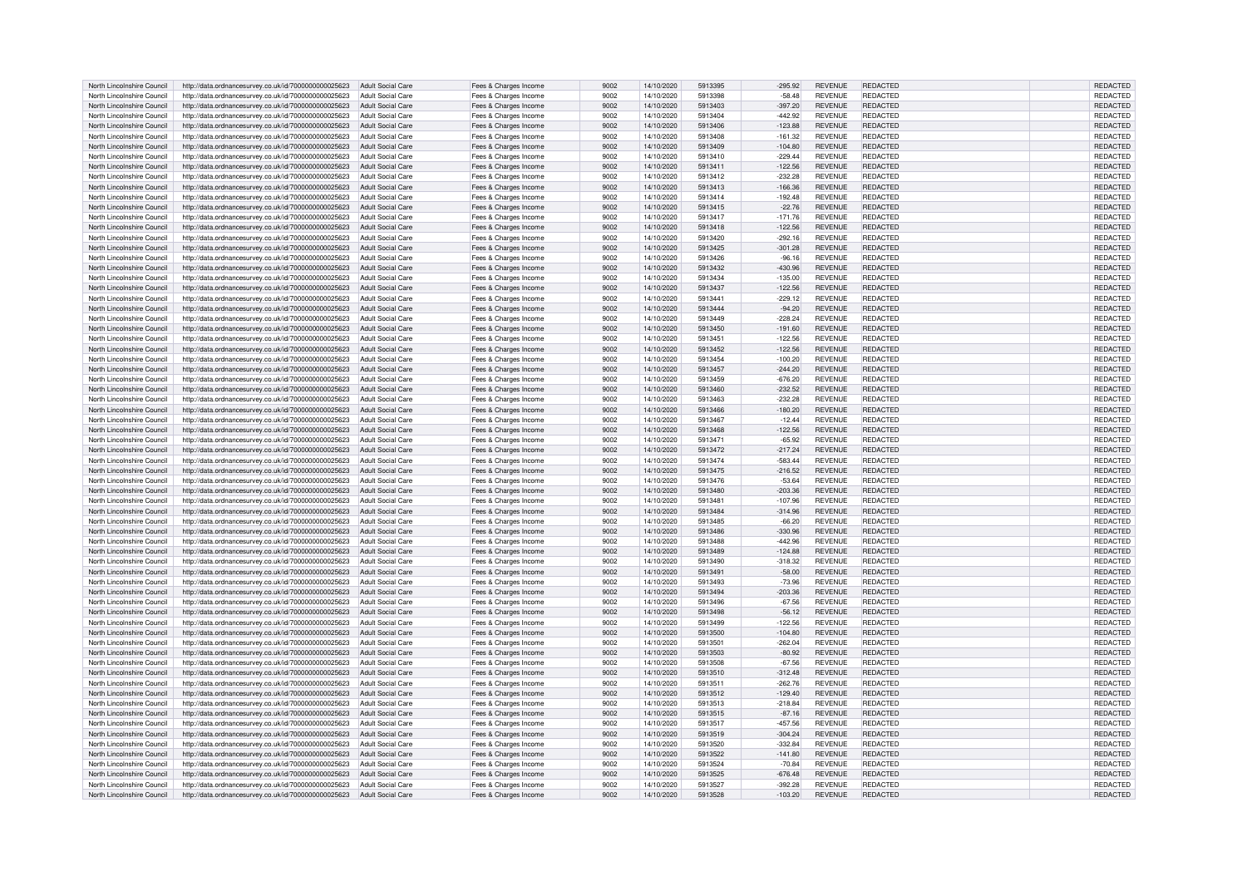| North Lincolnshire Council | http://data.ordnancesurvey.co.uk/id/7000000000025623 | Adult Social Care        | Fees & Charges Income | 9002 | 14/10/2020 | 5913395 | $-295.92$ | <b>REVENUE</b> | <b>REDACTED</b> | REDACTED        |
|----------------------------|------------------------------------------------------|--------------------------|-----------------------|------|------------|---------|-----------|----------------|-----------------|-----------------|
| North Lincolnshire Council | http://data.ordnancesurvey.co.uk/id/7000000000025623 | <b>Adult Social Care</b> | Fees & Charges Income | 9002 | 14/10/2020 | 5913398 | $-58.48$  | <b>REVENUE</b> | <b>REDACTED</b> | REDACTED        |
| North Lincolnshire Council | http://data.ordnancesurvey.co.uk/id/7000000000025623 | <b>Adult Social Care</b> | Fees & Charges Income | 9002 | 14/10/2020 | 5913403 | $-397.20$ | <b>REVENUE</b> | REDACTED        | REDACTED        |
| North Lincolnshire Council |                                                      | <b>Adult Social Care</b> |                       | 9002 | 14/10/2020 | 5913404 | $-442.92$ | <b>REVENUE</b> | REDACTED        |                 |
|                            | http://data.ordnancesurvey.co.uk/id/7000000000025623 |                          | Fees & Charges Income |      |            |         |           |                |                 | REDACTED        |
| North Lincolnshire Council | http://data.ordnancesurvey.co.uk/id/7000000000025623 | <b>Adult Social Care</b> | Fees & Charges Income | 9002 | 14/10/2020 | 5913406 | $-123.88$ | <b>REVENUE</b> | REDACTED        | REDACTED        |
| North Lincolnshire Council | http://data.ordnancesurvey.co.uk/id/7000000000025623 | <b>Adult Social Care</b> | Fees & Charges Income | 9002 | 14/10/2020 | 5913408 | $-161.32$ | <b>REVENUE</b> | REDACTED        | REDACTED        |
| North Lincolnshire Council | http://data.ordnancesurvey.co.uk/id/7000000000025623 | <b>Adult Social Care</b> | Fees & Charges Income | 9002 | 14/10/2020 | 5913409 | $-104.80$ | <b>REVENUE</b> | REDACTED        | REDACTED        |
| North Lincolnshire Council | http://data.ordnancesurvey.co.uk/id/7000000000025623 | <b>Adult Social Care</b> | Fees & Charges Income | 9002 | 14/10/2020 | 5913410 | $-229.44$ | <b>REVENUE</b> | <b>REDACTED</b> | REDACTED        |
| North Lincolnshire Council | http://data.ordnancesurvey.co.uk/id/7000000000025623 | <b>Adult Social Care</b> | Fees & Charges Income | 9002 | 14/10/2020 | 5913411 | $-122.56$ | <b>REVENUE</b> | REDACTED        | REDACTED        |
| North Lincolnshire Council | http://data.ordnancesurvey.co.uk/id/7000000000025623 | <b>Adult Social Care</b> | Fees & Charges Income | 9002 | 14/10/2020 | 5913412 | $-232.28$ | <b>REVENUE</b> | <b>REDACTED</b> | REDACTED        |
| North Lincolnshire Council | http://data.ordnancesurvey.co.uk/id/7000000000025623 | <b>Adult Social Care</b> | Fees & Charges Income | 9002 | 14/10/2020 | 5913413 | $-166.36$ | <b>REVENUE</b> | <b>REDACTED</b> | REDACTED        |
|                            |                                                      |                          |                       |      |            |         |           |                |                 |                 |
| North Lincolnshire Council | http://data.ordnancesurvey.co.uk/id/7000000000025623 | <b>Adult Social Care</b> | Fees & Charges Income | 9002 | 14/10/2020 | 5913414 | $-192.48$ | <b>REVENUE</b> | REDACTED        | REDACTED        |
| North Lincolnshire Council | http://data.ordnancesurvey.co.uk/id/7000000000025623 | Adult Social Care        | Fees & Charges Income | 9002 | 14/10/2020 | 5913415 | $-22.76$  | <b>REVENUE</b> | <b>REDACTED</b> | REDACTED        |
| North Lincolnshire Council | http://data.ordnancesurvey.co.uk/id/7000000000025623 | <b>Adult Social Care</b> | Fees & Charges Income | 9002 | 14/10/2020 | 5913417 | $-171.76$ | <b>REVENUE</b> | REDACTED        | REDACTED        |
| North Lincolnshire Council | http://data.ordnancesurvey.co.uk/id/7000000000025623 | Adult Social Care        | Fees & Charges Income | 9002 | 14/10/2020 | 5913418 | $-122.56$ | <b>REVENUE</b> | <b>REDACTED</b> | REDACTED        |
| North Lincolnshire Council | http://data.ordnancesurvey.co.uk/id/7000000000025623 | <b>Adult Social Care</b> | Fees & Charges Income | 9002 | 14/10/2020 | 5913420 | $-292.16$ | <b>REVENUE</b> | <b>REDACTED</b> | REDACTED        |
| North Lincolnshire Council | http://data.ordnancesurvey.co.uk/id/7000000000025623 | <b>Adult Social Care</b> | Fees & Charges Income | 9002 | 14/10/2020 | 5913425 | $-301.28$ | <b>REVENUE</b> | REDACTED        | <b>REDACTED</b> |
| North Lincolnshire Council | http://data.ordnancesurvey.co.uk/id/7000000000025623 | <b>Adult Social Care</b> | Fees & Charges Income | 9002 | 14/10/2020 | 5913426 | $-96.16$  | <b>REVENUE</b> | <b>REDACTED</b> | REDACTED        |
| North Lincolnshire Council | http://data.ordnancesurvey.co.uk/id/7000000000025623 | <b>Adult Social Care</b> | Fees & Charges Income | 9002 | 14/10/2020 | 5913432 | $-430.96$ | <b>REVENUE</b> | REDACTED        | REDACTED        |
| North Lincolnshire Council | http://data.ordnancesurvey.co.uk/id/7000000000025623 | <b>Adult Social Care</b> | Fees & Charges Income | 9002 | 14/10/2020 | 5913434 | $-135.00$ | <b>REVENUE</b> | <b>REDACTED</b> | REDACTED        |
|                            |                                                      |                          |                       |      |            | 5913437 |           |                | <b>REDACTED</b> |                 |
| North Lincolnshire Council | http://data.ordnancesurvey.co.uk/id/7000000000025623 | Adult Social Care        | Fees & Charges Income | 9002 | 14/10/2020 |         | $-122.56$ | <b>REVENUE</b> |                 | REDACTED        |
| North Lincolnshire Council | http://data.ordnancesurvey.co.uk/id/7000000000025623 | <b>Adult Social Care</b> | Fees & Charges Income | 9002 | 14/10/2020 | 5913441 | $-229.12$ | <b>REVENUE</b> | REDACTED        | REDACTED        |
| North Lincolnshire Council | http://data.ordnancesurvey.co.uk/id/7000000000025623 | <b>Adult Social Care</b> | Fees & Charges Income | 9002 | 14/10/2020 | 5913444 | $-94.20$  | <b>REVENUE</b> | <b>REDACTED</b> | REDACTED        |
| North Lincolnshire Council | http://data.ordnancesurvey.co.uk/id/7000000000025623 | <b>Adult Social Care</b> | Fees & Charges Income | 9002 | 14/10/2020 | 5913449 | $-228.24$ | <b>REVENUE</b> | <b>REDACTED</b> | REDACTED        |
| North Lincolnshire Council | http://data.ordnancesurvey.co.uk/id/7000000000025623 | <b>Adult Social Care</b> | Fees & Charges Income | 9002 | 14/10/2020 | 5913450 | $-191.60$ | <b>REVENUE</b> | REDACTED        | REDACTED        |
| North Lincolnshire Council | http://data.ordnancesurvey.co.uk/id/7000000000025623 | <b>Adult Social Care</b> | Fees & Charges Income | 9002 | 14/10/2020 | 5913451 | $-122.56$ | <b>REVENUE</b> | <b>REDACTED</b> | REDACTED        |
| North Lincolnshire Council | http://data.ordnancesurvey.co.uk/id/7000000000025623 | <b>Adult Social Care</b> | Fees & Charges Income | 9002 | 14/10/2020 | 5913452 | $-122.56$ | <b>REVENUE</b> | REDACTED        | REDACTED        |
| North Lincolnshire Council | http://data.ordnancesurvey.co.uk/id/7000000000025623 | <b>Adult Social Care</b> | Fees & Charges Income | 9002 | 14/10/2020 | 5913454 | $-100.20$ | <b>REVENUE</b> | <b>REDACTED</b> | REDACTED        |
| North Lincolnshire Council | http://data.ordnancesurvey.co.uk/id/7000000000025623 | <b>Adult Social Care</b> | Fees & Charges Income | 9002 | 14/10/2020 | 5913457 | $-244.20$ | <b>REVENUE</b> | <b>REDACTED</b> | REDACTED        |
| North Lincolnshire Council | http://data.ordnancesurvey.co.uk/id/7000000000025623 | <b>Adult Social Care</b> | Fees & Charges Income | 9002 | 14/10/2020 | 5913459 | $-676.20$ | <b>REVENUE</b> | <b>REDACTED</b> | REDACTED        |
|                            |                                                      |                          |                       | 9002 | 14/10/2020 | 5913460 | $-232.52$ | <b>REVENUE</b> | REDACTED        |                 |
| North Lincolnshire Council | http://data.ordnancesurvey.co.uk/id/7000000000025623 | <b>Adult Social Care</b> | Fees & Charges Income |      |            |         |           |                |                 | REDACTED        |
| North Lincolnshire Council | http://data.ordnancesurvey.co.uk/id/7000000000025623 | <b>Adult Social Care</b> | Fees & Charges Income | 9002 | 14/10/2020 | 5913463 | $-232.28$ | <b>REVENUE</b> | <b>REDACTED</b> | REDACTED        |
| North Lincolnshire Council | http://data.ordnancesurvey.co.uk/id/7000000000025623 | Adult Social Care        | Fees & Charges Income | 9002 | 14/10/2020 | 5913466 | $-180.20$ | <b>REVENUE</b> | REDACTED        | REDACTED        |
| North Lincolnshire Council | http://data.ordnancesurvey.co.uk/id/7000000000025623 | <b>Adult Social Care</b> | Fees & Charges Income | 9002 | 14/10/2020 | 5913467 | $-12.44$  | <b>REVENUE</b> | REDACTED        | REDACTED        |
| North Lincolnshire Council | http://data.ordnancesurvey.co.uk/id/7000000000025623 | <b>Adult Social Care</b> | Fees & Charges Income | 9002 | 14/10/2020 | 5913468 | $-122.56$ | <b>REVENUE</b> | REDACTED        | <b>REDACTED</b> |
| North Lincolnshire Council | http://data.ordnancesurvey.co.uk/id/7000000000025623 | <b>Adult Social Care</b> | Fees & Charges Income | 9002 | 14/10/2020 | 5913471 | $-65.92$  | <b>REVENUE</b> | REDACTED        | REDACTED        |
| North Lincolnshire Council | http://data.ordnancesurvey.co.uk/id/7000000000025623 | <b>Adult Social Care</b> | Fees & Charges Income | 9002 | 14/10/2020 | 5913472 | $-217.24$ | <b>REVENUE</b> | <b>REDACTED</b> | REDACTED        |
| North Lincolnshire Council | http://data.ordnancesurvey.co.uk/id/7000000000025623 | <b>Adult Social Care</b> | Fees & Charges Income | 9002 | 14/10/2020 | 5913474 | $-583.44$ | <b>REVENUE</b> | <b>REDACTED</b> | REDACTED        |
| North Lincolnshire Council | http://data.ordnancesurvey.co.uk/id/7000000000025623 | <b>Adult Social Care</b> | Fees & Charges Income | 9002 | 14/10/2020 | 5913475 | $-216.52$ | <b>REVENUE</b> | REDACTED        | REDACTED        |
| North Lincolnshire Council | http://data.ordnancesurvey.co.uk/id/7000000000025623 | <b>Adult Social Care</b> | Fees & Charges Income | 9002 | 14/10/2020 | 5913476 | $-53.64$  | <b>REVENUE</b> | <b>REDACTED</b> | REDACTED        |
| North Lincolnshire Council | http://data.ordnancesurvey.co.uk/id/7000000000025623 | <b>Adult Social Care</b> | Fees & Charges Income | 9002 | 14/10/2020 | 5913480 | $-203.36$ | <b>REVENUE</b> | REDACTED        | REDACTED        |
| North Lincolnshire Council | http://data.ordnancesurvey.co.uk/id/7000000000025623 | <b>Adult Social Care</b> | Fees & Charges Income | 9002 | 14/10/2020 | 5913481 | $-107.96$ | <b>REVENUE</b> | REDACTED        | REDACTED        |
| North Lincolnshire Council | http://data.ordnancesurvey.co.uk/id/7000000000025623 | <b>Adult Social Care</b> | Fees & Charges Income | 9002 | 14/10/2020 | 5913484 | $-314.96$ | <b>REVENUE</b> | REDACTED        | REDACTED        |
|                            |                                                      |                          |                       |      |            |         |           |                |                 |                 |
| North Lincolnshire Council | http://data.ordnancesurvey.co.uk/id/7000000000025623 | <b>Adult Social Care</b> | Fees & Charges Income | 9002 | 14/10/2020 | 5913485 | $-66.20$  | <b>REVENUE</b> | REDACTED        | REDACTED        |
| North Lincolnshire Council | http://data.ordnancesurvey.co.uk/id/7000000000025623 | <b>Adult Social Care</b> | Fees & Charges Income | 9002 | 14/10/2020 | 5913486 | $-330.96$ | <b>REVENUE</b> | REDACTED        | REDACTED        |
| North Lincolnshire Council | http://data.ordnancesurvey.co.uk/id/7000000000025623 | <b>Adult Social Care</b> | Fees & Charges Income | 9002 | 14/10/2020 | 5913488 | $-442.96$ | <b>REVENUE</b> | <b>REDACTED</b> | REDACTED        |
| North Lincolnshire Council | http://data.ordnancesurvey.co.uk/id/7000000000025623 | <b>Adult Social Care</b> | Fees & Charges Income | 9002 | 14/10/2020 | 5913489 | $-124.88$ | <b>REVENUE</b> | <b>REDACTED</b> | REDACTED        |
| North Lincolnshire Council | http://data.ordnancesurvey.co.uk/id/7000000000025623 | <b>Adult Social Care</b> | Fees & Charges Income | 9002 | 14/10/2020 | 5913490 | $-318.32$ | <b>REVENUE</b> | REDACTED        | REDACTED        |
| North Lincolnshire Council | http://data.ordnancesurvey.co.uk/id/7000000000025623 | <b>Adult Social Care</b> | Fees & Charges Income | 9002 | 14/10/2020 | 5913491 | $-58.00$  | <b>REVENUE</b> | <b>REDACTED</b> | REDACTED        |
| North Lincolnshire Council | http://data.ordnancesurvey.co.uk/id/7000000000025623 | <b>Adult Social Care</b> | Fees & Charges Income | 9002 | 14/10/2020 | 5913493 | $-73.96$  | <b>REVENUE</b> | <b>REDACTED</b> | REDACTED        |
| North Lincolnshire Council | http://data.ordnancesurvey.co.uk/id/7000000000025623 | Adult Social Care        | Fees & Charges Income | 9002 | 14/10/2020 | 5913494 | $-203.36$ | <b>REVENUE</b> | <b>REDACTED</b> | REDACTED        |
| North Lincolnshire Council | http://data.ordnancesurvey.co.uk/id/7000000000025623 | <b>Adult Social Care</b> | Fees & Charges Income | 9002 | 14/10/2020 | 5913496 | $-67.56$  | <b>REVENUE</b> | <b>REDACTED</b> | REDACTED        |
| North Lincolnshire Council |                                                      | Adult Social Care        |                       | 9002 | 14/10/2020 | 5913498 |           | <b>REVENUE</b> | REDACTED        | REDACTED        |
|                            | http://data.ordnancesurvey.co.uk/id/7000000000025623 |                          | Fees & Charges Income |      |            |         | $-56.12$  |                |                 |                 |
| North Lincolnshire Council | http://data.ordnancesurvey.co.uk/id/7000000000025623 | Adult Social Care        | Fees & Charges Income | 9002 | 14/10/2020 | 5913499 | $-122.56$ | <b>REVENUE</b> | REDACTED        | REDACTED        |
| North Lincolnshire Council | http://data.ordnancesurvey.co.uk/id/7000000000025623 | Adult Social Care        | Fees & Charges Income | 9002 | 14/10/2020 | 5913500 | $-104.80$ | <b>REVENUE</b> | <b>REDACTED</b> | REDACTED        |
| North Lincolnshire Council | http://data.ordnancesurvey.co.uk/id/7000000000025623 | <b>Adult Social Care</b> | Fees & Charges Income | 9002 | 14/10/2020 | 5913501 | $-262.04$ | <b>REVENUE</b> | <b>REDACTED</b> | <b>REDACTED</b> |
| North Lincolnshire Council | http://data.ordnancesurvey.co.uk/id/7000000000025623 | <b>Adult Social Care</b> | Fees & Charges Income | 9002 | 14/10/2020 | 5913503 | $-80.92$  | <b>REVENUE</b> | <b>REDACTED</b> | REDACTED        |
| North Lincolnshire Council | http://data.ordnancesurvey.co.uk/id/7000000000025623 | <b>Adult Social Care</b> | Fees & Charges Income | 9002 | 14/10/2020 | 5913508 | $-67.56$  | <b>REVENUE</b> | REDACTED        | <b>REDACTED</b> |
| North Lincolnshire Council | http://data.ordnancesurvey.co.uk/id/7000000000025623 | <b>Adult Social Care</b> | Fees & Charges Income | 9002 | 14/10/2020 | 5913510 | $-312.48$ | <b>REVENUE</b> | <b>REDACTED</b> | REDACTED        |
| North Lincolnshire Council | http://data.ordnancesurvey.co.uk/id/7000000000025623 | <b>Adult Social Care</b> | Fees & Charges Income | 9002 | 14/10/2020 | 5913511 | $-262.76$ | <b>REVENUE</b> | <b>REDACTED</b> | REDACTED        |
| North Lincolnshire Council | http://data.ordnancesurvey.co.uk/id/7000000000025623 | <b>Adult Social Care</b> | Fees & Charges Income | 9002 | 14/10/2020 | 5913512 | $-129.40$ | <b>REVENUE</b> | REDACTED        | <b>REDACTED</b> |
| North Lincolnshire Council | http://data.ordnancesurvey.co.uk/id/7000000000025623 | <b>Adult Social Care</b> | Fees & Charges Income | 9002 | 14/10/2020 | 5913513 | $-218.84$ | <b>REVENUE</b> | <b>REDACTED</b> | REDACTED        |
| North Lincolnshire Council | http://data.ordnancesurvey.co.uk/id/7000000000025623 | Adult Social Care        | Fees & Charges Income | 9002 | 14/10/2020 | 5913515 | $-87.16$  | <b>REVENUE</b> | REDACTED        | <b>REDACTED</b> |
| North Lincolnshire Council | http://data.ordnancesurvey.co.uk/id/7000000000025623 | <b>Adult Social Care</b> | Fees & Charges Income | 9002 | 14/10/2020 | 5913517 | $-457.56$ | <b>REVENUE</b> | REDACTED        | REDACTED        |
| North Lincolnshire Council | http://data.ordnancesurvey.co.uk/id/7000000000025623 | <b>Adult Social Care</b> | Fees & Charges Income | 9002 | 14/10/2020 | 5913519 | $-304.24$ | <b>REVENUE</b> | <b>REDACTED</b> | REDACTED        |
| North Lincolnshire Council | http://data.ordnancesurvey.co.uk/id/7000000000025623 | <b>Adult Social Care</b> | Fees & Charges Income | 9002 | 14/10/2020 | 5913520 | $-332.84$ | <b>REVENUE</b> | REDACTED        | REDACTED        |
| North Lincolnshire Council | http://data.ordnancesurvey.co.uk/id/7000000000025623 | <b>Adult Social Care</b> | Fees & Charges Income | 9002 | 14/10/2020 | 5913522 | $-141.80$ | <b>REVENUE</b> | <b>REDACTED</b> | REDACTED        |
|                            |                                                      |                          |                       | 9002 |            | 5913524 |           |                |                 |                 |
| North Lincolnshire Council | http://data.ordnancesurvey.co.uk/id/7000000000025623 | <b>Adult Social Care</b> | Fees & Charges Income |      | 14/10/2020 |         | $-70.84$  | <b>REVENUE</b> | REDACTED        | REDACTED        |
| North Lincolnshire Council | http://data.ordnancesurvey.co.uk/id/7000000000025623 | <b>Adult Social Care</b> | Fees & Charges Income | 9002 | 14/10/2020 | 5913525 | $-676.48$ | <b>REVENUE</b> | REDACTED        | REDACTED        |
| North Lincolnshire Council | http://data.ordnancesurvey.co.uk/id/7000000000025623 | Adult Social Care        | Fees & Charges Income | 9002 | 14/10/2020 | 5913527 | $-392.28$ | <b>REVENUE</b> | <b>REDACTED</b> | <b>REDACTED</b> |
| North Lincolnshire Council | http://data.ordnancesurvey.co.uk/id/7000000000025623 | Adult Social Care        | Fees & Charges Income | 9002 | 14/10/2020 | 5913528 | $-103.20$ | <b>REVENUE</b> | REDACTED        | REDACTED        |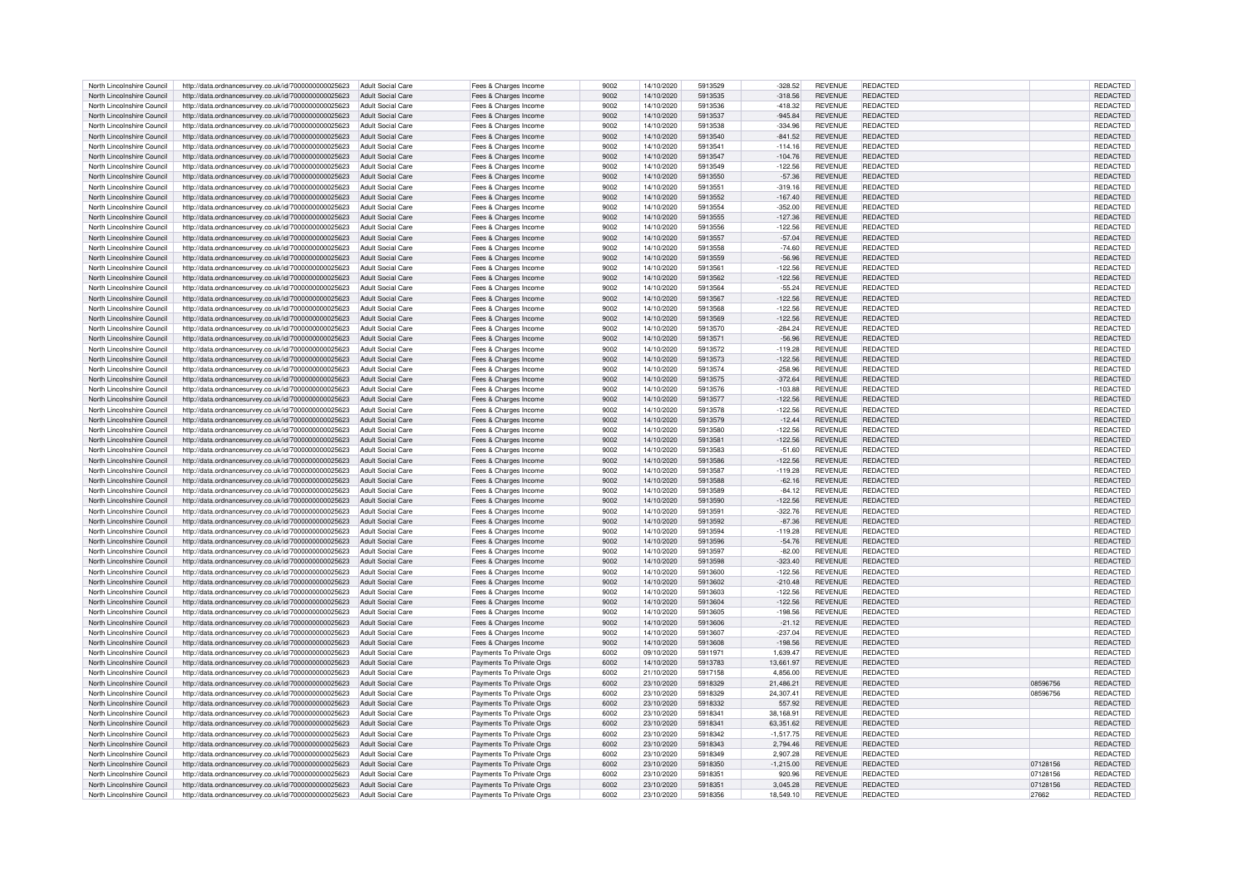| North Lincolnshire Council | http://data.ordnancesurvey.co.uk/id/7000000000025623                   | Adult Social Care        | Fees & Charges Income    | 9002 | 14/10/2020 | 5913529 | $-328.52$   | <b>REVENUE</b> | REDACTED        |          | REDACTED        |
|----------------------------|------------------------------------------------------------------------|--------------------------|--------------------------|------|------------|---------|-------------|----------------|-----------------|----------|-----------------|
| North Lincolnshire Council | http://data.ordnancesurvey.co.uk/id/7000000000025623                   | Adult Social Care        | Fees & Charges Income    | 9002 | 14/10/2020 | 5913535 | $-318.56$   | <b>REVENUE</b> | REDACTED        |          | REDACTED        |
| North Lincolnshire Council | http://data.ordnancesurvey.co.uk/id/7000000000025623                   | Adult Social Care        | Fees & Charges Income    | 9002 | 14/10/2020 | 5913536 | $-418.32$   | <b>REVENUE</b> | REDACTED        |          | REDACTED        |
| North Lincolnshire Council | http://data.ordnancesurvey.co.uk/id/7000000000025623                   | Adult Social Care        | Fees & Charges Income    | 9002 | 14/10/2020 | 5913537 | $-945.84$   | <b>REVENUE</b> | <b>REDACTED</b> |          | REDACTED        |
|                            |                                                                        |                          |                          |      |            |         |             |                |                 |          |                 |
| North Lincolnshire Council | http://data.ordnancesurvey.co.uk/id/7000000000025623                   | <b>Adult Social Care</b> | Fees & Charges Income    | 9002 | 14/10/2020 | 5913538 | $-334.96$   | <b>REVENUE</b> | REDACTED        |          | REDACTED        |
| North Lincolnshire Council | http://data.ordnancesurvey.co.uk/id/7000000000025623                   | <b>Adult Social Care</b> | Fees & Charges Income    | 9002 | 14/10/2020 | 5913540 | $-841.52$   | <b>REVENUE</b> | <b>REDACTED</b> |          | REDACTED        |
| North Lincolnshire Council | http://data.ordnancesurvey.co.uk/id/7000000000025623                   | <b>Adult Social Care</b> | Fees & Charges Income    | 9002 | 14/10/2020 | 5913541 | $-114.16$   | <b>REVENUE</b> | <b>REDACTED</b> |          | REDACTED        |
| North Lincolnshire Council | http://data.ordnancesurvey.co.uk/id/7000000000025623                   | Adult Social Care        | Fees & Charges Income    | 9002 | 14/10/2020 | 5913547 | $-104.76$   | <b>REVENUE</b> | REDACTED        |          | REDACTED        |
| North Lincolnshire Council | http://data.ordnancesurvey.co.uk/id/7000000000025623                   | Adult Social Care        | Fees & Charges Income    | 9002 | 14/10/2020 | 5913549 | $-122.56$   | <b>REVENUE</b> | <b>REDACTED</b> |          | REDACTED        |
| North Lincolnshire Council | http://data.ordnancesurvey.co.uk/id/7000000000025623                   | <b>Adult Social Care</b> | Fees & Charges Income    | 9002 | 14/10/2020 | 5913550 | $-57.36$    | <b>REVENUE</b> | REDACTED        |          | REDACTED        |
| North Lincolnshire Council | http://data.ordnancesurvey.co.uk/id/7000000000025623                   | Adult Social Care        | Fees & Charges Income    | 9002 | 14/10/2020 | 5913551 | $-319.16$   | <b>REVENUE</b> | REDACTED        |          | REDACTED        |
|                            |                                                                        |                          |                          | 9002 |            | 5913552 |             |                | <b>REDACTED</b> |          |                 |
| North Lincolnshire Council | http://data.ordnancesurvey.co.uk/id/7000000000025623                   | <b>Adult Social Care</b> | Fees & Charges Income    |      | 14/10/2020 |         | $-167.40$   | <b>REVENUE</b> |                 |          | REDACTED        |
| North Lincolnshire Council | http://data.ordnancesurvey.co.uk/id/7000000000025623                   | Adult Social Care        | Fees & Charges Income    | 9002 | 14/10/2020 | 5913554 | $-352.00$   | <b>REVENUE</b> | REDACTED        |          | REDACTED        |
| North Lincolnshire Council | http://data.ordnancesurvey.co.uk/id/7000000000025623                   | <b>Adult Social Care</b> | Fees & Charges Income    | 9002 | 14/10/2020 | 5913555 | $-127.36$   | <b>REVENUE</b> | <b>REDACTED</b> |          | REDACTED        |
| North Lincolnshire Council | http://data.ordnancesurvey.co.uk/id/7000000000025623                   | <b>Adult Social Care</b> | Fees & Charges Income    | 9002 | 14/10/2020 | 5913556 | $-122.56$   | <b>REVENUE</b> | <b>REDACTED</b> |          | REDACTED        |
| North Lincolnshire Council | http://data.ordnancesurvey.co.uk/id/7000000000025623                   | <b>Adult Social Care</b> | Fees & Charges Income    | 9002 | 14/10/2020 | 5913557 | $-57.04$    | <b>REVENUE</b> | REDACTED        |          | REDACTED        |
| North Lincolnshire Council | http://data.ordnancesurvey.co.uk/id/7000000000025623                   | <b>Adult Social Care</b> | Fees & Charges Income    | 9002 | 14/10/2020 | 5913558 | $-74.60$    | <b>REVENUE</b> | <b>REDACTED</b> |          | REDACTED        |
| North Lincolnshire Council | http://data.ordnancesurvey.co.uk/id/7000000000025623                   | Adult Social Care        | Fees & Charges Income    | 9002 | 14/10/2020 | 5913559 | $-56.96$    | <b>REVENUE</b> | <b>REDACTED</b> |          | REDACTED        |
| North Lincolnshire Council | http://data.ordnancesurvey.co.uk/id/7000000000025623                   | Adult Social Care        | Fees & Charges Income    | 9002 | 14/10/2020 | 5913561 | $-122.56$   | <b>REVENUE</b> | <b>REDACTED</b> |          | REDACTED        |
|                            |                                                                        |                          |                          |      |            |         |             |                |                 |          |                 |
| North Lincolnshire Council | http://data.ordnancesurvey.co.uk/id/7000000000025623                   | <b>Adult Social Care</b> | Fees & Charges Income    | 9002 | 14/10/2020 | 5913562 | $-122.56$   | <b>REVENUE</b> | REDACTED        |          | REDACTED        |
| North Lincolnshire Council | http://data.ordnancesurvey.co.uk/id/7000000000025623                   | <b>Adult Social Care</b> | Fees & Charges Income    | 9002 | 14/10/2020 | 5913564 | $-55.24$    | <b>REVENUE</b> | REDACTED        |          | REDACTED        |
| North Lincolnshire Council | http://data.ordnancesurvey.co.uk/id/7000000000025623                   | Adult Social Care        | Fees & Charges Income    | 9002 | 14/10/2020 | 5913567 | $-122.56$   | <b>REVENUE</b> | <b>REDACTED</b> |          | REDACTED        |
| North Lincolnshire Council | http://data.ordnancesurvey.co.uk/id/7000000000025623                   | <b>Adult Social Care</b> | Fees & Charges Income    | 9002 | 14/10/2020 | 5913568 | $-122.56$   | <b>REVENUE</b> | REDACTED        |          | REDACTED        |
| North Lincolnshire Council | http://data.ordnancesurvey.co.uk/id/7000000000025623                   | <b>Adult Social Care</b> | Fees & Charges Income    | 9002 | 14/10/2020 | 5913569 | $-122.56$   | <b>REVENUE</b> | REDACTED        |          | REDACTED        |
| North Lincolnshire Council | http://data.ordnancesurvey.co.uk/id/7000000000025623                   | <b>Adult Social Care</b> | Fees & Charges Income    | 9002 | 14/10/2020 | 5913570 | $-284.24$   | <b>REVENUE</b> | REDACTED        |          | REDACTED        |
| North Lincolnshire Council | http://data.ordnancesurvey.co.uk/id/7000000000025623                   | <b>Adult Social Care</b> | Fees & Charges Income    | 9002 | 14/10/2020 | 5913571 | $-56.96$    | <b>REVENUE</b> | <b>REDACTED</b> |          | REDACTED        |
| North Lincolnshire Council |                                                                        |                          |                          |      |            | 5913572 |             |                |                 |          |                 |
|                            | http://data.ordnancesurvey.co.uk/id/7000000000025623                   | <b>Adult Social Care</b> | Fees & Charges Income    | 9002 | 14/10/2020 |         | $-119.28$   | <b>REVENUE</b> | <b>REDACTED</b> |          | REDACTED        |
| North Lincolnshire Council | http://data.ordnancesurvey.co.uk/id/7000000000025623                   | Adult Social Care        | Fees & Charges Income    | 9002 | 14/10/2020 | 5913573 | $-122.56$   | <b>REVENUE</b> | REDACTED        |          | REDACTED        |
| North Lincolnshire Council | http://data.ordnancesurvey.co.uk/id/7000000000025623                   | Adult Social Care        | Fees & Charges Income    | 9002 | 14/10/2020 | 5913574 | $-258.96$   | <b>REVENUE</b> | <b>REDACTED</b> |          | REDACTED        |
| North Lincolnshire Council | http://data.ordnancesurvey.co.uk/id/7000000000025623                   | <b>Adult Social Care</b> | Fees & Charges Income    | 9002 | 14/10/2020 | 5913575 | $-372.64$   | <b>REVENUE</b> | REDACTED        |          | REDACTED        |
| North Lincolnshire Council | http://data.ordnancesurvey.co.uk/id/7000000000025623                   | Adult Social Care        | Fees & Charges Income    | 9002 | 14/10/2020 | 5913576 | $-103.88$   | <b>REVENUE</b> | REDACTED        |          | REDACTED        |
| North Lincolnshire Council | http://data.ordnancesurvey.co.uk/id/7000000000025623                   | <b>Adult Social Care</b> | Fees & Charges Income    | 9002 | 14/10/2020 | 5913577 | $-122.56$   | <b>REVENUE</b> | REDACTED        |          | REDACTED        |
| North Lincolnshire Council | http://data.ordnancesurvey.co.uk/id/7000000000025623                   | Adult Social Care        | Fees & Charges Income    | 9002 | 14/10/2020 | 5913578 | $-122.56$   | <b>REVENUE</b> | REDACTED        |          | REDACTED        |
|                            |                                                                        |                          |                          | 9002 |            |         |             |                |                 |          |                 |
| North Lincolnshire Council | http://data.ordnancesurvey.co.uk/id/7000000000025623                   | Adult Social Care        | Fees & Charges Income    |      | 14/10/2020 | 5913579 | $-12.44$    | <b>REVENUE</b> | REDACTED        |          | REDACTED        |
| North Lincolnshire Council | http://data.ordnancesurvey.co.uk/id/7000000000025623                   | Adult Social Care        | Fees & Charges Income    | 9002 | 14/10/2020 | 5913580 | $-122.56$   | <b>REVENUE</b> | REDACTED        |          | REDACTED        |
| North Lincolnshire Council | http://data.ordnancesurvey.co.uk/id/7000000000025623                   | Adult Social Care        | Fees & Charges Income    | 9002 | 14/10/2020 | 5913581 | $-122.56$   | <b>REVENUE</b> | REDACTED        |          | REDACTED        |
| North Lincolnshire Council | http://data.ordnancesurvey.co.uk/id/7000000000025623                   | <b>Adult Social Care</b> | Fees & Charges Income    | 9002 | 14/10/2020 | 5913583 | $-51.60$    | <b>REVENUE</b> | <b>REDACTED</b> |          | REDACTED        |
| North Lincolnshire Council | http://data.ordnancesurvey.co.uk/id/7000000000025623                   | Adult Social Care        | Fees & Charges Income    | 9002 | 14/10/2020 | 5913586 | $-122.56$   | <b>REVENUE</b> | <b>REDACTED</b> |          | REDACTED        |
| North Lincolnshire Council | http://data.ordnancesurvey.co.uk/id/7000000000025623                   | <b>Adult Social Care</b> | Fees & Charges Income    | 9002 | 14/10/2020 | 5913587 | $-119.28$   | <b>REVENUE</b> | REDACTED        |          | REDACTED        |
| North Lincolnshire Council | http://data.ordnancesurvey.co.uk/id/7000000000025623                   | <b>Adult Social Care</b> | Fees & Charges Income    | 9002 | 14/10/2020 | 5913588 | $-62.16$    | <b>REVENUE</b> | <b>REDACTED</b> |          | REDACTED        |
|                            |                                                                        |                          |                          |      |            |         |             |                |                 |          |                 |
| North Lincolnshire Council | http://data.ordnancesurvey.co.uk/id/7000000000025623                   | Adult Social Care        | Fees & Charges Income    | 9002 | 14/10/2020 | 5913589 | $-84.12$    | <b>REVENUE</b> | REDACTED        |          | REDACTED        |
| North Lincolnshire Council | http://data.ordnancesurvey.co.uk/id/7000000000025623                   | Adult Social Care        | Fees & Charges Income    | 9002 | 14/10/2020 | 5913590 | $-122.56$   | <b>REVENUE</b> | <b>REDACTED</b> |          | REDACTED        |
| North Lincolnshire Council | http://data.ordnancesurvey.co.uk/id/7000000000025623                   | Adult Social Care        | Fees & Charges Income    | 9002 | 14/10/2020 | 5913591 | $-322.76$   | <b>REVENUE</b> | REDACTED        |          | REDACTED        |
| North Lincolnshire Council | http://data.ordnancesurvey.co.uk/id/7000000000025623                   | <b>Adult Social Care</b> | Fees & Charges Income    | 9002 | 14/10/2020 | 5913592 | $-87.36$    | <b>REVENUE</b> | <b>REDACTED</b> |          | REDACTED        |
| North Lincolnshire Council | http://data.ordnancesurvey.co.uk/id/7000000000025623                   | <b>Adult Social Care</b> | Fees & Charges Income    | 9002 | 14/10/2020 | 5913594 | $-119.28$   | <b>REVENUE</b> | <b>REDACTED</b> |          | REDACTED        |
| North Lincolnshire Council | http://data.ordnancesurvey.co.uk/id/7000000000025623                   | <b>Adult Social Care</b> | Fees & Charges Income    | 9002 | 14/10/2020 | 5913596 | $-54.76$    | <b>REVENUE</b> | <b>REDACTED</b> |          | REDACTED        |
| North Lincolnshire Council | http://data.ordnancesurvey.co.uk/id/7000000000025623                   | <b>Adult Social Care</b> | Fees & Charges Income    | 9002 | 14/10/2020 | 5913597 | $-82.00$    | <b>REVENUE</b> | <b>REDACTED</b> |          | <b>REDACTED</b> |
| North Lincolnshire Council |                                                                        | Adult Social Care        |                          | 9002 | 14/10/2020 | 5913598 | $-323.40$   | <b>REVENUE</b> | <b>REDACTED</b> |          | <b>REDACTED</b> |
|                            | http://data.ordnancesurvey.co.uk/id/7000000000025623                   |                          | Fees & Charges Income    |      |            |         |             |                |                 |          |                 |
| North Lincolnshire Council | http://data.ordnancesurvey.co.uk/id/7000000000025623                   | Adult Social Care        | Fees & Charges Income    | 9002 | 14/10/2020 | 5913600 | $-122.56$   | <b>REVENUE</b> | <b>REDACTED</b> |          | REDACTED        |
| North Lincolnshire Council | http://data.ordnancesurvey.co.uk/id/7000000000025623                   | <b>Adult Social Care</b> | Fees & Charges Income    | 9002 | 14/10/2020 | 5913602 | $-210.48$   | <b>REVENUE</b> | REDACTED        |          | REDACTED        |
| North Lincolnshire Council | http://data.ordnancesurvey.co.uk/id/7000000000025623                   | Adult Social Care        | Fees & Charges Income    | 9002 | 14/10/2020 | 5913603 | $-122.56$   | <b>REVENUE</b> | <b>REDACTED</b> |          | REDACTED        |
| North Lincolnshire Council | http://data.ordnancesurvey.co.uk/id/7000000000025623                   | Adult Social Care        | Fees & Charges Income    | 9002 | 14/10/2020 | 5913604 | $-122.56$   | <b>REVENUE</b> | REDACTED        |          | REDACTED        |
| North Lincolnshire Council | http://data.ordnancesurvey.co.uk/id/7000000000025623                   | Adult Social Care        | Fees & Charges Income    | 9002 | 14/10/2020 | 5913605 | $-198.56$   | <b>REVENUE</b> | REDACTED        |          | REDACTED        |
| North Lincolnshire Council | http://data.ordnancesurvey.co.uk/id/7000000000025623                   | <b>Adult Social Care</b> | Fees & Charges Income    | 9002 | 14/10/2020 | 5913606 | $-21.12$    | <b>REVENUE</b> | REDACTED        |          | REDACTED        |
| North Lincolnshire Council | http://data.ordnancesurvey.co.uk/id/7000000000025623                   | Adult Social Care        | Fees & Charges Income    | 9002 | 14/10/2020 | 5913607 | $-237.04$   | <b>REVENUE</b> | REDACTED        |          | REDACTED        |
|                            |                                                                        |                          |                          |      |            |         |             |                |                 |          |                 |
| North Lincolnshire Council | http://data.ordnancesurvey.co.uk/id/7000000000025623                   | <b>Adult Social Care</b> | Fees & Charges Income    | 9002 | 14/10/2020 | 5913608 | $-198.56$   | <b>REVENUE</b> | REDACTED        |          | REDACTED        |
| North Lincolnshire Council | http://data.ordnancesurvey.co.uk/id/7000000000025623                   | <b>Adult Social Care</b> | Payments To Private Orgs | 6002 | 09/10/2020 | 5911971 | 1,639.47    | <b>REVENUE</b> | <b>REDACTED</b> |          | REDACTED        |
| North Lincolnshire Council | http://data.ordnancesurvey.co.uk/id/7000000000025623                   | <b>Adult Social Care</b> | Payments To Private Orgs | 6002 | 14/10/2020 | 5913783 | 13.661.97   | <b>REVENUE</b> | <b>REDACTED</b> |          | <b>REDACTED</b> |
| North Lincolnshire Council | http://data.ordnancesurvey.co.uk/id/7000000000025623                   | <b>Adult Social Care</b> | Payments To Private Orgs | 6002 | 21/10/2020 | 5917158 | 4,856.00    | <b>REVENUE</b> | <b>REDACTED</b> |          | REDACTED        |
| North Lincolnshire Council | http://data.ordnancesurvey.co.uk/id/7000000000025623                   | <b>Adult Social Care</b> | Payments To Private Orgs | 6002 | 23/10/2020 | 5918329 | 21,486.21   | <b>REVENUE</b> | <b>REDACTED</b> | 08596756 | REDACTED        |
| North Lincolnshire Council | http://data.ordnancesurvey.co.uk/id/7000000000025623                   | Adult Social Care        | Payments To Private Oras | 6002 | 23/10/2020 | 5918329 | 24.307.41   | <b>REVENUE</b> | <b>REDACTED</b> | 08596756 | REDACTED        |
| North Lincolnshire Council | http://data.ordnancesurvey.co.uk/id/7000000000025623                   | <b>Adult Social Care</b> | Payments To Private Orgs | 6002 | 23/10/2020 | 5918332 | 557.92      | <b>REVENUE</b> | <b>REDACTED</b> |          | REDACTED        |
| North Lincolnshire Council | http://data.ordnancesurvey.co.uk/id/7000000000025623                   | Adult Social Care        | Payments To Private Oras | 6002 | 23/10/2020 | 5918341 | 38.168.91   | <b>REVENUE</b> | REDACTED        |          | <b>REDACTED</b> |
|                            |                                                                        |                          |                          |      |            |         |             |                |                 |          |                 |
| North Lincolnshire Council | http://data.ordnancesurvey.co.uk/id/7000000000025623                   | <b>Adult Social Care</b> | Payments To Private Orgs | 6002 | 23/10/2020 | 5918341 | 63,351.62   | <b>REVENUE</b> | <b>REDACTED</b> |          | REDACTED        |
| North Lincolnshire Council | http://data.ordnancesurvey.co.uk/id/7000000000025623                   | <b>Adult Social Care</b> | Payments To Private Orgs | 6002 | 23/10/2020 | 5918342 | $-1,517.75$ | <b>REVENUE</b> | REDACTED        |          | REDACTED        |
| North Lincolnshire Council | http://data.ordnancesurvey.co.uk/id/7000000000025623                   | <b>Adult Social Care</b> | Payments To Private Orgs | 6002 | 23/10/2020 | 5918343 | 2,794.46    | <b>REVENUE</b> | <b>REDACTED</b> |          | REDACTED        |
| North Lincolnshire Council | http://data.ordnancesurvey.co.uk/id/7000000000025623                   | <b>Adult Social Care</b> | Payments To Private Orgs | 6002 | 23/10/2020 | 5918349 | 2,907.28    | <b>REVENUE</b> | <b>REDACTED</b> |          | REDACTED        |
| North Lincolnshire Council | http://data.ordnancesurvey.co.uk/id/7000000000025623                   | <b>Adult Social Care</b> | Payments To Private Orgs | 6002 | 23/10/2020 | 5918350 | $-1,215.00$ | <b>REVENUE</b> | REDACTED        | 07128156 | REDACTED        |
| North Lincolnshire Council | http://data.ordnancesurvey.co.uk/id/7000000000025623                   | Adult Social Care        | Payments To Private Orgs | cooa | 23/10/2020 | 5918351 | 920.96      | <b>REVENUE</b> | <b>REDACTED</b> | 07128156 | REDACTED        |
| North Lincolnshire Council | http://data.ordnancesurvey.co.uk/id/7000000000025623                   | Adult Social Care        | Payments To Private Orgs | 5002 | 23/10/2020 | 5918351 | 3.045.28    | <b>REVENUE</b> | REDACTED        | 07128156 | <b>REDACTED</b> |
|                            |                                                                        |                          |                          |      |            |         |             |                |                 |          |                 |
| North Lincolnshire Council | http://data.ordnancesurvey.co.uk/id/7000000000025623 Adult Social Care |                          | Payments To Private Orgs | 6002 | 23/10/2020 | 5918356 | 18,549.10   | <b>REVENUE</b> | REDACTED        | 27662    | REDACTED        |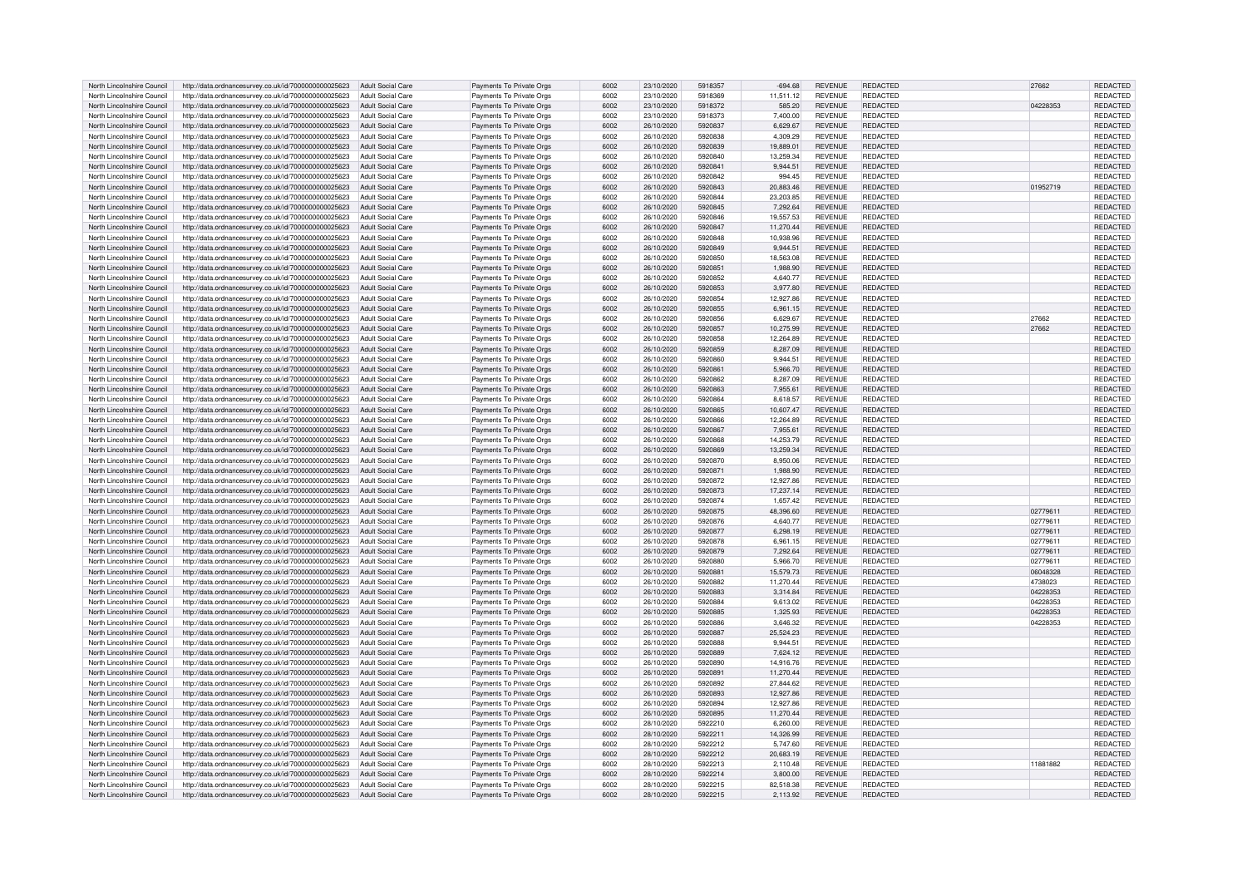| North Lincolnshire Council | http://data.ordnancesurvey.co.uk/id/7000000000025623                   | Adult Social Care        | Payments To Private Orgs | 6002 | 23/10/2020 | 5918357 | $-694.68$ | <b>REVENUE</b> | <b>REDACTED</b> | 27662    | REDACTED        |
|----------------------------|------------------------------------------------------------------------|--------------------------|--------------------------|------|------------|---------|-----------|----------------|-----------------|----------|-----------------|
| North Lincolnshire Council | http://data.ordnancesurvey.co.uk/id/7000000000025623                   | Adult Social Care        | Payments To Private Orgs | 6002 | 23/10/2020 | 5918369 | 11,511.12 | <b>REVENUE</b> | <b>REDACTED</b> |          | REDACTED        |
| North Lincolnshire Council | http://data.ordnancesurvey.co.uk/id/7000000000025623                   | Adult Social Care        | Payments To Private Orgs | 6002 | 23/10/2020 | 5918372 | 585.20    | <b>REVENUE</b> | REDACTED        | 04228353 | REDACTED        |
|                            |                                                                        |                          |                          |      |            |         |           |                |                 |          |                 |
| North Lincolnshire Council | http://data.ordnancesurvey.co.uk/id/7000000000025623                   | Adult Social Care        | Payments To Private Oras | 6002 | 23/10/2020 | 5918373 | 7.400.00  | <b>REVENUE</b> | REDACTED        |          | REDACTED        |
| North Lincolnshire Council | http://data.ordnancesurvey.co.uk/id/7000000000025623                   | Adult Social Care        | Payments To Private Orgs | 6002 | 26/10/2020 | 5920837 | 6,629.67  | <b>REVENUE</b> | <b>REDACTED</b> |          | REDACTED        |
| North Lincolnshire Council | http://data.ordnancesurvey.co.uk/id/7000000000025623                   | <b>Adult Social Care</b> | Payments To Private Orgs | 6002 | 26/10/2020 | 5920838 | 4,309.29  | <b>REVENUE</b> | <b>REDACTED</b> |          | REDACTED        |
| North Lincolnshire Council | http://data.ordnancesurvey.co.uk/id/7000000000025623                   | <b>Adult Social Care</b> | Payments To Private Orgs | 6002 | 26/10/2020 | 5920839 | 19.889.0  | <b>REVENUE</b> | REDACTED        |          | REDACTED        |
| North Lincolnshire Council | http://data.ordnancesurvey.co.uk/id/7000000000025623                   | <b>Adult Social Care</b> | Payments To Private Orgs | 6002 | 26/10/2020 | 5920840 | 13,259.34 | <b>REVENUE</b> | <b>REDACTED</b> |          | REDACTED        |
| North Lincolnshire Council | http://data.ordnancesurvey.co.uk/id/7000000000025623                   | <b>Adult Social Care</b> | Payments To Private Orgs | 6002 | 26/10/2020 | 5920841 | 9.944.51  | <b>REVENUE</b> | REDACTED        |          | REDACTED        |
| North Lincolnshire Council | http://data.ordnancesurvey.co.uk/id/7000000000025623                   | Adult Social Care        | Payments To Private Orgs | 6002 | 26/10/2020 | 5920842 | 994.45    | <b>REVENUE</b> | REDACTED        |          | REDACTED        |
|                            |                                                                        |                          |                          |      |            |         |           |                |                 |          |                 |
| North Lincolnshire Council | http://data.ordnancesurvey.co.uk/id/7000000000025623                   | <b>Adult Social Care</b> | Payments To Private Orgs | 6002 | 26/10/2020 | 5920843 | 20,883.46 | <b>REVENUE</b> | REDACTED        | 01952719 | REDACTED        |
| North Lincolnshire Council | http://data.ordnancesurvey.co.uk/id/7000000000025623                   | Adult Social Care        | Payments To Private Orgs | 6002 | 26/10/2020 | 5920844 | 23,203.85 | <b>REVENUE</b> | REDACTED        |          | REDACTED        |
| North Lincolnshire Council | http://data.ordnancesurvey.co.uk/id/7000000000025623                   | <b>Adult Social Care</b> | Payments To Private Orgs | 6002 | 26/10/2020 | 5920845 | 7,292.64  | <b>REVENUE</b> | <b>REDACTED</b> |          | REDACTED        |
| North Lincolnshire Council | http://data.ordnancesurvey.co.uk/id/7000000000025623                   | Adult Social Care        | Payments To Private Oras | 6002 | 26/10/2020 | 5920846 | 19.557.53 | <b>REVENUE</b> | REDACTED        |          | REDACTED        |
| North Lincolnshire Council | http://data.ordnancesurvey.co.uk/id/7000000000025623                   | <b>Adult Social Care</b> | Payments To Private Orgs | 6002 | 26/10/2020 | 5920847 | 11,270.44 | <b>REVENUE</b> | REDACTED        |          | REDACTED        |
| North Lincolnshire Council | http://data.ordnancesurvey.co.uk/id/7000000000025623                   | <b>Adult Social Care</b> | Payments To Private Orgs | 6002 | 26/10/2020 | 5920848 | 10,938.96 | <b>REVENUE</b> | <b>REDACTED</b> |          | REDACTED        |
| North Lincolnshire Council | http://data.ordnancesurvey.co.uk/id/7000000000025623                   | <b>Adult Social Care</b> | Payments To Private Orgs | 6002 | 26/10/2020 | 5920849 | 9,944.51  | <b>REVENUE</b> | <b>REDACTED</b> |          | REDACTED        |
|                            |                                                                        |                          |                          |      |            |         |           |                |                 |          |                 |
| North Lincolnshire Council | http://data.ordnancesurvey.co.uk/id/7000000000025623                   | Adult Social Care        | Payments To Private Orgs | 6002 | 26/10/2020 | 5920850 | 18,563.08 | <b>REVENUE</b> | <b>REDACTED</b> |          | REDACTED        |
| North Lincolnshire Council | http://data.ordnancesurvey.co.uk/id/7000000000025623                   | <b>Adult Social Care</b> | Payments To Private Orgs | 6002 | 26/10/2020 | 5920851 | 1,988.90  | <b>REVENUE</b> | REDACTED        |          | REDACTED        |
| North Lincolnshire Council | http://data.ordnancesurvey.co.uk/id/7000000000025623                   | Adult Social Care        | Payments To Private Orgs | 6002 | 26/10/2020 | 5920852 | 4,640.77  | <b>REVENUE</b> | <b>REDACTED</b> |          | REDACTED        |
| North Lincolnshire Council | http://data.ordnancesurvey.co.uk/id/7000000000025623                   | <b>Adult Social Care</b> | Payments To Private Orgs | 6002 | 26/10/2020 | 5920853 | 3,977.80  | <b>REVENUE</b> | <b>REDACTED</b> |          | REDACTED        |
| North Lincolnshire Council | http://data.ordnancesurvey.co.uk/id/7000000000025623                   | <b>Adult Social Care</b> | Payments To Private Orgs | 6002 | 26/10/2020 | 5920854 | 12,927.86 | <b>REVENUE</b> | REDACTED        |          | REDACTED        |
| North Lincolnshire Council | http://data.ordnancesurvey.co.uk/id/7000000000025623                   | Adult Social Care        | Payments To Private Orgs | 6002 | 26/10/2020 | 5920855 | 6,961.15  | <b>REVENUE</b> | <b>REDACTED</b> |          | REDACTED        |
| North Lincolnshire Council |                                                                        | Adult Social Care        |                          | 6002 |            | 5920856 | 6.629.67  | <b>REVENUE</b> | <b>REDACTED</b> | 27662    | REDACTED        |
|                            | http://data.ordnancesurvey.co.uk/id/7000000000025623                   |                          | Payments To Private Orgs |      | 26/10/2020 |         |           |                |                 |          |                 |
| North Lincolnshire Council | http://data.ordnancesurvey.co.uk/id/7000000000025623                   | <b>Adult Social Care</b> | Payments To Private Orgs | 6002 | 26/10/2020 | 5920857 | 10,275.99 | <b>REVENUE</b> | <b>REDACTED</b> | 27662    | REDACTED        |
| North Lincolnshire Council | http://data.ordnancesurvey.co.uk/id/7000000000025623                   | Adult Social Care        | Payments To Private Orgs | 6002 | 26/10/2020 | 5920858 | 12,264.89 | <b>REVENUE</b> | <b>REDACTED</b> |          | REDACTED        |
| North Lincolnshire Council | http://data.ordnancesurvey.co.uk/id/7000000000025623                   | <b>Adult Social Care</b> | Payments To Private Orgs | 6002 | 26/10/2020 | 5920859 | 8,287.09  | <b>REVENUE</b> | REDACTED        |          | REDACTED        |
| North Lincolnshire Council | http://data.ordnancesurvey.co.uk/id/7000000000025623                   | Adult Social Care        | Payments To Private Oras | 6002 | 26/10/2020 | 5920860 | 9.944.51  | <b>REVENUE</b> | <b>REDACTED</b> |          | REDACTED        |
| North Lincolnshire Council | http://data.ordnancesurvey.co.uk/id/7000000000025623                   | <b>Adult Social Care</b> | Payments To Private Orgs | 6002 | 26/10/2020 | 5920861 | 5.966.70  | <b>REVENUE</b> | <b>REDACTED</b> |          | REDACTED        |
| North Lincolnshire Council | http://data.ordnancesurvey.co.uk/id/7000000000025623                   | Adult Social Care        | Payments To Private Orgs | 6002 | 26/10/2020 | 5920862 | 8,287.09  | <b>REVENUE</b> | <b>REDACTED</b> |          | REDACTED        |
|                            |                                                                        |                          |                          | 6002 |            |         |           |                |                 |          |                 |
| North Lincolnshire Council | http://data.ordnancesurvey.co.uk/id/7000000000025623                   | <b>Adult Social Care</b> | Payments To Private Orgs |      | 26/10/2020 | 5920863 | 7,955.61  | <b>REVENUE</b> | REDACTED        |          | REDACTED        |
| North Lincolnshire Council | http://data.ordnancesurvey.co.uk/id/7000000000025623                   | Adult Social Care        | Payments To Private Orgs | 6002 | 26/10/2020 | 5920864 | 8,618.57  | <b>REVENUE</b> | REDACTED        |          | REDACTED        |
| North Lincolnshire Council | http://data.ordnancesurvey.co.uk/id/7000000000025623                   | <b>Adult Social Care</b> | Payments To Private Orgs | 6002 | 26/10/2020 | 5920865 | 10,607.47 | <b>REVENUE</b> | REDACTED        |          | REDACTED        |
| North Lincolnshire Council | http://data.ordnancesurvey.co.uk/id/7000000000025623                   | Adult Social Care        | Payments To Private Orgs | 6002 | 26/10/2020 | 5920866 | 12.264.89 | <b>REVENUE</b> | REDACTED        |          | REDACTED        |
| North Lincolnshire Council | http://data.ordnancesurvey.co.uk/id/7000000000025623                   | <b>Adult Social Care</b> | Payments To Private Orgs | 6002 | 26/10/2020 | 5920867 | 7,955.61  | <b>REVENUE</b> | REDACTED        |          | REDACTED        |
| North Lincolnshire Council | http://data.ordnancesurvey.co.uk/id/7000000000025623                   | <b>Adult Social Care</b> | Payments To Private Orgs | 6002 | 26/10/2020 | 5920868 | 14,253.79 | <b>REVENUE</b> | REDACTED        |          | REDACTED        |
| North Lincolnshire Council | http://data.ordnancesurvey.co.uk/id/7000000000025623                   | Adult Social Care        | Payments To Private Orgs | 6002 | 26/10/2020 | 5920869 | 13.259.34 | <b>REVENUE</b> | <b>REDACTED</b> |          | REDACTED        |
|                            |                                                                        |                          |                          |      |            |         |           |                |                 |          |                 |
| North Lincolnshire Council | http://data.ordnancesurvey.co.uk/id/7000000000025623                   | <b>Adult Social Care</b> | Payments To Private Orgs | 6002 | 26/10/2020 | 5920870 | 8,950.06  | <b>REVENUE</b> | <b>REDACTED</b> |          | REDACTED        |
| North Lincolnshire Council | http://data.ordnancesurvey.co.uk/id/7000000000025623                   | Adult Social Care        | Payments To Private Orgs | 6002 | 26/10/2020 | 5920871 | 1.988.90  | <b>REVENUE</b> | <b>REDACTED</b> |          | REDACTED        |
| North Lincolnshire Council | http://data.ordnancesurvey.co.uk/id/7000000000025623                   | <b>Adult Social Care</b> | Payments To Private Orgs | 6002 | 26/10/2020 | 5920872 | 12.927.86 | <b>REVENUE</b> | <b>REDACTED</b> |          | REDACTED        |
| North Lincolnshire Council | http://data.ordnancesurvey.co.uk/id/7000000000025623                   | Adult Social Care        | Payments To Private Orgs | 6002 | 26/10/2020 | 5920873 | 17,237.14 | <b>REVENUE</b> | REDACTED        |          | REDACTED        |
| North Lincolnshire Council | http://data.ordnancesurvey.co.uk/id/7000000000025623                   | Adult Social Care        | Payments To Private Orgs | 6002 | 26/10/2020 | 5920874 | 1.657.42  | <b>REVENUE</b> | REDACTED        |          | REDACTED        |
| North Lincolnshire Council | http://data.ordnancesurvey.co.uk/id/7000000000025623                   | <b>Adult Social Care</b> | Payments To Private Orgs | 6002 | 26/10/2020 | 5920875 | 48,396.60 | <b>REVENUE</b> | REDACTED        | 02779611 | REDACTED        |
| North Lincolnshire Council | http://data.ordnancesurvey.co.uk/id/7000000000025623                   | Adult Social Care        | Payments To Private Orgs | 6002 | 26/10/2020 | 5920876 | 4.640.77  | <b>REVENUE</b> | REDACTED        | 02779611 | REDACTED        |
|                            |                                                                        |                          |                          |      |            |         |           |                |                 |          |                 |
| North Lincolnshire Council | http://data.ordnancesurvey.co.uk/id/7000000000025623                   | <b>Adult Social Care</b> | Payments To Private Orgs | 6002 | 26/10/2020 | 5920877 | 6.298.19  | <b>REVENUE</b> | REDACTED        | 02779611 | REDACTED        |
| North Lincolnshire Council | http://data.ordnancesurvey.co.uk/id/7000000000025623                   | <b>Adult Social Care</b> | Payments To Private Orgs | 6002 | 26/10/2020 | 5920878 | 6,961.15  | <b>REVENUE</b> | <b>REDACTED</b> | 02779611 | REDACTED        |
| North Lincolnshire Council | http://data.ordnancesurvey.co.uk/id/7000000000025623                   | Adult Social Care        | Payments To Private Orgs | 6002 | 26/10/2020 | 5920879 | 7,292.64  | <b>REVENUE</b> | <b>REDACTED</b> | 02779611 | REDACTED        |
| North Lincolnshire Council | http://data.ordnancesurvey.co.uk/id/7000000000025623                   | Adult Social Care        | Payments To Private Oras | 6002 | 26/10/2020 | 5920880 | 5.966.70  | <b>REVENUE</b> | REDACTED        | 0277961  | REDACTED        |
| North Lincolnshire Council | http://data.ordnancesurvey.co.uk/id/7000000000025623                   | Adult Social Care        | Payments To Private Orgs | 6002 | 26/10/2020 | 5920881 | 15,579.73 | <b>REVENUE</b> | <b>REDACTED</b> | 06048328 | REDACTED        |
| North Lincolnshire Council | http://data.ordnancesurvey.co.uk/id/7000000000025623                   | Adult Social Care        | Payments To Private Orgs | 6002 | 26/10/2020 | 5920882 | 11.270.44 | <b>REVENUE</b> | <b>REDACTED</b> | 4738023  | REDACTED        |
| North Lincolnshire Council | http://data.ordnancesurvey.co.uk/id/7000000000025623                   | Adult Social Care        | Payments To Private Orgs | 6002 | 26/10/2020 | 5920883 | 3,314.84  | <b>REVENUE</b> | <b>REDACTED</b> | 04228353 | REDACTED        |
|                            |                                                                        |                          |                          |      |            |         |           |                |                 |          |                 |
| North Lincolnshire Council | http://data.ordnancesurvey.co.uk/id/7000000000025623                   | <b>Adult Social Care</b> | Payments To Private Orgs | 6002 | 26/10/2020 | 5920884 | 9,613.02  | <b>REVENUE</b> | <b>REDACTED</b> | 04228353 | REDACTED        |
| North Lincolnshire Council | http://data.ordnancesurvey.co.uk/id/7000000000025623                   | Adult Social Care        | Payments To Private Orgs | 6002 | 26/10/2020 | 5920885 | 1.325.93  | <b>REVENUE</b> | REDACTED        | 04228353 | REDACTED        |
| North Lincolnshire Council | http://data.ordnancesurvey.co.uk/id/7000000000025623                   | <b>Adult Social Care</b> | Payments To Private Orgs | 6002 | 26/10/2020 | 5920886 | 3,646.32  | <b>REVENUE</b> | <b>REDACTED</b> | 04228353 | REDACTED        |
| North Lincolnshire Council | http://data.ordnancesurvey.co.uk/id/7000000000025623                   | <b>Adult Social Care</b> | Payments To Private Orgs | 6002 | 26/10/2020 | 5920887 | 25,524.23 | <b>REVENUE</b> | <b>REDACTED</b> |          | REDACTED        |
| North Lincolnshire Council | http://data.ordnancesurvey.co.uk/id/7000000000025623                   | <b>Adult Social Care</b> | Payments To Private Orgs | 6002 | 26/10/2020 | 5920888 | 9,944.51  | <b>REVENUE</b> | <b>REDACTED</b> |          | REDACTED        |
| North Lincolnshire Council | http://data.ordnancesurvey.co.uk/id/7000000000025623                   | <b>Adult Social Care</b> | Payments To Private Orgs | 6002 | 26/10/2020 | 5920889 | 7,624.12  | <b>REVENUE</b> | <b>REDACTED</b> |          | REDACTED        |
| North Lincolnshire Council | http://data.ordnancesurvey.co.uk/id/7000000000025623                   | Adult Social Care        | Payments To Private Oras | 6002 | 26/10/2020 | 5920890 | 14.916.76 | <b>REVENUE</b> | REDACTED        |          | REDACTED        |
| North Lincolnshire Council |                                                                        | Adult Social Care        |                          | 6002 | 26/10/2020 | 5920891 |           | <b>REVENUE</b> | <b>REDACTED</b> |          | REDACTED        |
|                            | http://data.ordnancesurvey.co.uk/id/7000000000025623                   |                          | Payments To Private Orgs |      |            |         | 11,270.44 |                |                 |          |                 |
| North Lincolnshire Council | http://data.ordnancesurvey.co.uk/id/7000000000025623                   | Adult Social Care        | Payments To Private Orgs | 6002 | 26/10/2020 | 5920892 | 27,844.62 | <b>REVENUE</b> | REDACTED        |          | REDACTED        |
| North Lincolnshire Council | http://data.ordnancesurvey.co.uk/id/7000000000025623                   | <b>Adult Social Care</b> | Payments To Private Orgs | 6002 | 26/10/2020 | 5920893 | 12,927.86 | <b>REVENUE</b> | REDACTED        |          | REDACTED        |
| North Lincolnshire Council | http://data.ordnancesurvey.co.uk/id/7000000000025623                   | Adult Social Care        | Payments To Private Orgs | 6002 | 26/10/2020 | 5920894 | 12,927.86 | <b>REVENUE</b> | <b>REDACTED</b> |          | REDACTED        |
| North Lincolnshire Council | http://data.ordnancesurvey.co.uk/id/7000000000025623                   | Adult Social Care        | Payments To Private Oras | 6002 | 26/10/2020 | 5920895 | 11.270.44 | <b>REVENUE</b> | REDACTED        |          | <b>REDACTED</b> |
| North Lincolnshire Council | http://data.ordnancesurvey.co.uk/id/7000000000025623                   | Adult Social Care        | Payments To Private Orgs | 6002 | 28/10/2020 | 5922210 | 6.260.00  | <b>REVENUE</b> | REDACTED        |          | REDACTED        |
| North Lincolnshire Council | http://data.ordnancesurvey.co.uk/id/7000000000025623                   | <b>Adult Social Care</b> | Payments To Private Orgs | 6002 | 28/10/2020 | 5922211 | 14,326.99 | <b>REVENUE</b> | <b>REDACTED</b> |          | REDACTED        |
|                            |                                                                        |                          |                          |      |            |         |           |                |                 |          |                 |
| North Lincolnshire Council | http://data.ordnancesurvey.co.uk/id/7000000000025623                   | Adult Social Care        | Payments To Private Orgs | 6002 | 28/10/2020 | 5922212 | 5,747.60  | <b>REVENUE</b> | REDACTED        |          | REDACTED        |
| North Lincolnshire Council | http://data.ordnancesurvey.co.uk/id/7000000000025623                   | Adult Social Care        | Payments To Private Orgs | 6002 | 28/10/2020 | 5922212 | 20.683.19 | <b>REVENUE</b> | <b>REDACTED</b> |          | REDACTED        |
| North Lincolnshire Council | http://data.ordnancesurvey.co.uk/id/7000000000025623                   | <b>Adult Social Care</b> | Payments To Private Orgs | 6002 | 28/10/2020 | 5922213 | 2,110.48  | <b>REVENUE</b> | <b>REDACTED</b> | 11881882 | REDACTED        |
| North Lincolnshire Council | http://data.ordnancesurvey.co.uk/id/7000000000025623                   | Adult Social Care        | Payments To Private Orgs | 6002 | 28/10/2020 | 5922214 | 3.800.00  | <b>REVENUE</b> | REDACTED        |          | <b>REDACTED</b> |
| North Lincolnshire Council | http://data.ordnancesurvey.co.uk/id/7000000000025623                   | Adult Social Care        | Payments To Private Orgs | 6002 | 28/10/2020 | 5922215 | 82.518.38 | <b>REVENUE</b> | <b>REDACTED</b> |          | REDACTED        |
| North Lincolnshire Council | http://data.ordnancesurvey.co.uk/id/7000000000025623 Adult Social Care |                          | Payments To Private Orgs | 6002 | 28/10/2020 | 5922215 | 2,113.92  | <b>REVENUE</b> | REDACTED        |          | <b>REDACTED</b> |
|                            |                                                                        |                          |                          |      |            |         |           |                |                 |          |                 |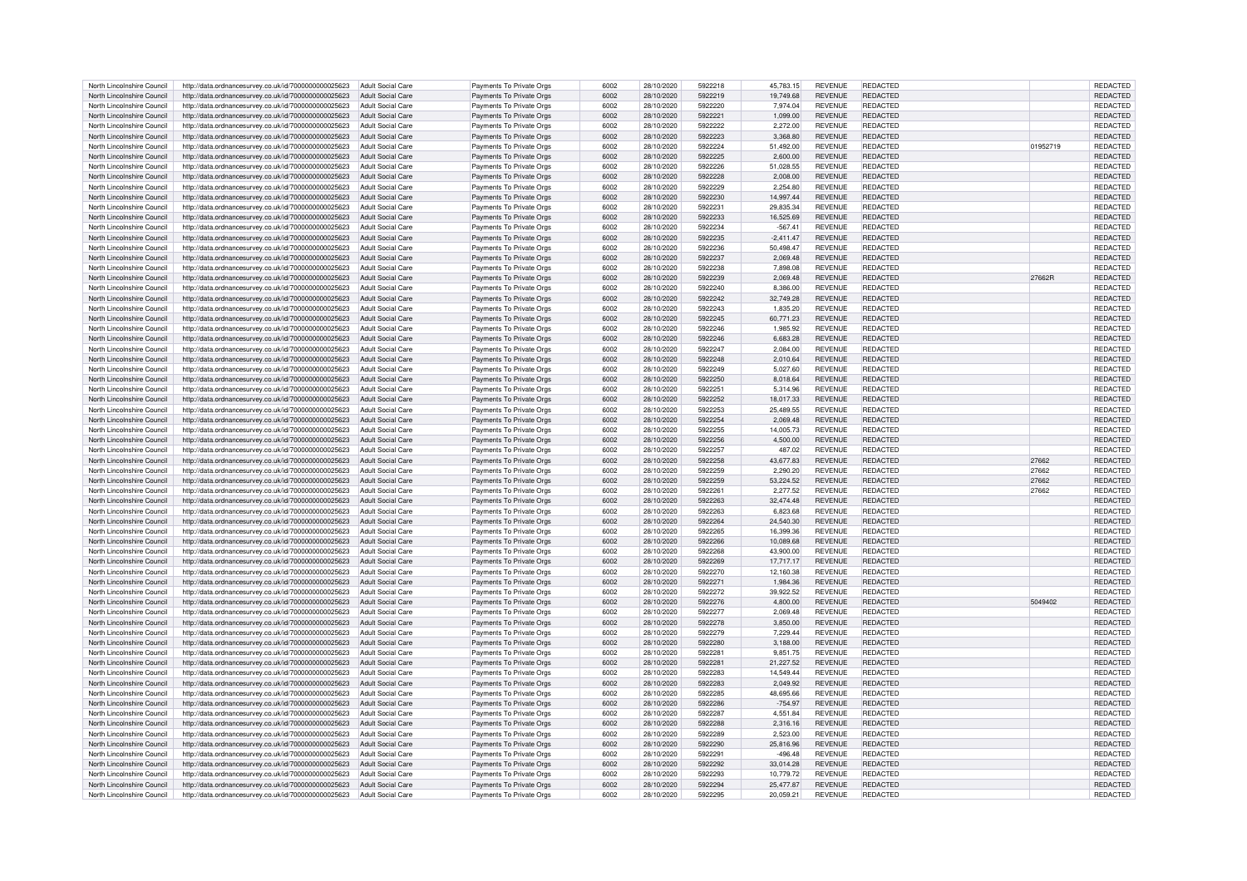| North Lincolnshire Council | http://data.ordnancesurvey.co.uk/id/7000000000025623                   | Adult Social Care        | Payments To Private Orgs | 6002 | 28/10/2020 | 5922218 | 45,783.15   | <b>REVENUE</b> | REDACTED        |          | REDACTED        |
|----------------------------|------------------------------------------------------------------------|--------------------------|--------------------------|------|------------|---------|-------------|----------------|-----------------|----------|-----------------|
| North Lincolnshire Council | http://data.ordnancesurvey.co.uk/id/7000000000025623                   | <b>Adult Social Care</b> | Payments To Private Orgs | 6002 | 28/10/2020 | 5922219 | 19.749.68   | <b>REVENUE</b> | REDACTED        |          | <b>REDACTED</b> |
| North Lincolnshire Council | http://data.ordnancesurvey.co.uk/id/7000000000025623                   | <b>Adult Social Care</b> |                          | 6002 | 28/10/2020 | 5922220 | 7.974.04    | <b>REVENUE</b> | REDACTED        |          | REDACTED        |
|                            |                                                                        |                          | Payments To Private Orgs |      |            |         |             |                |                 |          |                 |
| North Lincolnshire Council | http://data.ordnancesurvey.co.uk/id/7000000000025623                   | <b>Adult Social Care</b> | Payments To Private Orgs | 6002 | 28/10/2020 | 5922221 | 1,099.00    | <b>REVENUE</b> | REDACTED        |          | REDACTED        |
| North Lincolnshire Council | http://data.ordnancesurvey.co.uk/id/7000000000025623                   | <b>Adult Social Care</b> | Payments To Private Orgs | 6002 | 28/10/2020 | 5922222 | 2,272.00    | <b>REVENUE</b> | REDACTED        |          | REDACTED        |
| North Lincolnshire Council | http://data.ordnancesurvey.co.uk/id/7000000000025623                   | <b>Adult Social Care</b> | Payments To Private Orgs | 6002 | 28/10/2020 | 5922223 | 3,368.80    | <b>REVENUE</b> | REDACTED        |          | REDACTED        |
| North Lincolnshire Council | http://data.ordnancesurvey.co.uk/id/7000000000025623                   | <b>Adult Social Care</b> | Payments To Private Orgs | 6002 | 28/10/2020 | 5922224 | 51,492.00   | <b>REVENUE</b> | <b>REDACTED</b> | 01952719 | REDACTED        |
| North Lincolnshire Council |                                                                        | <b>Adult Social Care</b> |                          | 6002 | 28/10/2020 | 5922225 | 2,600.00    | <b>REVENUE</b> | REDACTED        |          | <b>REDACTED</b> |
|                            | http://data.ordnancesurvey.co.uk/id/7000000000025623                   |                          | Payments To Private Orgs |      |            |         |             |                |                 |          |                 |
| North Lincolnshire Council | http://data.ordnancesurvey.co.uk/id/7000000000025623                   | <b>Adult Social Care</b> | Payments To Private Orgs | 6002 | 28/10/2020 | 5922226 | 51.028.55   | <b>REVENUE</b> | <b>REDACTED</b> |          | <b>REDACTED</b> |
| North Lincolnshire Council | http://data.ordnancesurvey.co.uk/id/7000000000025623                   | <b>Adult Social Care</b> | Payments To Private Orgs | 6002 | 28/10/2020 | 5922228 | 2,008.00    | <b>REVENUE</b> | REDACTED        |          | REDACTED        |
| North Lincolnshire Council | http://data.ordnancesurvey.co.uk/id/7000000000025623                   | Adult Social Care        | Payments To Private Orgs | 6002 | 28/10/2020 | 5922229 | 2,254.80    | <b>REVENUE</b> | REDACTED        |          | REDACTED        |
|                            |                                                                        |                          |                          | 6002 |            | 5922230 |             |                | <b>REDACTED</b> |          |                 |
| North Lincolnshire Council | http://data.ordnancesurvey.co.uk/id/7000000000025623                   | <b>Adult Social Care</b> | Payments To Private Orgs |      | 28/10/2020 |         | 14,997.44   | <b>REVENUE</b> |                 |          | REDACTED        |
| North Lincolnshire Council | http://data.ordnancesurvey.co.uk/id/7000000000025623                   | Adult Social Care        | Payments To Private Oras | 6002 | 28/10/2020 | 5922231 | 29,835.34   | <b>REVENUE</b> | REDACTED        |          | REDACTED        |
| North Lincolnshire Council | http://data.ordnancesurvey.co.uk/id/7000000000025623                   | Adult Social Care        | Payments To Private Orgs | 6002 | 28/10/2020 | 5922233 | 16,525.69   | <b>REVENUE</b> | <b>REDACTED</b> |          | REDACTED        |
| North Lincolnshire Council | http://data.ordnancesurvey.co.uk/id/7000000000025623                   | <b>Adult Social Care</b> | Payments To Private Orgs | 6002 | 28/10/2020 | 5922234 | $-567.41$   | <b>REVENUE</b> | REDACTED        |          | REDACTED        |
| North Lincolnshire Council |                                                                        | <b>Adult Social Care</b> | Payments To Private Orgs | 6002 | 28/10/2020 | 5922235 | $-2,411.47$ | <b>REVENUE</b> | <b>REDACTED</b> |          | REDACTED        |
|                            | http://data.ordnancesurvey.co.uk/id/7000000000025623                   |                          |                          |      |            |         |             |                |                 |          |                 |
| North Lincolnshire Council | http://data.ordnancesurvey.co.uk/id/7000000000025623                   | <b>Adult Social Care</b> | Payments To Private Orgs | 6002 | 28/10/2020 | 5922236 | 50,498.47   | <b>REVENUE</b> | <b>REDACTED</b> |          | REDACTED        |
| North Lincolnshire Council | http://data.ordnancesurvey.co.uk/id/7000000000025623                   | <b>Adult Social Care</b> | Payments To Private Orgs | 6002 | 28/10/2020 | 5922237 | 2.069.48    | <b>REVENUE</b> | REDACTED        |          | <b>REDACTED</b> |
| North Lincolnshire Council | http://data.ordnancesurvey.co.uk/id/7000000000025623                   | <b>Adult Social Care</b> | Payments To Private Orgs | 6002 | 28/10/2020 | 5922238 | 7,898.08    | <b>REVENUE</b> | <b>REDACTED</b> |          | REDACTED        |
| North Lincolnshire Council | http://data.ordnancesurvey.co.uk/id/7000000000025623                   | Adult Social Care        | Payments To Private Orgs | 6002 | 28/10/2020 | 5922239 | 2,069.48    | <b>REVENUE</b> | <b>REDACTED</b> | 27662R   | REDACTED        |
|                            |                                                                        |                          |                          |      |            |         |             |                |                 |          |                 |
| North Lincolnshire Council | http://data.ordnancesurvey.co.uk/id/7000000000025623                   | <b>Adult Social Care</b> | Payments To Private Orgs | 6002 | 28/10/2020 | 5922240 | 8,386.00    | <b>REVENUE</b> | REDACTED        |          | REDACTED        |
| North Lincolnshire Council | http://data.ordnancesurvey.co.uk/id/7000000000025623                   | <b>Adult Social Care</b> | Payments To Private Orgs | 6002 | 28/10/2020 | 5922242 | 32,749.28   | <b>REVENUE</b> | <b>REDACTED</b> |          | REDACTED        |
| North Lincolnshire Council | http://data.ordnancesurvey.co.uk/id/7000000000025623                   | <b>Adult Social Care</b> | Payments To Private Orgs | 6002 | 28/10/2020 | 5922243 | 1,835.20    | <b>REVENUE</b> | REDACTED        |          | REDACTED        |
| North Lincolnshire Council | http://data.ordnancesurvey.co.uk/id/7000000000025623                   | <b>Adult Social Care</b> | Payments To Private Orgs | 6002 | 28/10/2020 | 5922245 | 60,771.23   | <b>REVENUE</b> | <b>REDACTED</b> |          | REDACTED        |
|                            |                                                                        |                          |                          |      |            |         |             |                |                 |          |                 |
| North Lincolnshire Council | http://data.ordnancesurvey.co.uk/id/7000000000025623                   | <b>Adult Social Care</b> | Payments To Private Orgs | 6002 | 28/10/2020 | 5922246 | 1,985.92    | <b>REVENUE</b> | <b>REDACTED</b> |          | REDACTED        |
| North Lincolnshire Council | http://data.ordnancesurvey.co.uk/id/7000000000025623                   | <b>Adult Social Care</b> | Payments To Private Orgs | 6002 | 28/10/2020 | 5922246 | 6,683.28    | <b>REVENUE</b> | <b>REDACTED</b> |          | REDACTED        |
| North Lincolnshire Council | http://data.ordnancesurvey.co.uk/id/7000000000025623                   | <b>Adult Social Care</b> | Payments To Private Orgs | 6002 | 28/10/2020 | 5922247 | 2.084.00    | <b>REVENUE</b> | <b>REDACTED</b> |          | <b>REDACTED</b> |
| North Lincolnshire Council | http://data.ordnancesurvey.co.uk/id/7000000000025623                   | <b>Adult Social Care</b> | Payments To Private Orgs | 6002 | 28/10/2020 | 5922248 | 2,010.64    | <b>REVENUE</b> | REDACTED        |          | REDACTED        |
| North Lincolnshire Council |                                                                        | <b>Adult Social Care</b> |                          | 6002 | 28/10/2020 | 5922249 |             | <b>REVENUE</b> | <b>REDACTED</b> |          |                 |
|                            | http://data.ordnancesurvey.co.uk/id/7000000000025623                   |                          | Payments To Private Orgs |      |            |         | 5,027.60    |                |                 |          | REDACTED        |
| North Lincolnshire Council | http://data.ordnancesurvey.co.uk/id/7000000000025623                   | Adult Social Care        | Payments To Private Orgs | 6002 | 28/10/2020 | 5922250 | 8,018.64    | <b>REVENUE</b> | <b>REDACTED</b> |          | REDACTED        |
| North Lincolnshire Council | http://data.ordnancesurvey.co.uk/id/7000000000025623                   | Adult Social Care        | Payments To Private Orgs | 6002 | 28/10/2020 | 5922251 | 5,314.96    | <b>REVENUE</b> | REDACTED        |          | REDACTED        |
| North Lincolnshire Council | http://data.ordnancesurvey.co.uk/id/7000000000025623                   | Adult Social Care        | Payments To Private Orgs | 6002 | 28/10/2020 | 5922252 | 18,017.33   | <b>REVENUE</b> | <b>REDACTED</b> |          | REDACTED        |
| North Lincolnshire Council |                                                                        | Adult Social Care        |                          | 6002 | 28/10/2020 | 5922253 |             | <b>REVENUE</b> | REDACTED        |          |                 |
|                            | http://data.ordnancesurvey.co.uk/id/7000000000025623                   |                          | Payments To Private Orgs |      |            |         | 25,489.55   |                |                 |          | REDACTED        |
| North Lincolnshire Council | http://data.ordnancesurvey.co.uk/id/7000000000025623                   | Adult Social Care        | Payments To Private Orgs | 6002 | 28/10/2020 | 5922254 | 2,069.48    | <b>REVENUE</b> | <b>REDACTED</b> |          | REDACTED        |
| North Lincolnshire Council | http://data.ordnancesurvey.co.uk/id/7000000000025623                   | <b>Adult Social Care</b> | Payments To Private Orgs | 6002 | 28/10/2020 | 5922255 | 14,005.73   | <b>REVENUE</b> | REDACTED        |          | REDACTED        |
| North Lincolnshire Council | http://data.ordnancesurvey.co.uk/id/7000000000025623                   | <b>Adult Social Care</b> | Payments To Private Orgs | 6002 | 28/10/2020 | 5922256 | 4,500.00    | <b>REVENUE</b> | REDACTED        |          | <b>REDACTED</b> |
|                            |                                                                        |                          |                          | 6002 | 28/10/2020 | 5922257 |             |                | <b>REDACTED</b> |          |                 |
| North Lincolnshire Council | http://data.ordnancesurvey.co.uk/id/7000000000025623                   | <b>Adult Social Care</b> | Payments To Private Orgs |      |            |         | 487.02      | <b>REVENUE</b> |                 |          | REDACTED        |
| North Lincolnshire Council | http://data.ordnancesurvey.co.uk/id/7000000000025623                   | <b>Adult Social Care</b> | Payments To Private Orgs | 6002 | 28/10/2020 | 5922258 | 43.677.83   | <b>REVENUE</b> | REDACTED        | 27662    | <b>REDACTED</b> |
| North Lincolnshire Council | http://data.ordnancesurvey.co.uk/id/7000000000025623                   | <b>Adult Social Care</b> | Payments To Private Orgs | 6002 | 28/10/2020 | 5922259 | 2,290.20    | <b>REVENUE</b> | <b>REDACTED</b> | 27662    | REDACTED        |
| North Lincolnshire Council | http://data.ordnancesurvey.co.uk/id/7000000000025623                   | <b>Adult Social Care</b> | Payments To Private Orgs | 6002 | 28/10/2020 | 5922259 | 53,224.52   | <b>REVENUE</b> | <b>REDACTED</b> | 27662    | REDACTED        |
| North Lincolnshire Council | http://data.ordnancesurvey.co.uk/id/7000000000025623                   | <b>Adult Social Care</b> | Payments To Private Orgs | 6002 | 28/10/2020 | 5922261 | 2,277.52    | <b>REVENUE</b> | REDACTED        | 27662    | REDACTED        |
|                            |                                                                        |                          |                          |      |            |         |             |                |                 |          |                 |
| North Lincolnshire Council | http://data.ordnancesurvey.co.uk/id/7000000000025623                   | <b>Adult Social Care</b> | Payments To Private Orgs | 6002 | 28/10/2020 | 5922263 | 32,474.48   | <b>REVENUE</b> | <b>REDACTED</b> |          | REDACTED        |
| North Lincolnshire Council | http://data.ordnancesurvey.co.uk/id/7000000000025623                   | <b>Adult Social Care</b> | Payments To Private Orgs | 6002 | 28/10/2020 | 5922263 | 6.823.68    | <b>REVENUE</b> | REDACTED        |          | REDACTED        |
| North Lincolnshire Council | http://data.ordnancesurvey.co.uk/id/7000000000025623                   | <b>Adult Social Care</b> | Payments To Private Orgs | 6002 | 28/10/2020 | 5922264 | 24,540.30   | <b>REVENUE</b> | <b>REDACTED</b> |          | REDACTED        |
| North Lincolnshire Council | http://data.ordnancesurvey.co.uk/id/7000000000025623                   | <b>Adult Social Care</b> | Payments To Private Orgs | 6002 | 28/10/2020 | 5922265 | 16,399.36   | <b>REVENUE</b> | <b>REDACTED</b> |          | <b>REDACTED</b> |
|                            |                                                                        |                          |                          |      |            |         |             |                |                 |          |                 |
| North Lincolnshire Council | http://data.ordnancesurvey.co.uk/id/7000000000025623                   | <b>Adult Social Care</b> | Payments To Private Orgs | 6002 | 28/10/2020 | 5922266 | 10,089.68   | <b>REVENUE</b> | <b>REDACTED</b> |          | REDACTED        |
| North Lincolnshire Council | http://data.ordnancesurvey.co.uk/id/7000000000025623                   | <b>Adult Social Care</b> | Payments To Private Orgs | 6002 | 28/10/2020 | 5922268 | 43,900.00   | <b>REVENUE</b> | <b>REDACTED</b> |          | REDACTED        |
| North Lincolnshire Council | http://data.ordnancesurvey.co.uk/id/7000000000025623                   | <b>Adult Social Care</b> | Payments To Private Orgs | 6002 | 28/10/2020 | 5922269 | 17,717.17   | <b>REVENUE</b> | REDACTED        |          | REDACTED        |
| North Lincolnshire Council | http://data.ordnancesurvey.co.uk/id/7000000000025623                   | <b>Adult Social Care</b> | Payments To Private Orgs | 6002 | 28/10/2020 | 5922270 | 12,160.38   | <b>REVENUE</b> | REDACTED        |          | REDACTED        |
|                            |                                                                        |                          |                          |      |            |         |             |                |                 |          |                 |
| North Lincolnshire Council | http://data.ordnancesurvey.co.uk/id/7000000000025623                   | <b>Adult Social Care</b> | Payments To Private Orgs | 6002 | 28/10/2020 | 5922271 | 1,984.36    | <b>REVENUE</b> | <b>REDACTED</b> |          | REDACTED        |
| North Lincolnshire Council | http://data.ordnancesurvey.co.uk/id/7000000000025623                   | Adult Social Care        | Payments To Private Orgs | 6002 | 28/10/2020 | 5922272 | 39,922.52   | <b>REVENUE</b> | REDACTED        |          | REDACTED        |
| North Lincolnshire Council | http://data.ordnancesurvey.co.uk/id/7000000000025623                   | Adult Social Care        | Payments To Private Orgs | 6002 | 28/10/2020 | 5922276 | 4,800.00    | <b>REVENUE</b> | REDACTED        | 5049402  | REDACTED        |
| North Lincolnshire Council | http://data.ordnancesurvey.co.uk/id/7000000000025623                   | <b>Adult Social Care</b> | Payments To Private Orgs | 6002 | 28/10/2020 | 5922277 | 2,069.48    | <b>REVENUE</b> | REDACTED        |          | <b>REDACTED</b> |
| North Lincolnshire Council | http://data.ordnancesurvey.co.uk/id/7000000000025623                   | <b>Adult Social Care</b> | Payments To Private Orgs | 6002 | 28/10/2020 | 5922278 | 3,850.00    | <b>REVENUE</b> | REDACTED        |          | <b>REDACTED</b> |
|                            |                                                                        |                          |                          |      |            |         |             |                |                 |          |                 |
| North Lincolnshire Council | http://data.ordnancesurvey.co.uk/id/7000000000025623                   | <b>Adult Social Care</b> | Payments To Private Orgs | 6002 | 28/10/2020 | 5922279 | 7,229.44    | <b>REVENUE</b> | REDACTED        |          | <b>REDACTED</b> |
| North Lincolnshire Council | http://data.ordnancesurvey.co.uk/id/7000000000025623                   | <b>Adult Social Care</b> | Payments To Private Orgs | 6002 | 28/10/2020 | 5922280 | 3,188.00    | <b>REVENUE</b> | <b>REDACTED</b> |          | <b>REDACTED</b> |
| North Lincolnshire Council | http://data.ordnancesurvey.co.uk/id/7000000000025623                   | <b>Adult Social Care</b> | Payments To Private Orgs | 6002 | 28/10/2020 | 592228  | 9,851.75    | <b>REVENUE</b> | <b>REDACTED</b> |          | REDACTED        |
| North Lincolnshire Council | http://data.ordnancesurvey.co.uk/id/7000000000025623                   | <b>Adult Social Care</b> | Payments To Private Orgs | 6002 | 28/10/2020 | 5922281 | 21,227.52   | <b>REVENUE</b> | REDACTED        |          | <b>REDACTED</b> |
| North Lincolnshire Council |                                                                        |                          |                          | 6002 | 28/10/2020 | 5922283 |             | <b>REVENUE</b> | <b>REDACTED</b> |          |                 |
|                            | http://data.ordnancesurvey.co.uk/id/7000000000025623                   | <b>Adult Social Care</b> | Payments To Private Orgs |      |            |         | 14,549.44   |                |                 |          | REDACTED        |
| North Lincolnshire Council | http://data.ordnancesurvey.co.uk/id/7000000000025623                   | Adult Social Care        | Payments To Private Orgs | 6002 | 28/10/2020 | 5922283 | 2,049.92    | <b>REVENUE</b> | <b>REDACTED</b> |          | <b>REDACTED</b> |
| North Lincolnshire Council | http://data.ordnancesurvey.co.uk/id/7000000000025623                   | <b>Adult Social Care</b> | Payments To Private Orgs | 6002 | 28/10/2020 | 5922285 | 48.695.66   | <b>REVENUE</b> | REDACTED        |          | REDACTED        |
| North Lincolnshire Council | http://data.ordnancesurvey.co.uk/id/7000000000025623                   | <b>Adult Social Care</b> | Payments To Private Orgs | 6002 | 28/10/2020 | 5922286 | $-754.97$   | <b>REVENUE</b> | REDACTED        |          | REDACTED        |
| North Lincolnshire Council | http://data.ordnancesurvev.co.uk/id/7000000000025623                   | <b>Adult Social Care</b> | Payments To Private Oras | 6002 | 28/10/2020 | 5922287 | 4.551.84    | <b>REVENUE</b> | REDACTED        |          |                 |
|                            |                                                                        |                          |                          |      |            |         |             |                |                 |          | REDACTED        |
| North Lincolnshire Council | http://data.ordnancesurvey.co.uk/id/7000000000025623                   | <b>Adult Social Care</b> | Payments To Private Orgs | 6002 | 28/10/2020 | 5922288 | 2,316.16    | <b>REVENUE</b> | <b>REDACTED</b> |          | REDACTED        |
| North Lincolnshire Council | http://data.ordnancesurvey.co.uk/id/7000000000025623                   | <b>Adult Social Care</b> | Payments To Private Orgs | 6002 | 28/10/2020 | 5922289 | 2,523.00    | <b>REVENUE</b> | <b>REDACTED</b> |          | REDACTED        |
| North Lincolnshire Council | http://data.ordnancesurvey.co.uk/id/7000000000025623                   | <b>Adult Social Care</b> | Payments To Private Orgs | 6002 | 28/10/2020 | 5922290 | 25.816.96   | <b>REVENUE</b> | <b>REDACTED</b> |          | REDACTED        |
| North Lincolnshire Council | http://data.ordnancesurvey.co.uk/id/7000000000025623                   | <b>Adult Social Care</b> | Payments To Private Orgs | 6002 | 28/10/2020 | 592229  | $-496.48$   | <b>REVENUE</b> | <b>REDACTED</b> |          | REDACTED        |
|                            |                                                                        |                          |                          |      |            |         |             |                |                 |          |                 |
| North Lincolnshire Council | http://data.ordnancesurvey.co.uk/id/7000000000025623                   | <b>Adult Social Care</b> | Payments To Private Orgs | 6002 | 28/10/2020 | 5922292 | 33,014.28   | <b>REVENUE</b> | <b>REDACTED</b> |          | REDACTED        |
| North Lincolnshire Council | http://data.ordnancesurvey.co.uk/id/7000000000025623                   | Adult Social Care        | Payments To Private Orgs | 6002 | 28/10/2020 | 5922293 | 10,779.72   | <b>REVENUE</b> | <b>REDACTED</b> |          | <b>REDACTED</b> |
| North Lincolnshire Council | http://data.ordnancesurvey.co.uk/id/7000000000025623                   | Adult Social Care        | Payments To Private Orgs | 6002 | 28/10/2020 | 5922294 | 25.477.87   | <b>REVENUE</b> | REDACTED        |          | REDACTED        |
| North Lincolnshire Council | http://data.ordnancesurvey.co.uk/id/7000000000025623 Adult Social Care |                          | Payments To Private Orgs | 6002 | 28/10/2020 | 5922295 | 20.059.21   | <b>REVENUE</b> | REDACTED        |          | REDACTED        |
|                            |                                                                        |                          |                          |      |            |         |             |                |                 |          |                 |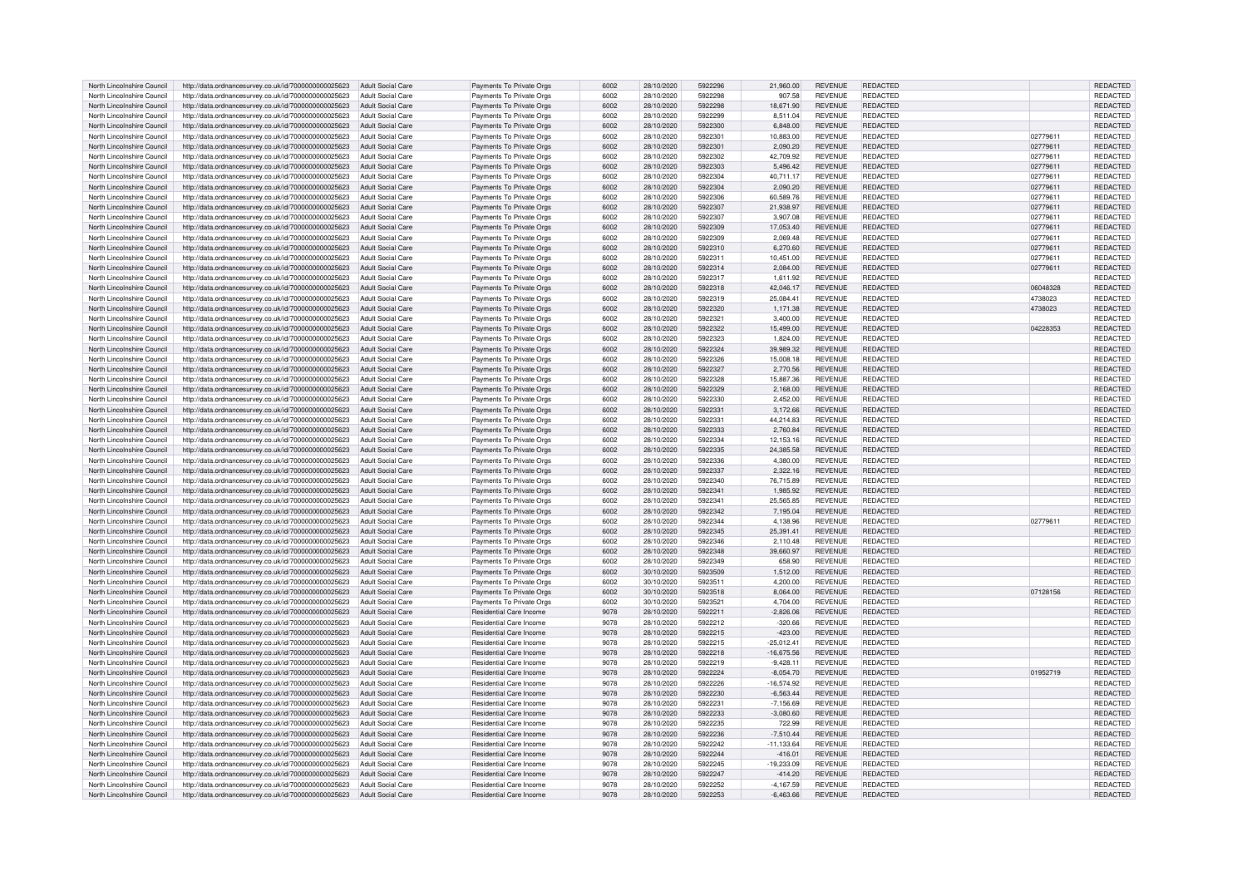| North Lincolnshire Council | http://data.ordnancesurvey.co.uk/id/7000000000025623                   | Adult Social Care        | Payments To Private Orgs       | 6002 | 28/10/2020 | 5922296 | 21.960.00     | <b>REVENUE</b> | <b>REDACTED</b> |          | REDACTED        |
|----------------------------|------------------------------------------------------------------------|--------------------------|--------------------------------|------|------------|---------|---------------|----------------|-----------------|----------|-----------------|
| North Lincolnshire Council | http://data.ordnancesurvey.co.uk/id/7000000000025623                   | Adult Social Care        | Payments To Private Orgs       | 6002 | 28/10/2020 | 5922298 | 907.58        | <b>REVENUE</b> | <b>REDACTED</b> |          | REDACTED        |
| North Lincolnshire Council | http://data.ordnancesurvey.co.uk/id/7000000000025623                   | <b>Adult Social Care</b> | Payments To Private Orgs       | 6002 | 28/10/2020 | 5922298 | 18,671.90     | <b>REVENUE</b> | REDACTED        |          | REDACTED        |
|                            |                                                                        |                          |                                |      |            |         |               |                |                 |          |                 |
| North Lincolnshire Council | http://data.ordnancesurvey.co.uk/id/7000000000025623                   | <b>Adult Social Care</b> | Payments To Private Oras       | 6002 | 28/10/2020 | 5922299 | 8.511.04      | <b>REVENUE</b> | REDACTED        |          | REDACTED        |
| North Lincolnshire Council | http://data.ordnancesurvey.co.uk/id/7000000000025623                   | <b>Adult Social Care</b> | Payments To Private Orgs       | 6002 | 28/10/2020 | 5922300 | 6.848.00      | <b>REVENUE</b> | REDACTED        |          | REDACTED        |
| North Lincolnshire Council | http://data.ordnancesurvey.co.uk/id/7000000000025623                   | <b>Adult Social Care</b> | Payments To Private Orgs       | 6002 | 28/10/2020 | 5922301 | 10,883.00     | <b>REVENUE</b> | REDACTED        | 02779611 | REDACTED        |
| North Lincolnshire Council | http://data.ordnancesurvey.co.uk/id/7000000000025623                   | <b>Adult Social Care</b> | Payments To Private Orgs       | 6002 | 28/10/2020 | 5922301 | 2,090.20      | <b>REVENUE</b> | REDACTED        | 02779611 | <b>REDACTED</b> |
| North Lincolnshire Council | http://data.ordnancesurvey.co.uk/id/7000000000025623                   | <b>Adult Social Care</b> | Payments To Private Orgs       | 6002 | 28/10/2020 | 5922302 | 42,709.92     | <b>REVENUE</b> | <b>REDACTED</b> | 02779611 | REDACTED        |
| North Lincolnshire Council | http://data.ordnancesurvey.co.uk/id/7000000000025623                   | <b>Adult Social Care</b> | Payments To Private Orgs       | 6002 | 28/10/2020 | 5922303 | 5.496.42      | <b>REVENUE</b> | REDACTED        | 02779611 | <b>REDACTED</b> |
| North Lincolnshire Council | http://data.ordnancesurvey.co.uk/id/7000000000025623                   | <b>Adult Social Care</b> | Payments To Private Orgs       | 6002 | 28/10/2020 | 5922304 | 40.711.17     | <b>REVENUE</b> | <b>REDACTED</b> | 02779611 | REDACTED        |
|                            |                                                                        |                          |                                |      |            |         |               |                |                 |          |                 |
| North Lincolnshire Council | http://data.ordnancesurvey.co.uk/id/7000000000025623                   | <b>Adult Social Care</b> | Payments To Private Orgs       | 6002 | 28/10/2020 | 5922304 | 2,090.20      | <b>REVENUE</b> | REDACTED        | 02779611 | REDACTED        |
| North Lincolnshire Council | http://data.ordnancesurvey.co.uk/id/7000000000025623                   | Adult Social Care        | Payments To Private Orgs       | 6002 | 28/10/2020 | 5922306 | 60,589.76     | <b>REVENUE</b> | REDACTED        | 02779611 | REDACTED        |
| North Lincolnshire Council | http://data.ordnancesurvey.co.uk/id/7000000000025623                   | <b>Adult Social Care</b> | Payments To Private Orgs       | 6002 | 28/10/2020 | 5922307 | 21,938.97     | <b>REVENUE</b> | <b>REDACTED</b> | 02779611 | REDACTED        |
| North Lincolnshire Council | http://data.ordnancesurvey.co.uk/id/7000000000025623                   | <b>Adult Social Care</b> | Payments To Private Orgs       | 6002 | 28/10/2020 | 5922307 | 3.907.08      | <b>REVENUE</b> | REDACTED        | 02779611 | REDACTED        |
| North Lincolnshire Council | http://data.ordnancesurvey.co.uk/id/7000000000025623                   | <b>Adult Social Care</b> | Payments To Private Orgs       | 6002 | 28/10/2020 | 5922309 | 17,053.40     | <b>REVENUE</b> | REDACTED        | 02779611 | REDACTED        |
| North Lincolnshire Council | http://data.ordnancesurvey.co.uk/id/7000000000025623                   | <b>Adult Social Care</b> | Payments To Private Orgs       | 6002 | 28/10/2020 | 5922309 | 2,069.48      | <b>REVENUE</b> | <b>REDACTED</b> | 02779611 | REDACTED        |
| North Lincolnshire Council | http://data.ordnancesurvey.co.uk/id/7000000000025623                   | <b>Adult Social Care</b> | Payments To Private Orgs       | 6002 | 28/10/2020 | 5922310 | 6,270.60      | <b>REVENUE</b> | REDACTED        | 02779611 | REDACTED        |
| North Lincolnshire Council | http://data.ordnancesurvey.co.uk/id/7000000000025623                   | <b>Adult Social Care</b> | Payments To Private Orgs       | 6002 | 28/10/2020 | 592231  | 10,451.00     | <b>REVENUE</b> | <b>REDACTED</b> | 02779611 | REDACTED        |
|                            |                                                                        |                          |                                |      |            |         |               |                |                 |          |                 |
| North Lincolnshire Council | http://data.ordnancesurvey.co.uk/id/7000000000025623                   | <b>Adult Social Care</b> | Payments To Private Orgs       | 6002 | 28/10/2020 | 5922314 | 2,084.00      | <b>REVENUE</b> | REDACTED        | 02779611 | REDACTED        |
| North Lincolnshire Council | http://data.ordnancesurvey.co.uk/id/7000000000025623                   | <b>Adult Social Care</b> | Payments To Private Orgs       | 6002 | 28/10/2020 | 5922317 | 1,611.92      | <b>REVENUE</b> | <b>REDACTED</b> |          | REDACTED        |
| North Lincolnshire Council | http://data.ordnancesurvey.co.uk/id/7000000000025623                   | <b>Adult Social Care</b> | Payments To Private Orgs       | 6002 | 28/10/2020 | 5922318 | 42,046.17     | <b>REVENUE</b> | <b>REDACTED</b> | 06048328 | REDACTED        |
| North Lincolnshire Council | http://data.ordnancesurvey.co.uk/id/7000000000025623                   | <b>Adult Social Care</b> | Payments To Private Orgs       | 6002 | 28/10/2020 | 5922319 | 25,084.41     | <b>REVENUE</b> | REDACTED        | 4738023  | REDACTED        |
| North Lincolnshire Council | http://data.ordnancesurvey.co.uk/id/7000000000025623                   | <b>Adult Social Care</b> | Payments To Private Orgs       | 6002 | 28/10/2020 | 5922320 | 1,171.38      | <b>REVENUE</b> | <b>REDACTED</b> | 4738023  | REDACTED        |
| North Lincolnshire Council | http://data.ordnancesurvey.co.uk/id/7000000000025623                   | <b>Adult Social Care</b> | Payments To Private Orgs       | 6002 | 28/10/2020 | 5922321 | 3,400.00      | <b>REVENUE</b> | <b>REDACTED</b> |          | REDACTED        |
| North Lincolnshire Council | http://data.ordnancesurvey.co.uk/id/7000000000025623                   | <b>Adult Social Care</b> | Payments To Private Orgs       | 6002 | 28/10/2020 | 5922322 | 15,499.00     | <b>REVENUE</b> | <b>REDACTED</b> | 04228353 | REDACTED        |
|                            |                                                                        |                          |                                |      |            |         |               |                |                 |          |                 |
| North Lincolnshire Council | http://data.ordnancesurvey.co.uk/id/7000000000025623                   | <b>Adult Social Care</b> | Payments To Private Orgs       | 6002 | 28/10/2020 | 5922323 | 1,824.00      | <b>REVENUE</b> | <b>REDACTED</b> |          | REDACTED        |
| North Lincolnshire Council | http://data.ordnancesurvey.co.uk/id/7000000000025623                   | <b>Adult Social Care</b> | Payments To Private Orgs       | 6002 | 28/10/2020 | 5922324 | 39,989.32     | <b>REVENUE</b> | REDACTED        |          | REDACTED        |
| North Lincolnshire Council | http://data.ordnancesurvey.co.uk/id/7000000000025623                   | <b>Adult Social Care</b> | Payments To Private Orgs       | 6002 | 28/10/2020 | 5922326 | 15,008.18     | <b>REVENUE</b> | <b>REDACTED</b> |          | <b>REDACTED</b> |
| North Lincolnshire Council | http://data.ordnancesurvey.co.uk/id/7000000000025623                   | <b>Adult Social Care</b> | Payments To Private Orgs       | 6002 | 28/10/2020 | 5922327 | 2.770.56      | <b>REVENUE</b> | REDACTED        |          | <b>REDACTED</b> |
| North Lincolnshire Council | http://data.ordnancesurvey.co.uk/id/7000000000025623                   | <b>Adult Social Care</b> | Payments To Private Orgs       | 6002 | 28/10/2020 | 5922328 | 15,887.36     | <b>REVENUE</b> | <b>REDACTED</b> |          | REDACTED        |
| North Lincolnshire Council | http://data.ordnancesurvey.co.uk/id/7000000000025623                   | Adult Social Care        | Payments To Private Orgs       | 6002 | 28/10/2020 | 5922329 | 2,168.00      | <b>REVENUE</b> | <b>REDACTED</b> |          | REDACTED        |
| North Lincolnshire Council | http://data.ordnancesurvey.co.uk/id/7000000000025623                   | Adult Social Care        | Payments To Private Orgs       | 6002 | 28/10/2020 | 5922330 | 2,452.00      | <b>REVENUE</b> | <b>REDACTED</b> |          | REDACTED        |
|                            |                                                                        |                          |                                |      |            |         |               |                |                 |          |                 |
| North Lincolnshire Council | http://data.ordnancesurvey.co.uk/id/7000000000025623                   | Adult Social Care        | Payments To Private Orgs       | 6002 | 28/10/2020 | 5922331 | 3,172.66      | <b>REVENUE</b> | REDACTED        |          | REDACTED        |
| North Lincolnshire Council | http://data.ordnancesurvey.co.uk/id/7000000000025623                   | <b>Adult Social Care</b> | Payments To Private Orgs       | 6002 | 28/10/2020 | 5922331 | 44,214.83     | <b>REVENUE</b> | REDACTED        |          | <b>REDACTED</b> |
| North Lincolnshire Council | http://data.ordnancesurvey.co.uk/id/7000000000025623                   | <b>Adult Social Care</b> | Payments To Private Orgs       | 6002 | 28/10/2020 | 5922333 | 2,760.84      | <b>REVENUE</b> | REDACTED        |          | <b>REDACTED</b> |
| North Lincolnshire Council | http://data.ordnancesurvey.co.uk/id/7000000000025623                   | <b>Adult Social Care</b> | Payments To Private Orgs       | 6002 | 28/10/2020 | 5922334 | 12,153.16     | <b>REVENUE</b> | REDACTED        |          | REDACTED        |
| North Lincolnshire Council | http://data.ordnancesurvey.co.uk/id/7000000000025623                   | <b>Adult Social Care</b> | Payments To Private Orgs       | 6002 | 28/10/2020 | 5922335 | 24.385.58     | <b>REVENUE</b> | <b>REDACTED</b> |          | <b>REDACTED</b> |
| North Lincolnshire Council | http://data.ordnancesurvey.co.uk/id/7000000000025623                   | <b>Adult Social Care</b> | Payments To Private Orgs       | 6002 | 28/10/2020 | 5922336 | 4,380.00      | <b>REVENUE</b> | <b>REDACTED</b> |          | REDACTED        |
| North Lincolnshire Council | http://data.ordnancesurvey.co.uk/id/7000000000025623                   | <b>Adult Social Care</b> | Payments To Private Orgs       | 6002 | 28/10/2020 | 5922337 | 2,322.16      | <b>REVENUE</b> | REDACTED        |          | REDACTED        |
| North Lincolnshire Council |                                                                        | <b>Adult Social Care</b> |                                | 6002 | 28/10/2020 | 5922340 |               | <b>REVENUE</b> | <b>REDACTED</b> |          |                 |
|                            | http://data.ordnancesurvey.co.uk/id/7000000000025623                   |                          | Payments To Private Orgs       |      |            |         | 76,715.89     |                |                 |          | REDACTED        |
| North Lincolnshire Council | http://data.ordnancesurvey.co.uk/id/7000000000025623                   | <b>Adult Social Care</b> | Payments To Private Orgs       | 6002 | 28/10/2020 | 5922341 | 1,985.92      | <b>REVENUE</b> | REDACTED        |          | REDACTED        |
| North Lincolnshire Council | http://data.ordnancesurvey.co.uk/id/7000000000025623                   | <b>Adult Social Care</b> | Payments To Private Orgs       | 6002 | 28/10/2020 | 5922341 | 25.565.85     | <b>REVENUE</b> | REDACTED        |          | REDACTED        |
| North Lincolnshire Council | http://data.ordnancesurvey.co.uk/id/7000000000025623                   | <b>Adult Social Care</b> | Payments To Private Orgs       | 6002 | 28/10/2020 | 5922342 | 7,195.04      | <b>REVENUE</b> | REDACTED        |          | REDACTED        |
| North Lincolnshire Council | http://data.ordnancesurvey.co.uk/id/7000000000025623                   | <b>Adult Social Care</b> | Payments To Private Orgs       | 6002 | 28/10/2020 | 5922344 | 4,138.96      | <b>REVENUE</b> | REDACTED        | 02779611 | REDACTED        |
| North Lincolnshire Council | http://data.ordnancesurvey.co.uk/id/7000000000025623                   | <b>Adult Social Care</b> | Payments To Private Orgs       | 6002 | 28/10/2020 | 5922345 | 25.391.41     | <b>REVENUE</b> | REDACTED        |          | REDACTED        |
| North Lincolnshire Council | http://data.ordnancesurvey.co.uk/id/7000000000025623                   | <b>Adult Social Care</b> | Payments To Private Orgs       | 6002 | 28/10/2020 | 5922346 | 2,110.48      | <b>REVENUE</b> | REDACTED        |          | REDACTED        |
| North Lincolnshire Council | http://data.ordnancesurvey.co.uk/id/7000000000025623                   | <b>Adult Social Care</b> | Payments To Private Orgs       | 6002 | 28/10/2020 | 5922348 | 39.660.97     | <b>REVENUE</b> | <b>REDACTED</b> |          | REDACTED        |
| North Lincolnshire Council | http://data.ordnancesurvey.co.uk/id/7000000000025623                   | <b>Adult Social Care</b> | Payments To Private Orgs       | 6002 | 28/10/2020 | 5922349 | 658.90        | <b>REVENUE</b> | REDACTED        |          | REDACTED        |
|                            |                                                                        |                          |                                | 6002 |            | 5923509 |               |                | <b>REDACTED</b> |          |                 |
| North Lincolnshire Council | http://data.ordnancesurvey.co.uk/id/7000000000025623                   | Adult Social Care        | Payments To Private Orgs       |      | 30/10/2020 |         | 1.512.00      | <b>REVENUE</b> |                 |          | <b>REDACTED</b> |
| North Lincolnshire Council | http://data.ordnancesurvey.co.uk/id/7000000000025623                   | Adult Social Care        | Payments To Private Orgs       | 6002 | 30/10/2020 | 5923511 | 4.200.00      | <b>REVENUE</b> | <b>REDACTED</b> |          | REDACTED        |
| North Lincolnshire Council | http://data.ordnancesurvey.co.uk/id/7000000000025623                   | Adult Social Care        | Payments To Private Orgs       | 6002 | 30/10/2020 | 5923518 | 8,064.00      | <b>REVENUE</b> | REDACTED        | 07128156 | REDACTED        |
| North Lincolnshire Council | http://data.ordnancesurvey.co.uk/id/7000000000025623                   | Adult Social Care        | Payments To Private Orgs       | 6002 | 30/10/2020 | 5923521 | 4,704.00      | <b>REVENUE</b> | <b>REDACTED</b> |          | REDACTED        |
| North Lincolnshire Council | http://data.ordnancesurvey.co.uk/id/7000000000025623                   | Adult Social Care        | Residential Care Income        | 9078 | 28/10/2020 | 5922211 | $-2,826.06$   | <b>REVENUE</b> | REDACTED        |          | <b>REDACTED</b> |
| North Lincolnshire Council | http://data.ordnancesurvey.co.uk/id/7000000000025623                   | <b>Adult Social Care</b> | Residential Care Income        | 9078 | 28/10/2020 | 5922212 | $-320.66$     | <b>REVENUE</b> | <b>REDACTED</b> |          | REDACTED        |
| North Lincolnshire Council | http://data.ordnancesurvey.co.uk/id/7000000000025623                   | Adult Social Care        | Residential Care Income        | 9078 | 28/10/2020 | 5922215 | $-423.00$     | <b>REVENUE</b> | <b>REDACTED</b> |          | REDACTED        |
| North Lincolnshire Council | http://data.ordnancesurvey.co.uk/id/7000000000025623                   | <b>Adult Social Care</b> | Residential Care Income        | 9078 | 28/10/2020 | 5922215 | $-25,012.41$  | <b>REVENUE</b> | <b>REDACTED</b> |          | REDACTED        |
|                            |                                                                        |                          |                                | 9078 | 28/10/2020 | 5922218 |               |                | <b>REDACTED</b> |          |                 |
| North Lincolnshire Council | http://data.ordnancesurvey.co.uk/id/7000000000025623                   | <b>Adult Social Care</b> | Residential Care Income        |      |            |         | 16,675.56     | <b>REVENUE</b> |                 |          | REDACTED        |
| North Lincolnshire Council | http://data.ordnancesurvey.co.uk/id/7000000000025623                   | <b>Adult Social Care</b> | Residential Care Income        | 9078 | 28/10/2020 | 5922219 | $-9.428.11$   | <b>REVENUE</b> | REDACTED        |          | REDACTED        |
| North Lincolnshire Council | http://data.ordnancesurvey.co.uk/id/7000000000025623                   | <b>Adult Social Care</b> | <b>Residential Care Income</b> | 9078 | 28/10/2020 | 5922224 | $-8,054.70$   | <b>REVENUE</b> | <b>REDACTED</b> | 01952719 | REDACTED        |
| North Lincolnshire Council | http://data.ordnancesurvey.co.uk/id/7000000000025623                   | <b>Adult Social Care</b> | Residential Care Income        | 9078 | 28/10/2020 | 5922226 | 16,574.92     | <b>REVENUE</b> | <b>REDACTED</b> |          | REDACTED        |
| North Lincolnshire Council | http://data.ordnancesurvey.co.uk/id/7000000000025623                   | <b>Adult Social Care</b> | Residential Care Income        | 9078 | 28/10/2020 | 5922230 | $-6,563.44$   | <b>REVENUE</b> | REDACTED        |          | REDACTED        |
| North Lincolnshire Council | http://data.ordnancesurvey.co.uk/id/7000000000025623                   | <b>Adult Social Care</b> | Residential Care Income        | 9078 | 28/10/2020 | 592223  | $-7,156.69$   | <b>REVENUE</b> | <b>REDACTED</b> |          | REDACTED        |
| North Lincolnshire Council | http://data.ordnancesurvey.co.uk/id/7000000000025623                   | <b>Adult Social Care</b> | Residential Care Income        | 9078 | 28/10/2020 | 5922233 | $-3.080.60$   | <b>REVENUE</b> | REDACTED        |          | REDACTED        |
| North Lincolnshire Council | http://data.ordnancesurvey.co.uk/id/7000000000025623                   | <b>Adult Social Care</b> | <b>Residential Care Income</b> | 9078 | 28/10/2020 | 5922235 | 722.99        | <b>REVENUE</b> | REDACTED        |          | REDACTED        |
|                            |                                                                        |                          |                                |      |            |         |               |                |                 |          |                 |
| North Lincolnshire Council | http://data.ordnancesurvey.co.uk/id/7000000000025623                   | <b>Adult Social Care</b> | <b>Residential Care Income</b> | 9078 | 28/10/2020 | 5922236 | $-7,510.44$   | <b>REVENUE</b> | <b>REDACTED</b> |          | REDACTED        |
| North Lincolnshire Council | http://data.ordnancesurvey.co.uk/id/7000000000025623                   | <b>Adult Social Care</b> | Residential Care Income        | 9078 | 28/10/2020 | 5922242 | $-11, 133.64$ | <b>REVENUE</b> | REDACTED        |          | REDACTED        |
| North Lincolnshire Council | http://data.ordnancesurvey.co.uk/id/7000000000025623                   | <b>Adult Social Care</b> | <b>Residential Care Income</b> | 9078 | 28/10/2020 | 5922244 | $-416.01$     | <b>REVENUE</b> | <b>REDACTED</b> |          | REDACTED        |
| North Lincolnshire Council | http://data.ordnancesurvey.co.uk/id/7000000000025623                   | <b>Adult Social Care</b> | Residential Care Income        | 9078 | 28/10/2020 | 5922245 | 19,233.09     | <b>REVENUE</b> | REDACTED        |          | REDACTED        |
| North Lincolnshire Council | http://data.ordnancesurvey.co.uk/id/7000000000025623                   | Adult Social Care        | <b>Residential Care Income</b> | 9078 | 28/10/2020 | 5922247 | $-414.20$     | <b>REVENUE</b> | <b>REDACTED</b> |          | <b>REDACTED</b> |
| North Lincolnshire Council | http://data.ordnancesurvey.co.uk/id/7000000000025623                   | Adult Social Care        | Residential Care Income        | 9078 | 28/10/2020 | 5922252 | $-4.167.59$   | <b>REVENUE</b> | <b>REDACTED</b> |          | <b>REDACTED</b> |
| North Lincolnshire Council | http://data.ordnancesurvey.co.uk/id/7000000000025623 Adult Social Care |                          | Residential Care Income        | 9078 | 28/10/2020 | 5922253 | $-6,463.66$   | <b>REVENUE</b> | REDACTED        |          | REDACTED        |
|                            |                                                                        |                          |                                |      |            |         |               |                |                 |          |                 |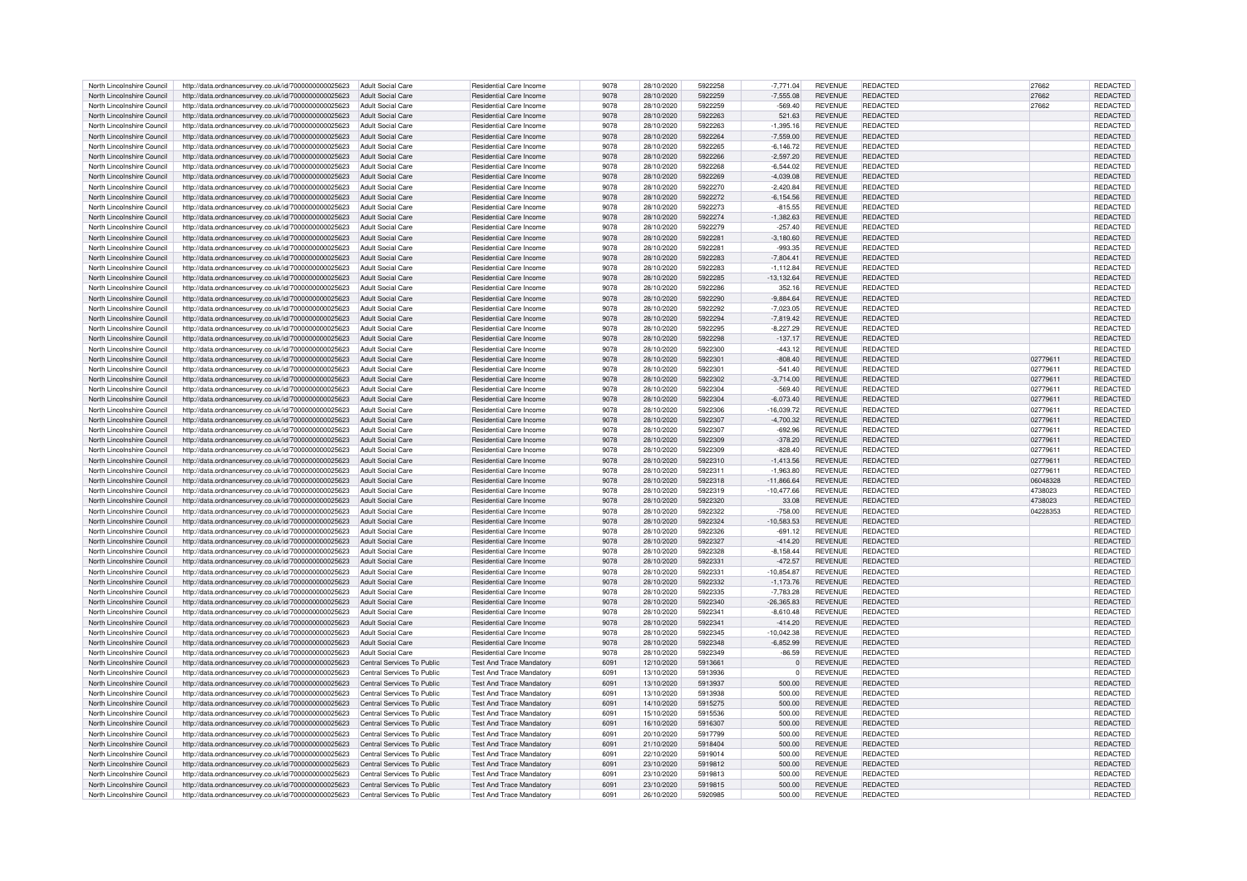| North Lincolnshire Council | http://data.ordnancesurvey.co.uk/id/7000000000025623 | <b>Adult Social Care</b>   | Residential Care Income         | 9078 | 28/10/2020 | 5922258 | $-7,771.04$   | REVENUE        | REDACTED        | 27662    | REDACTED        |
|----------------------------|------------------------------------------------------|----------------------------|---------------------------------|------|------------|---------|---------------|----------------|-----------------|----------|-----------------|
| North Lincolnshire Council | http://data.ordnancesurvey.co.uk/id/7000000000025623 | <b>Adult Social Care</b>   | <b>Residential Care Income</b>  | 9078 | 28/10/2020 | 5922259 | $-7.555.08$   | REVENUE        | <b>REDACTED</b> | 27662    | <b>REDACTED</b> |
| North Lincolnshire Council | http://data.ordnancesurvey.co.uk/id/7000000000025623 | <b>Adult Social Care</b>   | <b>Residential Care Income</b>  | 9078 | 28/10/2020 | 5922259 | $-569.40$     | <b>REVENUE</b> | REDACTED        | 27662    | REDACTED        |
|                            |                                                      |                            |                                 |      |            |         |               |                |                 |          |                 |
| North Lincolnshire Council | http://data.ordnancesurvey.co.uk/id/7000000000025623 | <b>Adult Social Care</b>   | <b>Residential Care Income</b>  | 9078 | 28/10/2020 | 5922263 | 521.63        | <b>REVENUE</b> | REDACTED        |          | REDACTED        |
| North Lincolnshire Council | http://data.ordnancesurvey.co.uk/id/7000000000025623 | <b>Adult Social Care</b>   | Residential Care Income         | 9078 | 28/10/2020 | 5922263 | $-1,395.16$   | <b>REVENUE</b> | REDACTED        |          | REDACTED        |
| North Lincolnshire Council | http://data.ordnancesurvey.co.uk/id/7000000000025623 | <b>Adult Social Care</b>   | Residential Care Income         | 9078 | 28/10/2020 | 5922264 | $-7,559.00$   | <b>REVENUE</b> | REDACTED        |          | REDACTED        |
| North Lincolnshire Council | http://data.ordnancesurvey.co.uk/id/7000000000025623 | <b>Adult Social Care</b>   | Residential Care Income         | 9078 | 28/10/2020 | 5922265 | $-6,146.72$   | <b>REVENUE</b> | <b>REDACTED</b> |          | REDACTED        |
| North Lincolnshire Council | http://data.ordnancesurvey.co.uk/id/7000000000025623 | <b>Adult Social Care</b>   | <b>Residential Care Income</b>  | 9078 | 28/10/2020 | 5922266 | $-2.597.20$   | <b>REVENUE</b> | REDACTED        |          | <b>REDACTED</b> |
| North Lincolnshire Council | http://data.ordnancesurvey.co.uk/id/7000000000025623 | <b>Adult Social Care</b>   | Residential Care Income         | 9078 | 28/10/2020 | 5922268 | $-6,544.02$   | <b>REVENUE</b> | <b>REDACTED</b> |          | <b>REDACTED</b> |
| North Lincolnshire Council | http://data.ordnancesurvey.co.uk/id/7000000000025623 | <b>Adult Social Care</b>   | Residential Care Income         | 9078 | 28/10/2020 | 5922269 | $-4,039.08$   | <b>REVENUE</b> | REDACTED        |          | REDACTED        |
|                            |                                                      | <b>Adult Social Care</b>   | Residential Care Income         | 9078 | 28/10/2020 | 5922270 |               | <b>REVENUE</b> | <b>REDACTED</b> |          | <b>REDACTED</b> |
| North Lincolnshire Council | http://data.ordnancesurvey.co.uk/id/7000000000025623 |                            |                                 |      |            |         | $-2,420.84$   |                |                 |          |                 |
| North Lincolnshire Council | http://data.ordnancesurvey.co.uk/id/7000000000025623 | <b>Adult Social Care</b>   | Residential Care Income         | 9078 | 28/10/2020 | 5922272 | $-6, 154.56$  | <b>REVENUE</b> | <b>REDACTED</b> |          | REDACTED        |
| North Lincolnshire Council | http://data.ordnancesurvey.co.uk/id/7000000000025623 | Adult Social Care          | Residential Care Income         | 9078 | 28/10/2020 | 5922273 | $-815.55$     | <b>REVENUE</b> | REDACTED        |          | REDACTED        |
| North Lincolnshire Council | http://data.ordnancesurvey.co.uk/id/7000000000025623 | <b>Adult Social Care</b>   | <b>Residential Care Income</b>  | 9078 | 28/10/2020 | 5922274 | $-1,382.63$   | <b>REVENUE</b> | <b>REDACTED</b> |          | REDACTED        |
| North Lincolnshire Council | http://data.ordnancesurvey.co.uk/id/7000000000025623 | <b>Adult Social Care</b>   | <b>Residential Care Income</b>  | 9078 | 28/10/2020 | 5922279 | $-257.40$     | <b>REVENUE</b> | REDACTED        |          | REDACTED        |
| North Lincolnshire Council | http://data.ordnancesurvey.co.uk/id/7000000000025623 | <b>Adult Social Care</b>   | Residential Care Income         | 9078 | 28/10/2020 | 5922281 | $-3.180.60$   | REVENUE        | <b>REDACTED</b> |          | REDACTED        |
| North Lincolnshire Council | http://data.ordnancesurvey.co.uk/id/7000000000025623 | <b>Adult Social Care</b>   | Residential Care Income         | 9078 | 28/10/2020 | 592228  | $-993.35$     | <b>REVENUE</b> | <b>REDACTED</b> |          | REDACTED        |
| North Lincolnshire Council | http://data.ordnancesurvey.co.uk/id/7000000000025623 | <b>Adult Social Care</b>   | Residential Care Income         | 9078 | 28/10/2020 | 5922283 | $-7.804.41$   | <b>REVENUE</b> | REDACTED        |          | REDACTED        |
| North Lincolnshire Council | http://data.ordnancesurvey.co.uk/id/7000000000025623 | <b>Adult Social Care</b>   | <b>Residential Care Income</b>  | 9078 | 28/10/2020 | 5922283 | $-1.112.84$   | <b>REVENUE</b> | <b>REDACTED</b> |          | REDACTED        |
| North Lincolnshire Council | http://data.ordnancesurvey.co.uk/id/7000000000025623 | <b>Adult Social Care</b>   | Residential Care Income         | 9078 | 28/10/2020 | 5922285 | $-13, 132.64$ | REVENUE        | <b>REDACTED</b> |          | REDACTED        |
|                            |                                                      |                            |                                 |      |            |         |               |                |                 |          |                 |
| North Lincolnshire Council | http://data.ordnancesurvey.co.uk/id/7000000000025623 | <b>Adult Social Care</b>   | Residential Care Income         | 9078 | 28/10/2020 | 5922286 | 352.16        | REVENUE        | REDACTED        |          | REDACTED        |
| North Lincolnshire Council | http://data.ordnancesurvey.co.uk/id/7000000000025623 | <b>Adult Social Care</b>   | <b>Residential Care Income</b>  | 9078 | 28/10/2020 | 5922290 | $-9,884.64$   | REVENUE        | <b>REDACTED</b> |          | REDACTED        |
| North Lincolnshire Council | http://data.ordnancesurvey.co.uk/id/7000000000025623 | <b>Adult Social Care</b>   | Residential Care Income         | 9078 | 28/10/2020 | 5922292 | $-7,023.05$   | <b>REVENUE</b> | REDACTED        |          | REDACTED        |
| North Lincolnshire Council | http://data.ordnancesurvey.co.uk/id/7000000000025623 | <b>Adult Social Care</b>   | <b>Residential Care Income</b>  | 9078 | 28/10/2020 | 5922294 | $-7,819.42$   | <b>REVENUE</b> | <b>REDACTED</b> |          | REDACTED        |
| North Lincolnshire Council | http://data.ordnancesurvey.co.uk/id/7000000000025623 | <b>Adult Social Care</b>   | Residential Care Income         | 9078 | 28/10/2020 | 5922295 | $-8,227.29$   | <b>REVENUE</b> | <b>REDACTED</b> |          | REDACTED        |
| North Lincolnshire Council | http://data.ordnancesurvey.co.uk/id/7000000000025623 | <b>Adult Social Care</b>   | Residential Care Income         | 9078 | 28/10/2020 | 5922298 | $-137.17$     | <b>REVENUE</b> | <b>REDACTED</b> |          | REDACTED        |
| North Lincolnshire Council | http://data.ordnancesurvey.co.uk/id/7000000000025623 | <b>Adult Social Care</b>   | Residential Care Income         | 9078 | 28/10/2020 | 5922300 | $-443.12$     | <b>REVENUE</b> | <b>REDACTED</b> |          | <b>REDACTED</b> |
| North Lincolnshire Council | http://data.ordnancesurvey.co.uk/id/7000000000025623 | <b>Adult Social Care</b>   | <b>Residential Care Income</b>  | 9078 | 28/10/2020 | 5922301 | $-808.40$     | REVENUE        | <b>REDACTED</b> | 02779611 | REDACTED        |
| North Lincolnshire Council | http://data.ordnancesurvey.co.uk/id/7000000000025623 | <b>Adult Social Care</b>   | <b>Residential Care Income</b>  | 9078 | 28/10/2020 | 5922301 | $-541.40$     | <b>REVENUE</b> | <b>REDACTED</b> | 02779611 | REDACTED        |
|                            |                                                      |                            | Residential Care Income         | 9078 |            | 5922302 |               | <b>REVENUE</b> | <b>REDACTED</b> |          | REDACTED        |
| North Lincolnshire Council | http://data.ordnancesurvey.co.uk/id/7000000000025623 | <b>Adult Social Care</b>   |                                 |      | 28/10/2020 |         | $-3,714.00$   |                |                 | 02779611 |                 |
| North Lincolnshire Council | http://data.ordnancesurvey.co.uk/id/7000000000025623 | <b>Adult Social Care</b>   | Residential Care Income         | 9078 | 28/10/2020 | 5922304 | $-569.40$     | REVENUE        | REDACTED        | 02779611 | REDACTED        |
| North Lincolnshire Council | http://data.ordnancesurvey.co.uk/id/7000000000025623 | <b>Adult Social Care</b>   | Residential Care Income         | 9078 | 28/10/2020 | 5922304 | $-6,073.40$   | REVENUE        | REDACTED        | 02779611 | REDACTED        |
| North Lincolnshire Council | http://data.ordnancesurvey.co.uk/id/7000000000025623 | Adult Social Care          | <b>Residential Care Income</b>  | 9078 | 28/10/2020 | 5922306 | 16,039.72     | <b>REVENUE</b> | REDACTED        | 02779611 | REDACTED        |
| North Lincolnshire Council | http://data.ordnancesurvey.co.uk/id/7000000000025623 | Adult Social Care          | Residential Care Income         | 9078 | 28/10/2020 | 5922307 | $-4,700.32$   | REVENUE        | REDACTED        | 02779611 | REDACTED        |
| North Lincolnshire Council | http://data.ordnancesurvey.co.uk/id/7000000000025623 | Adult Social Care          | Residential Care Income         | 9078 | 28/10/2020 | 5922307 | $-692.96$     | REVENUE        | REDACTED        | 02779611 | REDACTED        |
| North Lincolnshire Council | http://data.ordnancesurvey.co.uk/id/7000000000025623 | Adult Social Care          | Residential Care Income         | 9078 | 28/10/2020 | 5922309 | $-378.20$     | REVENUE        | <b>REDACTED</b> | 02779611 | REDACTED        |
| North Lincolnshire Council | http://data.ordnancesurvey.co.uk/id/7000000000025623 | <b>Adult Social Care</b>   | Residential Care Income         | 9078 | 28/10/2020 | 5922309 | $-828.40$     | <b>REVENUE</b> | <b>REDACTED</b> | 02779611 | REDACTED        |
| North Lincolnshire Council | http://data.ordnancesurvey.co.uk/id/7000000000025623 | <b>Adult Social Care</b>   | Residential Care Income         | 9078 | 28/10/2020 | 5922310 | $-1.413.56$   | <b>REVENUE</b> | REDACTED        | 02779611 | <b>REDACTED</b> |
| North Lincolnshire Council | http://data.ordnancesurvey.co.uk/id/7000000000025623 | <b>Adult Social Care</b>   | <b>Residential Care Income</b>  | 9078 | 28/10/2020 | 5922311 | $-1,963.80$   | REVENUE        | <b>REDACTED</b> | 02779611 | REDACTED        |
| North Lincolnshire Council | http://data.ordnancesurvey.co.uk/id/7000000000025623 | <b>Adult Social Care</b>   | Residential Care Income         | 9078 | 28/10/2020 | 5922318 | $-11,866.64$  | REVENUE        | REDACTED        | 06048328 | REDACTED        |
| North Lincolnshire Council | http://data.ordnancesurvey.co.uk/id/7000000000025623 | <b>Adult Social Care</b>   | Residential Care Income         | 9078 | 28/10/2020 | 5922319 | $-10.477.66$  | REVENUE        | REDACTED        | 4738023  | <b>REDACTED</b> |
| North Lincolnshire Council | http://data.ordnancesurvey.co.uk/id/7000000000025623 | <b>Adult Social Care</b>   | <b>Residential Care Income</b>  | 9078 | 28/10/2020 | 5922320 | 33.08         | REVENUE        | <b>REDACTED</b> | 4738023  | REDACTED        |
|                            |                                                      |                            |                                 |      |            |         |               |                |                 |          |                 |
| North Lincolnshire Council | http://data.ordnancesurvey.co.uk/id/7000000000025623 | <b>Adult Social Care</b>   | Residential Care Income         | 9078 | 28/10/2020 | 5922322 | $-758.00$     | <b>REVENUE</b> | REDACTED        | 04228353 | <b>REDACTED</b> |
| North Lincolnshire Council | http://data.ordnancesurvey.co.uk/id/7000000000025623 | <b>Adult Social Care</b>   | Residential Care Income         | 9078 | 28/10/2020 | 5922324 | $-10,583.53$  | <b>REVENUE</b> | <b>REDACTED</b> |          | REDACTED        |
| North Lincolnshire Council | http://data.ordnancesurvey.co.uk/id/7000000000025623 | <b>Adult Social Care</b>   | Residential Care Income         | 9078 | 28/10/2020 | 5922326 | $-691.12$     | <b>REVENUE</b> | <b>REDACTED</b> |          | REDACTED        |
| North Lincolnshire Council | http://data.ordnancesurvey.co.uk/id/7000000000025623 | <b>Adult Social Care</b>   | Residential Care Income         | 9078 | 28/10/2020 | 5922327 | $-414.20$     | <b>REVENUE</b> | REDACTED        |          | REDACTED        |
| North Lincolnshire Council | http://data.ordnancesurvey.co.uk/id/7000000000025623 | Adult Social Care          | Residential Care Income         | 9078 | 28/10/2020 | 5922328 | $-8.158.44$   | REVENUE        | <b>REDACTED</b> |          | REDACTED        |
| North Lincolnshire Council | http://data.ordnancesurvey.co.uk/id/7000000000025623 | <b>Adult Social Care</b>   | <b>Residential Care Income</b>  | 9078 | 28/10/2020 | 592233  | $-472.57$     | <b>REVENUE</b> | <b>REDACTED</b> |          | REDACTED        |
| North Lincolnshire Council | http://data.ordnancesurvey.co.uk/id/7000000000025623 | <b>Adult Social Care</b>   | <b>Residential Care Income</b>  | 9078 | 28/10/2020 | 592233  | 10,854.87     | <b>REVENUE</b> | REDACTED        |          | REDACTED        |
| North Lincolnshire Council | http://data.ordnancesurvey.co.uk/id/7000000000025623 | <b>Adult Social Care</b>   | Residential Care Income         | 9078 | 28/10/2020 | 5922332 | $-1,173.76$   | <b>REVENUE</b> | REDACTED        |          | REDACTED        |
| North Lincolnshire Council | http://data.ordnancesurvey.co.uk/id/7000000000025623 | <b>Adult Social Care</b>   | Residential Care Income         | 9078 | 28/10/2020 | 5922335 | $-7,783.28$   | REVENUE        | REDACTED        |          | REDACTED        |
|                            |                                                      |                            |                                 |      |            |         |               |                |                 |          |                 |
| North Lincolnshire Council | http://data.ordnancesurvey.co.uk/id/7000000000025623 | <b>Adult Social Care</b>   | Residential Care Income         | 9078 | 28/10/2020 | 5922340 | $-26,365.83$  | <b>REVENUE</b> | REDACTED        |          | REDACTED        |
| North Lincolnshire Council | http://data.ordnancesurvey.co.uk/id/7000000000025623 | <b>Adult Social Care</b>   | <b>Residential Care Income</b>  | 9078 | 28/10/2020 | 5922341 | $-8.610.48$   | <b>REVENUE</b> | REDACTED        |          | REDACTED        |
| North Lincolnshire Council | http://data.ordnancesurvey.co.uk/id/7000000000025623 | <b>Adult Social Care</b>   | <b>Residential Care Income</b>  | 9078 | 28/10/2020 | 5922341 | $-414.20$     | <b>REVENUE</b> | <b>REDACTED</b> |          | REDACTED        |
| North Lincolnshire Council | http://data.ordnancesurvey.co.uk/id/7000000000025623 | <b>Adult Social Care</b>   | Residential Care Income         | 9078 | 28/10/2020 | 5922345 | $-10,042.38$  | <b>REVENUE</b> | REDACTED        |          | REDACTED        |
| North Lincolnshire Council | http://data.ordnancesurvey.co.uk/id/7000000000025623 | <b>Adult Social Care</b>   | Residential Care Income         | 9078 | 28/10/2020 | 5922348 | $-6,852.99$   | REVENUE        | REDACTED        |          | REDACTED        |
| North Lincolnshire Council | http://data.ordnancesurvey.co.uk/id/7000000000025623 | <b>Adult Social Care</b>   | Residential Care Income         | 9078 | 28/10/2020 | 5922349 | $-86.59$      | <b>REVENUE</b> | <b>REDACTED</b> |          | REDACTED        |
| North Lincolnshire Council | http://data.ordnancesurvey.co.uk/id/7000000000025623 | Central Services To Public | <b>Test And Trace Mandatory</b> | 6091 | 12/10/2020 | 5913661 | $\Omega$      | <b>REVENUE</b> | <b>REDACTED</b> |          | REDACTED        |
| North Lincolnshire Council | http://data.ordnancesurvey.co.uk/id/7000000000025623 | Central Services To Public | <b>Test And Trace Mandatory</b> | GOQ- | 13/10/2020 | 5913936 |               | REVENUE        | <b>REDACTED</b> |          | REDACTED        |
| North Lincolnshire Council | http://data.ordnancesurvey.co.uk/id/7000000000025623 | Central Services To Public | <b>Test And Trace Mandatory</b> | 6091 | 13/10/2020 | 5913937 | 500.00        | <b>REVENUE</b> | <b>REDACTED</b> |          | REDACTED        |
| North Lincolnshire Council |                                                      | Central Services To Public | <b>Test And Trace Mandatory</b> | 609  | 13/10/2020 | 5913938 | 500.00        | <b>REVENUE</b> | REDACTED        |          | <b>REDACTED</b> |
|                            | http://data.ordnancesurvey.co.uk/id/7000000000025623 |                            |                                 |      |            |         |               |                |                 |          |                 |
| North Lincolnshire Council | http://data.ordnancesurvey.co.uk/id/7000000000025623 | Central Services To Public | <b>Test And Trace Mandatory</b> | 6091 | 14/10/2020 | 5915275 | 500.00        | REVENUE        | REDACTED        |          | REDACTED        |
| North Lincolnshire Council | http://data.ordnancesurvey.co.uk/id/7000000000025623 | Central Services To Public | <b>Test And Trace Mandatory</b> | 6091 | 15/10/2020 | 5915536 | 500.00        | <b>REVENUE</b> | REDACTED        |          | REDACTED        |
| North Lincolnshire Council | http://data.ordnancesurvey.co.uk/id/7000000000025623 | Central Services To Public | <b>Test And Trace Mandatory</b> | 6091 | 16/10/2020 | 5916307 | 500.00        | <b>REVENUE</b> | <b>REDACTED</b> |          | REDACTED        |
| North Lincolnshire Council | http://data.ordnancesurvey.co.uk/id/7000000000025623 | Central Services To Public | <b>Test And Trace Mandatory</b> | 6091 | 20/10/2020 | 5917799 | 500.00        | <b>REVENUE</b> | <b>REDACTED</b> |          | REDACTED        |
| North Lincolnshire Council | http://data.ordnancesurvey.co.uk/id/7000000000025623 | Central Services To Public | <b>Test And Trace Mandator</b>  | 6091 | 21/10/2020 | 5918404 | 500.00        | <b>REVENUE</b> | REDACTED        |          | <b>REDACTED</b> |
| North Lincolnshire Council | http://data.ordnancesurvey.co.uk/id/7000000000025623 | Central Services To Public | Test And Trace Mandatory        | 6091 | 22/10/2020 | 5919014 | 500.00        | <b>REVENUE</b> | <b>REDACTED</b> |          | REDACTED        |
| North Lincolnshire Council | http://data.ordnancesurvey.co.uk/id/7000000000025623 | Central Services To Public | <b>Test And Trace Mandatory</b> | 6091 | 23/10/2020 | 5919812 | 500.00        | <b>REVENUE</b> | REDACTED        |          | REDACTED        |
| North Lincolnshire Council | http://data.ordnancesurvey.co.uk/id/7000000000025623 | Central Services To Public | Test And Trace Mandatory        | 6091 | 23/10/2020 | 5919813 | 500.00        | <b>REVENUE</b> | <b>REDACTED</b> |          | <b>REDACTED</b> |
| North Lincolnshire Council | http://data.ordnancesurvey.co.uk/id/7000000000025623 | Central Services To Public | <b>Test And Trace Mandatory</b> | 6091 | 23/10/2020 | 5919815 | 500.00        | <b>REVENUE</b> | <b>REDACTED</b> |          | REDACTED        |
| North Lincolnshire Council | http://data.ordnancesurvey.co.uk/id/7000000000025623 | Central Services To Public | <b>Test And Trace Mandatory</b> | 609  | 26/10/2020 | 5920985 | 500.00        | <b>REVENUE</b> | REDACTED        |          | REDACTED        |
|                            |                                                      |                            |                                 |      |            |         |               |                |                 |          |                 |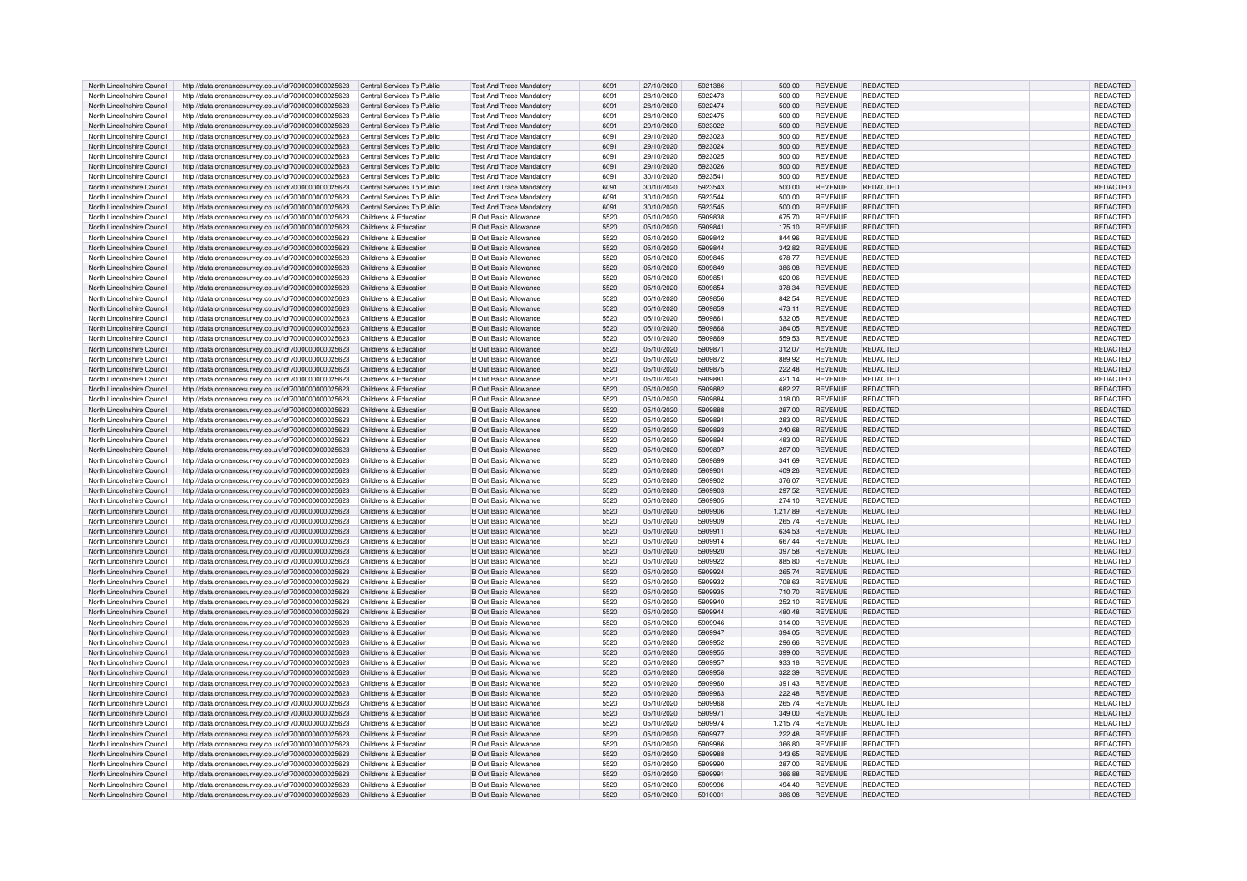| North Lincolnshire Council | http://data.ordnancesurvey.co.uk/id/7000000000025623                       | Central Services To Public        | <b>Test And Trace Mandatory</b> | 6091 | 27/10/2020 | 5921386 | 500.00   | <b>REVENUE</b> | REDACTED        | REDACTED        |
|----------------------------|----------------------------------------------------------------------------|-----------------------------------|---------------------------------|------|------------|---------|----------|----------------|-----------------|-----------------|
| North Lincolnshire Council | http://data.ordnancesurvey.co.uk/id/7000000000025623                       | Central Services To Public        | <b>Test And Trace Mandaton</b>  | 6091 | 28/10/2020 | 5922473 | 500.00   | <b>REVENUE</b> | REDACTED        | REDACTED        |
| North Lincolnshire Council | http://data.ordnancesurvey.co.uk/id/7000000000025623                       | Central Services To Public        | <b>Test And Trace Mandatory</b> | 6091 | 28/10/2020 | 5922474 |          | <b>REVENUE</b> | REDACTED        | REDACTED        |
|                            |                                                                            |                                   |                                 |      |            |         | 500.00   |                |                 |                 |
| North Lincolnshire Council | http://data.ordnancesurvey.co.uk/id/7000000000025623                       | Central Services To Public        | Test And Trace Mandatory        | 6091 | 28/10/2020 | 5922475 | 500.00   | <b>REVENUE</b> | REDACTED        | REDACTED        |
| North Lincolnshire Council | http://data.ordnancesurvey.co.uk/id/7000000000025623                       | <b>Central Services To Public</b> | <b>Test And Trace Mandatory</b> | 6091 | 29/10/2020 | 5923022 | 500.00   | <b>REVENUE</b> | REDACTED        | REDACTED        |
| North Lincolnshire Council | http://data.ordnancesurvey.co.uk/id/7000000000025623                       | Central Services To Public        | <b>Test And Trace Mandatory</b> | 6091 | 29/10/2020 | 5923023 | 500.00   | <b>REVENUE</b> | REDACTED        | REDACTED        |
| North Lincolnshire Council | http://data.ordnancesurvey.co.uk/id/7000000000025623                       | Central Services To Public        | <b>Test And Trace Mandatory</b> | 6091 | 29/10/2020 | 5923024 | 500.00   | <b>REVENUE</b> | <b>REDACTED</b> | REDACTED        |
| North Lincolnshire Council | http://data.ordnancesurvey.co.uk/id/7000000000025623                       | Central Services To Public        | <b>Test And Trace Mandatory</b> | 6091 | 29/10/2020 | 5923025 | 500.00   | <b>REVENUE</b> | REDACTED        | REDACTED        |
|                            |                                                                            |                                   |                                 | 6091 |            | 5923026 |          |                | <b>REDACTED</b> |                 |
| North Lincolnshire Council | http://data.ordnancesurvey.co.uk/id/7000000000025623                       | Central Services To Public        | <b>Test And Trace Mandatory</b> |      | 29/10/2020 |         | 500.00   | <b>REVENUE</b> |                 | REDACTED        |
| North Lincolnshire Council | http://data.ordnancesurvey.co.uk/id/7000000000025623                       | Central Services To Public        | <b>Test And Trace Mandatory</b> | 6091 | 30/10/2020 | 5923541 | 500.00   | <b>REVENUE</b> | REDACTED        | REDACTED        |
| North Lincolnshire Council | http://data.ordnancesurvey.co.uk/id/7000000000025623                       | Central Services To Public        | <b>Test And Trace Mandatory</b> | 609  | 30/10/2020 | 5923543 | 500.00   | <b>REVENUE</b> | REDACTED        | REDACTED        |
| North Lincolnshire Council | http://data.ordnancesurvey.co.uk/id/7000000000025623                       | Central Services To Public        | <b>Test And Trace Mandatory</b> | 6091 | 30/10/2020 | 5923544 | 500.00   | <b>REVENUE</b> | <b>REDACTED</b> | REDACTED        |
| North Lincolnshire Council | http://data.ordnancesurvey.co.uk/id/7000000000025623                       | Central Services To Public        | <b>Test And Trace Mandatory</b> | 6091 | 30/10/2020 | 5923545 | 500.00   | <b>REVENUE</b> | REDACTED        | REDACTED        |
| North Lincolnshire Council |                                                                            | Childrens & Education             |                                 | 5520 |            | 5909838 |          |                | <b>REDACTED</b> |                 |
|                            | http://data.ordnancesurvey.co.uk/id/7000000000025623                       |                                   | <b>B</b> Out Basic Allowance    |      | 05/10/2020 |         | 675.70   | <b>REVENUE</b> |                 | REDACTED        |
| North Lincolnshire Council | http://data.ordnancesurvey.co.uk/id/7000000000025623                       | Childrens & Education             | <b>B</b> Out Basic Allowance    | 5520 | 05/10/2020 | 5909841 | 175.10   | <b>REVENUE</b> | REDACTED        | REDACTED        |
| North Lincolnshire Council | http://data.ordnancesurvey.co.uk/id/7000000000025623                       | Childrens & Education             | <b>B</b> Out Basic Allowance    | 5520 | 05/10/2020 | 5909842 | 844.96   | <b>REVENUE</b> | REDACTED        | REDACTED        |
| North Lincolnshire Council | http://data.ordnancesurvey.co.uk/id/7000000000025623                       | Childrens & Education             | <b>B Out Basic Allowance</b>    | 5520 | 05/10/2020 | 5909844 | 342.82   | <b>REVENUE</b> | <b>REDACTED</b> | REDACTED        |
| North Lincolnshire Council | http://data.ordnancesurvey.co.uk/id/7000000000025623                       | Childrens & Education             | <b>B Out Basic Allowance</b>    | 5520 | 05/10/2020 | 5909845 | 678.77   | <b>REVENUE</b> | REDACTED        | REDACTED        |
| North Lincolnshire Council | http://data.ordnancesurvey.co.uk/id/7000000000025623                       | Childrens & Education             | <b>B Out Basic Allowance</b>    | 5520 | 05/10/2020 | 5909849 | 386.08   | <b>REVENUE</b> | <b>REDACTED</b> | REDACTED        |
|                            |                                                                            |                                   |                                 |      |            |         |          |                |                 |                 |
| North Lincolnshire Council | http://data.ordnancesurvey.co.uk/id/7000000000025623                       | Childrens & Education             | <b>B</b> Out Basic Allowance    | 5520 | 05/10/2020 | 5909851 | 620.06   | <b>REVENUE</b> | <b>REDACTED</b> | REDACTED        |
| North Lincolnshire Council | http://data.ordnancesurvey.co.uk/id/7000000000025623                       | Childrens & Education             | <b>B Out Basic Allowance</b>    | 5520 | 05/10/2020 | 5909854 | 378.34   | <b>REVENUE</b> | REDACTED        | REDACTED        |
| North Lincolnshire Council | http://data.ordnancesurvey.co.uk/id/7000000000025623                       | Childrens & Education             | <b>B Out Basic Allowance</b>    | 5520 | 05/10/2020 | 5909856 | 842.54   | <b>REVENUE</b> | <b>REDACTED</b> | REDACTED        |
| North Lincolnshire Council | http://data.ordnancesurvey.co.uk/id/7000000000025623                       | Childrens & Education             | <b>B Out Basic Allowance</b>    | 5520 | 05/10/2020 | 5909859 | 473.11   | <b>REVENUE</b> | REDACTED        | REDACTED        |
| North Lincolnshire Council |                                                                            | Childrens & Education             | <b>B Out Basic Allowance</b>    | 5520 | 05/10/2020 | 5909861 | 532.05   | <b>REVENUE</b> | <b>REDACTED</b> | REDACTED        |
|                            | http://data.ordnancesurvey.co.uk/id/7000000000025623                       |                                   |                                 |      |            |         |          |                |                 |                 |
| North Lincolnshire Council | http://data.ordnancesurvey.co.uk/id/7000000000025623                       | Childrens & Education             | <b>B Out Basic Allowance</b>    | 5520 | 05/10/2020 | 5909868 | 384.05   | <b>REVENUE</b> | <b>REDACTED</b> | REDACTED        |
| North Lincolnshire Council | http://data.ordnancesurvey.co.uk/id/7000000000025623                       | Childrens & Education             | <b>B Out Basic Allowance</b>    | 5520 | 05/10/2020 | 5909869 | 559.53   | <b>REVENUE</b> | REDACTED        | REDACTED        |
| North Lincolnshire Council | http://data.ordnancesurvey.co.uk/id/7000000000025623                       | Childrens & Education             | <b>B Out Basic Allowance</b>    | 5520 | 05/10/2020 | 5909871 | 312.07   | <b>REVENUE</b> | <b>REDACTED</b> | <b>REDACTED</b> |
| North Lincolnshire Council | http://data.ordnancesurvey.co.uk/id/7000000000025623                       | Childrens & Education             | <b>B Out Basic Allowance</b>    | 5520 | 05/10/2020 | 5909872 | 889.92   | <b>REVENUE</b> | REDACTED        | REDACTED        |
| North Lincolnshire Council | http://data.ordnancesurvey.co.uk/id/7000000000025623                       | Childrens & Education             | <b>B Out Basic Allowance</b>    | 5520 | 05/10/2020 | 5909875 | 222.48   | <b>REVENUE</b> | <b>REDACTED</b> | REDACTED        |
|                            |                                                                            |                                   |                                 |      |            |         |          |                |                 |                 |
| North Lincolnshire Council | http://data.ordnancesurvey.co.uk/id/7000000000025623                       | Childrens & Education             | B Out Basic Allowance           | 5520 | 05/10/2020 | 590988  | 421.14   | <b>REVENUE</b> | <b>REDACTED</b> | REDACTED        |
| North Lincolnshire Council | http://data.ordnancesurvey.co.uk/id/7000000000025623                       | Childrens & Education             | <b>B Out Basic Allowance</b>    | 5520 | 05/10/2020 | 5909882 | 682.27   | <b>REVENUE</b> | <b>REDACTED</b> | REDACTED        |
| North Lincolnshire Council | http://data.ordnancesurvey.co.uk/id/7000000000025623                       | Childrens & Education             | <b>B Out Basic Allowance</b>    | 5520 | 05/10/2020 | 5909884 | 318.00   | <b>REVENUE</b> | <b>REDACTED</b> | REDACTED        |
| North Lincolnshire Council | http://data.ordnancesurvey.co.uk/id/7000000000025623                       | Childrens & Education             | B Out Basic Allowance           | 5520 | 05/10/2020 | 5909888 | 287.00   | <b>REVENUE</b> | REDACTED        | REDACTED        |
| North Lincolnshire Council | http://data.ordnancesurvey.co.uk/id/7000000000025623                       | Childrens & Education             | B Out Basic Allowance           | 5520 | 05/10/2020 | 5909891 | 283.00   | <b>REVENUE</b> | REDACTED        | REDACTED        |
|                            |                                                                            |                                   |                                 | 5520 |            | 5909893 |          |                |                 |                 |
| North Lincolnshire Council | http://data.ordnancesurvey.co.uk/id/7000000000025623                       | Childrens & Education             | <b>B Out Basic Allowance</b>    |      | 05/10/2020 |         | 240.68   | <b>REVENUE</b> | <b>REDACTED</b> | REDACTED        |
| North Lincolnshire Council | http://data.ordnancesurvey.co.uk/id/7000000000025623                       | Childrens & Education             | <b>B Out Basic Allowance</b>    | 5520 | 05/10/2020 | 5909894 | 483.00   | <b>REVENUE</b> | REDACTED        | <b>REDACTED</b> |
| North Lincolnshire Council | http://data.ordnancesurvey.co.uk/id/7000000000025623                       | Childrens & Education             | <b>B Out Basic Allowance</b>    | 5520 | 05/10/2020 | 5909897 | 287.00   | <b>REVENUE</b> | <b>REDACTED</b> | REDACTED        |
| North Lincolnshire Council | http://data.ordnancesurvey.co.uk/id/7000000000025623                       | Childrens & Education             | <b>B Out Basic Allowance</b>    | 5520 | 05/10/2020 | 5909899 | 341.69   | <b>REVENUE</b> | REDACTED        | REDACTED        |
| North Lincolnshire Council | http://data.ordnancesurvey.co.uk/id/7000000000025623                       | Childrens & Education             | B Out Basic Allowance           | 5520 | 05/10/2020 | 5909901 | 409.26   | <b>REVENUE</b> | <b>REDACTED</b> | REDACTED        |
|                            |                                                                            |                                   |                                 |      |            |         |          |                |                 |                 |
| North Lincolnshire Council | http://data.ordnancesurvey.co.uk/id/7000000000025623                       | Childrens & Education             | <b>B Out Basic Allowance</b>    | 5520 | 05/10/2020 | 5909902 | 376.07   | <b>REVENUE</b> | <b>REDACTED</b> | REDACTED        |
| North Lincolnshire Council | http://data.ordnancesurvey.co.uk/id/7000000000025623                       | Childrens & Education             | <b>B Out Basic Allowance</b>    | 5520 | 05/10/2020 | 5909903 | 297.52   | <b>REVENUE</b> | <b>REDACTED</b> | REDACTED        |
| North Lincolnshire Council | http://data.ordnancesurvey.co.uk/id/7000000000025623                       | Childrens & Education             | <b>B Out Basic Allowance</b>    | 5520 | 05/10/2020 | 5909905 | 274.10   | <b>REVENUE</b> | <b>REDACTED</b> | REDACTED        |
| North Lincolnshire Council | http://data.ordnancesurvey.co.uk/id/7000000000025623                       | Childrens & Education             | <b>B Out Basic Allowance</b>    | 5520 | 05/10/2020 | 5909906 | 1.217.89 | <b>REVENUE</b> | <b>REDACTED</b> | REDACTED        |
| North Lincolnshire Council | http://data.ordnancesurvey.co.uk/id/7000000000025623                       | Childrens & Education             | <b>B Out Basic Allowance</b>    | 5520 | 05/10/2020 | 5909909 | 265.74   | <b>REVENUE</b> | <b>REDACTED</b> | REDACTED        |
|                            |                                                                            |                                   |                                 |      |            |         |          |                |                 |                 |
| North Lincolnshire Council | http://data.ordnancesurvey.co.uk/id/7000000000025623                       | Childrens & Education             | <b>B Out Basic Allowance</b>    | 5520 | 05/10/2020 | 5909911 | 634.53   | <b>REVENUE</b> | <b>REDACTED</b> | <b>REDACTED</b> |
| North Lincolnshire Council | http://data.ordnancesurvey.co.uk/id/7000000000025623                       | Childrens & Education             | <b>B Out Basic Allowance</b>    | 5520 | 05/10/2020 | 5909914 | 667.44   | <b>REVENUE</b> | REDACTED        | REDACTED        |
| North Lincolnshire Council | http://data.ordnancesurvey.co.uk/id/7000000000025623                       | Childrens & Education             | <b>B Out Basic Allowance</b>    | 5520 | 05/10/2020 | 5909920 | 397.58   | <b>REVENUE</b> | <b>REDACTED</b> | REDACTED        |
| North Lincolnshire Council | http://data.ordnancesurvey.co.uk/id/7000000000025623                       | Childrens & Education             | <b>B Out Basic Allowance</b>    | 5520 | 05/10/2020 | 5909922 | 885.80   | <b>REVENUE</b> | REDACTED        | REDACTED        |
| North Lincolnshire Council | http://data.ordnancesurvey.co.uk/id/7000000000025623                       | Childrens & Education             | <b>B Out Basic Allowance</b>    | 5520 | 05/10/2020 | 5909924 | 265.74   | <b>REVENUE</b> | REDACTED        | REDACTED        |
| North Lincolnshire Council |                                                                            | Childrens & Education             | B Out Basic Allowance           | 5520 | 05/10/2020 | 5909932 |          | <b>REVENUE</b> | REDACTED        |                 |
|                            | http://data.ordnancesurvey.co.uk/id/7000000000025623                       |                                   |                                 |      |            |         | 708.63   |                |                 | REDACTED        |
| North Lincolnshire Council | http://data.ordnancesurvey.co.uk/id/7000000000025623                       | Childrens & Education             | <b>B Out Basic Allowance</b>    | 5520 | 05/10/2020 | 5909935 | 710.70   | <b>REVENUE</b> | <b>REDACTED</b> | REDACTED        |
| North Lincolnshire Council | http://data.ordnancesurvey.co.uk/id/7000000000025623                       | Childrens & Education             | <b>B Out Basic Allowance</b>    | 5520 | 05/10/2020 | 5909940 | 252.10   | <b>REVENUE</b> | <b>REDACTED</b> | REDACTED        |
| North Lincolnshire Council | http://data.ordnancesurvey.co.uk/id/7000000000025623                       | Childrens & Education             | B Out Basic Allowance           | 5520 | 05/10/2020 | 5909944 | 480.48   | <b>REVENUE</b> | REDACTED        | REDACTED        |
| North Lincolnshire Council | http://data.ordnancesurvey.co.uk/id/7000000000025623                       | Childrens & Education             | B Out Basic Allowance           | 5520 | 05/10/2020 | 5909946 | 314.00   | <b>REVENUE</b> | REDACTED        | <b>REDACTED</b> |
| North Lincolnshire Council | http://data.ordnancesurvey.co.uk/id/7000000000025623                       | Childrens & Education             | <b>B Out Basic Allowance</b>    | 5520 | 05/10/2020 | 5909947 | 394.05   | <b>REVENUE</b> | <b>REDACTED</b> | REDACTED        |
|                            |                                                                            |                                   |                                 |      |            |         |          |                |                 |                 |
| North Lincolnshire Council | http://data.ordnancesurvey.co.uk/id/7000000000025623                       | Childrens & Education             | <b>B Out Basic Allowance</b>    | 5520 | 05/10/2020 | 5909952 | 296.66   | <b>REVENUE</b> | REDACTED        | REDACTED        |
| North Lincolnshire Council | http://data.ordnancesurvey.co.uk/id/7000000000025623                       | Childrens & Education             | <b>B Out Basic Allowance</b>    | 5520 | 05/10/2020 | 5909955 | 399.00   | <b>REVENUE</b> | <b>REDACTED</b> | REDACTED        |
| North Lincolnshire Council | http://data.ordnancesurvey.co.uk/id/7000000000025623                       | Childrens & Education             | <b>B Out Basic Allowance</b>    | 5520 | 05/10/2020 | 5909957 | 933.18   | <b>REVENUE</b> | REDACTED        | <b>REDACTED</b> |
| North Lincolnshire Council | http://data.ordnancesurvey.co.uk/id/7000000000025623                       | Childrens & Education             | <b>B.Out Basic Allowance</b>    | 5520 | 05/10/2020 | 5909958 | 322.39   | <b>REVENUE</b> | <b>REDACTED</b> | <b>REDACTED</b> |
| North Lincolnshire Council | http://data.ordnancesurvey.co.uk/id/7000000000025623                       | Childrens & Education             | <b>B Out Basic Allowance</b>    | 5520 | 05/10/2020 | 5909960 | 391.43   | <b>REVENUE</b> | <b>REDACTED</b> | REDACTED        |
|                            |                                                                            |                                   |                                 |      |            |         |          |                |                 |                 |
| North Lincolnshire Council | http://data.ordnancesurvey.co.uk/id/7000000000025623                       | Childrens & Education             | <b>B Out Basic Allowance</b>    | 5520 | 05/10/2020 | 5909963 | 222.48   | <b>REVENUE</b> | <b>REDACTED</b> | <b>REDACTED</b> |
| North Lincolnshire Council | http://data.ordnancesurvey.co.uk/id/7000000000025623                       | Childrens & Education             | <b>B Out Basic Allowance</b>    | 5520 | 05/10/2020 | 5909968 | 265.74   | <b>REVENUE</b> | <b>REDACTED</b> | REDACTED        |
| North Lincolnshire Council | http://data.ordnancesurvey.co.uk/id/7000000000025623                       | Childrens & Education             | <b>B Out Basic Allowance</b>    | 5520 | 05/10/2020 | 5909971 | 349.00   | <b>REVENUE</b> | REDACTED        | <b>REDACTED</b> |
| North Lincolnshire Council | http://data.ordnancesurvey.co.uk/id/7000000000025623                       | Childrens & Education             | <b>B Out Basic Allowance</b>    | 5520 | 05/10/2020 | 5909974 | 1,215.74 | <b>REVENUE</b> | <b>REDACTED</b> | REDACTED        |
| North Lincolnshire Council | http://data.ordnancesurvey.co.uk/id/7000000000025623                       | Childrens & Education             | <b>B Out Basic Allowance</b>    | 5520 | 05/10/2020 | 5909977 | 222.48   | <b>REVENUE</b> | <b>REDACTED</b> | <b>REDACTED</b> |
|                            |                                                                            |                                   |                                 |      |            |         |          |                |                 |                 |
| North Lincolnshire Council | http://data.ordnancesurvey.co.uk/id/7000000000025623                       | Childrens & Education             | <b>B Out Basic Allowance</b>    | 5520 | 05/10/2020 | 5909986 | 366.80   | <b>REVENUE</b> | REDACTED        | REDACTED        |
| North Lincolnshire Council | http://data.ordnancesurvey.co.uk/id/7000000000025623                       | Childrens & Education             | <b>B Out Basic Allowance</b>    | 5520 | 05/10/2020 | 5909988 | 343.65   | <b>REVENUE</b> | <b>REDACTED</b> | REDACTED        |
| North Lincolnshire Council | http://data.ordnancesurvey.co.uk/id/7000000000025623                       | Childrens & Education             | <b>B Out Basic Allowance</b>    | 5520 | 05/10/2020 | 5909990 | 287.00   | <b>REVENUE</b> | REDACTED        | REDACTED        |
| North Lincolnshire Council | http://data.ordnancesurvey.co.uk/id/7000000000025623                       | Childrens & Education             | B Out Basic Allowance           | 5520 | 05/10/2020 | 590999  | 366.88   | <b>REVENUE</b> | REDACTED        | <b>REDACTED</b> |
| North Lincolnshire Council | http://data.ordnancesurvey.co.uk/id/7000000000025623                       | Childrens & Education             | B Out Basic Allowance           | 5520 | 05/10/2020 | 5909996 | 494.40   | <b>REVENUE</b> | REDACTED        | <b>REDACTED</b> |
| North Lincolnshire Council | http://data.ordnancesurvey.co.uk/id/7000000000025623 Childrens & Education |                                   |                                 |      |            |         |          |                |                 |                 |
|                            |                                                                            |                                   | <b>B Out Basic Allowance</b>    | 5520 | 05/10/2020 | 5910001 | 386.08   | <b>REVENUE</b> | <b>REDACTED</b> | REDACTED        |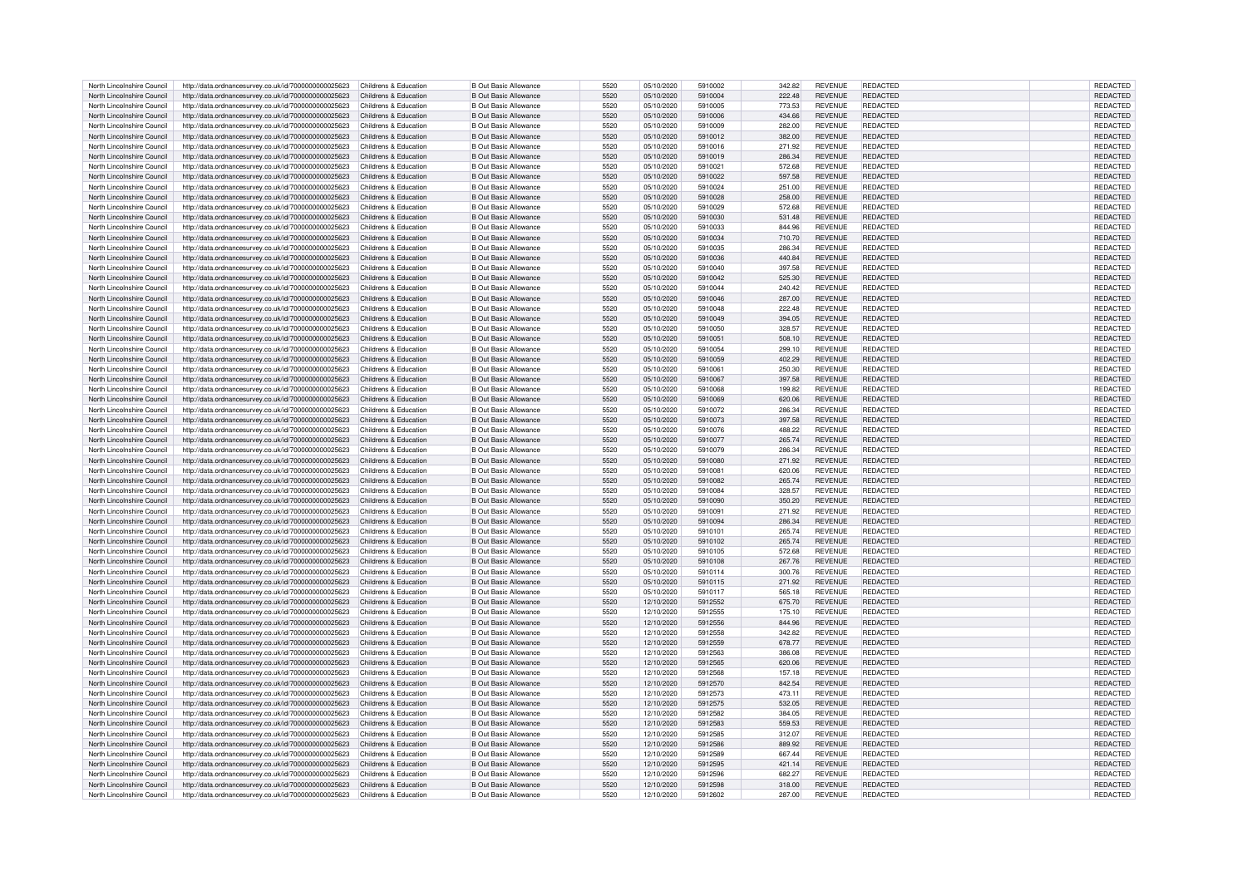| North Lincolnshire Council | http://data.ordnancesurvey.co.uk/id/7000000000025623                       | Childrens & Education | <b>B Out Basic Allowance</b> | 5520 | 05/10/2020 | 5910002 | 342.82 | <b>REVENUE</b> | REDACTED        | REDACTED        |
|----------------------------|----------------------------------------------------------------------------|-----------------------|------------------------------|------|------------|---------|--------|----------------|-----------------|-----------------|
| North Lincolnshire Council | http://data.ordnancesurvey.co.uk/id/7000000000025623                       | Childrens & Education | <b>B Out Basic Allowance</b> | 5520 | 05/10/2020 | 5910004 | 222.48 | <b>REVENUE</b> | <b>REDACTED</b> | REDACTED        |
| North Lincolnshire Council |                                                                            | Childrens & Education | <b>B Out Basic Allowance</b> | 5520 |            | 5910005 |        | <b>REVENUE</b> | REDACTED        | REDACTED        |
|                            | http://data.ordnancesurvey.co.uk/id/7000000000025623                       |                       |                              |      | 05/10/2020 |         | 773.53 |                |                 |                 |
| North Lincolnshire Council | http://data.ordnancesurvey.co.uk/id/7000000000025623                       | Childrens & Education | <b>B Out Basic Allowance</b> | 5520 | 05/10/2020 | 5910006 | 434.66 | <b>REVENUE</b> | <b>REDACTED</b> | REDACTED        |
| North Lincolnshire Council | http://data.ordnancesurvey.co.uk/id/7000000000025623                       | Childrens & Education | <b>B Out Basic Allowance</b> | 5520 | 05/10/2020 | 5910009 | 282.00 | <b>REVENUE</b> | REDACTED        | REDACTED        |
| North Lincolnshire Council | http://data.ordnancesurvey.co.uk/id/7000000000025623                       | Childrens & Education | <b>B Out Basic Allowance</b> | 5520 | 05/10/2020 | 5910012 | 382.00 | <b>REVENUE</b> | <b>REDACTED</b> | REDACTED        |
| North Lincolnshire Council | http://data.ordnancesurvey.co.uk/id/7000000000025623                       | Childrens & Education | <b>B Out Basic Allowance</b> | 5520 | 05/10/2020 | 5910016 | 271.92 | <b>REVENUE</b> | <b>REDACTED</b> | REDACTED        |
| North Lincolnshire Council |                                                                            | Childrens & Education | <b>B Out Basic Allowance</b> | 5520 | 05/10/2020 | 5910019 | 286.34 | <b>REVENUE</b> | REDACTED        | REDACTED        |
|                            | http://data.ordnancesurvey.co.uk/id/7000000000025623                       |                       |                              |      |            |         |        |                |                 |                 |
| North Lincolnshire Council | http://data.ordnancesurvey.co.uk/id/7000000000025623                       | Childrens & Education | <b>B Out Basic Allowance</b> | 5520 | 05/10/2020 | 5910021 | 572.68 | <b>REVENUE</b> | <b>REDACTED</b> | REDACTED        |
| North Lincolnshire Council | http://data.ordnancesurvey.co.uk/id/7000000000025623                       | Childrens & Education | <b>B Out Basic Allowance</b> | 5520 | 05/10/2020 | 5910022 | 597.58 | REVENUE        | REDACTED        | REDACTED        |
| North Lincolnshire Council | http://data.ordnancesurvey.co.uk/id/7000000000025623                       | Childrens & Education | <b>B Out Basic Allowance</b> | 5520 | 05/10/2020 | 5910024 | 251.00 | <b>REVENUE</b> | <b>REDACTED</b> | <b>REDACTED</b> |
|                            |                                                                            |                       |                              | 5520 |            |         |        |                |                 |                 |
| North Lincolnshire Council | http://data.ordnancesurvey.co.uk/id/7000000000025623                       | Childrens & Education | <b>B Out Basic Allowance</b> |      | 05/10/2020 | 5910028 | 258.00 | <b>REVENUE</b> | REDACTED        | REDACTED        |
| North Lincolnshire Council | http://data.ordnancesurvey.co.uk/id/7000000000025623                       | Childrens & Education | <b>B Out Basic Allowance</b> | 5520 | 05/10/2020 | 5910029 | 572.68 | <b>REVENUE</b> | REDACTED        | REDACTED        |
| North Lincolnshire Council | http://data.ordnancesurvey.co.uk/id/7000000000025623                       | Childrens & Education | <b>B Out Basic Allowance</b> | 5520 | 05/10/2020 | 5910030 | 531.48 | <b>REVENUE</b> | REDACTED        | REDACTED        |
| North Lincolnshire Council | http://data.ordnancesurvey.co.uk/id/7000000000025623                       | Childrens & Education | B Out Basic Allowance        | 5520 | 05/10/2020 | 5910033 | 844.96 | <b>REVENUE</b> | REDACTED        | REDACTED        |
| North Lincolnshire Council |                                                                            | Childrens & Education | <b>B Out Basic Allowance</b> | 5520 | 05/10/2020 | 5910034 | 710.70 | <b>REVENUE</b> | REDACTED        | <b>REDACTED</b> |
|                            | http://data.ordnancesurvey.co.uk/id/7000000000025623                       |                       |                              |      |            |         |        |                |                 |                 |
| North Lincolnshire Council | http://data.ordnancesurvey.co.uk/id/7000000000025623                       | Childrens & Education | <b>B Out Basic Allowance</b> | 5520 | 05/10/2020 | 5910035 | 286.34 | <b>REVENUE</b> | REDACTED        | REDACTED        |
| North Lincolnshire Council | http://data.ordnancesurvey.co.uk/id/7000000000025623                       | Childrens & Education | <b>B Out Basic Allowance</b> | 5520 | 05/10/2020 | 5910036 | 440.84 | <b>REVENUE</b> | <b>REDACTED</b> | <b>REDACTED</b> |
| North Lincolnshire Council | http://data.ordnancesurvey.co.uk/id/7000000000025623                       | Childrens & Education | <b>B Out Basic Allowance</b> | 5520 | 05/10/2020 | 5910040 | 397.58 | <b>REVENUE</b> | <b>REDACTED</b> | REDACTED        |
| North Lincolnshire Council | http://data.ordnancesurvey.co.uk/id/7000000000025623                       | Childrens & Education | <b>B Out Basic Allowance</b> | 5520 | 05/10/2020 | 5910042 | 525.30 | <b>REVENUE</b> | <b>REDACTED</b> | REDACTED        |
|                            |                                                                            |                       |                              |      |            |         |        |                |                 |                 |
| North Lincolnshire Council | http://data.ordnancesurvey.co.uk/id/7000000000025623                       | Childrens & Education | <b>B Out Basic Allowance</b> | 5520 | 05/10/2020 | 5910044 | 240.42 | <b>REVENUE</b> | REDACTED        | REDACTED        |
| North Lincolnshire Council | http://data.ordnancesurvey.co.uk/id/7000000000025623                       | Childrens & Education | <b>B Out Basic Allowance</b> | 5520 | 05/10/2020 | 5910046 | 287.00 | <b>REVENUE</b> | <b>REDACTED</b> | REDACTED        |
| North Lincolnshire Council | http://data.ordnancesurvey.co.uk/id/7000000000025623                       | Childrens & Education | <b>B Out Basic Allowance</b> | 5520 | 05/10/2020 | 5910048 | 222.48 | <b>REVENUE</b> | REDACTED        | REDACTED        |
| North Lincolnshire Council | http://data.ordnancesurvey.co.uk/id/7000000000025623                       | Childrens & Education | <b>B Out Basic Allowance</b> | 5520 | 05/10/2020 | 5910049 | 394.05 | <b>REVENUE</b> | <b>REDACTED</b> | REDACTED        |
| North Lincolnshire Council |                                                                            |                       |                              | 5520 |            | 5910050 |        |                | <b>REDACTED</b> |                 |
|                            | http://data.ordnancesurvey.co.uk/id/7000000000025623                       | Childrens & Education | <b>B Out Basic Allowance</b> |      | 05/10/2020 |         | 328.57 | <b>REVENUE</b> |                 | REDACTED        |
| North Lincolnshire Council | http://data.ordnancesurvey.co.uk/id/7000000000025623                       | Childrens & Education | <b>B Out Basic Allowance</b> | 5520 | 05/10/2020 | 5910051 | 508.10 | <b>REVENUE</b> | <b>REDACTED</b> | REDACTED        |
| North Lincolnshire Council | http://data.ordnancesurvey.co.uk/id/7000000000025623                       | Childrens & Education | <b>B Out Basic Allowance</b> | 5520 | 05/10/2020 | 5910054 | 299.10 | <b>REVENUE</b> | <b>REDACTED</b> | <b>REDACTED</b> |
| North Lincolnshire Council | http://data.ordnancesurvey.co.uk/id/7000000000025623                       | Childrens & Education | <b>B Out Basic Allowance</b> | 5520 | 05/10/2020 | 5910059 | 402.29 | <b>REVENUE</b> | <b>REDACTED</b> | REDACTED        |
| North Lincolnshire Council |                                                                            | Childrens & Education | <b>B Out Basic Allowance</b> | 5520 | 05/10/2020 | 5910061 | 250.30 | <b>REVENUE</b> | REDACTED        | REDACTED        |
|                            | http://data.ordnancesurvey.co.uk/id/7000000000025623                       |                       |                              |      |            |         |        |                |                 |                 |
| North Lincolnshire Council | http://data.ordnancesurvey.co.uk/id/7000000000025623                       | Childrens & Education | <b>B Out Basic Allowance</b> | 5520 | 05/10/2020 | 5910067 | 397.58 | <b>REVENUE</b> | REDACTED        | REDACTED        |
| North Lincolnshire Council | http://data.ordnancesurvey.co.uk/id/7000000000025623                       | Childrens & Education | <b>B Out Basic Allowance</b> | 5520 | 05/10/2020 | 5910068 | 199.82 | <b>REVENUE</b> | REDACTED        | REDACTED        |
| North Lincolnshire Council | http://data.ordnancesurvey.co.uk/id/7000000000025623                       | Childrens & Education | <b>B Out Basic Allowance</b> | 5520 | 05/10/2020 | 5910069 | 620.06 | <b>REVENUE</b> | REDACTED        | REDACTED        |
| North Lincolnshire Council | http://data.ordnancesurvey.co.uk/id/7000000000025623                       | Childrens & Education | B Out Basic Allowance        | 5520 | 05/10/2020 | 5910072 | 286.34 | <b>REVENUE</b> | REDACTED        | REDACTED        |
|                            |                                                                            |                       |                              |      |            |         |        |                |                 |                 |
| North Lincolnshire Council | http://data.ordnancesurvey.co.uk/id/7000000000025623                       | Childrens & Education | B Out Basic Allowance        | 5520 | 05/10/2020 | 5910073 | 397.58 | <b>REVENUE</b> | REDACTED        | REDACTED        |
| North Lincolnshire Council | http://data.ordnancesurvey.co.uk/id/7000000000025623                       | Childrens & Education | B Out Basic Allowance        | 5520 | 05/10/2020 | 5910076 | 488.22 | <b>REVENUE</b> | <b>REDACTED</b> | REDACTED        |
| North Lincolnshire Council | http://data.ordnancesurvey.co.uk/id/7000000000025623                       | Childrens & Education | B Out Basic Allowance        | 5520 | 05/10/2020 | 5910077 | 265.74 | <b>REVENUE</b> | <b>REDACTED</b> | <b>REDACTED</b> |
| North Lincolnshire Council | http://data.ordnancesurvey.co.uk/id/7000000000025623                       | Childrens & Education | <b>B Out Basic Allowance</b> | 5520 | 05/10/2020 | 5910079 | 286.34 | <b>REVENUE</b> | <b>REDACTED</b> | REDACTED        |
|                            |                                                                            |                       |                              |      |            |         |        |                |                 |                 |
| North Lincolnshire Council | http://data.ordnancesurvey.co.uk/id/7000000000025623                       | Childrens & Education | <b>B Out Basic Allowance</b> | 5520 | 05/10/2020 | 5910080 | 271.92 | <b>REVENUE</b> | REDACTED        | REDACTED        |
| North Lincolnshire Council | http://data.ordnancesurvey.co.uk/id/7000000000025623                       | Childrens & Education | <b>B Out Basic Allowance</b> | 5520 | 05/10/2020 | 5910081 | 620.06 | <b>REVENUE</b> | <b>REDACTED</b> | REDACTED        |
| North Lincolnshire Council | http://data.ordnancesurvey.co.uk/id/7000000000025623                       | Childrens & Education | <b>B Out Basic Allowance</b> | 5520 | 05/10/2020 | 5910082 | 265.74 | <b>REVENUE</b> | REDACTED        | REDACTED        |
| North Lincolnshire Council | http://data.ordnancesurvey.co.uk/id/7000000000025623                       | Childrens & Education | <b>B Out Basic Allowance</b> | 5520 | 05/10/2020 | 5910084 | 328.57 | <b>REVENUE</b> | REDACTED        | REDACTED        |
|                            |                                                                            |                       |                              |      |            |         |        |                |                 |                 |
| North Lincolnshire Council | http://data.ordnancesurvey.co.uk/id/7000000000025623                       | Childrens & Education | <b>B Out Basic Allowance</b> | 5520 | 05/10/2020 | 5910090 | 350.20 | <b>REVENUE</b> | REDACTED        | REDACTED        |
| North Lincolnshire Council | http://data.ordnancesurvey.co.uk/id/7000000000025623                       | Childrens & Education | <b>B Out Basic Allowance</b> | 5520 | 05/10/2020 | 5910091 | 271.92 | <b>REVENUE</b> | REDACTED        | REDACTED        |
| North Lincolnshire Council | http://data.ordnancesurvey.co.uk/id/7000000000025623                       | Childrens & Education | <b>B Out Basic Allowance</b> | 5520 | 05/10/2020 | 5910094 | 286.34 | <b>REVENUE</b> | <b>REDACTED</b> | REDACTED        |
| North Lincolnshire Council | http://data.ordnancesurvey.co.uk/id/7000000000025623                       | Childrens & Education | <b>B Out Basic Allowance</b> | 5520 | 05/10/2020 | 5910101 | 265.74 | <b>REVENUE</b> | <b>REDACTED</b> | <b>REDACTED</b> |
|                            |                                                                            |                       |                              |      |            |         |        |                |                 |                 |
| North Lincolnshire Council | http://data.ordnancesurvey.co.uk/id/7000000000025623                       | Childrens & Education | <b>B Out Basic Allowance</b> | 5520 | 05/10/2020 | 5910102 | 265.74 | <b>REVENUE</b> | <b>REDACTED</b> | REDACTED        |
| North Lincolnshire Council | http://data.ordnancesurvey.co.uk/id/7000000000025623                       | Childrens & Education | <b>B Out Basic Allowance</b> | 5520 | 05/10/2020 | 5910105 | 572.68 | <b>REVENUE</b> | <b>REDACTED</b> | REDACTED        |
| North Lincolnshire Council | http://data.ordnancesurvey.co.uk/id/7000000000025623                       | Childrens & Education | <b>B Out Basic Allowance</b> | 5520 | 05/10/2020 | 5910108 | 267.76 | <b>REVENUE</b> | <b>REDACTED</b> | REDACTED        |
| North Lincolnshire Council | http://data.ordnancesurvey.co.uk/id/7000000000025623                       | Childrens & Education | <b>B Out Basic Allowance</b> | 5520 | 05/10/2020 | 5910114 | 300.76 | <b>REVENUE</b> | <b>REDACTED</b> | REDACTED        |
|                            |                                                                            | Childrens & Education |                              | 5520 |            | 5910115 |        |                | <b>REDACTED</b> |                 |
| North Lincolnshire Council | http://data.ordnancesurvey.co.uk/id/7000000000025623                       |                       | <b>B Out Basic Allowance</b> |      | 05/10/2020 |         | 271.92 | <b>REVENUE</b> |                 | <b>REDACTED</b> |
| North Lincolnshire Council | http://data.ordnancesurvey.co.uk/id/7000000000025623                       | Childrens & Education | <b>B Out Basic Allowance</b> | 5520 | 05/10/2020 | 5910117 | 565.18 | <b>REVENUE</b> | REDACTED        | REDACTED        |
| North Lincolnshire Council | http://data.ordnancesurvey.co.uk/id/7000000000025623                       | Childrens & Education | <b>B Out Basic Allowance</b> | 5520 | 12/10/2020 | 5912552 | 675.70 | <b>REVENUE</b> | REDACTED        | REDACTED        |
| North Lincolnshire Council | http://data.ordnancesurvey.co.uk/id/7000000000025623                       | Childrens & Education | B Out Basic Allowance        | 5520 | 12/10/2020 | 5912555 | 175.10 | <b>REVENUE</b> | <b>REDACTED</b> | REDACTED        |
| North Lincolnshire Council | http://data.ordnancesurvey.co.uk/id/7000000000025623                       | Childrens & Education | <b>B Out Basic Allowance</b> | 5520 | 12/10/2020 | 5912556 | 844.96 | <b>REVENUE</b> | <b>REDACTED</b> | REDACTED        |
|                            |                                                                            |                       |                              |      |            |         |        |                |                 |                 |
| North Lincolnshire Council | http://data.ordnancesurvey.co.uk/id/7000000000025623                       | Childrens & Education | B Out Basic Allowance        | 5520 | 12/10/2020 | 5912558 | 342.82 | <b>REVENUE</b> | <b>REDACTED</b> | REDACTED        |
| North Lincolnshire Council | http://data.ordnancesurvey.co.uk/id/7000000000025623                       | Childrens & Education | <b>B Out Basic Allowance</b> | 5520 | 12/10/2020 | 5912559 | 678.77 | <b>REVENUE</b> | <b>REDACTED</b> | REDACTED        |
| North Lincolnshire Council | http://data.ordnancesurvey.co.uk/id/7000000000025623                       | Childrens & Education | <b>B Out Basic Allowance</b> | 5520 | 12/10/2020 | 5912563 | 386.08 | <b>REVENUE</b> | <b>REDACTED</b> | REDACTED        |
| North Lincolnshire Council | http://data.ordnancesurvey.co.uk/id/7000000000025623                       | Childrens & Education | <b>B Out Basic Allowance</b> | 5520 | 12/10/2020 | 5912565 | 620.06 | <b>REVENUE</b> | <b>REDACTED</b> | REDACTED        |
| North Lincolnshire Council | http://data.ordnancesurvey.co.uk/id/7000000000025623                       | Childrens & Education | <b>B Out Basic Allowance</b> | 5520 | 12/10/2020 | 5912568 | 157.18 | <b>REVENUE</b> | <b>REDACTED</b> | REDACTED        |
|                            |                                                                            |                       |                              |      |            |         |        |                |                 |                 |
| North Lincolnshire Council | http://data.ordnancesurvey.co.uk/id/7000000000025623                       | Childrens & Education | <b>B Out Basic Allowance</b> | 5520 | 12/10/2020 | 5912570 | 842.54 | <b>REVENUE</b> | <b>REDACTED</b> | REDACTED        |
| North Lincolnshire Council | http://data.ordnancesurvey.co.uk/id/7000000000025623                       | Childrens & Education | <b>B Out Basic Allowance</b> | 5520 | 12/10/2020 | 5912573 | 473.1  | <b>REVENUE</b> | REDACTED        | REDACTED        |
| North Lincolnshire Council | http://data.ordnancesurvey.co.uk/id/7000000000025623                       | Childrens & Education | <b>B Out Basic Allowance</b> | 5520 | 12/10/2020 | 5912575 | 532.05 | <b>REVENUE</b> | REDACTED        | REDACTED        |
| North Lincolnshire Council | http://data.ordnancesurvey.co.uk/id/7000000000025623                       | Childrens & Education | B Out Basic Allowance        | 5520 | 12/10/2020 | 5912582 | 384.05 | <b>REVENUE</b> | REDACTED        | REDACTED        |
|                            |                                                                            |                       |                              | 5520 |            |         |        |                | <b>REDACTED</b> |                 |
| North Lincolnshire Council | http://data.ordnancesurvey.co.uk/id/7000000000025623                       | Childrens & Education | <b>B Out Basic Allowance</b> |      | 12/10/2020 | 5912583 | 559.53 | <b>REVENUE</b> |                 | REDACTED        |
| North Lincolnshire Council | http://data.ordnancesurvey.co.uk/id/7000000000025623                       | Childrens & Education | <b>B Out Basic Allowance</b> | 5520 | 12/10/2020 | 5912585 | 312.07 | <b>REVENUE</b> | <b>REDACTED</b> | REDACTED        |
| North Lincolnshire Council | http://data.ordnancesurvey.co.uk/id/7000000000025623                       | Childrens & Education | <b>B Out Basic Allowance</b> | 5520 | 12/10/2020 | 5912586 | 889.92 | <b>REVENUE</b> | <b>REDACTED</b> | <b>REDACTED</b> |
| North Lincolnshire Council | http://data.ordnancesurvey.co.uk/id/7000000000025623                       | Childrens & Education | <b>B Out Basic Allowance</b> | 5520 | 12/10/2020 | 5912589 | 667.44 | <b>REVENUE</b> | <b>REDACTED</b> | REDACTED        |
| North Lincolnshire Council | http://data.ordnancesurvey.co.uk/id/7000000000025623                       | Childrens & Education | <b>B Out Basic Allowance</b> | 5520 | 12/10/2020 | 5912595 | 421.14 | <b>REVENUE</b> | <b>REDACTED</b> | REDACTED        |
|                            |                                                                            |                       |                              |      |            |         |        |                |                 |                 |
| North Lincolnshire Council | http://data.ordnancesurvey.co.uk/id/7000000000025623                       | Childrens & Education | B Out Basic Allowance        | 5520 | 12/10/2020 | 5912596 | 682.27 | <b>REVENUE</b> | <b>REDACTED</b> | <b>REDACTED</b> |
| North Lincolnshire Council | http://data.ordnancesurvey.co.uk/id/7000000000025623                       | Childrens & Education | <b>B Out Basic Allowance</b> | 5520 | 12/10/2020 | 5912598 | 318.00 | <b>REVENUE</b> | <b>REDACTED</b> | <b>REDACTED</b> |
| North Lincolnshire Council | http://data.ordnancesurvey.co.uk/id/7000000000025623 Childrens & Education |                       | <b>B</b> Out Basic Allowance | 5520 | 12/10/2020 | 5912602 | 287.00 | <b>REVENUE</b> | REDACTED        | REDACTED        |
|                            |                                                                            |                       |                              |      |            |         |        |                |                 |                 |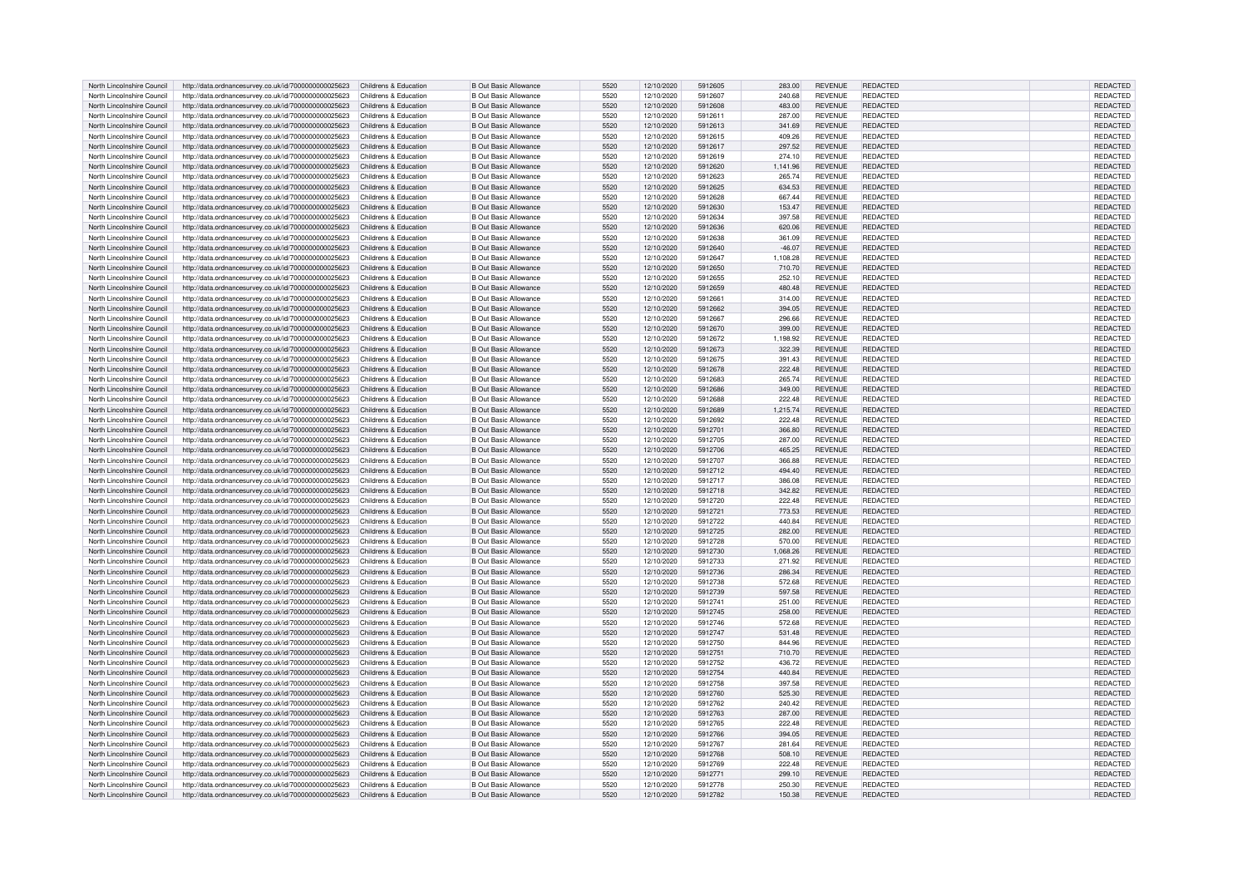| North Lincolnshire Council | http://data.ordnancesurvey.co.uk/id/7000000000025623                       | Childrens & Education | <b>B Out Basic Allowance</b> | 5520 | 12/10/2020 | 5912605 | 283.00   | <b>REVENUE</b> | REDACTED        | REDACTED        |
|----------------------------|----------------------------------------------------------------------------|-----------------------|------------------------------|------|------------|---------|----------|----------------|-----------------|-----------------|
| North Lincolnshire Council | http://data.ordnancesurvey.co.uk/id/7000000000025623                       | Childrens & Education | <b>B Out Basic Allowance</b> | 5520 | 12/10/2020 | 5912607 | 240.68   | <b>REVENUE</b> | REDACTED        | REDACTED        |
| North Lincolnshire Council | http://data.ordnancesurvey.co.uk/id/7000000000025623                       | Childrens & Education | <b>B Out Basic Allowance</b> | 5520 | 12/10/2020 | 5912608 | 483.00   | <b>REVENUE</b> | REDACTED        | REDACTED        |
| North Lincolnshire Council | http://data.ordnancesurvey.co.uk/id/7000000000025623                       | Childrens & Education | <b>B Out Basic Allowance</b> | 5520 | 12/10/2020 | 5912611 | 287.00   | <b>REVENUE</b> | REDACTED        | REDACTED        |
|                            |                                                                            |                       |                              |      |            |         |          |                |                 |                 |
| North Lincolnshire Council | http://data.ordnancesurvey.co.uk/id/7000000000025623                       | Childrens & Education | <b>B Out Basic Allowance</b> | 5520 | 12/10/2020 | 5912613 | 341.69   | <b>REVENUE</b> | <b>REDACTED</b> | REDACTED        |
| North Lincolnshire Council | http://data.ordnancesurvey.co.uk/id/7000000000025623                       | Childrens & Education | <b>B Out Basic Allowance</b> | 5520 | 12/10/2020 | 5912615 | 409.26   | <b>REVENUE</b> | REDACTED        | REDACTED        |
| North Lincolnshire Council | http://data.ordnancesurvey.co.uk/id/7000000000025623                       | Childrens & Education | <b>B Out Basic Allowance</b> | 5520 | 12/10/2020 | 5912617 | 297.52   | <b>REVENUE</b> | REDACTED        | REDACTED        |
| North Lincolnshire Council | http://data.ordnancesurvey.co.uk/id/7000000000025623                       | Childrens & Education | <b>B Out Basic Allowance</b> | 5520 | 12/10/2020 | 5912619 | 274.10   | <b>REVENUE</b> | <b>REDACTED</b> | REDACTED        |
| North Lincolnshire Council | http://data.ordnancesurvey.co.uk/id/7000000000025623                       | Childrens & Education | <b>B Out Basic Allowance</b> | 5520 | 12/10/2020 | 5912620 | 1.141.96 | <b>REVENUE</b> | REDACTED        | REDACTED        |
| North Lincolnshire Council | http://data.ordnancesurvey.co.uk/id/7000000000025623                       | Childrens & Education | <b>B Out Basic Allowance</b> | 5520 | 12/10/2020 | 5912623 | 265.74   | <b>REVENUE</b> | <b>REDACTED</b> | REDACTED        |
| North Lincolnshire Council | http://data.ordnancesurvey.co.uk/id/7000000000025623                       | Childrens & Education | <b>B Out Basic Allowance</b> | 5520 | 12/10/2020 | 5912625 | 634.53   | <b>REVENUE</b> | <b>REDACTED</b> | REDACTED        |
|                            |                                                                            |                       |                              |      |            |         |          |                |                 |                 |
| North Lincolnshire Council | http://data.ordnancesurvey.co.uk/id/7000000000025623                       | Childrens & Education | <b>B Out Basic Allowance</b> | 5520 | 12/10/2020 | 5912628 | 667.44   | <b>REVENUE</b> | REDACTED        | REDACTED        |
| North Lincolnshire Council | http://data.ordnancesurvey.co.uk/id/7000000000025623                       | Childrens & Education | <b>B Out Basic Allowance</b> | 5520 | 12/10/2020 | 5912630 | 153.47   | <b>REVENUE</b> | <b>REDACTED</b> | REDACTED        |
| North Lincolnshire Council | http://data.ordnancesurvey.co.uk/id/7000000000025623                       | Childrens & Education | <b>B Out Basic Allowance</b> | 5520 | 12/10/2020 | 5912634 | 397.58   | <b>REVENUE</b> | <b>REDACTED</b> | REDACTED        |
| North Lincolnshire Council | http://data.ordnancesurvey.co.uk/id/7000000000025623                       | Childrens & Education | <b>B Out Basic Allowance</b> | 5520 | 12/10/2020 | 5912636 | 620.06   | <b>REVENUE</b> | <b>REDACTED</b> | REDACTED        |
| North Lincolnshire Council | http://data.ordnancesurvey.co.uk/id/7000000000025623                       | Childrens & Education | <b>B Out Basic Allowance</b> | 5520 | 12/10/2020 | 5912638 | 361.09   | <b>REVENUE</b> | <b>REDACTED</b> | REDACTED        |
| North Lincolnshire Council | http://data.ordnancesurvey.co.uk/id/7000000000025623                       | Childrens & Education | <b>B Out Basic Allowance</b> | 5520 | 12/10/2020 | 5912640 | $-46.07$ | <b>REVENUE</b> | REDACTED        | REDACTED        |
| North Lincolnshire Council | http://data.ordnancesurvey.co.uk/id/7000000000025623                       | Childrens & Education | <b>B Out Basic Allowance</b> | 5520 | 12/10/2020 | 5912647 | 1,108.28 | <b>REVENUE</b> | <b>REDACTED</b> | REDACTED        |
| North Lincolnshire Council | http://data.ordnancesurvey.co.uk/id/7000000000025623                       | Childrens & Education | <b>B Out Basic Allowance</b> | 5520 | 12/10/2020 | 5912650 | 710.70   | <b>REVENUE</b> | REDACTED        | REDACTED        |
| North Lincolnshire Council |                                                                            | Childrens & Education | <b>B Out Basic Allowance</b> | 5520 |            | 5912655 |          | <b>REVENUE</b> | <b>REDACTED</b> |                 |
|                            | http://data.ordnancesurvey.co.uk/id/7000000000025623                       |                       |                              |      | 12/10/2020 |         | 252.10   |                |                 | REDACTED        |
| North Lincolnshire Council | http://data.ordnancesurvey.co.uk/id/7000000000025623                       | Childrens & Education | <b>B Out Basic Allowance</b> | 5520 | 12/10/2020 | 5912659 | 480.48   | <b>REVENUE</b> | <b>REDACTED</b> | REDACTED        |
| North Lincolnshire Council | http://data.ordnancesurvey.co.uk/id/7000000000025623                       | Childrens & Education | <b>B Out Basic Allowance</b> | 5520 | 12/10/2020 | 5912661 | 314.00   | <b>REVENUE</b> | REDACTED        | REDACTED        |
| North Lincolnshire Council | http://data.ordnancesurvey.co.uk/id/7000000000025623                       | Childrens & Education | <b>B Out Basic Allowance</b> | 5520 | 12/10/2020 | 5912662 | 394.05   | <b>REVENUE</b> | <b>REDACTED</b> | REDACTED        |
| North Lincolnshire Council | http://data.ordnancesurvey.co.uk/id/7000000000025623                       | Childrens & Education | <b>B Out Basic Allowance</b> | 5520 | 12/10/2020 | 5912667 | 296.66   | <b>REVENUE</b> | <b>REDACTED</b> | REDACTED        |
| North Lincolnshire Council | http://data.ordnancesurvey.co.uk/id/7000000000025623                       | Childrens & Education | <b>B Out Basic Allowance</b> | 5520 | 12/10/2020 | 5912670 | 399.00   | <b>REVENUE</b> | <b>REDACTED</b> | REDACTED        |
| North Lincolnshire Council | http://data.ordnancesurvey.co.uk/id/7000000000025623                       | Childrens & Education | <b>B Out Basic Allowance</b> | 5520 | 12/10/2020 | 5912672 | 1,198.92 | <b>REVENUE</b> | <b>REDACTED</b> | REDACTED        |
| North Lincolnshire Council | http://data.ordnancesurvey.co.uk/id/7000000000025623                       | Childrens & Education | <b>B Out Basic Allowance</b> | 5520 | 12/10/2020 | 5912673 | 322.39   | <b>REVENUE</b> | REDACTED        | REDACTED        |
|                            |                                                                            |                       |                              | 5520 |            |         |          |                | <b>REDACTED</b> |                 |
| North Lincolnshire Council | http://data.ordnancesurvey.co.uk/id/7000000000025623                       | Childrens & Education | <b>B Out Basic Allowance</b> |      | 12/10/2020 | 5912675 | 391.43   | <b>REVENUE</b> |                 | REDACTED        |
| North Lincolnshire Council | http://data.ordnancesurvey.co.uk/id/7000000000025623                       | Childrens & Education | <b>B Out Basic Allowance</b> | 5520 | 12/10/2020 | 5912678 | 222.48   | <b>REVENUE</b> | REDACTED        | REDACTED        |
| North Lincolnshire Council | http://data.ordnancesurvey.co.uk/id/7000000000025623                       | Childrens & Education | <b>B Out Basic Allowance</b> | 5520 | 12/10/2020 | 5912683 | 265.74   | <b>REVENUE</b> | <b>REDACTED</b> | REDACTED        |
| North Lincolnshire Council | http://data.ordnancesurvey.co.uk/id/7000000000025623                       | Childrens & Education | <b>B Out Basic Allowance</b> | 5520 | 12/10/2020 | 5912686 | 349.00   | <b>REVENUE</b> | REDACTED        | REDACTED        |
| North Lincolnshire Council | http://data.ordnancesurvey.co.uk/id/7000000000025623                       | Childrens & Education | <b>B Out Basic Allowance</b> | 5520 | 12/10/2020 | 5912688 | 222.48   | <b>REVENUE</b> | <b>REDACTED</b> | REDACTED        |
| North Lincolnshire Council | http://data.ordnancesurvey.co.uk/id/7000000000025623                       | Childrens & Education | <b>B Out Basic Allowance</b> | 5520 | 12/10/2020 | 5912689 | 1,215.74 | <b>REVENUE</b> | REDACTED        | REDACTED        |
| North Lincolnshire Council | http://data.ordnancesurvey.co.uk/id/7000000000025623                       | Childrens & Education | <b>B Out Basic Allowance</b> | 5520 | 12/10/2020 | 5912692 | 222.48   | <b>REVENUE</b> | REDACTED        | REDACTED        |
| North Lincolnshire Council |                                                                            | Childrens & Education | <b>B Out Basic Allowance</b> | 5520 | 12/10/2020 | 5912701 | 366.80   | <b>REVENUE</b> | REDACTED        | REDACTED        |
|                            | http://data.ordnancesurvey.co.uk/id/7000000000025623                       |                       |                              |      |            |         |          |                |                 |                 |
| North Lincolnshire Council | http://data.ordnancesurvey.co.uk/id/7000000000025623                       | Childrens & Education | <b>B Out Basic Allowance</b> | 5520 | 12/10/2020 | 5912705 | 287.00   | <b>REVENUE</b> | REDACTED        | REDACTED        |
| North Lincolnshire Council | http://data.ordnancesurvey.co.uk/id/7000000000025623                       | Childrens & Education | <b>B Out Basic Allowance</b> | 5520 | 12/10/2020 | 5912706 | 465.25   | <b>REVENUE</b> | <b>REDACTED</b> | <b>REDACTED</b> |
| North Lincolnshire Council | http://data.ordnancesurvey.co.uk/id/7000000000025623                       | Childrens & Education | <b>B Out Basic Allowance</b> | 5520 | 12/10/2020 | 5912707 | 366.88   | <b>REVENUE</b> | <b>REDACTED</b> | REDACTED        |
| North Lincolnshire Council | http://data.ordnancesurvey.co.uk/id/7000000000025623                       | Childrens & Education | <b>B Out Basic Allowance</b> | 5520 | 12/10/2020 | 5912712 | 494.40   | <b>REVENUE</b> | <b>REDACTED</b> | REDACTED        |
| North Lincolnshire Council | http://data.ordnancesurvey.co.uk/id/7000000000025623                       | Childrens & Education | <b>B Out Basic Allowance</b> | 5520 | 12/10/2020 | 5912717 | 386.08   | <b>REVENUE</b> | <b>REDACTED</b> | REDACTED        |
| North Lincolnshire Council | http://data.ordnancesurvey.co.uk/id/7000000000025623                       | Childrens & Education | <b>B Out Basic Allowance</b> | 5520 | 12/10/2020 | 5912718 | 342.82   | <b>REVENUE</b> | REDACTED        | REDACTED        |
| North Lincolnshire Council | http://data.ordnancesurvey.co.uk/id/7000000000025623                       | Childrens & Education | <b>B Out Basic Allowance</b> | 5520 | 12/10/2020 | 5912720 | 222.48   | <b>REVENUE</b> | REDACTED        | <b>REDACTED</b> |
| North Lincolnshire Council | http://data.ordnancesurvey.co.uk/id/7000000000025623                       | Childrens & Education | <b>B Out Basic Allowance</b> | 5520 | 12/10/2020 | 5912721 | 773.53   | <b>REVENUE</b> | REDACTED        | REDACTED        |
| North Lincolnshire Council |                                                                            |                       | <b>B Out Basic Allowance</b> | 5520 |            | 5912722 | 440.84   | <b>REVENUE</b> | REDACTED        |                 |
|                            | http://data.ordnancesurvey.co.uk/id/7000000000025623                       | Childrens & Education |                              |      | 12/10/2020 |         |          |                |                 | <b>REDACTED</b> |
| North Lincolnshire Council | http://data.ordnancesurvey.co.uk/id/7000000000025623                       | Childrens & Education | <b>B Out Basic Allowance</b> | 5520 | 12/10/2020 | 5912725 | 282.00   | <b>REVENUE</b> | REDACTED        | REDACTED        |
| North Lincolnshire Council | http://data.ordnancesurvey.co.uk/id/7000000000025623                       | Childrens & Education | <b>B Out Basic Allowance</b> | 5520 | 12/10/2020 | 5912728 | 570.00   | <b>REVENUE</b> | <b>REDACTED</b> | REDACTED        |
| North Lincolnshire Council | http://data.ordnancesurvey.co.uk/id/7000000000025623                       | Childrens & Education | <b>B Out Basic Allowance</b> | 5520 | 12/10/2020 | 5912730 | 1.068.26 | <b>REVENUE</b> | <b>REDACTED</b> | REDACTED        |
| North Lincolnshire Council | http://data.ordnancesurvey.co.uk/id/7000000000025623                       | Childrens & Education | <b>B Out Basic Allowance</b> | 5520 | 12/10/2020 | 5912733 | 271.92   | <b>REVENUE</b> | REDACTED        | REDACTED        |
| North Lincolnshire Council | http://data.ordnancesurvey.co.uk/id/7000000000025623                       | Childrens & Education | <b>B Out Basic Allowance</b> | 5520 | 12/10/2020 | 5912736 | 286.34   | <b>REVENUE</b> | <b>REDACTED</b> | REDACTED        |
| North Lincolnshire Council | http://data.ordnancesurvey.co.uk/id/7000000000025623                       | Childrens & Education | <b>B Out Basic Allowance</b> | 5520 | 12/10/2020 | 5912738 | 572.68   | <b>REVENUE</b> | <b>REDACTED</b> | REDACTED        |
| North Lincolnshire Council | http://data.ordnancesurvey.co.uk/id/7000000000025623                       | Childrens & Education | <b>B Out Basic Allowance</b> | 5520 | 12/10/2020 | 5912739 | 597.58   | <b>REVENUE</b> | <b>REDACTED</b> | REDACTED        |
| North Lincolnshire Council | http://data.ordnancesurvey.co.uk/id/7000000000025623                       | Childrens & Education | <b>B Out Basic Allowance</b> | 5520 | 12/10/2020 | 5912741 | 251.00   | <b>REVENUE</b> | <b>REDACTED</b> | REDACTED        |
|                            |                                                                            |                       |                              |      |            |         |          |                |                 |                 |
| North Lincolnshire Council | http://data.ordnancesurvey.co.uk/id/7000000000025623                       | Childrens & Education | <b>B Out Basic Allowance</b> | 5520 | 12/10/2020 | 5912745 | 258.00   | <b>REVENUE</b> | <b>REDACTED</b> | REDACTED        |
| North Lincolnshire Council | http://data.ordnancesurvey.co.uk/id/7000000000025623                       | Childrens & Education | <b>B Out Basic Allowance</b> | 5520 | 12/10/2020 | 5912746 | 572.68   | <b>REVENUE</b> | <b>REDACTED</b> | REDACTED        |
| North Lincolnshire Council | http://data.ordnancesurvey.co.uk/id/7000000000025623                       | Childrens & Education | <b>B Out Basic Allowance</b> | 5520 | 12/10/2020 | 5912747 | 531.48   | <b>REVENUE</b> | <b>REDACTED</b> | REDACTED        |
| North Lincolnshire Council | http://data.ordnancesurvey.co.uk/id/7000000000025623                       | Childrens & Education | <b>B Out Basic Allowance</b> | 5520 | 12/10/2020 | 5912750 | 844.96   | <b>REVENUE</b> | <b>REDACTED</b> | <b>REDACTED</b> |
| North Lincolnshire Council | http://data.ordnancesurvey.co.uk/id/7000000000025623                       | Childrens & Education | <b>B Out Basic Allowance</b> | 5520 | 12/10/2020 | 5912751 | 710.70   | <b>REVENUE</b> | <b>REDACTED</b> | REDACTED        |
| North Lincolnshire Council | http://data.ordnancesurvey.co.uk/id/7000000000025623                       | Childrens & Education | <b>B Out Basic Allowance</b> | 5520 | 12/10/2020 | 5912752 | 436.72   | <b>REVENUE</b> | REDACTED        | REDACTED        |
| North Lincolnshire Council | http://data.ordnancesurvey.co.uk/id/7000000000025623                       | Childrens & Education | <b>B Out Basic Allowance</b> | 5520 | 12/10/2020 | 5912754 | 440.84   | <b>REVENUE</b> | <b>REDACTED</b> | REDACTED        |
| North Lincolnshire Council | http://data.ordnancesurvey.co.uk/id/7000000000025623                       | Childrens & Education | <b>B Out Basic Allowance</b> | 5520 | 12/10/2020 | 5912758 | 397.58   | <b>REVENUE</b> | <b>REDACTED</b> | REDACTED        |
| North Lincolnshire Council |                                                                            | Childrens & Education | <b>B Out Basic Allowance</b> | 5520 | 12/10/2020 | 5912760 | 525.30   | <b>REVENUE</b> | REDACTED        | REDACTED        |
|                            | http://data.ordnancesurvey.co.uk/id/7000000000025623                       |                       |                              |      |            |         |          |                |                 |                 |
| North Lincolnshire Council | http://data.ordnancesurvey.co.uk/id/7000000000025623                       | Childrens & Education | <b>B Out Basic Allowance</b> | 5520 | 12/10/2020 | 5912762 | 240.42   | <b>REVENUE</b> | <b>REDACTED</b> | REDACTED        |
| North Lincolnshire Council | http://data.ordnancesurvey.co.uk/id/7000000000025623                       | Childrens & Education | <b>B Out Basic Allowance</b> | 5520 | 12/10/2020 | 5912763 | 287.00   | <b>REVENUE</b> | <b>REDACTED</b> | <b>REDACTED</b> |
| North Lincolnshire Council | http://data.ordnancesurvey.co.uk/id/7000000000025623                       | Childrens & Education | <b>B Out Basic Allowance</b> | 5520 | 12/10/2020 | 5912765 | 222.48   | <b>REVENUE</b> | REDACTED        | REDACTED        |
| North Lincolnshire Council | http://data.ordnancesurvey.co.uk/id/7000000000025623                       | Childrens & Education | <b>B Out Basic Allowance</b> | 5520 | 12/10/2020 | 5912766 | 394.05   | <b>REVENUE</b> | <b>REDACTED</b> | REDACTED        |
| North Lincolnshire Council | http://data.ordnancesurvey.co.uk/id/7000000000025623                       | Childrens & Education | <b>B Out Basic Allowance</b> | 5520 | 12/10/2020 | 5912767 | 281.64   | <b>REVENUE</b> | REDACTED        | REDACTED        |
| North Lincolnshire Council | http://data.ordnancesurvey.co.uk/id/7000000000025623                       | Childrens & Education | <b>B Out Basic Allowance</b> | 5520 | 12/10/2020 | 5912768 | 508.10   | <b>REVENUE</b> | <b>REDACTED</b> | REDACTED        |
| North Lincolnshire Council | http://data.ordnancesurvey.co.uk/id/7000000000025623                       | Childrens & Education | <b>B Out Basic Allowance</b> | 5520 | 12/10/2020 | 5912769 | 222.48   | <b>REVENUE</b> | REDACTED        | REDACTED        |
| North Lincolnshire Council | http://data.ordnancesurvey.co.uk/id/7000000000025623                       | Childrens & Education | B Out Basic Allowance        | 5520 | 12/10/2020 | 5912771 | 299.10   | <b>REVENUE</b> | REDACTED        | <b>REDACTED</b> |
| North Lincolnshire Council |                                                                            | Childrens & Education | B Out Basic Allowance        | 5520 | 12/10/2020 | 5912778 | 250.30   | <b>REVENUE</b> | <b>REDACTED</b> | <b>REDACTED</b> |
| North Lincolnshire Council | http://data.ordnancesurvey.co.uk/id/7000000000025623                       |                       |                              |      |            |         |          |                |                 |                 |
|                            | http://data.ordnancesurvey.co.uk/id/7000000000025623 Childrens & Education |                       | <b>B Out Basic Allowance</b> | 5520 | 12/10/2020 | 5912782 | 150.38   | <b>REVENUE</b> | REDACTED        | REDACTED        |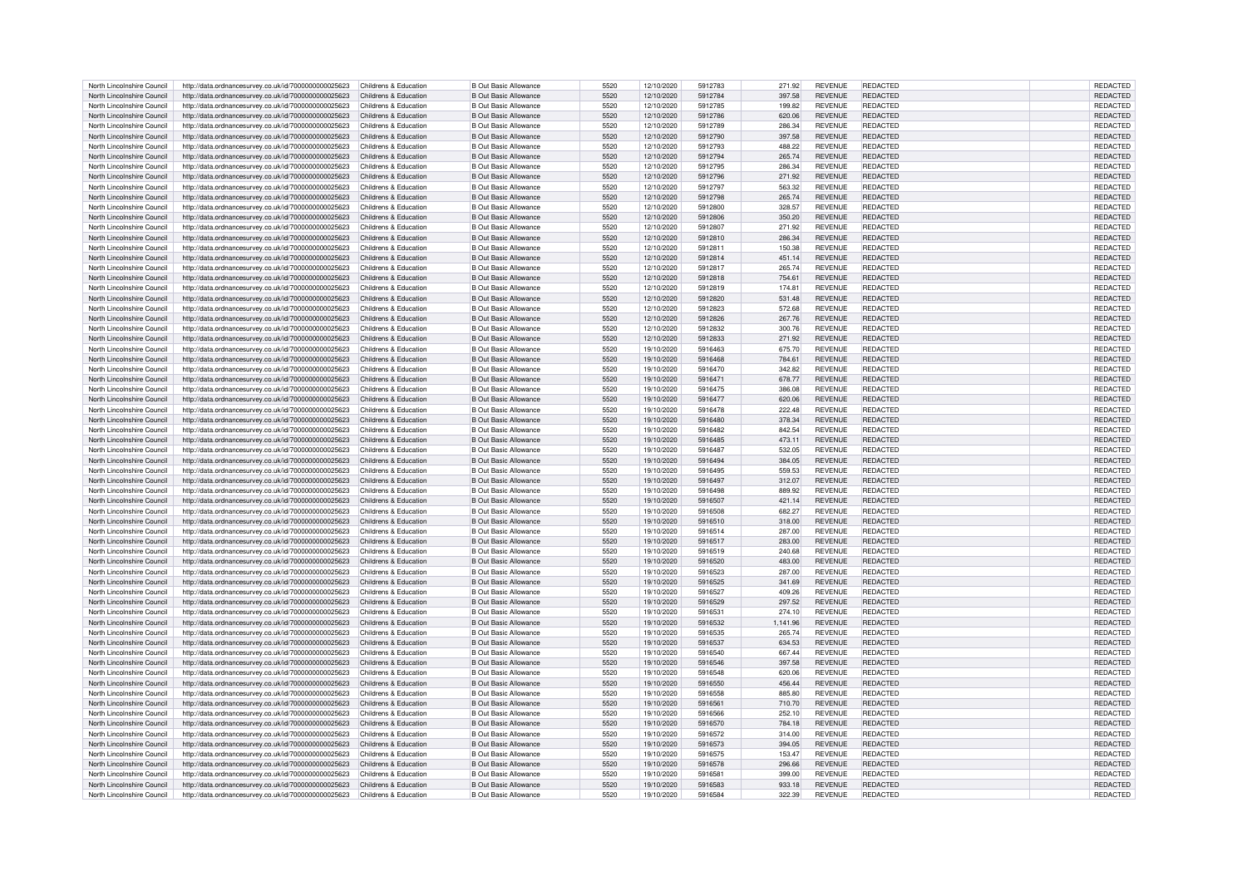| North Lincolnshire Council | http://data.ordnancesurvey.co.uk/id/7000000000025623                       | Childrens & Education | <b>B Out Basic Allowance</b> | 5520 | 12/10/2020 | 5912783 | 271.92   | <b>REVENUE</b> | REDACTED        | REDACTED        |
|----------------------------|----------------------------------------------------------------------------|-----------------------|------------------------------|------|------------|---------|----------|----------------|-----------------|-----------------|
| North Lincolnshire Council | http://data.ordnancesurvey.co.uk/id/7000000000025623                       | Childrens & Education | <b>B Out Basic Allowance</b> | 5520 | 12/10/2020 | 5912784 | 397.58   | <b>REVENUE</b> | <b>REDACTED</b> | REDACTED        |
| North Lincolnshire Council |                                                                            | Childrens & Education | <b>B Out Basic Allowance</b> | 5520 |            | 5912785 |          | <b>REVENUE</b> | REDACTED        | REDACTED        |
|                            | http://data.ordnancesurvey.co.uk/id/7000000000025623                       |                       |                              |      | 12/10/2020 |         | 199.82   |                |                 |                 |
| North Lincolnshire Council | http://data.ordnancesurvey.co.uk/id/7000000000025623                       | Childrens & Education | <b>B Out Basic Allowance</b> | 5520 | 12/10/2020 | 5912786 | 620.06   | <b>REVENUE</b> | <b>REDACTED</b> | REDACTED        |
| North Lincolnshire Council | http://data.ordnancesurvey.co.uk/id/7000000000025623                       | Childrens & Education | <b>B Out Basic Allowance</b> | 5520 | 12/10/2020 | 5912789 | 286.34   | <b>REVENUE</b> | REDACTED        | REDACTED        |
| North Lincolnshire Council | http://data.ordnancesurvey.co.uk/id/7000000000025623                       | Childrens & Education | <b>B Out Basic Allowance</b> | 5520 | 12/10/2020 | 5912790 | 397.58   | <b>REVENUE</b> | <b>REDACTED</b> | REDACTED        |
| North Lincolnshire Council | http://data.ordnancesurvey.co.uk/id/7000000000025623                       | Childrens & Education | <b>B Out Basic Allowance</b> | 5520 | 12/10/2020 | 5912793 | 488.22   | <b>REVENUE</b> | <b>REDACTED</b> | REDACTED        |
| North Lincolnshire Council |                                                                            | Childrens & Education | <b>B Out Basic Allowance</b> | 5520 | 12/10/2020 | 5912794 | 265.74   | <b>REVENUE</b> | REDACTED        | REDACTED        |
|                            | http://data.ordnancesurvey.co.uk/id/7000000000025623                       |                       |                              |      |            |         |          |                |                 |                 |
| North Lincolnshire Council | http://data.ordnancesurvey.co.uk/id/7000000000025623                       | Childrens & Education | <b>B Out Basic Allowance</b> | 5520 | 12/10/2020 | 5912795 | 286.34   | <b>REVENUE</b> | <b>REDACTED</b> | REDACTED        |
| North Lincolnshire Council | http://data.ordnancesurvey.co.uk/id/7000000000025623                       | Childrens & Education | <b>B Out Basic Allowance</b> | 5520 | 12/10/2020 | 5912796 | 271.92   | REVENUE        | REDACTED        | REDACTED        |
| North Lincolnshire Council | http://data.ordnancesurvey.co.uk/id/7000000000025623                       | Childrens & Education | <b>B Out Basic Allowance</b> | 5520 | 12/10/2020 | 5912797 | 563.32   | <b>REVENUE</b> | REDACTED        | <b>REDACTED</b> |
|                            |                                                                            |                       |                              | 5520 |            |         |          |                |                 |                 |
| North Lincolnshire Council | http://data.ordnancesurvey.co.uk/id/7000000000025623                       | Childrens & Education | <b>B Out Basic Allowance</b> |      | 12/10/2020 | 5912798 | 265.74   | <b>REVENUE</b> | REDACTED        | REDACTED        |
| North Lincolnshire Council | http://data.ordnancesurvey.co.uk/id/7000000000025623                       | Childrens & Education | <b>B Out Basic Allowance</b> | 5520 | 12/10/2020 | 5912800 | 328.57   | <b>REVENUE</b> | REDACTED        | REDACTED        |
| North Lincolnshire Council | http://data.ordnancesurvey.co.uk/id/7000000000025623                       | Childrens & Education | <b>B Out Basic Allowance</b> | 5520 | 12/10/2020 | 5912806 | 350.20   | <b>REVENUE</b> | REDACTED        | REDACTED        |
| North Lincolnshire Council | http://data.ordnancesurvey.co.uk/id/7000000000025623                       | Childrens & Education | B Out Basic Allowance        | 5520 | 12/10/2020 | 5912807 | 271.92   | <b>REVENUE</b> | REDACTED        | REDACTED        |
| North Lincolnshire Council |                                                                            | Childrens & Education | <b>B Out Basic Allowance</b> | 5520 | 12/10/2020 | 5912810 | 286.34   | <b>REVENUE</b> | REDACTED        | <b>REDACTED</b> |
|                            | http://data.ordnancesurvey.co.uk/id/7000000000025623                       |                       |                              |      |            |         |          |                |                 |                 |
| North Lincolnshire Council | http://data.ordnancesurvey.co.uk/id/7000000000025623                       | Childrens & Education | <b>B Out Basic Allowance</b> | 5520 | 12/10/2020 | 5912811 | 150.38   | <b>REVENUE</b> | REDACTED        | REDACTED        |
| North Lincolnshire Council | http://data.ordnancesurvey.co.uk/id/7000000000025623                       | Childrens & Education | <b>B Out Basic Allowance</b> | 5520 | 12/10/2020 | 5912814 | 451.14   | <b>REVENUE</b> | <b>REDACTED</b> | <b>REDACTED</b> |
| North Lincolnshire Council | http://data.ordnancesurvey.co.uk/id/7000000000025623                       | Childrens & Education | B Out Basic Allowance        | 5520 | 12/10/2020 | 5912817 | 265.74   | <b>REVENUE</b> | <b>REDACTED</b> | REDACTED        |
| North Lincolnshire Council | http://data.ordnancesurvey.co.uk/id/7000000000025623                       | Childrens & Education | <b>B Out Basic Allowance</b> | 5520 | 12/10/2020 | 5912818 | 754.61   | <b>REVENUE</b> | <b>REDACTED</b> | REDACTED        |
|                            |                                                                            |                       |                              |      |            |         |          |                |                 |                 |
| North Lincolnshire Council | http://data.ordnancesurvey.co.uk/id/7000000000025623                       | Childrens & Education | <b>B Out Basic Allowance</b> | 5520 | 12/10/2020 | 5912819 | 174.8    | <b>REVENUE</b> | REDACTED        | REDACTED        |
| North Lincolnshire Council | http://data.ordnancesurvey.co.uk/id/7000000000025623                       | Childrens & Education | <b>B Out Basic Allowance</b> | 5520 | 12/10/2020 | 5912820 | 531.48   | <b>REVENUE</b> | <b>REDACTED</b> | REDACTED        |
| North Lincolnshire Council | http://data.ordnancesurvey.co.uk/id/7000000000025623                       | Childrens & Education | <b>B Out Basic Allowance</b> | 5520 | 12/10/2020 | 5912823 | 572.68   | <b>REVENUE</b> | REDACTED        | REDACTED        |
| North Lincolnshire Council | http://data.ordnancesurvey.co.uk/id/7000000000025623                       | Childrens & Education | <b>B Out Basic Allowance</b> | 5520 | 12/10/2020 | 5912826 | 267.76   | <b>REVENUE</b> | <b>REDACTED</b> | REDACTED        |
|                            |                                                                            |                       |                              |      |            |         |          |                |                 |                 |
| North Lincolnshire Council | http://data.ordnancesurvey.co.uk/id/7000000000025623                       | Childrens & Education | <b>B Out Basic Allowance</b> | 5520 | 12/10/2020 | 5912832 | 300.76   | <b>REVENUE</b> | <b>REDACTED</b> | REDACTED        |
| North Lincolnshire Council | http://data.ordnancesurvey.co.uk/id/7000000000025623                       | Childrens & Education | <b>B Out Basic Allowance</b> | 5520 | 12/10/2020 | 5912833 | 271.92   | <b>REVENUE</b> | <b>REDACTED</b> | REDACTED        |
| North Lincolnshire Council | http://data.ordnancesurvey.co.uk/id/7000000000025623                       | Childrens & Education | <b>B Out Basic Allowance</b> | 5520 | 19/10/2020 | 5916463 | 675.70   | <b>REVENUE</b> | <b>REDACTED</b> | <b>REDACTED</b> |
| North Lincolnshire Council | http://data.ordnancesurvey.co.uk/id/7000000000025623                       | Childrens & Education | <b>B Out Basic Allowance</b> | 5520 | 19/10/2020 | 5916468 | 784.6    | <b>REVENUE</b> | <b>REDACTED</b> | REDACTED        |
| North Lincolnshire Council |                                                                            | Childrens & Education | <b>B Out Basic Allowance</b> | 5520 | 19/10/2020 | 5916470 | 342.82   | <b>REVENUE</b> | REDACTED        | REDACTED        |
|                            | http://data.ordnancesurvey.co.uk/id/7000000000025623                       |                       |                              |      |            |         |          |                |                 |                 |
| North Lincolnshire Council | http://data.ordnancesurvey.co.uk/id/7000000000025623                       | Childrens & Education | <b>B Out Basic Allowance</b> | 5520 | 19/10/2020 | 5916471 | 678.77   | <b>REVENUE</b> | REDACTED        | REDACTED        |
| North Lincolnshire Council | http://data.ordnancesurvey.co.uk/id/7000000000025623                       | Childrens & Education | <b>B Out Basic Allowance</b> | 5520 | 19/10/2020 | 5916475 | 386.08   | <b>REVENUE</b> | REDACTED        | REDACTED        |
| North Lincolnshire Council | http://data.ordnancesurvey.co.uk/id/7000000000025623                       | Childrens & Education | <b>B Out Basic Allowance</b> | 5520 | 19/10/2020 | 5916477 | 620.06   | <b>REVENUE</b> | REDACTED        | REDACTED        |
| North Lincolnshire Council | http://data.ordnancesurvey.co.uk/id/7000000000025623                       | Childrens & Education | B Out Basic Allowance        | 5520 | 19/10/2020 | 5916478 | 222.48   | <b>REVENUE</b> | REDACTED        | REDACTED        |
|                            |                                                                            |                       |                              |      |            |         |          |                |                 |                 |
| North Lincolnshire Council | http://data.ordnancesurvey.co.uk/id/7000000000025623                       | Childrens & Education | B Out Basic Allowance        | 5520 | 19/10/2020 | 5916480 | 378.34   | <b>REVENUE</b> | REDACTED        | REDACTED        |
| North Lincolnshire Council | http://data.ordnancesurvey.co.uk/id/7000000000025623                       | Childrens & Education | B Out Basic Allowance        | 5520 | 19/10/2020 | 5916482 | 842.54   | <b>REVENUE</b> | <b>REDACTED</b> | REDACTED        |
| North Lincolnshire Council | http://data.ordnancesurvey.co.uk/id/7000000000025623                       | Childrens & Education | B Out Basic Allowance        | 5520 | 19/10/2020 | 5916485 | 473.11   | <b>REVENUE</b> | <b>REDACTED</b> | <b>REDACTED</b> |
| North Lincolnshire Council | http://data.ordnancesurvey.co.uk/id/7000000000025623                       | Childrens & Education | <b>B Out Basic Allowance</b> | 5520 | 19/10/2020 | 5916487 | 532.05   | <b>REVENUE</b> | <b>REDACTED</b> | REDACTED        |
|                            |                                                                            |                       |                              |      |            |         |          |                |                 |                 |
| North Lincolnshire Council | http://data.ordnancesurvey.co.uk/id/7000000000025623                       | Childrens & Education | <b>B Out Basic Allowance</b> | 5520 | 19/10/2020 | 5916494 | 384.05   | <b>REVENUE</b> | REDACTED        | REDACTED        |
| North Lincolnshire Council | http://data.ordnancesurvey.co.uk/id/7000000000025623                       | Childrens & Education | <b>B Out Basic Allowance</b> | 5520 | 19/10/2020 | 5916495 | 559.53   | <b>REVENUE</b> | <b>REDACTED</b> | REDACTED        |
| North Lincolnshire Council | http://data.ordnancesurvey.co.uk/id/7000000000025623                       | Childrens & Education | <b>B Out Basic Allowance</b> | 5520 | 19/10/2020 | 5916497 | 312.07   | <b>REVENUE</b> | REDACTED        | REDACTED        |
| North Lincolnshire Council | http://data.ordnancesurvey.co.uk/id/7000000000025623                       | Childrens & Education | <b>B Out Basic Allowance</b> | 5520 | 19/10/2020 | 5916498 | 889.92   | <b>REVENUE</b> | REDACTED        | REDACTED        |
|                            |                                                                            |                       |                              |      |            |         |          |                |                 |                 |
| North Lincolnshire Council | http://data.ordnancesurvey.co.uk/id/7000000000025623                       | Childrens & Education | <b>B Out Basic Allowance</b> | 5520 | 19/10/2020 | 5916507 | 421.14   | <b>REVENUE</b> | REDACTED        | REDACTED        |
| North Lincolnshire Council | http://data.ordnancesurvey.co.uk/id/7000000000025623                       | Childrens & Education | <b>B Out Basic Allowance</b> | 5520 | 19/10/2020 | 5916508 | 682.27   | <b>REVENUE</b> | REDACTED        | REDACTED        |
| North Lincolnshire Council | http://data.ordnancesurvey.co.uk/id/7000000000025623                       | Childrens & Education | <b>B Out Basic Allowance</b> | 5520 | 19/10/2020 | 5916510 | 318.00   | <b>REVENUE</b> | <b>REDACTED</b> | <b>REDACTED</b> |
| North Lincolnshire Council | http://data.ordnancesurvey.co.uk/id/7000000000025623                       | Childrens & Education | <b>B Out Basic Allowance</b> | 5520 | 19/10/2020 | 5916514 | 287.00   | <b>REVENUE</b> | <b>REDACTED</b> | <b>REDACTED</b> |
|                            |                                                                            |                       |                              |      |            |         |          |                |                 |                 |
| North Lincolnshire Council | http://data.ordnancesurvey.co.uk/id/7000000000025623                       | Childrens & Education | <b>B Out Basic Allowance</b> | 5520 | 19/10/2020 | 5916517 | 283.00   | <b>REVENUE</b> | <b>REDACTED</b> | REDACTED        |
| North Lincolnshire Council | http://data.ordnancesurvey.co.uk/id/7000000000025623                       | Childrens & Education | <b>B Out Basic Allowance</b> | 5520 | 19/10/2020 | 5916519 | 240.68   | <b>REVENUE</b> | <b>REDACTED</b> | REDACTED        |
| North Lincolnshire Council | http://data.ordnancesurvey.co.uk/id/7000000000025623                       | Childrens & Education | <b>B Out Basic Allowance</b> | 5520 | 19/10/2020 | 5916520 | 483.00   | <b>REVENUE</b> | <b>REDACTED</b> | REDACTED        |
| North Lincolnshire Council | http://data.ordnancesurvey.co.uk/id/7000000000025623                       | Childrens & Education | <b>B Out Basic Allowance</b> | 5520 | 19/10/2020 | 5916523 | 287.00   | <b>REVENUE</b> | <b>REDACTED</b> | REDACTED        |
| North Lincolnshire Council | http://data.ordnancesurvey.co.uk/id/7000000000025623                       | Childrens & Education | <b>B Out Basic Allowance</b> | 5520 | 19/10/2020 | 5916525 | 341.69   | <b>REVENUE</b> | <b>REDACTED</b> | <b>REDACTED</b> |
|                            |                                                                            |                       |                              |      |            |         |          |                |                 |                 |
| North Lincolnshire Council | http://data.ordnancesurvey.co.uk/id/7000000000025623                       | Childrens & Education | <b>B Out Basic Allowance</b> | 5520 | 19/10/2020 | 5916527 | 409.26   | <b>REVENUE</b> | REDACTED        | REDACTED        |
| North Lincolnshire Council | http://data.ordnancesurvey.co.uk/id/7000000000025623                       | Childrens & Education | <b>B Out Basic Allowance</b> | 5520 | 19/10/2020 | 5916529 | 297.52   | <b>REVENUE</b> | REDACTED        | REDACTED        |
| North Lincolnshire Council | http://data.ordnancesurvey.co.uk/id/7000000000025623                       | Childrens & Education | B Out Basic Allowance        | 5520 | 19/10/2020 | 5916531 | 274.10   | <b>REVENUE</b> | <b>REDACTED</b> | REDACTED        |
| North Lincolnshire Council | http://data.ordnancesurvey.co.uk/id/7000000000025623                       | Childrens & Education | <b>B Out Basic Allowance</b> | 5520 | 19/10/2020 | 5916532 | 1,141.96 | <b>REVENUE</b> | <b>REDACTED</b> | REDACTED        |
|                            |                                                                            |                       |                              |      |            |         |          |                |                 |                 |
| North Lincolnshire Council | http://data.ordnancesurvey.co.uk/id/7000000000025623                       | Childrens & Education | B Out Basic Allowance        | 5520 | 19/10/2020 | 5916535 | 265.74   | <b>REVENUE</b> | <b>REDACTED</b> | REDACTED        |
| North Lincolnshire Council | http://data.ordnancesurvey.co.uk/id/7000000000025623                       | Childrens & Education | <b>B Out Basic Allowance</b> | 5520 | 19/10/2020 | 5916537 | 634.53   | <b>REVENUE</b> | <b>REDACTED</b> | REDACTED        |
| North Lincolnshire Council | http://data.ordnancesurvey.co.uk/id/7000000000025623                       | Childrens & Education | <b>B Out Basic Allowance</b> | 5520 | 19/10/2020 | 5916540 | 667.44   | <b>REVENUE</b> | <b>REDACTED</b> | REDACTED        |
| North Lincolnshire Council | http://data.ordnancesurvey.co.uk/id/7000000000025623                       | Childrens & Education | <b>B Out Basic Allowance</b> | 5520 | 19/10/2020 | 5916546 | 397.58   | <b>REVENUE</b> | REDACTED        | REDACTED        |
| North Lincolnshire Council | http://data.ordnancesurvey.co.uk/id/7000000000025623                       | Childrens & Education | <b>B Out Basic Allowance</b> | 5520 | 19/10/2020 | 5916548 | 620.06   | <b>REVENUE</b> | <b>REDACTED</b> | REDACTED        |
|                            |                                                                            |                       |                              |      |            |         |          |                |                 |                 |
| North Lincolnshire Council | http://data.ordnancesurvey.co.uk/id/7000000000025623                       | Childrens & Education | <b>B Out Basic Allowance</b> | 5520 | 19/10/2020 | 5916550 | 456.44   | <b>REVENUE</b> | <b>REDACTED</b> | REDACTED        |
| North Lincolnshire Council | http://data.ordnancesurvey.co.uk/id/7000000000025623                       | Childrens & Education | <b>B Out Basic Allowance</b> | 5520 | 19/10/2020 | 5916558 | 885.80   | <b>REVENUE</b> | REDACTED        | REDACTED        |
| North Lincolnshire Council | http://data.ordnancesurvey.co.uk/id/7000000000025623                       | Childrens & Education | <b>B Out Basic Allowance</b> | 5520 | 19/10/2020 | 5916561 | 710.70   | <b>REVENUE</b> | REDACTED        | REDACTED        |
| North Lincolnshire Council | http://data.ordnancesurvey.co.uk/id/7000000000025623                       | Childrens & Education | B Out Basic Allowance        | 5520 | 19/10/2020 | 5916566 | 252.10   | <b>REVENUE</b> | REDACTED        | REDACTED        |
| North Lincolnshire Council |                                                                            | Childrens & Education | <b>B Out Basic Allowance</b> | 5520 | 19/10/2020 | 5916570 | 784.18   | <b>REVENUE</b> | <b>REDACTED</b> | REDACTED        |
|                            | http://data.ordnancesurvey.co.uk/id/7000000000025623                       |                       |                              |      |            |         |          |                |                 |                 |
| North Lincolnshire Council | http://data.ordnancesurvey.co.uk/id/7000000000025623                       | Childrens & Education | <b>B Out Basic Allowance</b> | 5520 | 19/10/2020 | 5916572 | 314.00   | <b>REVENUE</b> | <b>REDACTED</b> | REDACTED        |
| North Lincolnshire Council | http://data.ordnancesurvey.co.uk/id/7000000000025623                       | Childrens & Education | <b>B Out Basic Allowance</b> | 5520 | 19/10/2020 | 5916573 | 394.05   | <b>REVENUE</b> | <b>REDACTED</b> | <b>REDACTED</b> |
| North Lincolnshire Council | http://data.ordnancesurvey.co.uk/id/7000000000025623                       | Childrens & Education | <b>B Out Basic Allowance</b> | 5520 | 19/10/2020 | 5916575 | 153.47   | <b>REVENUE</b> | <b>REDACTED</b> | REDACTED        |
| North Lincolnshire Council | http://data.ordnancesurvey.co.uk/id/7000000000025623                       | Childrens & Education | <b>B Out Basic Allowance</b> | 5520 | 19/10/2020 | 5916578 | 296.66   | <b>REVENUE</b> | REDACTED        | REDACTED        |
|                            |                                                                            | Childrens & Education | B Out Basic Allowance        | 5520 | 19/10/2020 | 5916581 |          | <b>REVENUE</b> | REDACTED        | <b>REDACTED</b> |
| North Lincolnshire Council | http://data.ordnancesurvey.co.uk/id/7000000000025623                       |                       |                              |      |            |         | 399.00   |                |                 |                 |
| North Lincolnshire Council | http://data.ordnancesurvey.co.uk/id/7000000000025623                       | Childrens & Education | <b>B Out Basic Allowance</b> | 5520 | 19/10/2020 | 5916583 | 933.18   | <b>REVENUE</b> | <b>REDACTED</b> | <b>REDACTED</b> |
| North Lincolnshire Council | http://data.ordnancesurvey.co.uk/id/7000000000025623 Childrens & Education |                       | <b>B</b> Out Basic Allowance | 5520 | 19/10/2020 | 5916584 | 322.39   | <b>REVENUE</b> | REDACTED        | REDACTED        |
|                            |                                                                            |                       |                              |      |            |         |          |                |                 |                 |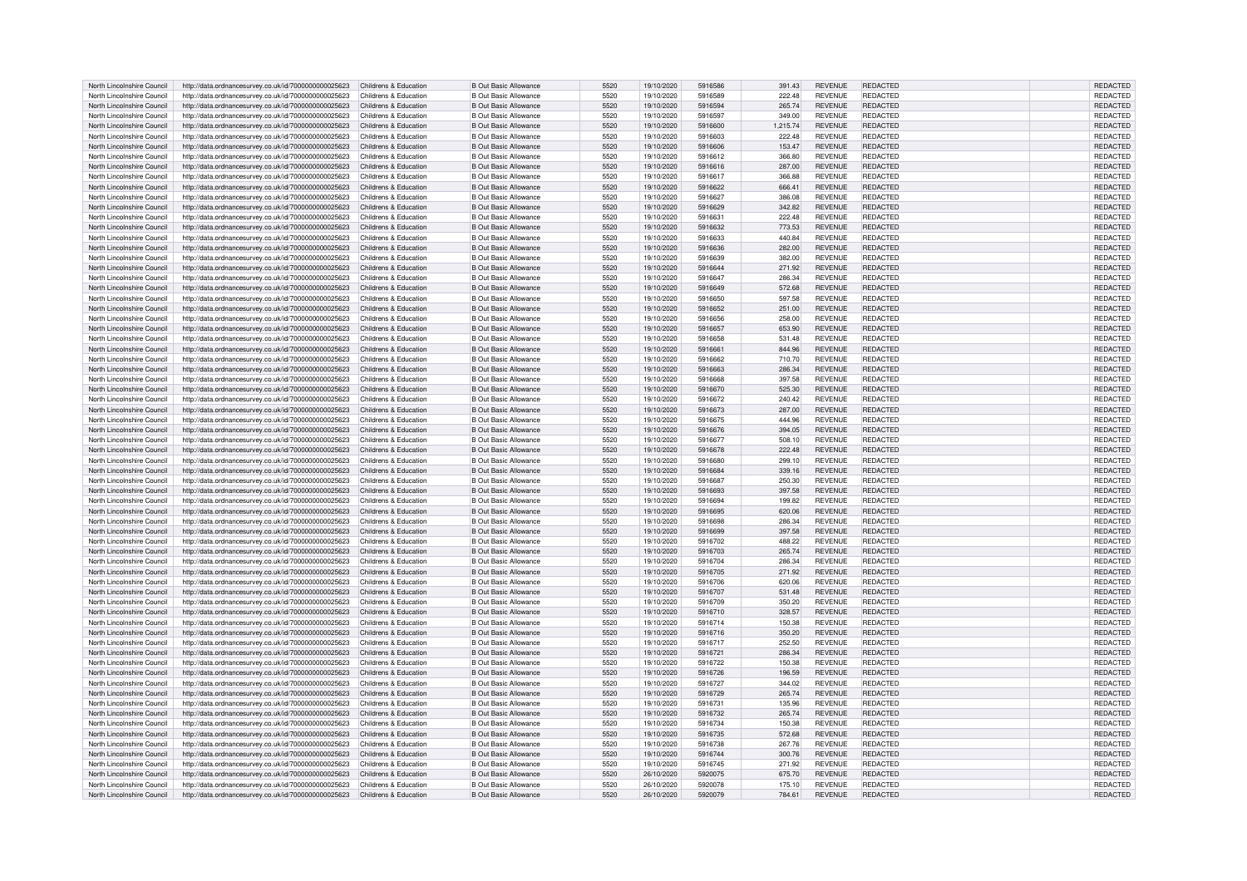| North Lincolnshire Council | http://data.ordnancesurvey.co.uk/id/7000000000025623                       | Childrens & Education | <b>B Out Basic Allowance</b> | 5520 | 19/10/2020 | 5916586 | 391.43   | <b>REVENUE</b> | <b>REDACTED</b> | REDACTED        |
|----------------------------|----------------------------------------------------------------------------|-----------------------|------------------------------|------|------------|---------|----------|----------------|-----------------|-----------------|
| North Lincolnshire Council | http://data.ordnancesurvey.co.uk/id/7000000000025623                       | Childrens & Education | <b>B Out Basic Allowance</b> | 5520 | 19/10/2020 | 5916589 | 222.48   | <b>REVENUE</b> | REDACTED        | REDACTED        |
| North Lincolnshire Council | http://data.ordnancesurvey.co.uk/id/7000000000025623                       | Childrens & Education | <b>B Out Basic Allowance</b> | 5520 | 19/10/2020 | 5916594 | 265.74   | <b>REVENUE</b> | REDACTED        | REDACTED        |
|                            |                                                                            |                       |                              |      |            |         |          |                |                 |                 |
| North Lincolnshire Council | http://data.ordnancesurvey.co.uk/id/7000000000025623                       | Childrens & Education | <b>B Out Basic Allowance</b> | 5520 | 19/10/2020 | 5916597 | 349.00   | <b>REVENUE</b> | REDACTED        | REDACTED        |
| North Lincolnshire Council | http://data.ordnancesurvey.co.uk/id/7000000000025623                       | Childrens & Education | <b>B Out Basic Allowance</b> | 5520 | 19/10/2020 | 5916600 | 1.215.74 | <b>REVENUE</b> | <b>REDACTED</b> | REDACTED        |
| North Lincolnshire Council | http://data.ordnancesurvey.co.uk/id/7000000000025623                       | Childrens & Education | <b>B Out Basic Allowance</b> | 5520 | 19/10/2020 | 5916603 | 222.48   | <b>REVENUE</b> | <b>REDACTED</b> | REDACTED        |
| North Lincolnshire Council | http://data.ordnancesurvey.co.uk/id/7000000000025623                       | Childrens & Education | <b>B Out Basic Allowance</b> | 5520 | 19/10/2020 | 5916606 | 153.47   | <b>REVENUE</b> | REDACTED        | REDACTED        |
| North Lincolnshire Council | http://data.ordnancesurvey.co.uk/id/7000000000025623                       | Childrens & Education | <b>B Out Basic Allowance</b> | 5520 | 19/10/2020 | 5916612 | 366.80   | <b>REVENUE</b> | <b>REDACTED</b> | REDACTED        |
| North Lincolnshire Council | http://data.ordnancesurvey.co.uk/id/7000000000025623                       | Childrens & Education | <b>B Out Basic Allowance</b> | 5520 | 19/10/2020 | 5916616 | 287.00   | <b>REVENUE</b> | REDACTED        | REDACTED        |
| North Lincolnshire Council | http://data.ordnancesurvey.co.uk/id/7000000000025623                       | Childrens & Education | <b>B Out Basic Allowance</b> | 5520 | 19/10/2020 | 5916617 | 366.88   | <b>REVENUE</b> | <b>REDACTED</b> | REDACTED        |
|                            |                                                                            |                       |                              |      |            |         |          |                |                 |                 |
| North Lincolnshire Council | http://data.ordnancesurvey.co.uk/id/7000000000025623                       | Childrens & Education | <b>B Out Basic Allowance</b> | 5520 | 19/10/2020 | 5916622 | 666.41   | <b>REVENUE</b> | <b>REDACTED</b> | REDACTED        |
| North Lincolnshire Council | http://data.ordnancesurvey.co.uk/id/7000000000025623                       | Childrens & Education | <b>B Out Basic Allowance</b> | 5520 | 19/10/2020 | 5916627 | 386.08   | <b>REVENUE</b> | REDACTED        | REDACTED        |
| North Lincolnshire Council | http://data.ordnancesurvey.co.uk/id/7000000000025623                       | Childrens & Education | <b>B Out Basic Allowance</b> | 5520 | 19/10/2020 | 5916629 | 342.82   | <b>REVENUE</b> | <b>REDACTED</b> | REDACTED        |
| North Lincolnshire Council | http://data.ordnancesurvey.co.uk/id/7000000000025623                       | Childrens & Education | <b>B Out Basic Allowance</b> | 5520 | 19/10/2020 | 5916631 | 222.48   | <b>REVENUE</b> | <b>REDACTED</b> | REDACTED        |
| North Lincolnshire Council | http://data.ordnancesurvey.co.uk/id/7000000000025623                       | Childrens & Education | <b>B Out Basic Allowance</b> | 5520 | 19/10/2020 | 5916632 | 773.53   | <b>REVENUE</b> | <b>REDACTED</b> | REDACTED        |
| North Lincolnshire Council | http://data.ordnancesurvey.co.uk/id/7000000000025623                       | Childrens & Education | <b>B Out Basic Allowance</b> | 5520 | 19/10/2020 | 5916633 | 440.84   | <b>REVENUE</b> | <b>REDACTED</b> | REDACTED        |
| North Lincolnshire Council |                                                                            | Childrens & Education | <b>B Out Basic Allowance</b> | 5520 | 19/10/2020 | 5916636 | 282.00   | <b>REVENUE</b> | REDACTED        | REDACTED        |
|                            | http://data.ordnancesurvey.co.uk/id/7000000000025623                       |                       |                              |      |            |         |          |                |                 |                 |
| North Lincolnshire Council | http://data.ordnancesurvey.co.uk/id/7000000000025623                       | Childrens & Education | <b>B Out Basic Allowance</b> | 5520 | 19/10/2020 | 5916639 | 382.00   | <b>REVENUE</b> | <b>REDACTED</b> | REDACTED        |
| North Lincolnshire Council | http://data.ordnancesurvey.co.uk/id/7000000000025623                       | Childrens & Education | <b>B Out Basic Allowance</b> | 5520 | 19/10/2020 | 5916644 | 271.92   | <b>REVENUE</b> | REDACTED        | REDACTED        |
| North Lincolnshire Council | http://data.ordnancesurvey.co.uk/id/7000000000025623                       | Childrens & Education | <b>B Out Basic Allowance</b> | 5520 | 19/10/2020 | 5916647 | 286.34   | <b>REVENUE</b> | <b>REDACTED</b> | REDACTED        |
| North Lincolnshire Council | http://data.ordnancesurvey.co.uk/id/7000000000025623                       | Childrens & Education | <b>B Out Basic Allowance</b> | 5520 | 19/10/2020 | 5916649 | 572.68   | <b>REVENUE</b> | <b>REDACTED</b> | REDACTED        |
| North Lincolnshire Council | http://data.ordnancesurvey.co.uk/id/7000000000025623                       | Childrens & Education | <b>B Out Basic Allowance</b> | 5520 | 19/10/2020 | 5916650 | 597.58   | <b>REVENUE</b> | REDACTED        | REDACTED        |
| North Lincolnshire Council | http://data.ordnancesurvey.co.uk/id/7000000000025623                       | Childrens & Education | <b>B Out Basic Allowance</b> | 5520 | 19/10/2020 | 5916652 | 251.00   | <b>REVENUE</b> | <b>REDACTED</b> | REDACTED        |
| North Lincolnshire Council |                                                                            |                       | <b>B Out Basic Allowance</b> | 5520 |            | 5916656 |          | <b>REVENUE</b> | <b>REDACTED</b> | REDACTED        |
|                            | http://data.ordnancesurvey.co.uk/id/7000000000025623                       | Childrens & Education |                              |      | 19/10/2020 |         | 258.00   |                |                 |                 |
| North Lincolnshire Council | http://data.ordnancesurvey.co.uk/id/7000000000025623                       | Childrens & Education | <b>B Out Basic Allowance</b> | 5520 | 19/10/2020 | 5916657 | 653.90   | <b>REVENUE</b> | <b>REDACTED</b> | REDACTED        |
| North Lincolnshire Council | http://data.ordnancesurvey.co.uk/id/7000000000025623                       | Childrens & Education | <b>B Out Basic Allowance</b> | 5520 | 19/10/2020 | 5916658 | 531.48   | <b>REVENUE</b> | <b>REDACTED</b> | REDACTED        |
| North Lincolnshire Council | http://data.ordnancesurvey.co.uk/id/7000000000025623                       | Childrens & Education | <b>B Out Basic Allowance</b> | 5520 | 19/10/2020 | 5916661 | 844.96   | <b>REVENUE</b> | REDACTED        | REDACTED        |
| North Lincolnshire Council | http://data.ordnancesurvey.co.uk/id/7000000000025623                       | Childrens & Education | <b>B Out Basic Allowance</b> | 5520 | 19/10/2020 | 5916662 | 710.70   | <b>REVENUE</b> | <b>REDACTED</b> | REDACTED        |
| North Lincolnshire Council | http://data.ordnancesurvey.co.uk/id/7000000000025623                       | Childrens & Education | <b>B Out Basic Allowance</b> | 5520 | 19/10/2020 | 5916663 | 286.34   | <b>REVENUE</b> | <b>REDACTED</b> | REDACTED        |
| North Lincolnshire Council | http://data.ordnancesurvey.co.uk/id/7000000000025623                       | Childrens & Education | <b>B Out Basic Allowance</b> | 5520 | 19/10/2020 | 5916668 | 397.58   | <b>REVENUE</b> | <b>REDACTED</b> | REDACTED        |
|                            |                                                                            |                       |                              |      |            |         |          |                |                 |                 |
| North Lincolnshire Council | http://data.ordnancesurvey.co.uk/id/7000000000025623                       | Childrens & Education | <b>B Out Basic Allowance</b> | 5520 | 19/10/2020 | 5916670 | 525.30   | <b>REVENUE</b> | REDACTED        | REDACTED        |
| North Lincolnshire Council | http://data.ordnancesurvey.co.uk/id/7000000000025623                       | Childrens & Education | <b>B Out Basic Allowance</b> | 5520 | 19/10/2020 | 5916672 | 240.42   | <b>REVENUE</b> | <b>REDACTED</b> | REDACTED        |
| North Lincolnshire Council | http://data.ordnancesurvey.co.uk/id/7000000000025623                       | Childrens & Education | <b>B Out Basic Allowance</b> | 5520 | 19/10/2020 | 5916673 | 287.00   | <b>REVENUE</b> | REDACTED        | REDACTED        |
| North Lincolnshire Council | http://data.ordnancesurvey.co.uk/id/7000000000025623                       | Childrens & Education | <b>B Out Basic Allowance</b> | 5520 | 19/10/2020 | 5916675 | 444.96   | <b>REVENUE</b> | REDACTED        | REDACTED        |
| North Lincolnshire Council | http://data.ordnancesurvey.co.uk/id/7000000000025623                       | Childrens & Education | <b>B Out Basic Allowance</b> | 5520 | 19/10/2020 | 5916676 | 394.05   | <b>REVENUE</b> | REDACTED        | REDACTED        |
| North Lincolnshire Council | http://data.ordnancesurvey.co.uk/id/7000000000025623                       | Childrens & Education | <b>B Out Basic Allowance</b> | 5520 | 19/10/2020 | 5916677 | 508.10   | <b>REVENUE</b> | REDACTED        | REDACTED        |
| North Lincolnshire Council | http://data.ordnancesurvey.co.uk/id/7000000000025623                       | Childrens & Education | <b>B Out Basic Allowance</b> | 5520 | 19/10/2020 | 5916678 | 222.48   | <b>REVENUE</b> | <b>REDACTED</b> | <b>REDACTED</b> |
|                            |                                                                            |                       |                              |      |            |         |          |                |                 |                 |
| North Lincolnshire Council | http://data.ordnancesurvey.co.uk/id/7000000000025623                       | Childrens & Education | <b>B Out Basic Allowance</b> | 5520 | 19/10/2020 | 5916680 | 299.10   | <b>REVENUE</b> | <b>REDACTED</b> | REDACTED        |
| North Lincolnshire Council | http://data.ordnancesurvey.co.uk/id/7000000000025623                       | Childrens & Education | <b>B Out Basic Allowance</b> | 5520 | 19/10/2020 | 5916684 | 339.16   | <b>REVENUE</b> | REDACTED        | REDACTED        |
| North Lincolnshire Council | http://data.ordnancesurvey.co.uk/id/7000000000025623                       | Childrens & Education | <b>B Out Basic Allowance</b> | 5520 | 19/10/2020 | 5916687 | 250.30   | <b>REVENUE</b> | <b>REDACTED</b> | REDACTED        |
| North Lincolnshire Council | http://data.ordnancesurvey.co.uk/id/7000000000025623                       | Childrens & Education | <b>B Out Basic Allowance</b> | 5520 | 19/10/2020 | 5916693 | 397.58   | <b>REVENUE</b> | REDACTED        | REDACTED        |
| North Lincolnshire Council | http://data.ordnancesurvey.co.uk/id/7000000000025623                       | Childrens & Education | <b>B Out Basic Allowance</b> | 5520 | 19/10/2020 | 5916694 | 199.82   | <b>REVENUE</b> | REDACTED        | <b>REDACTED</b> |
| North Lincolnshire Council | http://data.ordnancesurvey.co.uk/id/7000000000025623                       | Childrens & Education | <b>B Out Basic Allowance</b> | 5520 | 19/10/2020 | 5916695 | 620.06   | <b>REVENUE</b> | REDACTED        | REDACTED        |
| North Lincolnshire Council | http://data.ordnancesurvey.co.uk/id/7000000000025623                       | Childrens & Education | <b>B Out Basic Allowance</b> | 5520 | 19/10/2020 | 5916698 | 286.34   | <b>REVENUE</b> | REDACTED        | <b>REDACTED</b> |
|                            |                                                                            |                       |                              |      |            |         |          |                |                 |                 |
| North Lincolnshire Council | http://data.ordnancesurvey.co.uk/id/7000000000025623                       | Childrens & Education | <b>B Out Basic Allowance</b> | 5520 | 19/10/2020 | 5916699 | 397.58   | <b>REVENUE</b> | REDACTED        | REDACTED        |
| North Lincolnshire Council | http://data.ordnancesurvey.co.uk/id/7000000000025623                       | Childrens & Education | <b>B Out Basic Allowance</b> | 5520 | 19/10/2020 | 5916702 | 488.22   | <b>REVENUE</b> | <b>REDACTED</b> | REDACTED        |
| North Lincolnshire Council | http://data.ordnancesurvey.co.uk/id/7000000000025623                       | Childrens & Education | <b>B Out Basic Allowance</b> | 5520 | 19/10/2020 | 5916703 | 265.74   | <b>REVENUE</b> | <b>REDACTED</b> | REDACTED        |
| North Lincolnshire Council | http://data.ordnancesurvey.co.uk/id/7000000000025623                       | Childrens & Education | <b>B Out Basic Allowance</b> | 5520 | 19/10/2020 | 5916704 | 286.34   | <b>REVENUE</b> | REDACTED        | REDACTED        |
| North Lincolnshire Council | http://data.ordnancesurvey.co.uk/id/7000000000025623                       | Childrens & Education | <b>B Out Basic Allowance</b> | 5520 | 19/10/2020 | 5916705 | 271.92   | <b>REVENUE</b> | <b>REDACTED</b> | REDACTED        |
| North Lincolnshire Council | http://data.ordnancesurvey.co.uk/id/7000000000025623                       | Childrens & Education | <b>B Out Basic Allowance</b> | 5520 | 19/10/2020 | 5916706 | 620.06   | <b>REVENUE</b> | <b>REDACTED</b> | REDACTED        |
| North Lincolnshire Council | http://data.ordnancesurvey.co.uk/id/7000000000025623                       | Childrens & Education | <b>B Out Basic Allowance</b> | 5520 | 19/10/2020 | 5916707 | 531.48   | <b>REVENUE</b> | <b>REDACTED</b> | REDACTED        |
|                            |                                                                            |                       |                              |      |            |         |          |                |                 |                 |
| North Lincolnshire Council | http://data.ordnancesurvey.co.uk/id/7000000000025623                       | Childrens & Education | <b>B Out Basic Allowance</b> | 5520 | 19/10/2020 | 5916709 | 350.20   | <b>REVENUE</b> | <b>REDACTED</b> | REDACTED        |
| North Lincolnshire Council | http://data.ordnancesurvey.co.uk/id/7000000000025623                       | Childrens & Education | <b>B Out Basic Allowance</b> | 5520 | 19/10/2020 | 5916710 | 328.57   | <b>REVENUE</b> | REDACTED        | <b>REDACTED</b> |
| North Lincolnshire Council | http://data.ordnancesurvey.co.uk/id/7000000000025623                       | Childrens & Education | <b>B Out Basic Allowance</b> | 5520 | 19/10/2020 | 5916714 | 150.38   | <b>REVENUE</b> | <b>REDACTED</b> | REDACTED        |
| North Lincolnshire Council | http://data.ordnancesurvey.co.uk/id/7000000000025623                       | Childrens & Education | <b>B Out Basic Allowance</b> | 5520 | 19/10/2020 | 5916716 | 350.20   | <b>REVENUE</b> | <b>REDACTED</b> | REDACTED        |
| North Lincolnshire Council | http://data.ordnancesurvey.co.uk/id/7000000000025623                       | Childrens & Education | <b>B Out Basic Allowance</b> | 5520 | 19/10/2020 | 5916717 | 252.50   | <b>REVENUE</b> | <b>REDACTED</b> | <b>REDACTED</b> |
| North Lincolnshire Council | http://data.ordnancesurvey.co.uk/id/7000000000025623                       | Childrens & Education | <b>B Out Basic Allowance</b> | 5520 | 19/10/2020 | 5916721 | 286.34   | <b>REVENUE</b> | <b>REDACTED</b> | REDACTED        |
| North Lincolnshire Council | http://data.ordnancesurvey.co.uk/id/7000000000025623                       | Childrens & Education | <b>B Out Basic Allowance</b> | 5520 | 19/10/2020 | 5916722 | 150.38   | <b>REVENUE</b> | REDACTED        | REDACTED        |
|                            |                                                                            |                       |                              |      |            |         |          |                |                 |                 |
| North Lincolnshire Council | http://data.ordnancesurvey.co.uk/id/7000000000025623                       | Childrens & Education | <b>B Out Basic Allowance</b> | 5520 | 19/10/2020 | 5916726 | 196.59   | <b>REVENUE</b> | <b>REDACTED</b> | REDACTED        |
| North Lincolnshire Council | http://data.ordnancesurvey.co.uk/id/7000000000025623                       | Childrens & Education | <b>B Out Basic Allowance</b> | 5520 | 19/10/2020 | 5916727 | 344.02   | <b>REVENUE</b> | <b>REDACTED</b> | REDACTED        |
| North Lincolnshire Council | http://data.ordnancesurvey.co.uk/id/7000000000025623                       | Childrens & Education | <b>B Out Basic Allowance</b> | 5520 | 19/10/2020 | 5916729 | 265.74   | <b>REVENUE</b> | REDACTED        | REDACTED        |
| North Lincolnshire Council | http://data.ordnancesurvey.co.uk/id/7000000000025623                       | Childrens & Education | <b>B Out Basic Allowance</b> | 5520 | 19/10/2020 | 5916731 | 135.96   | <b>REVENUE</b> | <b>REDACTED</b> | REDACTED        |
| North Lincolnshire Council | http://data.ordnancesurvey.co.uk/id/7000000000025623                       | Childrens & Education | <b>B Out Basic Allowance</b> | 5520 | 19/10/2020 | 5916732 | 265.74   | <b>REVENUE</b> | <b>REDACTED</b> | <b>REDACTED</b> |
| North Lincolnshire Council | http://data.ordnancesurvey.co.uk/id/7000000000025623                       | Childrens & Education | <b>B Out Basic Allowance</b> | 5520 | 19/10/2020 | 5916734 | 150.38   | <b>REVENUE</b> | REDACTED        | REDACTED        |
|                            |                                                                            |                       |                              | 5520 |            | 5916735 |          |                | <b>REDACTED</b> |                 |
| North Lincolnshire Council | http://data.ordnancesurvey.co.uk/id/7000000000025623                       | Childrens & Education | <b>B Out Basic Allowance</b> |      | 19/10/2020 |         | 572.68   | <b>REVENUE</b> |                 | REDACTED        |
| North Lincolnshire Council | http://data.ordnancesurvey.co.uk/id/7000000000025623                       | Childrens & Education | <b>B Out Basic Allowance</b> | 5520 | 19/10/2020 | 5916738 | 267.76   | <b>REVENUE</b> | REDACTED        | REDACTED        |
| North Lincolnshire Council | http://data.ordnancesurvey.co.uk/id/7000000000025623                       | Childrens & Education | <b>B Out Basic Allowance</b> | 5520 | 19/10/2020 | 5916744 | 300.76   | <b>REVENUE</b> | <b>REDACTED</b> | REDACTED        |
| North Lincolnshire Council | http://data.ordnancesurvey.co.uk/id/7000000000025623                       | Childrens & Education | <b>B Out Basic Allowance</b> | 5520 | 19/10/2020 | 5916745 | 271.92   | <b>REVENUE</b> | REDACTED        | REDACTED        |
| North Lincolnshire Council | http://data.ordnancesurvey.co.uk/id/7000000000025623                       | Childrens & Education | B Out Basic Allowance        | 5520 | 26/10/2020 | 5920075 | 675.70   | <b>REVENUE</b> | REDACTED        | <b>REDACTED</b> |
| North Lincolnshire Council | http://data.ordnancesurvey.co.uk/id/7000000000025623                       | Childrens & Education | B Out Basic Allowance        | 5520 | 26/10/2020 | 5920078 | 175.10   | <b>REVENUE</b> | <b>REDACTED</b> | <b>REDACTED</b> |
| North Lincolnshire Council | http://data.ordnancesurvey.co.uk/id/7000000000025623 Childrens & Education |                       | <b>B Out Basic Allowance</b> | 5520 | 26/10/2020 | 5920079 | 784.61   | <b>REVENUE</b> | REDACTED        | REDACTED        |
|                            |                                                                            |                       |                              |      |            |         |          |                |                 |                 |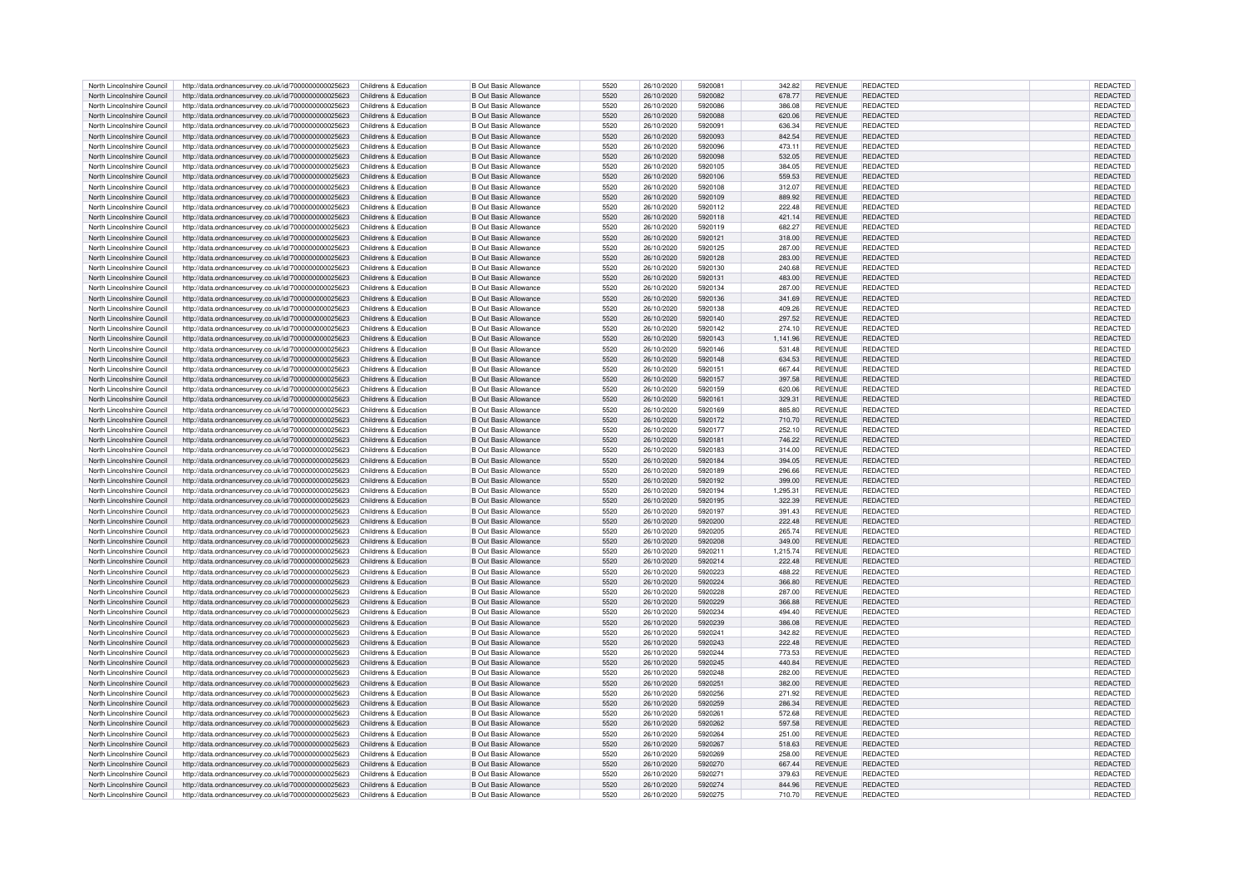| North Lincolnshire Council | http://data.ordnancesurvey.co.uk/id/7000000000025623                       | Childrens & Education | <b>B Out Basic Allowance</b> | 5520 | 26/10/2020 | 5920081 | 342.82   | <b>REVENUE</b> | REDACTED        | REDACTED        |
|----------------------------|----------------------------------------------------------------------------|-----------------------|------------------------------|------|------------|---------|----------|----------------|-----------------|-----------------|
| North Lincolnshire Council | http://data.ordnancesurvey.co.uk/id/7000000000025623                       | Childrens & Education | <b>B Out Basic Allowance</b> | 5520 | 26/10/2020 | 5920082 | 678.77   | <b>REVENUE</b> | <b>REDACTED</b> | REDACTED        |
| North Lincolnshire Council |                                                                            | Childrens & Education | <b>B Out Basic Allowance</b> | 5520 | 26/10/2020 | 5920086 | 386.08   | <b>REVENUE</b> | REDACTED        | REDACTED        |
|                            | http://data.ordnancesurvey.co.uk/id/7000000000025623                       |                       |                              |      |            |         |          |                |                 |                 |
| North Lincolnshire Council | http://data.ordnancesurvey.co.uk/id/7000000000025623                       | Childrens & Education | <b>B Out Basic Allowance</b> | 5520 | 26/10/2020 | 5920088 | 620.06   | <b>REVENUE</b> | <b>REDACTED</b> | REDACTED        |
| North Lincolnshire Council | http://data.ordnancesurvey.co.uk/id/7000000000025623                       | Childrens & Education | <b>B Out Basic Allowance</b> | 5520 | 26/10/2020 | 5920091 | 636.34   | <b>REVENUE</b> | REDACTED        | REDACTED        |
| North Lincolnshire Council | http://data.ordnancesurvey.co.uk/id/7000000000025623                       | Childrens & Education | <b>B Out Basic Allowance</b> | 5520 | 26/10/2020 | 5920093 | 842.54   | <b>REVENUE</b> | <b>REDACTED</b> | REDACTED        |
| North Lincolnshire Council | http://data.ordnancesurvey.co.uk/id/7000000000025623                       | Childrens & Education | <b>B Out Basic Allowance</b> | 5520 | 26/10/2020 | 5920096 | 473.11   | <b>REVENUE</b> | <b>REDACTED</b> | REDACTED        |
| North Lincolnshire Council | http://data.ordnancesurvey.co.uk/id/7000000000025623                       | Childrens & Education | <b>B Out Basic Allowance</b> | 5520 | 26/10/2020 | 5920098 | 532.05   | <b>REVENUE</b> | REDACTED        | REDACTED        |
| North Lincolnshire Council | http://data.ordnancesurvey.co.uk/id/7000000000025623                       | Childrens & Education | <b>B Out Basic Allowance</b> | 5520 | 26/10/2020 | 5920105 | 384.05   | <b>REVENUE</b> | <b>REDACTED</b> | REDACTED        |
|                            |                                                                            |                       |                              |      |            |         |          |                |                 |                 |
| North Lincolnshire Council | http://data.ordnancesurvey.co.uk/id/7000000000025623                       | Childrens & Education | <b>B Out Basic Allowance</b> | 5520 | 26/10/2020 | 5920106 | 559.53   | REVENUE        | REDACTED        | REDACTED        |
| North Lincolnshire Council | http://data.ordnancesurvey.co.uk/id/7000000000025623                       | Childrens & Education | <b>B Out Basic Allowance</b> | 5520 | 26/10/2020 | 5920108 | 312.07   | <b>REVENUE</b> | <b>REDACTED</b> | <b>REDACTED</b> |
| North Lincolnshire Council | http://data.ordnancesurvey.co.uk/id/7000000000025623                       | Childrens & Education | <b>B Out Basic Allowance</b> | 5520 | 26/10/2020 | 5920109 | 889.92   | <b>REVENUE</b> | REDACTED        | REDACTED        |
| North Lincolnshire Council | http://data.ordnancesurvey.co.uk/id/7000000000025623                       | Childrens & Education | <b>B Out Basic Allowance</b> | 5520 | 26/10/2020 | 5920112 | 222.48   | <b>REVENUE</b> | REDACTED        | REDACTED        |
| North Lincolnshire Council | http://data.ordnancesurvey.co.uk/id/7000000000025623                       | Childrens & Education | <b>B Out Basic Allowance</b> | 5520 | 26/10/2020 | 5920118 | 421.14   | <b>REVENUE</b> | REDACTED        | REDACTED        |
| North Lincolnshire Council | http://data.ordnancesurvey.co.uk/id/7000000000025623                       | Childrens & Education | B Out Basic Allowance        | 5520 | 26/10/2020 | 5920119 | 682.27   | <b>REVENUE</b> | REDACTED        | REDACTED        |
|                            |                                                                            |                       |                              |      |            |         |          |                |                 |                 |
| North Lincolnshire Council | http://data.ordnancesurvey.co.uk/id/7000000000025623                       | Childrens & Education | <b>B Out Basic Allowance</b> | 5520 | 26/10/2020 | 5920121 | 318.00   | <b>REVENUE</b> | REDACTED        | <b>REDACTED</b> |
| North Lincolnshire Council | http://data.ordnancesurvey.co.uk/id/7000000000025623                       | Childrens & Education | <b>B Out Basic Allowance</b> | 5520 | 26/10/2020 | 5920125 | 287.00   | <b>REVENUE</b> | REDACTED        | REDACTED        |
| North Lincolnshire Council | http://data.ordnancesurvey.co.uk/id/7000000000025623                       | Childrens & Education | <b>B Out Basic Allowance</b> | 5520 | 26/10/2020 | 5920128 | 283.00   | <b>REVENUE</b> | <b>REDACTED</b> | <b>REDACTED</b> |
| North Lincolnshire Council | http://data.ordnancesurvey.co.uk/id/7000000000025623                       | Childrens & Education | <b>B Out Basic Allowance</b> | 5520 | 26/10/2020 | 5920130 | 240.68   | <b>REVENUE</b> | <b>REDACTED</b> | REDACTED        |
| North Lincolnshire Council | http://data.ordnancesurvey.co.uk/id/7000000000025623                       | Childrens & Education | <b>B Out Basic Allowance</b> | 5520 | 26/10/2020 | 5920131 | 483.00   | <b>REVENUE</b> | <b>REDACTED</b> | REDACTED        |
| North Lincolnshire Council | http://data.ordnancesurvey.co.uk/id/7000000000025623                       | Childrens & Education | <b>B Out Basic Allowance</b> | 5520 | 26/10/2020 | 5920134 | 287.00   | <b>REVENUE</b> | REDACTED        | REDACTED        |
| North Lincolnshire Council | http://data.ordnancesurvey.co.uk/id/7000000000025623                       | Childrens & Education | <b>B Out Basic Allowance</b> | 5520 | 26/10/2020 | 5920136 | 341.69   | <b>REVENUE</b> | <b>REDACTED</b> | REDACTED        |
|                            |                                                                            |                       |                              |      |            |         |          |                |                 |                 |
| North Lincolnshire Council | http://data.ordnancesurvey.co.uk/id/7000000000025623                       | Childrens & Education | <b>B Out Basic Allowance</b> | 5520 | 26/10/2020 | 5920138 | 409.26   | <b>REVENUE</b> | REDACTED        | REDACTED        |
| North Lincolnshire Council | http://data.ordnancesurvey.co.uk/id/7000000000025623                       | Childrens & Education | <b>B Out Basic Allowance</b> | 5520 | 26/10/2020 | 5920140 | 297.52   | <b>REVENUE</b> | <b>REDACTED</b> | REDACTED        |
| North Lincolnshire Council | http://data.ordnancesurvey.co.uk/id/7000000000025623                       | Childrens & Education | <b>B Out Basic Allowance</b> | 5520 | 26/10/2020 | 5920142 | 274.10   | <b>REVENUE</b> | <b>REDACTED</b> | REDACTED        |
| North Lincolnshire Council | http://data.ordnancesurvey.co.uk/id/7000000000025623                       | Childrens & Education | <b>B Out Basic Allowance</b> | 5520 | 26/10/2020 | 5920143 | 1.141.96 | <b>REVENUE</b> | <b>REDACTED</b> | REDACTED        |
| North Lincolnshire Council | http://data.ordnancesurvey.co.uk/id/7000000000025623                       | Childrens & Education | <b>B Out Basic Allowance</b> | 5520 | 26/10/2020 | 5920146 | 531.48   | <b>REVENUE</b> | <b>REDACTED</b> | <b>REDACTED</b> |
| North Lincolnshire Council | http://data.ordnancesurvey.co.uk/id/7000000000025623                       | Childrens & Education | <b>B Out Basic Allowance</b> | 5520 | 26/10/2020 | 5920148 | 634.53   | <b>REVENUE</b> | <b>REDACTED</b> | REDACTED        |
|                            |                                                                            |                       |                              |      |            |         |          |                |                 |                 |
| North Lincolnshire Council | http://data.ordnancesurvey.co.uk/id/7000000000025623                       | Childrens & Education | <b>B Out Basic Allowance</b> | 5520 | 26/10/2020 | 5920151 | 667.44   | <b>REVENUE</b> | REDACTED        | REDACTED        |
| North Lincolnshire Council | http://data.ordnancesurvey.co.uk/id/7000000000025623                       | Childrens & Education | <b>B Out Basic Allowance</b> | 5520 | 26/10/2020 | 5920157 | 397.58   | <b>REVENUE</b> | REDACTED        | REDACTED        |
| North Lincolnshire Council | http://data.ordnancesurvey.co.uk/id/7000000000025623                       | Childrens & Education | <b>B Out Basic Allowance</b> | 5520 | 26/10/2020 | 5920159 | 620.06   | <b>REVENUE</b> | REDACTED        | REDACTED        |
| North Lincolnshire Council | http://data.ordnancesurvey.co.uk/id/7000000000025623                       | Childrens & Education | <b>B Out Basic Allowance</b> | 5520 | 26/10/2020 | 5920161 | 329.31   | <b>REVENUE</b> | REDACTED        | REDACTED        |
| North Lincolnshire Council | http://data.ordnancesurvey.co.uk/id/7000000000025623                       | Childrens & Education | B Out Basic Allowance        | 5520 | 26/10/2020 | 5920169 | 885.80   | <b>REVENUE</b> | REDACTED        | REDACTED        |
| North Lincolnshire Council | http://data.ordnancesurvey.co.uk/id/7000000000025623                       | Childrens & Education | B Out Basic Allowance        | 5520 | 26/10/2020 | 5920172 | 710.70   | <b>REVENUE</b> | REDACTED        | REDACTED        |
|                            |                                                                            |                       |                              | 5520 |            |         |          |                |                 |                 |
| North Lincolnshire Council | http://data.ordnancesurvey.co.uk/id/7000000000025623                       | Childrens & Education | B Out Basic Allowance        |      | 26/10/2020 | 5920177 | 252.10   | <b>REVENUE</b> | <b>REDACTED</b> | REDACTED        |
| North Lincolnshire Council | http://data.ordnancesurvey.co.uk/id/7000000000025623                       | Childrens & Education | B Out Basic Allowance        | 5520 | 26/10/2020 | 5920181 | 746.22   | <b>REVENUE</b> | <b>REDACTED</b> | <b>REDACTED</b> |
| North Lincolnshire Council | http://data.ordnancesurvey.co.uk/id/7000000000025623                       | Childrens & Education | <b>B Out Basic Allowance</b> | 5520 | 26/10/2020 | 5920183 | 314.00   | <b>REVENUE</b> | <b>REDACTED</b> | REDACTED        |
| North Lincolnshire Council | http://data.ordnancesurvey.co.uk/id/7000000000025623                       | Childrens & Education | <b>B Out Basic Allowance</b> | 5520 | 26/10/2020 | 5920184 | 394.05   | <b>REVENUE</b> | REDACTED        | REDACTED        |
| North Lincolnshire Council | http://data.ordnancesurvey.co.uk/id/7000000000025623                       | Childrens & Education | <b>B Out Basic Allowance</b> | 5520 | 26/10/2020 | 5920189 | 296.66   | <b>REVENUE</b> | <b>REDACTED</b> | REDACTED        |
| North Lincolnshire Council | http://data.ordnancesurvey.co.uk/id/7000000000025623                       | Childrens & Education | <b>B Out Basic Allowance</b> | 5520 | 26/10/2020 | 5920192 | 399.00   | <b>REVENUE</b> | REDACTED        | REDACTED        |
| North Lincolnshire Council |                                                                            | Childrens & Education | <b>B Out Basic Allowance</b> | 5520 | 26/10/2020 | 5920194 | 1.295.3  | <b>REVENUE</b> | REDACTED        | REDACTED        |
|                            | http://data.ordnancesurvey.co.uk/id/7000000000025623                       |                       |                              |      |            |         |          |                |                 |                 |
| North Lincolnshire Council | http://data.ordnancesurvey.co.uk/id/7000000000025623                       | Childrens & Education | <b>B Out Basic Allowance</b> | 5520 | 26/10/2020 | 5920195 | 322.39   | <b>REVENUE</b> | REDACTED        | REDACTED        |
| North Lincolnshire Council | http://data.ordnancesurvey.co.uk/id/7000000000025623                       | Childrens & Education | <b>B Out Basic Allowance</b> | 5520 | 26/10/2020 | 5920197 | 391.43   | <b>REVENUE</b> | REDACTED        | REDACTED        |
| North Lincolnshire Council | http://data.ordnancesurvey.co.uk/id/7000000000025623                       | Childrens & Education | <b>B Out Basic Allowance</b> | 5520 | 26/10/2020 | 5920200 | 222.48   | <b>REVENUE</b> | <b>REDACTED</b> | <b>REDACTED</b> |
| North Lincolnshire Council | http://data.ordnancesurvey.co.uk/id/7000000000025623                       | Childrens & Education | <b>B Out Basic Allowance</b> | 5520 | 26/10/2020 | 5920205 | 265.74   | <b>REVENUE</b> | <b>REDACTED</b> | <b>REDACTED</b> |
| North Lincolnshire Council | http://data.ordnancesurvey.co.uk/id/7000000000025623                       | Childrens & Education | <b>B Out Basic Allowance</b> | 5520 | 26/10/2020 | 5920208 | 349.00   | <b>REVENUE</b> | <b>REDACTED</b> | REDACTED        |
| North Lincolnshire Council | http://data.ordnancesurvey.co.uk/id/7000000000025623                       | Childrens & Education | <b>B Out Basic Allowance</b> | 5520 | 26/10/2020 | 5920211 | 1,215.74 | <b>REVENUE</b> | <b>REDACTED</b> | REDACTED        |
|                            |                                                                            |                       |                              |      |            |         |          |                |                 |                 |
| North Lincolnshire Council | http://data.ordnancesurvey.co.uk/id/7000000000025623                       | Childrens & Education | <b>B Out Basic Allowance</b> | 5520 | 26/10/2020 | 5920214 | 222.48   | <b>REVENUE</b> | <b>REDACTED</b> | REDACTED        |
| North Lincolnshire Council | http://data.ordnancesurvey.co.uk/id/7000000000025623                       | Childrens & Education | <b>B Out Basic Allowance</b> | 5520 | 26/10/2020 | 5920223 | 488.22   | <b>REVENUE</b> | <b>REDACTED</b> | REDACTED        |
| North Lincolnshire Council | http://data.ordnancesurvey.co.uk/id/7000000000025623                       | Childrens & Education | <b>B Out Basic Allowance</b> | 5520 | 26/10/2020 | 5920224 | 366.80   | <b>REVENUE</b> | <b>REDACTED</b> | <b>REDACTED</b> |
| North Lincolnshire Council | http://data.ordnancesurvey.co.uk/id/7000000000025623                       | Childrens & Education | <b>B Out Basic Allowance</b> | 5520 | 26/10/2020 | 5920228 | 287.00   | <b>REVENUE</b> | REDACTED        | REDACTED        |
| North Lincolnshire Council | http://data.ordnancesurvey.co.uk/id/7000000000025623                       | Childrens & Education | <b>B Out Basic Allowance</b> | 5520 | 26/10/2020 | 5920229 | 366.88   | <b>REVENUE</b> | REDACTED        | REDACTED        |
| North Lincolnshire Council | http://data.ordnancesurvey.co.uk/id/7000000000025623                       | Childrens & Education | B Out Basic Allowance        | 5520 | 26/10/2020 | 5920234 | 494.40   | <b>REVENUE</b> | <b>REDACTED</b> | REDACTED        |
| North Lincolnshire Council | http://data.ordnancesurvey.co.uk/id/7000000000025623                       | Childrens & Education | <b>B Out Basic Allowance</b> | 5520 | 26/10/2020 | 5920239 | 386.08   | <b>REVENUE</b> | <b>REDACTED</b> | REDACTED        |
| North Lincolnshire Council |                                                                            | Childrens & Education | B Out Basic Allowance        | 5520 | 26/10/2020 | 5920241 |          | <b>REVENUE</b> | <b>REDACTED</b> |                 |
|                            | http://data.ordnancesurvey.co.uk/id/7000000000025623                       |                       |                              |      |            |         | 342.82   |                |                 | REDACTED        |
| North Lincolnshire Council | http://data.ordnancesurvey.co.uk/id/7000000000025623                       | Childrens & Education | <b>B Out Basic Allowance</b> | 5520 | 26/10/2020 | 5920243 | 222.48   | <b>REVENUE</b> | <b>REDACTED</b> | REDACTED        |
| North Lincolnshire Council | http://data.ordnancesurvey.co.uk/id/7000000000025623                       | Childrens & Education | <b>B Out Basic Allowance</b> | 5520 | 26/10/2020 | 5920244 | 773.53   | <b>REVENUE</b> | <b>REDACTED</b> | REDACTED        |
| North Lincolnshire Council | http://data.ordnancesurvey.co.uk/id/7000000000025623                       | Childrens & Education | <b>B Out Basic Allowance</b> | 5520 | 26/10/2020 | 5920245 | 440.84   | <b>REVENUE</b> | REDACTED        | REDACTED        |
| North Lincolnshire Council | http://data.ordnancesurvey.co.uk/id/7000000000025623                       | Childrens & Education | <b>B Out Basic Allowance</b> | 5520 | 26/10/2020 | 5920248 | 282.00   | <b>REVENUE</b> | <b>REDACTED</b> | REDACTED        |
| North Lincolnshire Council | http://data.ordnancesurvey.co.uk/id/7000000000025623                       | Childrens & Education | <b>B Out Basic Allowance</b> | 5520 | 26/10/2020 | 5920251 | 382.00   | <b>REVENUE</b> | <b>REDACTED</b> | REDACTED        |
| North Lincolnshire Council | http://data.ordnancesurvey.co.uk/id/7000000000025623                       | Childrens & Education | <b>B Out Basic Allowance</b> | 5520 | 26/10/2020 | 5920256 | 271.92   | <b>REVENUE</b> | REDACTED        | REDACTED        |
|                            |                                                                            |                       |                              |      |            | 5920259 |          |                |                 |                 |
| North Lincolnshire Council | http://data.ordnancesurvey.co.uk/id/7000000000025623                       | Childrens & Education | <b>B Out Basic Allowance</b> | 5520 | 26/10/2020 |         | 286.34   | <b>REVENUE</b> | REDACTED        | REDACTED        |
| North Lincolnshire Council | http://data.ordnancesurvey.co.uk/id/7000000000025623                       | Childrens & Education | B Out Basic Allowance        | 5520 | 26/10/2020 | 5920261 | 572.68   | <b>REVENUE</b> | REDACTED        | REDACTED        |
| North Lincolnshire Council | http://data.ordnancesurvey.co.uk/id/7000000000025623                       | Childrens & Education | <b>B Out Basic Allowance</b> | 5520 | 26/10/2020 | 5920262 | 597.58   | <b>REVENUE</b> | <b>REDACTED</b> | REDACTED        |
| North Lincolnshire Council | http://data.ordnancesurvey.co.uk/id/7000000000025623                       | Childrens & Education | <b>B Out Basic Allowance</b> | 5520 | 26/10/2020 | 5920264 | 251.00   | <b>REVENUE</b> | <b>REDACTED</b> | REDACTED        |
| North Lincolnshire Council | http://data.ordnancesurvey.co.uk/id/7000000000025623                       | Childrens & Education | <b>B Out Basic Allowance</b> | 5520 | 26/10/2020 | 5920267 | 518.63   | <b>REVENUE</b> | <b>REDACTED</b> | <b>REDACTED</b> |
| North Lincolnshire Council | http://data.ordnancesurvey.co.uk/id/7000000000025623                       | Childrens & Education | <b>B Out Basic Allowance</b> | 5520 | 26/10/2020 | 5920269 | 258.00   | <b>REVENUE</b> | <b>REDACTED</b> | REDACTED        |
| North Lincolnshire Council | http://data.ordnancesurvey.co.uk/id/7000000000025623                       | Childrens & Education | <b>B Out Basic Allowance</b> | 5520 | 26/10/2020 | 5920270 | 667.44   | <b>REVENUE</b> | REDACTED        | REDACTED        |
|                            |                                                                            | Childrens & Education | B Out Basic Allowance        | 5520 | 26/10/2020 | 5920271 |          | <b>REVENUE</b> | REDACTED        | <b>REDACTED</b> |
| North Lincolnshire Council | http://data.ordnancesurvey.co.uk/id/7000000000025623                       |                       |                              |      |            |         | 379.63   |                |                 |                 |
| North Lincolnshire Council | http://data.ordnancesurvey.co.uk/id/7000000000025623                       | Childrens & Education | <b>B Out Basic Allowance</b> | 5520 | 26/10/2020 | 5920274 | 844.96   | <b>REVENUE</b> | <b>REDACTED</b> | <b>REDACTED</b> |
| North Lincolnshire Council | http://data.ordnancesurvey.co.uk/id/7000000000025623 Childrens & Education |                       | <b>B</b> Out Basic Allowance | 5520 | 26/10/2020 | 5920275 | 710.70   | <b>REVENUE</b> | REDACTED        | REDACTED        |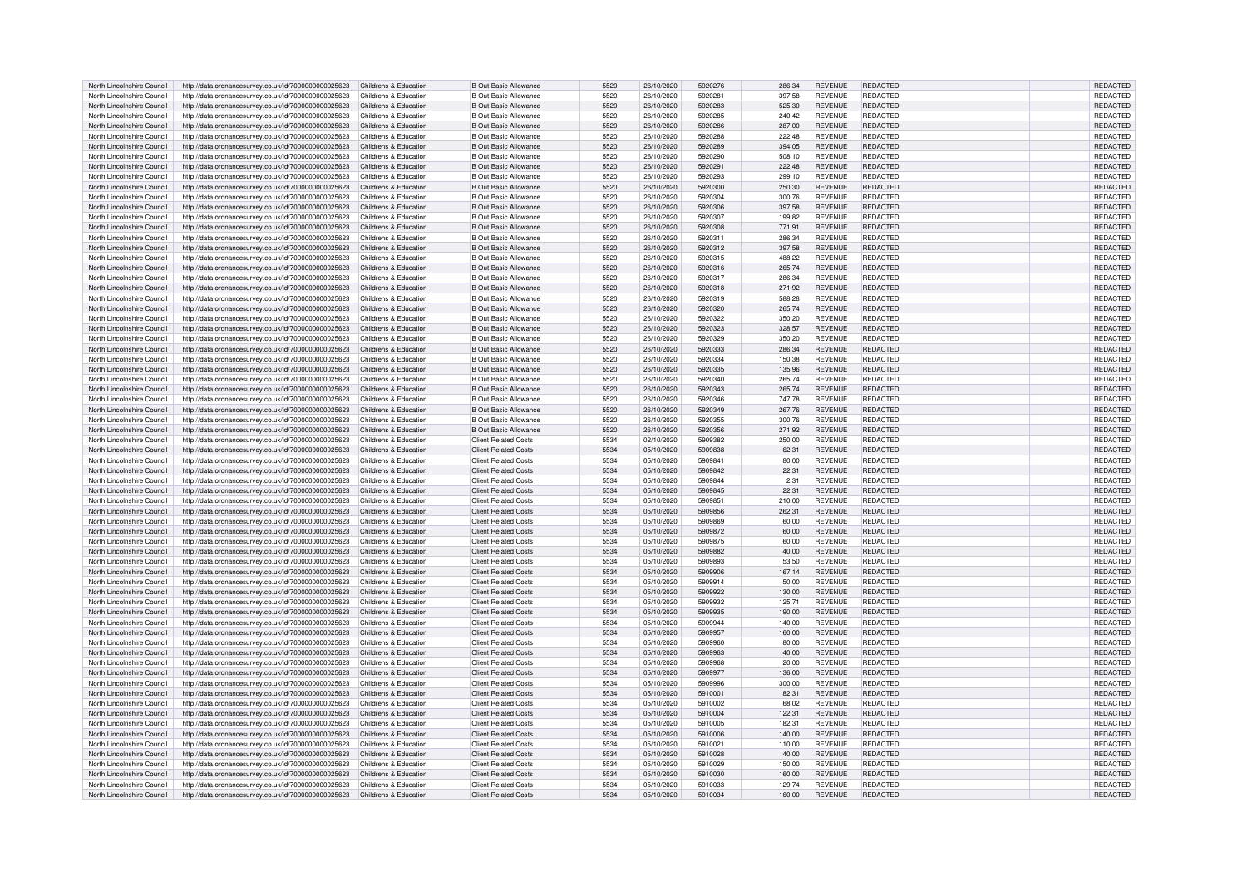| North Lincolnshire Council | http://data.ordnancesurvey.co.uk/id/7000000000025623                                                                               | Childrens & Education | <b>B Out Basic Allowance</b> | 5520 | 26/10/2020 | 5920276 | 286.34 | <b>REVENUE</b> | <b>REDACTED</b> | REDACTED        |
|----------------------------|------------------------------------------------------------------------------------------------------------------------------------|-----------------------|------------------------------|------|------------|---------|--------|----------------|-----------------|-----------------|
| North Lincolnshire Council | http://data.ordnancesurvey.co.uk/id/7000000000025623                                                                               | Childrens & Education | <b>B Out Basic Allowance</b> | 5520 | 26/10/2020 | 5920281 | 397.58 | <b>REVENUE</b> | <b>REDACTED</b> | REDACTED        |
| North Lincolnshire Council | http://data.ordnancesurvey.co.uk/id/7000000000025623                                                                               | Childrens & Education | <b>B Out Basic Allowance</b> | 5520 | 26/10/2020 | 5920283 | 525.30 | <b>REVENUE</b> | REDACTED        | REDACTED        |
| North Lincolnshire Council | http://data.ordnancesurvey.co.uk/id/7000000000025623                                                                               | Childrens & Education | <b>B Out Basic Allowance</b> | 5520 | 26/10/2020 | 5920285 | 240.42 | <b>REVENUE</b> | REDACTED        | REDACTED        |
|                            |                                                                                                                                    |                       |                              |      |            |         |        |                |                 |                 |
| North Lincolnshire Council | http://data.ordnancesurvey.co.uk/id/7000000000025623                                                                               | Childrens & Education | <b>B Out Basic Allowance</b> | 5520 | 26/10/2020 | 5920286 | 287.00 | <b>REVENUE</b> | <b>REDACTED</b> | REDACTED        |
| North Lincolnshire Council | http://data.ordnancesurvey.co.uk/id/7000000000025623                                                                               | Childrens & Education | <b>B Out Basic Allowance</b> | 5520 | 26/10/2020 | 5920288 | 222.48 | <b>REVENUE</b> | <b>REDACTED</b> | REDACTED        |
| North Lincolnshire Council | http://data.ordnancesurvey.co.uk/id/7000000000025623                                                                               | Childrens & Education | <b>B Out Basic Allowance</b> | 5520 | 26/10/2020 | 5920289 | 394.05 | <b>REVENUE</b> | REDACTED        | REDACTED        |
| North Lincolnshire Council | http://data.ordnancesurvey.co.uk/id/7000000000025623                                                                               | Childrens & Education | <b>B Out Basic Allowance</b> | 5520 | 26/10/2020 | 5920290 | 508.10 | <b>REVENUE</b> | <b>REDACTED</b> | REDACTED        |
| North Lincolnshire Council | http://data.ordnancesurvey.co.uk/id/7000000000025623                                                                               | Childrens & Education | <b>B Out Basic Allowance</b> | 5520 | 26/10/2020 | 5920291 | 222.48 | <b>REVENUE</b> | REDACTED        | REDACTED        |
| North Lincolnshire Council | http://data.ordnancesurvey.co.uk/id/7000000000025623                                                                               | Childrens & Education | <b>B Out Basic Allowance</b> | 5520 | 26/10/2020 | 5920293 | 299.10 | <b>REVENUE</b> | REDACTED        | REDACTED        |
| North Lincolnshire Council | http://data.ordnancesurvey.co.uk/id/7000000000025623                                                                               | Childrens & Education | <b>B Out Basic Allowance</b> | 5520 | 26/10/2020 | 5920300 | 250.30 | <b>REVENUE</b> | <b>REDACTED</b> | REDACTED        |
|                            |                                                                                                                                    |                       |                              |      |            |         |        |                |                 |                 |
| North Lincolnshire Council | http://data.ordnancesurvey.co.uk/id/7000000000025623                                                                               | Childrens & Education | <b>B Out Basic Allowance</b> | 5520 | 26/10/2020 | 5920304 | 300.76 | <b>REVENUE</b> | REDACTED        | REDACTED        |
| North Lincolnshire Council | http://data.ordnancesurvey.co.uk/id/7000000000025623                                                                               | Childrens & Education | <b>B Out Basic Allowance</b> | 5520 | 26/10/2020 | 5920306 | 397.58 | <b>REVENUE</b> | <b>REDACTED</b> | REDACTED        |
| North Lincolnshire Council | http://data.ordnancesurvey.co.uk/id/7000000000025623                                                                               | Childrens & Education | <b>B Out Basic Allowance</b> | 5520 | 26/10/2020 | 5920307 | 199.82 | <b>REVENUE</b> | <b>REDACTED</b> | REDACTED        |
| North Lincolnshire Council | http://data.ordnancesurvey.co.uk/id/7000000000025623                                                                               | Childrens & Education | <b>B Out Basic Allowance</b> | 5520 | 26/10/2020 | 5920308 | 771.91 | <b>REVENUE</b> | <b>REDACTED</b> | REDACTED        |
| North Lincolnshire Council | http://data.ordnancesurvey.co.uk/id/7000000000025623                                                                               | Childrens & Education | <b>B Out Basic Allowance</b> | 5520 | 26/10/2020 | 5920311 | 286.34 | <b>REVENUE</b> | <b>REDACTED</b> | REDACTED        |
| North Lincolnshire Council | http://data.ordnancesurvey.co.uk/id/7000000000025623                                                                               | Childrens & Education | <b>B Out Basic Allowance</b> | 5520 | 26/10/2020 | 5920312 | 397.58 | <b>REVENUE</b> | REDACTED        | REDACTED        |
| North Lincolnshire Council | http://data.ordnancesurvey.co.uk/id/7000000000025623                                                                               | Childrens & Education | <b>B Out Basic Allowance</b> | 5520 | 26/10/2020 | 5920315 | 488.22 | <b>REVENUE</b> | <b>REDACTED</b> | REDACTED        |
| North Lincolnshire Council | http://data.ordnancesurvey.co.uk/id/7000000000025623                                                                               | Childrens & Education | <b>B Out Basic Allowance</b> | 5520 | 26/10/2020 | 5920316 | 265.74 | <b>REVENUE</b> | <b>REDACTED</b> | REDACTED        |
| North Lincolnshire Council |                                                                                                                                    | Childrens & Education | <b>B Out Basic Allowance</b> | 5520 | 26/10/2020 | 5920317 | 286.34 | <b>REVENUE</b> | <b>REDACTED</b> |                 |
|                            | http://data.ordnancesurvey.co.uk/id/7000000000025623                                                                               |                       |                              |      |            |         |        |                |                 | REDACTED        |
| North Lincolnshire Council | http://data.ordnancesurvey.co.uk/id/7000000000025623                                                                               | Childrens & Education | <b>B Out Basic Allowance</b> | 5520 | 26/10/2020 | 5920318 | 271.92 | <b>REVENUE</b> | <b>REDACTED</b> | REDACTED        |
| North Lincolnshire Council | http://data.ordnancesurvey.co.uk/id/7000000000025623                                                                               | Childrens & Education | <b>B Out Basic Allowance</b> | 5520 | 26/10/2020 | 5920319 | 588.28 | <b>REVENUE</b> | REDACTED        | REDACTED        |
| North Lincolnshire Council | http://data.ordnancesurvey.co.uk/id/7000000000025623                                                                               | Childrens & Education | <b>B Out Basic Allowance</b> | 5520 | 26/10/2020 | 5920320 | 265.74 | <b>REVENUE</b> | <b>REDACTED</b> | REDACTED        |
| North Lincolnshire Council | http://data.ordnancesurvey.co.uk/id/7000000000025623                                                                               | Childrens & Education | <b>B Out Basic Allowance</b> | 5520 | 26/10/2020 | 5920322 | 350.20 | <b>REVENUE</b> | <b>REDACTED</b> | REDACTED        |
| North Lincolnshire Council | http://data.ordnancesurvey.co.uk/id/7000000000025623                                                                               | Childrens & Education | <b>B Out Basic Allowance</b> | 5520 | 26/10/2020 | 5920323 | 328.57 | <b>REVENUE</b> | <b>REDACTED</b> | REDACTED        |
| North Lincolnshire Council | http://data.ordnancesurvey.co.uk/id/7000000000025623                                                                               | Childrens & Education | <b>B Out Basic Allowance</b> | 5520 | 26/10/2020 | 5920329 | 350.20 | <b>REVENUE</b> | <b>REDACTED</b> | REDACTED        |
| North Lincolnshire Council | http://data.ordnancesurvey.co.uk/id/7000000000025623                                                                               | Childrens & Education | <b>B Out Basic Allowance</b> | 5520 | 26/10/2020 | 5920333 | 286.34 | <b>REVENUE</b> | REDACTED        | REDACTED        |
| North Lincolnshire Council | http://data.ordnancesurvey.co.uk/id/7000000000025623                                                                               | Childrens & Education | <b>B Out Basic Allowance</b> | 5520 | 26/10/2020 | 5920334 | 150.38 | <b>REVENUE</b> | <b>REDACTED</b> | REDACTED        |
|                            |                                                                                                                                    |                       |                              |      |            |         |        |                |                 |                 |
| North Lincolnshire Council | http://data.ordnancesurvey.co.uk/id/7000000000025623                                                                               | Childrens & Education | <b>B Out Basic Allowance</b> | 5520 | 26/10/2020 | 5920335 | 135.96 | <b>REVENUE</b> | REDACTED        | REDACTED        |
| North Lincolnshire Council | http://data.ordnancesurvey.co.uk/id/7000000000025623                                                                               | Childrens & Education | <b>B Out Basic Allowance</b> | 5520 | 26/10/2020 | 5920340 | 265.74 | <b>REVENUE</b> | <b>REDACTED</b> | REDACTED        |
| North Lincolnshire Council | http://data.ordnancesurvey.co.uk/id/7000000000025623                                                                               | Childrens & Education | <b>B Out Basic Allowance</b> | 5520 | 26/10/2020 | 5920343 | 265.74 | <b>REVENUE</b> | REDACTED        | REDACTED        |
| North Lincolnshire Council | http://data.ordnancesurvey.co.uk/id/7000000000025623                                                                               | Childrens & Education | <b>B Out Basic Allowance</b> | 5520 | 26/10/2020 | 5920346 | 747.78 | <b>REVENUE</b> | <b>REDACTED</b> | REDACTED        |
| North Lincolnshire Council | http://data.ordnancesurvey.co.uk/id/7000000000025623                                                                               | Childrens & Education | <b>B Out Basic Allowance</b> | 5520 | 26/10/2020 | 5920349 | 267.76 | <b>REVENUE</b> | REDACTED        | REDACTED        |
| North Lincolnshire Council | http://data.ordnancesurvey.co.uk/id/7000000000025623                                                                               | Childrens & Education | <b>B Out Basic Allowance</b> | 5520 | 26/10/2020 | 5920355 | 300.76 | <b>REVENUE</b> | REDACTED        | REDACTED        |
| North Lincolnshire Council | http://data.ordnancesurvey.co.uk/id/7000000000025623                                                                               | Childrens & Education | B Out Basic Allowance        | 5520 | 26/10/2020 | 5920356 | 271.92 | <b>REVENUE</b> | REDACTED        | REDACTED        |
|                            |                                                                                                                                    |                       |                              |      |            |         |        |                |                 |                 |
| North Lincolnshire Council | http://data.ordnancesurvey.co.uk/id/7000000000025623                                                                               | Childrens & Education | <b>Client Related Costs</b>  | 5534 | 02/10/2020 | 5909382 | 250.00 | <b>REVENUE</b> | REDACTED        | REDACTED        |
| North Lincolnshire Council | http://data.ordnancesurvey.co.uk/id/7000000000025623                                                                               | Childrens & Education | <b>Client Related Costs</b>  | 5534 | 05/10/2020 | 5909838 | 62.31  | <b>REVENUE</b> | <b>REDACTED</b> | <b>REDACTED</b> |
| North Lincolnshire Council | http://data.ordnancesurvey.co.uk/id/7000000000025623                                                                               | Childrens & Education | <b>Client Related Costs</b>  | 5534 | 05/10/2020 | 5909841 | 80.00  | <b>REVENUE</b> | <b>REDACTED</b> | REDACTED        |
| North Lincolnshire Council | http://data.ordnancesurvey.co.uk/id/7000000000025623                                                                               | Childrens & Education | <b>Client Related Costs</b>  | 5534 | 05/10/2020 | 5909842 | 22.3   | <b>REVENUE</b> | <b>REDACTED</b> | REDACTED        |
| North Lincolnshire Council | http://data.ordnancesurvey.co.uk/id/7000000000025623                                                                               | Childrens & Education | <b>Client Related Costs</b>  | 5534 | 05/10/2020 | 5909844 | 2.31   | <b>REVENUE</b> | <b>REDACTED</b> | REDACTED        |
| North Lincolnshire Council | http://data.ordnancesurvey.co.uk/id/7000000000025623                                                                               | Childrens & Education | <b>Client Related Costs</b>  | 5534 | 05/10/2020 | 5909845 | 22.31  | <b>REVENUE</b> | REDACTED        | REDACTED        |
| North Lincolnshire Council | http://data.ordnancesurvey.co.uk/id/7000000000025623                                                                               | Childrens & Education | <b>Client Related Costs</b>  | 5534 | 05/10/2020 | 5909851 | 210.00 | <b>REVENUE</b> | REDACTED        | <b>REDACTED</b> |
| North Lincolnshire Council | http://data.ordnancesurvey.co.uk/id/7000000000025623                                                                               | Childrens & Education | <b>Client Related Costs</b>  | 5534 | 05/10/2020 | 5909856 | 262.31 | <b>REVENUE</b> | REDACTED        | REDACTED        |
| North Lincolnshire Council | http://data.ordnancesurvey.co.uk/id/7000000000025623                                                                               | Childrens & Education | <b>Client Related Costs</b>  | 5534 | 05/10/2020 | 5909869 | 60.00  | <b>REVENUE</b> | REDACTED        | REDACTED        |
|                            |                                                                                                                                    |                       |                              | 5534 |            | 5909872 |        |                |                 |                 |
| North Lincolnshire Council | http://data.ordnancesurvey.co.uk/id/7000000000025623                                                                               | Childrens & Education | <b>Client Related Costs</b>  |      | 05/10/2020 |         | 60.00  | <b>REVENUE</b> | REDACTED        | REDACTED        |
| North Lincolnshire Council | http://data.ordnancesurvey.co.uk/id/7000000000025623                                                                               | Childrens & Education | <b>Client Related Costs</b>  | 5534 | 05/10/2020 | 5909875 | 60.00  | <b>REVENUE</b> | <b>REDACTED</b> | REDACTED        |
| North Lincolnshire Council | http://data.ordnancesurvey.co.uk/id/7000000000025623                                                                               | Childrens & Education | <b>Client Related Costs</b>  | 5534 | 05/10/2020 | 5909882 | 40.00  | <b>REVENUE</b> | <b>REDACTED</b> | REDACTED        |
| North Lincolnshire Council | http://data.ordnancesurvey.co.uk/id/7000000000025623                                                                               | Childrens & Education | <b>Client Related Costs</b>  | 5534 | 05/10/2020 | 5909893 | 53.50  | <b>REVENUE</b> | REDACTED        | REDACTED        |
| North Lincolnshire Council | http://data.ordnancesurvey.co.uk/id/7000000000025623                                                                               | Childrens & Education | <b>Client Related Costs</b>  | 5534 | 05/10/2020 | 5909906 | 167.14 | <b>REVENUE</b> | <b>REDACTED</b> | REDACTED        |
| North Lincolnshire Council | http://data.ordnancesurvey.co.uk/id/7000000000025623                                                                               | Childrens & Education | <b>Client Related Costs</b>  | 5534 | 05/10/2020 | 5909914 | 50.00  | <b>REVENUE</b> | <b>REDACTED</b> | REDACTED        |
| North Lincolnshire Council | http://data.ordnancesurvey.co.uk/id/7000000000025623                                                                               | Childrens & Education | <b>Client Related Costs</b>  | 5534 | 05/10/2020 | 5909922 | 130.00 | <b>REVENUE</b> | <b>REDACTED</b> | REDACTED        |
| North Lincolnshire Council | http://data.ordnancesurvey.co.uk/id/7000000000025623                                                                               | Childrens & Education | <b>Client Related Costs</b>  | 5534 | 05/10/2020 | 5909932 | 125.71 | <b>REVENUE</b> | <b>REDACTED</b> | REDACTED        |
| North Lincolnshire Council | http://data.ordnancesurvey.co.uk/id/7000000000025623                                                                               | Childrens & Education | <b>Client Related Costs</b>  | 5534 | 05/10/2020 | 5909935 | 190.00 | <b>REVENUE</b> | <b>REDACTED</b> | <b>REDACTED</b> |
| North Lincolnshire Council |                                                                                                                                    |                       | <b>Client Related Costs</b>  | 5534 |            | 5909944 |        |                | <b>REDACTED</b> |                 |
|                            | http://data.ordnancesurvey.co.uk/id/7000000000025623                                                                               | Childrens & Education |                              |      | 05/10/2020 |         | 140.00 | <b>REVENUE</b> |                 | REDACTED        |
| North Lincolnshire Council | http://data.ordnancesurvey.co.uk/id/7000000000025623                                                                               | Childrens & Education | <b>Client Related Costs</b>  | 5534 | 05/10/2020 | 5909957 | 160.00 | <b>REVENUE</b> | <b>REDACTED</b> | REDACTED        |
| North Lincolnshire Council | http://data.ordnancesurvey.co.uk/id/7000000000025623                                                                               | Childrens & Education | <b>Client Related Costs</b>  | 5534 | 05/10/2020 | 5909960 | 80.00  | <b>REVENUE</b> | <b>REDACTED</b> | <b>REDACTED</b> |
| North Lincolnshire Council | http://data.ordnancesurvey.co.uk/id/7000000000025623                                                                               | Childrens & Education | <b>Client Related Costs</b>  | 5534 | 05/10/2020 | 5909963 | 40.00  | <b>REVENUE</b> | <b>REDACTED</b> | REDACTED        |
| North Lincolnshire Council | http://data.ordnancesurvey.co.uk/id/7000000000025623                                                                               | Childrens & Education | <b>Client Related Costs</b>  | 5534 | 05/10/2020 | 5909968 | 20.00  | <b>REVENUE</b> | REDACTED        | REDACTED        |
| North Lincolnshire Council | http://data.ordnancesurvey.co.uk/id/7000000000025623                                                                               | Childrens & Education | <b>Client Related Costs</b>  | 5534 | 05/10/2020 | 5909977 | 136.00 | <b>REVENUE</b> | <b>REDACTED</b> | REDACTED        |
| North Lincolnshire Council | http://data.ordnancesurvey.co.uk/id/7000000000025623                                                                               | Childrens & Education | <b>Client Related Costs</b>  | 5534 | 05/10/2020 | 5909996 | 300.00 | <b>REVENUE</b> | <b>REDACTED</b> | REDACTED        |
| North Lincolnshire Council | http://data.ordnancesurvey.co.uk/id/7000000000025623                                                                               | Childrens & Education | <b>Client Related Costs</b>  | 5534 | 05/10/2020 | 5910001 | 82.3   | <b>REVENUE</b> | REDACTED        | REDACTED        |
| North Lincolnshire Council | http://data.ordnancesurvey.co.uk/id/7000000000025623                                                                               | Childrens & Education | <b>Client Related Costs</b>  | 5534 | 05/10/2020 | 5910002 | 68.02  | <b>REVENUE</b> | <b>REDACTED</b> | REDACTED        |
| North Lincolnshire Council | http://data.ordnancesurvey.co.uk/id/7000000000025623                                                                               | Childrens & Education | <b>Client Related Costs</b>  | 5534 | 05/10/2020 | 5910004 | 122.31 | <b>REVENUE</b> | <b>REDACTED</b> | <b>REDACTED</b> |
|                            |                                                                                                                                    |                       |                              |      |            |         |        |                |                 |                 |
| North Lincolnshire Council | http://data.ordnancesurvey.co.uk/id/7000000000025623                                                                               | Childrens & Education | <b>Client Related Costs</b>  | 5534 | 05/10/2020 | 5910005 | 182.31 | <b>REVENUE</b> | REDACTED        | REDACTED        |
| North Lincolnshire Council | http://data.ordnancesurvey.co.uk/id/7000000000025623                                                                               | Childrens & Education | <b>Client Related Costs</b>  | 5534 | 05/10/2020 | 5910006 | 140.00 | <b>REVENUE</b> | <b>REDACTED</b> | REDACTED        |
| North Lincolnshire Council | http://data.ordnancesurvey.co.uk/id/7000000000025623                                                                               | Childrens & Education | <b>Client Related Costs</b>  | 5534 | 05/10/2020 | 5910021 | 110.00 | <b>REVENUE</b> | REDACTED        | REDACTED        |
| North Lincolnshire Council | http://data.ordnancesurvey.co.uk/id/7000000000025623                                                                               | Childrens & Education | <b>Client Related Costs</b>  | 5534 | 05/10/2020 | 5910028 | 40.00  | <b>REVENUE</b> | <b>REDACTED</b> | REDACTED        |
| North Lincolnshire Council | http://data.ordnancesurvey.co.uk/id/7000000000025623                                                                               | Childrens & Education | <b>Client Related Costs</b>  | 5534 | 05/10/2020 | 5910029 | 150.00 | <b>REVENUE</b> | REDACTED        | REDACTED        |
| North Lincolnshire Council | http://data.ordnancesurvey.co.uk/id/7000000000025623                                                                               | Childrens & Education | <b>Client Related Costs</b>  | 5534 | 05/10/2020 | 5910030 | 160.00 | <b>REVENUE</b> | REDACTED        | <b>REDACTED</b> |
| North Lincolnshire Council |                                                                                                                                    |                       |                              |      |            | 5910033 | 129.74 | <b>REVENUE</b> | <b>REDACTED</b> | REDACTED        |
|                            |                                                                                                                                    | Childrens & Education | <b>Client Related Costs</b>  | 5534 | 05/10/2020 |         |        |                |                 |                 |
| North Lincolnshire Council | http://data.ordnancesurvey.co.uk/id/7000000000025623<br>http://data.ordnancesurvey.co.uk/id/7000000000025623 Childrens & Education |                       | <b>Client Related Costs</b>  | 5534 | 05/10/2020 | 5910034 | 160.00 | <b>REVENUE</b> | REDACTED        | <b>REDACTED</b> |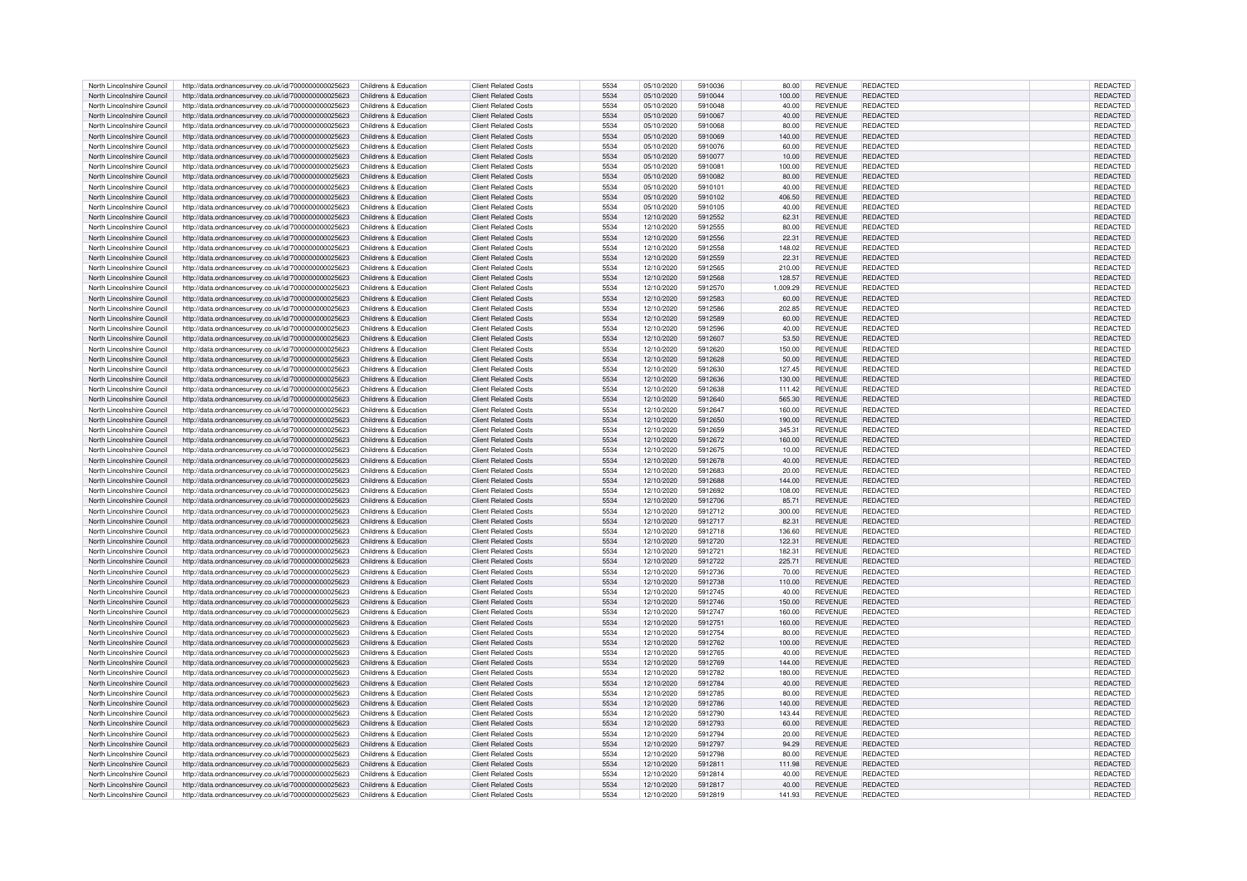| North Lincolnshire Council | http://data.ordnancesurvey.co.uk/id/7000000000025623 | Childrens & Education | <b>Client Related Costs</b> | 5534 | 05/10/2020 | 5910036 | 80.00    | <b>REVENUE</b> | REDACTED        | REDACTED        |
|----------------------------|------------------------------------------------------|-----------------------|-----------------------------|------|------------|---------|----------|----------------|-----------------|-----------------|
| North Lincolnshire Council | http://data.ordnancesurvey.co.uk/id/7000000000025623 | Childrens & Education | <b>Client Related Costs</b> | 5534 | 05/10/2020 | 5910044 | 100.00   | <b>REVENUE</b> | REDACTED        | <b>REDACTED</b> |
|                            |                                                      |                       |                             |      |            |         |          |                |                 |                 |
| North Lincolnshire Council | http://data.ordnancesurvey.co.uk/id/7000000000025623 | Childrens & Education | <b>Client Related Costs</b> | 5534 | 05/10/2020 | 5910048 | 40.00    | <b>REVENUE</b> | REDACTED        | REDACTED        |
| North Lincolnshire Council | http://data.ordnancesurvey.co.uk/id/7000000000025623 | Childrens & Education | <b>Client Related Costs</b> | 5534 | 05/10/2020 | 5910067 | 40.00    | <b>REVENUE</b> | REDACTED        | REDACTED        |
| North Lincolnshire Council | http://data.ordnancesurvey.co.uk/id/7000000000025623 | Childrens & Education | <b>Client Related Costs</b> | 5534 | 05/10/2020 | 5910068 | 80.00    | <b>REVENUE</b> | REDACTED        | REDACTED        |
| North Lincolnshire Council | http://data.ordnancesurvey.co.uk/id/7000000000025623 | Childrens & Education | <b>Client Related Costs</b> | 5534 | 05/10/2020 | 5910069 | 140.00   | <b>REVENUE</b> | REDACTED        | REDACTED        |
| North Lincolnshire Council | http://data.ordnancesurvey.co.uk/id/7000000000025623 | Childrens & Education | <b>Client Related Costs</b> | 5534 | 05/10/2020 | 5910076 | 60.00    | <b>REVENUE</b> | <b>REDACTED</b> | REDACTED        |
|                            |                                                      |                       |                             |      |            |         |          |                |                 |                 |
| North Lincolnshire Council | http://data.ordnancesurvey.co.uk/id/7000000000025623 | Childrens & Education | <b>Client Related Costs</b> | 5534 | 05/10/2020 | 5910077 | 10.00    | <b>REVENUE</b> | REDACTED        | <b>REDACTED</b> |
| North Lincolnshire Council | http://data.ordnancesurvey.co.uk/id/7000000000025623 | Childrens & Education | <b>Client Related Costs</b> | 5534 | 05/10/2020 | 591008  | 100.00   | <b>REVENUE</b> | <b>REDACTED</b> | <b>REDACTED</b> |
| North Lincolnshire Council | http://data.ordnancesurvey.co.uk/id/7000000000025623 | Childrens & Education | <b>Client Related Costs</b> | 5534 | 05/10/2020 | 5910082 | 80.00    | <b>REVENUE</b> | <b>REDACTED</b> | REDACTED        |
| North Lincolnshire Council | http://data.ordnancesurvey.co.uk/id/7000000000025623 | Childrens & Education | <b>Client Related Costs</b> | 5534 | 05/10/2020 | 5910101 | 40.00    | <b>REVENUE</b> | REDACTED        | <b>REDACTED</b> |
|                            |                                                      |                       |                             |      |            |         |          |                |                 |                 |
| North Lincolnshire Council | http://data.ordnancesurvey.co.uk/id/7000000000025623 | Childrens & Education | <b>Client Related Costs</b> | 5534 | 05/10/2020 | 5910102 | 406.50   | <b>REVENUE</b> | <b>REDACTED</b> | REDACTED        |
| North Lincolnshire Council | http://data.ordnancesurvey.co.uk/id/7000000000025623 | Childrens & Education | <b>Client Related Costs</b> | 5534 | 05/10/2020 | 5910105 | 40.00    | <b>REVENUE</b> | REDACTED        | REDACTED        |
| North Lincolnshire Council | http://data.ordnancesurvey.co.uk/id/7000000000025623 | Childrens & Education | Client Related Costs        | 5534 | 12/10/2020 | 5912552 | 62.31    | <b>REVENUE</b> | <b>REDACTED</b> | REDACTED        |
| North Lincolnshire Council | http://data.ordnancesurvey.co.uk/id/7000000000025623 | Childrens & Education | <b>Client Related Costs</b> | 5534 | 12/10/2020 | 5912555 | 80.00    | <b>REVENUE</b> | <b>REDACTED</b> | REDACTED        |
| North Lincolnshire Council | http://data.ordnancesurvey.co.uk/id/7000000000025623 | Childrens & Education | <b>Client Related Costs</b> | 5534 | 12/10/2020 | 5912556 | 22.31    | <b>REVENUE</b> | <b>REDACTED</b> | REDACTED        |
|                            |                                                      |                       |                             |      |            |         |          |                |                 |                 |
| North Lincolnshire Council | http://data.ordnancesurvey.co.uk/id/7000000000025623 | Childrens & Education | Client Related Costs        | 5534 | 12/10/2020 | 5912558 | 148.02   | <b>REVENUE</b> | <b>REDACTED</b> | <b>REDACTED</b> |
| North Lincolnshire Council | http://data.ordnancesurvey.co.uk/id/7000000000025623 | Childrens & Education | <b>Client Related Costs</b> | 5534 | 12/10/2020 | 5912559 | 22.31    | <b>REVENUE</b> | REDACTED        | REDACTED        |
| North Lincolnshire Council | http://data.ordnancesurvey.co.uk/id/7000000000025623 | Childrens & Education | Client Related Costs        | 5534 | 12/10/2020 | 5912565 | 210.00   | <b>REVENUE</b> | <b>REDACTED</b> | REDACTED        |
| North Lincolnshire Council | http://data.ordnancesurvey.co.uk/id/7000000000025623 | Childrens & Education | <b>Client Related Costs</b> | 5534 | 12/10/2020 | 5912568 | 128.57   | <b>REVENUE</b> | <b>REDACTED</b> | REDACTED        |
|                            |                                                      |                       |                             |      |            |         |          |                |                 |                 |
| North Lincolnshire Council | http://data.ordnancesurvey.co.uk/id/7000000000025623 | Childrens & Education | <b>Client Related Costs</b> | 5534 | 12/10/2020 | 5912570 | 1,009.29 | <b>REVENUE</b> | REDACTED        | REDACTED        |
| North Lincolnshire Council | http://data.ordnancesurvey.co.uk/id/7000000000025623 | Childrens & Education | <b>Client Related Costs</b> | 5534 | 12/10/2020 | 5912583 | 60.00    | <b>REVENUE</b> | <b>REDACTED</b> | REDACTED        |
| North Lincolnshire Council | http://data.ordnancesurvey.co.uk/id/7000000000025623 | Childrens & Education | <b>Client Related Costs</b> | 5534 | 12/10/2020 | 5912586 | 202.85   | <b>REVENUE</b> | REDACTED        | REDACTED        |
| North Lincolnshire Council | http://data.ordnancesurvey.co.uk/id/7000000000025623 | Childrens & Education | <b>Client Related Costs</b> | 5534 | 12/10/2020 | 5912589 | 60.00    | <b>REVENUE</b> | REDACTED        | REDACTED        |
| North Lincolnshire Council | http://data.ordnancesurvey.co.uk/id/7000000000025623 | Childrens & Education | <b>Client Related Costs</b> | 5534 | 12/10/2020 | 5912596 | 40.00    | <b>REVENUE</b> | <b>REDACTED</b> | REDACTED        |
|                            |                                                      |                       |                             |      |            |         |          |                |                 |                 |
| North Lincolnshire Council | http://data.ordnancesurvey.co.uk/id/7000000000025623 | Childrens & Education | <b>Client Related Costs</b> | 5534 | 12/10/2020 | 5912607 | 53.50    | <b>REVENUE</b> | <b>REDACTED</b> | REDACTED        |
| North Lincolnshire Council | http://data.ordnancesurvey.co.uk/id/7000000000025623 | Childrens & Education | Client Related Costs        | 5534 | 12/10/2020 | 5912620 | 150.00   | <b>REVENUE</b> | <b>REDACTED</b> | <b>REDACTED</b> |
| North Lincolnshire Council | http://data.ordnancesurvey.co.uk/id/7000000000025623 | Childrens & Education | <b>Client Related Costs</b> | 5534 | 12/10/2020 | 5912628 | 50.00    | <b>REVENUE</b> | <b>REDACTED</b> | <b>REDACTED</b> |
| North Lincolnshire Council | http://data.ordnancesurvey.co.uk/id/7000000000025623 | Childrens & Education | <b>Client Related Costs</b> | 5534 | 12/10/2020 | 5912630 | 127.45   | <b>REVENUE</b> | <b>REDACTED</b> | REDACTED        |
|                            |                                                      |                       |                             | 5534 |            |         |          |                | <b>REDACTED</b> |                 |
| North Lincolnshire Council | http://data.ordnancesurvey.co.uk/id/7000000000025623 | Childrens & Education | <b>Client Related Costs</b> |      | 12/10/2020 | 5912636 | 130.00   | <b>REVENUE</b> |                 | REDACTED        |
| North Lincolnshire Council | http://data.ordnancesurvey.co.uk/id/7000000000025623 | Childrens & Education | <b>Client Related Costs</b> | 5534 | 12/10/2020 | 5912638 | 111.42   | <b>REVENUE</b> | <b>REDACTED</b> | REDACTED        |
| North Lincolnshire Council | http://data.ordnancesurvey.co.uk/id/7000000000025623 | Childrens & Education | <b>Client Related Costs</b> | 5534 | 12/10/2020 | 5912640 | 565.30   | <b>REVENUE</b> | <b>REDACTED</b> | REDACTED        |
| North Lincolnshire Council | http://data.ordnancesurvey.co.uk/id/7000000000025623 | Childrens & Education | <b>Client Related Costs</b> | 5534 | 12/10/2020 | 5912647 | 160.00   | <b>REVENUE</b> | REDACTED        | REDACTED        |
| North Lincolnshire Council |                                                      |                       | Client Related Costs        | 5534 | 12/10/2020 | 5912650 |          |                | <b>REDACTED</b> |                 |
|                            | http://data.ordnancesurvey.co.uk/id/7000000000025623 | Childrens & Education |                             |      |            |         | 190.00   | <b>REVENUE</b> |                 | REDACTED        |
| North Lincolnshire Council | http://data.ordnancesurvey.co.uk/id/7000000000025623 | Childrens & Education | <b>Client Related Costs</b> | 5534 | 12/10/2020 | 5912659 | 345.31   | <b>REVENUE</b> | <b>REDACTED</b> | REDACTED        |
| North Lincolnshire Council | http://data.ordnancesurvey.co.uk/id/7000000000025623 | Childrens & Education | <b>Client Related Costs</b> | 5534 | 12/10/2020 | 5912672 | 160.00   | <b>REVENUE</b> | <b>REDACTED</b> | <b>REDACTED</b> |
| North Lincolnshire Council | http://data.ordnancesurvey.co.uk/id/7000000000025623 | Childrens & Education | <b>Client Related Costs</b> | 5534 | 12/10/2020 | 5912675 | 10.00    | <b>REVENUE</b> | <b>REDACTED</b> | REDACTED        |
| North Lincolnshire Council | http://data.ordnancesurvey.co.uk/id/7000000000025623 | Childrens & Education | <b>Client Related Costs</b> | 5534 | 12/10/2020 | 5912678 | 40.00    | <b>REVENUE</b> | REDACTED        | REDACTED        |
|                            |                                                      |                       |                             |      |            |         |          |                |                 |                 |
| North Lincolnshire Council | http://data.ordnancesurvey.co.uk/id/7000000000025623 | Childrens & Education | <b>Client Related Costs</b> | 5534 | 12/10/2020 | 5912683 | 20.00    | <b>REVENUE</b> | <b>REDACTED</b> | REDACTED        |
| North Lincolnshire Council | http://data.ordnancesurvey.co.uk/id/7000000000025623 | Childrens & Education | <b>Client Related Costs</b> | 5534 | 12/10/2020 | 5912688 | 144.00   | <b>REVENUE</b> | <b>REDACTED</b> | REDACTED        |
| North Lincolnshire Council | http://data.ordnancesurvey.co.uk/id/7000000000025623 | Childrens & Education | <b>Client Related Costs</b> | 5534 | 12/10/2020 | 5912692 | 108.00   | <b>REVENUE</b> | REDACTED        | REDACTED        |
| North Lincolnshire Council | http://data.ordnancesurvey.co.uk/id/7000000000025623 | Childrens & Education | <b>Client Related Costs</b> | 5534 | 12/10/2020 | 5912706 | 85.71    | <b>REVENUE</b> | <b>REDACTED</b> | REDACTED        |
| North Lincolnshire Council |                                                      | Childrens & Education | <b>Client Related Costs</b> | 5534 | 12/10/2020 | 5912712 | 300.00   | <b>REVENUE</b> | REDACTED        | REDACTED        |
|                            | http://data.ordnancesurvey.co.uk/id/7000000000025623 |                       |                             |      |            |         |          |                |                 |                 |
| North Lincolnshire Council | http://data.ordnancesurvey.co.uk/id/7000000000025623 | Childrens & Education | <b>Client Related Costs</b> | 5534 | 12/10/2020 | 5912717 | 82.31    | <b>REVENUE</b> | <b>REDACTED</b> | REDACTED        |
| North Lincolnshire Council | http://data.ordnancesurvey.co.uk/id/7000000000025623 | Childrens & Education | <b>Client Related Costs</b> | 5534 | 12/10/2020 | 5912718 | 136.60   | <b>REVENUE</b> | <b>REDACTED</b> | <b>REDACTED</b> |
| North Lincolnshire Council | http://data.ordnancesurvey.co.uk/id/7000000000025623 | Childrens & Education | <b>Client Related Costs</b> | 5534 | 12/10/2020 | 5912720 | 122.31   | <b>REVENUE</b> | <b>REDACTED</b> | REDACTED        |
| North Lincolnshire Council | http://data.ordnancesurvey.co.uk/id/7000000000025623 | Childrens & Education | <b>Client Related Costs</b> | 5534 | 12/10/2020 | 591272  | 182.31   | <b>REVENUE</b> | <b>REDACTED</b> | REDACTED        |
|                            |                                                      |                       |                             |      |            |         |          |                |                 |                 |
| North Lincolnshire Council | http://data.ordnancesurvey.co.uk/id/7000000000025623 | Childrens & Education | <b>Client Related Costs</b> | 5534 | 12/10/2020 | 5912722 | 225.71   | <b>REVENUE</b> | REDACTED        | REDACTED        |
| North Lincolnshire Council | http://data.ordnancesurvey.co.uk/id/7000000000025623 | Childrens & Education | Client Related Costs        | 5534 | 12/10/2020 | 5912736 | 70.00    | <b>REVENUE</b> | <b>REDACTED</b> | REDACTED        |
| North Lincolnshire Council | http://data.ordnancesurvey.co.uk/id/7000000000025623 | Childrens & Education | <b>Client Related Costs</b> | 5534 | 12/10/2020 | 5912738 | 110.00   | <b>REVENUE</b> | <b>REDACTED</b> | REDACTED        |
| North Lincolnshire Council | http://data.ordnancesurvey.co.uk/id/7000000000025623 | Childrens & Education | <b>Client Related Costs</b> | 5534 | 12/10/2020 | 5912745 | 40.00    | <b>REVENUE</b> | REDACTED        | REDACTED        |
| North Lincolnshire Council | http://data.ordnancesurvey.co.uk/id/7000000000025623 | Childrens & Education | <b>Client Related Costs</b> | 5534 | 12/10/2020 | 5912746 | 150.00   | <b>REVENUE</b> | <b>REDACTED</b> | REDACTED        |
|                            |                                                      |                       |                             |      |            |         |          |                |                 |                 |
| North Lincolnshire Council | http://data.ordnancesurvey.co.uk/id/7000000000025623 | Childrens & Education | <b>Client Related Costs</b> | 5534 | 12/10/2020 | 5912747 | 160.00   | <b>REVENUE</b> | REDACTED        | <b>REDACTED</b> |
| North Lincolnshire Council | http://data.ordnancesurvey.co.uk/id/7000000000025623 | Childrens & Education | <b>Client Related Costs</b> | 5534 | 12/10/2020 | 5912751 | 160.00   | <b>REVENUE</b> | <b>REDACTED</b> | REDACTED        |
| North Lincolnshire Council | http://data.ordnancesurvey.co.uk/id/7000000000025623 | Childrens & Education | <b>Client Related Costs</b> | 5534 | 12/10/2020 | 5912754 | 80.00    | <b>REVENUE</b> | <b>REDACTED</b> | REDACTED        |
| North Lincolnshire Council | http://data.ordnancesurvey.co.uk/id/7000000000025623 | Childrens & Education | <b>Client Related Costs</b> | 5534 | 12/10/2020 | 5912762 | 100.00   | <b>REVENUE</b> | REDACTED        | REDACTED        |
| North Lincolnshire Council | http://data.ordnancesurvey.co.uk/id/7000000000025623 | Childrens & Education | <b>Client Related Costs</b> | 5534 | 12/10/2020 | 5912765 | 40.00    | <b>REVENUE</b> | <b>REDACTED</b> | REDACTED        |
|                            |                                                      |                       |                             |      |            |         |          |                |                 |                 |
| North Lincolnshire Council | http://data.ordnancesurvey.co.uk/id/7000000000025623 | Childrens & Education | <b>Client Related Costs</b> | 5534 | 12/10/2020 | 5912769 | 144.00   | <b>REVENUE</b> | REDACTED        | REDACTED        |
| North Lincolnshire Council | http://data.ordnancesurvey.co.uk/id/7000000000025623 | Childrens & Education | Client Related Costs        | 5534 | 12/10/2020 | 5912782 | 180.00   | <b>REVENUE</b> | <b>REDACTED</b> | REDACTED        |
| North Lincolnshire Council | http://data.ordnancesurvey.co.uk/id/7000000000025623 | Childrens & Education | <b>Client Related Costs</b> | 5534 | 12/10/2020 | 5912784 | 40.00    | <b>REVENUE</b> | <b>REDACTED</b> | REDACTED        |
| North Lincolnshire Council | http://data.ordnancesurvey.co.uk/id/7000000000025623 | Childrens & Education | <b>Client Related Costs</b> | 5534 | 12/10/2020 | 5912785 | 80.00    | <b>REVENUE</b> | REDACTED        | REDACTED        |
| North Lincolnshire Council | http://data.ordnancesurvey.co.uk/id/7000000000025623 | Childrens & Education | <b>Client Related Costs</b> | 5534 | 12/10/2020 | 5912786 | 140.00   | <b>REVENUE</b> | <b>REDACTED</b> | REDACTED        |
|                            |                                                      |                       |                             |      |            |         |          |                |                 |                 |
| North Lincolnshire Council | http://data.ordnancesurvey.co.uk/id/7000000000025623 | Childrens & Education | <b>Client Related Costs</b> | 5534 | 12/10/2020 | 5912790 | 143.44   | <b>REVENUE</b> | REDACTED        | REDACTED        |
| North Lincolnshire Council | http://data.ordnancesurvey.co.uk/id/7000000000025623 | Childrens & Education | <b>Client Related Costs</b> | 5534 | 12/10/2020 | 5912793 | 60.00    | <b>REVENUE</b> | <b>REDACTED</b> | REDACTED        |
| North Lincolnshire Council | http://data.ordnancesurvey.co.uk/id/7000000000025623 | Childrens & Education | <b>Client Related Costs</b> | 5534 | 12/10/2020 | 5912794 | 20.00    | <b>REVENUE</b> | <b>REDACTED</b> | REDACTED        |
| North Lincolnshire Council | http://data.ordnancesurvey.co.uk/id/7000000000025623 | Childrens & Education | <b>Client Related Costs</b> | 5534 | 12/10/2020 | 5912797 | 94.29    | <b>REVENUE</b> | REDACTED        | REDACTED        |
|                            |                                                      |                       | <b>Client Related Costs</b> | 5534 |            | 5912798 | 80.00    |                | <b>REDACTED</b> |                 |
| North Lincolnshire Council | http://data.ordnancesurvey.co.uk/id/7000000000025623 | Childrens & Education |                             |      | 12/10/2020 |         |          | <b>REVENUE</b> |                 | REDACTED        |
| North Lincolnshire Council | http://data.ordnancesurvey.co.uk/id/7000000000025623 | Childrens & Education | <b>Client Related Costs</b> | 5534 | 12/10/2020 | 5912811 | 111.98   | <b>REVENUE</b> | REDACTED        | REDACTED        |
| North Lincolnshire Council | http://data.ordnancesurvey.co.uk/id/7000000000025623 | Childrens & Education | <b>Client Related Costs</b> | 5534 | 12/10/2020 | 5912814 | 40.00    | <b>REVENUE</b> | <b>REDACTED</b> | REDACTED        |
| North Lincolnshire Council | http://data.ordnancesurvey.co.uk/id/7000000000025623 | Childrens & Education | <b>Client Related Costs</b> | 5534 | 12/10/2020 | 5912817 | 40.00    | <b>REVENUE</b> | REDACTED        | REDACTED        |
| North Lincolnshire Council | http://data.ordnancesurvey.co.uk/id/7000000000025623 | Childrens & Education | <b>Client Related Costs</b> | 5534 | 12/10/2020 | 5912819 | 141.93   | <b>REVENUE</b> | REDACTED        | REDACTED        |
|                            |                                                      |                       |                             |      |            |         |          |                |                 |                 |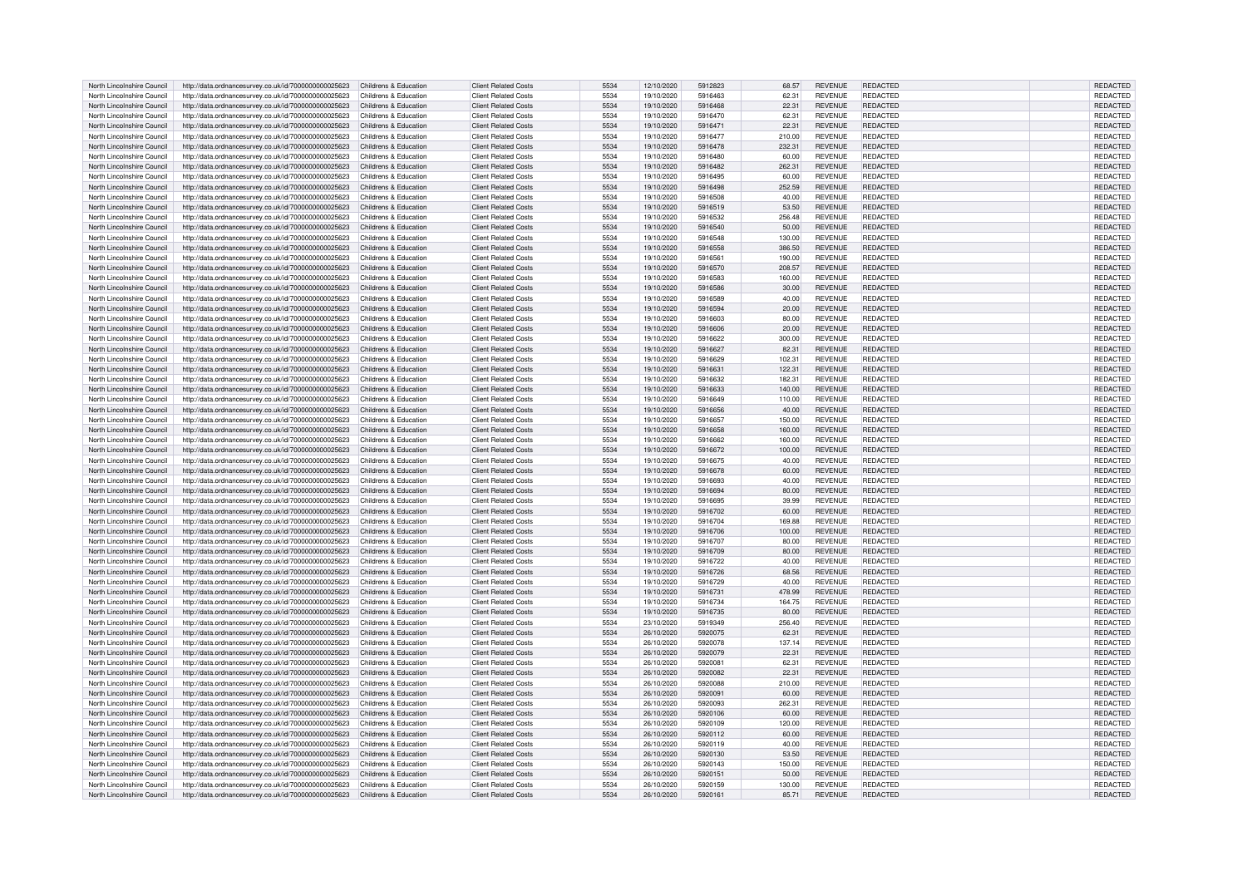| North Lincolnshire Council | http://data.ordnancesurvey.co.uk/id/7000000000025623                       | Childrens & Education | <b>Client Related Costs</b> | 5534 | 12/10/2020 | 5912823 | 68.57  | <b>REVENUE</b> | <b>REDACTED</b> | <b>REDACTED</b> |
|----------------------------|----------------------------------------------------------------------------|-----------------------|-----------------------------|------|------------|---------|--------|----------------|-----------------|-----------------|
| North Lincolnshire Council | http://data.ordnancesurvey.co.uk/id/7000000000025623                       | Childrens & Education | <b>Client Related Costs</b> | 5534 | 19/10/2020 | 5916463 | 62.31  | <b>REVENUE</b> | <b>REDACTED</b> | REDACTED        |
|                            |                                                                            |                       |                             |      |            |         |        |                |                 |                 |
| North Lincolnshire Council | http://data.ordnancesurvey.co.uk/id/7000000000025623                       | Childrens & Education | <b>Client Related Costs</b> | 5534 | 19/10/2020 | 5916468 | 22.31  | <b>REVENUE</b> | REDACTED        | REDACTED        |
| North Lincolnshire Council | http://data.ordnancesurvey.co.uk/id/7000000000025623                       | Childrens & Education | <b>Client Related Costs</b> | 5534 | 19/10/2020 | 5916470 | 62.31  | <b>REVENUE</b> | REDACTED        | REDACTED        |
| North Lincolnshire Council | http://data.ordnancesurvey.co.uk/id/7000000000025623                       | Childrens & Education | Client Related Costs        | 5534 | 19/10/2020 | 5916471 | 22.31  | <b>REVENUE</b> | <b>REDACTED</b> | REDACTED        |
| North Lincolnshire Council | http://data.ordnancesurvey.co.uk/id/7000000000025623                       | Childrens & Education | <b>Client Related Costs</b> | 5534 | 19/10/2020 | 5916477 | 210.00 | <b>REVENUE</b> | <b>REDACTED</b> | REDACTED        |
| North Lincolnshire Council | http://data.ordnancesurvey.co.uk/id/7000000000025623                       | Childrens & Education | <b>Client Related Costs</b> | 5534 | 19/10/2020 | 5916478 | 232.31 | <b>REVENUE</b> | REDACTED        | <b>REDACTED</b> |
| North Lincolnshire Council | http://data.ordnancesurvey.co.uk/id/7000000000025623                       | Childrens & Education | <b>Client Related Costs</b> | 5534 | 19/10/2020 | 5916480 | 60.00  | <b>REVENUE</b> | <b>REDACTED</b> | REDACTED        |
|                            |                                                                            |                       |                             |      |            |         |        |                |                 |                 |
| North Lincolnshire Council | http://data.ordnancesurvey.co.uk/id/7000000000025623                       | Childrens & Education | <b>Client Related Costs</b> | 5534 | 19/10/2020 | 5916482 | 262.31 | <b>REVENUE</b> | REDACTED        | <b>REDACTED</b> |
| North Lincolnshire Council | http://data.ordnancesurvey.co.uk/id/7000000000025623                       | Childrens & Education | <b>Client Related Costs</b> | 5534 | 19/10/2020 | 5916495 | 60.00  | <b>REVENUE</b> | <b>REDACTED</b> | REDACTED        |
| North Lincolnshire Council | http://data.ordnancesurvey.co.uk/id/7000000000025623                       | Childrens & Education | <b>Client Related Costs</b> | 5534 | 19/10/2020 | 5916498 | 252.59 | <b>REVENUE</b> | REDACTED        | REDACTED        |
| North Lincolnshire Council | http://data.ordnancesurvey.co.uk/id/7000000000025623                       | Childrens & Education | <b>Client Related Costs</b> | 5534 | 19/10/2020 | 5916508 | 40.00  | <b>REVENUE</b> | REDACTED        | REDACTED        |
| North Lincolnshire Council | http://data.ordnancesurvey.co.uk/id/7000000000025623                       | Childrens & Education | <b>Client Related Costs</b> | 5534 | 19/10/2020 | 5916519 | 53.50  | <b>REVENUE</b> | <b>REDACTED</b> | REDACTED        |
|                            |                                                                            |                       |                             |      |            |         |        |                |                 |                 |
| North Lincolnshire Council | http://data.ordnancesurvey.co.uk/id/7000000000025623                       | Childrens & Education | <b>Client Related Costs</b> | 5534 | 19/10/2020 | 5916532 | 256.48 | <b>REVENUE</b> | REDACTED        | REDACTED        |
| North Lincolnshire Council | http://data.ordnancesurvey.co.uk/id/7000000000025623                       | Childrens & Education | <b>Client Related Costs</b> | 5534 | 19/10/2020 | 5916540 | 50.00  | <b>REVENUE</b> | REDACTED        | REDACTED        |
| North Lincolnshire Council | http://data.ordnancesurvey.co.uk/id/7000000000025623                       | Childrens & Education | <b>Client Related Costs</b> | 5534 | 19/10/2020 | 5916548 | 130.00 | <b>REVENUE</b> | <b>REDACTED</b> | REDACTED        |
| North Lincolnshire Council | http://data.ordnancesurvey.co.uk/id/7000000000025623                       | Childrens & Education | <b>Client Related Costs</b> | 5534 | 19/10/2020 | 5916558 | 386.50 | <b>REVENUE</b> | REDACTED        | REDACTED        |
| North Lincolnshire Council | http://data.ordnancesurvey.co.uk/id/7000000000025623                       | Childrens & Education | Client Related Costs        | 5534 | 19/10/2020 | 5916561 | 190.00 | <b>REVENUE</b> | <b>REDACTED</b> | <b>REDACTED</b> |
| North Lincolnshire Council | http://data.ordnancesurvey.co.uk/id/7000000000025623                       | Childrens & Education | <b>Client Related Costs</b> | 5534 | 19/10/2020 | 5916570 | 208.57 | <b>REVENUE</b> | <b>REDACTED</b> | REDACTED        |
|                            |                                                                            |                       |                             |      |            |         |        |                |                 |                 |
| North Lincolnshire Council | http://data.ordnancesurvey.co.uk/id/7000000000025623                       | Childrens & Education | Client Related Costs        | 5534 | 19/10/2020 | 5916583 | 160.00 | <b>REVENUE</b> | <b>REDACTED</b> | REDACTED        |
| North Lincolnshire Council | http://data.ordnancesurvey.co.uk/id/7000000000025623                       | Childrens & Education | <b>Client Related Costs</b> | 5534 | 19/10/2020 | 5916586 | 30.00  | <b>REVENUE</b> | <b>REDACTED</b> | REDACTED        |
| North Lincolnshire Council | http://data.ordnancesurvey.co.uk/id/7000000000025623                       | Childrens & Education | <b>Client Related Costs</b> | 5534 | 19/10/2020 | 5916589 | 40.00  | <b>REVENUE</b> | <b>REDACTED</b> | REDACTED        |
| North Lincolnshire Council | http://data.ordnancesurvey.co.uk/id/7000000000025623                       | Childrens & Education | <b>Client Related Costs</b> | 5534 | 19/10/2020 | 5916594 | 20.00  | <b>REVENUE</b> | <b>REDACTED</b> | REDACTED        |
| North Lincolnshire Council |                                                                            | Childrens & Education | <b>Client Related Costs</b> | 5534 |            | 5916603 |        | <b>REVENUE</b> | <b>REDACTED</b> |                 |
|                            | http://data.ordnancesurvey.co.uk/id/7000000000025623                       |                       |                             |      | 19/10/2020 |         | 80.00  |                |                 | REDACTED        |
| North Lincolnshire Council | http://data.ordnancesurvey.co.uk/id/7000000000025623                       | Childrens & Education | <b>Client Related Costs</b> | 5534 | 19/10/2020 | 5916606 | 20.00  | <b>REVENUE</b> | REDACTED        | REDACTED        |
| North Lincolnshire Council | http://data.ordnancesurvey.co.uk/id/7000000000025623                       | Childrens & Education | <b>Client Related Costs</b> | 5534 | 19/10/2020 | 5916622 | 300.00 | <b>REVENUE</b> | <b>REDACTED</b> | REDACTED        |
| North Lincolnshire Council | http://data.ordnancesurvey.co.uk/id/7000000000025623                       | Childrens & Education | <b>Client Related Costs</b> | 5534 | 19/10/2020 | 5916627 | 82.31  | <b>REVENUE</b> | <b>REDACTED</b> | REDACTED        |
| North Lincolnshire Council | http://data.ordnancesurvey.co.uk/id/7000000000025623                       | Childrens & Education | <b>Client Related Costs</b> | 5534 | 19/10/2020 | 5916629 | 102.31 | <b>REVENUE</b> | <b>REDACTED</b> | <b>REDACTED</b> |
| North Lincolnshire Council | http://data.ordnancesurvey.co.uk/id/7000000000025623                       | Childrens & Education | <b>Client Related Costs</b> | 5534 | 19/10/2020 | 5916631 | 122.31 | <b>REVENUE</b> | REDACTED        | <b>REDACTED</b> |
|                            |                                                                            |                       |                             |      |            |         |        |                |                 |                 |
| North Lincolnshire Council | http://data.ordnancesurvey.co.uk/id/7000000000025623                       | Childrens & Education | <b>Client Related Costs</b> | 5534 | 19/10/2020 | 5916632 | 182.31 | <b>REVENUE</b> | <b>REDACTED</b> | REDACTED        |
| North Lincolnshire Council | http://data.ordnancesurvey.co.uk/id/7000000000025623                       | Childrens & Education | <b>Client Related Costs</b> | 5534 | 19/10/2020 | 5916633 | 140.00 | REVENUE        | <b>REDACTED</b> | REDACTED        |
| North Lincolnshire Council | http://data.ordnancesurvey.co.uk/id/7000000000025623                       | Childrens & Education | <b>Client Related Costs</b> | 5534 | 19/10/2020 | 5916649 | 110.00 | <b>REVENUE</b> | <b>REDACTED</b> | <b>REDACTED</b> |
| North Lincolnshire Council | http://data.ordnancesurvey.co.uk/id/7000000000025623                       | Childrens & Education | <b>Client Related Costs</b> | 5534 | 19/10/2020 | 5916656 | 40.00  | <b>REVENUE</b> | <b>REDACTED</b> | REDACTED        |
| North Lincolnshire Council | http://data.ordnancesurvey.co.uk/id/7000000000025623                       | Childrens & Education | <b>Client Related Costs</b> | 5534 | 19/10/2020 | 5916657 | 150.00 | <b>REVENUE</b> | REDACTED        | <b>REDACTED</b> |
|                            |                                                                            |                       |                             | 5534 |            |         |        |                |                 |                 |
| North Lincolnshire Council | http://data.ordnancesurvey.co.uk/id/7000000000025623                       | Childrens & Education | <b>Client Related Costs</b> |      | 19/10/2020 | 5916658 | 160.00 | <b>REVENUE</b> | REDACTED        | <b>REDACTED</b> |
| North Lincolnshire Council | http://data.ordnancesurvey.co.uk/id/7000000000025623                       | Childrens & Education | <b>Client Related Costs</b> | 5534 | 19/10/2020 | 5916662 | 160.00 | <b>REVENUE</b> | REDACTED        | REDACTED        |
| North Lincolnshire Council | http://data.ordnancesurvey.co.uk/id/7000000000025623                       | Childrens & Education | <b>Client Related Costs</b> | 5534 | 19/10/2020 | 5916672 | 100.00 | <b>REVENUE</b> | <b>REDACTED</b> | <b>REDACTED</b> |
| North Lincolnshire Council | http://data.ordnancesurvey.co.uk/id/7000000000025623                       | Childrens & Education | <b>Client Related Costs</b> | 5534 | 19/10/2020 | 5916675 | 40.00  | <b>REVENUE</b> | <b>REDACTED</b> | REDACTED        |
| North Lincolnshire Council | http://data.ordnancesurvey.co.uk/id/7000000000025623                       | Childrens & Education | <b>Client Related Costs</b> | 5534 | 19/10/2020 | 5916678 | 60.00  | <b>REVENUE</b> | REDACTED        | REDACTED        |
|                            |                                                                            |                       |                             |      |            |         |        |                |                 |                 |
| North Lincolnshire Council | http://data.ordnancesurvey.co.uk/id/7000000000025623                       | Childrens & Education | <b>Client Related Costs</b> | 5534 | 19/10/2020 | 5916693 | 40.00  | <b>REVENUE</b> | <b>REDACTED</b> | REDACTED        |
| North Lincolnshire Council | http://data.ordnancesurvey.co.uk/id/7000000000025623                       | Childrens & Education | <b>Client Related Costs</b> | 5534 | 19/10/2020 | 5916694 | 80.00  | <b>REVENUE</b> | <b>REDACTED</b> | REDACTED        |
| North Lincolnshire Council | http://data.ordnancesurvey.co.uk/id/7000000000025623                       | Childrens & Education | <b>Client Related Costs</b> | 5534 | 19/10/2020 | 5916695 | 39.99  | <b>REVENUE</b> | REDACTED        | REDACTED        |
| North Lincolnshire Council | http://data.ordnancesurvey.co.uk/id/7000000000025623                       | Childrens & Education | <b>Client Related Costs</b> | 5534 | 19/10/2020 | 5916702 | 60.00  | <b>REVENUE</b> | <b>REDACTED</b> | REDACTED        |
| North Lincolnshire Council | http://data.ordnancesurvey.co.uk/id/7000000000025623                       | Childrens & Education | <b>Client Related Costs</b> | 5534 | 19/10/2020 | 5916704 | 169.88 | <b>REVENUE</b> | <b>REDACTED</b> | REDACTED        |
|                            |                                                                            |                       |                             |      |            |         |        |                |                 |                 |
| North Lincolnshire Council | http://data.ordnancesurvey.co.uk/id/7000000000025623                       | Childrens & Education | <b>Client Related Costs</b> | 5534 | 19/10/2020 | 5916706 | 100.00 | <b>REVENUE</b> | <b>REDACTED</b> | REDACTED        |
| North Lincolnshire Council | http://data.ordnancesurvey.co.uk/id/7000000000025623                       | Childrens & Education | Client Related Costs        | 5534 | 19/10/2020 | 5916707 | 80.00  | <b>REVENUE</b> | <b>REDACTED</b> | REDACTED        |
| North Lincolnshire Council | http://data.ordnancesurvey.co.uk/id/7000000000025623                       | Childrens & Education | <b>Client Related Costs</b> | 5534 | 19/10/2020 | 5916709 | 80.00  | <b>REVENUE</b> | <b>REDACTED</b> | REDACTED        |
| North Lincolnshire Council | http://data.ordnancesurvey.co.uk/id/7000000000025623                       | Childrens & Education | <b>Client Related Costs</b> | 5534 | 19/10/2020 | 5916722 | 40.00  | <b>REVENUE</b> | REDACTED        | REDACTED        |
| North Lincolnshire Council | http://data.ordnancesurvey.co.uk/id/7000000000025623                       | Childrens & Education | <b>Client Related Costs</b> | 5534 | 19/10/2020 | 5916726 | 68.56  | <b>REVENUE</b> | <b>REDACTED</b> | <b>REDACTED</b> |
|                            |                                                                            |                       | <b>Client Related Costs</b> | 5534 | 19/10/2020 | 5916729 |        |                | <b>REDACTED</b> |                 |
| North Lincolnshire Council | http://data.ordnancesurvey.co.uk/id/7000000000025623                       | Childrens & Education |                             |      |            |         | 40.00  | <b>REVENUE</b> |                 | REDACTED        |
| North Lincolnshire Council | http://data.ordnancesurvey.co.uk/id/7000000000025623                       | Childrens & Education | <b>Client Related Costs</b> | 5534 | 19/10/2020 | 5916731 | 478.99 | <b>REVENUE</b> | <b>REDACTED</b> | REDACTED        |
| North Lincolnshire Council | http://data.ordnancesurvey.co.uk/id/7000000000025623                       | Childrens & Education | <b>Client Related Costs</b> | 5534 | 19/10/2020 | 5916734 | 164.75 | <b>REVENUE</b> | <b>REDACTED</b> | REDACTED        |
| North Lincolnshire Council | http://data.ordnancesurvey.co.uk/id/7000000000025623                       | Childrens & Education | <b>Client Related Costs</b> | 5534 | 19/10/2020 | 5916735 | 80.00  | <b>REVENUE</b> | REDACTED        | REDACTED        |
| North Lincolnshire Council | http://data.ordnancesurvey.co.uk/id/7000000000025623                       | Childrens & Education | Client Related Costs        | 5534 | 23/10/2020 | 5919349 | 256.40 | <b>REVENUE</b> | <b>REDACTED</b> | REDACTED        |
| North Lincolnshire Council |                                                                            | Childrens & Education | <b>Client Related Costs</b> | 5534 | 26/10/2020 | 5920075 | 62.31  | <b>REVENUE</b> | <b>REDACTED</b> | REDACTED        |
|                            | http://data.ordnancesurvey.co.uk/id/7000000000025623                       |                       |                             |      |            |         |        |                |                 |                 |
| North Lincolnshire Council | http://data.ordnancesurvey.co.uk/id/7000000000025623                       | Childrens & Education | <b>Client Related Costs</b> | 5534 | 26/10/2020 | 5920078 | 137.14 | <b>REVENUE</b> | <b>REDACTED</b> | <b>REDACTED</b> |
| North Lincolnshire Council | http://data.ordnancesurvey.co.uk/id/7000000000025623                       | Childrens & Education | <b>Client Related Costs</b> | 5534 | 26/10/2020 | 5920079 | 22.31  | <b>REVENUE</b> | <b>REDACTED</b> | REDACTED        |
| North Lincolnshire Council | http://data.ordnancesurvey.co.uk/id/7000000000025623                       | Childrens & Education | <b>Client Related Costs</b> | 5534 | 26/10/2020 | 5920081 | 62.31  | <b>REVENUE</b> | REDACTED        | REDACTED        |
| North Lincolnshire Council | http://data.ordnancesurvey.co.uk/id/7000000000025623                       | Childrens & Education | <b>Client Related Costs</b> | 5534 | 26/10/2020 | 5920082 | 22.31  | <b>REVENUE</b> | <b>REDACTED</b> | REDACTED        |
| North Lincolnshire Council | http://data.ordnancesurvey.co.uk/id/7000000000025623                       | Childrens & Education | <b>Client Related Costs</b> | 5534 | 26/10/2020 | 5920088 | 210.00 | <b>REVENUE</b> | <b>REDACTED</b> | REDACTED        |
|                            |                                                                            |                       |                             |      |            |         |        |                |                 |                 |
| North Lincolnshire Council | http://data.ordnancesurvey.co.uk/id/7000000000025623                       | Childrens & Education | <b>Client Related Costs</b> | 5534 | 26/10/2020 | 5920091 | 60.00  | <b>REVENUE</b> | REDACTED        | REDACTED        |
| North Lincolnshire Council | http://data.ordnancesurvey.co.uk/id/7000000000025623                       | Childrens & Education | <b>Client Related Costs</b> | 5534 | 26/10/2020 | 5920093 | 262.31 | <b>REVENUE</b> | <b>REDACTED</b> | REDACTED        |
| North Lincolnshire Council | http://data.ordnancesurvey.co.uk/id/7000000000025623                       | Childrens & Education | <b>Client Related Costs</b> | 5534 | 26/10/2020 | 5920106 | 60.00  | <b>REVENUE</b> | REDACTED        | REDACTED        |
| North Lincolnshire Council | http://data.ordnancesurvey.co.uk/id/7000000000025623                       | Childrens & Education | <b>Client Related Costs</b> | 5534 | 26/10/2020 | 5920109 | 120.00 | <b>REVENUE</b> | REDACTED        | REDACTED        |
| North Lincolnshire Council | http://data.ordnancesurvey.co.uk/id/7000000000025623                       | Childrens & Education | <b>Client Related Costs</b> | 5534 | 26/10/2020 | 5920112 | 60.00  | <b>REVENUE</b> | <b>REDACTED</b> | REDACTED        |
|                            |                                                                            |                       |                             |      |            |         |        |                |                 |                 |
| North Lincolnshire Council | http://data.ordnancesurvey.co.uk/id/7000000000025623                       | Childrens & Education | <b>Client Related Costs</b> | 5534 | 26/10/2020 | 5920119 | 40.00  | <b>REVENUE</b> | REDACTED        | REDACTED        |
| North Lincolnshire Council | http://data.ordnancesurvey.co.uk/id/7000000000025623                       | Childrens & Education | <b>Client Related Costs</b> | 5534 | 26/10/2020 | 5920130 | 53.50  | <b>REVENUE</b> | <b>REDACTED</b> | REDACTED        |
| North Lincolnshire Council | http://data.ordnancesurvey.co.uk/id/7000000000025623                       | Childrens & Education | <b>Client Related Costs</b> | 5534 | 26/10/2020 | 5920143 | 150.00 | <b>REVENUE</b> | <b>REDACTED</b> | REDACTED        |
| North Lincolnshire Council | http://data.ordnancesurvey.co.uk/id/7000000000025623                       | Childrens & Education | <b>Client Related Costs</b> | 5534 | 26/10/2020 | 5920151 | 50.00  | <b>REVENUE</b> | <b>REDACTED</b> | REDACTED        |
| North Lincolnshire Council | http://data.ordnancesurvey.co.uk/id/7000000000025623                       | Childrens & Education | <b>Client Related Costs</b> | 5534 | 26/10/2020 | 5920159 | 130.00 | <b>REVENUE</b> | <b>REDACTED</b> | REDACTED        |
| North Lincolnshire Council | http://data.ordnancesurvey.co.uk/id/7000000000025623 Childrens & Education |                       | <b>Client Related Costs</b> | 5534 | 26/10/2020 | 5920161 | 85.71  | <b>REVENUE</b> | REDACTED        | REDACTED        |
|                            |                                                                            |                       |                             |      |            |         |        |                |                 |                 |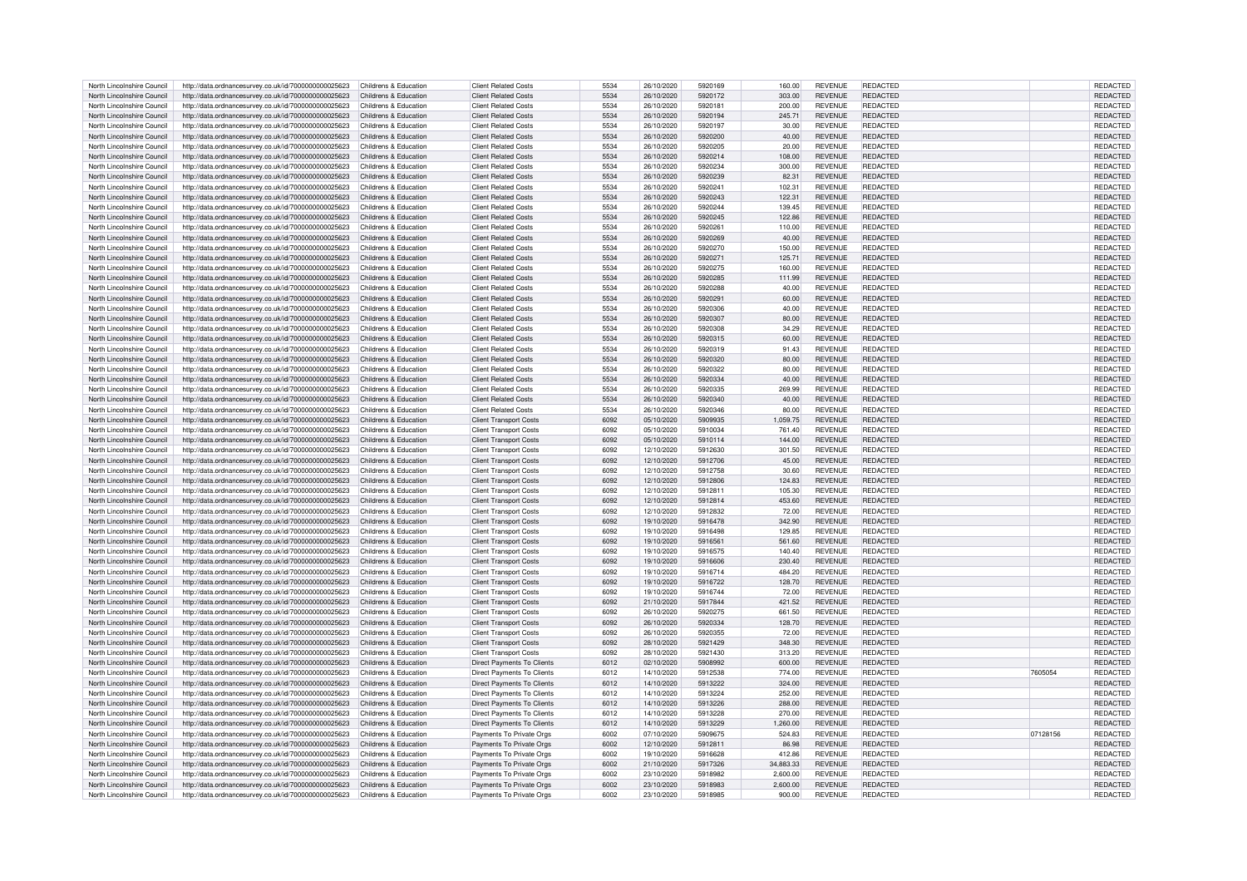| North Lincolnshire Council | http://data.ordnancesurvey.co.uk/id/7000000000025623 | Childrens & Education | <b>Client Related Costs</b>       | 5534 | 26/10/2020 | 5920169 | 160.00    | <b>REVENUE</b> | REDACTED        |          | REDACTED        |
|----------------------------|------------------------------------------------------|-----------------------|-----------------------------------|------|------------|---------|-----------|----------------|-----------------|----------|-----------------|
| North Lincolnshire Council | http://data.ordnancesurvey.co.uk/id/7000000000025623 | Childrens & Education | <b>Client Related Costs</b>       | 5534 | 26/10/2020 | 5920172 | 303.00    | <b>REVENUE</b> | <b>REDACTED</b> |          | REDACTED        |
| North Lincolnshire Council |                                                      | Childrens & Education | <b>Client Related Costs</b>       | 5534 | 26/10/2020 | 5920181 | 200.00    | <b>REVENUE</b> | REDACTED        |          | REDACTED        |
|                            | http://data.ordnancesurvey.co.uk/id/7000000000025623 |                       |                                   |      |            |         |           |                |                 |          |                 |
| North Lincolnshire Council | http://data.ordnancesurvey.co.uk/id/7000000000025623 | Childrens & Education | <b>Client Related Costs</b>       | 5534 | 26/10/2020 | 5920194 | 245.71    | <b>REVENUE</b> | <b>REDACTED</b> |          | REDACTED        |
| North Lincolnshire Council | http://data.ordnancesurvey.co.uk/id/7000000000025623 | Childrens & Education | <b>Client Related Costs</b>       | 5534 | 26/10/2020 | 5920197 | 30.00     | <b>REVENUE</b> | REDACTED        |          | REDACTED        |
| North Lincolnshire Council | http://data.ordnancesurvey.co.uk/id/7000000000025623 | Childrens & Education | <b>Client Related Costs</b>       | 5534 | 26/10/2020 | 5920200 | 40.00     | <b>REVENUE</b> | REDACTED        |          | REDACTED        |
| North Lincolnshire Council | http://data.ordnancesurvey.co.uk/id/7000000000025623 | Childrens & Education | <b>Client Related Costs</b>       | 5534 | 26/10/2020 | 5920205 | 20.00     | <b>REVENUE</b> | <b>REDACTED</b> |          | REDACTED        |
| North Lincolnshire Council |                                                      | Childrens & Education | <b>Client Related Costs</b>       | 5534 | 26/10/2020 | 5920214 | 108.00    | <b>REVENUE</b> | REDACTED        |          | REDACTED        |
|                            | http://data.ordnancesurvey.co.uk/id/7000000000025623 |                       |                                   |      |            |         |           |                |                 |          |                 |
| North Lincolnshire Council | http://data.ordnancesurvey.co.uk/id/7000000000025623 | Childrens & Education | <b>Client Related Costs</b>       | 5534 | 26/10/2020 | 5920234 | 300.00    | <b>REVENUE</b> | <b>REDACTED</b> |          | REDACTED        |
| North Lincolnshire Council | http://data.ordnancesurvey.co.uk/id/7000000000025623 | Childrens & Education | <b>Client Related Costs</b>       | 5534 | 26/10/2020 | 5920239 | 82.31     | <b>REVENUE</b> | <b>REDACTED</b> |          | REDACTED        |
| North Lincolnshire Council | http://data.ordnancesurvey.co.uk/id/7000000000025623 | Childrens & Education | <b>Client Related Costs</b>       | 5534 | 26/10/2020 | 5920241 | 102.31    | <b>REVENUE</b> | REDACTED        |          | <b>REDACTED</b> |
| North Lincolnshire Council | http://data.ordnancesurvey.co.uk/id/7000000000025623 | Childrens & Education | <b>Client Related Costs</b>       | 5534 | 26/10/2020 | 5920243 | 122.31    | <b>REVENUE</b> | REDACTED        |          | REDACTED        |
| North Lincolnshire Council | http://data.ordnancesurvey.co.uk/id/7000000000025623 | Childrens & Education | <b>Client Related Costs</b>       | 5534 | 26/10/2020 | 5920244 | 139.45    | <b>REVENUE</b> | REDACTED        |          | REDACTED        |
|                            |                                                      |                       |                                   |      |            |         |           |                |                 |          |                 |
| North Lincolnshire Council | http://data.ordnancesurvey.co.uk/id/7000000000025623 | Childrens & Education | <b>Client Related Costs</b>       | 5534 | 26/10/2020 | 5920245 | 122.86    | <b>REVENUE</b> | REDACTED        |          | REDACTED        |
| North Lincolnshire Council | http://data.ordnancesurvey.co.uk/id/7000000000025623 | Childrens & Education | <b>Client Related Costs</b>       | 5534 | 26/10/2020 | 5920261 | 110.00    | <b>REVENUE</b> | REDACTED        |          | REDACTED        |
| North Lincolnshire Council | http://data.ordnancesurvey.co.uk/id/7000000000025623 | Childrens & Education | <b>Client Related Costs</b>       | 5534 | 26/10/2020 | 5920269 | 40.00     | <b>REVENUE</b> | REDACTED        |          | <b>REDACTED</b> |
| North Lincolnshire Council | http://data.ordnancesurvey.co.uk/id/7000000000025623 | Childrens & Education | <b>Client Related Costs</b>       | 5534 | 26/10/2020 | 5920270 | 150.00    | <b>REVENUE</b> | <b>REDACTED</b> |          | REDACTED        |
| North Lincolnshire Council |                                                      | Childrens & Education | <b>Client Related Costs</b>       | 5534 | 26/10/2020 | 5920271 | 125.71    | <b>REVENUE</b> | <b>REDACTED</b> |          | <b>REDACTED</b> |
|                            | http://data.ordnancesurvey.co.uk/id/7000000000025623 |                       |                                   |      |            |         |           |                |                 |          |                 |
| North Lincolnshire Council | http://data.ordnancesurvey.co.uk/id/7000000000025623 | Childrens & Education | <b>Client Related Costs</b>       | 5534 | 26/10/2020 | 5920275 | 160.00    | <b>REVENUE</b> | <b>REDACTED</b> |          | REDACTED        |
| North Lincolnshire Council | http://data.ordnancesurvey.co.uk/id/7000000000025623 | Childrens & Education | <b>Client Related Costs</b>       | 5534 | 26/10/2020 | 5920285 | 111.99    | <b>REVENUE</b> | <b>REDACTED</b> |          | REDACTED        |
| North Lincolnshire Council | http://data.ordnancesurvey.co.uk/id/7000000000025623 | Childrens & Education | <b>Client Related Costs</b>       | 5534 | 26/10/2020 | 5920288 | 40.00     | <b>REVENUE</b> | REDACTED        |          | REDACTED        |
| North Lincolnshire Council | http://data.ordnancesurvey.co.uk/id/7000000000025623 | Childrens & Education | <b>Client Related Costs</b>       | 5534 | 26/10/2020 | 5920291 | 60.00     | <b>REVENUE</b> | REDACTED        |          | REDACTED        |
| North Lincolnshire Council | http://data.ordnancesurvey.co.uk/id/7000000000025623 | Childrens & Education | <b>Client Related Costs</b>       | 5534 | 26/10/2020 | 5920306 | 40.00     | <b>REVENUE</b> | REDACTED        |          | REDACTED        |
|                            |                                                      |                       |                                   |      |            |         |           |                |                 |          |                 |
| North Lincolnshire Council | http://data.ordnancesurvey.co.uk/id/7000000000025623 | Childrens & Education | <b>Client Related Costs</b>       | 5534 | 26/10/2020 | 5920307 | 80.00     | <b>REVENUE</b> | REDACTED        |          | REDACTED        |
| North Lincolnshire Council | http://data.ordnancesurvey.co.uk/id/7000000000025623 | Childrens & Education | <b>Client Related Costs</b>       | 5534 | 26/10/2020 | 5920308 | 34.29     | <b>REVENUE</b> | <b>REDACTED</b> |          | REDACTED        |
| North Lincolnshire Council | http://data.ordnancesurvey.co.uk/id/7000000000025623 | Childrens & Education | <b>Client Related Costs</b>       | 5534 | 26/10/2020 | 5920315 | 60.00     | <b>REVENUE</b> | REDACTED        |          | REDACTED        |
| North Lincolnshire Council | http://data.ordnancesurvey.co.uk/id/7000000000025623 | Childrens & Education | <b>Client Related Costs</b>       | 5534 | 26/10/2020 | 5920319 | 91.43     | <b>REVENUE</b> | <b>REDACTED</b> |          | <b>REDACTED</b> |
|                            |                                                      |                       |                                   |      |            |         |           |                |                 |          |                 |
| North Lincolnshire Council | http://data.ordnancesurvey.co.uk/id/7000000000025623 | Childrens & Education | <b>Client Related Costs</b>       | 5534 | 26/10/2020 | 5920320 | 80.00     | <b>REVENUE</b> | <b>REDACTED</b> |          | REDACTED        |
| North Lincolnshire Council | http://data.ordnancesurvey.co.uk/id/7000000000025623 | Childrens & Education | <b>Client Related Costs</b>       | 5534 | 26/10/2020 | 5920322 | 80.00     | <b>REVENUE</b> | <b>REDACTED</b> |          | REDACTED        |
| North Lincolnshire Council | http://data.ordnancesurvey.co.uk/id/7000000000025623 | Childrens & Education | <b>Client Related Costs</b>       | 5534 | 26/10/2020 | 5920334 | 40.00     | <b>REVENUE</b> | REDACTED        |          | REDACTED        |
| North Lincolnshire Council | http://data.ordnancesurvey.co.uk/id/7000000000025623 | Childrens & Education | <b>Client Related Costs</b>       | 5534 | 26/10/2020 | 5920335 | 269.99    | <b>REVENUE</b> | REDACTED        |          | REDACTED        |
| North Lincolnshire Council | http://data.ordnancesurvey.co.uk/id/7000000000025623 | Childrens & Education | <b>Client Related Costs</b>       | 5534 | 26/10/2020 | 5920340 | 40.00     | <b>REVENUE</b> | REDACTED        |          | REDACTED        |
|                            |                                                      |                       |                                   |      |            |         |           |                |                 |          |                 |
| North Lincolnshire Council | http://data.ordnancesurvey.co.uk/id/7000000000025623 | Childrens & Education | <b>Client Related Costs</b>       | 5534 | 26/10/2020 | 5920346 | 80.00     | <b>REVENUE</b> | REDACTED        |          | REDACTED        |
| North Lincolnshire Council | http://data.ordnancesurvey.co.uk/id/7000000000025623 | Childrens & Education | <b>Client Transport Costs</b>     | 6092 | 05/10/2020 | 5909935 | 1,059.75  | <b>REVENUE</b> | REDACTED        |          | REDACTED        |
| North Lincolnshire Council | http://data.ordnancesurvey.co.uk/id/7000000000025623 | Childrens & Education | <b>Client Transport Costs</b>     | 6092 | 05/10/2020 | 5910034 | 761.40    | <b>REVENUE</b> | REDACTED        |          | REDACTED        |
| North Lincolnshire Council | http://data.ordnancesurvey.co.uk/id/7000000000025623 | Childrens & Education | <b>Client Transport Costs</b>     | 6092 | 05/10/2020 | 5910114 | 144.00    | <b>REVENUE</b> | <b>REDACTED</b> |          | REDACTED        |
|                            |                                                      |                       |                                   | 6092 |            | 5912630 |           |                | REDACTED        |          |                 |
| North Lincolnshire Council | http://data.ordnancesurvey.co.uk/id/7000000000025623 | Childrens & Education | <b>Client Transport Costs</b>     |      | 12/10/2020 |         | 301.50    | <b>REVENUE</b> |                 |          | REDACTED        |
| North Lincolnshire Council | http://data.ordnancesurvey.co.uk/id/7000000000025623 | Childrens & Education | <b>Client Transport Costs</b>     | 6092 | 12/10/2020 | 5912706 | 45.00     | <b>REVENUE</b> | REDACTED        |          | REDACTED        |
| North Lincolnshire Council | http://data.ordnancesurvey.co.uk/id/7000000000025623 | Childrens & Education | <b>Client Transport Costs</b>     | 6092 | 12/10/2020 | 5912758 | 30.60     | <b>REVENUE</b> | REDACTED        |          | REDACTED        |
| North Lincolnshire Council | http://data.ordnancesurvey.co.uk/id/7000000000025623 | Childrens & Education | <b>Client Transport Costs</b>     | 6092 | 12/10/2020 | 5912806 | 124.83    | <b>REVENUE</b> | REDACTED        |          | REDACTED        |
| North Lincolnshire Council | http://data.ordnancesurvey.co.uk/id/7000000000025623 | Childrens & Education | <b>Client Transport Costs</b>     | 6092 | 12/10/2020 | 5912811 | 105.30    | <b>REVENUE</b> | REDACTED        |          | REDACTED        |
| North Lincolnshire Council | http://data.ordnancesurvey.co.uk/id/7000000000025623 | Childrens & Education | <b>Client Transport Costs</b>     | 6092 | 12/10/2020 | 5912814 | 453.60    | <b>REVENUE</b> | REDACTED        |          | REDACTED        |
|                            |                                                      |                       |                                   |      |            |         |           |                |                 |          |                 |
| North Lincolnshire Council | http://data.ordnancesurvey.co.uk/id/7000000000025623 | Childrens & Education | <b>Client Transport Costs</b>     | 6092 | 12/10/2020 | 5912832 | 72.00     | <b>REVENUE</b> | REDACTED        |          | REDACTED        |
| North Lincolnshire Council | http://data.ordnancesurvey.co.uk/id/7000000000025623 | Childrens & Education | <b>Client Transport Costs</b>     | 6092 | 19/10/2020 | 5916478 | 342.90    | <b>REVENUE</b> | <b>REDACTED</b> |          | REDACTED        |
| North Lincolnshire Council | http://data.ordnancesurvey.co.uk/id/7000000000025623 | Childrens & Education | <b>Client Transport Costs</b>     | 6092 | 19/10/2020 | 5916498 | 129.85    | <b>REVENUE</b> | <b>REDACTED</b> |          | <b>REDACTED</b> |
| North Lincolnshire Council | http://data.ordnancesurvey.co.uk/id/7000000000025623 | Childrens & Education | <b>Client Transport Costs</b>     | 6092 | 19/10/2020 | 5916561 | 561.60    | <b>REVENUE</b> | <b>REDACTED</b> |          | REDACTED        |
| North Lincolnshire Council | http://data.ordnancesurvey.co.uk/id/7000000000025623 | Childrens & Education | <b>Client Transport Costs</b>     | 6092 | 19/10/2020 | 5916575 | 140.40    | <b>REVENUE</b> | REDACTED        |          | REDACTED        |
|                            |                                                      |                       |                                   |      |            |         |           |                |                 |          |                 |
| North Lincolnshire Council | http://data.ordnancesurvey.co.uk/id/7000000000025623 | Childrens & Education | <b>Client Transport Costs</b>     | 6092 | 19/10/2020 | 5916606 | 230.40    | <b>REVENUE</b> | <b>REDACTED</b> |          | REDACTED        |
| North Lincolnshire Council | http://data.ordnancesurvey.co.uk/id/7000000000025623 | Childrens & Education | <b>Client Transport Costs</b>     | 6092 | 19/10/2020 | 5916714 | 484.20    | <b>REVENUE</b> | <b>REDACTED</b> |          | REDACTED        |
| North Lincolnshire Council | http://data.ordnancesurvey.co.uk/id/7000000000025623 | Childrens & Education | <b>Client Transport Costs</b>     | 6092 | 19/10/2020 | 5916722 | 128.70    | <b>REVENUE</b> | <b>REDACTED</b> |          | REDACTED        |
| North Lincolnshire Council | http://data.ordnancesurvey.co.uk/id/7000000000025623 | Childrens & Education | <b>Client Transport Costs</b>     | 6092 | 19/10/2020 | 5916744 | 72.00     | <b>REVENUE</b> | REDACTED        |          | REDACTED        |
| North Lincolnshire Council | http://data.ordnancesurvey.co.uk/id/7000000000025623 | Childrens & Education | <b>Client Transport Costs</b>     | 6092 | 21/10/2020 | 5917844 | 421.52    | <b>REVENUE</b> | REDACTED        |          | REDACTED        |
|                            |                                                      |                       |                                   |      |            |         |           |                |                 |          |                 |
| North Lincolnshire Council | http://data.ordnancesurvey.co.uk/id/7000000000025623 | Childrens & Education | <b>Client Transport Costs</b>     | 6092 | 26/10/2020 | 5920275 | 661.50    | <b>REVENUE</b> | REDACTED        |          | REDACTED        |
| North Lincolnshire Council | http://data.ordnancesurvey.co.uk/id/7000000000025623 | Childrens & Education | <b>Client Transport Costs</b>     | 6092 | 26/10/2020 | 5920334 | 128.70    | <b>REVENUE</b> | <b>REDACTED</b> |          | REDACTED        |
| North Lincolnshire Council | http://data.ordnancesurvey.co.uk/id/7000000000025623 | Childrens & Education | <b>Client Transport Costs</b>     | 6092 | 26/10/2020 | 5920355 | 72.00     | <b>REVENUE</b> | REDACTED        |          | REDACTED        |
| North Lincolnshire Council | http://data.ordnancesurvey.co.uk/id/7000000000025623 | Childrens & Education | <b>Client Transport Costs</b>     | 6092 | 28/10/2020 | 5921429 | 348.30    | <b>REVENUE</b> | <b>REDACTED</b> |          | REDACTED        |
| North Lincolnshire Council | http://data.ordnancesurvey.co.uk/id/7000000000025623 | Childrens & Education | <b>Client Transport Costs</b>     | 6092 | 28/10/2020 | 5921430 | 313.20    | <b>REVENUE</b> | REDACTED        |          | REDACTED        |
|                            |                                                      |                       |                                   |      |            |         |           |                |                 |          |                 |
| North Lincolnshire Council | http://data.ordnancesurvey.co.uk/id/7000000000025623 | Childrens & Education | <b>Direct Payments To Clients</b> | 6012 | 02/10/2020 | 5908992 | 600.00    | <b>REVENUE</b> | <b>REDACTED</b> |          | REDACTED        |
| North Lincolnshire Council | http://data.ordnancesurvey.co.uk/id/7000000000025623 | Childrens & Education | Direct Payments To Clients        | 6012 | 14/10/2020 | 5912538 | 774.00    | <b>REVENUE</b> | <b>REDACTED</b> | 7605054  | REDACTED        |
| North Lincolnshire Council | http://data.ordnancesurvey.co.uk/id/7000000000025623 | Childrens & Education | Direct Payments To Clients        | 6012 | 14/10/2020 | 5913222 | 324.00    | <b>REVENUE</b> | <b>REDACTED</b> |          | REDACTED        |
| North Lincolnshire Council | http://data.ordnancesurvey.co.uk/id/7000000000025623 | Childrens & Education | Direct Payments To Clients        | 6012 | 14/10/2020 | 5913224 | 252.00    | <b>REVENUE</b> | REDACTED        |          | REDACTED        |
| North Lincolnshire Council | http://data.ordnancesurvey.co.uk/id/7000000000025623 | Childrens & Education | Direct Payments To Clients        | 6012 | 14/10/2020 | 5913226 | 288.00    | <b>REVENUE</b> | REDACTED        |          | REDACTED        |
|                            |                                                      |                       |                                   |      |            |         |           |                |                 |          |                 |
| North Lincolnshire Council | http://data.ordnancesurvey.co.uk/id/7000000000025623 | Childrens & Education | Direct Payments To Clients        | 6012 | 14/10/2020 | 5913228 | 270.00    | <b>REVENUE</b> | REDACTED        |          | REDACTED        |
| North Lincolnshire Council | http://data.ordnancesurvey.co.uk/id/7000000000025623 | Childrens & Education | Direct Payments To Clients        | 6012 | 14/10/2020 | 5913229 | 1,260.00  | <b>REVENUE</b> | <b>REDACTED</b> |          | REDACTED        |
| North Lincolnshire Council | http://data.ordnancesurvey.co.uk/id/7000000000025623 | Childrens & Education | Payments To Private Orgs          | 6002 | 07/10/2020 | 5909675 | 524.83    | <b>REVENUE</b> | <b>REDACTED</b> | 07128156 | REDACTED        |
| North Lincolnshire Council | http://data.ordnancesurvey.co.uk/id/7000000000025623 | Childrens & Education | Payments To Private Orgs          | 6002 | 12/10/2020 | 5912811 | 86.98     | <b>REVENUE</b> | REDACTED        |          | REDACTED        |
| North Lincolnshire Council | http://data.ordnancesurvey.co.uk/id/7000000000025623 | Childrens & Education | Payments To Private Orgs          | 6002 | 19/10/2020 | 5916628 | 412.86    | <b>REVENUE</b> | <b>REDACTED</b> |          | REDACTED        |
|                            |                                                      |                       |                                   |      |            |         |           |                |                 |          |                 |
| North Lincolnshire Council | http://data.ordnancesurvey.co.uk/id/7000000000025623 | Childrens & Education | Payments To Private Orgs          | 6002 | 21/10/2020 | 5917326 | 34,883.33 | <b>REVENUE</b> | REDACTED        |          | REDACTED        |
| North Lincolnshire Council | http://data.ordnancesurvey.co.uk/id/7000000000025623 | Childrens & Education | Payments To Private Orgs          | 6002 | 23/10/2020 | 5918982 | 2.600.00  | <b>REVENUE</b> | <b>REDACTED</b> |          | REDACTED        |
| North Lincolnshire Council | http://data.ordnancesurvey.co.uk/id/7000000000025623 | Childrens & Education | Payments To Private Orgs          | 6002 | 23/10/2020 | 5918983 | 2,600.00  | <b>REVENUE</b> | <b>REDACTED</b> |          | REDACTED        |
| North Lincolnshire Council | http://data.ordnancesurvey.co.uk/id/7000000000025623 | Childrens & Education | Payments To Private Orgs          | 6002 | 23/10/2020 | 5918985 | 900.00    | <b>REVENUE</b> | REDACTED        |          | REDACTED        |
|                            |                                                      |                       |                                   |      |            |         |           |                |                 |          |                 |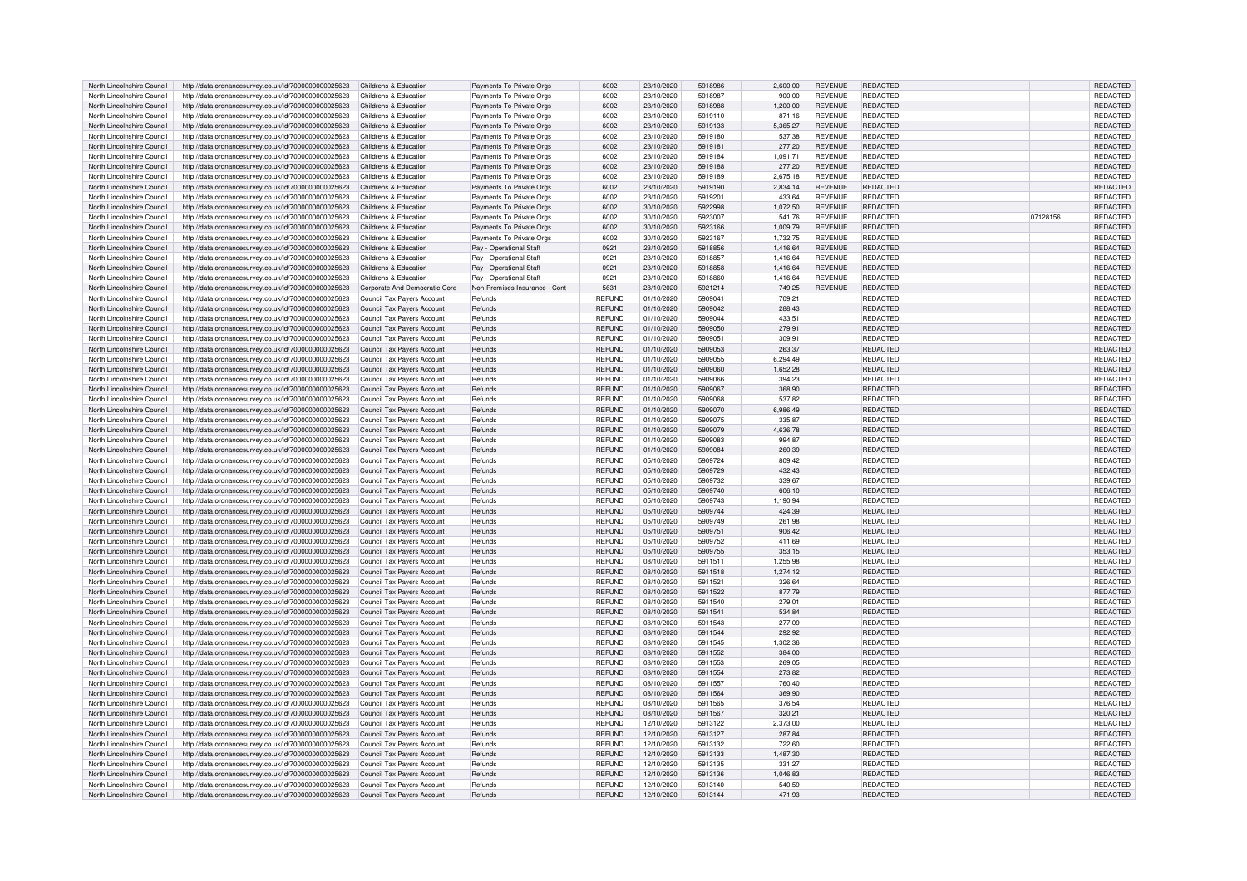| North Lincolnshire Council | http://data.ordnancesurvey.co.uk/id/7000000000025623                            | Childrens & Education         | Payments To Private Orgs      | 6002          | 23/10/2020 | 5918986 | 2,600.00 | <b>REVENUE</b> | REDACTED        |          | REDACTED        |
|----------------------------|---------------------------------------------------------------------------------|-------------------------------|-------------------------------|---------------|------------|---------|----------|----------------|-----------------|----------|-----------------|
| North Lincolnshire Council | http://data.ordnancesurvey.co.uk/id/7000000000025623                            | Childrens & Education         | Payments To Private Orgs      | 6002          | 23/10/2020 | 5918987 | 900.00   | <b>REVENUE</b> | REDACTED        |          | REDACTED        |
|                            |                                                                                 |                               |                               |               |            |         |          |                |                 |          |                 |
| North Lincolnshire Council | http://data.ordnancesurvey.co.uk/id/7000000000025623                            | Childrens & Education         | Payments To Private Orgs      | 6002          | 23/10/2020 | 5918988 | 1,200.00 | <b>REVENUE</b> | <b>REDACTED</b> |          | <b>REDACTED</b> |
| North Lincolnshire Council | http://data.ordnancesurvey.co.uk/id/7000000000025623                            | Childrens & Education         | Payments To Private Orgs      | 6002          | 23/10/2020 | 5919110 | 871.16   | <b>REVENUE</b> | REDACTED        |          | REDACTED        |
| North Lincolnshire Council | http://data.ordnancesurvey.co.uk/id/7000000000025623                            | Childrens & Education         | Payments To Private Orgs      | 6002          | 23/10/2020 | 5919133 | 5,365.27 | <b>REVENUE</b> | REDACTED        |          | REDACTED        |
| North Lincolnshire Council | http://data.ordnancesurvey.co.uk/id/7000000000025623                            | Childrens & Education         | Payments To Private Orgs      | 6002          | 23/10/2020 | 5919180 | 537.38   | <b>REVENUE</b> | <b>REDACTED</b> |          | REDACTED        |
| North Lincolnshire Council | http://data.ordnancesurvey.co.uk/id/7000000000025623                            | Childrens & Education         | Payments To Private Orgs      | 6002          | 23/10/2020 | 5919181 | 277.20   | <b>REVENUE</b> | REDACTED        |          | REDACTED        |
|                            |                                                                                 |                               |                               |               |            |         |          |                |                 |          |                 |
| North Lincolnshire Council | http://data.ordnancesurvey.co.uk/id/7000000000025623                            | Childrens & Education         | Payments To Private Orgs      | 6002          | 23/10/2020 | 5919184 | 1.091.71 | <b>REVENUE</b> | REDACTED        |          | <b>REDACTED</b> |
| North Lincolnshire Council | http://data.ordnancesurvey.co.uk/id/7000000000025623                            | Childrens & Education         | Payments To Private Orgs      | 6002          | 23/10/2020 | 5919188 | 277.20   | <b>REVENUE</b> | <b>REDACTED</b> |          | REDACTED        |
| North Lincolnshire Council | http://data.ordnancesurvey.co.uk/id/7000000000025623                            | Childrens & Education         | Payments To Private Orgs      | 6002          | 23/10/2020 | 5919189 | 2,675.18 | <b>REVENUE</b> | REDACTED        |          | REDACTED        |
| North Lincolnshire Council | http://data.ordnancesurvey.co.uk/id/7000000000025623                            | Childrens & Education         | Payments To Private Orgs      | 6002          | 23/10/2020 | 5919190 | 2,834.14 | <b>REVENUE</b> | <b>REDACTED</b> |          | REDACTED        |
|                            |                                                                                 |                               |                               |               |            |         |          |                |                 |          |                 |
| North Lincolnshire Council | http://data.ordnancesurvey.co.uk/id/7000000000025623                            | Childrens & Education         | Payments To Private Orgs      | 6002          | 23/10/2020 | 5919201 | 433.64   | <b>REVENUE</b> | <b>REDACTED</b> |          | REDACTED        |
| North Lincolnshire Council | http://data.ordnancesurvey.co.uk/id/7000000000025623                            | Childrens & Education         | Payments To Private Orgs      | 6002          | 30/10/2020 | 5922998 | 1,072.50 | <b>REVENUE</b> | <b>REDACTED</b> |          | <b>REDACTED</b> |
| North Lincolnshire Council | http://data.ordnancesurvey.co.uk/id/7000000000025623                            | Childrens & Education         | Payments To Private Orgs      | 6002          | 30/10/2020 | 5923007 | 541.76   | <b>REVENUE</b> | REDACTED        | 07128156 | REDACTED        |
| North Lincolnshire Council | http://data.ordnancesurvey.co.uk/id/7000000000025623                            | Childrens & Education         | Payments To Private Orgs      | 6002          | 30/10/2020 | 5923166 | 1,009.79 | <b>REVENUE</b> | REDACTED        |          | REDACTED        |
|                            |                                                                                 |                               |                               |               |            |         |          |                |                 |          |                 |
| North Lincolnshire Council | http://data.ordnancesurvey.co.uk/id/7000000000025623                            | Childrens & Education         | Payments To Private Orgs      | 6002          | 30/10/2020 | 5923167 | 1,732.75 | <b>REVENUE</b> | REDACTED        |          | REDACTED        |
| North Lincolnshire Council | http://data.ordnancesurvey.co.uk/id/7000000000025623                            | Childrens & Education         | Pay - Operational Staff       | 0921          | 23/10/2020 | 5918856 | 1,416.64 | <b>REVENUE</b> | <b>REDACTED</b> |          | REDACTED        |
| North Lincolnshire Council | http://data.ordnancesurvey.co.uk/id/7000000000025623                            | Childrens & Education         | Pay - Operational Staff       | 0921          | 23/10/2020 | 5918857 | 1.416.64 | <b>REVENUE</b> | REDACTED        |          | <b>REDACTED</b> |
| North Lincolnshire Council | http://data.ordnancesurvey.co.uk/id/7000000000025623                            | Childrens & Education         | Pay - Operational Staff       | 0921          | 23/10/2020 | 5918858 | 1,416.64 | <b>REVENUE</b> | <b>REDACTED</b> |          | REDACTED        |
|                            |                                                                                 |                               |                               |               |            |         |          |                |                 |          |                 |
| North Lincolnshire Council | http://data.ordnancesurvey.co.uk/id/7000000000025623                            | Childrens & Education         | Pay - Operational Staff       | 0921          | 23/10/2020 | 5918860 | 1,416.64 | <b>REVENUE</b> | <b>REDACTED</b> |          | REDACTED        |
| North Lincolnshire Council | http://data.ordnancesurvey.co.uk/id/7000000000025623                            | Corporate And Democratic Core | Non-Premises Insurance - Cont | 5631          | 28/10/2020 | 5921214 | 749.25   | <b>REVENUE</b> | REDACTED        |          | REDACTED        |
| North Lincolnshire Council | http://data.ordnancesurvey.co.uk/id/7000000000025623                            | Council Tax Payers Account    | Refunds                       | <b>REFUND</b> | 01/10/2020 | 5909041 | 709.21   |                | REDACTED        |          | REDACTED        |
| North Lincolnshire Council | http://data.ordnancesurvey.co.uk/id/7000000000025623                            | Council Tax Payers Account    | Refunds                       | <b>REFUND</b> | 01/10/2020 | 5909042 | 288.43   |                | REDACTED        |          | REDACTED        |
|                            |                                                                                 |                               |                               |               |            |         |          |                |                 |          |                 |
| North Lincolnshire Council | http://data.ordnancesurvey.co.uk/id/7000000000025623                            | Council Tax Payers Account    | Refunds                       | <b>REFUND</b> | 01/10/2020 | 5909044 | 433.51   |                | REDACTED        |          | REDACTED        |
| North Lincolnshire Council | http://data.ordnancesurvey.co.uk/id/7000000000025623                            | Council Tax Payers Account    | Refunds                       | <b>REFUND</b> | 01/10/2020 | 5909050 | 279.91   |                | REDACTED        |          | REDACTED        |
| North Lincolnshire Council | http://data.ordnancesurvey.co.uk/id/7000000000025623                            | Council Tax Payers Account    | Refunds                       | <b>REFUND</b> | 01/10/2020 | 5909051 | 309.91   |                | REDACTED        |          | REDACTED        |
| North Lincolnshire Council | http://data.ordnancesurvey.co.uk/id/7000000000025623                            | Council Tax Payers Account    | Refunds                       | <b>REFUND</b> | 01/10/2020 | 5909053 | 263.37   |                | <b>REDACTED</b> |          | <b>REDACTED</b> |
|                            |                                                                                 |                               |                               |               |            |         |          |                |                 |          |                 |
| North Lincolnshire Council | http://data.ordnancesurvey.co.uk/id/7000000000025623                            | Council Tax Payers Account    | Refunds                       | <b>REFUND</b> | 01/10/2020 | 5909055 | 6.294.49 |                | <b>REDACTED</b> |          | <b>REDACTED</b> |
| North Lincolnshire Council | http://data.ordnancesurvey.co.uk/id/7000000000025623                            | Council Tax Payers Account    | Refunds                       | <b>REFUND</b> | 01/10/2020 | 5909060 | 1.652.28 |                | REDACTED        |          | REDACTED        |
| North Lincolnshire Council | http://data.ordnancesurvey.co.uk/id/7000000000025623                            | Council Tax Payers Account    | Refunds                       | <b>REFUND</b> | 01/10/2020 | 5909066 | 394.23   |                | REDACTED        |          | REDACTED        |
| North Lincolnshire Council | http://data.ordnancesurvey.co.uk/id/7000000000025623                            | Council Tax Payers Account    | Refunds                       | <b>REFUND</b> | 01/10/2020 | 5909067 | 368.90   |                | REDACTED        |          | REDACTED        |
|                            |                                                                                 |                               |                               |               |            |         |          |                |                 |          |                 |
| North Lincolnshire Council | http://data.ordnancesurvey.co.uk/id/7000000000025623                            | Council Tax Payers Account    | Refunds                       | <b>REFUND</b> | 01/10/2020 | 5909068 | 537.82   |                | REDACTED        |          | REDACTED        |
| North Lincolnshire Council | http://data.ordnancesurvey.co.uk/id/7000000000025623                            | Council Tax Payers Account    | Refunds                       | <b>REFUND</b> | 01/10/2020 | 5909070 | 6.986.49 |                | REDACTED        |          | REDACTED        |
| North Lincolnshire Council | http://data.ordnancesurvey.co.uk/id/7000000000025623                            | Council Tax Payers Account    | Refunds                       | <b>REFUND</b> | 01/10/2020 | 5909075 | 335.87   |                | REDACTED        |          | REDACTED        |
| North Lincolnshire Council | http://data.ordnancesurvey.co.uk/id/7000000000025623                            | Council Tax Payers Account    | Refunds                       | <b>REFUND</b> | 01/10/2020 | 5909079 | 4,636.78 |                | REDACTED        |          | REDACTED        |
|                            |                                                                                 |                               | Refunds                       |               |            |         | 994.87   |                | REDACTED        |          |                 |
| North Lincolnshire Council | http://data.ordnancesurvey.co.uk/id/7000000000025623                            | Council Tax Payers Account    |                               | <b>REFUND</b> | 01/10/2020 | 5909083 |          |                |                 |          | <b>REDACTED</b> |
| North Lincolnshire Council | http://data.ordnancesurvey.co.uk/id/7000000000025623                            | Council Tax Payers Account    | Refunds                       | <b>REFUND</b> | 01/10/2020 | 5909084 | 260.39   |                | REDACTED        |          | REDACTED        |
| North Lincolnshire Council | http://data.ordnancesurvey.co.uk/id/7000000000025623                            | Council Tax Pavers Account    | Refunds                       | <b>REFUND</b> | 05/10/2020 | 5909724 | 809.42   |                | <b>REDACTED</b> |          | REDACTED        |
| North Lincolnshire Council | http://data.ordnancesurvey.co.uk/id/7000000000025623                            | Council Tax Payers Account    | Refunds                       | <b>REFUND</b> | 05/10/2020 | 5909729 | 432.43   |                | REDACTED        |          | REDACTED        |
|                            |                                                                                 |                               |                               |               |            |         |          |                |                 |          |                 |
| North Lincolnshire Council | http://data.ordnancesurvey.co.uk/id/7000000000025623                            | Council Tax Payers Account    | Refunds                       | <b>REFUND</b> | 05/10/2020 | 5909732 | 339.67   |                | REDACTED        |          | REDACTED        |
| North Lincolnshire Council | http://data.ordnancesurvey.co.uk/id/7000000000025623                            | Council Tax Payers Account    | Refunds                       | <b>REFUND</b> | 05/10/2020 | 5909740 | 606.10   |                | REDACTED        |          | REDACTED        |
| North Lincolnshire Council | http://data.ordnancesurvey.co.uk/id/7000000000025623                            | Council Tax Payers Account    | Refunds                       | <b>REFUND</b> | 05/10/2020 | 5909743 | 1,190.94 |                | REDACTED        |          | REDACTED        |
| North Lincolnshire Council | http://data.ordnancesurvey.co.uk/id/7000000000025623                            | Council Tax Payers Account    | Refunds                       | <b>REFUND</b> | 05/10/2020 | 5909744 | 424.39   |                | REDACTED        |          | <b>REDACTED</b> |
|                            |                                                                                 |                               |                               |               |            |         |          |                |                 |          |                 |
| North Lincolnshire Council | http://data.ordnancesurvey.co.uk/id/7000000000025623                            | Council Tax Payers Account    | Refunds                       | <b>REFUND</b> | 05/10/2020 | 5909749 | 261.98   |                | REDACTED        |          | REDACTED        |
| North Lincolnshire Council | http://data.ordnancesurvey.co.uk/id/7000000000025623                            | Council Tax Payers Account    | Refunds                       | <b>REFUND</b> | 05/10/2020 | 5909751 | 906.42   |                | <b>REDACTED</b> |          | <b>REDACTED</b> |
| North Lincolnshire Council | http://data.ordnancesurvey.co.uk/id/7000000000025623                            | Council Tax Payers Account    | Refunds                       | <b>REFUND</b> | 05/10/2020 | 5909752 | 411.69   |                | REDACTED        |          | REDACTED        |
| North Lincolnshire Council | http://data.ordnancesurvey.co.uk/id/7000000000025623                            | Council Tax Payers Account    | Refunds                       | <b>REFUND</b> | 05/10/2020 | 5909755 | 353.15   |                | <b>REDACTED</b> |          | <b>REDACTED</b> |
| North Lincolnshire Council | http://data.ordnancesurvey.co.uk/id/7000000000025623                            | Council Tax Payers Account    | Refunds                       | <b>REFUND</b> | 08/10/2020 | 5911511 | 1.255.98 |                | REDACTED        |          | <b>REDACTED</b> |
|                            |                                                                                 |                               |                               |               |            |         |          |                |                 |          |                 |
| North Lincolnshire Council | http://data.ordnancesurvey.co.uk/id/7000000000025623                            | Council Tax Payers Account    | Refunds                       | <b>REFUND</b> | 08/10/2020 | 5911518 | 1,274.12 |                | REDACTED        |          | <b>REDACTED</b> |
| North Lincolnshire Council | http://data.ordnancesurvey.co.uk/id/7000000000025623                            | Council Tax Payers Account    | Refunds                       | <b>REFUND</b> | 08/10/2020 | 5911521 | 326.64   |                | REDACTED        |          | REDACTED        |
| North Lincolnshire Council | http://data.ordnancesurvey.co.uk/id/7000000000025623                            | Council Tax Payers Account    | Refunds                       | <b>REFUND</b> | 08/10/2020 | 5911522 | 877.79   |                | REDACTED        |          | <b>REDACTED</b> |
| North Lincolnshire Council | http://data.ordnancesurvey.co.uk/id/7000000000025623                            | Council Tax Payers Account    | Refunds                       | <b>REFUND</b> | 08/10/2020 | 5911540 | 279.01   |                | <b>REDACTED</b> |          | REDACTED        |
|                            |                                                                                 |                               |                               |               |            |         |          |                |                 |          |                 |
| North Lincolnshire Council | http://data.ordnancesurvey.co.uk/id/7000000000025623                            | Council Tax Payers Account    | Refunds                       | <b>REFUND</b> | 08/10/2020 | 5911541 | 534.84   |                | REDACTED        |          | <b>REDACTED</b> |
| North Lincolnshire Council | http://data.ordnancesurvey.co.uk/id/7000000000025623                            | Council Tax Payers Account    | Refunds                       | <b>REFUND</b> | 08/10/2020 | 5911543 | 277.09   |                | REDACTED        |          | REDACTED        |
| North Lincolnshire Council | http://data.ordnancesurvey.co.uk/id/7000000000025623                            | Council Tax Payers Account    | Refunds                       | <b>REFUND</b> | 08/10/2020 | 5911544 | 292.92   |                | REDACTED        |          | REDACTED        |
| North Lincolnshire Council | http://data.ordnancesurvey.co.uk/id/7000000000025623                            | Council Tax Payers Account    | Refunds                       | <b>REFUND</b> | 08/10/2020 | 5911545 | 1,302.36 |                | REDACTED        |          | REDACTED        |
| North Lincolnshire Council | http://data.ordnancesurvey.co.uk/id/7000000000025623                            | Council Tax Payers Account    | Refunds                       | <b>REFUND</b> | 08/10/2020 | 5911552 | 384.00   |                | REDACTED        |          | REDACTED        |
|                            |                                                                                 |                               |                               |               |            |         |          |                |                 |          |                 |
| North Lincolnshire Council | http://data.ordnancesurvey.co.uk/id/7000000000025623                            | Council Tax Payers Account    | Refunds                       | <b>REFUND</b> | 08/10/2020 | 5911553 | 269.05   |                | REDACTED        |          | <b>REDACTED</b> |
| North Lincolnshire Council | http://data.ordnancesurvey.co.uk/id/7000000000025623                            | Council Tax Payers Account    | Refunds                       | <b>REFUND</b> | 08/10/2020 | 5911554 | 273.82   |                | REDACTED        |          | REDACTED        |
| North Lincolnshire Council | http://data.ordnancesurvey.co.uk/id/7000000000025623                            | Council Tax Payers Account    | Refunds                       | <b>REFUND</b> | 08/10/2020 | 5911557 | 760.40   |                | REDACTED        |          | REDACTED        |
| North Lincolnshire Council | http://data.ordnancesurvey.co.uk/id/7000000000025623                            | Council Tax Payers Account    | Refunds                       | <b>REFUND</b> | 08/10/2020 | 5911564 | 369.90   |                | REDACTED        |          | <b>REDACTED</b> |
|                            |                                                                                 |                               |                               |               |            |         |          |                |                 |          |                 |
| North Lincolnshire Council | http://data.ordnancesurvey.co.uk/id/7000000000025623                            | Council Tax Payers Account    | Refunds                       | <b>REFUND</b> | 08/10/2020 | 5911565 | 376.54   |                | REDACTED        |          | REDACTED        |
| North Lincolnshire Council | http://data.ordnancesurvey.co.uk/id/7000000000025623                            | Council Tax Payers Account    | Refunds                       | <b>REFUND</b> | 08/10/2020 | 5911567 | 320.21   |                | REDACTED        |          | <b>REDACTED</b> |
| North Lincolnshire Council | http://data.ordnancesurvey.co.uk/id/7000000000025623                            | Council Tax Payers Account    | Refunds                       | <b>REFUND</b> | 12/10/2020 | 5913122 | 2,373.00 |                | REDACTED        |          | REDACTED        |
| North Lincolnshire Council | http://data.ordnancesurvey.co.uk/id/7000000000025623                            | Council Tax Payers Account    | Refunds                       | <b>REFUND</b> | 12/10/2020 | 5913127 | 287.84   |                | REDACTED        |          | REDACTED        |
| North Lincolnshire Council | http://data.ordnancesurvey.co.uk/id/7000000000025623                            | Council Tax Payers Account    | Refunds                       | <b>REFUND</b> | 12/10/2020 | 5913132 | 722.60   |                | REDACTED        |          | REDACTED        |
|                            |                                                                                 |                               |                               |               |            |         |          |                |                 |          |                 |
| North Lincolnshire Council | http://data.ordnancesurvey.co.uk/id/7000000000025623                            | Council Tax Payers Account    | Refunds                       | <b>REFUND</b> | 12/10/2020 | 5913133 | 1,487.30 |                | REDACTED        |          | REDACTED        |
| North Lincolnshire Council | http://data.ordnancesurvey.co.uk/id/7000000000025623                            | Council Tax Payers Account    | Refunds                       | <b>REFUND</b> | 12/10/2020 | 5913135 | 331.27   |                | <b>REDACTED</b> |          | REDACTED        |
| North Lincolnshire Council | http://data.ordnancesurvey.co.uk/id/7000000000025623                            | Council Tax Payers Account    | Refunds                       | <b>REFUND</b> | 12/10/2020 | 5913136 | 1,046.83 |                | REDACTED        |          | <b>REDACTED</b> |
| North Lincolnshire Council | http://data.ordnancesurvey.co.uk/id/7000000000025623                            | Council Tax Payers Account    | Refunds                       | <b>REFUND</b> | 12/10/2020 | 5913140 | 540.59   |                | REDACTED        |          | <b>REDACTED</b> |
|                            |                                                                                 |                               |                               |               |            |         |          |                |                 |          |                 |
| North Lincolnshire Council | http://data.ordnancesurvey.co.uk/id/7000000000025623 Council Tax Payers Account |                               | Refunds                       | <b>REFUND</b> | 12/10/2020 | 5913144 | 471.93   |                | REDACTED        |          | REDACTED        |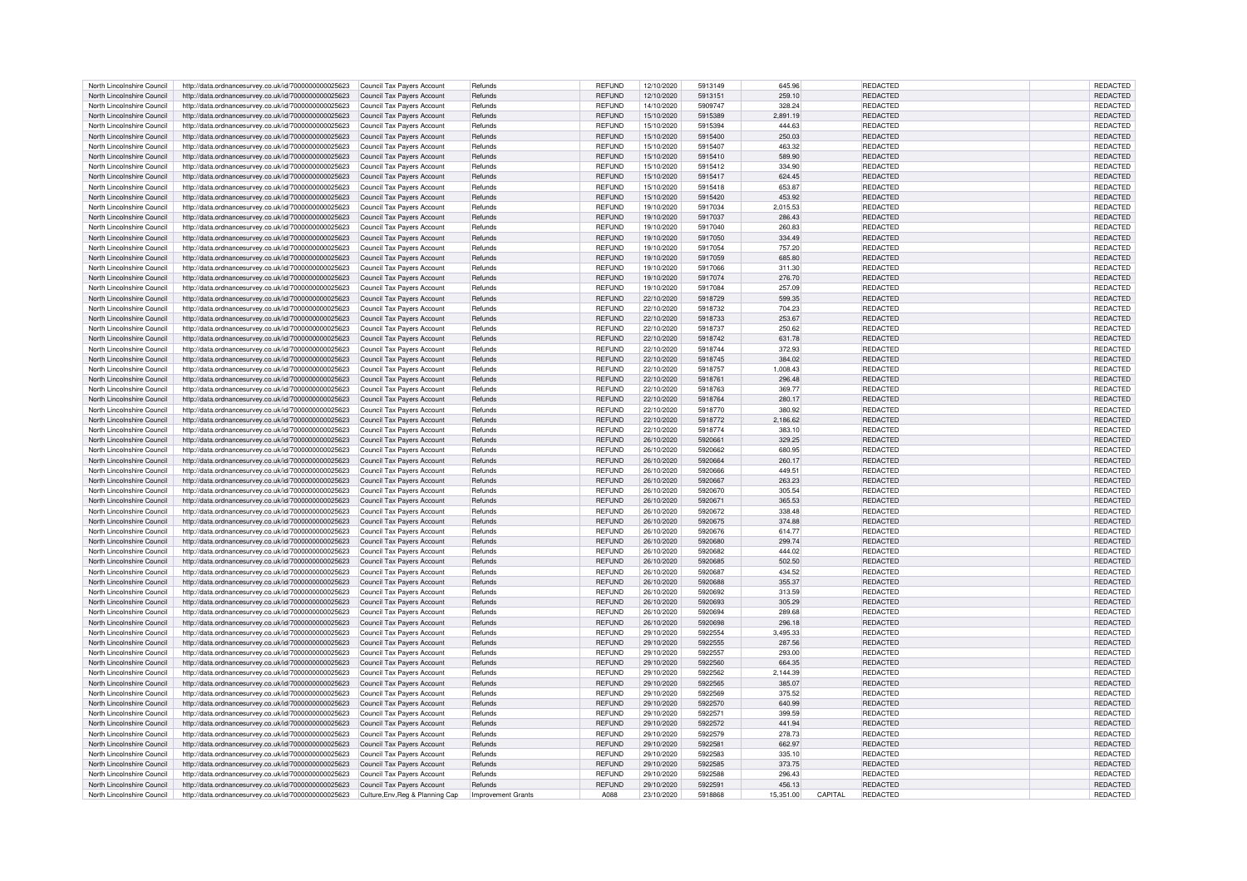| North Lincolnshire Council                               | http://data.ordnancesurvey.co.uk/id/7000000000025623                                                         | Council Tax Payers Account                                     | Refunds                       | <b>REFUND</b>         | 12/10/2020               | 5913149            | 645.96              | REDACTED                        | REDACTED             |
|----------------------------------------------------------|--------------------------------------------------------------------------------------------------------------|----------------------------------------------------------------|-------------------------------|-----------------------|--------------------------|--------------------|---------------------|---------------------------------|----------------------|
| North Lincolnshire Council                               | http://data.ordnancesurvey.co.uk/id/7000000000025623                                                         | Council Tax Payers Account                                     | Refunds                       | <b>REFUND</b>         | 12/10/2020               | 5913151            | 259.10              | <b>REDACTED</b>                 | <b>REDACTED</b>      |
| North Lincolnshire Council                               | http://data.ordnancesurvey.co.uk/id/7000000000025623                                                         | Council Tax Payers Account                                     | Refunds                       | <b>REFUND</b>         | 14/10/2020               | 5909747            | 328.24              | <b>REDACTED</b>                 | <b>REDACTED</b>      |
|                                                          |                                                                                                              |                                                                |                               |                       |                          |                    |                     |                                 |                      |
| North Lincolnshire Council                               | http://data.ordnancesurvey.co.uk/id/7000000000025623                                                         | Council Tax Payers Account                                     | Refunds                       | <b>REFUND</b>         | 15/10/2020               | 5915389            | 2.891.19            | REDACTED                        | REDACTED             |
| North Lincolnshire Council                               | http://data.ordnancesurvey.co.uk/id/7000000000025623                                                         | Council Tax Payers Account                                     | Refunds                       | <b>REFUND</b>         | 15/10/2020               | 5915394            | 444.63              | <b>REDACTED</b>                 | REDACTED             |
| North Lincolnshire Council                               | http://data.ordnancesurvey.co.uk/id/7000000000025623                                                         | Council Tax Payers Account                                     | Refunds                       | <b>REFUND</b>         | 15/10/2020               | 5915400            | 250.03              | REDACTED                        | REDACTED             |
|                                                          |                                                                                                              |                                                                |                               |                       |                          |                    |                     |                                 |                      |
| North Lincolnshire Council                               | http://data.ordnancesurvey.co.uk/id/7000000000025623                                                         | Council Tax Payers Account                                     | Refunds                       | <b>REFUND</b>         | 15/10/2020               | 5915407            | 463.32              | REDACTED                        | REDACTED             |
| North Lincolnshire Council                               | http://data.ordnancesurvey.co.uk/id/7000000000025623                                                         | Council Tax Payers Account                                     | Refunds                       | <b>REFUND</b>         | 15/10/2020               | 5915410            | 589.90              | <b>REDACTED</b>                 | <b>REDACTED</b>      |
| North Lincolnshire Council                               |                                                                                                              |                                                                | Refunds                       | <b>REFUND</b>         | 15/10/2020               | 5915412            | 334.90              | <b>REDACTED</b>                 | REDACTED             |
|                                                          | http://data.ordnancesurvey.co.uk/id/7000000000025623                                                         | Council Tax Payers Account                                     |                               |                       |                          |                    |                     |                                 |                      |
| North Lincolnshire Council                               | http://data.ordnancesurvey.co.uk/id/7000000000025623                                                         | Council Tax Payers Account                                     | Refunds                       | <b>REFUND</b>         | 15/10/2020               | 5915417            | 624.45              | REDACTED                        | REDACTED             |
| North Lincolnshire Council                               | http://data.ordnancesurvey.co.uk/id/7000000000025623                                                         | Council Tax Payers Account                                     | Refunds                       | <b>REFUND</b>         | 15/10/2020               | 5915418            | 653.87              | <b>REDACTED</b>                 | <b>REDACTED</b>      |
|                                                          |                                                                                                              |                                                                |                               |                       |                          |                    |                     |                                 |                      |
| North Lincolnshire Council                               | http://data.ordnancesurvey.co.uk/id/7000000000025623                                                         | Council Tax Payers Account                                     | Refunds                       | <b>REFUND</b>         | 15/10/2020               | 5915420            | 453.92              | <b>REDACTED</b>                 | REDACTED             |
| North Lincolnshire Council                               | http://data.ordnancesurvey.co.uk/id/7000000000025623                                                         | Council Tax Payers Account                                     | Refunds                       | <b>REFUND</b>         | 19/10/2020               | 5917034            | 2,015.53            | REDACTED                        | REDACTED             |
| North Lincolnshire Council                               | http://data.ordnancesurvey.co.uk/id/7000000000025623                                                         | Council Tax Payers Account                                     | Refunds                       | <b>REFUND</b>         | 19/10/2020               | 5917037            | 286.43              | REDACTED                        | REDACTED             |
|                                                          |                                                                                                              |                                                                |                               |                       |                          |                    |                     |                                 |                      |
| North Lincolnshire Council                               | http://data.ordnancesurvey.co.uk/id/7000000000025623                                                         | Council Tax Payers Account                                     | Refunds                       | <b>REFUND</b>         | 19/10/2020               | 5917040            | 260.83              | REDACTED                        | REDACTED             |
| North Lincolnshire Council                               | http://data.ordnancesurvey.co.uk/id/7000000000025623                                                         | Council Tax Payers Account                                     | Refunds                       | <b>REFUND</b>         | 19/10/2020               | 5917050            | 334.49              | <b>REDACTED</b>                 | REDACTED             |
| North Lincolnshire Council                               | http://data.ordnancesurvey.co.uk/id/7000000000025623                                                         | Council Tax Payers Account                                     | Refunds                       | <b>REFUND</b>         | 19/10/2020               | 5917054            | 757.20              | <b>REDACTED</b>                 | REDACTED             |
|                                                          |                                                                                                              |                                                                |                               |                       |                          |                    |                     |                                 |                      |
| North Lincolnshire Council                               | http://data.ordnancesurvey.co.uk/id/7000000000025623                                                         | Council Tax Pavers Account                                     | Refunds                       | <b>REFUND</b>         | 19/10/2020               | 5917059            | 685.80              | <b>REDACTED</b>                 | <b>REDACTED</b>      |
| North Lincolnshire Council                               | http://data.ordnancesurvey.co.uk/id/7000000000025623                                                         | Council Tax Payers Account                                     | Refunds                       | <b>REFUND</b>         | 19/10/2020               | 5917066            | 311.30              | <b>REDACTED</b>                 | REDACTED             |
| North Lincolnshire Council                               | http://data.ordnancesurvey.co.uk/id/7000000000025623                                                         | Council Tax Payers Account                                     | Refunds                       | <b>REFUND</b>         | 19/10/2020               | 5917074            | 276.70              | REDACTED                        | REDACTED             |
|                                                          |                                                                                                              |                                                                |                               |                       |                          |                    |                     |                                 |                      |
| North Lincolnshire Council                               | http://data.ordnancesurvey.co.uk/id/7000000000025623                                                         | Council Tax Payers Account                                     | Refunds                       | <b>REFUND</b>         | 19/10/2020               | 5917084            | 257.09              | REDACTED                        | REDACTED             |
| North Lincolnshire Council                               | http://data.ordnancesurvey.co.uk/id/7000000000025623                                                         | Council Tax Payers Account                                     | Refunds                       | <b>REFUND</b>         | 22/10/2020               | 5918729            | 599.35              | REDACTED                        | REDACTED             |
| North Lincolnshire Council                               | http://data.ordnancesurvey.co.uk/id/7000000000025623                                                         | Council Tax Payers Account                                     | Refunds                       | <b>REFUND</b>         | 22/10/2020               | 5918732            | 704.23              | <b>REDACTED</b>                 | REDACTED             |
|                                                          |                                                                                                              |                                                                |                               |                       |                          |                    |                     |                                 |                      |
| North Lincolnshire Council                               | http://data.ordnancesurvey.co.uk/id/7000000000025623                                                         | Council Tax Payers Account                                     | Refunds                       | <b>REFUND</b>         | 22/10/2020               | 5918733            | 253.67              | REDACTED                        | REDACTED             |
| North Lincolnshire Council                               | http://data.ordnancesurvey.co.uk/id/7000000000025623                                                         | Council Tax Payers Account                                     | Refunds                       | <b>REFUND</b>         | 22/10/2020               | 5918737            | 250.62              | REDACTED                        | REDACTED             |
|                                                          |                                                                                                              |                                                                |                               |                       |                          |                    |                     |                                 |                      |
| North Lincolnshire Council                               | http://data.ordnancesurvey.co.uk/id/7000000000025623                                                         | Council Tax Payers Account                                     | Refunds                       | <b>REFUND</b>         | 22/10/2020               | 5918742            | 631.78              | REDACTED                        | REDACTED             |
| North Lincolnshire Council                               | http://data.ordnancesurvey.co.uk/id/7000000000025623                                                         | Council Tax Payers Account                                     | Refunds                       | <b>REFUND</b>         | 22/10/2020               | 5918744            | 372.93              | <b>REDACTED</b>                 | REDACTED             |
| North Lincolnshire Council                               | http://data.ordnancesurvey.co.uk/id/7000000000025623                                                         | Council Tax Payers Account                                     | Refunds                       | <b>REFUND</b>         | 22/10/2020               | 5918745            | 384.02              | REDACTED                        | <b>REDACTED</b>      |
|                                                          |                                                                                                              |                                                                |                               |                       |                          |                    |                     |                                 |                      |
| North Lincolnshire Council                               | http://data.ordnancesurvey.co.uk/id/7000000000025623                                                         | Council Tax Payers Account                                     | Refunds                       | <b>REFUND</b>         | 22/10/2020               | 5918757            | 1,008.43            | REDACTED                        | <b>REDACTED</b>      |
| North Lincolnshire Council                               | http://data.ordnancesurvey.co.uk/id/7000000000025623                                                         | Council Tax Payers Account                                     | Refunds                       | <b>REFUND</b>         | 22/10/2020               | 5918761            | 296.48              | REDACTED                        | REDACTED             |
| North Lincolnshire Council                               | http://data.ordnancesurvey.co.uk/id/7000000000025623                                                         | Council Tax Payers Account                                     | Refunds                       | <b>REFUND</b>         | 22/10/2020               | 5918763            | 369.77              | REDACTED                        | REDACTED             |
|                                                          |                                                                                                              |                                                                |                               |                       |                          |                    |                     |                                 |                      |
| North Lincolnshire Council                               | http://data.ordnancesurvey.co.uk/id/7000000000025623                                                         | Council Tax Payers Account                                     | Refunds                       | <b>REFUND</b>         | 22/10/2020               | 5918764            | 280.17              | REDACTED                        | REDACTED             |
| North Lincolnshire Council                               | http://data.ordnancesurvey.co.uk/id/7000000000025623                                                         | Council Tax Payers Account                                     | Refunds                       | <b>REFUND</b>         | 22/10/2020               | 5918770            | 380.92              | REDACTED                        | REDACTED             |
|                                                          |                                                                                                              |                                                                |                               |                       |                          |                    |                     |                                 |                      |
| North Lincolnshire Council                               | http://data.ordnancesurvey.co.uk/id/7000000000025623                                                         | Council Tax Payers Account                                     | Refunds                       | <b>REFUND</b>         | 22/10/2020               | 5918772            | 2,186.62            | REDACTED                        | REDACTED             |
| North Lincolnshire Council                               | http://data.ordnancesurvey.co.uk/id/7000000000025623                                                         | Council Tax Payers Account                                     | Refunds                       | <b>REFUND</b>         | 22/10/2020               | 5918774            | 383.10              | REDACTED                        | REDACTED             |
| North Lincolnshire Council                               | http://data.ordnancesurvey.co.uk/id/7000000000025623                                                         | Council Tax Payers Account                                     | Refunds                       | <b>REFUND</b>         | 26/10/2020               | 5920661            | 329.25              | REDACTED                        | REDACTED             |
|                                                          |                                                                                                              |                                                                |                               |                       |                          |                    |                     |                                 |                      |
| North Lincolnshire Council                               | http://data.ordnancesurvey.co.uk/id/7000000000025623                                                         | Council Tax Payers Account                                     | Refunds                       | <b>REFUND</b>         | 26/10/2020               | 5920662            | 680.95              | REDACTED                        | REDACTED             |
| North Lincolnshire Council                               | http://data.ordnancesurvey.co.uk/id/7000000000025623                                                         | Council Tax Payers Account                                     | Refunds                       | <b>REFUND</b>         | 26/10/2020               | 5920664            | 260.17              | REDACTED                        | REDACTED             |
| North Lincolnshire Council                               | http://data.ordnancesurvey.co.uk/id/7000000000025623                                                         | Council Tax Payers Account                                     | Refunds                       | <b>REFUND</b>         | 26/10/2020               | 5920666            | 449.51              | REDACTED                        | REDACTED             |
|                                                          |                                                                                                              |                                                                |                               |                       |                          |                    |                     |                                 |                      |
| North Lincolnshire Council                               | http://data.ordnancesurvey.co.uk/id/7000000000025623                                                         | Council Tax Payers Account                                     | Refunds                       | <b>REFUND</b>         | 26/10/2020               | 5920667            | 263.23              | REDACTED                        | REDACTED             |
| North Lincolnshire Council                               | http://data.ordnancesurvey.co.uk/id/7000000000025623                                                         | Council Tax Payers Account                                     | Refunds                       | <b>REFUND</b>         | 26/10/2020               | 5920670            | 305.54              | REDACTED                        | REDACTED             |
|                                                          |                                                                                                              |                                                                |                               |                       |                          | 5920671            |                     |                                 |                      |
| North Lincolnshire Council                               | http://data.ordnancesurvey.co.uk/id/7000000000025623                                                         | Council Tax Payers Account                                     | Refunds                       | <b>REFUND</b>         | 26/10/2020               |                    | 365.53              | REDACTED                        | REDACTED             |
| North Lincolnshire Council                               | http://data.ordnancesurvey.co.uk/id/7000000000025623                                                         | Council Tax Payers Account                                     | Refunds                       | <b>REFUND</b>         | 26/10/2020               | 5920672            | 338.48              | <b>REDACTED</b>                 | REDACTED             |
| North Lincolnshire Council                               | http://data.ordnancesurvey.co.uk/id/7000000000025623                                                         | Council Tax Payers Account                                     | Refunds                       | <b>REFUND</b>         | 26/10/2020               | 5920675            | 374.88              | REDACTED                        | <b>REDACTED</b>      |
|                                                          |                                                                                                              |                                                                |                               |                       |                          |                    |                     |                                 |                      |
| North Lincolnshire Council                               | http://data.ordnancesurvey.co.uk/id/7000000000025623                                                         | Council Tax Payers Account                                     | Refunds                       | <b>REFUND</b>         | 26/10/2020               | 5920676            | 614.77              | <b>REDACTED</b>                 | <b>REDACTED</b>      |
| North Lincolnshire Council                               | http://data.ordnancesurvey.co.uk/id/7000000000025623                                                         | Council Tax Payers Account                                     | Refunds                       | <b>REFUND</b>         | 26/10/2020               | 5920680            | 299.74              | REDACTED                        | REDACTED             |
| North Lincolnshire Council                               | http://data.ordnancesurvey.co.uk/id/7000000000025623                                                         | Council Tax Payers Account                                     | Refunds                       | <b>REFUND</b>         | 26/10/2020               | 5920682            | 444.02              | <b>REDACTED</b>                 | REDACTED             |
|                                                          |                                                                                                              |                                                                |                               |                       |                          |                    |                     |                                 |                      |
| North Lincolnshire Council                               | http://data.ordnancesurvey.co.uk/id/7000000000025623                                                         | Council Tax Payers Account                                     | Refunds                       | <b>REFUND</b>         | 26/10/2020               | 5920685            | 502.50              | <b>REDACTED</b>                 | <b>REDACTED</b>      |
| North Lincolnshire Council                               | http://data.ordnancesurvey.co.uk/id/7000000000025623                                                         | Council Tax Payers Account                                     | Refunds                       | <b>REFUND</b>         | 26/10/2020               | 5920687            | 434.52              | REDACTED                        | REDACTED             |
| North Lincolnshire Council                               | http://data.ordnancesurvey.co.uk/id/7000000000025623                                                         | Council Tax Payers Account                                     | Refunds                       | <b>REFUND</b>         | 26/10/2020               | 5920688            | 355.37              | REDACTED                        | REDACTED             |
|                                                          |                                                                                                              |                                                                |                               |                       |                          |                    |                     |                                 |                      |
| North Lincolnshire Council                               | http://data.ordnancesurvey.co.uk/id/7000000000025623                                                         | Council Tax Payers Account                                     | Refunds                       | <b>REFUND</b>         | 26/10/2020               | 5920692            | 313.59              | REDACTED                        | REDACTED             |
| North Lincolnshire Council                               | http://data.ordnancesurvey.co.uk/id/7000000000025623                                                         | Council Tax Payers Account                                     | Refunds                       | <b>REFUND</b>         | 26/10/2020               | 5920693            | 305.29              | REDACTED                        | REDACTED             |
| North Lincolnshire Council                               | http://data.ordnancesurvey.co.uk/id/7000000000025623                                                         | Council Tax Payers Account                                     | Refunds                       | <b>REFUND</b>         | 26/10/2020               | 5920694            | 289.68              | REDACTED                        | REDACTED             |
|                                                          |                                                                                                              |                                                                |                               |                       |                          |                    |                     |                                 |                      |
| North Lincolnshire Council                               | http://data.ordnancesurvey.co.uk/id/7000000000025623                                                         | Council Tax Payers Account                                     | Refunds                       | <b>REFUND</b>         | 26/10/2020               | 5920698            | 296.18              | REDACTED                        | REDACTED             |
| North Lincolnshire Council                               | http://data.ordnancesurvey.co.uk/id/7000000000025623                                                         | Council Tax Payers Account                                     | Refunds                       | <b>REFUND</b>         | 29/10/2020               | 5922554            | 3,495.33            | REDACTED                        | REDACTED             |
| North Lincolnshire Council                               |                                                                                                              |                                                                |                               |                       |                          |                    |                     |                                 |                      |
|                                                          |                                                                                                              |                                                                |                               |                       |                          |                    |                     |                                 |                      |
|                                                          | http://data.ordnancesurvey.co.uk/id/7000000000025623                                                         | Council Tax Payers Account                                     | Refunds                       | <b>REFUND</b>         | 29/10/2020               | 5922555            | 287.56              | REDACTED                        | REDACTED             |
| North Lincolnshire Council                               | http://data.ordnancesurvey.co.uk/id/7000000000025623                                                         | Council Tax Payers Account                                     | Refunds                       | <b>REFUND</b>         | 29/10/2020               | 5922557            | 293.00              | <b>REDACTED</b>                 | REDACTED             |
| North Lincolnshire Council                               | http://data.ordnancesurvey.co.uk/id/7000000000025623                                                         | Council Tax Payers Account                                     | Refunds                       | <b>REFUND</b>         | 29/10/2020               | 5922560            | 664.35              | REDACTED                        | REDACTED             |
|                                                          |                                                                                                              |                                                                |                               |                       |                          |                    |                     |                                 |                      |
| North Lincolnshire Council                               | http://data.ordnancesurvey.co.uk/id/7000000000025623                                                         | Council Tax Payers Account                                     | Refunds                       | <b>REFUND</b>         | 29/10/2020               | 5922562            | 2,144.39            | REDACTED                        | REDACTED             |
| North Lincolnshire Council                               | http://data.ordnancesurvey.co.uk/id/7000000000025623                                                         | Council Tax Payers Account                                     | Refunds                       | <b>REFUND</b>         | 29/10/2020               | 5922565            | 385.07              | REDACTED                        | REDACTED             |
| North Lincolnshire Council                               |                                                                                                              |                                                                | Refunds                       | <b>REFUND</b>         | 29/10/2020               | 5922569            | 375.52              | REDACTED                        | REDACTED             |
|                                                          | http://data.ordnancesurvey.co.uk/id/7000000000025623                                                         | Council Tax Payers Account                                     |                               |                       |                          |                    |                     |                                 |                      |
| North Lincolnshire Council                               | http://data.ordnancesurvey.co.uk/id/7000000000025623                                                         | Council Tax Payers Account                                     | Refunds                       | <b>REFUND</b>         | 29/10/2020               | 5922570            | 640.99              | REDACTED                        | REDACTED             |
| North Lincolnshire Council                               | http://data.ordnancesurvey.co.uk/id/7000000000025623                                                         | Council Tax Payers Account                                     | Refunds                       | <b>REFUND</b>         | 29/10/2020               | 5922571            | 399.59              | <b>REDACTED</b>                 | <b>REDACTED</b>      |
|                                                          |                                                                                                              |                                                                |                               |                       |                          | 5922572            |                     |                                 |                      |
| North Lincolnshire Council                               | http://data.ordnancesurvey.co.uk/id/7000000000025623                                                         | Council Tax Payers Account                                     | Refunds                       | <b>REFUND</b>         | 29/10/2020               |                    | 441.94              | REDACTED                        | REDACTED             |
| North Lincolnshire Council                               | http://data.ordnancesurvey.co.uk/id/7000000000025623                                                         | Council Tax Payers Account                                     | Refunds                       | <b>REFUND</b>         | 29/10/2020               | 5922579            | 278.73              | REDACTED                        | REDACTED             |
| North Lincolnshire Council                               | http://data.ordnancesurvey.co.uk/id/7000000000025623                                                         | Council Tax Payers Account                                     | Refunds                       | <b>REFUND</b>         | 29/10/2020               | 5922581            | 662.97              | REDACTED                        | REDACTED             |
|                                                          |                                                                                                              |                                                                |                               |                       |                          |                    |                     |                                 |                      |
| North Lincolnshire Council                               | http://data.ordnancesurvey.co.uk/id/7000000000025623                                                         | Council Tax Payers Account                                     | Refunds                       | <b>REFUND</b>         | 29/10/2020               | 5922583            | 335.10              | REDACTED                        | REDACTED             |
| North Lincolnshire Council                               | http://data.ordnancesurvey.co.uk/id/7000000000025623                                                         | Council Tax Payers Account                                     | Refunds                       | <b>REFUND</b>         | 29/10/2020               | 5922585            | 373.75              | REDACTED                        | REDACTED             |
| North Lincolnshire Council                               | http://data.ordnancesurvey.co.uk/id/7000000000025623                                                         | Council Tax Payers Account                                     | Refunds                       | <b>REFUND</b>         | 29/10/2020               | 5922588            | 296.43              | <b>REDACTED</b>                 | <b>REDACTED</b>      |
|                                                          |                                                                                                              |                                                                |                               |                       |                          |                    |                     |                                 |                      |
| North Lincolnshire Council<br>North Lincolnshire Council | http://data.ordnancesurvey.co.uk/id/7000000000025623<br>http://data.ordnancesurvey.co.uk/id/7000000000025623 | Council Tax Payers Account<br>Culture, Env, Reg & Planning Cap | Refunds<br>Improvement Grants | <b>REFUND</b><br>A088 | 29/10/2020<br>23/10/2020 | 5922591<br>5918868 | 456.13<br>15,351.00 | REDACTED<br>CAPITAL<br>REDACTED | REDACTED<br>REDACTED |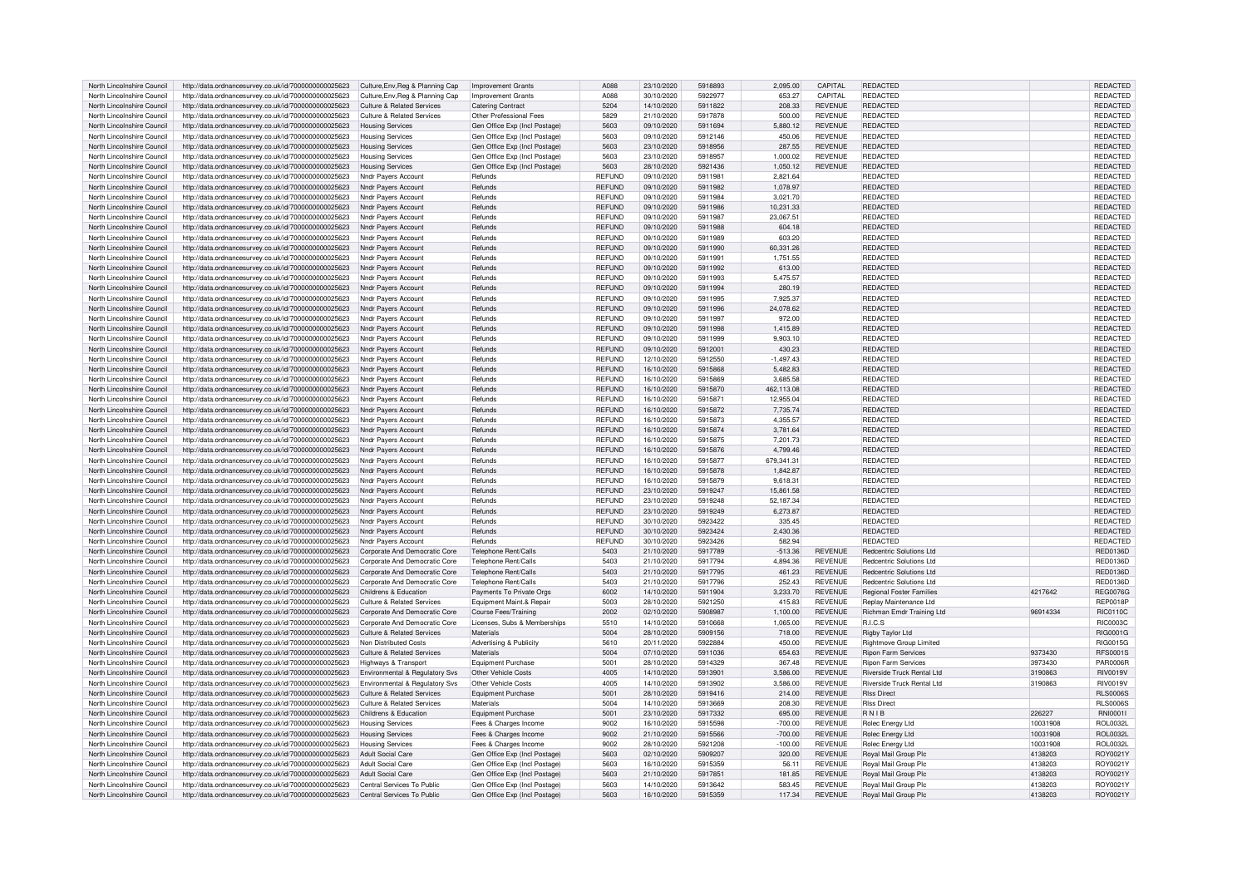| North Lincolnshire Council                               | http://data.ordnancesurvey.co.uk/id/7000000000025623 | Culture, Env, Reg & Planning Cap      | <b>Improvement Grants</b>                    | A088          | 23/10/2020               | 5918893            | 2.095.00         | CAPITAL                          | REDACTED                                             |          | REDACTED                    |
|----------------------------------------------------------|------------------------------------------------------|---------------------------------------|----------------------------------------------|---------------|--------------------------|--------------------|------------------|----------------------------------|------------------------------------------------------|----------|-----------------------------|
| North Lincolnshire Council                               | http://data.ordnancesurvey.co.uk/id/7000000000025623 | Culture, Env, Reg & Planning Cap      | <b>Improvement Grants</b>                    | A088          | 30/10/2020               | 5922977            | 653.27           | CAPITAL                          | REDACTED                                             |          | REDACTED                    |
| North Lincolnshire Council                               | http://data.ordnancesurvey.co.uk/id/7000000000025623 | <b>Culture &amp; Related Services</b> | <b>Catering Contract</b>                     | 5204          | 14/10/2020               | 5911822            | 208.33           | <b>REVENUE</b>                   | REDACTED                                             |          | REDACTED                    |
| North Lincolnshire Council                               | http://data.ordnancesurvey.co.uk/id/7000000000025623 | Culture & Related Services            | Other Professional Fees                      | 5829          | 21/10/2020               | 5917878            | 500.00           | <b>REVENUE</b>                   | <b>REDACTED</b>                                      |          | REDACTED                    |
| North Lincolnshire Council                               | http://data.ordnancesurvey.co.uk/id/7000000000025623 | <b>Housing Services</b>               | Gen Office Exp (Incl Postage)                | 5603          | 09/10/2020               | 5911694            | 5,880.12         | <b>REVENUE</b>                   | REDACTED                                             |          | REDACTED                    |
| North Lincolnshire Council                               | http://data.ordnancesurvey.co.uk/id/7000000000025623 | <b>Housing Services</b>               | Gen Office Exp (Incl Postage)                | 5603          | 09/10/2020               | 5912146            | 450.06           | <b>REVENUE</b>                   | REDACTED                                             |          | REDACTED                    |
| North Lincolnshire Council                               | http://data.ordnancesurvey.co.uk/id/7000000000025623 | <b>Housing Services</b>               | Gen Office Exp (Incl Postage)                | 5603          | 23/10/2020               | 5918956            | 287.55           | <b>REVENUE</b>                   | <b>REDACTED</b>                                      |          | REDACTED                    |
| North Lincolnshire Council                               | http://data.ordnancesurvey.co.uk/id/7000000000025623 | <b>Housing Services</b>               | Gen Office Exp (Incl Postage)                | 5603          | 23/10/2020               | 5918957            | 1,000.02         | <b>REVENUE</b>                   | REDACTED                                             |          | REDACTED                    |
| North Lincolnshire Council                               | http://data.ordnancesurvey.co.uk/id/7000000000025623 | <b>Housing Services</b>               | Gen Office Exp (Incl Postage)                | 5603          | 28/10/2020               | 5921436            | 1.050.12         | <b>REVENUE</b>                   | REDACTED                                             |          | REDACTED                    |
| North Lincolnshire Council                               | http://data.ordnancesurvey.co.uk/id/7000000000025623 | Nndr Payers Account                   | Refunds                                      | <b>REFUND</b> | 09/10/2020               | 5911981            | 2.821.64         |                                  | REDACTED                                             |          | REDACTED                    |
|                                                          |                                                      |                                       |                                              |               |                          |                    |                  |                                  |                                                      |          |                             |
| North Lincolnshire Council                               | http://data.ordnancesurvey.co.uk/id/7000000000025623 | Nndr Payers Account                   | Refunds                                      | REFUND        | 09/10/2020               | 5911982            | 1,078.97         |                                  | REDACTED                                             |          | REDACTED                    |
| North Lincolnshire Council                               | http://data.ordnancesurvey.co.uk/id/7000000000025623 | Nndr Payers Account                   | Refunds                                      | REFUND        | 09/10/2020               | 5911984            | 3,021.70         |                                  | <b>REDACTED</b>                                      |          | REDACTED                    |
| North Lincolnshire Council                               | http://data.ordnancesurvey.co.uk/id/7000000000025623 | Nndr Payers Account                   | Refunds                                      | <b>REFUND</b> | 09/10/2020               | 5911986            | 10,231.33        |                                  | REDACTED                                             |          | REDACTED                    |
| North Lincolnshire Council                               | http://data.ordnancesurvey.co.uk/id/7000000000025623 | Nndr Payers Account                   | Refunds                                      | <b>REFUND</b> | 09/10/2020               | 5911987            | 23,067.51        |                                  | REDACTED                                             |          | REDACTED                    |
| North Lincolnshire Council                               | http://data.ordnancesurvey.co.uk/id/7000000000025623 | Nndr Payers Account                   | Refunds                                      | <b>REFUND</b> | 09/10/2020               | 5911988            | 604.18           |                                  | REDACTED                                             |          | REDACTED                    |
| North Lincolnshire Council                               | http://data.ordnancesurvey.co.uk/id/7000000000025623 | Nndr Pavers Account                   | Refunds                                      | <b>REFUND</b> | 09/10/2020               | 5911989            | 603.20           |                                  | REDACTED                                             |          | REDACTED                    |
| North Lincolnshire Council                               | http://data.ordnancesurvey.co.uk/id/7000000000025623 | Nndr Payers Account                   | Refunds                                      | REFUND        | 09/10/2020               | 5911990            | 60.331.26        |                                  | <b>REDACTED</b>                                      |          | REDACTED                    |
| North Lincolnshire Council                               | http://data.ordnancesurvey.co.uk/id/7000000000025623 | Nndr Payers Account                   | Refunds                                      | <b>REFUND</b> | 09/10/2020               | 5911991            | 1,751.55         |                                  | REDACTED                                             |          | REDACTED                    |
| North Lincolnshire Council                               | http://data.ordnancesurvey.co.uk/id/7000000000025623 | Nndr Pavers Account                   | Refunds                                      | <b>REFUND</b> | 09/10/2020               | 5911992            | 613.00           |                                  | REDACTED                                             |          | REDACTED                    |
| North Lincolnshire Council                               | http://data.ordnancesurvey.co.uk/id/7000000000025623 | Nndr Payers Account                   | Refunds                                      | <b>REFUND</b> | 09/10/2020               | 5911993            | 5,475.57         |                                  | <b>REDACTED</b>                                      |          | REDACTED                    |
| North Lincolnshire Council                               | http://data.ordnancesurvey.co.uk/id/7000000000025623 | Nndr Payers Account                   | Refunds                                      | <b>REFUND</b> | 09/10/2020               | 5911994            | 280.19           |                                  | REDACTED                                             |          | REDACTED                    |
| North Lincolnshire Council                               | http://data.ordnancesurvey.co.uk/id/7000000000025623 | Nndr Payers Account                   | Refunds                                      | <b>REFUND</b> | 09/10/2020               | 5911995            | 7.925.37         |                                  | <b>REDACTED</b>                                      |          | REDACTED                    |
| North Lincolnshire Council                               | http://data.ordnancesurvey.co.uk/id/7000000000025623 | Nndr Payers Account                   | Refunds                                      | <b>REFUND</b> | 09/10/2020               | 5911996            | 24,078.62        |                                  | REDACTED                                             |          | REDACTED                    |
| North Lincolnshire Council                               | http://data.ordnancesurvey.co.uk/id/7000000000025623 | Nndr Payers Account                   | Refunds                                      | <b>REFUND</b> | 09/10/2020               | 5911997            | 972.00           |                                  | REDACTED                                             |          | REDACTED                    |
| North Lincolnshire Council                               | http://data.ordnancesurvey.co.uk/id/7000000000025623 | Nndr Payers Account                   | Refunds                                      | <b>REFUND</b> | 09/10/2020               | 5911998            | 1,415.89         |                                  | <b>REDACTED</b>                                      |          | REDACTED                    |
| North Lincolnshire Council                               | http://data.ordnancesurvey.co.uk/id/7000000000025623 | Nndr Pavers Account                   | Refunds                                      | <b>REFUND</b> | 09/10/2020               | 5911999            | 9,903.10         |                                  | REDACTED                                             |          | REDACTED                    |
| North Lincolnshire Council                               | http://data.ordnancesurvey.co.uk/id/7000000000025623 | Nndr Payers Account                   | Refunds                                      | REFUND        | 09/10/2020               | 5912001            | 430.23           |                                  | <b>REDACTED</b>                                      |          | REDACTED                    |
| North Lincolnshire Council                               | http://data.ordnancesurvey.co.uk/id/7000000000025623 | Nndr Payers Account                   | Refunds                                      | <b>REFUND</b> | 12/10/2020               | 5912550            | $-1.497.43$      |                                  | <b>REDACTED</b>                                      |          | REDACTED                    |
|                                                          |                                                      |                                       | Refunds                                      |               | 16/10/2020               | 5915868            | 5,482.83         |                                  | REDACTED                                             |          |                             |
| North Lincolnshire Council                               | http://data.ordnancesurvey.co.uk/id/7000000000025623 | Nndr Payers Account                   |                                              | <b>REFUND</b> |                          |                    |                  |                                  |                                                      |          | REDACTED                    |
| North Lincolnshire Council                               | http://data.ordnancesurvey.co.uk/id/7000000000025623 | Nndr Payers Account                   | Refunds                                      | <b>REFUND</b> | 16/10/2020               | 5915869            | 3,685.58         |                                  | <b>REDACTED</b>                                      |          | REDACTED                    |
| North Lincolnshire Council                               | http://data.ordnancesurvey.co.uk/id/7000000000025623 | Nndr Payers Account                   | Refunds                                      | <b>REFUND</b> | 16/10/2020               | 5915870            | 462,113.08       |                                  | REDACTED                                             |          | REDACTED                    |
| North Lincolnshire Council                               | http://data.ordnancesurvey.co.uk/id/7000000000025623 | Nndr Pavers Account                   | Refunds                                      | <b>REFUND</b> | 16/10/2020               | 5915871            | 12.955.04        |                                  | REDACTED                                             |          | REDACTED                    |
| North Lincolnshire Council                               | http://data.ordnancesurvey.co.uk/id/7000000000025623 | Nndr Payers Account                   | Refunds                                      | <b>REFUND</b> | 16/10/2020               | 5915872            | 7,735.74         |                                  | REDACTED                                             |          | REDACTED                    |
| North Lincolnshire Council                               | http://data.ordnancesurvey.co.uk/id/7000000000025623 | Nndr Payers Account                   | Refunds                                      | <b>REFUND</b> | 16/10/2020               | 5915873            | 4,355.57         |                                  | REDACTED                                             |          | REDACTED                    |
| North Lincolnshire Council                               | http://data.ordnancesurvey.co.uk/id/7000000000025623 | Nndr Payers Account                   | Refunds                                      | <b>REFUND</b> | 16/10/2020               | 5915874            | 3,781.64         |                                  | <b>REDACTED</b>                                      |          | REDACTED                    |
| North Lincolnshire Council                               | http://data.ordnancesurvey.co.uk/id/7000000000025623 | Nndr Payers Account                   | Refunds                                      | <b>REFUND</b> | 16/10/2020               | 5915875            | 7,201.73         |                                  | <b>REDACTED</b>                                      |          | REDACTED                    |
| North Lincolnshire Council                               | http://data.ordnancesurvey.co.uk/id/7000000000025623 | Nndr Payers Account                   | Refunds                                      | <b>REFUND</b> | 16/10/2020               | 5915876            | 4.799.46         |                                  | REDACTED                                             |          | REDACTED                    |
| North Lincolnshire Council                               | http://data.ordnancesurvey.co.uk/id/7000000000025623 | Nndr Payers Account                   | Refunds                                      | <b>REFUND</b> | 16/10/2020               | 5915877            | 679,341.31       |                                  | <b>REDACTED</b>                                      |          | REDACTED                    |
| North Lincolnshire Council                               | http://data.ordnancesurvey.co.uk/id/7000000000025623 | Nndr Payers Account                   | Refunds                                      | <b>REFUND</b> | 16/10/2020               | 5915878            | 1,842.87         |                                  | REDACTED                                             |          | REDACTED                    |
| North Lincolnshire Council                               | http://data.ordnancesurvey.co.uk/id/7000000000025623 | Nndr Payers Account                   | Refunds                                      | <b>REFUND</b> | 16/10/2020               | 5915879            | 9,618.31         |                                  | REDACTED                                             |          | REDACTED                    |
| North Lincolnshire Council                               | http://data.ordnancesurvey.co.uk/id/7000000000025623 | Nndr Payers Account                   | Refunds                                      | <b>REFUND</b> | 23/10/2020               | 5919247            | 15,861.58        |                                  | REDACTED                                             |          | REDACTED                    |
| North Lincolnshire Council                               | http://data.ordnancesurvey.co.uk/id/7000000000025623 | Nndr Payers Account                   | Refunds                                      | <b>REFUND</b> | 23/10/2020               | 5919248            | 52.187.34        |                                  | REDACTED                                             |          | REDACTED                    |
| North Lincolnshire Council                               | http://data.ordnancesurvey.co.uk/id/7000000000025623 | Nndr Payers Account                   | Refunds                                      | <b>REFUND</b> | 23/10/2020               | 5919249            | 6,273.87         |                                  | REDACTED                                             |          | REDACTED                    |
| North Lincolnshire Council                               | http://data.ordnancesurvey.co.uk/id/7000000000025623 | Nndr Payers Account                   | Refunds                                      | REFUND        | 30/10/2020               | 5923422            | 335.45           |                                  | REDACTED                                             |          | REDACTED                    |
| North Lincolnshire Council                               | http://data.ordnancesurvey.co.uk/id/7000000000025623 | Nndr Payers Account                   | Refunds                                      | REFUND        | 30/10/2020               | 5923424            | 2,430.36         |                                  | <b>REDACTED</b>                                      |          | REDACTED                    |
| North Lincolnshire Council                               | http://data.ordnancesurvey.co.uk/id/7000000000025623 | Nndr Payers Account                   | Refunds                                      | <b>REFUND</b> | 30/10/2020               | 5923426            | 582.94           |                                  | <b>REDACTED</b>                                      |          | REDACTED                    |
| North Lincolnshire Council                               | http://data.ordnancesurvey.co.uk/id/7000000000025623 | Corporate And Democratic Core         | Telephone Rent/Calls                         | 5403          | 21/10/2020               | 5917789            | $-513.36$        | <b>REVENUE</b>                   | Redcentric Solutions Ltd                             |          | <b>RED0136D</b>             |
| North Lincolnshire Council                               | http://data.ordnancesurvey.co.uk/id/7000000000025623 | Corporate And Democratic Core         | Telephone Rent/Calls                         | 5403          | 21/10/2020               | 5917794            | 4,894.36         | <b>REVENUE</b>                   | Redcentric Solutions Ltd                             |          | RED0136D                    |
|                                                          |                                                      |                                       |                                              |               |                          |                    |                  |                                  |                                                      |          |                             |
| North Lincolnshire Council<br>North Lincolnshire Council | http://data.ordnancesurvey.co.uk/id/7000000000025623 | Corporate And Democratic Core         | Telephone Rent/Calls<br>Telephone Rent/Calls | 5403<br>5403  | 21/10/2020<br>21/10/2020 | 5917795<br>5917796 | 461.23<br>252.43 | <b>REVENUE</b><br><b>REVENUE</b> | Redcentric Solutions Ltd<br>Redcentric Solutions Ltd |          | RED0136D<br><b>RED0136D</b> |
|                                                          | http://data.ordnancesurvey.co.uk/id/7000000000025623 | Corporate And Democratic Core         |                                              |               |                          |                    |                  |                                  |                                                      |          |                             |
| North Lincolnshire Council                               | http://data.ordnancesurvey.co.uk/id/7000000000025623 | Childrens & Education                 | Payments To Private Orgs                     | 6002          | 14/10/2020               | 5911904            | 3,233.70         | <b>REVENUE</b>                   | <b>Regional Foster Families</b>                      | 4217642  | <b>REG0076G</b>             |
| North Lincolnshire Council                               | http://data.ordnancesurvey.co.uk/id/7000000000025623 | Culture & Related Services            | Equipment Maint.& Repair                     | 5003          | 28/10/2020               | 5921250            | 415.83           | <b>REVENUE</b>                   | Replay Maintenance Ltd                               |          | <b>REP0018P</b>             |
| North Lincolnshire Council                               | http://data.ordnancesurvey.co.uk/id/7000000000025623 | Corporate And Democratic Core         | Course Fees/Training                         | 2002          | 02/10/2020               | 5908987            | 1,100.00         | <b>REVENUE</b>                   | Richman Emdr Training Ltd                            | 96914334 | <b>RIC0110C</b>             |
| North Lincolnshire Council                               | http://data.ordnancesurvey.co.uk/id/7000000000025623 | Corporate And Democratic Core         | Licenses, Subs & Memberships                 | 5510          | 14/10/2020               | 5910668            | 1,065.00         | <b>REVENUE</b>                   | R.I.C.S                                              |          | <b>RIC0003C</b>             |
| North Lincolnshire Council                               | http://data.ordnancesurvey.co.uk/id/7000000000025623 | Culture & Related Services            | Materials                                    | 5004          | 28/10/2020               | 5909156            | 718.00           | <b>REVENUE</b>                   | <b>Rigby Taylor Ltd</b>                              |          | <b>RIG0001G</b>             |
| North Lincolnshire Council                               | http://data.ordnancesurvey.co.uk/id/7000000000025623 | Non Distributed Costs                 | Advertising & Publicity                      | 5610          | 20/11/2020               | 5922884            | 450.00           | <b>REVENUE</b>                   | <b>Rightmove Group Limited</b>                       |          | RIG0015G                    |
| North Lincolnshire Council                               | http://data.ordnancesurvey.co.uk/id/7000000000025623 | Culture & Related Services            | Materials                                    | 5004          | 07/10/2020               | 5911036            | 654.63           | <b>REVENUE</b>                   | <b>Ripon Farm Services</b>                           | 9373430  | <b>RFS0001S</b>             |
| North Lincolnshire Council                               | http://data.ordnancesurvey.co.uk/id/7000000000025623 | Highways & Transport                  | Equipment Purchase                           | 5001          | 28/10/2020               | 5914329            | 367.48           | <b>REVENUE</b>                   | <b>Ripon Farm Services</b>                           | 3973430  | <b>PAR0006R</b>             |
| North Lincolnshire Council                               | http://data.ordnancesurvey.co.uk/id/7000000000025623 | Environmental & Regulatory Svs        | Other Vehicle Costs                          | 4005          | 14/10/2020               | 5913901            | 3,586.00         | <b>REVENUE</b>                   | Riverside Truck Rental Ltd                           | 3190863  | <b>RIV0019V</b>             |
| North Lincolnshire Council                               | http://data.ordnancesurvey.co.uk/id/7000000000025623 | Environmental & Regulatory Svs        | Other Vehicle Costs                          | 4005          | 14/10/2020               | 5913902            | 3.586.00         | <b>REVENUE</b>                   | Riverside Truck Rental Ltd                           | 3190863  | RIV0019\                    |
| North Lincolnshire Council                               | http://data.ordnancesurvey.co.uk/id/7000000000025623 | Culture & Related Services            | <b>Equipment Purchase</b>                    | 5001          | 28/10/2020               | 5919416            | 214.00           | <b>REVENUE</b>                   | <b>RIss Direct</b>                                   |          | <b>RLS0006S</b>             |
| North Lincolnshire Council                               | http://data.ordnancesurvey.co.uk/id/7000000000025623 | Culture & Related Services            | Materials                                    | 5004          | 14/10/2020               | 5913669            | 208.30           | <b>REVENUE</b>                   | <b>RIss Direct</b>                                   |          | <b>RLS0006S</b>             |
| North Lincolnshire Council                               | http://data.ordnancesurvey.co.uk/id/7000000000025623 | Childrens & Education                 | Equipment Purchase                           | 5001          | 23/10/2020               | 5917332            | 695.00           | <b>REVENUE</b>                   | RNIB                                                 | 226227   | RNI0001                     |
| North Lincolnshire Council                               | http://data.ordnancesurvey.co.uk/id/7000000000025623 | <b>Housing Services</b>               | Fees & Charges Income                        | 9002          | 16/10/2020               | 5915598            | $-700.00$        | <b>REVENUE</b>                   | Rolec Energy Ltd                                     | 10031908 | <b>ROL0032L</b>             |
| North Lincolnshire Council                               | http://data.ordnancesurvey.co.uk/id/7000000000025623 | <b>Housing Services</b>               | Fees & Charges Income                        | 9002          | 21/10/2020               | 5915566            | $-700.00$        | <b>REVENUE</b>                   | Rolec Energy Ltd                                     | 10031908 | <b>ROL0032L</b>             |
| North Lincolnshire Council                               | http://data.ordnancesurvey.co.uk/id/7000000000025623 | <b>Housing Services</b>               | Fees & Charges Income                        | 9002          | 28/10/2020               | 5921208            | $-100.00$        | <b>REVENUE</b>                   | Rolec Energy Ltd                                     | 10031908 | <b>ROL0032L</b>             |
| North Lincolnshire Council                               | http://data.ordnancesurvey.co.uk/id/7000000000025623 | <b>Adult Social Care</b>              | Gen Office Exp (Incl Postage)                | 5603          | 02/10/2020               | 5909207            | 320.00           | <b>REVENUE</b>                   | Royal Mail Group Plo                                 | 4138203  | ROY0021Y                    |
| North Lincolnshire Council                               | http://data.ordnancesurvey.co.uk/id/7000000000025623 | Adult Social Care                     | Gen Office Exp (Incl Postage)                | 5603          | 16/10/2020               | 5915359            | 56.11            | <b>REVENUE</b>                   | Royal Mail Group Plo                                 | 4138203  | ROY0021Y                    |
| North Lincolnshire Council                               | http://data.ordnancesurvey.co.uk/id/7000000000025623 | Adult Social Care                     | Gen Office Exp (Incl Postage)                | 5603          | 21/10/2020               | 591785             | 181.85           | <b>REVENUE</b>                   | Royal Mail Group Plo                                 | 4138203  | ROY0021Y                    |
| North Lincolnshire Council                               | http://data.ordnancesurvey.co.uk/id/7000000000025623 | Central Services To Public            | Gen Office Exp (Incl Postage)                | 5603          | 14/10/2020               | 5913642            | 583.45           | <b>REVENUE</b>                   | Royal Mail Group Plo                                 | 4138203  | ROY0021Y                    |
| North Lincolnshire Council                               | http://data.ordnancesurvey.co.uk/id/7000000000025623 | Central Services To Public            | Gen Office Exp (Incl Postage)                | 5603          | 16/10/2020               | 5915359            | 117.34           | <b>REVENUE</b>                   | <b>Royal Mail Group Plo</b>                          | 4138203  | ROY0021Y                    |
|                                                          |                                                      |                                       |                                              |               |                          |                    |                  |                                  |                                                      |          |                             |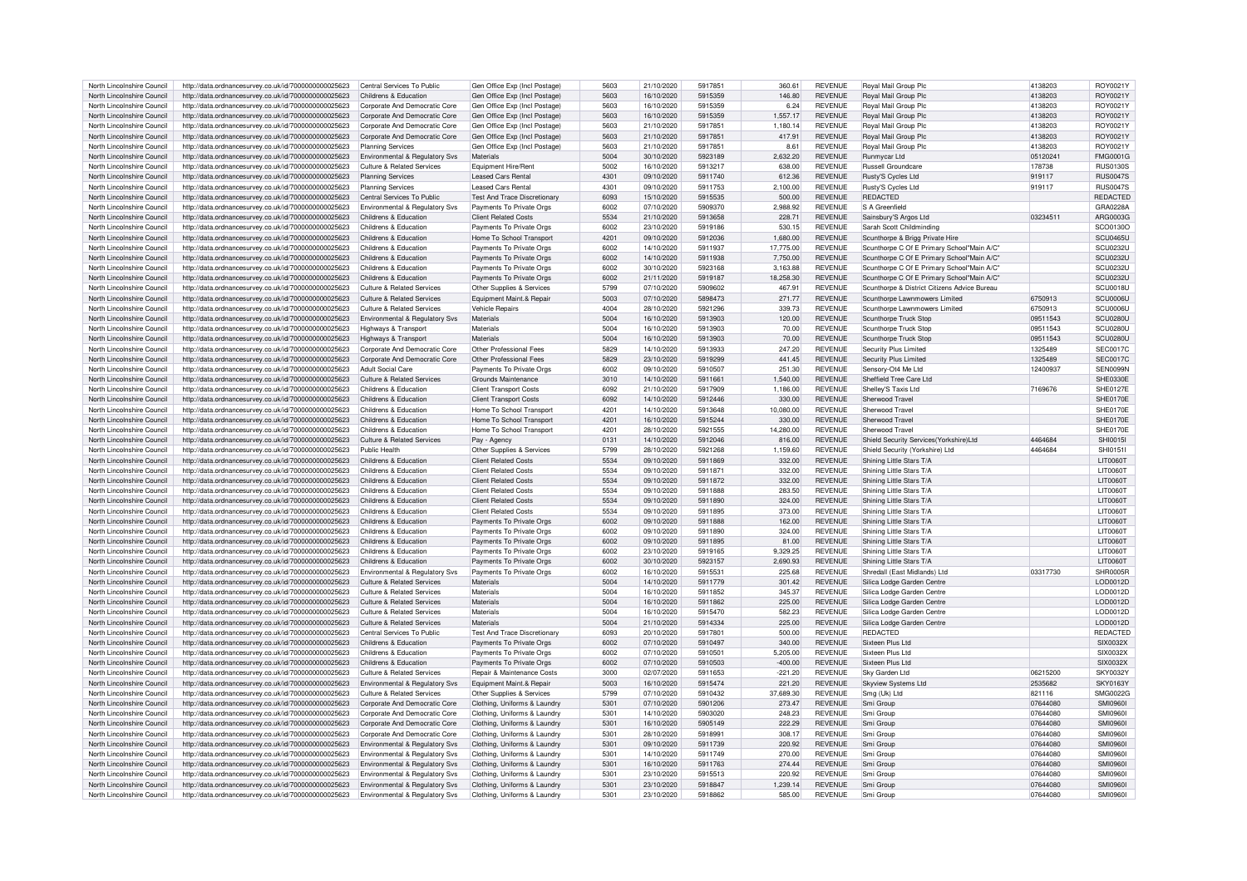| North Lincolnshire Council                               | http://data.ordnancesurvey.co.uk/id/7000000000025623                                                         | Central Services To Public                                       | Gen Office Exp (Incl Postage                                 | 5603 | 21/10/2020 | 5917851 | 360.61             | <b>REVENUE</b> | Royal Mail Group Plc                         | 4138203              | ROY0021Y                    |
|----------------------------------------------------------|--------------------------------------------------------------------------------------------------------------|------------------------------------------------------------------|--------------------------------------------------------------|------|------------|---------|--------------------|----------------|----------------------------------------------|----------------------|-----------------------------|
| North Lincolnshire Council                               | http://data.ordnancesurvey.co.uk/id/7000000000025623                                                         | Childrens & Education                                            | Gen Office Exp (Incl Postage                                 | 5603 | 16/10/2020 | 5915359 | 146.80             | <b>REVENUE</b> | Royal Mail Group Plc                         | 4138203              | ROY0021Y                    |
| North Lincolnshire Council                               | http://data.ordnancesurvey.co.uk/id/7000000000025623                                                         | Corporate And Democratic Core                                    | Gen Office Exp (Incl Postage                                 | 5603 | 16/10/2020 | 5915359 | 6.24               | <b>REVENUE</b> | Royal Mail Group Plc                         | 4138203              | ROY0021Y                    |
|                                                          |                                                                                                              |                                                                  |                                                              |      |            |         |                    |                |                                              |                      |                             |
| North Lincolnshire Council                               | http://data.ordnancesurvey.co.uk/id/7000000000025623                                                         | Cornorate And Democratic Core                                    | Gen Office Exp (Incl Postage                                 | 5603 | 16/10/2020 | 5915359 | 1,557.17           | <b>REVENUE</b> | <b>Royal Mail Group Plo</b>                  | 4138203              | ROY0021Y                    |
| North Lincolnshire Council                               | http://data.ordnancesurvey.co.uk/id/7000000000025623                                                         | Corporate And Democratic Core                                    | Gen Office Exp (Incl Postage                                 | 5603 | 21/10/2020 | 591785  | 1.180.14           | REVENUE        | Royal Mail Group Plc                         | 4138203              | ROY0021\                    |
| North Lincolnshire Council                               | http://data.ordnancesurvey.co.uk/id/7000000000025623                                                         | Corporate And Democratic Core                                    | Gen Office Exp (Incl Postage)                                | 5603 | 21/10/2020 | 5917851 | 417.91             | <b>REVENUE</b> | Royal Mail Group Plc                         | 4138203              | ROY0021\                    |
|                                                          |                                                                                                              |                                                                  |                                                              |      |            |         |                    |                |                                              |                      |                             |
| North Lincolnshire Council                               | http://data.ordnancesurvey.co.uk/id/7000000000025623                                                         | <b>Planning Services</b>                                         | Gen Office Exp (Incl Postage)                                | 5603 | 21/10/2020 | 591785  | 8.61               | <b>REVENUE</b> | Royal Mail Group Plo                         | 4138203              | ROY0021Y                    |
| North Lincolnshire Council                               | http://data.ordnancesurvey.co.uk/id/7000000000025623                                                         | Environmental & Regulatory Svs                                   | Materials                                                    | 5004 | 30/10/2020 | 5923189 | 2,632.20           | <b>REVENUE</b> | Runmycar I td                                | 05120241             | <b>EMG0001G</b>             |
|                                                          |                                                                                                              |                                                                  |                                                              |      |            |         |                    |                |                                              |                      |                             |
| North Lincolnshire Council                               | http://data.ordnancesurvey.co.uk/id/7000000000025623                                                         | Culture & Related Services                                       | Equipment Hire/Rent                                          | 5002 | 16/10/2020 | 5913217 | 638.00             | <b>REVENUE</b> | Russell Groundcare                           | 178738               | <b>RUS0130S</b>             |
| North Lincolnshire Council                               | http://data.ordnancesurvey.co.uk/id/7000000000025623                                                         | <b>Planning Services</b>                                         | <b>Leased Cars Rental</b>                                    | 4301 | 09/10/2020 | 5911740 | 612.36             | <b>REVENUE</b> | Rusty'S Cycles Ltd                           | 919117               | <b>RUS0047S</b>             |
| North Lincolnshire Council                               | http://data.ordnancesurvey.co.uk/id/7000000000025623                                                         | <b>Planning Services</b>                                         | <b>Leased Cars Rental</b>                                    | 4301 | 09/10/2020 | 5911753 | 2,100.00           | <b>REVENUE</b> | <b>Rusty'S Cycles Ltd</b>                    | 919117               | <b>RUS0047S</b>             |
|                                                          |                                                                                                              |                                                                  |                                                              |      |            |         |                    |                |                                              |                      |                             |
| North Lincolnshire Council                               | http://data.ordnancesurvey.co.uk/id/7000000000025623                                                         | Central Services To Public                                       | <b>Test And Trace Discretionary</b>                          | 6093 | 15/10/2020 | 5915535 | 500.00             | <b>REVENUE</b> | <b>REDACTED</b>                              |                      | REDACTED                    |
| North Lincolnshire Council                               | http://data.ordnancesurvey.co.uk/id/7000000000025623                                                         | Environmental & Regulatory Svs                                   | Payments To Private Orgs                                     | 6002 | 07/10/2020 | 5909370 | 2,988.92           | <b>REVENUE</b> | S A Greenfield                               |                      | GRA0228A                    |
| North Lincolnshire Council                               | http://data.ordnancesurvey.co.uk/id/7000000000025623                                                         | Childrens & Education                                            | <b>Client Related Costs</b>                                  | 5534 | 21/10/2020 | 5913658 | 228.71             | <b>REVENUE</b> | Sainsbury'S Argos Ltd                        | 03234511             | ARG0003G                    |
|                                                          |                                                                                                              |                                                                  |                                                              |      |            |         |                    |                |                                              |                      |                             |
| North Lincolnshire Council                               | http://data.ordnancesurvey.co.uk/id/7000000000025623                                                         | Childrens & Education                                            | Payments To Private Orgs                                     | 6002 | 23/10/2020 | 5919186 | 530.15             | <b>REVENUE</b> | Sarah Scott Childminding                     |                      | SCO0130C                    |
| North Lincolnshire Council                               | http://data.ordnancesurvey.co.uk/id/7000000000025623                                                         | Childrens & Education                                            | Home To School Transport                                     | 4201 | 09/10/2020 | 5912036 | 1.680.00           | <b>REVENUE</b> | Scunthorpe & Brigg Private Hire              |                      | SCU0465U                    |
| North Lincolnshire Council                               |                                                                                                              | Childrens & Education                                            | Payments To Private Orgs                                     | 6002 | 14/10/2020 | 5911937 | 17,775.00          | <b>REVENUE</b> | Scunthorpe C Of E Primary School"Main A/C"   |                      | SCU0232L                    |
|                                                          | http://data.ordnancesurvey.co.uk/id/7000000000025623                                                         |                                                                  |                                                              |      |            |         |                    |                |                                              |                      |                             |
| North Lincolnshire Council                               | http://data.ordnancesurvey.co.uk/id/7000000000025623                                                         | Childrens & Education                                            | Payments To Private Orgs                                     | 6002 | 14/10/2020 | 5911938 | 7,750.00           | <b>REVENUE</b> | Scunthorpe C Of E Primary School"Main A/C'   |                      | SCU0232L                    |
| North Lincolnshire Council                               | http://data.ordnancesurvey.co.uk/id/7000000000025623                                                         | Childrens & Education                                            | Payments To Private Orgs                                     | 6002 | 30/10/2020 | 5923168 | 3,163.88           | <b>REVENUE</b> | Scunthorpe C Of E Primary School"Main A/C    |                      | SCU0232L                    |
|                                                          |                                                                                                              |                                                                  |                                                              |      |            |         |                    |                |                                              |                      |                             |
| North Lincolnshire Council                               | http://data.ordnancesurvey.co.uk/id/7000000000025623                                                         | Childrens & Education                                            | Payments To Private Orgs                                     | 6002 | 21/11/2020 | 5919187 | 18,258.30          | <b>REVENUE</b> | Scunthorpe C Of E Primary School"Main A/C'   |                      | <b>SCU0232U</b>             |
| North Lincolnshire Council                               | http://data.ordnancesurvey.co.uk/id/7000000000025623                                                         | <b>Culture &amp; Related Services</b>                            | Other Supplies & Services                                    | 5799 | 07/10/2020 | 5909602 | 467.91             | <b>REVENUE</b> | Scunthorpe & District Citizens Advice Bureau |                      | SCU0018U                    |
| North Lincolnshire Council                               | http://data.ordnancesurvey.co.uk/id/7000000000025623                                                         | Culture & Related Services                                       | Equipment Maint.& Repair                                     | 5003 | 07/10/2020 | 5898473 | 271.77             | <b>REVENUE</b> | Scunthorne Lawnmowers Limited                | 6750913              | SCU0006U                    |
|                                                          |                                                                                                              |                                                                  |                                                              |      |            |         |                    |                |                                              |                      |                             |
| North Lincolnshire Council                               | http://data.ordnancesurvey.co.uk/id/7000000000025623                                                         | Culture & Related Services                                       | Vehicle Renairs                                              | 4004 | 28/10/2020 | 5921296 | 339.73             | <b>REVENUE</b> | Scunthorpe Lawnmowers Limited                | 6750913              | SCU0006U                    |
| North Lincolnshire Council                               | http://data.ordnancesurvey.co.uk/id/7000000000025623                                                         | Environmental & Regulatory Svs                                   | Materials                                                    | 5004 | 16/10/2020 | 5913903 | 120.00             | <b>REVENUE</b> | Scunthorpe Truck Stop                        | 09511543             | SCU0280U                    |
| North Lincolnshire Council                               | http://data.ordnancesurvey.co.uk/id/7000000000025623                                                         | <b>Highways &amp; Transport</b>                                  | Materials                                                    | 5004 | 16/10/2020 | 5913903 | 70.00              | <b>REVENUE</b> | Scunthorpe Truck Stop                        | 09511543             | <b>SCLI0280L</b>            |
|                                                          |                                                                                                              |                                                                  |                                                              |      |            |         |                    |                |                                              |                      |                             |
| North Lincolnshire Council                               | http://data.ordnancesurvey.co.uk/id/7000000000025623                                                         | Highways & Transport                                             | Materials                                                    | 5004 | 16/10/2020 | 5913903 | 70.00              | <b>REVENUE</b> | Scunthorpe Truck Stop                        | 09511543             | SCU0280U                    |
| North Lincolnshire Council                               | http://data.ordnancesurvey.co.uk/id/7000000000025623                                                         | Corporate And Democratic Core                                    | Other Professional Fees                                      | 5829 | 14/10/2020 | 5913933 | 247.20             | <b>REVENUE</b> | Security Plus Limited                        | 1325489              | <b>SEC0017C</b>             |
|                                                          |                                                                                                              |                                                                  |                                                              | 5829 |            |         |                    |                |                                              |                      |                             |
| North Lincolnshire Council                               | http://data.ordnancesurvey.co.uk/id/7000000000025623                                                         | Corporate And Democratic Core                                    | Other Professional Fees                                      |      | 23/10/2020 | 5919299 | 441.45             | <b>REVENUE</b> | Security Plus Limited                        | 1325489              | <b>SEC0017C</b>             |
| North Lincolnshire Council                               | http://data.ordnancesurvey.co.uk/id/7000000000025623                                                         | Adult Social Care                                                | Payments To Private Orgs                                     | 6002 | 09/10/2020 | 5910507 | 251.30             | <b>REVENUE</b> | Sensory-Ot4 Me Ltd                           | 12400937             | SEN0099N                    |
| North Lincolnshire Council                               | http://data.ordnancesurvey.co.uk/id/7000000000025623                                                         | Culture & Related Services                                       | Grounds Maintenance                                          | 3010 | 14/10/2020 | 5911661 | 1,540.00           | <b>REVENUE</b> | Sheffield Tree Care Ltd                      |                      | SHE0330E                    |
|                                                          |                                                                                                              |                                                                  |                                                              |      |            |         |                    |                |                                              |                      |                             |
| North Lincolnshire Council                               | http://data.ordnancesurvey.co.uk/id/7000000000025623                                                         | Childrens & Education                                            | <b>Client Transport Costs</b>                                | 6092 | 21/10/2020 | 5917909 | 1,186.00           | <b>REVENUE</b> | Shelley'S Taxis Ltd                          | 7169676              | <b>SHF0127F</b>             |
| North Lincolnshire Council                               | http://data.ordnancesurvey.co.uk/id/7000000000025623                                                         | Childrens & Education                                            | <b>Client Transport Costs</b>                                | 6092 | 14/10/2020 | 5912446 | 330.00             | <b>REVENUE</b> | Sherwood Travel                              |                      | SHE0170E                    |
| North Lincolnshire Council                               | http://data.ordnancesurvey.co.uk/id/7000000000025623                                                         | Childrens & Education                                            | Home To School Transpor                                      | 4201 | 14/10/2020 | 5913648 | 10,080.00          | <b>REVENUE</b> | Sherwood Trave                               |                      | SHE0170E                    |
|                                                          |                                                                                                              |                                                                  |                                                              |      |            |         |                    |                |                                              |                      |                             |
| North Lincolnshire Council                               | http://data.ordnancesurvey.co.uk/id/7000000000025623                                                         | Childrens & Education                                            | Home To School Transport                                     | 4201 | 16/10/2020 | 5915244 | 330.00             | <b>REVENUE</b> | Sherwood Travel                              |                      | <b>SHF0170F</b>             |
| North Lincolnshire Council                               | http://data.ordnancesurvey.co.uk/id/7000000000025623                                                         | Childrens & Education                                            | Home To School Transport                                     | 4201 | 28/10/2020 | 5921555 | 14,280.00          | <b>REVENUE</b> | Sherwood Travel                              |                      | <b>SHE0170E</b>             |
| North Lincolnshire Council                               | http://data.ordnancesurvey.co.uk/id/7000000000025623                                                         |                                                                  |                                                              |      |            |         |                    |                |                                              |                      |                             |
|                                                          |                                                                                                              |                                                                  |                                                              |      |            |         |                    |                |                                              |                      |                             |
|                                                          |                                                                                                              | <b>Culture &amp; Related Services</b>                            | Pay - Agency                                                 | 0131 | 14/10/2020 | 5912046 | 816.00             | <b>REVENUE</b> | Shield Security Services(Yorkshire)Ltd       | 4464684              | SHI0015I                    |
| North Lincolnshire Council                               | http://data.ordnancesurvey.co.uk/id/7000000000025623                                                         | Public Health                                                    | Other Supplies & Services                                    | 5799 | 28/10/2020 | 5921268 | 1.159.60           | <b>REVENUE</b> | Shield Security (Yorkshire) Ltd              | 4464684              | SHI0151I                    |
| North Lincolnshire Council                               |                                                                                                              | Childrens & Education                                            |                                                              | 5534 |            | 5911869 |                    |                |                                              |                      |                             |
|                                                          | http://data.ordnancesurvey.co.uk/id/7000000000025623                                                         |                                                                  | <b>Client Related Costs</b>                                  |      | 09/10/2020 |         | 332.00             | <b>REVENUE</b> | Shining Little Stars T/A                     |                      | <b>LIT0060T</b>             |
| North Lincolnshire Council                               | http://data.ordnancesurvey.co.uk/id/7000000000025623                                                         | Childrens & Education                                            | <b>Client Related Costs</b>                                  | 5534 | 09/10/2020 | 5911871 | 332.00             | <b>REVENUE</b> | Shining Little Stars T/A                     |                      | <b>LIT0060T</b>             |
| North Lincolnshire Council                               | http://data.ordnancesurvey.co.uk/id/7000000000025623                                                         | Childrens & Education                                            | <b>Client Related Costs</b>                                  | 5534 | 09/10/2020 | 5911872 | 332.00             | <b>REVENUE</b> | Shining Little Stars T/A                     |                      | <b>LIT0060T</b>             |
|                                                          |                                                                                                              |                                                                  |                                                              |      |            |         |                    |                |                                              |                      |                             |
| North Lincolnshire Council                               | http://data.ordnancesurvey.co.uk/id/7000000000025623                                                         | Childrens & Education                                            | <b>Client Related Costs</b>                                  | 5534 | 09/10/2020 | 5911888 | 283.50             | <b>REVENUE</b> | Shining Little Stars T/A                     |                      | LIT00607                    |
| North Lincolnshire Council                               | http://data.ordnancesurvey.co.uk/id/7000000000025623                                                         | Childrens & Education                                            | <b>Client Related Costs</b>                                  | 5534 | 09/10/2020 | 5911890 | 324.00             | <b>REVENUE</b> | Shining Little Stars T/A                     |                      | <b>LIT0060T</b>             |
| North Lincolnshire Council                               | http://data.ordnancesurvey.co.uk/id/7000000000025623                                                         | Childrens & Education                                            | <b>Client Related Costs</b>                                  | 5534 | 09/10/2020 | 5911895 | 373.00             | <b>REVENUE</b> | Shining Little Stars T/A                     |                      | <b>LIT0060T</b>             |
|                                                          |                                                                                                              |                                                                  |                                                              |      |            |         |                    |                |                                              |                      |                             |
| North Lincolnshire Council                               | http://data.ordnancesurvey.co.uk/id/7000000000025623                                                         | Childrens & Education                                            | Payments To Private Orgs                                     | 6002 | 09/10/2020 | 5911888 | 162.00             | <b>REVENUE</b> | Shining Little Stars T/A                     |                      | <b>LIT0060T</b>             |
| North Lincolnshire Council                               | http://data.ordnancesurvey.co.uk/id/7000000000025623                                                         | Childrens & Education                                            | Payments To Private Orgs                                     | 6002 | 09/10/2020 | 5911890 | 324.00             | <b>REVENUE</b> | Shining Little Stars T/A                     |                      | <b>LIT0060T</b>             |
| North Lincolnshire Council                               | http://data.ordnancesurvey.co.uk/id/7000000000025623                                                         | Childrens & Education                                            | Payments To Private Orgs                                     | 6002 | 09/10/2020 | 5911895 | 81.00              | <b>REVENUE</b> | Shining Little Stars T/A                     |                      | LIT0060T                    |
|                                                          |                                                                                                              |                                                                  |                                                              |      |            | 5919165 |                    |                |                                              |                      |                             |
| North Lincolnshire Council                               | http://data.ordnancesurvey.co.uk/id/7000000000025623                                                         | Childrens & Education                                            | Payments To Private Orgs                                     | 6002 | 23/10/2020 |         | 9,329.25           | <b>REVENUE</b> | Shining Little Stars T/A                     |                      | <b>LIT0060T</b>             |
| North Lincolnshire Council                               | http://data.ordnancesurvey.co.uk/id/7000000000025623                                                         | Childrens & Education                                            | Payments To Private Orgs                                     | 6002 | 30/10/2020 | 5923157 | 2.690.93           | <b>REVENUE</b> | Shining Little Stars T/A                     |                      | <b>LIT0060T</b>             |
| North Lincolnshire Council                               |                                                                                                              |                                                                  |                                                              | 6002 | 16/10/2020 | 5915531 | 225.68             | <b>REVENUE</b> | Shredall (East Midlands) Ltd                 | 03317730             | SHR0005F                    |
|                                                          | http://data.ordnancesurvey.co.uk/id/7000000000025623                                                         | Environmental & Regulatory Svs                                   | Payments To Private Orgs                                     |      |            |         |                    |                |                                              |                      |                             |
| North Lincolnshire Council                               | http://data.ordnancesurvey.co.uk/id/7000000000025623                                                         | <b>Culture &amp; Related Services</b>                            | Materials                                                    | 5004 | 14/10/2020 | 5911779 | 301.42             | <b>REVENUE</b> | Silica Lodge Garden Centre                   |                      | LOD0012D                    |
| North Lincolnshire Council                               | http://data.ordnancesurvey.co.uk/id/7000000000025623                                                         | Culture & Related Services                                       | Materials                                                    | 5004 | 16/10/2020 | 5911852 | 345.37             | <b>REVENUE</b> | Silica Lodge Garden Centre                   |                      | LOD0012E                    |
| North Lincolnshire Council                               | http://data.ordnancesurvey.co.uk/id/7000000000025623                                                         | Culture & Related Services                                       | Materials                                                    | 5004 | 16/10/2020 | 5911862 | 225.00             | <b>REVENUE</b> | Silica Lodge Garden Centre                   |                      | LOD0012E                    |
|                                                          |                                                                                                              |                                                                  | Materials                                                    |      |            | 5915470 |                    |                |                                              |                      |                             |
| North Lincolnshire Council                               | http://data.ordnancesurvey.co.uk/id/7000000000025623                                                         | Culture & Related Services                                       |                                                              | 5004 | 16/10/2020 |         | 582.23             | <b>REVENUE</b> | Silica Lodge Garden Centre                   |                      | LOD0012D                    |
| North Lincolnshire Council                               | http://data.ordnancesurvey.co.uk/id/7000000000025623                                                         | <b>Culture &amp; Related Services</b>                            | Materials                                                    | 5004 | 21/10/2020 | 5914334 | 225.00             | <b>REVENUE</b> | Silica Lodge Garden Centre                   |                      | LOD0012D                    |
| North Lincolnshire Council                               | http://data.ordnancesurvey.co.uk/id/7000000000025623                                                         | Central Services To Public                                       | <b>Test And Trace Discretionary</b>                          | 6093 | 20/10/2020 | 5917801 | 500.00             | <b>REVENUE</b> | <b>REDACTED</b>                              |                      | REDACTED                    |
|                                                          |                                                                                                              |                                                                  |                                                              |      |            |         |                    |                |                                              |                      |                             |
| North Lincolnshire Council                               | http://data.ordnancesurvey.co.uk/id/7000000000025623                                                         | Childrens & Education                                            | Payments To Private Orgs                                     | 6002 | 07/10/2020 | 5910497 | 340.00             | <b>REVENUE</b> | Sixteen Plus Ltd                             |                      | SIX0032X                    |
| North Lincolnshire Council                               | http://data.ordnancesurvey.co.uk/id/7000000000025623                                                         | Childrens & Education                                            | Payments To Private Orgs                                     | 6002 | 07/10/2020 | 5910501 | 5.205.00           | <b>REVENUE</b> | Sixteen Plus Ltd                             |                      | SIX0032X                    |
| North Lincolnshire Council                               |                                                                                                              | Childrens & Education                                            | Payments To Private Orgs                                     | 6002 | 07/10/2020 | 5910503 | $-400.00$          | <b>REVENUE</b> | Sixteen Plus I to                            |                      | SIX0032X                    |
|                                                          | http://data.ordnancesurvey.co.uk/id/7000000000025623                                                         |                                                                  |                                                              |      |            |         |                    |                |                                              |                      |                             |
| North Lincolnshire Council                               | http://data.ordnancesurvey.co.uk/id/7000000000025623                                                         | Culture & Related Services                                       | Repair & Maintenance Costs                                   | 3000 | 02/07/2020 | 5911653 | $-221.20$          | <b>REVENUE</b> | Sky Garden I td                              | 06215200             | <b>SKY0032Y</b>             |
| North Lincolnshire Council                               | http://data.ordnancesurvey.co.uk/id/7000000000025623                                                         | Environmental & Regulatory Svs                                   | Equipment Maint.& Repair                                     | 5003 | 16/10/2020 | 5915474 | 221.20             | <b>REVENUE</b> | <b>Skyview Systems Ltd</b>                   | 2535682              | <b>SKY0163Y</b>             |
| North Lincolnshire Council                               | http://data.ordnancesurvey.co.uk/id/7000000000025623                                                         | Culture & Related Services                                       | Other Supplies & Services                                    | 5799 | 07/10/2020 | 5910432 | 37,689.30          | REVENUE        | Smg (Uk) Ltd                                 | 821116               | SMG00220                    |
|                                                          |                                                                                                              |                                                                  |                                                              |      |            |         |                    |                |                                              |                      |                             |
| North Lincolnshire Council                               | http://data.ordnancesurvey.co.uk/id/7000000000025623                                                         | Corporate And Democratic Core                                    | Clothing, Uniforms & Laundry                                 | 5301 | 07/10/2020 | 5901206 | 273.47             | <b>REVENUE</b> | Smi Group                                    | 07644080             | <b>SMI09601</b>             |
| North Lincolnshire Council                               | http://data.ordnancesurvey.co.uk/id/7000000000025623                                                         | Cornorate And Democratic Core                                    | Clothing, Uniforms & Laundry                                 | 5301 | 14/10/2020 | 5903020 | 248.23             | <b>REVENUE</b> | Smi Group                                    | 07644080             | <b>SMI09601</b>             |
| North Lincolnshire Council                               |                                                                                                              |                                                                  |                                                              |      |            | 5905149 |                    |                | Smi Group                                    |                      | SMI0960                     |
|                                                          | http://data.ordnancesurvey.co.uk/id/7000000000025623                                                         | Corporate And Democratic Core                                    | Clothing, Uniforms & Laundry                                 | 5301 | 16/10/2020 |         | 222.29             | <b>REVENUE</b> |                                              | 07644080             |                             |
| North Lincolnshire Council                               | http://data.ordnancesurvey.co.uk/id/7000000000025623                                                         | Corporate And Democratic Core                                    | Clothing, Uniforms & Laundry                                 | 5301 | 28/10/2020 | 591899  | 308.17             | <b>REVENUE</b> | Smi Group                                    | 07644080             | SMI0960                     |
| North Lincolnshire Council                               | http://data.ordnancesurvey.co.uk/id/7000000000025623                                                         | Environmental & Regulatory Svs                                   | Clothing, Uniforms & Laundry                                 | 5301 | 09/10/2020 | 5911739 | 220.92             | <b>REVENUE</b> | Smi Group                                    | 07644080             | <b>SMI0960I</b>             |
|                                                          |                                                                                                              |                                                                  |                                                              | 530  |            | 5911749 |                    | <b>REVENUE</b> |                                              |                      | SMI0960I                    |
| North Lincolnshire Council                               | http://data.ordnancesurvey.co.uk/id/7000000000025623                                                         | Environmental & Regulatory Svs                                   | Clothing, Uniforms & Laundry                                 |      | 14/10/2020 |         | 270.00             |                | Smi Group                                    | 07644080             |                             |
| North Lincolnshire Council                               | http://data.ordnancesurvey.co.uk/id/7000000000025623                                                         | Environmental & Regulatory Sys                                   | Clothing, Uniforms & Laundry                                 | 5301 | 16/10/2020 | 5911763 | 274.44             | <b>REVENUE</b> | Smi Group                                    | 07644080             | <b>SMI0960I</b>             |
| North Lincolnshire Council                               | http://data.ordnancesurvey.co.uk/id/7000000000025623                                                         | Environmental & Regulatory Svs                                   | Clothing, Uniforms & Laundry                                 | 5301 | 23/10/2020 | 5915513 | 220.92             | <b>REVENUE</b> | Smi Group                                    | 07644080             | SMI0960                     |
|                                                          |                                                                                                              |                                                                  |                                                              | 5301 | 23/10/2020 | 5918847 |                    | <b>REVENUE</b> |                                              |                      |                             |
| North Lincolnshire Council<br>North Lincolnshire Council | http://data.ordnancesurvey.co.uk/id/7000000000025623<br>http://data.ordnancesurvey.co.uk/id/7000000000025623 | Environmental & Regulatory Svs<br>Environmental & Regulatory Svs | Clothing, Uniforms & Laundry<br>Clothing, Uniforms & Laundry | 5301 | 23/10/2020 | 5918862 | 1,239.14<br>585.00 | <b>REVENUE</b> | Smi Group<br>Smi Group                       | 07644080<br>07644080 | SMI09601<br><b>SMI09601</b> |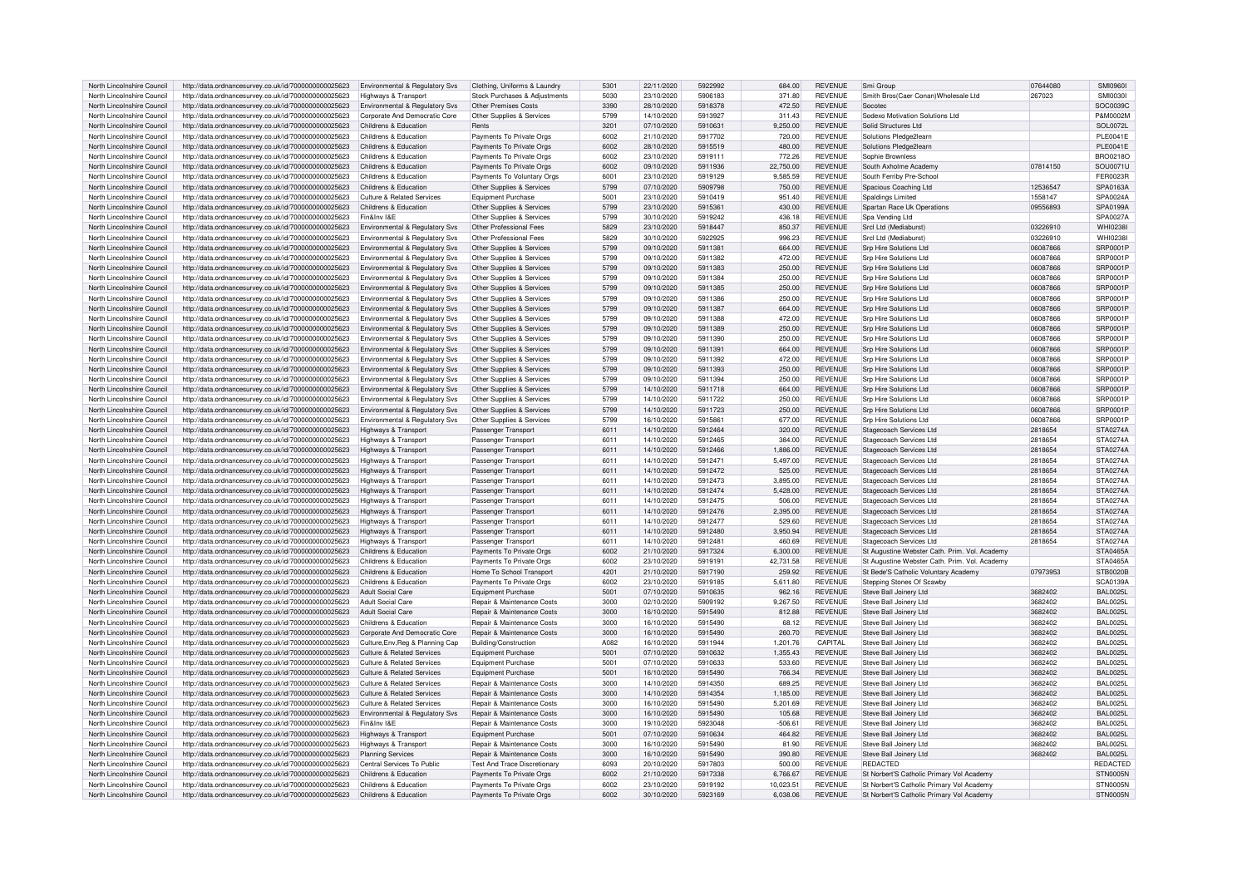| North Lincolnshire Council | http://data.ordnancesurvey.co.uk/id/7000000000025623 | Environmental & Regulatory Svs        | Clothing, Uniforms & Laundry          | 5301 | 22/11/2020 | 5922992 | 684.00    | <b>REVENUE</b> | Smi Group                                     | 07644080 | <b>SMI09601</b> |
|----------------------------|------------------------------------------------------|---------------------------------------|---------------------------------------|------|------------|---------|-----------|----------------|-----------------------------------------------|----------|-----------------|
| North Lincolnshire Council | http://data.ordnancesurvey.co.uk/id/7000000000025623 | Highways & Transport                  | Stock Purchases & Adjustments         | 5030 | 23/10/2020 | 5906183 | 371.80    | <b>REVENUE</b> | Smith Bros(Caer Conan) Wholesale Ltd          | 267023   | SMI0030         |
|                            |                                                      |                                       |                                       |      |            |         |           |                |                                               |          |                 |
| North Lincolnshire Council | http://data.ordnancesurvey.co.uk/id/7000000000025623 | Environmental & Regulatory Svs        | Other Premises Costs                  | 3390 | 28/10/2020 | 5918378 | 472.50    | <b>REVENUE</b> | Socotec                                       |          | SOC0039C        |
| North Lincolnshire Council | http://data.ordnancesurvey.co.uk/id/7000000000025623 | Corporate And Democratic Core         | Other Supplies & Services             | 5799 | 14/10/2020 | 5913927 | 311.43    | <b>REVENUE</b> | Sodexo Motivation Solutions Ltd               |          | P&M0002M        |
| North Lincolnshire Council | http://data.ordnancesurvey.co.uk/id/7000000000025623 | Childrens & Education                 | Rents                                 | 3201 | 07/10/2020 | 5910631 | 9.250.00  | <b>REVENUE</b> | Solid Structures Ltd.                         |          | SOI 0072L       |
| North Lincolnshire Council | http://data.ordnancesurvey.co.uk/id/7000000000025623 | Childrens & Education                 | Payments To Private Orgs              | 6002 | 21/10/2020 | 5917702 | 720.00    | <b>REVENUE</b> | Solutions Pledge2learn                        |          | PLE0041E        |
|                            |                                                      |                                       |                                       |      |            |         |           |                |                                               |          |                 |
| North Lincolnshire Council | http://data.ordnancesurvey.co.uk/id/7000000000025623 | Childrens & Education                 | Payments To Private Orgs              | 6002 | 28/10/2020 | 5915519 | 480.00    | <b>REVENUE</b> | Solutions Pledge2learn                        |          | <b>PLE0041E</b> |
| North Lincolnshire Council | http://data.ordnancesurvey.co.uk/id/7000000000025623 | Childrens & Education                 | Payments To Private Orgs              | 6002 | 23/10/2020 | 5919111 | 772.26    | <b>REVENUE</b> | Sophie Brownless                              |          | <b>BRO0218C</b> |
| North Lincolnshire Council | http://data.ordnancesurvey.co.uk/id/7000000000025623 | Childrens & Education                 | Payments To Private Orgs              | 6002 | 09/10/2020 | 5911936 | 22,750.00 | <b>REVENUE</b> | South Axholme Academy                         | 07814150 | SOU0071L        |
| North Lincolnshire Council | http://data.ordnancesurvey.co.uk/id/7000000000025623 | Childrens & Education                 | Payments To Voluntary Orgs            | 6001 | 23/10/2020 | 5919129 | 9,585.59  | <b>REVENUE</b> | South Ferriby Pre-School                      |          | <b>FER0023F</b> |
| North Lincolnshire Council | http://data.ordnancesurvey.co.uk/id/7000000000025623 | Childrens & Education                 | Other Supplies & Services             | 5799 | 07/10/2020 | 5909798 | 750.00    | <b>REVENUE</b> | Spacious Coaching Ltd                         | 12536547 | SPA0163A        |
|                            |                                                      |                                       |                                       |      |            |         |           |                |                                               |          |                 |
| North Lincolnshire Council | http://data.ordnancesurvey.co.uk/id/7000000000025623 | <b>Culture &amp; Related Services</b> | <b>Equipment Purchase</b>             | 5001 | 23/10/2020 | 5910419 | 951.40    | <b>REVENUE</b> | <b>Spaldings Limited</b>                      | 1558147  | SPA0024A        |
| North Lincolnshire Council | http://data.ordnancesurvey.co.uk/id/7000000000025623 | Childrens & Education                 | Other Supplies & Services             | 5799 | 23/10/2020 | 5915361 | 430.00    | <b>REVENUE</b> | Spartan Race Uk Operations                    | 09556893 | SPA0199A        |
| North Lincolnshire Council | http://data.ordnancesurvey.co.uk/id/7000000000025623 | Fin&Inv I&F                           | Other Supplies & Services             | 5799 | 30/10/2020 | 5919242 | 436.18    | <b>REVENUE</b> | Spa Vending Ltd                               |          | SPA0027A        |
| North Lincolnshire Council | http://data.ordnancesurvey.co.uk/id/7000000000025623 | Environmental & Regulatory Svs        | Other Professional Fees               | 5829 | 23/10/2020 | 5918447 | 850.37    | <b>REVENUE</b> | Srcl Ltd (Mediaburst                          | 03226910 | WHI0238I        |
| North Lincolnshire Council | http://data.ordnancesurvey.co.uk/id/7000000000025623 | Environmental & Regulatory Svs        | Other Professional Fees               | 5829 | 30/10/2020 | 5922925 | 996.23    | <b>REVENUE</b> | SrcI Ltd (Mediaburst                          | 03226910 | WHI0238         |
|                            |                                                      |                                       |                                       |      |            |         |           |                |                                               |          |                 |
| North Lincolnshire Council | http://data.ordnancesurvey.co.uk/id/7000000000025623 | Environmental & Regulatory Svs        | Other Supplies & Services             | 5799 | 09/10/2020 | 5911381 | 664.00    | <b>REVENUE</b> | Srp Hire Solutions Ltd                        | 06087866 | SRP0001F        |
| North Lincolnshire Council | http://data.ordnancesurvey.co.uk/id/7000000000025623 | Environmental & Regulatory Svs        | Other Supplies & Services             | 5799 | 09/10/2020 | 5911382 | 472.00    | <b>REVENUE</b> | Srn Hire Solutions Ltd                        | 06087866 | SRP0001P        |
| North Lincolnshire Council | http://data.ordnancesurvey.co.uk/id/7000000000025623 | Environmental & Regulatory Svs        | Other Supplies & Services             | 5799 | 09/10/2020 | 5911383 | 250.00    | <b>REVENUE</b> | <b>Srp Hire Solutions Ltd</b>                 | 06087866 | SRP0001F        |
| North Lincolnshire Council | http://data.ordnancesurvey.co.uk/id/7000000000025623 | Environmental & Regulatory Svs        | Other Supplies & Services             | 5799 | 09/10/2020 | 5911384 | 250.00    | <b>REVENUE</b> | Srp Hire Solutions Ltd                        | 06087866 | SRP0001P        |
| North Lincolnshire Council | http://data.ordnancesurvey.co.uk/id/7000000000025623 | Environmental & Regulatory Svs        | Other Supplies & Services             | 5799 | 09/10/2020 | 5911385 | 250.00    | <b>REVENUE</b> | Srp Hire Solutions Ltd                        | 06087866 | SRP0001P        |
|                            |                                                      |                                       |                                       |      |            |         |           |                |                                               |          |                 |
| North Lincolnshire Council | http://data.ordnancesurvey.co.uk/id/7000000000025623 | Environmental & Regulatory Svs        | Other Supplies & Services             | 5799 | 09/10/2020 | 5911386 | 250.00    | <b>REVENUE</b> | Srp Hire Solutions Ltd                        | 06087866 | SRP0001F        |
| North Lincolnshire Council | http://data.ordnancesurvey.co.uk/id/7000000000025623 | Environmental & Regulatory Svs        | Other Supplies & Services             | 5799 | 09/10/2020 | 5911387 | 664.00    | <b>REVENUE</b> | Srp Hire Solutions Ltd                        | 06087866 | SRP0001P        |
| North Lincolnshire Council | http://data.ordnancesurvey.co.uk/id/7000000000025623 | Environmental & Regulatory Svs        | Other Supplies & Services             | 5799 | 09/10/2020 | 5911388 | 472.00    | <b>REVENUE</b> | Srp Hire Solutions Ltd                        | 06087866 | SRP0001F        |
| North Lincolnshire Council | http://data.ordnancesurvey.co.uk/id/7000000000025623 | Environmental & Regulatory Svs        | Other Supplies & Services             | 5799 | 09/10/2020 | 5911389 | 250.00    | <b>REVENUE</b> | Srp Hire Solutions Ltd                        | 06087866 | SRP0001F        |
| North Lincolnshire Council | http://data.ordnancesurvey.co.uk/id/7000000000025623 | Environmental & Regulatory Svs        | Other Supplies & Services             | 5799 | 09/10/2020 | 5911390 | 250.00    | <b>REVENUE</b> | Srn Hire Solutions Ltd                        | 06087866 | SRP0001F        |
| North Lincolnshire Council | http://data.ordnancesurvey.co.uk/id/7000000000025623 | Environmental & Regulatory Svs        | Other Supplies & Services             | 5799 | 09/10/2020 | 5911391 | 664.00    | <b>REVENUE</b> | Srp Hire Solutions Ltd                        | 06087866 | SRP0001F        |
|                            |                                                      |                                       |                                       |      |            |         |           |                |                                               |          |                 |
| North Lincolnshire Council | http://data.ordnancesurvey.co.uk/id/7000000000025623 | Environmental & Regulatory Svs        | Other Supplies & Services             | 5799 | 09/10/2020 | 5911392 | 472.00    | <b>REVENUE</b> | Srp Hire Solutions Ltd                        | 06087866 | SRP0001F        |
| North Lincolnshire Council | http://data.ordnancesurvey.co.uk/id/7000000000025623 | Environmental & Regulatory Svs        | Other Supplies & Services             | 5799 | 09/10/2020 | 5911393 | 250.00    | REVENUE        | <b>Srp Hire Solutions Ltd</b>                 | 06087866 | SRP0001P        |
| North Lincolnshire Council | http://data.ordnancesurvey.co.uk/id/7000000000025623 | Environmental & Regulatory Svs        | Other Supplies & Services             | 5799 | 09/10/2020 | 5911394 | 250.00    | <b>REVENUE</b> | Srp Hire Solutions Ltd                        | 06087866 | SRP0001P        |
| North Lincolnshire Council | http://data.ordnancesurvey.co.uk/id/7000000000025623 | Environmental & Regulatory Svs        | Other Supplies & Services             | 5799 | 14/10/2020 | 5911718 | 664.00    | <b>REVENUE</b> | <b>Srp Hire Solutions Ltd</b>                 | 06087866 | SRP0001P        |
| North Lincolnshire Council | http://data.ordnancesurvey.co.uk/id/7000000000025623 | Environmental & Regulatory Svs        | Other Supplies & Services             | 5799 | 14/10/2020 | 5911722 | 250.00    | <b>REVENUE</b> | Srp Hire Solutions Ltd                        | 06087866 | SRP0001P        |
|                            |                                                      |                                       |                                       |      |            |         |           |                |                                               |          |                 |
| North Lincolnshire Council | http://data.ordnancesurvey.co.uk/id/7000000000025623 | Environmental & Regulatory Svs        | Other Supplies & Services             | 5799 | 14/10/2020 | 5911723 | 250.00    | <b>REVENUE</b> | Srp Hire Solutions Ltd                        | 06087866 | SRP0001P        |
| North Lincolnshire Council | http://data.ordnancesurvey.co.uk/id/7000000000025623 | Environmental & Regulatory Svs        | Other Supplies & Services             | 5799 | 16/10/2020 | 5915861 | 677.00    | <b>REVENUE</b> | Srp Hire Solutions Ltd                        | 06087866 | SRP0001P        |
| North Lincolnshire Council | http://data.ordnancesurvey.co.uk/id/7000000000025623 | Highways & Transport                  | Passenger Transpor                    | 6011 | 14/10/2020 | 5912464 | 320.00    | <b>REVENUE</b> | Stagecoach Services Ltd                       | 2818654  | STA0274A        |
| North Lincolnshire Council | http://data.ordnancesurvey.co.uk/id/7000000000025623 | Highways & Transport                  | Passenger Transport                   | 6011 | 14/10/2020 | 5912465 | 384.00    | <b>REVENUE</b> | Stagecoach Services Ltd                       | 2818654  | STA0274A        |
| North Lincolnshire Council | http://data.ordnancesurvey.co.uk/id/7000000000025623 |                                       | Passenger Transport                   | 6011 | 14/10/2020 | 5912466 | 1.886.00  | <b>REVENUE</b> | Stagecoach Services Ltd                       | 2818654  | <b>STA0274A</b> |
|                            |                                                      | Highways & Transport                  |                                       |      |            |         |           |                |                                               |          |                 |
| North Lincolnshire Council | http://data.ordnancesurvey.co.uk/id/7000000000025623 | Highways & Transport                  | Passenger Transpor                    | 6011 | 14/10/2020 | 5912471 | 5.497.00  | <b>REVENUE</b> | Stagecoach Services Ltd                       | 2818654  | STA0274A        |
| North Lincolnshire Council | http://data.ordnancesurvey.co.uk/id/7000000000025623 | Highways & Transport                  | Passenger Transpor                    | 6011 | 14/10/2020 | 5912472 | 525.00    | <b>REVENUE</b> | Stagecoach Services Ltd                       | 2818654  | STA0274A        |
| North Lincolnshire Council | http://data.ordnancesurvey.co.uk/id/7000000000025623 | Highways & Transport                  | Passenger Transpor                    | 6011 | 14/10/2020 | 5912473 | 3,895.00  | <b>REVENUE</b> | Stagecoach Services Ltd                       | 2818654  | STA0274/        |
| North Lincolnshire Council | http://data.ordnancesurvey.co.uk/id/7000000000025623 | Highways & Transport                  | Passenger Transport                   | 6011 | 14/10/2020 | 5912474 | 5,428.00  | <b>REVENUE</b> | Stagecoach Services Ltd                       | 2818654  | STA0274A        |
| North Lincolnshire Council | http://data.ordnancesurvey.co.uk/id/7000000000025623 |                                       | Passenger Transport                   | 6011 | 14/10/2020 | 5912475 | 506.00    | <b>REVENUE</b> | Stagecoach Services Ltd                       | 2818654  | STA0274A        |
|                            |                                                      | Highways & Transport                  |                                       |      |            |         |           |                |                                               |          |                 |
| North Lincolnshire Council | http://data.ordnancesurvey.co.uk/id/7000000000025623 | Highways & Transport                  | Passenger Transport                   | 6011 | 14/10/2020 | 5912476 | 2.395.00  | <b>REVENUE</b> | Stagecoach Services Ltd                       | 2818654  | <b>STA0274A</b> |
| North Lincolnshire Council | http://data.ordnancesurvey.co.uk/id/7000000000025623 | Highways & Transpor                   | Passenger Transpor                    | 6011 | 14/10/2020 | 5912477 | 529.60    | <b>REVENUE</b> | Stagecoach Services Ltd                       | 2818654  | STA0274A        |
| North Lincolnshire Council | http://data.ordnancesurvey.co.uk/id/7000000000025623 | Highways & Transport                  | Passenger Transport                   | 6011 | 14/10/2020 | 5912480 | 3.950.94  | REVENUE        | Stagecoach Services Ltd                       | 2818654  | STA0274/        |
| North Lincolnshire Council | http://data.ordnancesurvey.co.uk/id/7000000000025623 | Highways & Transport                  | Passenger Transport                   | 6011 | 14/10/2020 | 5912481 | 460.69    | <b>REVENUE</b> | Stagecoach Services Ltd                       | 2818654  | STA0274A        |
| North Lincolnshire Council | http://data.ordnancesurvey.co.uk/id/7000000000025623 | Childrens & Education                 | Payments To Private Orgs              | 6002 | 21/10/2020 | 5917324 | 6.300.00  | <b>REVENUE</b> | St Augustine Webster Cath. Prim. Vol. Academy |          | <b>STA0465A</b> |
|                            |                                                      |                                       |                                       |      |            |         |           |                |                                               |          |                 |
| North Lincolnshire Council | http://data.ordnancesurvey.co.uk/id/7000000000025623 | Childrens & Education                 | Payments To Private Orgs              | 6002 | 23/10/2020 | 5919191 | 42,731.58 | <b>REVENUE</b> | St Augustine Webster Cath. Prim. Vol. Academy |          | <b>STA0465A</b> |
| North Lincolnshire Council | http://data.ordnancesurvey.co.uk/id/7000000000025623 | Childrens & Education                 | Home To School Transport              | 4201 | 21/10/2020 | 5917190 | 259.92    | <b>REVENUE</b> | St Bede'S Catholic Voluntary Academy          | 07973953 | <b>STB0020B</b> |
| North Lincolnshire Council | http://data.ordnancesurvey.co.uk/id/7000000000025623 | Childrens & Education                 | Payments To Private Orgs              | 6002 | 23/10/2020 | 5919185 | 5.611.80  | <b>REVENUE</b> | Stepping Stones Of Scawby                     |          | <b>SCA0139A</b> |
| North Lincolnshire Council | http://data.ordnancesurvey.co.uk/id/7000000000025623 | Adult Social Care                     | <b>Equipment Purchase</b>             | 5001 | 07/10/2020 | 5910635 | 962.16    | <b>REVENUE</b> | Steve Ball Joinery Ltd                        | 3682402  | <b>BAL0025L</b> |
| North Lincolnshire Council | http://data.ordnancesurvey.co.uk/id/7000000000025623 | Adult Social Care                     | Repair & Maintenance Costs            | 3000 | 02/10/2020 | 5909192 | 9,267.50  | <b>REVENUE</b> | Steve Ball Joinery Ltd                        | 3682402  | <b>BAL0025L</b> |
|                            |                                                      |                                       |                                       |      |            |         |           |                |                                               |          |                 |
| North Lincolnshire Council | http://data.ordnancesurvey.co.uk/id/7000000000025623 | <b>Adult Social Care</b>              | <b>Benair &amp; Maintenance Costs</b> | 3000 | 16/10/2020 | 5915490 | 812.88    | <b>REVENUE</b> | Steve Ball Joinery Ltd                        | 3682402  | <b>BAL0025L</b> |
| North Lincolnshire Council | http://data.ordnancesurvey.co.uk/id/7000000000025623 | Childrens & Education                 | Repair & Maintenance Costs            | 3000 | 16/10/2020 | 5915490 | 68.12     | <b>REVENUE</b> | Steve Ball Joinery Ltd                        | 3682402  | <b>BAL0025L</b> |
| North Lincolnshire Council | http://data.ordnancesurvey.co.uk/id/7000000000025623 | Corporate And Democratic Core         | <b>Benair &amp; Maintenance Costs</b> | 3000 | 16/10/2020 | 5915490 | 260.70    | <b>REVENUE</b> | Steve Ball Joinery Ltd                        | 3682402  | BAI 0025        |
| North Lincolnshire Council | http://data.ordnancesurvey.co.uk/id/7000000000025623 | Culture, Env, Reg & Planning Cap      | Building/Construction                 | A082 | 16/10/2020 | 5911944 | 1,201.76  | CAPITAI        | Steve Ball Joinery Ltd                        | 3682402  | <b>BAL0025L</b> |
| North Lincolnshire Council | http://data.ordnancesurvey.co.uk/id/7000000000025623 | Culture & Related Services            | <b>Equipment Purchase</b>             | 5001 | 07/10/2020 | 5910632 | 1,355.43  | <b>REVENUE</b> | Steve Ball Joinery Ltd                        | 3682402  | <b>BAL0025L</b> |
|                            |                                                      |                                       |                                       |      |            |         |           |                |                                               |          |                 |
| North Lincolnshire Council | http://data.ordnancesurvey.co.uk/id/7000000000025623 | <b>Culture &amp; Related Services</b> | <b>Equipment Purchase</b>             | 5001 | 07/10/2020 | 5910633 | 533.60    | <b>REVENUE</b> | Steve Ball Joinery Ltd                        | 3682402  | <b>BAL0025L</b> |
| North Lincolnshire Council | http://data.ordnancesurvey.co.uk/id/7000000000025623 | <b>Culture &amp; Related Services</b> | <b>Equipment Purchase</b>             | 5001 | 16/10/2020 | 5915490 | 766.34    | <b>REVENUE</b> | Steve Ball Joinery Ltd                        | 3682402  | <b>BAL0025L</b> |
| North Lincolnshire Council | http://data.ordnancesurvey.co.uk/id/7000000000025623 | Culture & Related Services            | <b>Benair &amp; Maintenance Costs</b> | 3000 | 14/10/2020 | 5914350 | 689.25    | <b>REVENUE</b> | Steve Ball Joinery Ltd                        | 3682402  | <b>BAL0025L</b> |
| North Lincolnshire Council | http://data.ordnancesurvey.co.uk/id/7000000000025623 | Culture & Related Services            | <b>Repair &amp; Maintenance Costs</b> | 3000 | 14/10/2020 | 5914354 | 1,185.00  | <b>REVENUE</b> | Steve Ball Joinery Ltd                        | 3682402  | <b>BAL0025L</b> |
| North Lincolnshire Council | http://data.ordnancesurvey.co.uk/id/7000000000025623 | Culture & Related Services            | Repair & Maintenance Costs            | 3000 | 16/10/2020 | 5915490 | 5.201.69  | <b>REVENUE</b> | Steve Ball Joinery Ltd                        | 3682402  | <b>BAL0025L</b> |
| North Lincolnshire Council |                                                      | Environmental & Regulatory Sys        | Repair & Maintenance Costs            | 3000 |            | 5915490 |           | <b>REVENUE</b> |                                               | 3682402  | <b>BAL0025L</b> |
|                            | http://data.ordnancesurvey.co.uk/id/7000000000025623 |                                       |                                       |      | 16/10/2020 |         | 105.68    |                | Steve Ball Joinery Ltd                        |          |                 |
| North Lincolnshire Council | http://data.ordnancesurvey.co.uk/id/7000000000025623 | Fin&Inv I&E                           | Repair & Maintenance Costs            | 3000 | 19/10/2020 | 5923048 | $-506.61$ | REVENUE        | Steve Ball Joinery Ltd                        | 3682402  | <b>BAL0025L</b> |
| North Lincolnshire Council | http://data.ordnancesurvey.co.uk/id/7000000000025623 | Highways & Transport                  | <b>Equipment Purchase</b>             | 5001 | 07/10/2020 | 5910634 | 464.82    | <b>REVENUE</b> | Steve Ball Joinery Ltd                        | 3682402  | <b>BAL0025L</b> |
| North Lincolnshire Council | http://data.ordnancesurvey.co.uk/id/7000000000025623 | Highways & Transport                  | <b>Repair &amp; Maintenance Costs</b> | 3000 | 16/10/2020 | 5915490 | 81.90     | <b>REVENUE</b> | Steve Ball Joinery Ltd                        | 3682402  | <b>BAL0025L</b> |
| North Lincolnshire Council | http://data.ordnancesurvey.co.uk/id/7000000000025623 | <b>Planning Services</b>              | <b>Benair &amp; Maintenance Costs</b> | 3000 | 16/10/2020 | 5915490 | 390.80    | <b>REVENUE</b> | Steve Ball Joinery I td                       | 3682402  | <b>BAL0025L</b> |
| North Lincolnshire Council |                                                      | Central Services To Public            |                                       | 6093 | 20/10/2020 | 5917803 | 500.00    | REVENUE        | <b>REDACTED</b>                               |          | REDACTED        |
|                            | http://data.ordnancesurvey.co.uk/id/7000000000025623 |                                       | Test And Trace Discretionary          |      |            |         |           |                |                                               |          |                 |
| North Lincolnshire Council | http://data.ordnancesurvey.co.uk/id/7000000000025623 | Childrens & Education                 | Payments To Private Orgs              | 6002 | 21/10/2020 | 5917338 | 6,766.67  | <b>REVENUE</b> | St Norbert'S Catholic Primary Vol Academy     |          | STN0005N        |
| North Lincolnshire Council | http://data.ordnancesurvey.co.uk/id/7000000000025623 | Childrens & Education                 | Payments To Private Orgs              | 6002 | 23/10/2020 | 5919192 | 10,023.51 | <b>REVENUE</b> | St Norbert'S Catholic Primary Vol Academy     |          | STN0005N        |
| North Lincolnshire Council | http://data.ordnancesurvey.co.uk/id/7000000000025623 | Childrens & Education                 | Payments To Private Orgs              | 6002 | 30/10/2020 | 5923169 | 6.038.06  | <b>REVENUE</b> | St Norbert'S Catholic Primary Vol Academy     |          | STN0005N        |
|                            |                                                      |                                       |                                       |      |            |         |           |                |                                               |          |                 |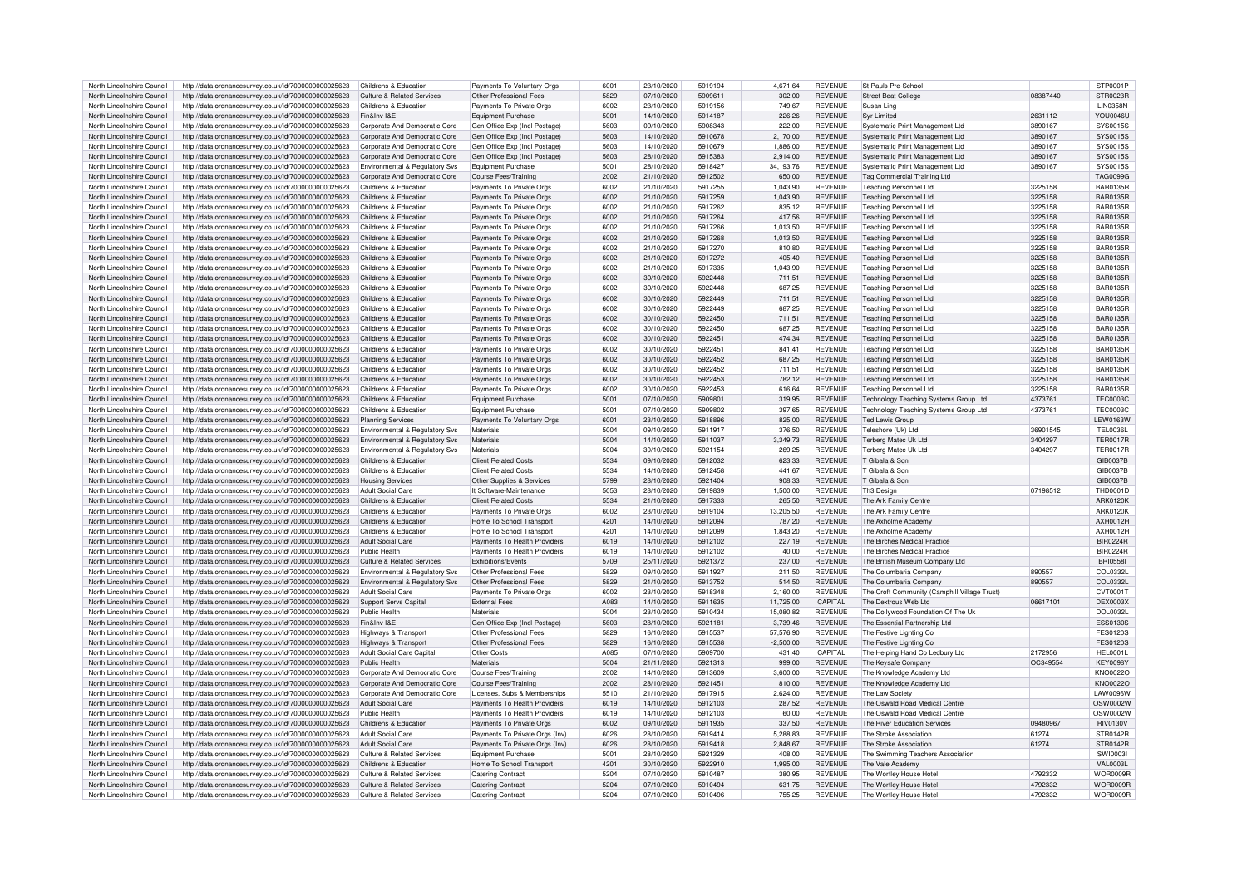| North Lincolnshire Council | http://data.ordnancesurvey.co.uk/id/7000000000025623                                                         | Childrens & Education                 | Payments To Voluntary Orgs                           | 6001 | 23/10/2020               | 5919194 | 4,671.64    | <b>REVENUE</b>                   | St Pauls Pre-School                                |                    | STP0001P             |
|----------------------------|--------------------------------------------------------------------------------------------------------------|---------------------------------------|------------------------------------------------------|------|--------------------------|---------|-------------|----------------------------------|----------------------------------------------------|--------------------|----------------------|
|                            |                                                                                                              |                                       |                                                      |      |                          |         |             |                                  |                                                    |                    |                      |
| North Lincolnshire Council | http://data.ordnancesurvey.co.uk/id/7000000000025623                                                         | Culture & Related Services            | Other Professional Fees                              | 5829 | 07/10/2020               | 5909611 | 302.00      | <b>REVENUE</b>                   | <b>Street Beat College</b>                         | 08387440           | STR0023R             |
| North Lincolnshire Council | http://data.ordnancesurvey.co.uk/id/7000000000025623                                                         | Childrens & Education                 | Payments To Private Orgs                             | 6002 | 23/10/2020               | 5919156 | 749.67      | <b>REVENUE</b>                   | Susan Ling                                         |                    | <b>LIN0358N</b>      |
| North Lincolnshire Council | http://data.ordnancesurvey.co.uk/id/7000000000025623                                                         | Fin&Inv I&F                           | Foujoment Purchase                                   | 5001 | 14/10/2020               | 5914187 | 226.26      | <b>REVENUE</b>                   | <b>Syr Limited</b>                                 | 2631112            | <b>YOU0046L</b>      |
| North Lincolnshire Council | http://data.ordnancesurvey.co.uk/id/7000000000025623                                                         | Corporate And Democratic Core         | Gen Office Exp (Incl Postage                         | 5603 | 09/10/2020               | 5908343 | 222.00      | <b>REVENUE</b>                   | Systematic Print Management Ltd                    | 3890167            | SYS0015S             |
|                            |                                                                                                              |                                       |                                                      |      |                          |         |             |                                  |                                                    |                    |                      |
| North Lincolnshire Council | http://data.ordnancesurvey.co.uk/id/7000000000025623                                                         | Corporate And Democratic Core         | Gen Office Exp (Incl Postage                         | 5603 | 14/10/2020               | 5910678 | 2,170.00    | <b>REVENUE</b>                   | Systematic Print Management Ltd                    | 3890167            | SYS0015S             |
| North Lincolnshire Council | http://data.ordnancesurvey.co.uk/id/7000000000025623                                                         | Corporate And Democratic Core         | Gen Office Exp (Incl Postage)                        | 5603 | 14/10/2020               | 5910679 | 1.886.00    | <b>REVENUE</b>                   | Systematic Print Management Ltd                    | 3890167            | SYS0015S             |
| North Lincolnshire Council | http://data.ordnancesurvey.co.uk/id/7000000000025623                                                         | Corporate And Democratic Core         | Gen Office Exp (Incl Postage)                        | 5603 | 28/10/2020               | 5915383 | 2.914.00    | <b>REVENUE</b>                   | Systematic Print Management Ltd                    | 3890167            | <b>SYS0015S</b>      |
|                            |                                                                                                              |                                       |                                                      | 5001 | 28/10/2020               | 5918427 |             |                                  |                                                    | 3890167            |                      |
| North Lincolnshire Council | http://data.ordnancesurvey.co.uk/id/7000000000025623                                                         | Environmental & Regulatory Svs        | <b>Equipment Purchase</b>                            |      |                          |         | 34,193.76   | <b>REVENUE</b>                   | Systematic Print Management Ltd                    |                    | SYS0015S             |
| North Lincolnshire Council | http://data.ordnancesurvey.co.uk/id/7000000000025623                                                         | Corporate And Democratic Core         | Course Fees/Training                                 | 2002 | 21/10/2020               | 5912502 | 650.00      | <b>REVENUE</b>                   | Tag Commercial Training Ltd                        |                    | <b>TAG0099G</b>      |
| North Lincolnshire Council | http://data.ordnancesurvey.co.uk/id/7000000000025623                                                         | Childrens & Education                 | Payments To Private Oras                             | 6002 | 21/10/2020               | 5917255 | 1.043.90    | <b>REVENUE</b>                   | <b>Teaching Personnel Ltd</b>                      | 3225158            | <b>BAR0135R</b>      |
| North Lincolnshire Council | http://data.ordnancesurvey.co.uk/id/7000000000025623                                                         | Childrens & Education                 | Payments To Private Orgs                             | 6002 | 21/10/2020               | 5917259 | 1,043.90    | <b>REVENUE</b>                   | <b>Teaching Personnel Ltd</b>                      | 3225158            | <b>BAR0135R</b>      |
|                            |                                                                                                              |                                       |                                                      |      |                          |         |             |                                  |                                                    |                    |                      |
| North Lincolnshire Council | http://data.ordnancesurvey.co.uk/id/7000000000025623                                                         | Childrens & Education                 | Payments To Private Orgs                             | 6002 | 21/10/2020               | 5917262 | 835.12      | <b>REVENUE</b>                   | <b>Teaching Personnel Ltd</b>                      | 3225158            | <b>BAR0135R</b>      |
| North Lincolnshire Council | http://data.ordnancesurvey.co.uk/id/7000000000025623                                                         | Childrens & Education                 | Payments To Private Orgs                             | 6002 | 21/10/2020               | 5917264 | 417.56      | <b>REVENUE</b>                   | <b>Teaching Personnel Ltd</b>                      | 3225158            | BAR0135F             |
| North Lincolnshire Council | http://data.ordnancesurvey.co.uk/id/7000000000025623                                                         | Childrens & Education                 | Payments To Private Orgs                             | 6002 | 21/10/2020               | 5917266 | 1,013.50    | <b>REVENUE</b>                   | <b>Teaching Personnel Ltd</b>                      | 3225158            | <b>BAR0135R</b>      |
|                            |                                                                                                              |                                       |                                                      |      |                          |         |             |                                  |                                                    |                    |                      |
| North Lincolnshire Council | http://data.ordnancesurvey.co.uk/id/7000000000025623                                                         | Childrens & Education                 | Payments To Private Orgs                             | 6002 | 21/10/2020               | 5917268 | 1,013.50    | <b>REVENUE</b>                   | <b>Teaching Personnel Ltd</b>                      | 3225158            | <b>BAR0135R</b>      |
| North Lincolnshire Council | http://data.ordnancesurvey.co.uk/id/7000000000025623                                                         | Childrens & Education                 | Payments To Private Orgs                             | 6002 | 21/10/2020               | 5917270 | 810.80      | <b>REVENUE</b>                   | <b>Teaching Personnel Ltd</b>                      | 3225158            | <b>BAR0135R</b>      |
| North Lincolnshire Council | http://data.ordnancesurvey.co.uk/id/7000000000025623                                                         | Childrens & Education                 | Payments To Private Orgs                             | 6002 | 21/10/2020               | 5917272 | 405.40      | <b>REVENUE</b>                   | <b>Teaching Personnel Ltd</b>                      | 3225158            | BAR0135B             |
|                            |                                                                                                              |                                       |                                                      |      |                          |         |             |                                  |                                                    |                    | BAR0135F             |
| North Lincolnshire Council | http://data.ordnancesurvey.co.uk/id/7000000000025623                                                         | Childrens & Education                 | Payments To Private Orgs                             | 6002 | 21/10/2020               | 5917335 | 1,043.90    | <b>REVENUE</b>                   | <b>Teaching Personnel Ltd</b>                      | 3225158            |                      |
| North Lincolnshire Council | http://data.ordnancesurvey.co.uk/id/7000000000025623                                                         | Childrens & Education                 | Payments To Private Orgs                             | 6002 | 30/10/2020               | 5922448 | 711.51      | <b>REVENUE</b>                   | <b>Teaching Personnel Ltd</b>                      | 3225158            | <b>BAR0135R</b>      |
| North Lincolnshire Council | http://data.ordnancesurvey.co.uk/id/7000000000025623                                                         | Childrens & Education                 | Payments To Private Orgs                             | 6002 | 30/10/2020               | 5922448 | 687.25      | <b>REVENUE</b>                   | <b>Teaching Personnel Ltd</b>                      | 3225158            | BAR0135F             |
| North Lincolnshire Council | http://data.ordnancesurvey.co.uk/id/7000000000025623                                                         | Childrens & Education                 | Payments To Private Orgs                             | 6002 | 30/10/2020               | 5922449 | 711.51      | <b>REVENUE</b>                   | <b>Teaching Personnel Ltd</b>                      | 3225158            | <b>BAR0135R</b>      |
|                            |                                                                                                              |                                       |                                                      |      |                          |         |             |                                  |                                                    |                    |                      |
| North Lincolnshire Council | http://data.ordnancesurvey.co.uk/id/7000000000025623                                                         | Childrens & Education                 | Payments To Private Orgs                             | 6002 | 30/10/2020               | 5922449 | 687.25      | <b>REVENUE</b>                   | <b>Teaching Personnel Ltd</b>                      | 3225158            | <b>BAR0135R</b>      |
| North Lincolnshire Council | http://data.ordnancesurvey.co.uk/id/7000000000025623                                                         | Childrens & Education                 | Payments To Private Orgs                             | 6002 | 30/10/2020               | 5922450 | 711.51      | <b>REVENUE</b>                   | <b>Teaching Personnel Ltd</b>                      | 3225158            | BAR0135F             |
| North Lincolnshire Council | http://data.ordnancesurvey.co.uk/id/7000000000025623                                                         | Childrens & Education                 | Payments To Private Orgs                             | 6002 | 30/10/2020               | 5922450 | 687.25      | <b>REVENUE</b>                   | <b>Teaching Personnel Ltd</b>                      | 3225158            | <b>BAR0135R</b>      |
|                            |                                                                                                              |                                       |                                                      |      |                          |         |             |                                  |                                                    |                    |                      |
| North Lincolnshire Council | http://data.ordnancesurvey.co.uk/id/7000000000025623                                                         | Childrens & Education                 | Payments To Private Orgs                             | 6002 | 30/10/2020               | 592245  | 474.34      | <b>REVENUE</b>                   | <b>Teaching Personnel Ltd</b>                      | 3225158            | BAR0135F             |
| North Lincolnshire Council | http://data.ordnancesurvey.co.uk/id/7000000000025623                                                         | Childrens & Education                 | Payments To Private Orgs                             | 6002 | 30/10/2020               | 5922451 | 841.41      | <b>REVENUE</b>                   | <b>Teaching Personnel Ltd</b>                      | 3225158            | <b>BAR0135R</b>      |
| North Lincolnshire Council | http://data.ordnancesurvey.co.uk/id/7000000000025623                                                         | Childrens & Education                 | Payments To Private Orgs                             | 6002 | 30/10/2020               | 5922452 | 687.25      | <b>REVENUE</b>                   | <b>Teaching Personnel Ltd</b>                      | 3225158            | <b>BAR0135R</b>      |
|                            |                                                                                                              |                                       |                                                      |      |                          |         |             |                                  |                                                    |                    |                      |
| North Lincolnshire Council | http://data.ordnancesurvey.co.uk/id/7000000000025623                                                         | Childrens & Education                 | Payments To Private Orgs                             | 6002 | 30/10/2020               | 5922452 | 711.51      | <b>REVENUE</b>                   | <b>Teaching Personnel Ltd</b>                      | 3225158            | <b>BAR0135R</b>      |
| North Lincolnshire Council | http://data.ordnancesurvey.co.uk/id/7000000000025623                                                         | Childrens & Education                 | Payments To Private Orgs                             | 6002 | 30/10/2020               | 5922453 | 782.12      | <b>REVENUE</b>                   | <b>Teaching Personnel Ltd</b>                      | 3225158            | <b>BAR0135R</b>      |
| North Lincolnshire Council | http://data.ordnancesurvey.co.uk/id/7000000000025623                                                         | Childrens & Education                 | Payments To Private Orgs                             | 6002 | 30/10/2020               | 5922453 | 616.64      | <b>REVENUE</b>                   | <b>Teaching Personnel Ltd</b>                      | 3225158            | <b>BAR0135R</b>      |
| North Lincolnshire Council | http://data.ordnancesurvey.co.uk/id/7000000000025623                                                         | Childrens & Education                 | <b>Equipment Purchase</b>                            | 5001 | 07/10/2020               | 5909801 | 319.95      | <b>REVENUE</b>                   |                                                    |                    | <b>TEC0003C</b>      |
|                            |                                                                                                              |                                       |                                                      |      |                          |         |             |                                  | Technology Teaching Systems Group Ltd              | 4373761            |                      |
| North Lincolnshire Council | http://data.ordnancesurvey.co.uk/id/7000000000025623                                                         | Childrens & Education                 | Equipment Purchase                                   | 5001 | 07/10/2020               | 5909802 | 397.65      | <b>REVENUE</b>                   | Technology Teaching Systems Group Ltd              | 4373761            | <b>TEC0003C</b>      |
| North Lincolnshire Council | http://data.ordnancesurvey.co.uk/id/7000000000025623                                                         | <b>Planning Services</b>              | Payments To Voluntary Orgs                           | 6001 | 23/10/2020               | 5918896 | 825.00      | <b>REVENUE</b>                   | <b>Ted Lewis Group</b>                             |                    | <b>LEW0163V</b>      |
| North Lincolnshire Council | http://data.ordnancesurvey.co.uk/id/7000000000025623                                                         | Environmental & Regulatory Svs        | Materials                                            | 5004 | 09/10/2020               | 5911917 | 376.50      | <b>REVENUE</b>                   | Teleshore (Uk) Ltd                                 | 36901545           | <b>TEL0036L</b>      |
|                            |                                                                                                              |                                       |                                                      |      |                          |         |             |                                  |                                                    |                    |                      |
| North Lincolnshire Council | http://data.ordnancesurvey.co.uk/id/7000000000025623                                                         | Environmental & Regulatory Svs        | Materials                                            | 5004 | 14/10/2020               | 5911037 | 3,349.73    | <b>REVENUE</b>                   | Terberg Matec Uk Ltd                               | 3404297            | <b>TER0017R</b>      |
| North Lincolnshire Council | http://data.ordnancesurvey.co.uk/id/7000000000025623                                                         | Environmental & Regulatory Svs        | Materials                                            | 5004 | 30/10/2020               | 5921154 | 269.25      | <b>REVENUE</b>                   | Terberg Matec Uk Ltd                               | 3404297            | <b>TER0017R</b>      |
| North Lincolnshire Council | http://data.ordnancesurvey.co.uk/id/7000000000025623                                                         | Childrens & Education                 | <b>Client Related Costs</b>                          | 5534 | 09/10/2020               | 5912032 | 623.33      | <b>REVENUE</b>                   | T Gibala & Son                                     |                    | GIB0037B             |
| North Lincolnshire Council |                                                                                                              | Childrens & Education                 | <b>Client Related Costs</b>                          | 5534 |                          | 5912458 | 441.67      | <b>REVENUE</b>                   | T Gibala & Son                                     |                    | GIB0037B             |
|                            | http://data.ordnancesurvey.co.uk/id/7000000000025623                                                         |                                       |                                                      |      | 14/10/2020               |         |             |                                  |                                                    |                    |                      |
| North Lincolnshire Council | http://data.ordnancesurvey.co.uk/id/7000000000025623                                                         | <b>Housing Services</b>               | Other Supplies & Services                            | 5799 | 28/10/2020               | 5921404 | 908.33      | <b>REVENUE</b>                   | T Gibala & Son                                     |                    | GIB0037B             |
| North Lincolnshire Council | http://data.ordnancesurvey.co.uk/id/7000000000025623                                                         | <b>Adult Social Care</b>              | It Software-Maintenance                              | 5053 | 28/10/2020               | 5919839 | 1,500.00    | <b>REVENUE</b>                   | Th3 Design                                         | 07198512           | <b>THD0001D</b>      |
| North Lincolnshire Council | http://data.ordnancesurvey.co.uk/id/7000000000025623                                                         | Childrens & Education                 | <b>Client Related Costs</b>                          | 5534 | 21/10/2020               | 5917333 | 265.50      | <b>REVENUE</b>                   | The Ark Family Centre                              |                    | <b>ARK0120K</b>      |
|                            |                                                                                                              |                                       |                                                      |      |                          |         |             |                                  |                                                    |                    |                      |
| North Lincolnshire Council | http://data.ordnancesurvey.co.uk/id/7000000000025623                                                         | Childrens & Education                 | Payments To Private Orgs                             | 6002 | 23/10/2020               | 5919104 | 13,205.50   | <b>REVENUE</b>                   | The Ark Family Centre                              |                    | ARK0120K             |
| North Lincolnshire Council | http://data.ordnancesurvey.co.uk/id/7000000000025623                                                         | Childrens & Education                 | Home To School Transport                             | 4201 | 14/10/2020               | 5912094 | 787.20      | <b>REVENUE</b>                   | The Axholme Academy                                |                    | AXH0012H             |
| North Lincolnshire Council | http://data.ordnancesurvey.co.uk/id/7000000000025623                                                         | Childrens & Education                 | Home To School Transport                             | 4201 | 14/10/2020               | 5912099 | 1.843.20    | <b>REVENUE</b>                   | The Axholme Academ                                 |                    | AXH0012H             |
|                            |                                                                                                              | <b>Adult Social Care</b>              |                                                      | 6019 | 14/10/2020               | 5912102 |             | <b>REVENUE</b>                   | The Birches Medical Practice                       |                    | <b>BIR0224F</b>      |
| North Lincolnshire Council | http://data.ordnancesurvey.co.uk/id/7000000000025623                                                         |                                       | Payments To Health Providers                         |      |                          |         | 227.19      |                                  |                                                    |                    |                      |
| North Lincolnshire Council | http://data.ordnancesurvey.co.uk/id/7000000000025623                                                         | Public Health                         | Payments To Health Providers                         | 6019 | 14/10/2020               | 5912102 | 40.00       | <b>REVENUE</b>                   | The Birches Medical Practice                       |                    | <b>BIR0224R</b>      |
| North Lincolnshire Council | http://data.ordnancesurvey.co.uk/id/7000000000025623                                                         | <b>Culture &amp; Related Services</b> | <b>Exhibitions/Events</b>                            | 5709 | 25/11/2020               | 5921372 | 237.00      | <b>REVENUE</b>                   | The British Museum Company Ltd                     |                    | <b>BRI05581</b>      |
| North Lincolnshire Council | http://data.ordnancesurvey.co.uk/id/7000000000025623                                                         | Environmental & Regulatory Svs        | Other Professional Fees                              | 5829 | 09/10/2020               | 5911927 | 211.50      | <b>REVENUE</b>                   | The Columbaria Company                             | 890557             | COL0332L             |
|                            |                                                                                                              |                                       |                                                      |      |                          |         |             |                                  |                                                    |                    |                      |
| North Lincolnshire Council | http://data.ordnancesurvey.co.uk/id/7000000000025623                                                         | Environmental & Regulatory Svs        | Other Professional Fees                              |      |                          |         |             |                                  |                                                    |                    |                      |
| North Lincolnshire Council |                                                                                                              |                                       |                                                      | 5829 | 21/10/2020               | 5913752 | 514.50      | <b>REVENUE</b>                   | The Columbaria Company                             | 890557             | COL0332L             |
| North Lincolnshire Council | http://data.ordnancesurvey.co.uk/id/7000000000025623                                                         | <b>Adult Social Care</b>              | Payments To Private Orgs                             | 6002 | 23/10/2020               | 5918348 | 2,160.00    | <b>REVENUE</b>                   | The Croft Community (Camphill Village Trust)       |                    | CVT0001T             |
|                            |                                                                                                              |                                       | <b>External Fees</b>                                 | A083 |                          | 5911635 |             | CAPITAL                          | The Dextrous Web Ltd                               |                    | DEX0003X             |
|                            | http://data.ordnancesurvey.co.uk/id/7000000000025623                                                         | Support Servs Capital                 |                                                      |      | 14/10/2020               |         | 11,725.00   |                                  |                                                    | 06617101           |                      |
| North Lincolnshire Council | http://data.ordnancesurvey.co.uk/id/7000000000025623                                                         | <b>Public Health</b>                  | Materials                                            | 5004 | 23/10/2020               | 5910434 | 15,080.82   | <b>REVENUE</b>                   | The Dollywood Foundation Of The Uk                 |                    | <b>DOL0032L</b>      |
| North Lincolnshire Council | http://data.ordnancesurvey.co.uk/id/7000000000025623                                                         | Fin&Inv I&F                           | Gen Office Exp (Incl Postage)                        | 5603 | 28/10/2020               | 5921181 | 3,739.46    | <b>REVENUE</b>                   | The Essential Partnership Ltd                      |                    | <b>ESS0130S</b>      |
| North Lincolnshire Council | http://data.ordnancesurvey.co.uk/id/7000000000025623                                                         | Highways & Transport                  | Other Professional Fees                              | 5829 | 16/10/2020               | 5915537 | 57,576.90   | <b>REVENUE</b>                   | The Festive Lighting Co.                           |                    | <b>FES0120S</b>      |
| North Lincolnshire Council |                                                                                                              |                                       | Other Professional Fees                              |      | 16/10/2020               | 5915538 | $-2.500.00$ | REVENUE                          |                                                    |                    |                      |
|                            | http://data.ordnancesurvey.co.uk/id/7000000000025623                                                         | Highways & Transport                  |                                                      | 5829 |                          |         |             |                                  | The Festive Lighting Co.                           |                    | <b>FES0120S</b>      |
| North Lincolnshire Council | http://data.ordnancesurvey.co.uk/id/7000000000025623                                                         | Adult Social Care Capital             | Other Costs                                          | A085 | 07/10/2020               | 5909700 | 431.40      | CAPITAL                          | The Helping Hand Co Ledbury Ltd                    | 2172956            | <b>HFI 0001I</b>     |
| North Lincolnshire Council | http://data.ordnancesurvey.co.uk/id/7000000000025623                                                         | Public Health                         | Materials                                            | 5004 | 21/11/2020               | 5921313 | 999.00      | <b>REVENUE</b>                   | The Keysafe Company                                | OC349554           | <b>KEY0098Y</b>      |
| North Lincolnshire Council |                                                                                                              | Corporate And Democratic Core         | Course Fees/Training                                 | 2002 | 14/10/2020               | 5913609 | 3,600.00    | REVENUE                          |                                                    |                    | <b>KNO0022C</b>      |
|                            | http://data.ordnancesurvey.co.uk/id/7000000000025623                                                         |                                       |                                                      |      |                          |         |             |                                  | The Knowledge Academy Ltd                          |                    |                      |
| North Lincolnshire Council | http://data.ordnancesurvey.co.uk/id/7000000000025623                                                         | Corporate And Democratic Core         | Course Fees/Training                                 | 2002 | 28/10/2020               | 5921451 | 810.00      | <b>REVENUE</b>                   | The Knowledge Academy Ltd                          |                    | <b>KNO0022C</b>      |
| North Lincolnshire Council | http://data.ordnancesurvey.co.uk/id/7000000000025623                                                         | Corporate And Democratic Core         | Licenses, Subs & Memberships                         | 5510 | 21/10/2020               | 5917915 | 2,624.00    | <b>REVENUE</b>                   | The Law Society                                    |                    | <b>LAW0096W</b>      |
| North Lincolnshire Council | http://data.ordnancesurvey.co.uk/id/7000000000025623                                                         | Adult Social Care                     | Payments To Health Providers                         | 6019 | 14/10/2020               | 5912103 | 287.52      | <b>REVENUE</b>                   | The Oswald Road Medical Centre                     |                    | OSW0002W             |
| North Lincolnshire Council |                                                                                                              | Public Health                         |                                                      | 6019 | 14/10/2020               | 5912103 | 60.00       | <b>REVENUE</b>                   | The Oswald Road Medical Centre                     |                    |                      |
|                            | http://data.ordnancesurvey.co.uk/id/7000000000025623                                                         |                                       | Payments To Health Providers                         |      |                          |         |             |                                  |                                                    |                    | OSW0002W             |
| North Lincolnshire Council | http://data.ordnancesurvey.co.uk/id/7000000000025623                                                         | Childrens & Education                 | Payments To Private Orgs                             | 6002 | 09/10/2020               | 5911935 | 337.50      | <b>REVENUE</b>                   | The River Education Services                       | 09480967           | <b>RIV0130V</b>      |
| North Lincolnshire Council | http://data.ordnancesurvey.co.uk/id/7000000000025623                                                         | <b>Adult Social Care</b>              | Payments To Private Orgs (Inv)                       | 6026 | 28/10/2020               | 5919414 | 5.288.83    | <b>REVENUE</b>                   | The Stroke Association                             | 61274              | <b>STR0142R</b>      |
| North Lincolnshire Council | http://data.ordnancesurvey.co.uk/id/7000000000025623                                                         | <b>Adult Social Care</b>              | Payments To Private Orgs (Inv)                       | 6026 | 28/10/2020               | 5919418 | 2,848.67    | <b>REVENUE</b>                   | The Stroke Association                             | 61274              | <b>STR0142R</b>      |
|                            |                                                                                                              |                                       |                                                      |      |                          |         |             |                                  |                                                    |                    |                      |
| North Lincolnshire Council | http://data.ordnancesurvey.co.uk/id/7000000000025623                                                         | Culture & Related Services            | Equipment Purchase                                   | 5001 | 28/10/2020               | 5921329 | 408.00      | <b>REVENUE</b>                   | The Swimming Teachers Association                  |                    | SW100031             |
| North Lincolnshire Council | http://data.ordnancesurvey.co.uk/id/7000000000025623                                                         | Childrens & Education                 | Home To School Transport                             | 4201 | 30/10/2020               | 5922910 | 1,995.00    | <b>REVENUE</b>                   | The Vale Academy                                   |                    | <b>VAL0003L</b>      |
| North Lincolnshire Council | http://data.ordnancesurvey.co.uk/id/7000000000025623                                                         | Culture & Related Services            | <b>Catering Contract</b>                             | 5204 | 07/10/2020               | 5910487 | 380.95      | <b>REVENUE</b>                   | The Wortley House Hotel                            | 4792332            | WOR0009F             |
| North Lincolnshire Council |                                                                                                              | Culture & Related Services            |                                                      | 5204 |                          | 5910494 | 631.75      |                                  |                                                    |                    |                      |
| North Lincolnshire Council | http://data.ordnancesurvey.co.uk/id/7000000000025623<br>http://data.ordnancesurvey.co.uk/id/7000000000025623 | Culture & Related Services            | <b>Catering Contract</b><br><b>Catering Contract</b> | 5204 | 07/10/2020<br>07/10/2020 | 5910496 | 755.25      | <b>REVENUE</b><br><b>REVENUE</b> | The Wortley House Hotel<br>The Wortley House Hotel | 4792332<br>4792332 | WOR0009F<br>WOR0009R |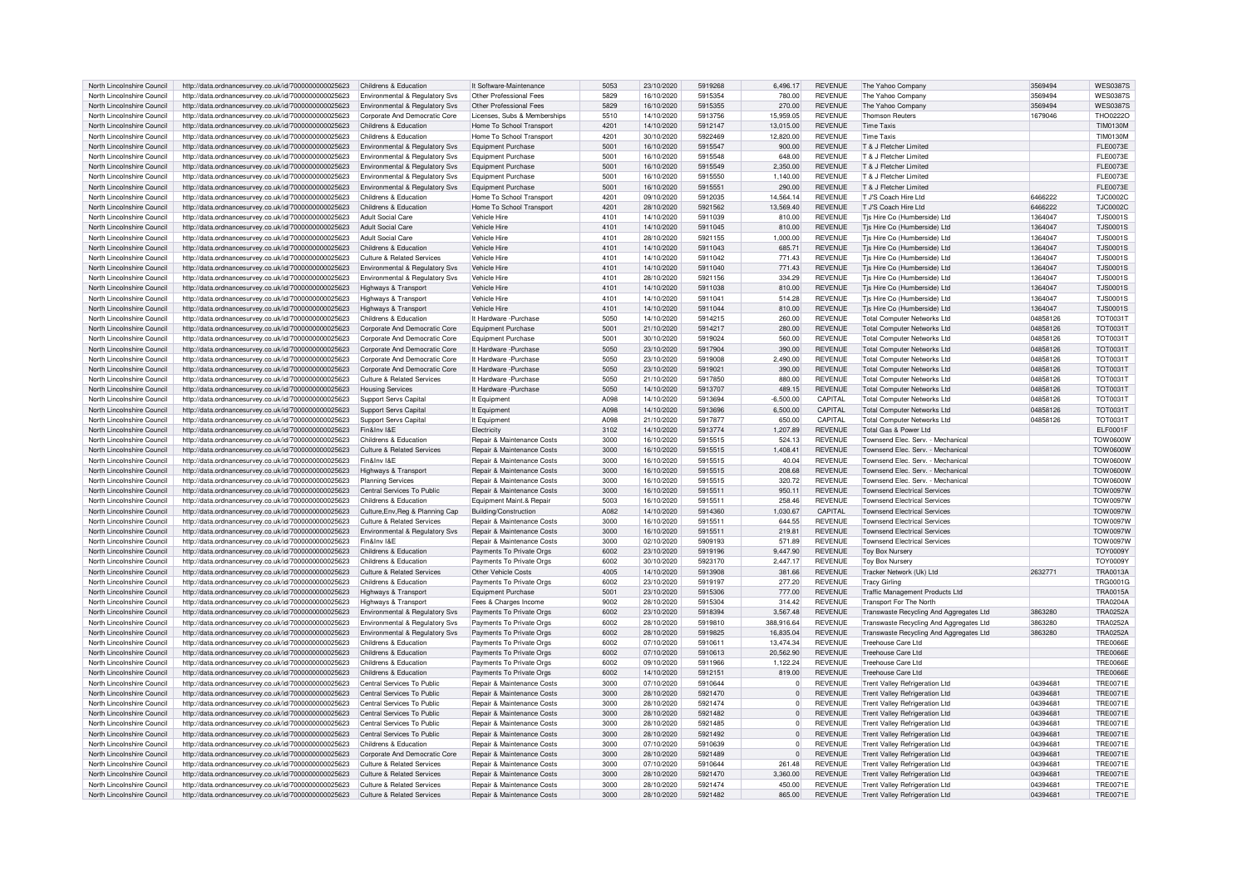| North Lincolnshire Council                               | http://data.ordnancesurvey.co.uk/id/7000000000025623                                                         | Childrens & Education                                    | It Software-Maintenance                                  | 5053          | 23/10/2020               | 5919268            | 6,496.17         | <b>REVENUE</b>                   | The Yahoo Compan                                                        | 3569494              | <b>WES0387S</b>                    |
|----------------------------------------------------------|--------------------------------------------------------------------------------------------------------------|----------------------------------------------------------|----------------------------------------------------------|---------------|--------------------------|--------------------|------------------|----------------------------------|-------------------------------------------------------------------------|----------------------|------------------------------------|
| North Lincolnshire Council                               | http://data.ordnancesurvey.co.uk/id/7000000000025623                                                         |                                                          | Other Professional Fees                                  | 5829          | 16/10/2020               | 5915354            | 780.00           | <b>REVENUE</b>                   |                                                                         | 3569494              | <b>WES0387S</b>                    |
|                                                          |                                                                                                              | Environmental & Regulatory Svs                           |                                                          |               |                          |                    |                  |                                  | The Yahoo Company                                                       |                      |                                    |
| North Lincolnshire Council                               | http://data.ordnancesurvey.co.uk/id/7000000000025623                                                         | Environmental & Regulatory Svs                           | <b>Other Professional Fees</b>                           | 5829          | 16/10/2020               | 5915355            | 270.00           | <b>REVENUE</b>                   | The Yahoo Company                                                       | 3569494              | <b>WES0387S</b>                    |
| North Lincolnshire Council                               | http://data.ordnancesurvey.co.uk/id/7000000000025623                                                         | Corporate And Democratic Core                            | Licenses, Subs & Memberships                             | 5510          | 14/10/2020               | 5913756            | 15,959.05        | <b>REVENUE</b>                   | Thomson Reuters                                                         | 1679046              | THO0222O                           |
| North Lincolnshire Council                               | http://data.ordnancesurvey.co.uk/id/7000000000025623                                                         | Childrens & Education                                    | Home To School Transpor                                  | 4201          | 14/10/2020               | 5912147            | 13.015.00        | <b>REVENUE</b>                   | <b>Time Taxis</b>                                                       |                      | <b>TIM0130M</b>                    |
| North Lincolnshire Council                               | http://data.ordnancesurvey.co.uk/id/7000000000025623                                                         | Childrens & Education                                    | Home To School Transport                                 | $420^{\circ}$ | 30/10/2020               | 5922469            | 12,820.00        | <b>REVENUE</b>                   | <b>Time Taxis</b>                                                       |                      | <b>TIM0130M</b>                    |
|                                                          |                                                                                                              |                                                          |                                                          |               |                          |                    |                  | <b>REVENUE</b>                   |                                                                         |                      |                                    |
| North Lincolnshire Council                               | http://data.ordnancesurvey.co.uk/id/7000000000025623                                                         | Environmental & Regulatory Svs                           | <b>Equipment Purchase</b>                                | 5001          | 16/10/2020               | 5915547            | 900.00           |                                  | T & J Fletcher Limited                                                  |                      | <b>FLE0073E</b>                    |
| North Lincolnshire Council                               | http://data.ordnancesurvey.co.uk/id/7000000000025623                                                         | Environmental & Regulatory Svs                           | <b>Equipment Purchase</b>                                | 5001          | 16/10/2020               | 5915548            | 648.00           | <b>REVENUE</b>                   | T & J Fletcher Limited                                                  |                      | FL E0073E                          |
| North Lincolnshire Council                               | http://data.ordnancesurvey.co.uk/id/7000000000025623                                                         | Environmental & Regulatory Svs                           | <b>Equipment Purchase</b>                                | 5001          | 16/10/2020               | 5915549            | 2,350.00         | <b>REVENUE</b>                   | T & J Fletcher Limited                                                  |                      | <b>FLE0073E</b>                    |
| North Lincolnshire Council                               | http://data.ordnancesurvey.co.uk/id/7000000000025623                                                         | Environmental & Regulatory Svs                           | <b>Equipment Purchase</b>                                | 500           | 16/10/2020               | 5915550            | 1,140.00         | <b>REVENUE</b>                   | T & J Fletcher Limited                                                  |                      | <b>FLE0073E</b>                    |
| North Lincolnshire Council                               | http://data.ordnancesurvey.co.uk/id/7000000000025623                                                         | Environmental & Regulatory Sys                           | Foujoment Purchase                                       | 5001          | 16/10/2020               | 5915551            | 290.00           | <b>REVENUE</b>                   | T & J Fletcher Limited                                                  |                      | <b>FLE0073E</b>                    |
|                                                          |                                                                                                              |                                                          |                                                          |               |                          |                    |                  |                                  |                                                                         |                      |                                    |
| North Lincolnshire Council                               | http://data.ordnancesurvey.co.uk/id/7000000000025623                                                         | Childrens & Education                                    | Home To School Transport                                 | 4201          | 09/10/2020               | 5912035            | 14,564.14        | <b>REVENUE</b>                   | T J'S Coach Hire Ltd                                                    | 6466222              | <b>TJC0002C</b>                    |
| North Lincolnshire Council                               | http://data.ordnancesurvey.co.uk/id/7000000000025623                                                         | Childrens & Education                                    | Home To School Transport                                 | 4201          | 28/10/2020               | 5921562            | 13,569.40        | <b>REVENUE</b>                   | T J'S Coach Hire I to                                                   | 6466222              | <b>TJC0002C</b>                    |
| North Lincolnshire Council                               | http://data.ordnancesurvey.co.uk/id/7000000000025623                                                         | <b>Adult Social Care</b>                                 | Vehicle Hire                                             | 4101          | 14/10/2020               | 5911039            | 810.00           | <b>REVENUE</b>                   | Tjs Hire Co (Humberside) Ltd                                            | 1364047              | <b>TJS0001S</b>                    |
| North Lincolnshire Council                               | http://data.ordnancesurvey.co.uk/id/7000000000025623                                                         | <b>Adult Social Care</b>                                 | Vehicle Hire                                             | 4101          | 14/10/2020               | 5911045            | 810.00           | <b>REVENUE</b>                   | Tis Hire Co (Humberside) Ltd                                            | 1364047              | <b>TJS0001S</b>                    |
| North Lincolnshire Council                               | http://data.ordnancesurvey.co.uk/id/7000000000025623                                                         | <b>Adult Social Care</b>                                 | Vehicle Hire                                             | 4101          | 28/10/2020               | 5921155            | 1.000.00         | <b>REVENUE</b>                   | Tis Hire Co (Humberside) Ltd                                            | 1364047              | <b>TJS0001S</b>                    |
|                                                          |                                                                                                              |                                                          |                                                          |               |                          |                    |                  |                                  |                                                                         |                      |                                    |
| North Lincolnshire Council                               | http://data.ordnancesurvey.co.uk/id/7000000000025623                                                         | Childrens & Education                                    | Vehicle Hire                                             | 4101          | 14/10/2020               | 5911043            | 685.71           | <b>REVENUE</b>                   | Tjs Hire Co (Humberside) Ltd                                            | 1364047              | <b>TJS0001S</b>                    |
| North Lincolnshire Council                               | http://data.ordnancesurvey.co.uk/id/7000000000025623                                                         | Culture & Related Services                               | Vehicle Hire                                             | 4101          | 14/10/2020               | 5911042            | 771.43           | <b>REVENUE</b>                   | Tis Hire Co (Humberside) Ltd                                            | 1364047              | <b>TJS0001S</b>                    |
| North Lincolnshire Council                               | http://data.ordnancesurvey.co.uk/id/7000000000025623                                                         | Environmental & Regulatory Svs                           | Vehicle Hire                                             | 4101          | 14/10/2020               | 5911040            | 771.43           | <b>REVENUE</b>                   | Tjs Hire Co (Humberside) Ltd                                            | 1364047              | <b>TJS0001S</b>                    |
| North Lincolnshire Council                               | http://data.ordnancesurvey.co.uk/id/7000000000025623                                                         | Environmental & Regulatory Svs                           | Vehicle Hire                                             | 4101          | 28/10/2020               | 5921156            | 334.29           | <b>REVENUE</b>                   | Tis Hire Co (Humberside) Ltd                                            | 1364047              | T.IS0001S                          |
| North Lincolnshire Council                               | http://data.ordnancesurvey.co.uk/id/7000000000025623                                                         | Highways & Transport                                     | Vehicle Hire                                             | 4101          | 14/10/2020               | 5911038            | 810.00           | <b>REVENUE</b>                   | Tis Hire Co (Humberside) Ltd                                            | 1364047              | <b>TJS0001S</b>                    |
| North Lincolnshire Council                               |                                                                                                              |                                                          | Vehicle Hire                                             | 4101          |                          | 5911041            |                  | <b>REVENUE</b>                   |                                                                         | 1364047              | <b>TJS0001S</b>                    |
|                                                          | http://data.ordnancesurvey.co.uk/id/7000000000025623                                                         | Highways & Transport                                     |                                                          |               | 14/10/2020               |                    | 514.28           |                                  | Tis Hire Co (Humberside) Ltd                                            |                      |                                    |
| North Lincolnshire Council                               | http://data.ordnancesurvey.co.uk/id/7000000000025623                                                         | Highways & Transport                                     | Vehicle Hire                                             | 4101          | 14/10/2020               | 5911044            | 810.00           | <b>REVENUE</b>                   | Tis Hire Co (Humberside) Ltd                                            | 1364047              | <b>TJS0001S</b>                    |
| North Lincolnshire Council                               | http://data.ordnancesurvey.co.uk/id/7000000000025623                                                         | Childrens & Education                                    | It Hardware - Purchase                                   | 5050          | 14/10/2020               | 5914215            | 260.00           | <b>REVENUE</b>                   | <b>Total Computer Networks Ltd</b>                                      | 04858126             | TOT0031T                           |
| North Lincolnshire Council                               | http://data.ordnancesurvey.co.uk/id/7000000000025623                                                         | Cornorate And Democratic Core                            | Foujoment Purchase                                       | 5001          | 21/10/2020               | 5914217            | 280.00           | <b>REVENUE</b>                   | <b>Total Computer Networks Ltd</b>                                      | 04858126             | TOT00311                           |
| North Lincolnshire Council                               | http://data.ordnancesurvey.co.uk/id/7000000000025623                                                         | Corporate And Democratic Core                            | <b>Equipment Purchase</b>                                | 5001          | 30/10/2020               | 5919024            | 560.00           | <b>REVENUE</b>                   | <b>Total Computer Networks Ltd</b>                                      | 04858126             | TOT0031T                           |
| North Lincolnshire Council                               | http://data.ordnancesurvey.co.uk/id/7000000000025623                                                         | Corporate And Democratic Core                            | It Hardware - Purchase                                   | 5050          | 23/10/2020               | 5917904            | 390.00           | <b>REVENUE</b>                   | <b>Total Computer Networks Ltd</b>                                      | 04858126             | <b>TOT0031T</b>                    |
|                                                          |                                                                                                              |                                                          |                                                          |               |                          |                    |                  |                                  |                                                                         |                      |                                    |
| North Lincolnshire Council                               | http://data.ordnancesurvey.co.uk/id/7000000000025623                                                         | Corporate And Democratic Core                            | It Hardware - Purchase                                   | 5050          | 23/10/2020               | 5919008            | 2,490.00         | <b>REVENUE</b>                   | <b>Total Computer Networks Ltd</b>                                      | 04858126             | TOT0031T                           |
| North Lincolnshire Council                               | http://data.ordnancesurvey.co.uk/id/7000000000025623                                                         | Corporate And Democratic Core                            | It Hardware - Purchase                                   | 5050          | 23/10/2020               | 5919021            | 390.00           | <b>REVENUE</b>                   | <b>Total Computer Networks Ltd</b>                                      | 04858126             | <b>TOT0031T</b>                    |
| North Lincolnshire Council                               | http://data.ordnancesurvey.co.uk/id/7000000000025623                                                         | Culture & Related Services                               | It Hardware - Purchase                                   | 5050          | 21/10/2020               | 5917850            | 880.00           | <b>REVENUE</b>                   | <b>Total Computer Networks Ltd</b>                                      | 04858126             | <b>TOT0031T</b>                    |
| North Lincolnshire Council                               | http://data.ordnancesurvey.co.uk/id/7000000000025623                                                         | <b>Housing Services</b>                                  | It Hardware - Purchase                                   | 5050          | 14/10/2020               | 5913707            | 489.15           | <b>REVENUE</b>                   | <b>Total Computer Networks Ltd</b>                                      | 04858126             | <b>TOT0031T</b>                    |
|                                                          |                                                                                                              |                                                          |                                                          | A098          | 14/10/2020               | 5913694            |                  | CAPITAL                          |                                                                         | 04858126             | <b>TOT0031T</b>                    |
| North Lincolnshire Council                               | http://data.ordnancesurvey.co.uk/id/7000000000025623                                                         | Support Servs Capital                                    | It Equipment                                             |               |                          |                    | $-6,500.00$      |                                  | <b>Total Computer Networks Ltd</b>                                      |                      |                                    |
| North Lincolnshire Council                               | http://data.ordnancesurvey.co.uk/id/7000000000025623                                                         | <b>Support Servs Capital</b>                             | It Equipment                                             | A098          | 14/10/2020               | 5913696            | 6,500.00         | CAPITAL                          | <b>Total Computer Networks Ltd</b>                                      | 04858126             | <b>TOT0031T</b>                    |
| North Lincolnshire Council                               | http://data.ordnancesurvey.co.uk/id/7000000000025623                                                         | Support Servs Capital                                    | It Equipment                                             | A098          | 21/10/2020               | 5917877            | 650.00           | CAPITAL                          | Total Computer Networks Ltd                                             | 04858126             | TOT0031T                           |
| North Lincolnshire Council                               | http://data.ordnancesurvey.co.uk/id/7000000000025623                                                         | Fin&Inv I&F                                              | Flectricity                                              | 3102          | 14/10/2020               | 5913774            | 1.207.89         | <b>REVENUE</b>                   | Total Gas & Power Ltd                                                   |                      | <b>ELF0001F</b>                    |
| North Lincolnshire Council                               | http://data.ordnancesurvey.co.uk/id/7000000000025623                                                         | Childrens & Education                                    | <b>Benair &amp; Maintenance Costs</b>                    | 3000          | 16/10/2020               | 5915515            | 524.13           | <b>REVENUE</b>                   | Townsend Elec. Serv. - Mechanical                                       |                      | <b>TOW0600W</b>                    |
| North Lincolnshire Council                               |                                                                                                              | Culture & Related Services                               | <b>Benair &amp; Maintenance Costs</b>                    | 3000          | 16/10/2020               | 5915515            |                  | <b>REVENUE</b>                   |                                                                         |                      | <b>TOW0600W</b>                    |
|                                                          | http://data.ordnancesurvey.co.uk/id/7000000000025623                                                         |                                                          |                                                          |               |                          |                    | 1,408.41         |                                  | Townsend Elec. Serv. - Mechanica                                        |                      |                                    |
| North Lincolnshire Council                               | http://data.ordnancesurvey.co.uk/id/7000000000025623                                                         | Fin&Inv I&F                                              | Repair & Maintenance Costs                               | 3000          | 16/10/2020               | 5915515            | 40.04            | <b>REVENUE</b>                   | Townsend Elec. Serv. - Mechanica                                        |                      | <b>TOW0600W</b>                    |
| North Lincolnshire Council                               | http://data.ordnancesurvey.co.uk/id/7000000000025623                                                         | Highways & Transpor                                      | Repair & Maintenance Costs                               | 3000          | 16/10/2020               | 5915515            | 208.68           | <b>REVENUE</b>                   | Townsend Elec. Serv. - Mechanica                                        |                      | <b>TOW0600W</b>                    |
| North Lincolnshire Council                               | http://data.ordnancesurvey.co.uk/id/7000000000025623                                                         | <b>Planning Services</b>                                 | Repair & Maintenance Costs                               | 3000          | 16/10/2020               | 5915515            | 320.72           | <b>REVENUE</b>                   | Townsend Elec. Serv. - Mechanica                                        |                      | <b>TOW0600W</b>                    |
| North Lincolnshire Council                               | http://data.ordnancesurvey.co.uk/id/7000000000025623                                                         | Central Services To Public                               | Repair & Maintenance Costs                               | 3000          | 16/10/2020               | 5915511            | 950.11           | <b>REVENUE</b>                   | <b>Townsend Flectrical Services</b>                                     |                      | <b>TOW0097W</b>                    |
| North Lincolnshire Council                               |                                                                                                              | Childrens & Education                                    |                                                          | 5003          | 16/10/2020               | 591551             | 258.46           | <b>REVENUE</b>                   | <b>Townsend Electrical Services</b>                                     |                      | <b>TOW0097W</b>                    |
|                                                          | http://data.ordnancesurvey.co.uk/id/7000000000025623                                                         |                                                          | Equipment Maint.& Repair                                 |               |                          |                    |                  |                                  |                                                                         |                      |                                    |
| North Lincolnshire Council                               | http://data.ordnancesurvey.co.uk/id/7000000000025623                                                         | Culture, Env, Reg & Planning Cap                         | Building/Construction                                    | A082          | 14/10/2020               | 5914360            | 1,030.67         | CAPITAL                          | <b>Townsend Flectrical Services</b>                                     |                      | <b>TOW0097W</b>                    |
| North Lincolnshire Council                               | http://data.ordnancesurvey.co.uk/id/7000000000025623                                                         | Culture & Related Services                               | <b>Benair &amp; Maintenance Costs</b>                    | 3000          | 16/10/2020               | 591551             | 644.55           | <b>REVENUE</b>                   | Townsend Electrical Services                                            |                      | <b>TOW0097V</b>                    |
| North Lincolnshire Council                               | http://data.ordnancesurvey.co.uk/id/7000000000025623                                                         | Environmental & Regulatory Svs                           | Repair & Maintenance Costs                               | 3000          | 16/10/2020               | 591551             | 219.81           | <b>REVENUE</b>                   | <b>Townsend Electrical Services</b>                                     |                      | <b>TOW0097W</b>                    |
| North Lincolnshire Council                               | http://data.ordnancesurvey.co.uk/id/7000000000025623                                                         | Fin&Inv I&F                                              | Repair & Maintenance Costs                               | 3000          | 02/10/2020               | 5909193            | 571.89           | <b>REVENUE</b>                   | <b>Townsend Electrical Services</b>                                     |                      | <b>TOW0097W</b>                    |
|                                                          |                                                                                                              |                                                          |                                                          |               |                          | 5919196            |                  |                                  |                                                                         |                      | <b>TOY0009Y</b>                    |
| North Lincolnshire Council                               | http://data.ordnancesurvey.co.uk/id/7000000000025623                                                         | Childrens & Education                                    | Payments To Private Orgs                                 | 6002          | 23/10/2020               |                    | 9,447.90         | <b>REVENUE</b>                   | <b>Toy Box Nursery</b>                                                  |                      |                                    |
| North Lincolnshire Council                               | http://data.ordnancesurvey.co.uk/id/7000000000025623                                                         | Childrens & Education                                    | Payments To Private Orgs                                 | 6002          | 30/10/2020               | 5923170            | 2,447.17         | <b>REVENUE</b>                   | <b>Toy Box Nursery</b>                                                  |                      | <b>TOY0009Y</b>                    |
| North Lincolnshire Council                               | http://data.ordnancesurvey.co.uk/id/7000000000025623                                                         | Culture & Related Services                               | Other Vehicle Costs                                      | 4005          | 14/10/2020               | 5913908            | 381.66           | <b>REVENUE</b>                   | Tracker Network (Uk) Ltd                                                | 2632771              | <b>TRA0013A</b>                    |
| North Lincolnshire Council                               | http://data.ordnancesurvey.co.uk/id/7000000000025623                                                         | Childrens & Education                                    | Payments To Private Orgs                                 | 6002          | 23/10/2020               | 5919197            | 277.20           | <b>REVENUE</b>                   | <b>Tracy Girling</b>                                                    |                      | <b>TRG0001G</b>                    |
| North Lincolnshire Council                               | http://data.ordnancesurvey.co.uk/id/7000000000025623                                                         | Highways & Transport                                     | Equipment Purchase                                       | 5001          | 23/10/2020               | 5915306            | 777.00           | <b>REVENUE</b>                   | Traffic Management Products Ltd                                         |                      | <b>TRA0015A</b>                    |
| North Lincolnshire Council                               | http://data.ordnancesurvey.co.uk/id/7000000000025623                                                         | Highways & Transport                                     | Fees & Charges Income                                    | 9002          | 28/10/2020               | 5915304            | 314.42           | <b>REVENUE</b>                   | Transport For The North                                                 |                      | <b>TRA0204A</b>                    |
| North Lincolnshire Council                               |                                                                                                              |                                                          |                                                          | 6002          |                          | 5918394            |                  |                                  |                                                                         | 3863280              | <b>TRA0252A</b>                    |
|                                                          | http://data.ordnancesurvey.co.uk/id/7000000000025623                                                         | Environmental & Regulatory Svs                           | Payments To Private Orgs                                 |               | 23/10/2020               |                    | 3,567.48         | <b>REVENUE</b>                   | Transwaste Recycling And Aggregates Ltd                                 |                      |                                    |
| North Lincolnshire Council                               | http://data.ordnancesurvey.co.uk/id/7000000000025623                                                         | Environmental & Regulatory Svs                           | Payments To Private Orgs                                 | 6002          | 28/10/2020               | 5919810            | 388.916.64       | <b>REVENUE</b>                   | Transwaste Recycling And Aggregates Ltd                                 | 3863280              | <b>TRA0252A</b>                    |
| North Lincolnshire Council                               | http://data.ordnancesurvey.co.uk/id/7000000000025623                                                         | Environmental & Regulatory Svs                           | Payments To Private Orgs                                 | 6002          | 28/10/2020               | 5919825            | 16,835.04        | <b>REVENUE</b>                   | Transwaste Recycling And Aggregates Ltd                                 | 3863280              | TRA0252A                           |
| North Lincolnshire Council                               | http://data.ordnancesurvey.co.uk/id/7000000000025623                                                         | Childrens & Education                                    | Payments To Private Orgs                                 | 6002          | 07/10/2020               | 5910611            | 13,474.34        | <b>REVENUE</b>                   | Treehouse Care Ltd                                                      |                      | <b>TRE0066E</b>                    |
| North Lincolnshire Council                               | http://data.ordnancesurvey.co.uk/id/7000000000025623                                                         | Childrens & Education                                    | Payments To Private Orgs                                 | 6002          | 07/10/2020               | 5910613            | 20,562.90        | <b>REVENUE</b>                   | Treehouse Care Ltd                                                      |                      | <b>TRE0066E</b>                    |
|                                                          |                                                                                                              | Childrens & Education                                    |                                                          | 6002          |                          | 5911966            |                  |                                  | Treehouse Care I td                                                     |                      | <b>TRE0066F</b>                    |
| North Lincolnshire Council                               | http://data.ordnancesurvey.co.uk/id/7000000000025623                                                         |                                                          | Payments To Private Orgs                                 |               | 09/10/2020               |                    | 1,122.24         | <b>REVENUE</b>                   |                                                                         |                      |                                    |
| North Lincolnshire Council                               | http://data.ordnancesurvey.co.uk/id/7000000000025623                                                         | Childrens & Education                                    | Payments To Private Orgs                                 | 6002          | 14/10/2020               | 5912151            | 819.00           | <b>REVENUE</b>                   | Treehouse Care Ltd                                                      |                      | <b>TRE0066E</b>                    |
| North Lincolnshire Council                               | http://data.ordnancesurvey.co.uk/id/7000000000025623                                                         | Central Services To Public                               | Repair & Maintenance Costs                               | 3000          | 07/10/2020               | 5910644            |                  | <b>REVENUE</b>                   | <b>Trent Valley Refrigeration Ltd</b>                                   | 0439468              | <b>TRE0071E</b>                    |
| North Lincolnshire Council                               | http://data.ordnancesurvey.co.uk/id/7000000000025623                                                         | Central Services To Public                               | Repair & Maintenance Costs                               | 3000          | 28/10/2020               | 5921470            | $\Omega$         | <b>REVENUE</b>                   | <b>Trent Valley Refrigeration Ltd</b>                                   | 04394681             | <b>TRE0071E</b>                    |
| North Lincolnshire Council                               | http://data.ordnancesurvey.co.uk/id/7000000000025623                                                         | Central Services To Public                               | Repair & Maintenance Costs                               | 3000          | 28/10/2020               | 5921474            | $\Omega$         | <b>REVENUE</b>                   | <b>Trent Valley Refrigeration Ltd</b>                                   | 0439468              | <b>TRE0071E</b>                    |
| North Lincolnshire Council                               |                                                                                                              | Central Services To Public                               |                                                          | 3000          |                          | 5921482            | $\mathbf 0$      |                                  |                                                                         | 0439468              | <b>TRE0071E</b>                    |
|                                                          | http://data.ordnancesurvey.co.uk/id/7000000000025623                                                         |                                                          | Repair & Maintenance Costs                               |               | 28/10/2020               |                    |                  | <b>REVENUE</b>                   | <b>Trent Valley Refrigeration Ltd</b>                                   |                      |                                    |
| North Lincolnshire Council                               | http://data.ordnancesurvey.co.uk/id/7000000000025623                                                         | Central Services To Public                               | Repair & Maintenance Costs                               | 3000          | 28/10/2020               | 5921485            | $\Omega$         | <b>REVENUE</b>                   | <b>Trent Valley Refrigeration Ltd</b>                                   | 04394681             | <b>TRE0071E</b>                    |
| North Lincolnshire Council                               | http://data.ordnancesurvey.co.uk/id/7000000000025623                                                         | Central Services To Public                               | Repair & Maintenance Costs                               | 3000          | 28/10/2020               | 5921492            | $\Omega$         | <b>REVENUE</b>                   | Trent Valley Refrigeration Ltd                                          | 04394681             | <b>TRE0071E</b>                    |
| North Lincolnshire Council                               | http://data.ordnancesurvey.co.uk/id/7000000000025623                                                         | Childrens & Education                                    | Repair & Maintenance Costs                               | 3000          | 07/10/2020               | 5910639            | $\Omega$         | <b>REVENUE</b>                   | <b>Trent Valley Refrigeration Ltd</b>                                   | 0439468              | <b>TRE0071E</b>                    |
|                                                          |                                                                                                              |                                                          |                                                          |               |                          |                    |                  |                                  |                                                                         |                      | <b>TRE0071E</b>                    |
|                                                          |                                                                                                              |                                                          |                                                          | 3000          | 28/10/2020               | 5921489            | $\Omega$         | <b>REVENUE</b>                   |                                                                         | 0439468              |                                    |
| North Lincolnshire Council                               | http://data.ordnancesurvey.co.uk/id/7000000000025623                                                         | Corporate And Democratic Core                            | Repair & Maintenance Costs                               |               |                          |                    |                  |                                  | <b>Trent Valley Refrigeration Ltd</b>                                   |                      |                                    |
| North Lincolnshire Council                               | http://data.ordnancesurvey.co.uk/id/7000000000025623                                                         | Culture & Related Services                               | Repair & Maintenance Costs                               | 3000          | 07/10/2020               | 5910644            | 261.48           | <b>REVENUE</b>                   | Trent Valley Refrigeration Ltd                                          | 0439468              | <b>TRE0071E</b>                    |
| North Lincolnshire Council                               | http://data.ordnancesurvey.co.uk/id/7000000000025623                                                         | Culture & Related Services                               | <b>Benair &amp; Maintenance Costs</b>                    | 3000          | 28/10/2020               | 5921470            | 3.360.00         | <b>REVENUE</b>                   | <b>Trent Valley Refrigeration Ltd</b>                                   | 04394681             | TRF0071F                           |
| North Lincolnshire Council<br>North Lincolnshire Council | http://data.ordnancesurvey.co.uk/id/7000000000025623<br>http://data.ordnancesurvey.co.uk/id/7000000000025623 | Culture & Related Services<br>Culture & Related Services | Repair & Maintenance Costs<br>Repair & Maintenance Costs | 3000<br>3000  | 28/10/2020<br>28/10/2020 | 5921474<br>5921482 | 450.00<br>865.00 | <b>REVENUE</b><br><b>REVENUE</b> | <b>Trent Valley Refrigeration Ltd</b><br>Trent Valley Refrigeration Ltd | 04394681<br>04394681 | <b>TRE0071E</b><br><b>TRE0071E</b> |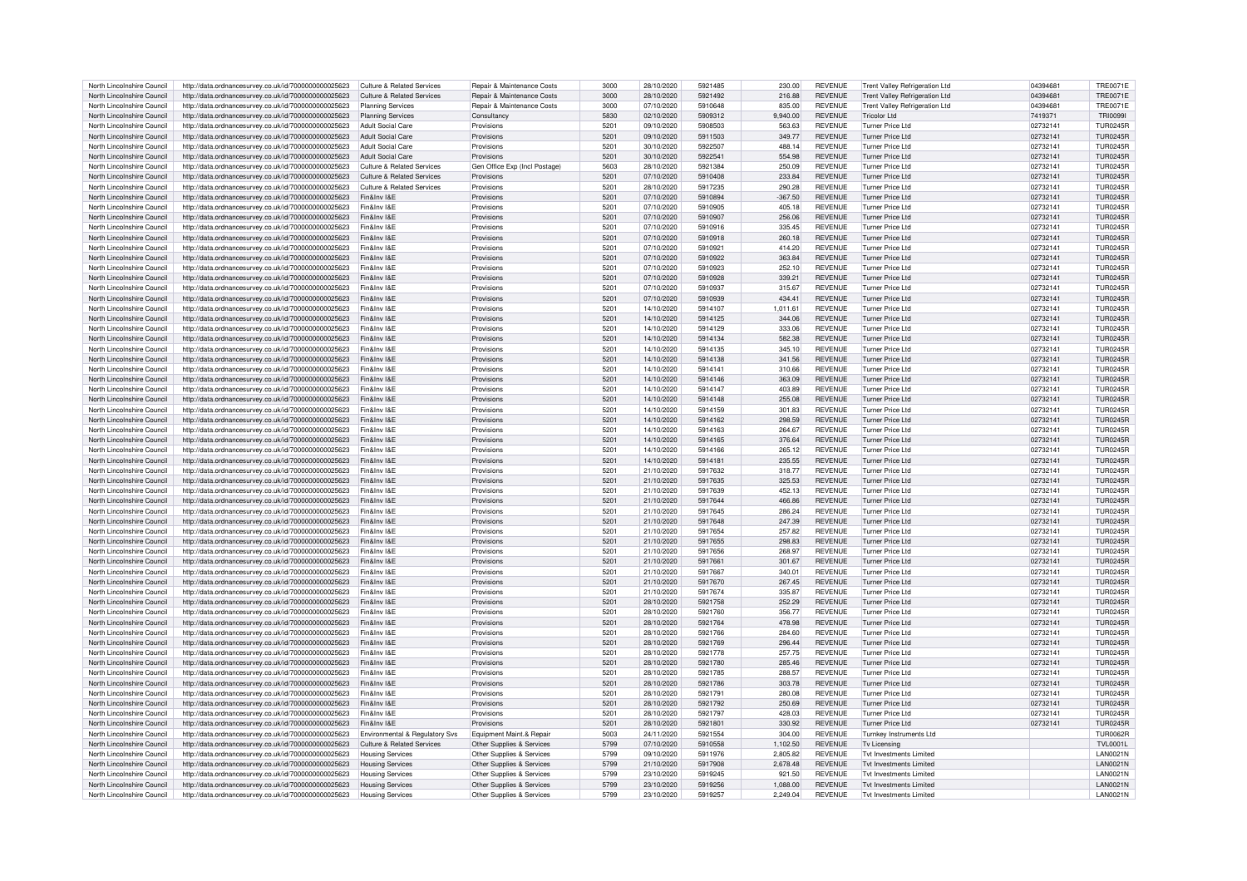| North Lincolnshire Council | http://data.ordnancesurvey.co.uk/id/7000000000025623 | Culture & Related Services            | Repair & Maintenance Costs    | 3000          | 28/10/2020 | 5921485 | 230.00    | <b>REVENUE</b> | Trent Valley Refrigeration Ltd        | 04394681 | <b>TRE0071E</b> |
|----------------------------|------------------------------------------------------|---------------------------------------|-------------------------------|---------------|------------|---------|-----------|----------------|---------------------------------------|----------|-----------------|
| North Lincolnshire Council | http://data.ordnancesurvey.co.uk/id/7000000000025623 | Culture & Related Services            | Repair & Maintenance Costs    | 3000          | 28/10/2020 | 5921492 | 216.88    | <b>REVENUE</b> | <b>Trent Valley Refrigeration Ltd</b> | 04394681 | <b>TRE0071E</b> |
| North Lincolnshire Council | http://data.ordnancesurvey.co.uk/id/7000000000025623 | <b>Planning Services</b>              | Repair & Maintenance Costs    | 3000          | 07/10/2020 | 5910648 | 835.00    | <b>REVENUE</b> | <b>Trent Valley Refrigeration Ltd</b> | 04394681 | <b>TRE0071E</b> |
| North Lincolnshire Council | http://data.ordnancesurvey.co.uk/id/7000000000025623 | <b>Planning Services</b>              | Consultancy                   | 5830          | 02/10/2020 | 5909312 | 9.940.00  | <b>REVENUE</b> | <b>Tricolor Ltd</b>                   | 7419371  | <b>TRI00991</b> |
| North Lincolnshire Council | http://data.ordnancesurvey.co.uk/id/7000000000025623 | <b>Adult Social Care</b>              | Provisions                    | 5201          | 09/10/2020 | 5908503 | 563.63    | <b>REVENUE</b> | Turner Price Ltd                      | 02732141 | <b>TUR0245R</b> |
| North Lincolnshire Council | http://data.ordnancesurvey.co.uk/id/7000000000025623 | <b>Adult Social Care</b>              | Provisions                    | 5201          | 09/10/2020 | 5911503 | 349.77    | <b>REVENUE</b> | <b>Turner Price Ltd</b>               | 02732141 | <b>TUR0245R</b> |
| North Lincolnshire Council | http://data.ordnancesurvey.co.uk/id/7000000000025623 | <b>Adult Social Care</b>              | Provisions                    | $520 -$       | 30/10/2020 | 5922507 | 488.14    | <b>REVENUE</b> | Turner Price I td                     | 02732141 | <b>TUR0245R</b> |
| North Lincolnshire Council | http://data.ordnancesurvey.co.uk/id/7000000000025623 | <b>Adult Social Care</b>              | Provisions                    | 520           | 30/10/2020 | 5922541 | 554.98    | <b>REVENUE</b> | Turner Price I td                     | 02732141 | <b>TUR0245R</b> |
| North Lincolnshire Council | http://data.ordnancesurvey.co.uk/id/7000000000025623 | Culture & Related Services            | Gen Office Exp (Incl Postage) | 5603          | 28/10/2020 | 5921384 | 250.09    | <b>REVENUE</b> | Turner Price Ltd                      | 02732141 | <b>TUR0245R</b> |
| North Lincolnshire Council | http://data.ordnancesurvey.co.uk/id/7000000000025623 | <b>Culture &amp; Related Services</b> | Provisions                    | 5201          | 07/10/2020 | 5910408 | 233.84    | <b>REVENUE</b> | Turner Price I td                     | 02732141 | <b>TUR0245R</b> |
|                            |                                                      |                                       |                               |               |            |         |           |                |                                       |          |                 |
| North Lincolnshire Council | http://data.ordnancesurvey.co.uk/id/7000000000025623 | <b>Culture &amp; Related Services</b> | Provisions                    | 5201          | 28/10/2020 | 5917235 | 290.28    | <b>REVENUE</b> | Turner Price Ltd                      | 02732141 | <b>TUR0245R</b> |
| North Lincolnshire Council | http://data.ordnancesurvey.co.uk/id/7000000000025623 | Fin&Inv I&E                           | Provisions                    | $520^{\circ}$ | 07/10/2020 | 5910894 | $-367.50$ | REVENUE        | Turner Price Ltd                      | 02732141 | <b>TUR0245R</b> |
| North Lincolnshire Council | http://data.ordnancesurvey.co.uk/id/7000000000025623 | Fin&Inv I&F                           | Provisions                    | 5201          | 07/10/2020 | 5910905 | 405.18    | <b>REVENUE</b> | Turner Price I td                     | 02732141 | <b>TUR0245R</b> |
| North Lincolnshire Council | http://data.ordnancesurvey.co.uk/id/7000000000025623 | Fin&Inv I&E                           | Provisions                    | 5201          | 07/10/2020 | 5910907 | 256.06    | <b>REVENUE</b> | Turner Price Ltd                      | 02732141 | <b>TUR0245R</b> |
| North Lincolnshire Council | http://data.ordnancesurvey.co.uk/id/7000000000025623 | Fin&Inv I&F                           | Provisions                    | 5201          | 07/10/2020 | 5910916 | 335.45    | <b>REVENUE</b> | Turner Price I td                     | 02732141 | <b>TUR0245R</b> |
| North Lincolnshire Council | http://data.ordnancesurvey.co.uk/id/7000000000025623 | Fin&Inv I&F                           | Provisions                    | 520           | 07/10/2020 | 5910918 | 260.18    | <b>REVENUE</b> | Turner Price Ltd                      | 02732141 | <b>TUR0245R</b> |
| North Lincolnshire Council | http://data.ordnancesurvey.co.uk/id/7000000000025623 | Fin&Inv I&E                           | Provisions                    | 5201          | 07/10/2020 | 5910921 | 414.20    | <b>REVENUE</b> | <b>Turner Price Ltd</b>               | 02732141 | <b>TUR0245R</b> |
| North Lincolnshire Council | http://data.ordnancesurvey.co.uk/id/7000000000025623 | Fin&Inv I&F                           | Provisions                    | 520           | 07/10/2020 | 5910922 | 363.84    | REVENUE        | Turner Price I td                     | 02732141 | TUR0245B        |
| North Lincolnshire Council | http://data.ordnancesurvey.co.uk/id/7000000000025623 | Fin&Inv I&E                           | Provisions                    | 5201          | 07/10/2020 | 5910923 | 252.10    | <b>REVENUE</b> | Turner Price Ltd                      | 02732141 | <b>TUR0245R</b> |
| North Lincolnshire Council | http://data.ordnancesurvey.co.uk/id/7000000000025623 | Fin&Inv I&E                           | Provisions                    | 5201          | 07/10/2020 | 5910928 | 339.21    | <b>REVENUE</b> | Turner Price I td                     | 02732141 | <b>TUR0245R</b> |
| North Lincolnshire Council | http://data.ordnancesurvey.co.uk/id/7000000000025623 | Fin&Inv I&E                           | Provisions                    | $520^{\circ}$ | 07/10/2020 | 5910937 | 315.67    | <b>REVENUE</b> | <b>Turner Price Ltd</b>               | 02732141 | <b>TUR0245R</b> |
| North Lincolnshire Council | http://data.ordnancesurvey.co.uk/id/7000000000025623 | Fin&Inv I&E                           | Provisions                    | 5201          | 07/10/2020 | 5910939 | 434.41    | REVENUE        | Turner Price Ltd                      | 02732141 | <b>TUR0245R</b> |
| North Lincolnshire Council | http://data.ordnancesurvey.co.uk/id/7000000000025623 | Fin&Inv I&F                           | Provisions                    | 520           | 14/10/2020 | 5914107 | 1.011.61  | <b>REVENUE</b> | Turner Price I td                     | 02732141 | TUR0245F        |
| North Lincolnshire Council | http://data.ordnancesurvey.co.uk/id/7000000000025623 | Fin&Inv I&F                           | Provisions                    | 5201          | 14/10/2020 | 5914125 | 344.06    | <b>REVENUE</b> | Turner Price I td                     | 02732141 | <b>TUR0245R</b> |
| North Lincolnshire Council | http://data.ordnancesurvey.co.uk/id/7000000000025623 | Fin&Inv I&E                           | Provisions                    | 520           | 14/10/2020 | 5914129 | 333.06    | <b>REVENUE</b> | Turner Price I td                     | 02732141 | TUR0245F        |
| North Lincolnshire Council | http://data.ordnancesurvey.co.uk/id/7000000000025623 | Fin&Inv I&E                           | Provisions                    | $520^{\circ}$ | 14/10/2020 | 5914134 | 582.38    | <b>REVENUE</b> | <b>Turner Price Ltd</b>               | 02732141 | <b>TUR0245R</b> |
| North Lincolnshire Council | http://data.ordnancesurvey.co.uk/id/7000000000025623 | Fin&Inv I&E                           | Provisions                    | 5201          | 14/10/2020 | 5914135 | 345.10    | <b>REVENUE</b> | <b>Turner Price Ltd</b>               | 02732141 | <b>TUR0245R</b> |
|                            |                                                      | Fin&Inv I&F                           |                               | 520           |            | 5914138 |           | <b>REVENUE</b> | Turner Price Ltd                      |          |                 |
| North Lincolnshire Council | http://data.ordnancesurvey.co.uk/id/7000000000025623 |                                       | Provisions                    |               | 14/10/2020 |         | 341.56    |                |                                       | 02732141 | <b>TUR0245R</b> |
| North Lincolnshire Council | http://data.ordnancesurvey.co.uk/id/7000000000025623 | Fin&Inv I&E                           | Provisions                    | 5201          | 14/10/2020 | 5914141 | 310.66    | <b>REVENUE</b> | Turner Price Ltd                      | 02732141 | <b>TUR0245R</b> |
| North Lincolnshire Council | http://data.ordnancesurvey.co.uk/id/7000000000025623 | Fin&Inv I&F                           | Provisions                    | 520           | 14/10/2020 | 5914146 | 363.09    | <b>REVENUE</b> | Turner Price I td                     | 02732141 | <b>TUR0245R</b> |
| North Lincolnshire Council | http://data.ordnancesurvey.co.uk/id/7000000000025623 | Fin&Inv I&E                           | Provisions                    | 520           | 14/10/2020 | 5914147 | 403.89    | <b>REVENUE</b> | Turner Price I td                     | 02732141 | <b>TUR0245R</b> |
| North Lincolnshire Council | http://data.ordnancesurvey.co.uk/id/7000000000025623 | Fin&Inv I&E                           | Provisions                    | $520^{\circ}$ | 14/10/2020 | 5914148 | 255.08    | <b>REVENUE</b> | Turner Price Ltd                      | 02732141 | <b>TUR0245R</b> |
| North Lincolnshire Council | http://data.ordnancesurvey.co.uk/id/7000000000025623 | Fin&Inv I&F                           | Provisions                    | 5201          | 14/10/2020 | 5914159 | 301.83    | <b>REVENUE</b> | Turner Price I td                     | 02732141 | <b>TUR0245R</b> |
| North Lincolnshire Council | http://data.ordnancesurvey.co.uk/id/7000000000025623 | Fin&Inv I&E                           | Provisions                    | 5201          | 14/10/2020 | 5914162 | 298.59    | <b>REVENUE</b> | Turner Price Ltd                      | 02732141 | <b>TUR0245R</b> |
| North Lincolnshire Council | http://data.ordnancesurvey.co.uk/id/7000000000025623 | Fin&Inv I&F                           | Provisions                    | 5201          | 14/10/2020 | 5914163 | 264.67    | <b>REVENUE</b> | Turner Price I td                     | 02732141 | <b>TUR0245R</b> |
| North Lincolnshire Council | http://data.ordnancesurvey.co.uk/id/7000000000025623 | Fin&Inv I&E                           | Provisions                    | 5201          | 14/10/2020 | 5914165 | 376.64    | REVENUE        | Turner Price Ltd                      | 02732141 | <b>TUR0245R</b> |
| North Lincolnshire Council | http://data.ordnancesurvey.co.uk/id/7000000000025623 | Fin&Inv I&E                           | Provisions                    | 5201          | 14/10/2020 | 5914166 | 265.12    | <b>REVENUE</b> | Turner Price Ltd                      | 02732141 | <b>TUR0245R</b> |
| North Lincolnshire Council | http://data.ordnancesurvey.co.uk/id/7000000000025623 | Fin&Inv I&F                           | Provisions                    | 520           | 14/10/2020 | 5914181 | 235.55    | <b>REVENUE</b> | Turner Price I td                     | 02732141 | <b>TUR0245R</b> |
| North Lincolnshire Council | http://data.ordnancesurvey.co.uk/id/7000000000025623 | Fin&Inv I&E                           | Provisions                    | 5201          | 21/10/2020 | 5917632 | 318.77    | <b>REVENUE</b> | Turner Price Ltd                      | 02732141 | <b>TUR0245R</b> |
| North Lincolnshire Council | http://data.ordnancesurvey.co.uk/id/7000000000025623 | Fin&Inv I&F                           | Provisions                    | 5201          | 21/10/2020 | 5917635 | 325.53    | <b>REVENUE</b> | Turner Price Ltd                      | 02732141 | <b>TUR0245R</b> |
| North Lincolnshire Council | http://data.ordnancesurvey.co.uk/id/7000000000025623 | Fin&Inv I&F                           | Provisions                    | $520 -$       | 21/10/2020 | 5917639 | 452.13    | <b>REVENUE</b> | Turner Price I td                     | 02732141 | <b>TUR0245R</b> |
| North Lincolnshire Council | http://data.ordnancesurvey.co.uk/id/7000000000025623 | Fin&Inv I&E                           | Provisions                    | 5201          | 21/10/2020 | 5917644 | 466.86    | REVENUE        | Turner Price Ltd                      | 02732141 | <b>TUR0245R</b> |
| North Lincolnshire Council | http://data.ordnancesurvey.co.uk/id/7000000000025623 | Fin&Inv I&F                           | Provisions                    | 520           | 21/10/2020 | 5917645 | 286.24    | <b>REVENUE</b> | Turner Price I td                     | 02732141 | <b>TUR0245R</b> |
|                            |                                                      | Fin&Inv I&F                           |                               | 520           |            |         |           | <b>REVENUE</b> |                                       |          |                 |
| North Lincolnshire Council | http://data.ordnancesurvey.co.uk/id/7000000000025623 |                                       | Provisions                    |               | 21/10/2020 | 5917648 | 247.39    |                | Turner Price Ltd                      | 02732141 | <b>TUR0245R</b> |
| North Lincolnshire Council | http://data.ordnancesurvey.co.uk/id/7000000000025623 | Fin&Inv I&F                           | Provisions                    | 5201          | 21/10/2020 | 5917654 | 257.82    | <b>REVENUE</b> | Turner Price I td                     | 02732141 | TUR0245F        |
| North Lincolnshire Council | http://data.ordnancesurvey.co.uk/id/7000000000025623 | Fin&Inv I&E                           | Provisions                    | $520^{\circ}$ | 21/10/2020 | 5917655 | 298.83    | <b>REVENUE</b> | <b>Turner Price Ltd</b>               | 02732141 | <b>TUR0245F</b> |
| North Lincolnshire Council | http://data.ordnancesurvey.co.uk/id/7000000000025623 | Fin&Inv I&E                           | Provisions                    | 5201          | 21/10/2020 | 5917656 | 268.97    | <b>REVENUE</b> | <b>Turner Price Ltd</b>               | 02732141 | <b>TUR0245R</b> |
| North Lincolnshire Council | http://data.ordnancesurvey.co.uk/id/7000000000025623 | Fin&Inv I&E                           | Provisions                    | 5201          | 21/10/2020 | 5917661 | 301.67    | <b>REVENUE</b> | <b>Turner Price Ltd</b>               | 02732141 | <b>TUR0245R</b> |
| North Lincolnshire Council | http://data.ordnancesurvey.co.uk/id/7000000000025623 | Fin&Inv I&E                           | Provisions                    | 5201          | 21/10/2020 | 5917667 | 340.01    | <b>REVENUE</b> | Turner Price I td                     | 02732141 | <b>TUR0245R</b> |
| North Lincolnshire Council | http://data.ordnancesurvey.co.uk/id/7000000000025623 | Fin&Inv I&E                           | Provisions                    | 5201          | 21/10/2020 | 5917670 | 267.45    | <b>REVENUE</b> | Turner Price Ltd                      | 02732141 | <b>TUR0245R</b> |
| North Lincolnshire Council | http://data.ordnancesurvey.co.uk/id/7000000000025623 | Fin&Inv I&E                           | Provisions                    | $520^{\circ}$ | 21/10/2020 | 5917674 | 335.87    | <b>REVENUE</b> | <b>Turner Price Ltd</b>               | 02732141 | <b>TUR0245R</b> |
| North Lincolnshire Council | http://data.ordnancesurvey.co.uk/id/7000000000025623 | Fin&Inv I&E                           | Provisions                    | 520           | 28/10/2020 | 5921758 | 252.29    | <b>REVENUE</b> | Turner Price I td                     | 02732141 | <b>TUR0245R</b> |
| North Lincolnshire Council | http://data.ordnancesurvey.co.uk/id/7000000000025623 | Fin&Inv I&E                           | Provisions                    | 5201          | 28/10/2020 | 5921760 | 356.77    | <b>REVENUE</b> | Turner Price Ltd                      | 02732141 | <b>TUR0245R</b> |
| North Lincolnshire Council | http://data.ordnancesurvey.co.uk/id/7000000000025623 | Fin&Inv I&E                           | Provisions                    | 5201          | 28/10/2020 | 5921764 | 478.98    | <b>REVENUE</b> | Turner Price Ltd                      | 02732141 | <b>TUR0245R</b> |
| North Lincolnshire Council | http://data.ordnancesurvey.co.uk/id/7000000000025623 | Fin&Inv I&F                           | Provisions                    | 5201          | 28/10/2020 | 5921766 | 284.60    | <b>REVENUE</b> | Turner Price Ltd                      | 02732141 | <b>TUR0245R</b> |
| North Lincolnshire Council | http://data.ordnancesurvey.co.uk/id/7000000000025623 | Fin&Inv I&E                           | Provisions                    | 5201          | 28/10/2020 | 5921769 | 296.44    | <b>REVENUE</b> | <b>Turner Price Ltd</b>               | 02732141 | <b>TUR0245R</b> |
| North Lincolnshire Council | http://data.ordnancesurvey.co.uk/id/7000000000025623 | Fin&Inv I&E                           | Provisions                    | 5201          | 28/10/2020 | 5921778 | 257.75    | <b>REVENUE</b> | <b>Turner Price Ltd</b>               | 02732141 | <b>TUR0245F</b> |
| North Lincolnshire Council | http://data.ordnancesurvey.co.uk/id/7000000000025623 | Fin&Inv I&F                           | Provisions                    | 520           | 28/10/2020 | 5921780 | 285.46    | <b>REVENUE</b> | Turner Price I td                     | 02732141 | <b>TUR0245R</b> |
| North Lincolnshire Council | http://data.ordnancesurvey.co.uk/id/7000000000025623 | Fin&Inv I&E                           | Provisions                    | 5201          | 28/10/2020 | 5921785 | 288.57    | <b>REVENUE</b> | Turner Price Ltd                      | 02732141 | <b>TUR0245R</b> |
| North Lincolnshire Council | http://data.ordnancesurvey.co.uk/id/7000000000025623 | Fin&Inv I&F                           | Provisions                    | 5201          | 28/10/2020 | 5921786 | 303.78    | <b>REVENUE</b> | Turner Price I td                     | 02732141 | <b>TUR0245R</b> |
| North Lincolnshire Council | http://data.ordnancesurvey.co.uk/id/7000000000025623 | Fin&Inv I&F                           | Provisions                    | 5201          | 28/10/2020 | 5921791 | 280.08    | <b>REVENUE</b> | Turner Price I td                     | 02732141 | <b>TUR0245R</b> |
| North Lincolnshire Council | http://data.ordnancesurvey.co.uk/id/7000000000025623 | Fin&Inv I&E                           | Provisions                    | $520^{\circ}$ | 28/10/2020 | 5921792 | 250.69    | <b>REVENUE</b> | <b>Turner Price Ltd</b>               | 02732141 | <b>TUR0245R</b> |
| North Lincolnshire Council |                                                      | Fin&Inv I&F                           | Provisions                    | 5201          |            | 5921797 | 428.03    | REVENUE        | Turner Price I td                     |          |                 |
|                            | http://data.ordnancesurvey.co.uk/id/7000000000025623 |                                       |                               |               | 28/10/2020 |         |           |                |                                       | 02732141 | <b>TUR0245R</b> |
| North Lincolnshire Council | http://data.ordnancesurvey.co.uk/id/7000000000025623 | Fin&Inv I&E                           | Provisions                    | 5201          | 28/10/2020 | 5921801 | 330.92    | <b>REVENUE</b> | Turner Price Ltd                      | 02732141 | <b>TUR0245R</b> |
| North Lincolnshire Council | http://data.ordnancesurvey.co.uk/id/7000000000025623 | Environmental & Regulatory Svs        | Equipment Maint.& Repair      | 5003          | 24/11/2020 | 5921554 | 304.00    | <b>REVENUE</b> | Turnkey Instruments Ltd               |          | <b>TUR0062R</b> |
| North Lincolnshire Council | http://data.ordnancesurvey.co.uk/id/7000000000025623 | <b>Culture &amp; Related Services</b> | Other Supplies & Services     | 5799          | 07/10/2020 | 5910558 | 1,102.50  | <b>REVENUE</b> | Tv Licensing                          |          | <b>TVL0001L</b> |
| North Lincolnshire Council | http://data.ordnancesurvey.co.uk/id/7000000000025623 | <b>Housing Services</b>               | Other Supplies & Services     | 5799          | 09/10/2020 | 5911976 | 2,805.82  | <b>REVENUE</b> | <b>Tvt Investments Limited</b>        |          | <b>LAN0021N</b> |
| North Lincolnshire Council | http://data.ordnancesurvey.co.uk/id/7000000000025623 | <b>Housing Services</b>               | Other Supplies & Services     | 5799          | 21/10/2020 | 5917908 | 2.678.48  | <b>REVENUE</b> | Tyt Investments Limited               |          | <b>LAN0021N</b> |
| North Lincolnshire Council | http://data.ordnancesurvey.co.uk/id/7000000000025623 | <b>Housing Services</b>               | Other Supplies & Services     | 5799          | 23/10/2020 | 5919245 | 921.50    | <b>REVENUE</b> | Tyt Investments Limited               |          | <b>LAN0021N</b> |
| North Lincolnshire Council | http://data.ordnancesurvey.co.uk/id/7000000000025623 | <b>Housing Services</b>               | Other Supplies & Services     | 5799          | 23/10/2020 | 5919256 | 1.088.00  | <b>REVENUE</b> | Tyt Investments Limited               |          | <b>LAN0021N</b> |
| North Lincolnshire Council | http://data.ordnancesurvey.co.uk/id/7000000000025623 | <b>Housing Services</b>               | Other Supplies & Services     | 5799          | 23/10/2020 | 5919257 | 2.249.04  | <b>REVENUE</b> | Tyt Investments Limited               |          | LAN0021N        |
|                            |                                                      |                                       |                               |               |            |         |           |                |                                       |          |                 |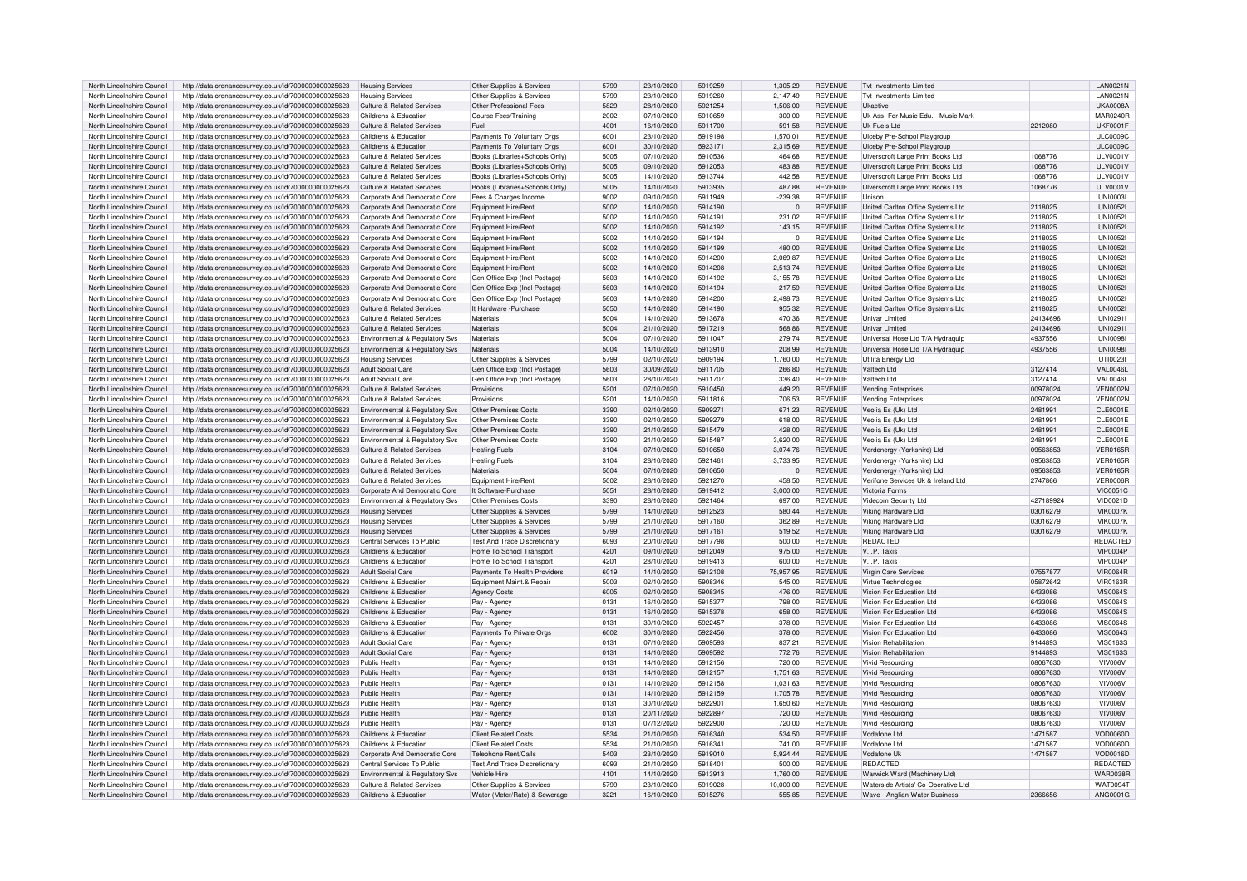| North Lincolnshire Council | http://data.ordnancesurvey.co.uk/id/7000000000025623 | <b>Housing Services</b>               | Other Supplies & Services           | 5799 | 23/10/2020 | 5919259 | 1,305.29  | <b>REVENUE</b> | Tyt Investments I imited                  |           | <b>LAN0021N</b> |
|----------------------------|------------------------------------------------------|---------------------------------------|-------------------------------------|------|------------|---------|-----------|----------------|-------------------------------------------|-----------|-----------------|
| North Lincolnshire Council | http://data.ordnancesurvey.co.uk/id/7000000000025623 | <b>Housing Services</b>               | Other Supplies & Services           | 5799 | 23/10/2020 | 5919260 | 2.147.49  | <b>REVENUE</b> | Tyt Investments Limited                   |           | <b>LAN0021N</b> |
| North Lincolnshire Council | http://data.ordnancesurvey.co.uk/id/7000000000025623 | Culture & Related Services            | Other Professional Fees             | 5829 | 28/10/2020 | 5921254 | 1,506.00  | <b>REVENUE</b> | Ukactive                                  |           | <b>UKA0008A</b> |
| North Lincolnshire Council | http://data.ordnancesurvey.co.uk/id/7000000000025623 | Childrens & Education                 | Course Fees/Training                | 2002 | 07/10/2020 | 5910659 | 300.00    | <b>REVENUE</b> | Uk Ass. For Music Edu. - Music Mark       |           | <b>MAR0240R</b> |
| North Lincolnshire Council | http://data.ordnancesurvey.co.uk/id/7000000000025623 | <b>Culture &amp; Related Services</b> | Fuel                                | 4001 | 16/10/2020 | 5911700 | 591.58    | <b>REVENUE</b> | Uk Fuels Ltd                              | 2212080   | <b>UKF0001F</b> |
|                            |                                                      | Childrens & Education                 |                                     | 6001 |            | 5919198 |           | <b>REVENUE</b> |                                           |           |                 |
| North Lincolnshire Council | http://data.ordnancesurvey.co.uk/id/7000000000025623 |                                       | Payments To Voluntary Orgs          |      | 23/10/2020 |         | 1,570.01  |                | Ulceby Pre-School Playgroup               |           | <b>ULC0009C</b> |
| North Lincolnshire Council | http://data.ordnancesurvey.co.uk/id/7000000000025623 | Childrens & Education                 | Payments To Voluntary Orgs          | 6001 | 30/10/2020 | 592317  | 2,315.69  | <b>REVENUE</b> | Ulceby Pre-School Playgroup               |           | <b>ULC0009C</b> |
| North Lincolnshire Council | http://data.ordnancesurvey.co.uk/id/7000000000025623 | Culture & Related Services            | Books (Libraries+Schools Only)      | 5005 | 07/10/2020 | 5910536 | 464.68    | <b>REVENUE</b> | Ulverscroft Large Print Books Ltd         | 1068776   | ULV0001V        |
| North Lincolnshire Council | http://data.ordnancesurvey.co.uk/id/7000000000025623 | Culture & Related Services            | Books (Libraries+Schools Only)      | 5005 | 09/10/2020 | 5912053 | 483.88    | <b>REVENUE</b> | Ulverscroft Large Print Books Ltd         | 1068776   | <b>ULV0001V</b> |
| North Lincolnshire Council | http://data.ordnancesurvey.co.uk/id/7000000000025623 | Culture & Related Services            | Books (Libraries+Schools Only)      | 5005 | 14/10/2020 | 5913744 | 442.58    | <b>REVENUE</b> | Ulverscroft Large Print Books Ltd         | 1068776   | <b>ULV0001V</b> |
| North Lincolnshire Council | http://data.ordnancesurvey.co.uk/id/7000000000025623 | Culture & Related Services            | Books (Libraries+Schools Only)      | 5005 | 14/10/2020 | 5913935 | 487.88    | <b>REVENUE</b> | Ulverscroft Large Print Books Ltd         | 1068776   | <b>ULV0001V</b> |
| North Lincolnshire Council | http://data.ordnancesurvey.co.uk/id/7000000000025623 | Corporate And Democratic Core         | Fees & Charges Income               | 9002 | 09/10/2020 | 5911949 | 239.38    | <b>REVENUE</b> | Unison                                    |           | <b>UNI0003I</b> |
| North Lincolnshire Council | http://data.ordnancesurvey.co.uk/id/7000000000025623 | Corporate And Democratic Core         | <b>Equipment Hire/Rent</b>          | 5002 | 14/10/2020 | 5914190 | $\Omega$  | <b>REVENUE</b> | United Carlton Office Systems Ltd         | 2118025   | <b>UNI00521</b> |
| North Lincolnshire Council | http://data.ordnancesurvey.co.uk/id/7000000000025623 | Corporate And Democratic Core         | Equipment Hire/Rent                 | 5002 | 14/10/2020 | 5914191 | 231.02    | <b>REVENUE</b> | United Carlton Office Systems Ltd         | 2118025   | <b>UNI00521</b> |
| North Lincolnshire Council | http://data.ordnancesurvey.co.uk/id/7000000000025623 | Corporate And Democratic Core         | <b>Equipment Hire/Rent</b>          | 5002 | 14/10/2020 | 5914192 | 143.15    | <b>REVENUE</b> | United Carlton Office Systems Ltd         | 2118025   | <b>UNI00521</b> |
|                            |                                                      |                                       |                                     |      |            |         |           |                |                                           |           |                 |
| North Lincolnshire Council | http://data.ordnancesurvey.co.uk/id/7000000000025623 | Corporate And Democratic Core         | Equipment Hire/Rent                 | 5002 | 14/10/2020 | 5914194 | $\Omega$  | <b>REVENUE</b> | United Carlton Office Systems Ltd         | 2118025   | <b>UNI00521</b> |
| North Lincolnshire Council | http://data.ordnancesurvey.co.uk/id/7000000000025623 | Corporate And Democratic Core         | Faujoment Hire/Rent                 | 5002 | 14/10/2020 | 5914199 | 480.00    | <b>REVENUE</b> | United Carlton Office Systems Ltd         | 2118025   | <b>UNI00521</b> |
| North Lincolnshire Council | http://data.ordnancesurvey.co.uk/id/7000000000025623 | Corporate And Democratic Core         | Equipment Hire/Rent                 | 5002 | 14/10/2020 | 5914200 | 2.069.87  | <b>REVENUE</b> | <b>Linited Carlton Office Systems Ltd</b> | 2118025   | <b>UNI00521</b> |
| North Lincolnshire Council | http://data.ordnancesurvey.co.uk/id/7000000000025623 | Corporate And Democratic Core         | Equipment Hire/Rent                 | 5002 | 14/10/2020 | 5914208 | 2,513.74  | <b>REVENUE</b> | United Carlton Office Systems Ltd         | 2118025   | <b>UNI00521</b> |
| North Lincolnshire Council | http://data.ordnancesurvey.co.uk/id/7000000000025623 | Corporate And Democratic Core         | Gen Office Exp (Incl Postage)       | 5603 | 14/10/2020 | 5914192 | 3.155.78  | <b>REVENUE</b> | United Carlton Office Systems Ltd         | 2118025   | <b>UNI00521</b> |
| North Lincolnshire Council | http://data.ordnancesurvey.co.uk/id/7000000000025623 | Corporate And Democratic Core         | Gen Office Exp (Incl Postage        | 5603 | 14/10/2020 | 5914194 | 217.59    | <b>REVENUE</b> | United Carlton Office Systems Ltd         | 2118025   | <b>UNI0052</b>  |
| North Lincolnshire Council | http://data.ordnancesurvey.co.uk/id/7000000000025623 | Corporate And Democratic Core         | Gen Office Exp (Incl Postage)       | 5603 | 14/10/2020 | 5914200 | 2.498.73  | <b>REVENUE</b> | United Carlton Office Systems Ltd         | 2118025   | <b>UNI00521</b> |
| North Lincolnshire Council | http://data.ordnancesurvey.co.uk/id/7000000000025623 | <b>Culture &amp; Related Services</b> | It Hardware - Purchase              | 5050 | 14/10/2020 | 5914190 | 955.32    | <b>REVENUE</b> | United Carlton Office Systems Ltd         | 2118025   | <b>UNI00521</b> |
| North Lincolnshire Council | http://data.ordnancesurvey.co.uk/id/7000000000025623 | Culture & Related Services            | Materials                           | 5004 | 14/10/2020 | 5913678 | 470.36    | <b>REVENUE</b> | Univar Limited                            | 24134696  | <b>UNI0291</b>  |
|                            |                                                      |                                       |                                     |      |            |         |           |                |                                           |           |                 |
| North Lincolnshire Council | http://data.ordnancesurvey.co.uk/id/7000000000025623 | <b>Culture &amp; Related Services</b> | Materials                           | 5004 | 21/10/2020 | 5917219 | 568.86    | <b>REVENUE</b> | <b>Univar Limited</b>                     | 24134696  | UNI0291         |
| North Lincolnshire Council | http://data.ordnancesurvey.co.uk/id/7000000000025623 | Environmental & Regulatory Svs        | Materials                           | 5004 | 07/10/2020 | 5911047 | 279.74    | <b>REVENUE</b> | Universal Hose Ltd T/A Hydraquip          | 4937556   | UNI0098         |
| North Lincolnshire Council | http://data.ordnancesurvey.co.uk/id/7000000000025623 | Environmental & Regulatory Sys        | Materials                           | 5004 | 14/10/2020 | 5913910 | 208.99    | <b>REVENUE</b> | Universal Hose Ltd T/A Hydraguip          | 4937556   | <b>UNI0098</b>  |
| North Lincolnshire Council | http://data.ordnancesurvey.co.uk/id/7000000000025623 | <b>Housing Services</b>               | Other Supplies & Services           | 5799 | 02/10/2020 | 5909194 | 1,760.00  | <b>REVENUE</b> | Utilita Energy Ltd                        |           | <b>UTI0023I</b> |
| North Lincolnshire Council | http://data.ordnancesurvey.co.uk/id/7000000000025623 | Adult Social Care                     | Gen Office Exp (Incl Postage)       | 5603 | 30/09/2020 | 5911705 | 266.80    | <b>REVENUE</b> | Valtech I to                              | 3127414   | <b>VAL0046L</b> |
| North Lincolnshire Council | http://data.ordnancesurvey.co.uk/id/7000000000025623 | Adult Social Care                     | Gen Office Exp (Incl Postage)       | 5603 | 28/10/2020 | 5911707 | 336.40    | <b>REVENUE</b> | Valtech Ltd                               | 3127414   | VAL0046L        |
| North Lincolnshire Council | http://data.ordnancesurvey.co.uk/id/7000000000025623 | Culture & Related Services            | Provisions                          | 5201 | 07/10/2020 | 5910450 | 449.20    | <b>REVENUE</b> | <b>Vending Enterprises</b>                | 00978024  | VFN0002N        |
| North Lincolnshire Council | http://data.ordnancesurvey.co.uk/id/7000000000025623 | Culture & Related Services            | Provisions                          | 5201 | 14/10/2020 | 5911816 | 706.53    | <b>REVENUE</b> | Vending Enterprises                       | 00978024  | VEN0002N        |
| North Lincolnshire Council | http://data.ordnancesurvey.co.uk/id/7000000000025623 | Environmental & Regulatory Svs        | Other Premises Costs                | 3390 | 02/10/2020 | 590927  | 671.23    | <b>REVENUE</b> | Veolia Es (Uk) I td                       | 2481991   | CLE0001E        |
|                            |                                                      |                                       |                                     |      |            |         |           |                |                                           |           |                 |
| North Lincolnshire Council | http://data.ordnancesurvey.co.uk/id/7000000000025623 | Environmental & Regulatory Svs        | <b>Other Premises Costs</b>         | 3390 | 02/10/2020 | 5909279 | 618.00    | <b>REVENUE</b> | Veolia Es (Uk) Ltd                        | 2481991   | CLE0001E        |
| North Lincolnshire Council | http://data.ordnancesurvey.co.uk/id/7000000000025623 | Environmental & Regulatory Svs        | Other Premises Costs                | 3390 | 21/10/2020 | 5915479 | 428.00    | <b>REVENUE</b> | Veolia Es (Uk) Ltd                        | 2481991   | <b>CLE0001E</b> |
| North Lincolnshire Council | http://data.ordnancesurvey.co.uk/id/7000000000025623 | Environmental & Regulatory Svs        | Other Premises Costs                | 3390 | 21/10/2020 | 5915487 | 3,620.00  | <b>REVENUE</b> | Veolia Es (Uk) Ltd                        | 2481991   | CLE0001E        |
| North Lincolnshire Council | http://data.ordnancesurvey.co.uk/id/7000000000025623 | Culture & Related Services            | <b>Heating Fuels</b>                | 3104 | 07/10/2020 | 5910650 | 3.074.76  | <b>REVENUE</b> | Verdenergy (Yorkshire) Ltd                | 09563853  | <b>VER0165R</b> |
| North Lincolnshire Council | http://data.ordnancesurvey.co.uk/id/7000000000025623 | Culture & Related Services            | <b>Heating Fuels</b>                | 3104 | 28/10/2020 | 592146  | 3,733.95  | <b>REVENUE</b> | Verdenergy (Yorkshire) Ltd                | 0956385   | <b>VER0165R</b> |
| North Lincolnshire Council | http://data.ordnancesurvey.co.uk/id/7000000000025623 | Culture & Related Services            | Materials                           | 5004 | 07/10/2020 | 5910650 |           | <b>REVENUE</b> | Verdenergy (Yorkshire) Ltd                | 09563853  | <b>VER0165R</b> |
| North Lincolnshire Council | http://data.ordnancesurvey.co.uk/id/7000000000025623 | Culture & Related Services            | Fauinment Hire/Rent                 | 5002 | 28/10/2020 | 5921270 | 458.50    | <b>REVENUE</b> | Verifone Services Uk & Ireland Ltd        | 2747866   | <b>VER0006R</b> |
| North Lincolnshire Council | http://data.ordnancesurvey.co.uk/id/7000000000025623 | Corporate And Democratic Core         | It Software-Purchase                | 5051 | 28/10/2020 | 5919412 | 3,000.00  | <b>REVENUE</b> | Victoria Forms                            |           | <b>VIC0051C</b> |
| North Lincolnshire Council | http://data.ordnancesurvey.co.uk/id/7000000000025623 | Environmental & Regulatory Svs        | Other Premises Costs                | 3390 | 28/10/2020 | 5921464 | 697.00    | <b>REVENUE</b> | Videcom Security Ltd                      | 427189924 | <b>VID0021D</b> |
| North Lincolnshire Council | http://data.ordnancesurvey.co.uk/id/7000000000025623 | <b>Housing Services</b>               | Other Supplies & Services           | 5799 | 14/10/2020 | 5912523 | 580.44    | <b>REVENUE</b> | Viking Hardware Ltd                       | 03016279  | <b>VIK0007K</b> |
|                            |                                                      |                                       |                                     |      |            |         |           |                |                                           |           |                 |
| North Lincolnshire Council | http://data.ordnancesurvey.co.uk/id/7000000000025623 | <b>Housing Services</b>               | Other Supplies & Services           | 5799 | 21/10/2020 | 5917160 | 362.89    | <b>REVENUE</b> | Viking Hardware Ltd                       | 03016279  | <b>VIK0007K</b> |
| North Lincolnshire Council | http://data.ordnancesurvey.co.uk/id/7000000000025623 | <b>Housing Services</b>               | Other Supplies & Services           | 5799 | 21/10/2020 | 591716  | 519.52    | <b>REVENUE</b> | Viking Hardware I td                      | 03016279  | VIK0007K        |
| North Lincolnshire Council | http://data.ordnancesurvey.co.uk/id/7000000000025623 | Central Services To Public            | <b>Test And Trace Discretionar</b>  | 6093 | 20/10/2020 | 5917798 | 500.00    | <b>REVENUE</b> | <b>REDACTED</b>                           |           | REDACTED        |
| North Lincolnshire Council | http://data.ordnancesurvey.co.uk/id/7000000000025623 | Childrens & Education                 | Home To School Transport            | 4201 | 09/10/2020 | 5912049 | 975.00    | <b>REVENUE</b> | V.I.P. Taxis                              |           | <b>VIP0004P</b> |
| North Lincolnshire Council | http://data.ordnancesurvey.co.uk/id/7000000000025623 | Childrens & Education                 | Home To School Transpor             | 4201 | 28/10/2020 | 5919413 | 600.00    | <b>REVENUE</b> | V.I.P. Taxis                              |           | <b>VIP0004P</b> |
| North Lincolnshire Council | http://data.ordnancesurvey.co.uk/id/7000000000025623 | Adult Social Care                     | Payments To Health Providers        | 6019 | 14/10/2020 | 5912108 | 75,957.95 | <b>REVENUE</b> | Virgin Care Services                      | 07557877  | <b>VIR0064R</b> |
| North Lincolnshire Council | http://data.ordnancesurvey.co.uk/id/7000000000025623 | Childrens & Education                 | Equipment Maint.& Repair            | 5003 | 02/10/2020 | 5908346 | 545.00    | <b>REVENUE</b> | Virtue Technologies                       | 05872642  | <b>VIR0163R</b> |
| North Lincolnshire Council | http://data.ordnancesurvey.co.uk/id/7000000000025623 | Childrens & Education                 | <b>Agency Costs</b>                 | 6005 | 02/10/2020 | 5908345 | 476.00    | <b>REVENUE</b> | Vision For Education Ltd                  | 6433086   | <b>VIS0064S</b> |
| North Lincolnshire Council | http://data.ordnancesurvey.co.uk/id/7000000000025623 | Childrens & Education                 | Pay - Agency                        | 0131 | 16/10/2020 | 5915377 | 798.00    | <b>REVENUE</b> | Vision For Education Ltd                  | 6433086   | VIS0064S        |
| North Lincolnshire Council |                                                      | Childrens & Education                 |                                     | 0131 | 16/10/2020 | 5915378 | 658.00    | <b>REVENUE</b> | Vision For Education Ltd                  | 6433086   | VIS0064S        |
|                            | http://data.ordnancesurvey.co.uk/id/7000000000025623 |                                       | Pay - Agency                        |      |            |         |           |                |                                           |           |                 |
| North Lincolnshire Council | http://data.ordnancesurvey.co.uk/id/7000000000025623 | Childrens & Education                 | Pay - Agency                        | 0131 | 30/10/2020 | 5922457 | 378.00    | <b>REVENUE</b> | Vision For Education I td                 | 6433086   | <b>VIS0064S</b> |
| North Lincolnshire Council | http://data.ordnancesurvey.co.uk/id/7000000000025623 | Childrens & Education                 | Payments To Private Orgs            | 6002 | 30/10/2020 | 5922456 | 378.00    | <b>REVENUE</b> | Vision For Education Ltd                  | 6433086   | <b>VIS0064S</b> |
| North Lincolnshire Council | http://data.ordnancesurvey.co.uk/id/7000000000025623 | <b>Adult Social Care</b>              | Pay - Agency                        | 0131 | 07/10/2020 | 5909593 | 837.21    | <b>REVENUE</b> | Vision Rehabilitation                     | 9144893   | VIS0163S        |
| North Lincolnshire Council | http://data.ordnancesurvey.co.uk/id/7000000000025623 | <b>Adult Social Care</b>              | Pay - Agency                        | 0131 | 14/10/2020 | 5909592 | 772.76    | <b>REVENUE</b> | Vision Rehabilitation                     | 9144893   | <b>VIS0163S</b> |
| North Lincolnshire Council | http://data.ordnancesurvey.co.uk/id/7000000000025623 | Public Health                         | Pay - Agency                        | 0131 | 14/10/2020 | 5912156 | 720.00    | <b>REVENUE</b> | Vivid Resourcing                          | 08067630  | VIV006V         |
| North Lincolnshire Council | http://data.ordnancesurvey.co.uk/id/7000000000025623 | Public Health                         | Pay - Agency                        | 0131 | 14/10/2020 | 5912157 | 1,751.63  | <b>REVENUE</b> | Vivid Resourcin                           | 08067630  | VIV006V         |
| North Lincolnshire Council | http://data.ordnancesurvey.co.uk/id/7000000000025623 | Public Health                         | Pay - Agency                        | 0131 | 14/10/2020 | 5912158 | 1,031.63  | <b>REVENUE</b> | Vivid Resourcin                           | 08067630  | VIV006V         |
| North Lincolnshire Council | http://data.ordnancesurvey.co.uk/id/7000000000025623 | Public Health                         | Pay - Agency                        | 0131 | 14/10/2020 | 5912159 | 1,705.78  | <b>REVENUE</b> | Vivid Resourcing                          | 08067630  | VIV006V         |
| North Lincolnshire Council | http://data.ordnancesurvey.co.uk/id/7000000000025623 | Public Health                         |                                     | 0131 | 30/10/2020 | 592290  | 1.650.60  | <b>REVENUE</b> | Vivid Resourcing                          | 08067630  | VIV006V         |
| North Lincolnshire Council |                                                      |                                       | Pay - Agency                        | 0131 |            | 5922897 |           | <b>REVENUE</b> |                                           |           | VIV006V         |
|                            | http://data.ordnancesurvey.co.uk/id/7000000000025623 | Public Health                         | Pay - Agency                        |      | 20/11/2020 |         | 720.00    |                | Vivid Resourcing                          | 08067630  |                 |
| North Lincolnshire Council | http://data.ordnancesurvey.co.uk/id/7000000000025623 | Public Health                         | Pay - Agency                        | 0131 | 07/12/2020 | 5922900 | 720.00    | <b>REVENUE</b> | <b>Vivid Resourcing</b>                   | 08067630  | VIV006V         |
| North Lincolnshire Council | http://data.ordnancesurvey.co.uk/id/7000000000025623 | Childrens & Education                 | Client Related Costs                | 5534 | 21/10/2020 | 5916340 | 534.50    | <b>REVENUE</b> | Vodafone I to                             | 1471587   | VOD0060D        |
| North Lincolnshire Council | http://data.ordnancesurvey.co.uk/id/7000000000025623 | Childrens & Education                 | Client Related Costs                | 5534 | 21/10/2020 | 591634  | 741.00    | <b>REVENUE</b> | Vodafone I to                             | 1471587   | VOD0060D        |
| North Lincolnshire Council | http://data.ordnancesurvey.co.uk/id/7000000000025623 | Corporate And Democratic Core         | Telephone Rent/Calls                | 5403 | 23/10/2020 | 5919010 | 5.924.44  | <b>REVENUE</b> | Vodafone Uk                               | 1471587   | <b>VOD0016D</b> |
| North Lincolnshire Council | http://data.ordnancesurvey.co.uk/id/7000000000025623 | Central Services To Public            | <b>Test And Trace Discretionary</b> | 6093 | 21/10/2020 | 591840  | 500.00    | <b>REVENUE</b> | <b>REDACTED</b>                           |           | REDACTED        |
| North Lincolnshire Council | http://data.ordnancesurvey.co.uk/id/7000000000025623 | Environmental & Regulatory Svs        | Vehicle Hire                        | 4101 | 14/10/2020 | 5913913 | 1,760.00  | <b>REVENUE</b> | Warwick Ward (Machinery Ltd)              |           | <b>WAR0038F</b> |
| North Lincolnshire Council | http://data.ordnancesurvey.co.uk/id/7000000000025623 | Culture & Related Services            | Other Supplies & Services           | 5799 | 23/10/2020 | 5919028 | 10.000.00 | <b>REVENUE</b> | Waterside Artists' Co-Operative Ltd       |           | <b>WAT0094T</b> |
| North Lincolnshire Council | http://data.ordnancesurvey.co.uk/id/7000000000025623 | Childrens & Education                 | Water (Meter/Rate) & Sewerage       | 3221 | 16/10/2020 | 5915276 | 555.85    | <b>REVENUE</b> | Wave - Anglian Water Business             | 2366656   | ANG0001G        |
|                            |                                                      |                                       |                                     |      |            |         |           |                |                                           |           |                 |